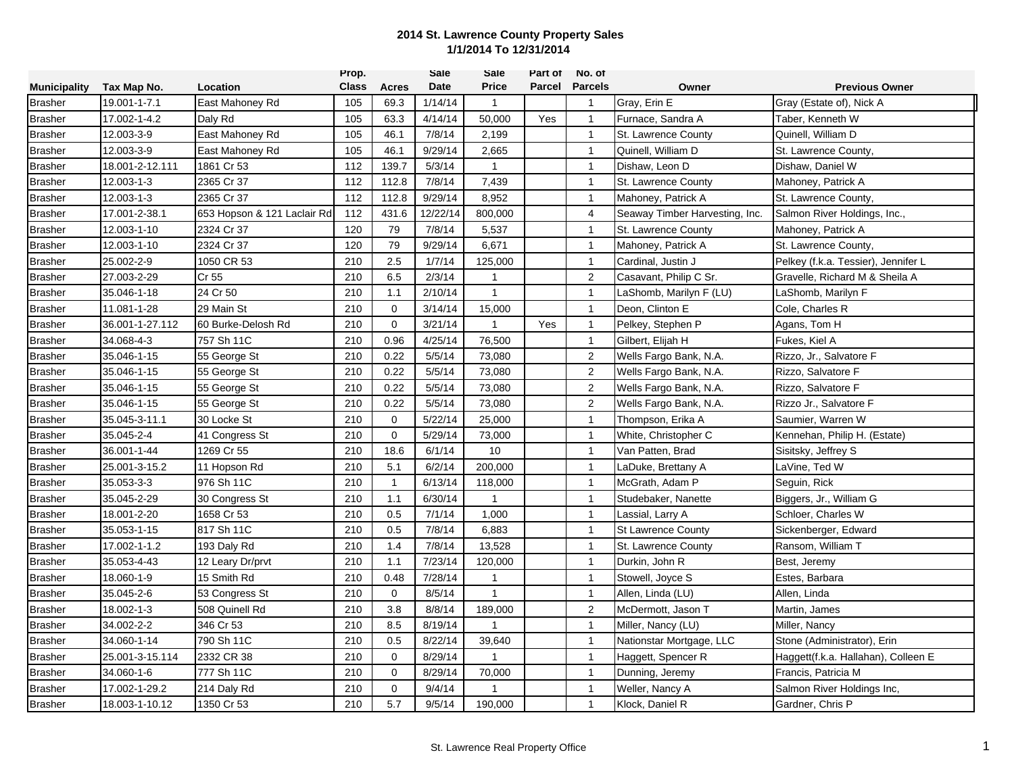|                     |                 |                             | Prop.        |              | <b>Sale</b> | <b>Sale</b>    | Part of       | No. of           |                                |                                     |
|---------------------|-----------------|-----------------------------|--------------|--------------|-------------|----------------|---------------|------------------|--------------------------------|-------------------------------------|
| <b>Municipality</b> | Tax Map No.     | <b>Location</b>             | <b>Class</b> | Acres        | <b>Date</b> | <b>Price</b>   | <b>Parcel</b> | <b>Parcels</b>   | Owner                          | <b>Previous Owner</b>               |
| <b>Brasher</b>      | 19.001-1-7.1    | East Mahoney Rd             | 105          | 69.3         | 1/14/14     | $\mathbf{1}$   |               | $\mathbf{1}$     | Gray, Erin E                   | Gray (Estate of), Nick A            |
| <b>Brasher</b>      | 17.002-1-4.2    | Daly Rd                     | 105          | 63.3         | 4/14/14     | 50,000         | Yes           | $\mathbf{1}$     | Furnace, Sandra A              | Taber, Kenneth W                    |
| <b>Brasher</b>      | 12.003-3-9      | East Mahoney Rd             | 105          | 46.1         | 7/8/14      | 2,199          |               | $\mathbf{1}$     | St. Lawrence County            | Quinell, William D                  |
| <b>Brasher</b>      | 12.003-3-9      | East Mahoney Rd             | 105          | 46.1         | 9/29/14     | 2,665          |               | $\mathbf{1}$     | Quinell, William D             | St. Lawrence County,                |
| <b>Brasher</b>      | 18.001-2-12.111 | 1861 Cr 53                  | 112          | 139.7        | 5/3/14      | $\mathbf{1}$   |               | $\mathbf{1}$     | Dishaw, Leon D                 | Dishaw, Daniel W                    |
| <b>Brasher</b>      | 12.003-1-3      | 2365 Cr 37                  | 112          | 112.8        | 7/8/14      | 7,439          |               | $\mathbf{1}$     | St. Lawrence County            | Mahoney, Patrick A                  |
| <b>Brasher</b>      | 12.003-1-3      | 2365 Cr 37                  | 112          | 112.8        | 9/29/14     | 8,952          |               | $\mathbf{1}$     | Mahoney, Patrick A             | St. Lawrence County,                |
| <b>Brasher</b>      | 17.001-2-38.1   | 653 Hopson & 121 Laclair Rd | 112          | 431.6        | 12/22/14    | 800,000        |               | $\overline{4}$   | Seaway Timber Harvesting, Inc. | Salmon River Holdings, Inc.,        |
| <b>Brasher</b>      | 12.003-1-10     | 2324 Cr 37                  | 120          | 79           | 7/8/14      | 5,537          |               | $\mathbf{1}$     | St. Lawrence County            | Mahoney, Patrick A                  |
| <b>Brasher</b>      | 12.003-1-10     | 2324 Cr 37                  | 120          | 79           | 9/29/14     | 6,671          |               | $\mathbf{1}$     | Mahoney, Patrick A             | St. Lawrence County,                |
| <b>Brasher</b>      | 25.002-2-9      | 1050 CR 53                  | 210          | 2.5          | 1/7/14      | 125,000        |               | $\mathbf{1}$     | Cardinal, Justin J             | Pelkey (f.k.a. Tessier), Jennifer L |
| <b>Brasher</b>      | 27.003-2-29     | Cr 55                       | 210          | 6.5          | 2/3/14      | $\mathbf{1}$   |               | $\overline{2}$   | Casavant, Philip C Sr.         | Gravelle, Richard M & Sheila A      |
| <b>Brasher</b>      | 35.046-1-18     | 24 Cr 50                    | 210          | 1.1          | 2/10/14     | $\mathbf{1}$   |               | $\overline{1}$   | LaShomb, Marilyn F (LU)        | LaShomb, Marilyn F                  |
| <b>Brasher</b>      | 11.081-1-28     | 29 Main St                  | 210          | $\mathbf 0$  | 3/14/14     | 15,000         |               | $\mathbf{1}$     | Deon, Clinton E                | Cole, Charles R                     |
| <b>Brasher</b>      | 36.001-1-27.112 | 60 Burke-Delosh Rd          | 210          | $\mathbf 0$  | 3/21/14     | $\mathbf{1}$   | Yes           | $\mathbf{1}$     | Pelkey, Stephen P              | Agans, Tom H                        |
| <b>Brasher</b>      | 34.068-4-3      | 757 Sh 11C                  | 210          | 0.96         | 4/25/14     | 76,500         |               | $\mathbf{1}$     | Gilbert, Elijah H              | Fukes, Kiel A                       |
| <b>Brasher</b>      | 35.046-1-15     | 55 George St                | 210          | 0.22         | 5/5/14      | 73,080         |               | $\overline{2}$   | Wells Fargo Bank, N.A.         | Rizzo, Jr., Salvatore F             |
| <b>Brasher</b>      | 35.046-1-15     | 55 George St                | 210          | 0.22         | 5/5/14      | 73,080         |               | $\overline{2}$   | Wells Fargo Bank, N.A.         | Rizzo, Salvatore F                  |
| <b>Brasher</b>      | 35.046-1-15     | 55 George St                | 210          | 0.22         | 5/5/14      | 73,080         |               | 2                | Wells Fargo Bank, N.A.         | Rizzo, Salvatore F                  |
| <b>Brasher</b>      | 35.046-1-15     | 55 George St                | 210          | 0.22         | 5/5/14      | 73,080         |               | $\boldsymbol{2}$ | Wells Fargo Bank, N.A.         | Rizzo Jr., Salvatore F              |
| <b>Brasher</b>      | 35.045-3-11.1   | 30 Locke St                 | 210          | $\mathbf 0$  | 5/22/14     | 25,000         |               | $\mathbf{1}$     | Thompson, Erika A              | Saumier, Warren W                   |
| <b>Brasher</b>      | 35.045-2-4      | 41 Congress St              | 210          | $\mathbf 0$  | 5/29/14     | 73,000         |               | $\mathbf{1}$     | White, Christopher C           | Kennehan, Philip H. (Estate)        |
| <b>Brasher</b>      | 36.001-1-44     | 1269 Cr 55                  | 210          | 18.6         | 6/1/14      | 10             |               | $\mathbf{1}$     | Van Patten, Brad               | Sisitsky, Jeffrey S                 |
| <b>Brasher</b>      | 25.001-3-15.2   | 11 Hopson Rd                | 210          | 5.1          | 6/2/14      | 200,000        |               | $\mathbf{1}$     | LaDuke, Brettany A             | LaVine, Ted W                       |
| <b>Brasher</b>      | 35.053-3-3      | 976 Sh 11C                  | 210          | $\mathbf{1}$ | 6/13/14     | 118,000        |               | $\mathbf{1}$     | McGrath, Adam P                | Seguin, Rick                        |
| <b>Brasher</b>      | 35.045-2-29     | 30 Congress St              | 210          | 1.1          | 6/30/14     | $\overline{1}$ |               | $\overline{1}$   | Studebaker, Nanette            | Biggers, Jr., William G             |
| <b>Brasher</b>      | 18.001-2-20     | 1658 Cr 53                  | 210          | 0.5          | 7/1/14      | 1,000          |               | $\mathbf{1}$     | Lassial, Larry A               | Schloer, Charles W                  |
| <b>Brasher</b>      | 35.053-1-15     | 817 Sh 11C                  | 210          | 0.5          | 7/8/14      | 6,883          |               | $\mathbf{1}$     | <b>St Lawrence County</b>      | Sickenberger, Edward                |
| <b>Brasher</b>      | 17.002-1-1.2    | 193 Daly Rd                 | 210          | 1.4          | 7/8/14      | 13,528         |               | $\mathbf{1}$     | St. Lawrence County            | Ransom, William T                   |
| <b>Brasher</b>      | 35.053-4-43     | 12 Leary Dr/prvt            | 210          | 1.1          | 7/23/14     | 120,000        |               | $\mathbf{1}$     | Durkin, John R                 | Best, Jeremy                        |
| <b>Brasher</b>      | 18.060-1-9      | 15 Smith Rd                 | 210          | 0.48         | 7/28/14     | $\mathbf{1}$   |               | $\mathbf{1}$     | Stowell, Joyce S               | Estes, Barbara                      |
| <b>Brasher</b>      | 35.045-2-6      | 53 Congress St              | 210          | $\mathbf 0$  | 8/5/14      | $\mathbf{1}$   |               | $\mathbf{1}$     | Allen, Linda (LU)              | Allen, Linda                        |
| <b>Brasher</b>      | 18.002-1-3      | 508 Quinell Rd              | 210          | 3.8          | 8/8/14      | 189,000        |               | 2                | McDermott, Jason T             | Martin, James                       |
| <b>Brasher</b>      | 34.002-2-2      | 346 Cr 53                   | 210          | 8.5          | 8/19/14     | $\mathbf{1}$   |               | $\mathbf{1}$     | Miller, Nancy (LU)             | Miller, Nancy                       |
| <b>Brasher</b>      | 34.060-1-14     | 790 Sh 11C                  | 210          | 0.5          | 8/22/14     | 39,640         |               | $\mathbf{1}$     | Nationstar Mortgage, LLC       | Stone (Administrator), Erin         |
| <b>Brasher</b>      | 25.001-3-15.114 | 2332 CR 38                  | 210          | $\Omega$     | 8/29/14     | $\overline{1}$ |               | $\mathbf{1}$     | Haggett, Spencer R             | Haggett(f.k.a. Hallahan), Colleen E |
| <b>Brasher</b>      | 34.060-1-6      | 777 Sh 11C                  | 210          | $\mathbf 0$  | 8/29/14     | 70,000         |               | $\mathbf{1}$     | Dunning, Jeremy                | Francis, Patricia M                 |
| <b>Brasher</b>      | 17.002-1-29.2   | 214 Daly Rd                 | 210          | $\mathbf 0$  | 9/4/14      | 1              |               | $\mathbf{1}$     | Weller, Nancy A                | Salmon River Holdings Inc,          |
| <b>Brasher</b>      | 18.003-1-10.12  | 1350 Cr 53                  | 210          | 5.7          | 9/5/14      | 190,000        |               | $\mathbf{1}$     | Klock, Daniel R                | Gardner, Chris P                    |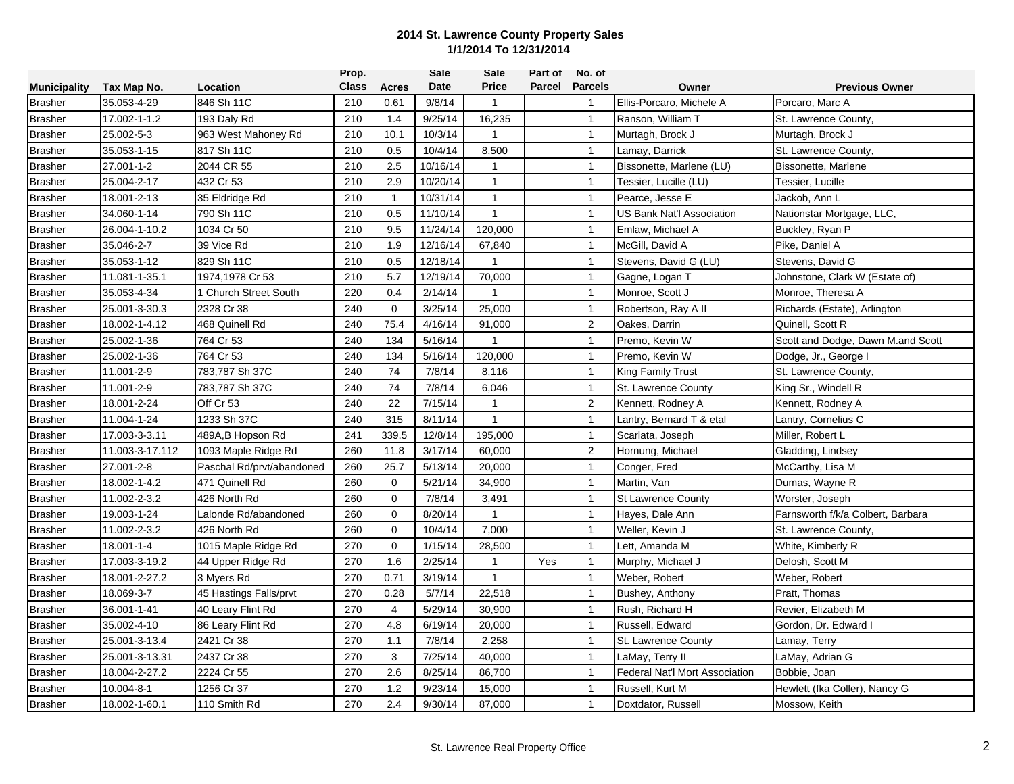|                     |                 |                           | Prop.        |                | Sale     | Sale         | Part of | No. of         |                                |                                   |
|---------------------|-----------------|---------------------------|--------------|----------------|----------|--------------|---------|----------------|--------------------------------|-----------------------------------|
| <b>Municipality</b> | Tax Map No.     | Location                  | <b>Class</b> | <b>Acres</b>   | Date     | <b>Price</b> | Parcel  | <b>Parcels</b> | Owner                          | <b>Previous Owner</b>             |
| <b>Brasher</b>      | 35.053-4-29     | 846 Sh 11C                | 210          | 0.61           | 9/8/14   | $\mathbf{1}$ |         | $\overline{1}$ | Ellis-Porcaro, Michele A       | Porcaro, Marc A                   |
| <b>Brasher</b>      | 17.002-1-1.2    | 193 Daly Rd               | 210          | 1.4            | 9/25/14  | 16,235       |         | $\mathbf{1}$   | Ranson, William T              | St. Lawrence County,              |
| <b>Brasher</b>      | 25.002-5-3      | 963 West Mahoney Rd       | 210          | 10.1           | 10/3/14  | $\mathbf{1}$ |         | $\overline{1}$ | Murtagh, Brock J               | Murtagh, Brock J                  |
| <b>Brasher</b>      | 35.053-1-15     | 817 Sh 11C                | 210          | 0.5            | 10/4/14  | 8,500        |         | $\mathbf{1}$   | Lamay, Darrick                 | St. Lawrence County,              |
| <b>Brasher</b>      | 27.001-1-2      | 2044 CR 55                | 210          | 2.5            | 10/16/14 | 1            |         | $\mathbf{1}$   | Bissonette, Marlene (LU)       | Bissonette, Marlene               |
| <b>Brasher</b>      | 25.004-2-17     | 432 Cr 53                 | 210          | 2.9            | 10/20/14 | $\mathbf{1}$ |         | $\mathbf{1}$   | Tessier, Lucille (LU)          | Tessier, Lucille                  |
| <b>Brasher</b>      | 18.001-2-13     | 35 Eldridge Rd            | 210          | $\mathbf{1}$   | 10/31/14 | $\mathbf{1}$ |         | $\overline{1}$ | Pearce, Jesse E                | Jackob, Ann L                     |
| <b>Brasher</b>      | 34.060-1-14     | 790 Sh 11C                | 210          | 0.5            | 11/10/14 | $\mathbf{1}$ |         | $\mathbf{1}$   | US Bank Nat'l Association      | Nationstar Mortgage, LLC.         |
| <b>Brasher</b>      | 26.004-1-10.2   | 1034 Cr 50                | 210          | 9.5            | 11/24/14 | 120,000      |         | $\overline{1}$ | Emlaw, Michael A               | Buckley, Ryan P                   |
| <b>Brasher</b>      | 35.046-2-7      | 39 Vice Rd                | 210          | 1.9            | 12/16/14 | 67,840       |         | $\mathbf{1}$   | McGill, David A                | Pike, Daniel A                    |
| <b>Brasher</b>      | 35.053-1-12     | 829 Sh 11C                | 210          | 0.5            | 12/18/14 | $\mathbf 1$  |         | $\mathbf{1}$   | Stevens, David G (LU)          | Stevens, David G                  |
| <b>Brasher</b>      | 11.081-1-35.1   | 1974,1978 Cr 53           | 210          | 5.7            | 12/19/14 | 70,000       |         | $\overline{1}$ | Gagne, Logan T                 | Johnstone, Clark W (Estate of)    |
| <b>Brasher</b>      | 35.053-4-34     | 1 Church Street South     | 220          | 0.4            | 2/14/14  | $\mathbf{1}$ |         | $\mathbf{1}$   | Monroe, Scott J                | Monroe, Theresa A                 |
| <b>Brasher</b>      | 25.001-3-30.3   | 2328 Cr 38                | 240          | 0              | 3/25/14  | 25,000       |         | $\mathbf{1}$   | Robertson, Ray A II            | Richards (Estate), Arlington      |
| <b>Brasher</b>      | 18.002-1-4.12   | 468 Quinell Rd            | 240          | 75.4           | 4/16/14  | 91,000       |         | $\overline{2}$ | Oakes, Darrin                  | Quinell, Scott R                  |
| <b>Brasher</b>      | 25.002-1-36     | 764 Cr 53                 | 240          | 134            | 5/16/14  | $\mathbf{1}$ |         | $\mathbf{1}$   | Premo, Kevin W                 | Scott and Dodge, Dawn M.and Scott |
| <b>Brasher</b>      | 25.002-1-36     | 764 Cr 53                 | 240          | 134            | 5/16/14  | 120,000      |         | $\mathbf{1}$   | Premo. Kevin W                 | Dodge, Jr., George I              |
| <b>Brasher</b>      | 11.001-2-9      | 783,787 Sh 37C            | 240          | 74             | 7/8/14   | 8,116        |         | $\mathbf{1}$   | <b>King Family Trust</b>       | St. Lawrence County,              |
| <b>Brasher</b>      | 11.001-2-9      | 783,787 Sh 37C            | 240          | 74             | 7/8/14   | 6,046        |         | $\mathbf{1}$   | St. Lawrence County            | King Sr., Windell R               |
| <b>Brasher</b>      | 18.001-2-24     | Off Cr 53                 | 240          | 22             | 7/15/14  | $\mathbf 1$  |         | $\overline{c}$ | Kennett, Rodney A              | Kennett, Rodney A                 |
| <b>Brasher</b>      | 11.004-1-24     | 1233 Sh 37C               | 240          | 315            | 8/11/14  | $\mathbf{1}$ |         | $\mathbf{1}$   | Lantry, Bernard T & etal       | Lantry, Cornelius C               |
| <b>Brasher</b>      | 17.003-3-3.11   | 489A, B Hopson Rd         | 241          | 339.5          | 12/8/14  | 195,000      |         | $\overline{1}$ | Scarlata, Joseph               | Miller, Robert L                  |
| <b>Brasher</b>      | 11.003-3-17.112 | 1093 Maple Ridge Rd       | 260          | 11.8           | 3/17/14  | 60,000       |         | $\overline{2}$ | Hornung, Michael               | Gladding, Lindsey                 |
| <b>Brasher</b>      | 27.001-2-8      | Paschal Rd/prvt/abandoned | 260          | 25.7           | 5/13/14  | 20,000       |         | $\mathbf{1}$   | Conger, Fred                   | McCarthy, Lisa M                  |
| <b>Brasher</b>      | 18.002-1-4.2    | 471 Quinell Rd            | 260          | $\mathbf 0$    | 5/21/14  | 34,900       |         | $\mathbf{1}$   | Martin, Van                    | Dumas, Wayne R                    |
| <b>Brasher</b>      | 11.002-2-3.2    | 426 North Rd              | 260          | 0              | 7/8/14   | 3,491        |         | $\mathbf{1}$   | <b>St Lawrence County</b>      | Worster, Joseph                   |
| <b>Brasher</b>      | 19.003-1-24     | Lalonde Rd/abandoned      | 260          | $\mathbf{0}$   | 8/20/14  | $\mathbf{1}$ |         | $\mathbf{1}$   | Hayes, Dale Ann                | Farnsworth f/k/a Colbert, Barbara |
| <b>Brasher</b>      | 11.002-2-3.2    | 426 North Rd              | 260          | $\mathbf 0$    | 10/4/14  | 7,000        |         | $\mathbf{1}$   | Weller, Kevin J                | St. Lawrence County,              |
| <b>Brasher</b>      | 18.001-1-4      | 1015 Maple Ridge Rd       | 270          | $\mathbf 0$    | 1/15/14  | 28,500       |         | $\mathbf{1}$   | Lett, Amanda M                 | White, Kimberly R                 |
| <b>Brasher</b>      | 17.003-3-19.2   | 44 Upper Ridge Rd         | 270          | 1.6            | 2/25/14  | $\mathbf{1}$ | Yes     | $\mathbf{1}$   | Murphy, Michael J              | Delosh, Scott M                   |
| <b>Brasher</b>      | 18.001-2-27.2   | 3 Myers Rd                | 270          | 0.71           | 3/19/14  | $\mathbf{1}$ |         | $\mathbf{1}$   | Weber, Robert                  | Weber, Robert                     |
| <b>Brasher</b>      | 18.069-3-7      | 45 Hastings Falls/prvt    | 270          | 0.28           | 5/7/14   | 22,518       |         | $\overline{1}$ | Bushey, Anthony                | Pratt, Thomas                     |
| <b>Brasher</b>      | 36.001-1-41     | 40 Leary Flint Rd         | 270          | $\overline{4}$ | 5/29/14  | 30,900       |         | $\mathbf{1}$   | Rush, Richard H                | Revier, Elizabeth M               |
| <b>Brasher</b>      | 35.002-4-10     | 86 Leary Flint Rd         | 270          | 4.8            | 6/19/14  | 20,000       |         | $\overline{1}$ | Russell, Edward                | Gordon, Dr. Edward I              |
| <b>Brasher</b>      | 25.001-3-13.4   | 2421 Cr 38                | 270          | 1.1            | 7/8/14   | 2,258        |         | $\mathbf{1}$   | St. Lawrence County            | Lamay, Terry                      |
| <b>Brasher</b>      | 25.001-3-13.31  | 2437 Cr 38                | 270          | 3              | 7/25/14  | 40,000       |         | $\mathbf{1}$   | LaMay, Terry II                | LaMay, Adrian G                   |
| <b>Brasher</b>      | 18.004-2-27.2   | 2224 Cr 55                | 270          | 2.6            | 8/25/14  | 86,700       |         | $\mathbf{1}$   | Federal Nat'l Mort Association | Bobbie, Joan                      |
| <b>Brasher</b>      | 10.004-8-1      | 1256 Cr 37                | 270          | 1.2            | 9/23/14  | 15,000       |         | $\overline{1}$ | Russell, Kurt M                | Hewlett (fka Coller), Nancy G     |
| <b>Brasher</b>      | 18.002-1-60.1   | 110 Smith Rd              | 270          | 2.4            | 9/30/14  | 87,000       |         | $\overline{1}$ | Doxtdator, Russell             | Mossow, Keith                     |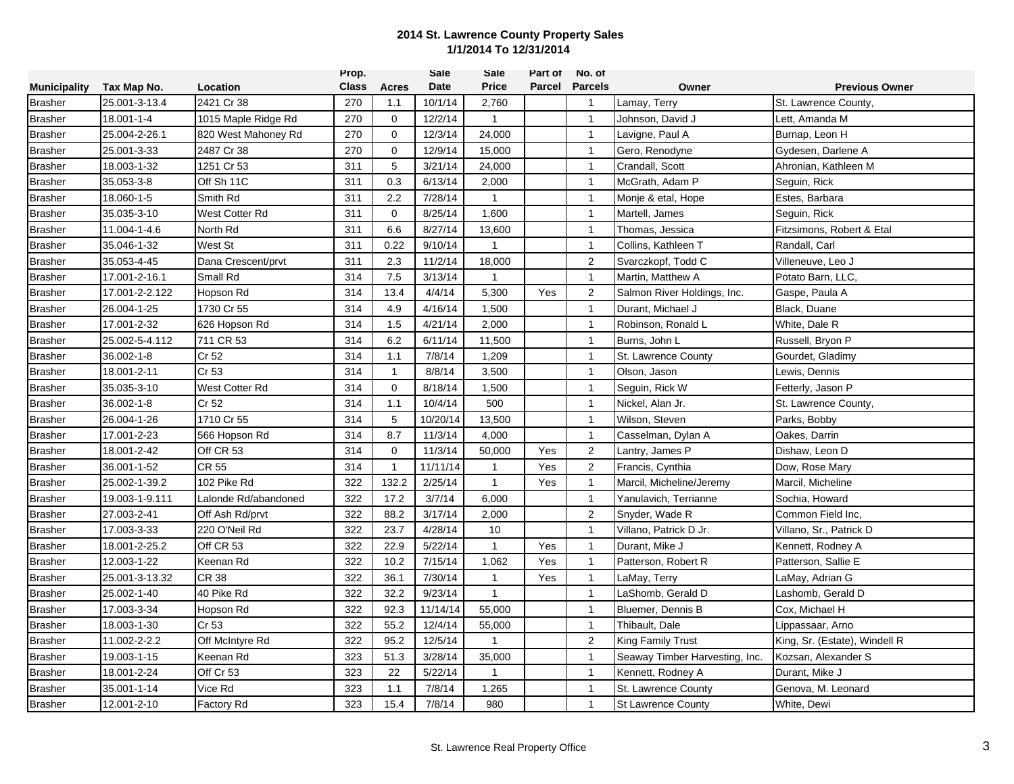|                     |                |                       | Prop.        |              | Sale     | Sale           | Part of | No. of         |                                |                               |
|---------------------|----------------|-----------------------|--------------|--------------|----------|----------------|---------|----------------|--------------------------------|-------------------------------|
| <b>Municipality</b> | Tax Map No.    | Location              | <b>Class</b> | <b>Acres</b> | Date     | <b>Price</b>   | Parcel  | <b>Parcels</b> | Owner                          | <b>Previous Owner</b>         |
| <b>Brasher</b>      | 25.001-3-13.4  | 2421 Cr 38            | 270          | 1.1          | 10/1/14  | 2,760          |         | $\overline{1}$ | Lamay, Terry                   | St. Lawrence County,          |
| <b>Brasher</b>      | 18.001-1-4     | 1015 Maple Ridge Rd   | 270          | $\mathbf 0$  | 12/2/14  | $\mathbf{1}$   |         | $\mathbf{1}$   | Johnson, David J               | Lett, Amanda M                |
| <b>Brasher</b>      | 25.004-2-26.1  | 820 West Mahoney Rd   | 270          | $\mathbf 0$  | 12/3/14  | 24,000         |         | $\mathbf{1}$   | Lavigne, Paul A                | Burnap, Leon H                |
| <b>Brasher</b>      | 25.001-3-33    | 2487 Cr 38            | 270          | $\mathbf 0$  | 12/9/14  | 15,000         |         | $\mathbf{1}$   | Gero, Renodyne                 | Gydesen, Darlene A            |
| <b>Brasher</b>      | 18.003-1-32    | 1251 Cr 53            | 311          | 5            | 3/21/14  | 24,000         |         | $\mathbf{1}$   | Crandall, Scott                | Ahronian, Kathleen M          |
| <b>Brasher</b>      | 35.053-3-8     | Off Sh 11C            | 311          | 0.3          | 6/13/14  | 2,000          |         | $\mathbf{1}$   | McGrath, Adam P                | Seguin, Rick                  |
| <b>Brasher</b>      | 18.060-1-5     | Smith Rd              | 311          | 2.2          | 7/28/14  | $\mathbf{1}$   |         | $\mathbf{1}$   | Monje & etal, Hope             | Estes, Barbara                |
| <b>Brasher</b>      | 35.035-3-10    | <b>West Cotter Rd</b> | 311          | 0            | 8/25/14  | 1,600          |         | $\mathbf{1}$   | Martell, James                 | Seguin, Rick                  |
| <b>Brasher</b>      | 11.004-1-4.6   | North Rd              | 311          | 6.6          | 8/27/14  | 13,600         |         | $\mathbf{1}$   | Thomas, Jessica                | Fitzsimons, Robert & Etal     |
| <b>Brasher</b>      | 35.046-1-32    | West St               | 311          | 0.22         | 9/10/14  | $\overline{1}$ |         | $\mathbf{1}$   | Collins, Kathleen T            | Randall, Carl                 |
| <b>Brasher</b>      | 35.053-4-45    | Dana Crescent/prvt    | 311          | 2.3          | 11/2/14  | 18,000         |         | $\overline{2}$ | Svarczkopf, Todd C             | Villeneuve, Leo J             |
| <b>Brasher</b>      | 17.001-2-16.1  | Small Rd              | 314          | 7.5          | 3/13/14  | 1              |         | $\mathbf{1}$   | Martin, Matthew A              | Potato Barn, LLC,             |
| <b>Brasher</b>      | 17.001-2-2.122 | Hopson Rd             | 314          | 13.4         | 4/4/14   | 5,300          | Yes     | $\overline{2}$ | Salmon River Holdings, Inc.    | Gaspe, Paula A                |
| <b>Brasher</b>      | 26.004-1-25    | 1730 Cr 55            | 314          | 4.9          | 4/16/14  | 1,500          |         | $\mathbf{1}$   | Durant, Michael J              | Black, Duane                  |
| <b>Brasher</b>      | 17.001-2-32    | 626 Hopson Rd         | 314          | 1.5          | 4/21/14  | 2,000          |         | $\overline{1}$ | Robinson, Ronald L             | White, Dale R                 |
| <b>Brasher</b>      | 25.002-5-4.112 | 711 CR 53             | 314          | 6.2          | 6/11/14  | 11,500         |         | $\mathbf{1}$   | Burns, John L                  | Russell, Bryon P              |
| <b>Brasher</b>      | 36.002-1-8     | Cr 52                 | 314          | 1.1          | 7/8/14   | 1,209          |         | $\mathbf{1}$   | St. Lawrence County            | Gourdet, Gladimy              |
| <b>Brasher</b>      | 18.001-2-11    | Cr 53                 | 314          | $\mathbf{1}$ | 8/8/14   | 3,500          |         | $\mathbf{1}$   | Olson, Jason                   | Lewis, Dennis                 |
| <b>Brasher</b>      | 35.035-3-10    | West Cotter Rd        | 314          | $\mathbf 0$  | 8/18/14  | 1,500          |         | $\mathbf{1}$   | Seguin, Rick W                 | Fetterly, Jason P             |
| <b>Brasher</b>      | 36.002-1-8     | Cr 52                 | 314          | 1.1          | 10/4/14  | 500            |         | $\mathbf{1}$   | Nickel, Alan Jr.               | St. Lawrence County,          |
| <b>Brasher</b>      | 26.004-1-26    | 1710 Cr 55            | 314          | 5            | 10/20/14 | 13,500         |         | $\mathbf{1}$   | Wilson, Steven                 | Parks, Bobby                  |
| <b>Brasher</b>      | 17.001-2-23    | 566 Hopson Rd         | 314          | 8.7          | 11/3/14  | 4,000          |         | $\mathbf{1}$   | Casselman, Dylan A             | Oakes, Darrin                 |
| <b>Brasher</b>      | 18.001-2-42    | Off CR 53             | 314          | $\mathbf 0$  | 11/3/14  | 50,000         | Yes     | $\overline{2}$ | Lantry, James P                | Dishaw, Leon D                |
| <b>Brasher</b>      | 36.001-1-52    | <b>CR 55</b>          | 314          | $\mathbf{1}$ | 11/11/14 | 1              | Yes     | 2              | Francis, Cynthia               | Dow, Rose Mary                |
| <b>Brasher</b>      | 25.002-1-39.2  | 102 Pike Rd           | 322          | 132.2        | 2/25/14  | $\mathbf{1}$   | Yes     | $\mathbf{1}$   | Marcil, Micheline/Jeremy       | Marcil, Micheline             |
| <b>Brasher</b>      | 19.003-1-9.111 | Lalonde Rd/abandoned  | 322          | 17.2         | 3/7/14   | 6,000          |         | $\mathbf{1}$   | Yanulavich, Terrianne          | Sochia, Howard                |
| <b>Brasher</b>      | 27.003-2-41    | Off Ash Rd/prvt       | 322          | 88.2         | 3/17/14  | 2,000          |         | $\overline{2}$ | Snyder, Wade R                 | Common Field Inc.             |
| <b>Brasher</b>      | 17.003-3-33    | 220 O'Neil Rd         | 322          | 23.7         | 4/28/14  | 10             |         | $\mathbf{1}$   | Villano, Patrick D Jr.         | Villano, Sr., Patrick D       |
| <b>Brasher</b>      | 18.001-2-25.2  | Off CR 53             | 322          | 22.9         | 5/22/14  | $\mathbf{1}$   | Yes     | $\mathbf{1}$   | Durant, Mike J                 | Kennett, Rodney A             |
| <b>Brasher</b>      | 12.003-1-22    | Keenan Rd             | 322          | 10.2         | 7/15/14  | 1,062          | Yes     | $\mathbf{1}$   | Patterson, Robert R            | Patterson, Sallie E           |
| <b>Brasher</b>      | 25.001-3-13.32 | <b>CR 38</b>          | 322          | 36.1         | 7/30/14  | 1              | Yes     | $\mathbf{1}$   | LaMay, Terry                   | LaMay, Adrian G               |
| <b>Brasher</b>      | 25.002-1-40    | 40 Pike Rd            | 322          | 32.2         | 9/23/14  | $\mathbf{1}$   |         | $\mathbf{1}$   | aShomb, Gerald D               | Lashomb, Gerald D             |
| <b>Brasher</b>      | 17.003-3-34    | Hopson Rd             | 322          | 92.3         | 11/14/14 | 55,000         |         | $\mathbf{1}$   | Bluemer, Dennis B              | Cox, Michael H                |
| <b>Brasher</b>      | 18.003-1-30    | Cr 53                 | 322          | 55.2         | 12/4/14  | 55,000         |         | $\mathbf{1}$   | Thibault, Dale                 | Lippassaar, Arno              |
| <b>Brasher</b>      | 11.002-2-2.2   | Off McIntyre Rd       | 322          | 95.2         | 12/5/14  | $\mathbf{1}$   |         | $\overline{2}$ | King Family Trust              | King, Sr. (Estate), Windell R |
| <b>Brasher</b>      | 19.003-1-15    | Keenan Rd             | 323          | 51.3         | 3/28/14  | 35,000         |         | $\mathbf{1}$   | Seaway Timber Harvesting, Inc. | Kozsan, Alexander S           |
| <b>Brasher</b>      | 18.001-2-24    | Off Cr 53             | 323          | 22           | 5/22/14  | 1              |         | $\mathbf{1}$   | Kennett, Rodney A              | Durant, Mike J                |
| <b>Brasher</b>      | 35.001-1-14    | Vice Rd               | 323          | 1.1          | 7/8/14   | 1,265          |         | $\mathbf{1}$   | St. Lawrence County            | Genova, M. Leonard            |
| <b>Brasher</b>      | 12.001-2-10    | <b>Factory Rd</b>     | 323          | 15.4         | 7/8/14   | 980            |         | $\overline{1}$ | <b>St Lawrence County</b>      | White, Dewi                   |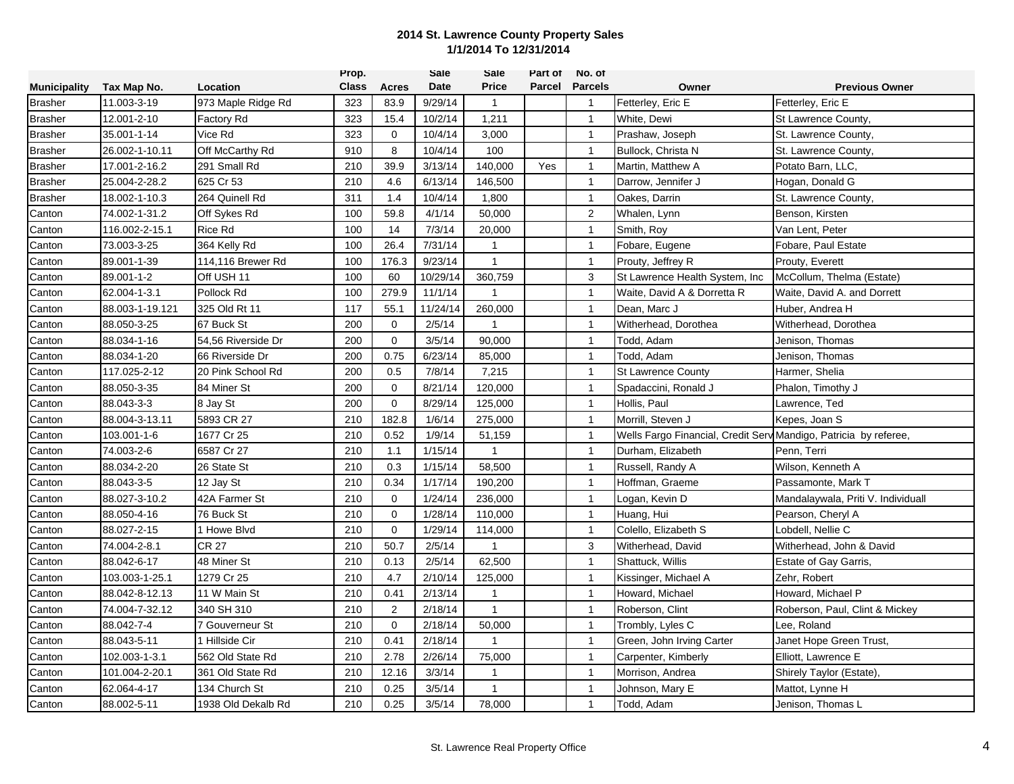|                     |                 |                    | Prop.        |                | <b>Sale</b> | Sale           | Part of | No. of                  |                                                                  |                                    |
|---------------------|-----------------|--------------------|--------------|----------------|-------------|----------------|---------|-------------------------|------------------------------------------------------------------|------------------------------------|
| <b>Municipality</b> | Tax Map No.     | Location           | <b>Class</b> | Acres          | Date        | <b>Price</b>   | Parcel  | <b>Parcels</b>          | Owner                                                            | <b>Previous Owner</b>              |
| <b>Brasher</b>      | 11.003-3-19     | 973 Maple Ridge Rd | 323          | 83.9           | 9/29/14     | $\mathbf{1}$   |         | $\overline{\mathbf{1}}$ | Fetterley, Eric E                                                | Fetterley, Eric E                  |
| Brasher             | 12.001-2-10     | <b>Factory Rd</b>  | 323          | 15.4           | 10/2/14     | 1,211          |         | $\overline{1}$          | White, Dewi                                                      | St Lawrence County,                |
| <b>Brasher</b>      | 35.001-1-14     | Vice Rd            | 323          | $\mathbf 0$    | 10/4/14     | 3,000          |         | $\overline{1}$          | Prashaw, Joseph                                                  | St. Lawrence County,               |
| <b>Brasher</b>      | 26.002-1-10.11  | Off McCarthy Rd    | 910          | 8              | 10/4/14     | 100            |         | $\overline{1}$          | Bullock, Christa N                                               | St. Lawrence County,               |
| <b>Brasher</b>      | 17.001-2-16.2   | 291 Small Rd       | 210          | 39.9           | 3/13/14     | 140,000        | Yes     | $\overline{1}$          | Martin, Matthew A                                                | Potato Barn, LLC.                  |
| <b>Brasher</b>      | 25.004-2-28.2   | 625 Cr 53          | 210          | 4.6            | 6/13/14     | 146,500        |         | $\mathbf{1}$            | Darrow, Jennifer J                                               | Hogan, Donald G                    |
| <b>Brasher</b>      | 18.002-1-10.3   | 264 Quinell Rd     | 311          | 1.4            | 10/4/14     | 1,800          |         | $\overline{1}$          | Oakes, Darrin                                                    | St. Lawrence County,               |
| Canton              | 74.002-1-31.2   | Off Sykes Rd       | 100          | 59.8           | 4/1/14      | 50,000         |         | $\overline{2}$          | Whalen, Lynn                                                     | Benson, Kirsten                    |
| Canton              | 116.002-2-15.1  | <b>Rice Rd</b>     | 100          | 14             | 7/3/14      | 20,000         |         | $\overline{1}$          | Smith, Roy                                                       | Van Lent, Peter                    |
| Canton              | 73.003-3-25     | 364 Kelly Rd       | 100          | 26.4           | 7/31/14     | $\overline{1}$ |         | $\overline{1}$          | Fobare, Eugene                                                   | Fobare, Paul Estate                |
| Canton              | 89.001-1-39     | 114,116 Brewer Rd  | 100          | 176.3          | 9/23/14     | $\mathbf{1}$   |         | $\overline{1}$          | Prouty, Jeffrey R                                                | Prouty, Everett                    |
| Canton              | 89.001-1-2      | Off USH 11         | 100          | 60             | 10/29/14    | 360,759        |         | 3                       | St Lawrence Health System, Inc.                                  | McCollum, Thelma (Estate)          |
| Canton              | 62.004-1-3.1    | Pollock Rd         | 100          | 279.9          | 11/1/14     | -1             |         | $\overline{1}$          | Waite, David A & Dorretta R                                      | Waite, David A. and Dorrett        |
| Canton              | 88.003-1-19.121 | 325 Old Rt 11      | 117          | 55.1           | 11/24/14    | 260,000        |         | $\overline{1}$          | Dean, Marc J                                                     | Huber, Andrea H                    |
| Canton              | 88.050-3-25     | 67 Buck St         | 200          | $\mathbf 0$    | 2/5/14      | $\mathbf{1}$   |         | $\overline{1}$          | Witherhead, Dorothea                                             | Witherhead, Dorothea               |
| Canton              | 88.034-1-16     | 54,56 Riverside Dr | 200          | $\mathbf 0$    | 3/5/14      | 90,000         |         | $\overline{1}$          | Todd, Adam                                                       | Jenison, Thomas                    |
| Canton              | 88.034-1-20     | 66 Riverside Dr    | 200          | 0.75           | 6/23/14     | 85,000         |         | $\overline{1}$          | Todd, Adam                                                       | Jenison, Thomas                    |
| Canton              | 117.025-2-12    | 20 Pink School Rd  | 200          | 0.5            | 7/8/14      | 7,215          |         | $\overline{1}$          | <b>St Lawrence County</b>                                        | Harmer, Shelia                     |
| Canton              | 88.050-3-35     | 84 Miner St        | 200          | $\Omega$       | 8/21/14     | 120,000        |         | $\overline{1}$          | Spadaccini, Ronald J                                             | Phalon, Timothy J                  |
| Canton              | 88.043-3-3      | 8 Jay St           | 200          | $\mathbf 0$    | 8/29/14     | 125,000        |         | $\overline{1}$          | Hollis, Paul                                                     | Lawrence, Ted                      |
| Canton              | 88.004-3-13.11  | 5893 CR 27         | 210          | 182.8          | 1/6/14      | 275,000        |         | $\overline{1}$          | Morrill, Steven J                                                | Kepes, Joan S                      |
| Canton              | 103.001-1-6     | 1677 Cr 25         | 210          | 0.52           | 1/9/14      | 51,159         |         | $\overline{1}$          | Wells Fargo Financial, Credit Serv Mandigo, Patricia by referee, |                                    |
| Canton              | 74.003-2-6      | 6587 Cr 27         | 210          | 1.1            | 1/15/14     | $\mathbf{1}$   |         | $\mathbf{1}$            | Durham, Elizabeth                                                | Penn, Terri                        |
| Canton              | 88.034-2-20     | 26 State St        | 210          | 0.3            | 1/15/14     | 58,500         |         | $\mathbf{1}$            | Russell, Randy A                                                 | Wilson, Kenneth A                  |
| Canton              | 88.043-3-5      | 12 Jay St          | 210          | 0.34           | 1/17/14     | 190,200        |         | $\overline{1}$          | Hoffman, Graeme                                                  | Passamonte, Mark T                 |
| Canton              | 88.027-3-10.2   | 42A Farmer St      | 210          | $\Omega$       | 1/24/14     | 236,000        |         | $\overline{1}$          | Logan, Kevin D                                                   | Mandalaywala, Priti V. Individuall |
| Canton              | 88.050-4-16     | 76 Buck St         | 210          | $\mathbf 0$    | 1/28/14     | 110,000        |         | $\overline{1}$          | Huang, Hui                                                       | Pearson, Cheryl A                  |
| Canton              | 88.027-2-15     | 1 Howe Blvd        | 210          | $\Omega$       | 1/29/14     | 114,000        |         | $\overline{1}$          | Colello. Elizabeth S                                             | Lobdell, Nellie C                  |
| Canton              | 74.004-2-8.1    | <b>CR 27</b>       | 210          | 50.7           | 2/5/14      | $\mathbf{1}$   |         | 3                       | Witherhead, David                                                | Witherhead, John & David           |
| Canton              | 88.042-6-17     | 48 Miner St        | 210          | 0.13           | 2/5/14      | 62,500         |         | $\overline{1}$          | Shattuck, Willis                                                 | Estate of Gay Garris,              |
| Canton              | 103.003-1-25.1  | 1279 Cr 25         | 210          | 4.7            | 2/10/14     | 125,000        |         | $\mathbf{1}$            | Kissinger, Michael A                                             | Zehr, Robert                       |
| Canton              | 88.042-8-12.13  | 11 W Main St       | 210          | 0.41           | 2/13/14     | $\mathbf{1}$   |         | $\overline{1}$          | Howard, Michael                                                  | Howard, Michael P                  |
| Canton              | 74.004-7-32.12  | 340 SH 310         | 210          | $\overline{2}$ | 2/18/14     | $\mathbf{1}$   |         | $\overline{1}$          | Roberson, Clint                                                  | Roberson, Paul, Clint & Mickey     |
| Canton              | 88.042-7-4      | 7 Gouverneur St    | 210          | $\mathbf 0$    | 2/18/14     | 50,000         |         | $\overline{1}$          | Trombly, Lyles C                                                 | Lee, Roland                        |
| Canton              | 88.043-5-11     | 1 Hillside Cir     | 210          | 0.41           | 2/18/14     | $\overline{1}$ |         | $\overline{1}$          | Green, John Irving Carter                                        | Janet Hope Green Trust,            |
| Canton              | 102.003-1-3.1   | 562 Old State Rd   | 210          | 2.78           | 2/26/14     | 75,000         |         | $\mathbf{1}$            | Carpenter, Kimberly                                              | Elliott, Lawrence E                |
| Canton              | 101.004-2-20.1  | 361 Old State Rd   | 210          | 12.16          | 3/3/14      | $\mathbf{1}$   |         | $\mathbf{1}$            | Morrison, Andrea                                                 | Shirely Taylor (Estate),           |
| Canton              | 62.064-4-17     | 134 Church St      | 210          | 0.25           | 3/5/14      | $\mathbf{1}$   |         | $\overline{1}$          | Johnson, Mary E                                                  | Mattot, Lynne H                    |
| Canton              | 88.002-5-11     | 1938 Old Dekalb Rd | 210          | 0.25           | 3/5/14      | 78,000         |         | $\mathbf{1}$            | Todd, Adam                                                       | Jenison, Thomas L                  |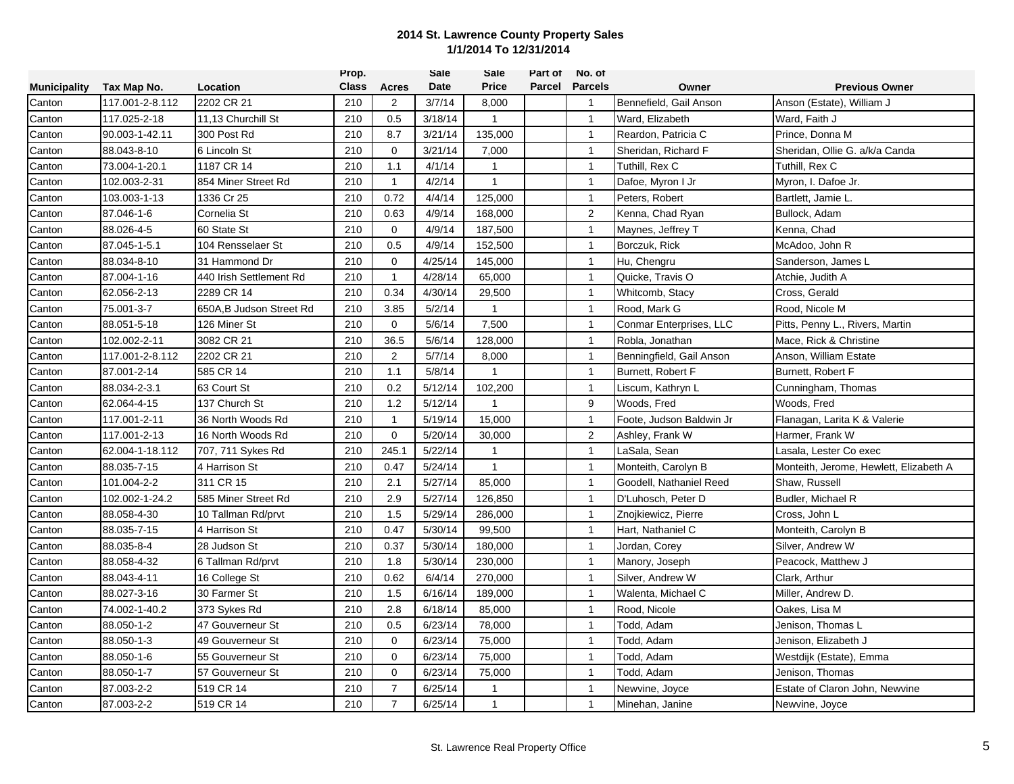|                     |                 |                          | Prop.        |                | Sale    | Sale         | Part of | No. of         |                          |                                        |
|---------------------|-----------------|--------------------------|--------------|----------------|---------|--------------|---------|----------------|--------------------------|----------------------------------------|
| <b>Municipality</b> | Tax Map No.     | Location                 | <b>Class</b> | <b>Acres</b>   | Date    | <b>Price</b> | Parcel  | <b>Parcels</b> | Owner                    | <b>Previous Owner</b>                  |
| Canton              | 117.001-2-8.112 | 2202 CR 21               | 210          | $\overline{2}$ | 3/7/14  | 8,000        |         | $\mathbf{1}$   | Bennefield, Gail Anson   | Anson (Estate), William J              |
| Canton              | 117.025-2-18    | 11,13 Churchill St       | 210          | 0.5            | 3/18/14 | $\mathbf{1}$ |         | $\overline{1}$ | Ward, Elizabeth          | Ward, Faith J                          |
| Canton              | 90.003-1-42.11  | 300 Post Rd              | 210          | 8.7            | 3/21/14 | 135,000      |         | $\mathbf{1}$   | Reardon, Patricia C      | Prince, Donna M                        |
| Canton              | 88.043-8-10     | 6 Lincoln St             | 210          | $\Omega$       | 3/21/14 | 7,000        |         | $\overline{1}$ | Sheridan, Richard F      | Sheridan, Ollie G. a/k/a Canda         |
| Canton              | 73.004-1-20.1   | 1187 CR 14               | 210          | 1.1            | 4/1/14  | $\mathbf{1}$ |         | $\mathbf{1}$   | Tuthill, Rex C           | Tuthill, Rex C                         |
| Canton              | 102.003-2-31    | 854 Miner Street Rd      | 210          | $\mathbf{1}$   | 4/2/14  | $\mathbf{1}$ |         | $\mathbf{1}$   | Dafoe, Myron I Jr        | Myron, I. Dafoe Jr.                    |
| Canton              | 103.003-1-13    | 1336 Cr 25               | 210          | 0.72           | 4/4/14  | 125,000      |         | $\mathbf{1}$   | Peters, Robert           | Bartlett, Jamie L.                     |
| Canton              | 87.046-1-6      | Cornelia St              | 210          | 0.63           | 4/9/14  | 168,000      |         | $\overline{2}$ | Kenna, Chad Ryan         | Bullock, Adam                          |
| Canton              | 88.026-4-5      | 60 State St              | 210          | $\mathbf 0$    | 4/9/14  | 187,500      |         | $\overline{1}$ | Maynes, Jeffrey T        | Kenna, Chad                            |
| Canton              | 87.045-1-5.1    | 104 Rensselaer St        | 210          | 0.5            | 4/9/14  | 152,500      |         | $\mathbf{1}$   | Borczuk, Rick            | McAdoo, John R                         |
| Canton              | 88.034-8-10     | 31 Hammond Dr            | 210          | $\mathbf 0$    | 4/25/14 | 145,000      |         | $\mathbf{1}$   | Hu, Chengru              | Sanderson, James L                     |
| Canton              | 87.004-1-16     | 440 Irish Settlement Rd  | 210          | 1              | 4/28/14 | 65,000       |         | $\mathbf{1}$   | Quicke, Travis O         | Atchie, Judith A                       |
| Canton              | 62.056-2-13     | 2289 CR 14               | 210          | 0.34           | 4/30/14 | 29,500       |         | $\mathbf{1}$   | Whitcomb, Stacy          | Cross, Gerald                          |
| Canton              | 75.001-3-7      | 650A, B Judson Street Rd | 210          | 3.85           | 5/2/14  | $\mathbf{1}$ |         | $\mathbf{1}$   | Rood, Mark G             | Rood, Nicole M                         |
| Canton              | 88.051-5-18     | 126 Miner St             | 210          | $\mathbf 0$    | 5/6/14  | 7,500        |         | $\overline{1}$ | Conmar Enterprises, LLC  | Pitts, Penny L., Rivers, Martin        |
| Canton              | 102.002-2-11    | 3082 CR 21               | 210          | 36.5           | 5/6/14  | 128,000      |         | $\overline{1}$ | Robla, Jonathan          | Mace, Rick & Christine                 |
| Canton              | 117.001-2-8.112 | 2202 CR 21               | 210          | $\overline{2}$ | 5/7/14  | 8,000        |         | $\overline{1}$ | Benningfield, Gail Anson | Anson, William Estate                  |
| Canton              | 87.001-2-14     | 585 CR 14                | 210          | 1.1            | 5/8/14  | $\mathbf{1}$ |         | $\mathbf{1}$   | Burnett, Robert F        | Burnett, Robert F                      |
| Canton              | 88.034-2-3.1    | 63 Court St              | 210          | 0.2            | 5/12/14 | 102,200      |         | $\mathbf{1}$   | Liscum, Kathryn L        | Cunningham, Thomas                     |
| Canton              | 62.064-4-15     | 137 Church St            | 210          | 1.2            | 5/12/14 | $\mathbf{1}$ |         | 9              | Woods, Fred              | Woods, Fred                            |
| Canton              | 117.001-2-11    | 36 North Woods Rd        | 210          | $\mathbf{1}$   | 5/19/14 | 15,000       |         | $\overline{1}$ | Foote, Judson Baldwin Jr | Flanagan, Larita K & Valerie           |
| Canton              | 117.001-2-13    | 16 North Woods Rd        | 210          | $\mathbf 0$    | 5/20/14 | 30,000       |         | 2              | Ashley, Frank W          | Harmer, Frank W                        |
| Canton              | 62.004-1-18.112 | 707, 711 Sykes Rd        | 210          | 245.1          | 5/22/14 | $\mathbf{1}$ |         | $\mathbf{1}$   | LaSala, Sean             | Lasala, Lester Co exec                 |
| Canton              | 88.035-7-15     | 4 Harrison St            | 210          | 0.47           | 5/24/14 | 1            |         | $\mathbf{1}$   | Monteith, Carolyn B      | Monteith, Jerome, Hewlett, Elizabeth A |
| Canton              | 101.004-2-2     | 311 CR 15                | 210          | 2.1            | 5/27/14 | 85,000       |         | $\mathbf{1}$   | Goodell, Nathaniel Reed  | Shaw, Russell                          |
| Canton              | 102.002-1-24.2  | 585 Miner Street Rd      | 210          | 2.9            | 5/27/14 | 126,850      |         | $\mathbf{1}$   | D'Luhosch, Peter D       | Budler, Michael R                      |
| Canton              | 88.058-4-30     | 10 Tallman Rd/prvt       | 210          | 1.5            | 5/29/14 | 286,000      |         | $\overline{1}$ | Znojkiewicz, Pierre      | Cross, John L                          |
| Canton              | 88.035-7-15     | 4 Harrison St            | 210          | 0.47           | 5/30/14 | 99,500       |         | $\overline{1}$ | Hart, Nathaniel C        | Monteith, Carolyn B                    |
| Canton              | 88.035-8-4      | 28 Judson St             | 210          | 0.37           | 5/30/14 | 180,000      |         | $\mathbf{1}$   | Jordan, Corey            | Silver, Andrew W                       |
| Canton              | 88.058-4-32     | 6 Tallman Rd/prvt        | 210          | 1.8            | 5/30/14 | 230,000      |         | $\mathbf{1}$   | Manory, Joseph           | Peacock, Matthew J                     |
| Canton              | 88.043-4-11     | 16 College St            | 210          | 0.62           | 6/4/14  | 270,000      |         | $\mathbf{1}$   | Silver, Andrew W         | Clark, Arthur                          |
| Canton              | 88.027-3-16     | 30 Farmer St             | 210          | 1.5            | 6/16/14 | 189,000      |         | $\mathbf{1}$   | Walenta, Michael C       | Miller, Andrew D.                      |
| Canton              | 74.002-1-40.2   | 373 Sykes Rd             | 210          | 2.8            | 6/18/14 | 85,000       |         | $\mathbf{1}$   | Rood, Nicole             | Oakes, Lisa M                          |
| Canton              | 88.050-1-2      | 47 Gouverneur St         | 210          | 0.5            | 6/23/14 | 78,000       |         | $\overline{1}$ | Todd, Adam               | Jenison, Thomas L                      |
| Canton              | 88.050-1-3      | 49 Gouverneur St         | 210          | $\Omega$       | 6/23/14 | 75,000       |         | $\mathbf{1}$   | Todd, Adam               | Jenison, Elizabeth J                   |
| Canton              | 88.050-1-6      | 55 Gouverneur St         | 210          | $\mathbf 0$    | 6/23/14 | 75,000       |         | $\mathbf{1}$   | Todd, Adam               | Westdijk (Estate), Emma                |
| Canton              | 88.050-1-7      | 57 Gouverneur St         | 210          | $\mathbf 0$    | 6/23/14 | 75,000       |         | $\mathbf{1}$   | Todd, Adam               | Jenison, Thomas                        |
| Canton              | 87.003-2-2      | 519 CR 14                | 210          | $\overline{7}$ | 6/25/14 | $\mathbf 1$  |         | $\mathbf{1}$   | Newvine, Joyce           | Estate of Claron John, Newvine         |
| Canton              | 87.003-2-2      | 519 CR 14                | 210          | $\overline{7}$ | 6/25/14 | $\mathbf{1}$ |         | $\mathbf{1}$   | Minehan, Janine          | Newvine, Joyce                         |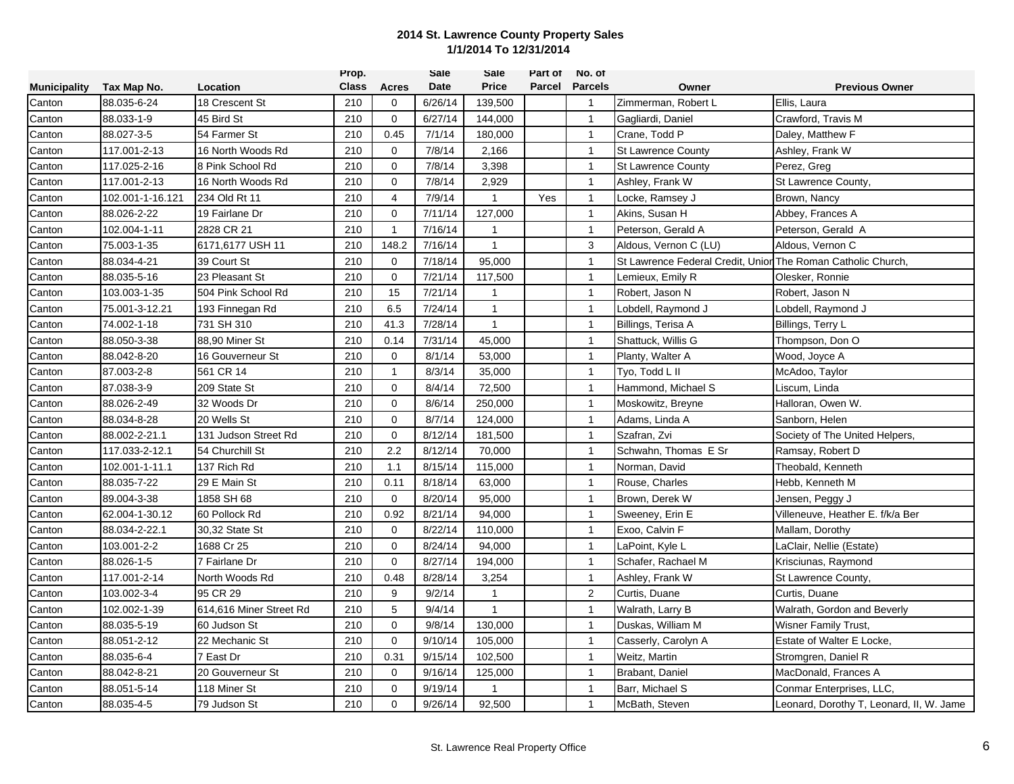|                     |                  |                         | Prop.        |                | <b>Sale</b> | Sale         | Part of | No. of         |                                                              |                                          |
|---------------------|------------------|-------------------------|--------------|----------------|-------------|--------------|---------|----------------|--------------------------------------------------------------|------------------------------------------|
| <b>Municipality</b> | Tax Map No.      | Location                | <b>Class</b> | <b>Acres</b>   | Date        | <b>Price</b> | Parcel  | <b>Parcels</b> | Owner                                                        | <b>Previous Owner</b>                    |
| Canton              | 88.035-6-24      | 18 Crescent St          | 210          | 0              | 6/26/14     | 139,500      |         | $\overline{1}$ | Zimmerman, Robert L                                          | Ellis, Laura                             |
| Canton              | 88.033-1-9       | 45 Bird St              | 210          | $\mathbf{0}$   | 6/27/14     | 144,000      |         | $\overline{1}$ | Gagliardi, Daniel                                            | Crawford, Travis M                       |
| Canton              | 88.027-3-5       | 54 Farmer St            | 210          | 0.45           | 7/1/14      | 180,000      |         | $\overline{1}$ | Crane, Todd P                                                | Daley, Matthew F                         |
| Canton              | 117.001-2-13     | 16 North Woods Rd       | 210          | $\Omega$       | 7/8/14      | 2,166        |         | $\mathbf{1}$   | <b>St Lawrence County</b>                                    | Ashley, Frank W                          |
| Canton              | 117.025-2-16     | 8 Pink School Rd        | 210          | $\mathbf 0$    | 7/8/14      | 3,398        |         | $\mathbf{1}$   | <b>St Lawrence County</b>                                    | Perez, Greg                              |
| Canton              | 117.001-2-13     | 16 North Woods Rd       | 210          | $\Omega$       | 7/8/14      | 2.929        |         | $\mathbf{1}$   | Ashley, Frank W                                              | St Lawrence County,                      |
| Canton              | 102.001-1-16.121 | 234 Old Rt 11           | 210          | $\overline{4}$ | 7/9/14      | $\mathbf{1}$ | Yes     | $\mathbf{1}$   | Locke, Ramsey J                                              | Brown, Nancy                             |
| Canton              | 88.026-2-22      | 19 Fairlane Dr          | 210          | $\Omega$       | 7/11/14     | 127,000      |         | $\overline{1}$ | Akins, Susan H                                               | Abbey, Frances A                         |
| Canton              | 102.004-1-11     | 2828 CR 21              | 210          | $\mathbf{1}$   | 7/16/14     | $\mathbf{1}$ |         | $\overline{1}$ | Peterson, Gerald A                                           | Peterson, Gerald A                       |
| Canton              | 75.003-1-35      | 6171,6177 USH 11        | 210          | 148.2          | 7/16/14     | $\mathbf{1}$ |         | 3              | Aldous, Vernon C (LU)                                        | Aldous, Vernon C                         |
| Canton              | 88.034-4-21      | 39 Court St             | 210          | $\mathbf 0$    | 7/18/14     | 95,000       |         | $\mathbf{1}$   | St Lawrence Federal Credit, Unior The Roman Catholic Church, |                                          |
| Canton              | 88.035-5-16      | 23 Pleasant St          | 210          | $\Omega$       | 7/21/14     | 117,500      |         | $\mathbf{1}$   | Lemieux, Emily R                                             | Olesker, Ronnie                          |
| Canton              | 103.003-1-35     | 504 Pink School Rd      | 210          | 15             | 7/21/14     | 1            |         | $\mathbf{1}$   | Robert, Jason N                                              | Robert, Jason N                          |
| Canton              | 75.001-3-12.21   | 193 Finnegan Rd         | 210          | 6.5            | 7/24/14     | $\mathbf{1}$ |         | $\mathbf{1}$   | Lobdell, Raymond J                                           | Lobdell, Raymond J                       |
| Canton              | 74.002-1-18      | 731 SH 310              | 210          | 41.3           | 7/28/14     | $\mathbf{1}$ |         | $\overline{1}$ | Billings, Terisa A                                           | Billings, Terry L                        |
| Canton              | 88.050-3-38      | 88,90 Miner St          | 210          | 0.14           | 7/31/14     | 45,000       |         | $\mathbf{1}$   | Shattuck, Willis G                                           | Thompson, Don O                          |
| Canton              | 88.042-8-20      | 16 Gouverneur St        | 210          | $\mathbf 0$    | 8/1/14      | 53,000       |         | $\mathbf{1}$   | Planty, Walter A                                             | Wood, Joyce A                            |
| Canton              | 87.003-2-8       | 561 CR 14               | 210          | $\mathbf{1}$   | 8/3/14      | 35,000       |         | $\mathbf{1}$   | Tyo, Todd L II                                               | McAdoo, Taylor                           |
| Canton              | 87.038-3-9       | 209 State St            | 210          | $\mathbf 0$    | 8/4/14      | 72,500       |         | $\mathbf{1}$   | Hammond, Michael S                                           | Liscum, Linda                            |
| Canton              | 88.026-2-49      | 32 Woods Dr             | 210          | $\mathbf 0$    | 8/6/14      | 250,000      |         | $\mathbf{1}$   | Moskowitz, Breyne                                            | Halloran, Owen W.                        |
| Canton              | 88.034-8-28      | 20 Wells St             | 210          | $\mathbf{0}$   | 8/7/14      | 124,000      |         | $\mathbf{1}$   | Adams, Linda A                                               | Sanborn, Helen                           |
| Canton              | 88.002-2-21.1    | 131 Judson Street Rd    | 210          | $\mathbf 0$    | 8/12/14     | 181,500      |         | $\overline{1}$ | Szafran, Zvi                                                 | Society of The United Helpers,           |
| Canton              | 117.033-2-12.1   | 54 Churchill St         | 210          | 2.2            | 8/12/14     | 70,000       |         | $\mathbf{1}$   | Schwahn, Thomas E Sr                                         | Ramsay, Robert D                         |
| Canton              | 102.001-1-11.1   | 137 Rich Rd             | 210          | 1.1            | 8/15/14     | 115,000      |         | $\mathbf{1}$   | Norman, David                                                | Theobald, Kenneth                        |
| Canton              | 88.035-7-22      | 29 E Main St            | 210          | 0.11           | 8/18/14     | 63,000       |         | $\mathbf{1}$   | Rouse, Charles                                               | Hebb, Kenneth M                          |
| Canton              | 89.004-3-38      | 1858 SH 68              | 210          | $\mathbf 0$    | 8/20/14     | 95,000       |         | $\mathbf{1}$   | Brown, Derek W                                               | Jensen, Peggy J                          |
| Canton              | 62.004-1-30.12   | 60 Pollock Rd           | 210          | 0.92           | 8/21/14     | 94,000       |         | $\mathbf{1}$   | Sweeney, Erin E                                              | Villeneuve, Heather E. f/k/a Ber         |
| Canton              | 88.034-2-22.1    | 30,32 State St          | 210          | $\mathbf 0$    | 8/22/14     | 110,000      |         | $\overline{1}$ | Exoo, Calvin F                                               | Mallam, Dorothy                          |
| Canton              | 103.001-2-2      | 1688 Cr 25              | 210          | $\mathbf 0$    | 8/24/14     | 94,000       |         | $\mathbf{1}$   | LaPoint, Kyle L                                              | LaClair, Nellie (Estate)                 |
| Canton              | 88.026-1-5       | 7 Fairlane Dr           | 210          | $\mathbf 0$    | 8/27/14     | 194,000      |         | $\mathbf{1}$   | Schafer, Rachael M                                           | Krisciunas, Raymond                      |
| Canton              | 117.001-2-14     | North Woods Rd          | 210          | 0.48           | 8/28/14     | 3,254        |         | $\mathbf{1}$   | Ashley, Frank W                                              | St Lawrence County,                      |
| Canton              | 103.002-3-4      | 95 CR 29                | 210          | 9              | 9/2/14      |              |         | $\sqrt{2}$     | Curtis, Duane                                                | Curtis, Duane                            |
| Canton              | 102.002-1-39     | 614,616 Miner Street Rd | 210          | 5              | 9/4/14      | $\mathbf{1}$ |         | $\mathbf{1}$   | Walrath, Larry B                                             | Walrath, Gordon and Beverly              |
| Canton              | 88.035-5-19      | 60 Judson St            | 210          | $\mathbf 0$    | 9/8/14      | 130,000      |         | $\overline{1}$ | Duskas, William M                                            | <b>Wisner Family Trust,</b>              |
| Canton              | 88.051-2-12      | 22 Mechanic St          | 210          | $\Omega$       | 9/10/14     | 105,000      |         | $\mathbf{1}$   | Casserly, Carolyn A                                          | Estate of Walter E Locke,                |
| Canton              | 88.035-6-4       | 7 East Dr               | 210          | 0.31           | 9/15/14     | 102,500      |         | $\overline{1}$ | Weitz, Martin                                                | Stromgren, Daniel R                      |
| Canton              | 88.042-8-21      | 20 Gouverneur St        | 210          | $\Omega$       | 9/16/14     | 125,000      |         | $\mathbf{1}$   | Brabant, Daniel                                              | MacDonald, Frances A                     |
| Canton              | 88.051-5-14      | 118 Miner St            | 210          | $\mathbf 0$    | 9/19/14     | 1            |         | $\mathbf{1}$   | Barr, Michael S                                              | Conmar Enterprises, LLC,                 |
| Canton              | 88.035-4-5       | 79 Judson St            | 210          | $\mathbf 0$    | 9/26/14     | 92,500       |         | $\mathbf{1}$   | McBath, Steven                                               | Leonard, Dorothy T, Leonard, II, W. Jame |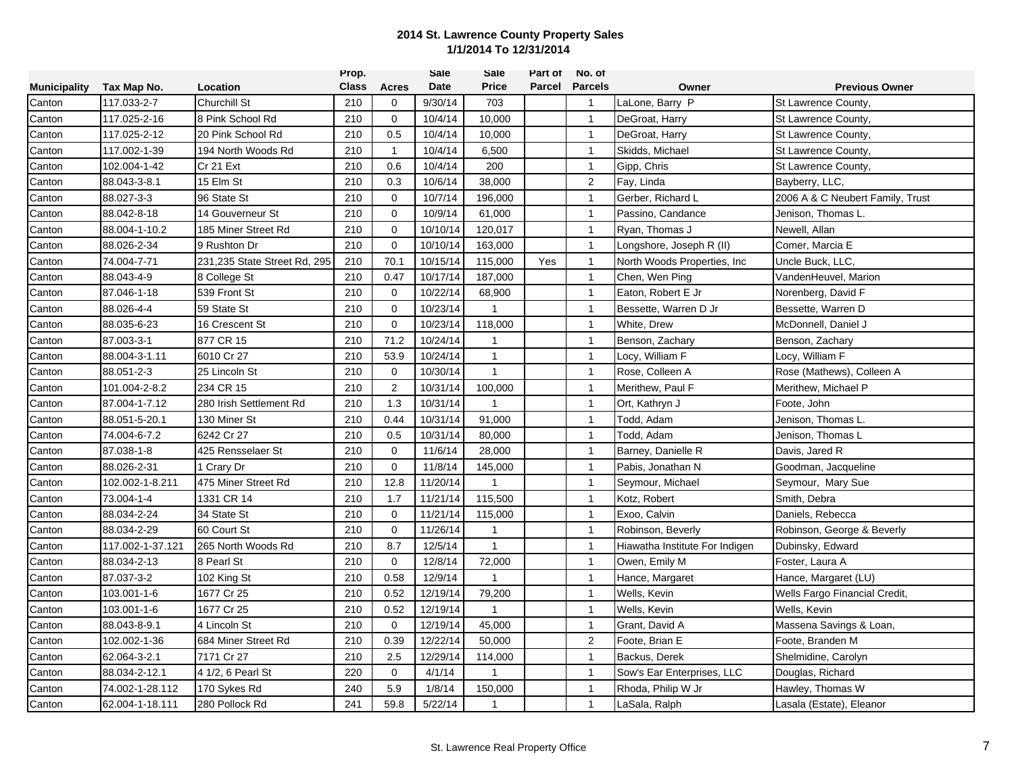|                     |                  |                              | Prop.        |              | Sale     | Sale         | Part of       | No. of         |                                |                                  |
|---------------------|------------------|------------------------------|--------------|--------------|----------|--------------|---------------|----------------|--------------------------------|----------------------------------|
| <b>Municipality</b> | Tax Map No.      | Location                     | <b>Class</b> | <b>Acres</b> | Date     | Price        | <b>Parcel</b> | <b>Parcels</b> | Owner                          | <b>Previous Owner</b>            |
| Canton              | 117.033-2-7      | <b>Churchill St</b>          | 210          | $\mathbf 0$  | 9/30/14  | 703          |               | $\mathbf{1}$   | LaLone, Barry P                | St Lawrence County,              |
| Canton              | 117.025-2-16     | 8 Pink School Rd             | 210          | $\mathbf{0}$ | 10/4/14  | 10,000       |               | $\mathbf{1}$   | DeGroat, Harry                 | St Lawrence County,              |
| Canton              | 117.025-2-12     | 20 Pink School Rd            | 210          | 0.5          | 10/4/14  | 10,000       |               | $\mathbf{1}$   | DeGroat, Harry                 | St Lawrence County,              |
| Canton              | 117.002-1-39     | 194 North Woods Rd           | 210          | $\mathbf{1}$ | 10/4/14  | 6,500        |               | $\mathbf{1}$   | Skidds, Michael                | St Lawrence County,              |
| Canton              | 102.004-1-42     | Cr 21 Ext                    | 210          | 0.6          | 10/4/14  | 200          |               | $\mathbf{1}$   | Gipp, Chris                    | St Lawrence County,              |
| Canton              | 88.043-3-8.1     | 15 Elm St                    | 210          | 0.3          | 10/6/14  | 38.000       |               | $\overline{2}$ | Fay, Linda                     | Bayberry, LLC,                   |
| Canton              | 88.027-3-3       | 96 State St                  | 210          | $\mathbf 0$  | 10/7/14  | 196,000      |               | $\overline{1}$ | Gerber, Richard L              | 2006 A & C Neubert Family, Trust |
| Canton              | 88.042-8-18      | 14 Gouverneur St             | 210          | $\Omega$     | 10/9/14  | 61,000       |               | $\mathbf{1}$   | Passino, Candance              | Jenison, Thomas L.               |
| Canton              | 88.004-1-10.2    | 185 Miner Street Rd          | 210          | $\mathbf 0$  | 10/10/14 | 120,017      |               | $\mathbf{1}$   | Ryan, Thomas J                 | Newell, Allan                    |
| Canton              | 88.026-2-34      | 9 Rushton Dr                 | 210          | $\Omega$     | 10/10/14 | 163,000      |               | $\mathbf{1}$   | Longshore, Joseph R (II)       | Comer, Marcia E                  |
| Canton              | 74.004-7-71      | 231,235 State Street Rd, 295 | 210          | 70.1         | 10/15/14 | 115,000      | Yes           | $\mathbf{1}$   | North Woods Properties, Inc.   | Uncle Buck, LLC.                 |
| Canton              | 88.043-4-9       | 8 College St                 | 210          | 0.47         | 10/17/14 | 187,000      |               | $\mathbf{1}$   | Chen, Wen Ping                 | VandenHeuvel, Marion             |
| Canton              | 87.046-1-18      | 539 Front St                 | 210          | $\mathbf 0$  | 10/22/14 | 68,900       |               | $\mathbf{1}$   | Eaton, Robert E Jr             | Norenberg, David F               |
| Canton              | 88.026-4-4       | 59 State St                  | 210          | $\Omega$     | 10/23/14 | $\mathbf{1}$ |               | $\mathbf{1}$   | Bessette, Warren D Jr          | Bessette, Warren D               |
| Canton              | 88.035-6-23      | 16 Crescent St               | 210          | $\mathbf 0$  | 10/23/14 | 118,000      |               | $\mathbf{1}$   | White, Drew                    | McDonnell, Daniel J              |
| Canton              | 87.003-3-1       | 877 CR 15                    | 210          | 71.2         | 10/24/14 | $\mathbf{1}$ |               | $\mathbf{1}$   | Benson, Zachary                | Benson, Zachary                  |
| Canton              | 88.004-3-1.11    | 6010 Cr 27                   | 210          | 53.9         | 10/24/14 | $\mathbf{1}$ |               | $\mathbf{1}$   | Locy, William F                | Locy, William F                  |
| Canton              | 88.051-2-3       | 25 Lincoln St                | 210          | $\mathbf 0$  | 10/30/14 | $\mathbf{1}$ |               | $\mathbf{1}$   | Rose, Colleen A                | Rose (Mathews), Colleen A        |
| Canton              | 101.004-2-8.2    | 234 CR 15                    | 210          | 2            | 10/31/14 | 100,000      |               | $\mathbf{1}$   | Merithew, Paul F               | Merithew, Michael P              |
| Canton              | 87.004-1-7.12    | 280 Irish Settlement Rd      | 210          | 1.3          | 10/31/14 | $\mathbf{1}$ |               | $\overline{1}$ | Ort, Kathryn J                 | Foote, John                      |
| Canton              | 88.051-5-20.1    | 130 Miner St                 | 210          | 0.44         | 10/31/14 | 91,000       |               | $\mathbf{1}$   | Todd, Adam                     | Jenison, Thomas L                |
| Canton              | 74.004-6-7.2     | 6242 Cr 27                   | 210          | 0.5          | 10/31/14 | 80,000       |               | $\mathbf{1}$   | Todd, Adam                     | Jenison, Thomas L                |
| Canton              | 87.038-1-8       | 425 Rensselaer St            | 210          | $\mathbf 0$  | 11/6/14  | 28,000       |               | $\mathbf{1}$   | Barney, Danielle R             | Davis, Jared R                   |
| Canton              | 88.026-2-31      | Crary Dr                     | 210          | 0            | 11/8/14  | 145,000      |               | $\mathbf{1}$   | Pabis, Jonathan N              | Goodman, Jacqueline              |
| Canton              | 102.002-1-8.211  | 475 Miner Street Rd          | 210          | 12.8         | 11/20/14 | $\mathbf{1}$ |               | $\mathbf{1}$   | Seymour, Michael               | Seymour, Mary Sue                |
| Canton              | 73.004-1-4       | 1331 CR 14                   | 210          | 1.7          | 11/21/14 | 115,500      |               | $\overline{1}$ | Kotz, Robert                   | Smith, Debra                     |
| Canton              | 88.034-2-24      | 34 State St                  | 210          | $\mathbf 0$  | 11/21/14 | 115,000      |               | $\mathbf{1}$   | Exoo, Calvin                   | Daniels, Rebecca                 |
| Canton              | 88.034-2-29      | 60 Court St                  | 210          | $\mathbf 0$  | 11/26/14 | $\mathbf{1}$ |               | $\mathbf{1}$   | Robinson, Beverly              | Robinson, George & Beverly       |
| Canton              | 117.002-1-37.121 | 265 North Woods Rd           | 210          | 8.7          | 12/5/14  | $\mathbf{1}$ |               | $\mathbf{1}$   | Hiawatha Institute For Indigen | Dubinsky, Edward                 |
| Canton              | 88.034-2-13      | 8 Pearl St                   | 210          | $\mathbf 0$  | 12/8/14  | 72,000       |               | $\mathbf{1}$   | Owen, Emily M                  | Foster, Laura A                  |
| Canton              | 87.037-3-2       | 102 King St                  | 210          | 0.58         | 12/9/14  | $\mathbf{1}$ |               | $\mathbf{1}$   | Hance, Margaret                | Hance, Margaret (LU)             |
| Canton              | 103.001-1-6      | 1677 Cr 25                   | 210          | 0.52         | 12/19/14 | 79,200       |               | $\mathbf{1}$   | Wells, Kevin                   | Wells Fargo Financial Credit,    |
| Canton              | 103.001-1-6      | 1677 Cr 25                   | 210          | 0.52         | 12/19/14 | $\mathbf{1}$ |               | $\mathbf{1}$   | Wells, Kevin                   | Wells, Kevin                     |
| Canton              | 88.043-8-9.1     | 4 Lincoln St                 | 210          | $\mathbf 0$  | 12/19/14 | 45,000       |               | $\mathbf{1}$   | Grant, David A                 | Massena Savings & Loan,          |
| Canton              | 102.002-1-36     | 684 Miner Street Rd          | 210          | 0.39         | 12/22/14 | 50,000       |               | $\overline{c}$ | Foote, Brian E                 | Foote, Branden M                 |
| Canton              | 62.064-3-2.1     | 7171 Cr 27                   | 210          | 2.5          | 12/29/14 | 114,000      |               | $\mathbf{1}$   | Backus, Derek                  | Shelmidine, Carolyn              |
| Canton              | 88.034-2-12.1    | 4 1/2, 6 Pearl St            | 220          | $\mathbf 0$  | 4/1/14   | 1            |               | $\mathbf{1}$   | Sow's Ear Enterprises, LLC     | Douglas, Richard                 |
| Canton              | 74.002-1-28.112  | 170 Sykes Rd                 | 240          | 5.9          | 1/8/14   | 150,000      |               | $\mathbf{1}$   | Rhoda, Philip W Jr             | Hawley, Thomas W                 |
| Canton              | 62.004-1-18.111  | 280 Pollock Rd               | 241          | 59.8         | 5/22/14  | $\mathbf{1}$ |               | $\mathbf{1}$   | LaSala, Ralph                  | Lasala (Estate), Eleanor         |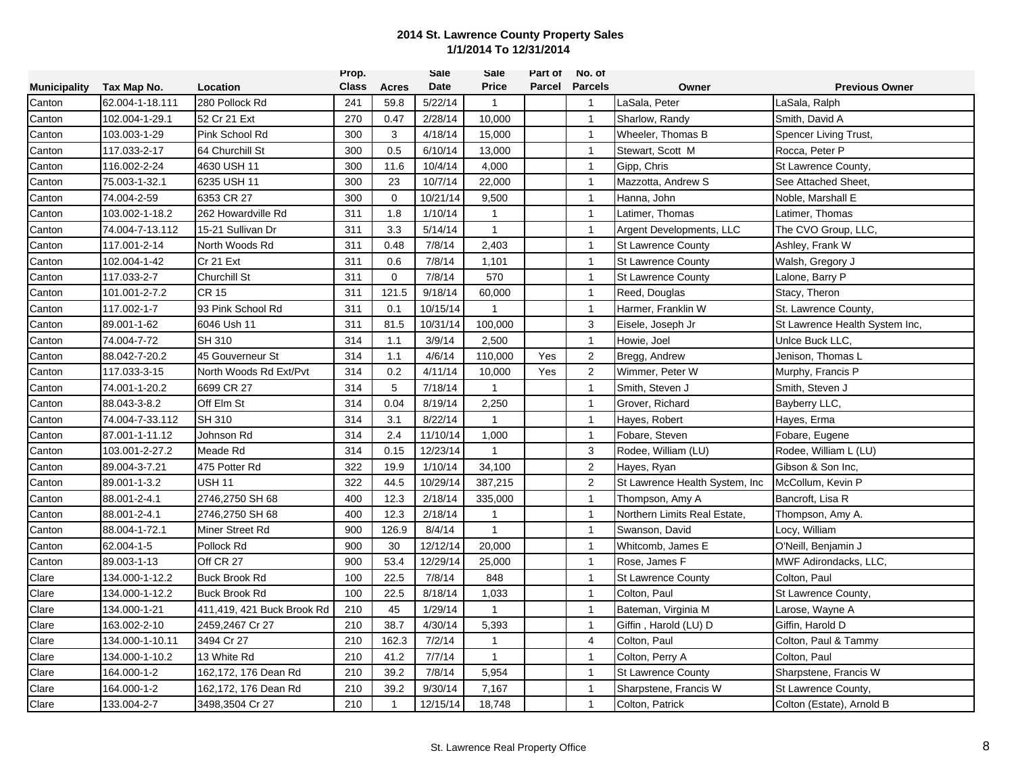|                     |                 |                            | Prop.        |              | <b>Sale</b> | Sale         | Part of | No. of         |                                 |                                |
|---------------------|-----------------|----------------------------|--------------|--------------|-------------|--------------|---------|----------------|---------------------------------|--------------------------------|
| <b>Municipality</b> | Tax Map No.     | Location                   | <b>Class</b> | Acres        | Date        | <b>Price</b> | Parcel  | <b>Parcels</b> | Owner                           | <b>Previous Owner</b>          |
| Canton              | 62.004-1-18.111 | 280 Pollock Rd             | 241          | 59.8         | 5/22/14     | $\mathbf{1}$ |         | $\overline{1}$ | LaSala, Peter                   | LaSala, Ralph                  |
| Canton              | 102.004-1-29.1  | 52 Cr 21 Ext               | 270          | 0.47         | 2/28/14     | 10,000       |         | $\overline{1}$ | Sharlow, Randy                  | Smith, David A                 |
| Canton              | 103.003-1-29    | Pink School Rd             | 300          | 3            | 4/18/14     | 15,000       |         | $\overline{1}$ | Wheeler, Thomas B               | Spencer Living Trust,          |
| Canton              | 117.033-2-17    | 64 Churchill St            | 300          | 0.5          | 6/10/14     | 13,000       |         | $\mathbf{1}$   | Stewart, Scott M                | Rocca, Peter P                 |
| Canton              | 116.002-2-24    | 4630 USH 11                | 300          | 11.6         | 10/4/14     | 4,000        |         | $\mathbf{1}$   | Gipp, Chris                     | St Lawrence County,            |
| Canton              | 75.003-1-32.1   | 6235 USH 11                | 300          | 23           | 10/7/14     | 22,000       |         | $\mathbf{1}$   | Mazzotta, Andrew S              | See Attached Sheet,            |
| Canton              | 74.004-2-59     | 6353 CR 27                 | 300          | $\mathbf 0$  | 10/21/14    | 9,500        |         | $\mathbf{1}$   | Hanna, John                     | Noble, Marshall E              |
| Canton              | 103.002-1-18.2  | 262 Howardville Rd         | 311          | 1.8          | 1/10/14     | $\mathbf{1}$ |         | $\mathbf{1}$   | Latimer, Thomas                 | Latimer, Thomas                |
| Canton              | 74.004-7-13.112 | 15-21 Sullivan Dr          | 311          | 3.3          | 5/14/14     | $\mathbf{1}$ |         | $\overline{1}$ | Argent Developments, LLC        | The CVO Group, LLC,            |
| Canton              | 117.001-2-14    | North Woods Rd             | 311          | 0.48         | 7/8/14      | 2,403        |         | $\mathbf{1}$   | <b>St Lawrence County</b>       | Ashley, Frank W                |
| Canton              | 102.004-1-42    | Cr 21 Ext                  | 311          | 0.6          | 7/8/14      | 1,101        |         | $\mathbf{1}$   | <b>St Lawrence County</b>       | Walsh, Gregory J               |
| Canton              | 117.033-2-7     | Churchill St               | 311          | $\mathbf 0$  | 7/8/14      | 570          |         | $\mathbf{1}$   | <b>St Lawrence County</b>       | Lalone, Barry P                |
| Canton              | 101.001-2-7.2   | <b>CR 15</b>               | 311          | 121.5        | 9/18/14     | 60,000       |         | $\overline{1}$ | Reed, Douglas                   | Stacy, Theron                  |
| Canton              | 117.002-1-7     | 93 Pink School Rd          | 311          | 0.1          | 10/15/14    | $\mathbf{1}$ |         | $\mathbf{1}$   | Harmer, Franklin W              | St. Lawrence County,           |
| Canton              | 89.001-1-62     | 6046 Ush 11                | 311          | 81.5         | 10/31/14    | 100,000      |         | 3              | Eisele, Joseph Jr               | St Lawrence Health System Inc, |
| Canton              | 74.004-7-72     | SH 310                     | 314          | 1.1          | 3/9/14      | 2,500        |         | $\mathbf{1}$   | Howie, Joel                     | Unice Buck LLC,                |
| Canton              | 88.042-7-20.2   | 45 Gouverneur St           | 314          | 1.1          | 4/6/14      | 110,000      | Yes     | $\overline{2}$ | Bregg, Andrew                   | Jenison, Thomas L              |
| Canton              | 117.033-3-15    | North Woods Rd Ext/Pvt     | 314          | 0.2          | 4/11/14     | 10,000       | Yes     | 2              | Wimmer, Peter W                 | Murphy, Francis P              |
| Canton              | 74.001-1-20.2   | 6699 CR 27                 | 314          | 5            | 7/18/14     | $\mathbf{1}$ |         | $\mathbf{1}$   | Smith, Steven J                 | Smith, Steven J                |
| Canton              | 88.043-3-8.2    | Off Elm St                 | 314          | 0.04         | 8/19/14     | 2,250        |         | $\overline{1}$ | Grover, Richard                 | Bayberry LLC,                  |
| Canton              | 74.004-7-33.112 | <b>SH 310</b>              | 314          | 3.1          | 8/22/14     | $\mathbf{1}$ |         | $\mathbf{1}$   | Hayes, Robert                   | Hayes, Erma                    |
| Canton              | 87.001-1-11.12  | Johnson Rd                 | 314          | 2.4          | 11/10/14    | 1,000        |         | $\mathbf{1}$   | Fobare, Steven                  | Fobare, Eugene                 |
| Canton              | 103.001-2-27.2  | Meade Rd                   | 314          | 0.15         | 12/23/14    | $\mathbf{1}$ |         | 3              | Rodee, William (LU)             | Rodee, William L (LU)          |
| Canton              | 89.004-3-7.21   | 475 Potter Rd              | 322          | 19.9         | 1/10/14     | 34,100       |         | $\overline{2}$ | Hayes, Ryan                     | Gibson & Son Inc,              |
| Canton              | 89.001-1-3.2    | USH 11                     | 322          | 44.5         | 10/29/14    | 387,215      |         | 2              | St Lawrence Health System, Inc. | McCollum, Kevin P              |
| Canton              | 88.001-2-4.1    | 2746,2750 SH 68            | 400          | 12.3         | 2/18/14     | 335,000      |         | $\overline{1}$ | Thompson, Amy A                 | Bancroft, Lisa R               |
| Canton              | 88.001-2-4.1    | 2746,2750 SH 68            | 400          | 12.3         | 2/18/14     | $\mathbf{1}$ |         | $\mathbf{1}$   | Northern Limits Real Estate,    | Thompson, Amy A.               |
| Canton              | 88.004-1-72.1   | Miner Street Rd            | 900          | 126.9        | 8/4/14      | $\mathbf{1}$ |         | $\overline{1}$ | Swanson, David                  | Locy, William                  |
| Canton              | 62.004-1-5      | Pollock Rd                 | 900          | 30           | 12/12/14    | 20,000       |         | $\mathbf{1}$   | Whitcomb, James E               | O'Neill, Benjamin J            |
| Canton              | 89.003-1-13     | Off CR 27                  | 900          | 53.4         | 12/29/14    | 25,000       |         | $\mathbf{1}$   | Rose, James F                   | MWF Adirondacks, LLC,          |
| Clare               | 134.000-1-12.2  | <b>Buck Brook Rd</b>       | 100          | 22.5         | 7/8/14      | 848          |         | $\mathbf{1}$   | <b>St Lawrence County</b>       | Colton, Paul                   |
| Clare               | 134.000-1-12.2  | <b>Buck Brook Rd</b>       | 100          | 22.5         | 8/18/14     | 1,033        |         | $\mathbf{1}$   | Colton, Paul                    | St Lawrence County,            |
| Clare               | 134.000-1-21    | 411,419, 421 Buck Brook Rd | 210          | 45           | 1/29/14     | $\mathbf{1}$ |         | $\mathbf{1}$   | Bateman, Virginia M             | Larose, Wayne A                |
| Clare               | 163.002-2-10    | 2459,2467 Cr 27            | 210          | 38.7         | 4/30/14     | 5,393        |         | $\mathbf{1}$   | Giffin, Harold (LU) D           | Giffin, Harold D               |
| Clare               | 134.000-1-10.11 | 3494 Cr 27                 | 210          | 162.3        | 7/2/14      | $\mathbf{1}$ |         | $\overline{4}$ | Colton, Paul                    | Colton, Paul & Tammy           |
| Clare               | 134.000-1-10.2  | 13 White Rd                | 210          | 41.2         | 7/7/14      | $\mathbf{1}$ |         | $\mathbf{1}$   | Colton, Perry A                 | Colton, Paul                   |
| Clare               | 164.000-1-2     | 162,172, 176 Dean Rd       | 210          | 39.2         | 7/8/14      | 5,954        |         | $\mathbf{1}$   | <b>St Lawrence County</b>       | Sharpstene, Francis W          |
| Clare               | 164.000-1-2     | 162,172, 176 Dean Rd       | 210          | 39.2         | 9/30/14     | 7,167        |         | $\mathbf{1}$   | Sharpstene, Francis W           | St Lawrence County,            |
| Clare               | 133.004-2-7     | 3498,3504 Cr 27            | 210          | $\mathbf{1}$ | 12/15/14    | 18,748       |         | $\mathbf 1$    | Colton, Patrick                 | Colton (Estate), Arnold B      |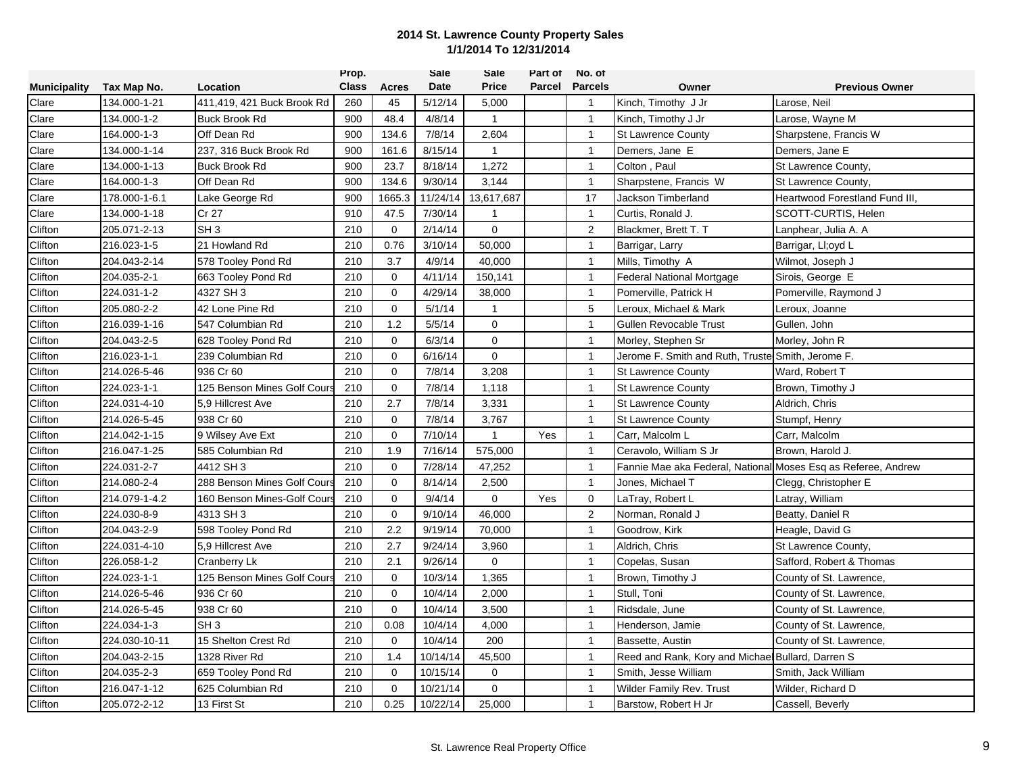|                     |               |                             | Prop.        |              | <b>Sale</b> | Sale         | Part of | No. of         |                                                               |                                |
|---------------------|---------------|-----------------------------|--------------|--------------|-------------|--------------|---------|----------------|---------------------------------------------------------------|--------------------------------|
| <b>Municipality</b> | Tax Map No.   | Location                    | <b>Class</b> | <b>Acres</b> | Date        | <b>Price</b> | Parcel  | <b>Parcels</b> | Owner                                                         | <b>Previous Owner</b>          |
| Clare               | 134.000-1-21  | 411,419, 421 Buck Brook Rd  | 260          | 45           | 5/12/14     | 5,000        |         | $\mathbf{1}$   | Kinch, Timothy J Jr                                           | Larose, Neil                   |
| $C\text{large}$     | 134.000-1-2   | <b>Buck Brook Rd</b>        | 900          | 48.4         | 4/8/14      | $\mathbf{1}$ |         | $\overline{1}$ | Kinch, Timothy J Jr                                           | Larose, Wayne M                |
| Clare               | 164.000-1-3   | Off Dean Rd                 | 900          | 134.6        | 7/8/14      | 2,604        |         | $\mathbf{1}$   | <b>St Lawrence County</b>                                     | Sharpstene, Francis W          |
| Clare               | 134.000-1-14  | 237, 316 Buck Brook Rd      | 900          | 161.6        | 8/15/14     | $\mathbf{1}$ |         | $\overline{1}$ | Demers, Jane E                                                | Demers, Jane E                 |
| Clare               | 134.000-1-13  | <b>Buck Brook Rd</b>        | 900          | 23.7         | 8/18/14     | 1,272        |         | $\mathbf{1}$   | Colton, Paul                                                  | St Lawrence County,            |
| Clare               | 164.000-1-3   | Off Dean Rd                 | 900          | 134.6        | 9/30/14     | 3,144        |         | $\mathbf{1}$   | Sharpstene, Francis W                                         | St Lawrence County,            |
| Clare               | 178.000-1-6.1 | Lake George Rd              | 900          | 1665.3       | 11/24/14    | 13,617,687   |         | 17             | Jackson Timberland                                            | Heartwood Forestland Fund III, |
| Clare               | 134.000-1-18  | Cr 27                       | 910          | 47.5         | 7/30/14     | $\mathbf{1}$ |         | $\overline{1}$ | Curtis, Ronald J.                                             | SCOTT-CURTIS, Helen            |
| Clifton             | 205.071-2-13  | SH <sub>3</sub>             | 210          | $\mathbf 0$  | 2/14/14     | $\mathbf 0$  |         | 2              | Blackmer, Brett T. T                                          | Lanphear, Julia A. A.          |
| Clifton             | 216.023-1-5   | 21 Howland Rd               | 210          | 0.76         | 3/10/14     | 50,000       |         | $\mathbf{1}$   | Barrigar, Larry                                               | Barrigar, LI;oyd L             |
| Clifton             | 204.043-2-14  | 578 Tooley Pond Rd          | 210          | 3.7          | 4/9/14      | 40,000       |         | $\overline{1}$ | Mills, Timothy A                                              | Wilmot, Joseph J               |
| Clifton             | 204.035-2-1   | 663 Tooley Pond Rd          | 210          | $\Omega$     | 4/11/14     | 150,141      |         | $\mathbf{1}$   | <b>Federal National Mortgage</b>                              | Sirois, George E               |
| Clifton             | 224.031-1-2   | 4327 SH 3                   | 210          | $\mathbf 0$  | 4/29/14     | 38,000       |         | $\mathbf{1}$   | Pomerville, Patrick H                                         | Pomerville, Raymond J          |
| Clifton             | 205.080-2-2   | 42 Lone Pine Rd             | 210          | 0            | 5/1/14      | $\mathbf{1}$ |         | 5              | Leroux, Michael & Mark                                        | Leroux, Joanne                 |
| Clifton             | 216.039-1-16  | 547 Columbian Rd            | 210          | 1.2          | 5/5/14      | $\mathbf 0$  |         | $\overline{1}$ | Gullen Revocable Trust                                        | Gullen, John                   |
| Clifton             | 204.043-2-5   | 628 Tooley Pond Rd          | 210          | $\mathbf 0$  | 6/3/14      | $\mathbf 0$  |         | $\mathbf{1}$   | Morley, Stephen Sr                                            | Morley, John R                 |
| Clifton             | 216.023-1-1   | 239 Columbian Rd            | 210          | $\mathbf 0$  | 6/16/14     | $\mathbf 0$  |         | $\mathbf{1}$   | Jerome F. Smith and Ruth, Truste Smith, Jerome F.             |                                |
| Clifton             | 214.026-5-46  | 936 Cr 60                   | 210          | $\mathbf 0$  | 7/8/14      | 3,208        |         | $\mathbf{1}$   | <b>St Lawrence County</b>                                     | Ward, Robert T                 |
| Clifton             | 224.023-1-1   | 125 Benson Mines Golf Cour  | 210          | $\mathbf 0$  | 7/8/14      | 1,118        |         | $\mathbf{1}$   | <b>St Lawrence County</b>                                     | Brown, Timothy J               |
| Clifton             | 224.031-4-10  | 5.9 Hillcrest Ave           | 210          | 2.7          | 7/8/14      | 3,331        |         | $\mathbf{1}$   | <b>St Lawrence County</b>                                     | Aldrich, Chris                 |
| Clifton             | 214.026-5-45  | 938 Cr 60                   | 210          | $\mathbf 0$  | 7/8/14      | 3,767        |         | $\overline{1}$ | <b>St Lawrence County</b>                                     | Stumpf, Henry                  |
| Clifton             | 214.042-1-15  | 9 Wilsey Ave Ext            | 210          | $\mathbf 0$  | 7/10/14     | $\mathbf{1}$ | Yes     | $\mathbf{1}$   | Carr, Malcolm L                                               | Carr, Malcolm                  |
| Clifton             | 216.047-1-25  | 585 Columbian Rd            | 210          | 1.9          | 7/16/14     | 575,000      |         | $\mathbf{1}$   | Ceravolo, William S Jr.                                       | Brown, Harold J.               |
| Clifton             | 224.031-2-7   | 4412 SH 3                   | 210          | $\mathbf 0$  | 7/28/14     | 47,252       |         | $\mathbf{1}$   | Fannie Mae aka Federal, National Moses Esq as Referee, Andrew |                                |
| Clifton             | 214.080-2-4   | 288 Benson Mines Golf Cour  | 210          | $\mathbf 0$  | 8/14/14     | 2,500        |         | $\mathbf{1}$   | Jones, Michael T                                              | Clegg, Christopher E           |
| Clifton             | 214.079-1-4.2 | 160 Benson Mines-Golf Cours | 210          | $\mathbf 0$  | 9/4/14      | $\mathbf 0$  | Yes     | 0              | LaTray, Robert L                                              | Latray, William                |
| Clifton             | 224.030-8-9   | 4313 SH 3                   | 210          | $\mathbf 0$  | 9/10/14     | 46,000       |         | $\overline{2}$ | Norman, Ronald J                                              | Beatty, Daniel R               |
| Clifton             | 204.043-2-9   | 598 Tooley Pond Rd          | 210          | 2.2          | 9/19/14     | 70,000       |         | $\overline{1}$ | Goodrow, Kirk                                                 | Heagle, David G                |
| Clifton             | 224.031-4-10  | 5.9 Hillcrest Ave           | 210          | 2.7          | 9/24/14     | 3,960        |         | $\mathbf{1}$   | Aldrich, Chris                                                | St Lawrence County,            |
| Clifton             | 226.058-1-2   | Cranberry Lk                | 210          | 2.1          | 9/26/14     | $\mathbf{0}$ |         | $\mathbf{1}$   | Copelas, Susan                                                | Safford, Robert & Thomas       |
| Clifton             | 224.023-1-1   | 125 Benson Mines Golf Cours | 210          | $\mathbf 0$  | 10/3/14     | 1,365        |         | $\mathbf{1}$   | Brown, Timothy J                                              | County of St. Lawrence,        |
| Clifton             | 214.026-5-46  | 936 Cr 60                   | 210          | $\mathbf 0$  | 10/4/14     | 2,000        |         | $\mathbf{1}$   | Stull, Toni                                                   | County of St. Lawrence,        |
| Clifton             | 214.026-5-45  | 938 Cr 60                   | 210          | $\mathbf 0$  | 10/4/14     | 3,500        |         | $\overline{1}$ | Ridsdale, June                                                | County of St. Lawrence,        |
| Clifton             | 224.034-1-3   | SH <sub>3</sub>             | 210          | 0.08         | 10/4/14     | 4,000        |         | $\overline{1}$ | Henderson, Jamie                                              | County of St. Lawrence,        |
| Clifton             | 224.030-10-11 | 15 Shelton Crest Rd         | 210          | $\Omega$     | 10/4/14     | 200          |         | $\overline{1}$ | Bassette, Austin                                              | County of St. Lawrence,        |
| Clifton             | 204.043-2-15  | 1328 River Rd               | 210          | 1.4          | 10/14/14    | 45,500       |         | $\mathbf{1}$   | Reed and Rank, Kory and Michae                                | <b>Bullard, Darren S</b>       |
| Clifton             | 204.035-2-3   | 659 Tooley Pond Rd          | 210          | $\mathbf 0$  | 10/15/14    | $\mathbf 0$  |         | $\mathbf{1}$   | Smith, Jesse William                                          | Smith, Jack William            |
| <b>Clifton</b>      | 216.047-1-12  | 625 Columbian Rd            | 210          | $\mathbf 0$  | 10/21/14    | $\mathbf 0$  |         | $\mathbf{1}$   | Wilder Family Rev. Trust                                      | Wilder, Richard D              |
| Clifton             | 205.072-2-12  | 13 First St                 | 210          | 0.25         | 10/22/14    | 25,000       |         | $\mathbf{1}$   | Barstow, Robert H Jr                                          | Cassell, Beverly               |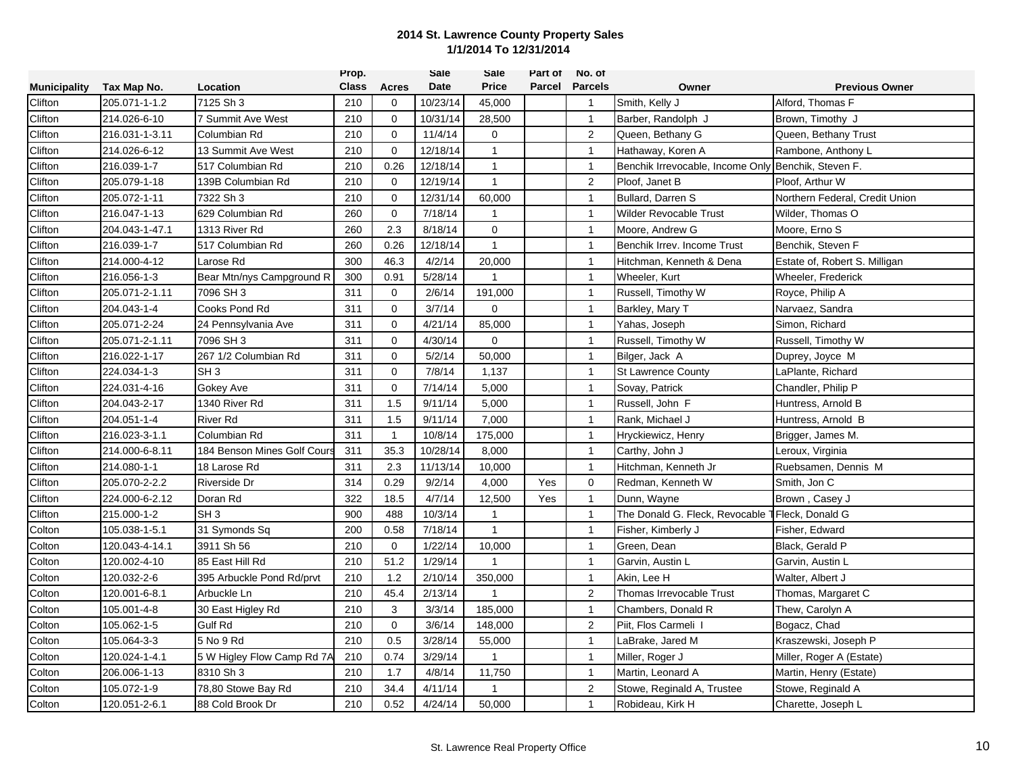|                     |                |                            | Prop.        |                | <b>Sale</b> | Sale           | Part of | No. of         |                                  |                                |
|---------------------|----------------|----------------------------|--------------|----------------|-------------|----------------|---------|----------------|----------------------------------|--------------------------------|
| <b>Municipality</b> | Tax Map No.    | Location                   | <b>Class</b> | Acres          | Date        | <b>Price</b>   | Parcel  | <b>Parcels</b> | Owner                            | <b>Previous Owner</b>          |
| Clifton             | 205.071-1-1.2  | 7125 Sh 3                  | 210          | 0              | 10/23/14    | 45,000         |         | $\mathbf{1}$   | Smith, Kelly J                   | Alford, Thomas F               |
| Clifton             | 214.026-6-10   | 7 Summit Ave West          | 210          | $\mathbf 0$    | 10/31/14    | 28,500         |         | $\overline{1}$ | Barber, Randolph J               | Brown, Timothy J               |
| Clifton             | 216.031-1-3.11 | Columbian Rd               | 210          | $\mathbf 0$    | 11/4/14     | $\mathbf 0$    |         | 2              | Queen, Bethany G                 | Queen, Bethany Trust           |
| Clifton             | 214.026-6-12   | 13 Summit Ave West         | 210          | $\Omega$       | 12/18/14    | $\mathbf{1}$   |         | $\mathbf{1}$   | Hathaway, Koren A                | Rambone, Anthony L             |
| Clifton             | 216.039-1-7    | 517 Columbian Rd           | 210          | 0.26           | 12/18/14    | $\mathbf{1}$   |         | $\overline{1}$ | Benchik Irrevocable, Income Only | Benchik, Steven F.             |
| Clifton             | 205.079-1-18   | 139B Columbian Rd          | 210          | $\Omega$       | 12/19/14    | $\mathbf{1}$   |         | 2              | Ploof. Janet B                   | Ploof, Arthur W                |
| Clifton             | 205.072-1-11   | 7322 Sh 3                  | 210          | $\mathbf 0$    | 12/31/14    | 60,000         |         | $\mathbf{1}$   | Bullard, Darren S                | Northern Federal, Credit Union |
| Clifton             | 216.047-1-13   | 629 Columbian Rd           | 260          | $\mathbf 0$    | 7/18/14     | $\mathbf{1}$   |         | $\overline{1}$ | <b>Wilder Revocable Trust</b>    | Wilder, Thomas O               |
| Clifton             | 204.043-1-47.1 | 1313 River Rd              | 260          | 2.3            | 8/18/14     | 0              |         | $\mathbf{1}$   | Moore, Andrew G                  | Moore, Erno S                  |
| Clifton             | 216.039-1-7    | 517 Columbian Rd           | 260          | 0.26           | 12/18/14    | $\overline{1}$ |         | $\overline{1}$ | Benchik Irrev. Income Trust      | Benchik, Steven F              |
| Clifton             | 214.000-4-12   | Larose Rd                  | 300          | 46.3           | 4/2/14      | 20,000         |         | $\overline{1}$ | Hitchman, Kenneth & Dena         | Estate of, Robert S. Milligan  |
| Clifton             | 216.056-1-3    | Bear Mtn/nys Campground R  | 300          | 0.91           | 5/28/14     | $\mathbf{1}$   |         | $\mathbf{1}$   | Wheeler, Kurt                    | Wheeler, Frederick             |
| Clifton             | 205.071-2-1.11 | 7096 SH 3                  | 311          | $\Omega$       | 2/6/14      | 191,000        |         | $\mathbf{1}$   | Russell, Timothy W               | Royce, Philip A                |
| Clifton             | 204.043-1-4    | Cooks Pond Rd              | 311          | $\mathbf 0$    | 3/7/14      | $\mathbf 0$    |         | $\mathbf{1}$   | Barkley, Mary T                  | Narvaez, Sandra                |
| Clifton             | 205.071-2-24   | 24 Pennsylvania Ave        | 311          | $\Omega$       | 4/21/14     | 85,000         |         | $\overline{1}$ | Yahas, Joseph                    | Simon, Richard                 |
| Clifton             | 205.071-2-1.11 | 7096 SH 3                  | 311          | $\mathbf 0$    | 4/30/14     | $\mathbf 0$    |         | $\overline{1}$ | Russell, Timothy W               | Russell, Timothy W             |
| Clifton             | 216.022-1-17   | 267 1/2 Columbian Rd       | 311          | $\Omega$       | 5/2/14      | 50,000         |         | $\mathbf{1}$   | Bilger, Jack A                   | Duprey, Joyce M                |
| Clifton             | 224.034-1-3    | SH <sub>3</sub>            | 311          | $\mathbf 0$    | 7/8/14      | 1,137          |         | $\mathbf{1}$   | <b>St Lawrence County</b>        | LaPlante, Richard              |
| Clifton             | 224.031-4-16   | Gokey Ave                  | 311          | $\mathbf 0$    | 7/14/14     | 5,000          |         | $\mathbf{1}$   | Sovay, Patrick                   | Chandler, Philip P             |
| Clifton             | 204.043-2-17   | 1340 River Rd              | 311          | 1.5            | 9/11/14     | 5,000          |         | $\mathbf{1}$   | Russell, John F                  | Huntress, Arnold B             |
| Clifton             | 204.051-1-4    | <b>River Rd</b>            | 311          | 1.5            | 9/11/14     | 7,000          |         | $\overline{1}$ | Rank, Michael J                  | Huntress, Arnold B             |
| Clifton             | 216.023-3-1.1  | Columbian Rd               | 311          | $\overline{1}$ | 10/8/14     | 175,000        |         | $\mathbf{1}$   | Hryckiewicz, Henry               | Brigger, James M.              |
| Clifton             | 214.000-6-8.11 | 184 Benson Mines Golf Cour | 311          | 35.3           | 10/28/14    | 8,000          |         | $\mathbf{1}$   | Carthy, John J                   | Leroux, Virginia               |
| Clifton             | 214.080-1-1    | 18 Larose Rd               | 311          | 2.3            | 11/13/14    | 10,000         |         | $\mathbf{1}$   | Hitchman, Kenneth Jr             | Ruebsamen, Dennis M            |
| Clifton             | 205.070-2-2.2  | <b>Riverside Dr</b>        | 314          | 0.29           | 9/2/14      | 4,000          | Yes     | $\mathbf 0$    | Redman, Kenneth W                | Smith, Jon C                   |
| $C$ lifton          | 224.000-6-2.12 | Doran Rd                   | 322          | 18.5           | 4/7/14      | 12,500         | Yes     | $\mathbf{1}$   | Dunn, Wayne                      | Brown, Casey J                 |
| Clifton             | 215.000-1-2    | SH <sub>3</sub>            | 900          | 488            | 10/3/14     | $\mathbf{1}$   |         | $\overline{1}$ | The Donald G. Fleck, Revocable   | Fleck, Donald G                |
| Colton              | 105.038-1-5.1  | 31 Symonds Sq              | 200          | 0.58           | 7/18/14     | $\mathbf{1}$   |         | $\overline{1}$ | Fisher, Kimberly J               | Fisher, Edward                 |
| Colton              | 120.043-4-14.1 | 3911 Sh 56                 | 210          | $\mathbf 0$    | 1/22/14     | 10,000         |         | $\mathbf{1}$   | Green, Dean                      | Black, Gerald P                |
| Colton              | 120.002-4-10   | 85 East Hill Rd            | 210          | 51.2           | 1/29/14     | $\mathbf{1}$   |         | $\mathbf{1}$   | Garvin, Austin L                 | Garvin, Austin L               |
| Colton              | 120.032-2-6    | 395 Arbuckle Pond Rd/prvt  | 210          | 1.2            | 2/10/14     | 350,000        |         | $\mathbf{1}$   | Akin, Lee H                      | Walter, Albert J               |
| Colton              | 120.001-6-8.1  | Arbuckle Ln                | 210          | 45.4           | 2/13/14     | $\mathbf 1$    |         | 2              | Thomas Irrevocable Trust         | Thomas, Margaret C             |
| Colton              | 105.001-4-8    | 30 East Higley Rd          | 210          | 3              | 3/3/14      | 185,000        |         | $\mathbf{1}$   | Chambers, Donald R               | Thew, Carolyn A                |
| Colton              | 105.062-1-5    | <b>Gulf Rd</b>             | 210          | $\mathbf 0$    | 3/6/14      | 148,000        |         | $\overline{2}$ | Piit, Flos Carmeli               | Bogacz, Chad                   |
| Colton              | 105.064-3-3    | 5 No 9 Rd                  | 210          | 0.5            | 3/28/14     | 55,000         |         | $\overline{1}$ | LaBrake, Jared M                 | Kraszewski, Joseph P           |
| Colton              | 120.024-1-4.1  | 5 W Higley Flow Camp Rd 7A | 210          | 0.74           | 3/29/14     | $\overline{1}$ |         | $\mathbf{1}$   | Miller, Roger J                  | Miller, Roger A (Estate)       |
| Colton              | 206.006-1-13   | 8310 Sh 3                  | 210          | 1.7            | 4/8/14      | 11,750         |         | $\overline{1}$ | Martin, Leonard A                | Martin, Henry (Estate)         |
| Colton              | 105.072-1-9    | 78,80 Stowe Bay Rd         | 210          | 34.4           | 4/11/14     | -1             |         | 2              | Stowe, Reginald A, Trustee       | Stowe, Reginald A              |
| Colton              | 120.051-2-6.1  | 88 Cold Brook Dr           | 210          | 0.52           | 4/24/14     | 50,000         |         | $\mathbf{1}$   | Robideau, Kirk H                 | Charette, Joseph L             |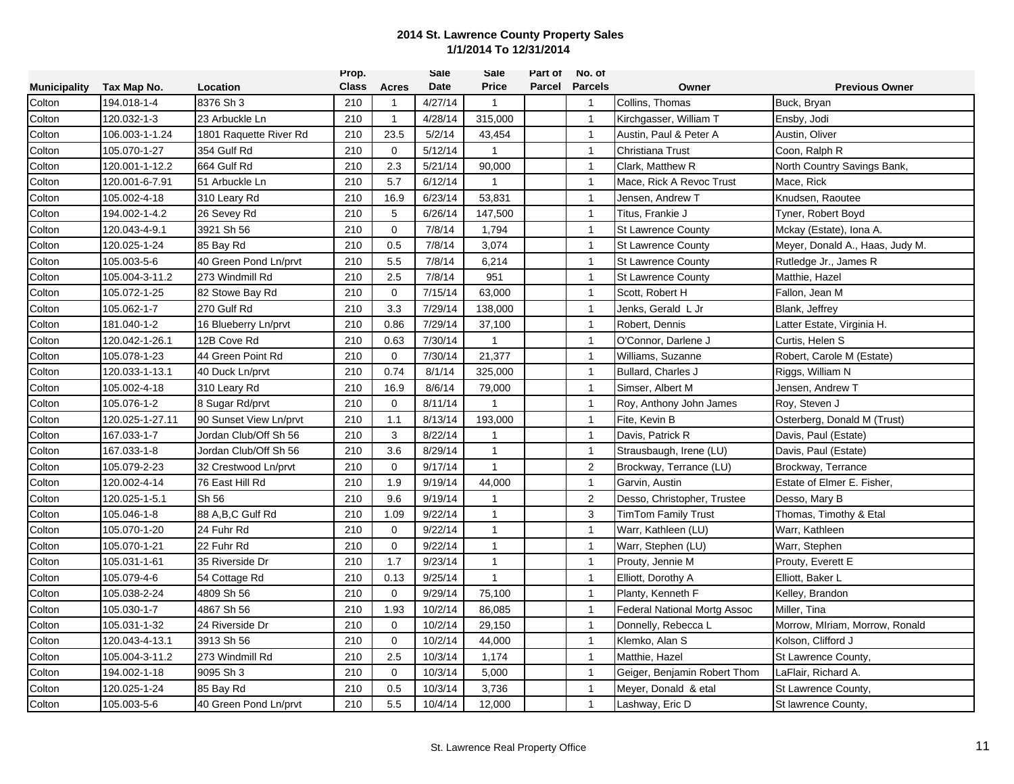|                     |                 |                        | Prop.        |              | <b>Sale</b> | Sale         | Part of | No. of         |                                     |                                 |
|---------------------|-----------------|------------------------|--------------|--------------|-------------|--------------|---------|----------------|-------------------------------------|---------------------------------|
| <b>Municipality</b> | Tax Map No.     | Location               | <b>Class</b> | Acres        | Date        | <b>Price</b> | Parcel  | <b>Parcels</b> | Owner                               | <b>Previous Owner</b>           |
| Colton              | 194.018-1-4     | 8376 Sh 3              | 210          |              | 4/27/14     | $\mathbf{1}$ |         | $\mathbf{1}$   | Collins, Thomas                     | Buck, Bryan                     |
| Colton              | 120.032-1-3     | 23 Arbuckle Ln         | 210          | $\mathbf{1}$ | 4/28/14     | 315,000      |         | $\overline{1}$ | Kirchgasser, William T              | Ensby, Jodi                     |
| Colton              | 106.003-1-1.24  | 1801 Raquette River Rd | 210          | 23.5         | 5/2/14      | 43,454       |         | $\mathbf{1}$   | Austin, Paul & Peter A              | Austin, Oliver                  |
| Colton              | 105.070-1-27    | 354 Gulf Rd            | 210          | $\mathbf 0$  | 5/12/14     | $\mathbf{1}$ |         | $\overline{1}$ | Christiana Trust                    | Coon, Ralph R                   |
| Colton              | 120.001-1-12.2  | 664 Gulf Rd            | 210          | 2.3          | 5/21/14     | 90,000       |         | $\mathbf{1}$   | Clark, Matthew R                    | North Country Savings Bank,     |
| Colton              | 120.001-6-7.91  | 51 Arbuckle Ln         | 210          | 5.7          | 6/12/14     | $\mathbf{1}$ |         | $\mathbf{1}$   | Mace, Rick A Revoc Trust            | Mace, Rick                      |
| Colton              | 105.002-4-18    | 310 Leary Rd           | 210          | 16.9         | 6/23/14     | 53,831       |         | $\mathbf{1}$   | Jensen, Andrew T                    | Knudsen, Raoutee                |
| Colton              | 194.002-1-4.2   | 26 Sevey Rd            | 210          | 5            | 6/26/14     | 147,500      |         | $\mathbf{1}$   | Titus, Frankie J                    | Tyner, Robert Boyd              |
| Colton              | 120.043-4-9.1   | 3921 Sh 56             | 210          | $\Omega$     | 7/8/14      | 1,794        |         | $\mathbf{1}$   | <b>St Lawrence County</b>           | Mckay (Estate), Iona A.         |
| Colton              | 120.025-1-24    | 85 Bay Rd              | 210          | 0.5          | 7/8/14      | 3,074        |         | $\mathbf{1}$   | <b>St Lawrence County</b>           | Meyer, Donald A., Haas, Judy M. |
| Colton              | 105.003-5-6     | 40 Green Pond Ln/prvt  | 210          | 5.5          | 7/8/14      | 6,214        |         | $\mathbf{1}$   | <b>St Lawrence County</b>           | Rutledge Jr., James R           |
| Colton              | 105.004-3-11.2  | 273 Windmill Rd        | 210          | 2.5          | 7/8/14      | 951          |         | $\mathbf{1}$   | <b>St Lawrence County</b>           | Matthie, Hazel                  |
| Colton              | 105.072-1-25    | 82 Stowe Bay Rd        | 210          | $\Omega$     | 7/15/14     | 63.000       |         | $\mathbf{1}$   | Scott, Robert H                     | Fallon, Jean M                  |
| Colton              | 105.062-1-7     | 270 Gulf Rd            | 210          | 3.3          | 7/29/14     | 138,000      |         | $\mathbf{1}$   | Jenks, Gerald L Jr                  | Blank, Jeffrey                  |
| Colton              | 181.040-1-2     | 16 Blueberry Ln/prvt   | 210          | 0.86         | 7/29/14     | 37,100       |         | $\overline{1}$ | Robert, Dennis                      | Latter Estate, Virginia H.      |
| Colton              | 120.042-1-26.1  | 12B Cove Rd            | 210          | 0.63         | 7/30/14     | $\mathbf{1}$ |         | $\overline{1}$ | O'Connor, Darlene J                 | Curtis, Helen S                 |
| Colton              | 105.078-1-23    | 44 Green Point Rd      | 210          | $\Omega$     | 7/30/14     | 21,377       |         | $\mathbf{1}$   | Williams, Suzanne                   | Robert, Carole M (Estate)       |
| Colton              | 120.033-1-13.1  | 40 Duck Ln/prvt        | 210          | 0.74         | 8/1/14      | 325,000      |         | $\mathbf{1}$   | Bullard, Charles J                  | Riggs, William N                |
| Colton              | 105.002-4-18    | 310 Leary Rd           | 210          | 16.9         | 8/6/14      | 79,000       |         | $\mathbf{1}$   | Simser, Albert M                    | Jensen, Andrew T                |
| Colton              | 105.076-1-2     | 8 Sugar Rd/prvt        | 210          | $\mathbf 0$  | 8/11/14     |              |         | $\mathbf{1}$   | Roy, Anthony John James             | Roy, Steven J                   |
| Colton              | 120.025-1-27.11 | 90 Sunset View Ln/prvt | 210          | 1.1          | 8/13/14     | 193,000      |         | $\overline{1}$ | Fite, Kevin B                       | Osterberg, Donald M (Trust)     |
| Colton              | 167.033-1-7     | Jordan Club/Off Sh 56  | 210          | 3            | 8/22/14     | $\mathbf{1}$ |         | $\overline{1}$ | Davis, Patrick R                    | Davis, Paul (Estate)            |
| Colton              | 167.033-1-8     | Jordan Club/Off Sh 56  | 210          | 3.6          | 8/29/14     | $\mathbf{1}$ |         | $\mathbf{1}$   | Strausbaugh, Irene (LU)             | Davis, Paul (Estate)            |
| Colton              | 105.079-2-23    | 32 Crestwood Ln/prvt   | 210          | $\Omega$     | 9/17/14     | $\mathbf{1}$ |         | 2              | Brockway, Terrance (LU)             | Brockway, Terrance              |
| Colton              | 120.002-4-14    | 76 East Hill Rd        | 210          | 1.9          | 9/19/14     | 44,000       |         | $\mathbf{1}$   | Garvin, Austin                      | Estate of Elmer E. Fisher,      |
| Colton              | 120.025-1-5.1   | Sh 56                  | 210          | 9.6          | 9/19/14     | -1           |         | $\sqrt{2}$     | Desso, Christopher, Trustee         | Desso, Mary B                   |
| Colton              | 105.046-1-8     | 88 A, B, C Gulf Rd     | 210          | 1.09         | 9/22/14     | $\mathbf{1}$ |         | 3              | <b>TimTom Family Trust</b>          | Thomas, Timothy & Etal          |
| Colton              | 105.070-1-20    | 24 Fuhr Rd             | 210          | $\mathbf 0$  | 9/22/14     | $\mathbf{1}$ |         | $\overline{1}$ | Warr, Kathleen (LU)                 | Warr, Kathleen                  |
| Colton              | 105.070-1-21    | 22 Fuhr Rd             | 210          | $\mathbf 0$  | 9/22/14     | $\mathbf{1}$ |         | $\overline{1}$ | Warr, Stephen (LU)                  | Warr, Stephen                   |
| Colton              | 105.031-1-61    | 35 Riverside Dr        | 210          | 1.7          | 9/23/14     | $\mathbf{1}$ |         | $\mathbf{1}$   | Prouty, Jennie M                    | Prouty, Everett E               |
| Colton              | 105.079-4-6     | 54 Cottage Rd          | 210          | 0.13         | 9/25/14     | $\mathbf{1}$ |         | $\mathbf{1}$   | Elliott, Dorothy A                  | Elliott, Baker L                |
| Colton              | 105.038-2-24    | 4809 Sh 56             | 210          | $\Omega$     | 9/29/14     | 75,100       |         | $\mathbf{1}$   | Planty, Kenneth F                   | Kelley, Brandon                 |
| Colton              | 105.030-1-7     | 4867 Sh 56             | 210          | 1.93         | 10/2/14     | 86,085       |         | $\mathbf{1}$   | <b>Federal National Mortg Assoc</b> | Miller, Tina                    |
| Colton              | 105.031-1-32    | 24 Riverside Dr        | 210          | $\mathbf 0$  | 10/2/14     | 29,150       |         | $\overline{1}$ | Donnelly, Rebecca L                 | Morrow, MIriam, Morrow, Ronald  |
| Colton              | 120.043-4-13.1  | 3913 Sh 56             | 210          | $\mathbf 0$  | 10/2/14     | 44,000       |         | $\mathbf{1}$   | Klemko, Alan S                      | Kolson, Clifford J              |
| Colton              | 105.004-3-11.2  | 273 Windmill Rd        | 210          | 2.5          | 10/3/14     | 1,174        |         | $\mathbf{1}$   | Matthie, Hazel                      | St Lawrence County,             |
| Colton              | 194.002-1-18    | 9095 Sh 3              | 210          | 0            | 10/3/14     | 5,000        |         | $\mathbf{1}$   | Geiger, Benjamin Robert Thom        | LaFlair, Richard A.             |
| Colton              | 120.025-1-24    | 85 Bay Rd              | 210          | 0.5          | 10/3/14     | 3,736        |         | $\mathbf{1}$   | Meyer, Donald & etal                | St Lawrence County,             |
| Colton              | 105.003-5-6     | 40 Green Pond Ln/prvt  | 210          | 5.5          | 10/4/14     | 12,000       |         | $\mathbf{1}$   | Lashway, Eric D                     | St lawrence County,             |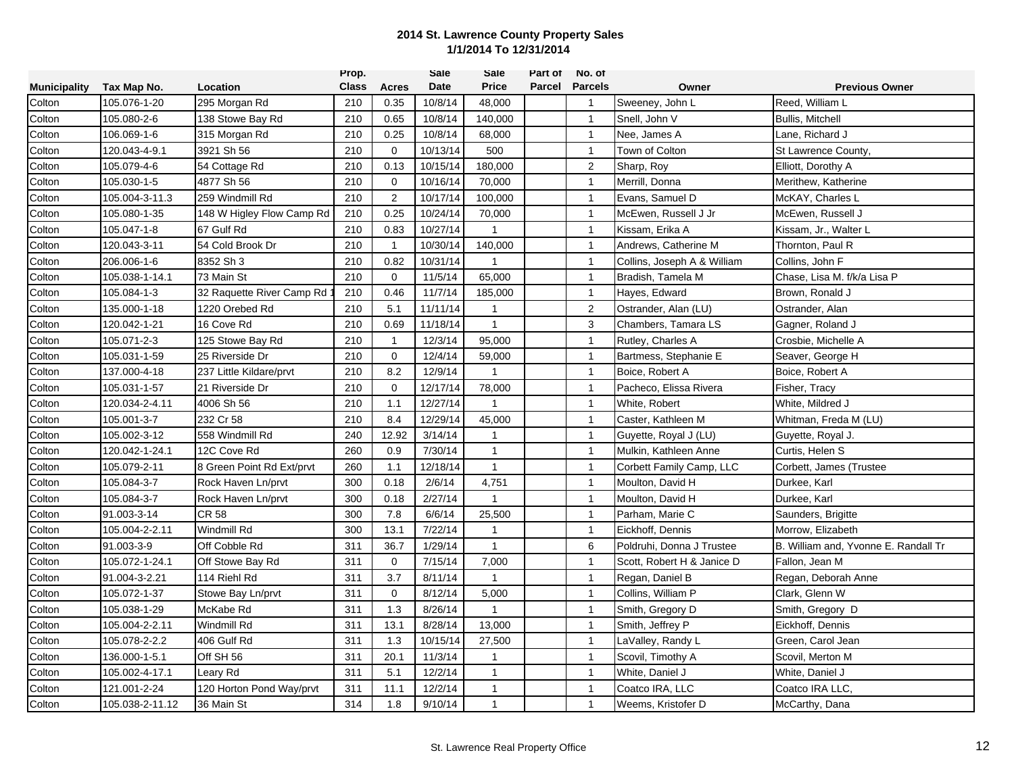|                     |                 |                           | Prop.        |                | <b>Sale</b> | Sale           | Part of | No. of         |                             |                                      |
|---------------------|-----------------|---------------------------|--------------|----------------|-------------|----------------|---------|----------------|-----------------------------|--------------------------------------|
| <b>Municipality</b> | Tax Map No.     | Location                  | <b>Class</b> | Acres          | <b>Date</b> | <b>Price</b>   | Parcel  | <b>Parcels</b> | Owner                       | <b>Previous Owner</b>                |
| Colton              | 105.076-1-20    | 295 Morgan Rd             | 210          | 0.35           | 10/8/14     | 48,000         |         | $\mathbf{1}$   | Sweeney, John L             | Reed, William L                      |
| Colton              | 105.080-2-6     | 138 Stowe Bay Rd          | 210          | 0.65           | 10/8/14     | 140,000        |         | $\overline{1}$ | Snell, John V               | <b>Bullis, Mitchell</b>              |
| Colton              | 106.069-1-6     | 315 Morgan Rd             | 210          | 0.25           | 10/8/14     | 68,000         |         | $\mathbf{1}$   | Nee, James A                | Lane, Richard J                      |
| Colton              | 120.043-4-9.1   | 3921 Sh 56                | 210          | $\Omega$       | 10/13/14    | 500            |         | $\mathbf{1}$   | Town of Colton              | St Lawrence County,                  |
| Colton              | 105.079-4-6     | 54 Cottage Rd             | 210          | 0.13           | 10/15/14    | 180,000        |         | 2              | Sharp, Roy                  | Elliott, Dorothy A                   |
| Colton              | 105.030-1-5     | 4877 Sh 56                | 210          | $\mathbf 0$    | 10/16/14    | 70,000         |         | $\mathbf{1}$   | Merrill, Donna              | Merithew, Katherine                  |
| Colton              | 105.004-3-11.3  | 259 Windmill Rd           | 210          | $\overline{2}$ | 10/17/14    | 100,000        |         | $\mathbf{1}$   | Evans, Samuel D             | McKAY, Charles L                     |
| Colton              | 105.080-1-35    | 148 W Higley Flow Camp Rd | 210          | 0.25           | 10/24/14    | 70,000         |         | $\overline{1}$ | McEwen, Russell J Jr        | McEwen, Russell J                    |
| Colton              | 105.047-1-8     | 67 Gulf Rd                | 210          | 0.83           | 10/27/14    | -1             |         | $\mathbf{1}$   | Kissam, Erika A             | Kissam, Jr., Walter L                |
| Colton              | 120.043-3-11    | 54 Cold Brook Dr          | 210          | $\mathbf{1}$   | 10/30/14    | 140,000        |         | $\mathbf{1}$   | Andrews, Catherine M        | Thornton, Paul R                     |
| Colton              | 206.006-1-6     | 8352 Sh 3                 | 210          | 0.82           | 10/31/14    | $\mathbf{1}$   |         | $\mathbf{1}$   | Collins, Joseph A & William | Collins, John F                      |
| Colton              | 105.038-1-14.1  | 73 Main St                | 210          | $\mathbf 0$    | 11/5/14     | 65,000         |         | $\mathbf{1}$   | Bradish, Tamela M           | Chase, Lisa M. f/k/a Lisa P          |
| Colton              | 105.084-1-3     | 32 Raquette River Camp Rd | 210          | 0.46           | 11/7/14     | 185,000        |         | $\mathbf{1}$   | Hayes, Edward               | Brown, Ronald J                      |
| Colton              | 135.000-1-18    | 1220 Orebed Rd            | 210          | 5.1            | 11/11/14    | $\mathbf{1}$   |         | 2              | Ostrander, Alan (LU)        | Ostrander, Alan                      |
| Colton              | 120.042-1-21    | 16 Cove Rd                | 210          | 0.69           | 11/18/14    | $\mathbf{1}$   |         | 3              | Chambers, Tamara LS         | Gagner, Roland J                     |
| Colton              | 105.071-2-3     | 125 Stowe Bay Rd          | 210          | $\mathbf{1}$   | 12/3/14     | 95,000         |         | $\overline{1}$ | Rutley, Charles A           | Crosbie, Michelle A                  |
| Colton              | 105.031-1-59    | 25 Riverside Dr           | 210          | $\Omega$       | 12/4/14     | 59,000         |         | $\mathbf{1}$   | Bartmess, Stephanie E       | Seaver, George H                     |
| Colton              | 137.000-4-18    | 237 Little Kildare/prvt   | 210          | 8.2            | 12/9/14     | $\mathbf{1}$   |         | $\mathbf{1}$   | Boice, Robert A             | Boice, Robert A                      |
| Colton              | 105.031-1-57    | 21 Riverside Dr           | 210          | $\mathbf 0$    | 12/17/14    | 78,000         |         | $\mathbf{1}$   | Pacheco, Elissa Rivera      | Fisher, Tracy                        |
| Colton              | 120.034-2-4.11  | 4006 Sh 56                | 210          | 1.1            | 12/27/14    | -1             |         | $\mathbf{1}$   | White, Robert               | White, Mildred J                     |
| Colton              | 105.001-3-7     | 232 Cr 58                 | 210          | 8.4            | 12/29/14    | 45,000         |         | $\overline{1}$ | Caster, Kathleen M          | Whitman, Freda M (LU)                |
| Colton              | 105.002-3-12    | 558 Windmill Rd           | 240          | 12.92          | 3/14/14     | $\mathbf{1}$   |         | $\mathbf{1}$   | Guyette, Royal J (LU)       | Guyette, Royal J.                    |
| Colton              | 120.042-1-24.1  | 12C Cove Rd               | 260          | 0.9            | 7/30/14     | $\mathbf{1}$   |         | $\overline{1}$ | Mulkin, Kathleen Anne       | Curtis, Helen S                      |
| Colton              | 105.079-2-11    | 8 Green Point Rd Ext/prvt | 260          | 1.1            | 12/18/14    | $\mathbf{1}$   |         | $\mathbf{1}$   | Corbett Family Camp, LLC    | Corbett, James (Trustee              |
| Colton              | 105.084-3-7     | Rock Haven Ln/prvt        | 300          | 0.18           | 2/6/14      | 4,751          |         | $\mathbf{1}$   | Moulton, David H            | Durkee, Karl                         |
| Colton              | 105.084-3-7     | Rock Haven Ln/prvt        | 300          | 0.18           | 2/27/14     | $\overline{1}$ |         | $\mathbf{1}$   | Moulton, David H            | Durkee, Karl                         |
| Colton              | 91.003-3-14     | <b>CR 58</b>              | 300          | 7.8            | 6/6/14      | 25,500         |         | $\mathbf{1}$   | Parham, Marie C             | Saunders, Brigitte                   |
| Colton              | 105.004-2-2.11  | Windmill Rd               | 300          | 13.1           | 7/22/14     | $\overline{1}$ |         | $\overline{1}$ | Eickhoff, Dennis            | Morrow, Elizabeth                    |
| Colton              | 91.003-3-9      | Off Cobble Rd             | 311          | 36.7           | 1/29/14     | $\mathbf{1}$   |         | 6              | Poldruhi, Donna J Trustee   | B. William and, Yvonne E. Randall Tr |
| Colton              | 105.072-1-24.1  | Off Stowe Bay Rd          | 311          | 0              | 7/15/14     | 7,000          |         | $\mathbf{1}$   | Scott. Robert H & Janice D  | Fallon, Jean M                       |
| Colton              | 91.004-3-2.21   | 114 Riehl Rd              | 311          | 3.7            | 8/11/14     | $\mathbf{1}$   |         | $\mathbf{1}$   | Regan, Daniel B             | Regan, Deborah Anne                  |
| Colton              | 105.072-1-37    | Stowe Bay Ln/prvt         | 311          | $\mathbf 0$    | 8/12/14     | 5,000          |         | $\mathbf{1}$   | Collins, William P          | Clark, Glenn W                       |
| Colton              | 105.038-1-29    | McKabe Rd                 | 311          | 1.3            | 8/26/14     | $\mathbf{1}$   |         | $\mathbf{1}$   | Smith, Gregory D            | Smith, Gregory D                     |
| Colton              | 105.004-2-2.11  | Windmill Rd               | 311          | 13.1           | 8/28/14     | 13,000         |         | $\overline{1}$ | Smith, Jeffrey P            | Eickhoff, Dennis                     |
| Colton              | 105.078-2-2.2   | 406 Gulf Rd               | 311          | 1.3            | 10/15/14    | 27,500         |         | $\mathbf{1}$   | LaValley, Randy L           | Green, Carol Jean                    |
| Colton              | 136.000-1-5.1   | Off SH 56                 | 311          | 20.1           | 11/3/14     | $\overline{1}$ |         | $\mathbf{1}$   | Scovil, Timothy A           | Scovil, Merton M                     |
| Colton              | 105.002-4-17.1  | Leary Rd                  | 311          | 5.1            | 12/2/14     | $\mathbf{1}$   |         | $\mathbf{1}$   | White, Daniel J             | White, Daniel J                      |
| Colton              | 121.001-2-24    | 120 Horton Pond Way/prvt  | 311          | 11.1           | 12/2/14     | $\mathbf{1}$   |         | $\mathbf{1}$   | Coatco IRA, LLC             | Coatco IRA LLC.                      |
| Colton              | 105.038-2-11.12 | 36 Main St                | 314          | 1.8            | 9/10/14     | $\mathbf{1}$   |         | $\mathbf{1}$   | Weems, Kristofer D          | McCarthy, Dana                       |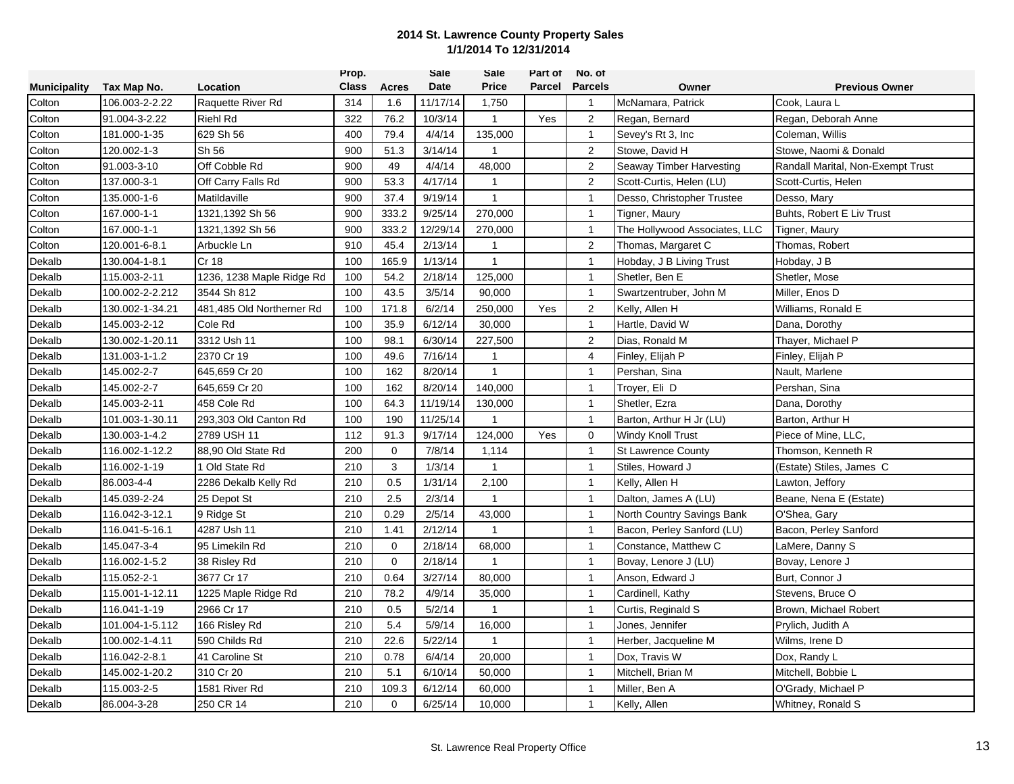|                     |                 |                           | Prop.        |              | <b>Sale</b> | Sale         | Part of | No. of           |                               |                                   |
|---------------------|-----------------|---------------------------|--------------|--------------|-------------|--------------|---------|------------------|-------------------------------|-----------------------------------|
| <b>Municipality</b> | Tax Map No.     | Location                  | <b>Class</b> | <b>Acres</b> | Date        | <b>Price</b> | Parcel  | <b>Parcels</b>   | Owner                         | <b>Previous Owner</b>             |
| Colton              | 106.003-2-2.22  | Raquette River Rd         | 314          | 1.6          | 11/17/14    | 1,750        |         | $\mathbf{1}$     | McNamara, Patrick             | Cook, Laura L                     |
| Colton              | 91.004-3-2.22   | Riehl Rd                  | 322          | 76.2         | 10/3/14     | $\mathbf{1}$ | Yes     | $\overline{2}$   | Regan, Bernard                | Regan, Deborah Anne               |
| Colton              | 181.000-1-35    | 629 Sh 56                 | 400          | 79.4         | 4/4/14      | 135,000      |         | $\mathbf{1}$     | Sevey's Rt 3, Inc.            | Coleman, Willis                   |
| Colton              | 120.002-1-3     | Sh 56                     | 900          | 51.3         | 3/14/14     | $\mathbf{1}$ |         | $\boldsymbol{2}$ | Stowe, David H                | Stowe, Naomi & Donald             |
| Colton              | 91.003-3-10     | Off Cobble Rd             | 900          | 49           | 4/4/14      | 48,000       |         | $\overline{2}$   | Seaway Timber Harvesting      | Randall Marital, Non-Exempt Trust |
| Colton              | 137.000-3-1     | Off Carry Falls Rd        | 900          | 53.3         | 4/17/14     | $\mathbf{1}$ |         | 2                | Scott-Curtis, Helen (LU)      | Scott-Curtis, Helen               |
| Colton              | 135.000-1-6     | Matildaville              | 900          | 37.4         | 9/19/14     | $\mathbf{1}$ |         | $\mathbf{1}$     | Desso, Christopher Trustee    | Desso, Mary                       |
| Colton              | 167.000-1-1     | 1321,1392 Sh 56           | 900          | 333.2        | 9/25/14     | 270,000      |         | $\overline{1}$   | Tigner, Maury                 | Buhts, Robert E Liv Trust         |
| Colton              | 167.000-1-1     | 1321.1392 Sh 56           | 900          | 333.2        | 12/29/14    | 270.000      |         | $\overline{1}$   | The Hollywood Associates, LLC | Tigner, Maury                     |
| Colton              | 120.001-6-8.1   | Arbuckle Ln               | 910          | 45.4         | 2/13/14     | $\mathbf{1}$ |         | 2                | Thomas, Margaret C            | Thomas, Robert                    |
| Dekalb              | 130.004-1-8.1   | Cr 18                     | 100          | 165.9        | 1/13/14     | $\mathbf{1}$ |         | $\mathbf{1}$     | Hobday, J B Living Trust      | Hobday, J B                       |
| Dekalb              | 115.003-2-11    | 1236, 1238 Maple Ridge Rd | 100          | 54.2         | 2/18/14     | 125,000      |         | $\mathbf{1}$     | Shetler, Ben E                | Shetler, Mose                     |
| Dekalb              | 100.002-2-2.212 | 3544 Sh 812               | 100          | 43.5         | 3/5/14      | 90,000       |         | $\mathbf{1}$     | Swartzentruber, John M        | Miller, Enos D                    |
| Dekalb              | 130.002-1-34.21 | 481,485 Old Northerner Rd | 100          | 171.8        | 6/2/14      | 250,000      | Yes     | 2                | Kelly, Allen H                | Williams, Ronald E                |
| Dekalb              | 145.003-2-12    | Cole Rd                   | 100          | 35.9         | 6/12/14     | 30,000       |         | $\mathbf{1}$     | Hartle, David W               | Dana, Dorothy                     |
| Dekalb              | 130.002-1-20.11 | 3312 Ush 11               | 100          | 98.1         | 6/30/14     | 227,500      |         | $\overline{2}$   | Dias, Ronald M                | Thayer, Michael P                 |
| Dekalb              | 131.003-1-1.2   | 2370 Cr 19                | 100          | 49.6         | 7/16/14     | $\mathbf{1}$ |         | $\overline{4}$   | Finley, Elijah P              | Finley, Elijah P                  |
| Dekalb              | 145.002-2-7     | 645,659 Cr 20             | 100          | 162          | 8/20/14     | $\mathbf{1}$ |         | $\mathbf{1}$     | Pershan, Sina                 | Nault, Marlene                    |
| Dekalb              | 145.002-2-7     | 645,659 Cr 20             | 100          | 162          | 8/20/14     | 140,000      |         | $\mathbf{1}$     | Trover, Eli D                 | Pershan, Sina                     |
| Dekalb              | 145.003-2-11    | 458 Cole Rd               | 100          | 64.3         | 11/19/14    | 130,000      |         | $\mathbf{1}$     | Shetler, Ezra                 | Dana, Dorothy                     |
| Dekalb              | 101.003-1-30.11 | 293,303 Old Canton Rd     | 100          | 190          | 11/25/14    | $\mathbf{1}$ |         | $\overline{1}$   | Barton, Arthur H Jr (LU)      | Barton, Arthur H                  |
| Dekalb              | 130.003-1-4.2   | 2789 USH 11               | 112          | 91.3         | 9/17/14     | 124,000      | Yes     | $\mathbf 0$      | <b>Windy Knoll Trust</b>      | Piece of Mine, LLC,               |
| Dekalb              | 116.002-1-12.2  | 88.90 Old State Rd        | 200          | $\mathbf 0$  | 7/8/14      | 1,114        |         | $\mathbf{1}$     | <b>St Lawrence County</b>     | Thomson, Kenneth R                |
| Dekalb              | 116.002-1-19    | 1 Old State Rd            | 210          | 3            | 1/3/14      | $\mathbf{1}$ |         | $\mathbf{1}$     | Stiles, Howard J              | (Estate) Stiles, James C          |
| Dekalb              | 86.003-4-4      | 2286 Dekalb Kelly Rd      | 210          | 0.5          | 1/31/14     | 2,100        |         | $\mathbf{1}$     | Kelly, Allen H                | Lawton, Jeffory                   |
| Dekalb              | 145.039-2-24    | 25 Depot St               | 210          | 2.5          | 2/3/14      | $\mathbf{1}$ |         | $\mathbf{1}$     | Dalton, James A (LU)          | Beane, Nena E (Estate)            |
| Dekalb              | 116.042-3-12.1  | 9 Ridge St                | 210          | 0.29         | 2/5/14      | 43,000       |         | $\overline{1}$   | North Country Savings Bank    | O'Shea, Gary                      |
| Dekalb              | 116.041-5-16.1  | 4287 Ush 11               | 210          | 1.41         | 2/12/14     | $\mathbf{1}$ |         | $\overline{1}$   | Bacon, Perley Sanford (LU)    | Bacon, Perley Sanford             |
| Dekalb              | 145.047-3-4     | 95 Limekiln Rd            | 210          | $\Omega$     | 2/18/14     | 68,000       |         | $\mathbf{1}$     | Constance, Matthew C          | LaMere, Danny S                   |
| Dekalb              | 116.002-1-5.2   | 38 Risley Rd              | 210          | $\mathbf 0$  | 2/18/14     | $\mathbf{1}$ |         | $\mathbf{1}$     | Bovay, Lenore J (LU)          | Bovay, Lenore J                   |
| Dekalb              | 115.052-2-1     | 3677 Cr 17                | 210          | 0.64         | 3/27/14     | 80,000       |         | $\mathbf{1}$     | Anson, Edward J               | Burt, Connor J                    |
| Dekalb              | 115.001-1-12.11 | 1225 Maple Ridge Rd       | 210          | 78.2         | 4/9/14      | 35,000       |         | $\mathbf{1}$     | Cardinell, Kathy              | Stevens, Bruce O                  |
| Dekalb              | 116.041-1-19    | 2966 Cr 17                | 210          | 0.5          | 5/2/14      | $\mathbf{1}$ |         | $\overline{1}$   | Curtis, Reginald S            | Brown, Michael Robert             |
| Dekalb              | 101.004-1-5.112 | 166 Risley Rd             | 210          | 5.4          | 5/9/14      | 16,000       |         | $\overline{1}$   | Jones, Jennifer               | Prylich, Judith A                 |
| Dekalb              | 100.002-1-4.11  | 590 Childs Rd             | 210          | 22.6         | 5/22/14     | 1            |         | $\mathbf{1}$     | Herber, Jacqueline M          | Wilms, Irene D                    |
| Dekalb              | 116.042-2-8.1   | 41 Caroline St            | 210          | 0.78         | 6/4/14      | 20,000       |         | $\mathbf{1}$     | Dox, Travis W                 | Dox, Randy L                      |
| Dekalb              | 145.002-1-20.2  | 310 Cr 20                 | 210          | 5.1          | 6/10/14     | 50,000       |         | $\mathbf{1}$     | Mitchell, Brian M             | Mitchell, Bobbie L                |
| Dekalb              | 115.003-2-5     | 1581 River Rd             | 210          | 109.3        | 6/12/14     | 60,000       |         | $\overline{1}$   | Miller, Ben A                 | O'Grady, Michael P                |
| Dekalb              | 86.004-3-28     | 250 CR 14                 | 210          | $\mathbf 0$  | 6/25/14     | 10,000       |         | $\mathbf{1}$     | Kelly, Allen                  | Whitney, Ronald S                 |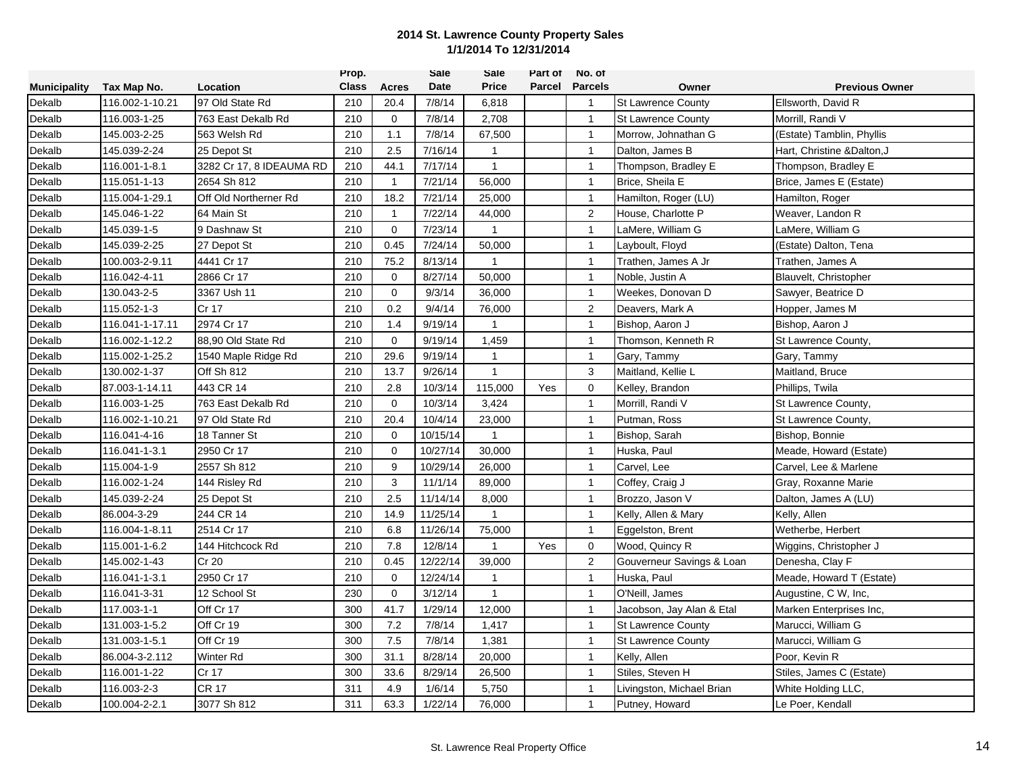|                     |                 |                          | Prop.        |              | <b>Sale</b> | Sale           | Part of | No. of         |                           |                             |
|---------------------|-----------------|--------------------------|--------------|--------------|-------------|----------------|---------|----------------|---------------------------|-----------------------------|
| <b>Municipality</b> | Tax Map No.     | Location                 | <b>Class</b> | Acres        | Date        | <b>Price</b>   | Parcel  | <b>Parcels</b> | Owner                     | <b>Previous Owner</b>       |
| Dekalb              | 116.002-1-10.21 | 97 Old State Rd          | 210          | 20.4         | 7/8/14      | 6,818          |         | $\mathbf{1}$   | <b>St Lawrence County</b> | Ellsworth, David R          |
| Dekalb              | 116.003-1-25    | 763 East Dekalb Rd       | 210          | $\mathbf 0$  | 7/8/14      | 2,708          |         | $\mathbf{1}$   | <b>St Lawrence County</b> | Morrill, Randi V            |
| Dekalb              | 145.003-2-25    | 563 Welsh Rd             | 210          | 1.1          | 7/8/14      | 67,500         |         | $\overline{1}$ | Morrow, Johnathan G       | (Estate) Tamblin, Phyllis   |
| Dekalb              | 145.039-2-24    | 25 Depot St              | 210          | 2.5          | 7/16/14     | $\mathbf{1}$   |         | $\mathbf{1}$   | Dalton, James B           | Hart, Christine & Dalton, J |
| Dekalb              | 116.001-1-8.1   | 3282 Cr 17, 8 IDEAUMA RD | 210          | 44.1         | 7/17/14     | $\mathbf{1}$   |         | $\mathbf{1}$   | Thompson, Bradley E       | Thompson, Bradley E         |
| Dekalb              | 115.051-1-13    | 2654 Sh 812              | 210          | $\mathbf{1}$ | 7/21/14     | 56,000         |         | $\mathbf{1}$   | Brice, Sheila E           | Brice, James E (Estate)     |
| Dekalb              | 115.004-1-29.1  | Off Old Northerner Rd    | 210          | 18.2         | 7/21/14     | 25,000         |         | $\mathbf{1}$   | Hamilton, Roger (LU)      | Hamilton, Roger             |
| Dekalb              | 145.046-1-22    | 64 Main St               | 210          | $\mathbf{1}$ | 7/22/14     | 44,000         |         | 2              | House, Charlotte P        | Weaver, Landon R            |
| Dekalb              | 145.039-1-5     | 9 Dashnaw St             | 210          | $\mathbf 0$  | 7/23/14     | $\mathbf{1}$   |         | $\overline{1}$ | LaMere, William G         | LaMere, William G           |
| Dekalb              | 145.039-2-25    | 27 Depot St              | 210          | 0.45         | 7/24/14     | 50,000         |         | $\mathbf{1}$   | Layboult, Floyd           | (Estate) Dalton, Tena       |
| Dekalb              | 100.003-2-9.11  | 4441 Cr 17               | 210          | 75.2         | 8/13/14     | $\mathbf{1}$   |         | $\mathbf{1}$   | Trathen, James A Jr       | Trathen, James A            |
| Dekalb              | 116.042-4-11    | 2866 Cr 17               | 210          | $\Omega$     | 8/27/14     | 50,000         |         | $\mathbf{1}$   | Noble, Justin A           | Blauvelt, Christopher       |
| Dekalb              | 130.043-2-5     | 3367 Ush 11              | 210          | $\mathbf 0$  | 9/3/14      | 36,000         |         | $\mathbf{1}$   | Weekes, Donovan D         | Sawyer, Beatrice D          |
| Dekalb              | 115.052-1-3     | Cr 17                    | 210          | 0.2          | 9/4/14      | 76,000         |         | 2              | Deavers, Mark A           | Hopper, James M             |
| Dekalb              | 116.041-1-17.11 | 2974 Cr 17               | 210          | 1.4          | 9/19/14     | $\mathbf{1}$   |         | $\mathbf{1}$   | Bishop, Aaron J           | Bishop, Aaron J             |
| Dekalb              | 116.002-1-12.2  | 88,90 Old State Rd       | 210          | $\mathbf 0$  | 9/19/14     | 1,459          |         | $\overline{1}$ | Thomson, Kenneth R        | St Lawrence County,         |
| Dekalb              | 115.002-1-25.2  | 1540 Maple Ridge Rd      | 210          | 29.6         | 9/19/14     | $\mathbf{1}$   |         | $\mathbf{1}$   | Gary, Tammy               | Gary, Tammy                 |
| Dekalb              | 130.002-1-37    | Off Sh 812               | 210          | 13.7         | 9/26/14     | $\mathbf{1}$   |         | 3              | Maitland, Kellie L        | Maitland, Bruce             |
| Dekalb              | 87.003-1-14.11  | 443 CR 14                | 210          | 2.8          | 10/3/14     | 115,000        | Yes     | 0              | Kelley, Brandon           | Phillips, Twila             |
| Dekalb              | 116.003-1-25    | 763 East Dekalb Rd       | 210          | $\Omega$     | 10/3/14     | 3,424          |         | $\mathbf{1}$   | Morrill, Randi V          | St Lawrence County,         |
| Dekalb              | 116.002-1-10.21 | 97 Old State Rd          | 210          | 20.4         | 10/4/14     | 23,000         |         | $\overline{1}$ | Putman, Ross              | St Lawrence County,         |
| Dekalb              | 116.041-4-16    | 18 Tanner St             | 210          | $\Omega$     | 10/15/14    | $\mathbf{1}$   |         | $\mathbf{1}$   | Bishop, Sarah             | Bishop, Bonnie              |
| Dekalb              | 116.041-1-3.1   | 2950 Cr 17               | 210          | $\mathbf 0$  | 10/27/14    | 30,000         |         | $\mathbf{1}$   | Huska, Paul               | Meade, Howard (Estate)      |
| Dekalb              | 115.004-1-9     | 2557 Sh 812              | 210          | 9            | 10/29/14    | 26,000         |         | $\mathbf{1}$   | Carvel, Lee               | Carvel, Lee & Marlene       |
| Dekalb              | 116.002-1-24    | 144 Risley Rd            | 210          | 3            | 11/1/14     | 89,000         |         | $\mathbf{1}$   | Coffey, Craig J           | Gray, Roxanne Marie         |
| Dekalb              | 145.039-2-24    | 25 Depot St              | 210          | 2.5          | 11/14/14    | 8,000          |         | $\mathbf{1}$   | Brozzo, Jason V           | Dalton, James A (LU)        |
| Dekalb              | 86.004-3-29     | 244 CR 14                | 210          | 14.9         | 11/25/14    | $\mathbf{1}$   |         | $\mathbf{1}$   | Kelly, Allen & Mary       | Kelly, Allen                |
| Dekalb              | 116.004-1-8.11  | 2514 Cr 17               | 210          | 6.8          | 11/26/14    | 75,000         |         | $\overline{1}$ | Eggelston, Brent          | Wetherbe, Herbert           |
| Dekalb              | 115.001-1-6.2   | 144 Hitchcock Rd         | 210          | 7.8          | 12/8/14     | $\overline{1}$ | Yes     | $\mathbf 0$    | Wood, Quincy R            | Wiggins, Christopher J      |
| Dekalb              | 145.002-1-43    | Cr 20                    | 210          | 0.45         | 12/22/14    | 39,000         |         | $\overline{2}$ | Gouverneur Savings & Loan | Denesha, Clay F             |
| Dekalb              | 116.041-1-3.1   | 2950 Cr 17               | 210          | $\Omega$     | 12/24/14    | 1              |         | $\mathbf{1}$   | Huska, Paul               | Meade, Howard T (Estate)    |
| Dekalb              | 116.041-3-31    | 12 School St             | 230          | $\mathbf 0$  | 3/12/14     | $\mathbf{1}$   |         | $\mathbf{1}$   | O'Neill, James            | Augustine, C W, Inc,        |
| Dekalb              | 117.003-1-1     | Off Cr 17                | 300          | 41.7         | 1/29/14     | 12,000         |         | $\mathbf{1}$   | Jacobson, Jay Alan & Etal | Marken Enterprises Inc,     |
| Dekalb              | 131.003-1-5.2   | Off Cr 19                | 300          | 7.2          | 7/8/14      | 1,417          |         | $\overline{1}$ | <b>St Lawrence County</b> | Marucci, William G          |
| Dekalb              | 131.003-1-5.1   | Off Cr 19                | 300          | 7.5          | 7/8/14      | 1,381          |         | $\overline{1}$ | St Lawrence County        | Marucci, William G          |
| Dekalb              | 86.004-3-2.112  | Winter Rd                | 300          | 31.1         | 8/28/14     | 20,000         |         | $\mathbf{1}$   | Kelly, Allen              | Poor, Kevin R               |
| Dekalb              | 116.001-1-22    | Cr 17                    | 300          | 33.6         | 8/29/14     | 26,500         |         | $\mathbf{1}$   | Stiles, Steven H          | Stiles, James C (Estate)    |
| Dekalb              | 116.003-2-3     | <b>CR 17</b>             | 311          | 4.9          | 1/6/14      | 5,750          |         | $\mathbf{1}$   | Livingston, Michael Brian | White Holding LLC,          |
| Dekalb              | 100.004-2-2.1   | 3077 Sh 812              | 311          | 63.3         | 1/22/14     | 76,000         |         | $\mathbf{1}$   | Putney, Howard            | Le Poer, Kendall            |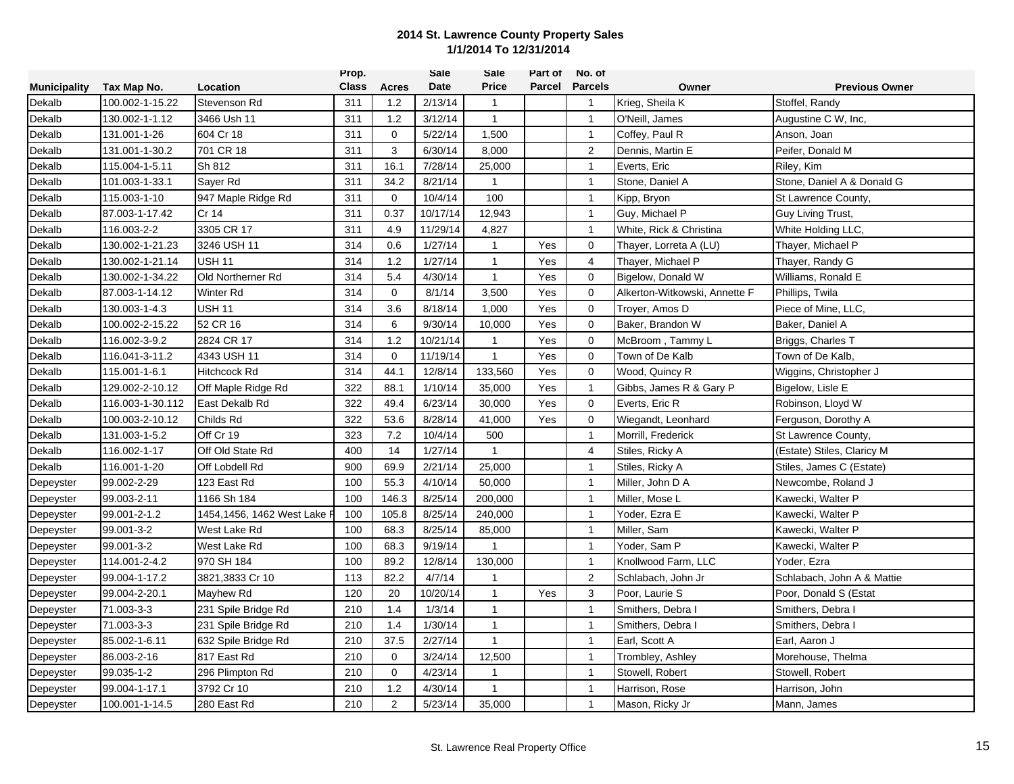|                     |                  |                             | Prop.        |                | <b>Sale</b> | Sale         | Part of | No. of         |                               |                            |
|---------------------|------------------|-----------------------------|--------------|----------------|-------------|--------------|---------|----------------|-------------------------------|----------------------------|
| <b>Municipality</b> | Tax Map No.      | Location                    | <b>Class</b> | Acres          | Date        | <b>Price</b> | Parcel  | <b>Parcels</b> | Owner                         | <b>Previous Owner</b>      |
| Dekalb              | 100.002-1-15.22  | Stevenson Rd                | 311          | 1.2            | 2/13/14     | $\mathbf{1}$ |         | $\mathbf{1}$   | Krieg, Sheila K               | Stoffel, Randy             |
| Dekalb              | 130.002-1-1.12   | 3466 Ush 11                 | 311          | 1.2            | 3/12/14     | $\mathbf{1}$ |         | $\overline{1}$ | O'Neill, James                | Augustine C W, Inc,        |
| Dekalb              | 131.001-1-26     | 604 Cr 18                   | 311          | $\mathbf 0$    | 5/22/14     | 1,500        |         | $\mathbf{1}$   | Coffey, Paul R                | Anson, Joan                |
| Dekalb              | 131.001-1-30.2   | 701 CR 18                   | 311          | 3              | 6/30/14     | 8,000        |         | 2              | Dennis, Martin E              | Peifer, Donald M           |
| Dekalb              | 115.004-1-5.11   | Sh 812                      | 311          | 16.1           | 7/28/14     | 25,000       |         | $\mathbf{1}$   | Everts, Eric                  | Riley, Kim                 |
| Dekalb              | 101.003-1-33.1   | Sayer Rd                    | 311          | 34.2           | 8/21/14     | $\mathbf{1}$ |         | $\mathbf{1}$   | Stone, Daniel A               | Stone, Daniel A & Donald G |
| Dekalb              | 115.003-1-10     | 947 Maple Ridge Rd          | 311          | $\mathbf 0$    | 10/4/14     | 100          |         | $\mathbf{1}$   | Kipp, Bryon                   | St Lawrence County,        |
| Dekalb              | 87.003-1-17.42   | Cr 14                       | 311          | 0.37           | 10/17/14    | 12,943       |         | $\mathbf{1}$   | Guy, Michael P                | Guy Living Trust,          |
| Dekalb              | 116.003-2-2      | 3305 CR 17                  | 311          | 4.9            | 11/29/14    | 4,827        |         | $\mathbf{1}$   | White, Rick & Christina       | White Holding LLC,         |
| Dekalb              | 130.002-1-21.23  | 3246 USH 11                 | 314          | 0.6            | 1/27/14     | $\mathbf{1}$ | Yes     | $\mathbf 0$    | Thayer, Lorreta A (LU)        | Thayer, Michael P          |
| Dekalb              | 130.002-1-21.14  | USH 11                      | 314          | 1.2            | 1/27/14     | $\mathbf{1}$ | Yes     | $\overline{4}$ | Thayer, Michael P             | Thayer, Randy G            |
| Dekalb              | 130.002-1-34.22  | Old Northerner Rd           | 314          | 5.4            | 4/30/14     | $\mathbf{1}$ | Yes     | $\mathbf 0$    | Bigelow, Donald W             | Williams, Ronald E         |
| Dekalb              | 87.003-1-14.12   | Winter Rd                   | 314          | $\mathbf 0$    | 8/1/14      | 3,500        | Yes     | $\mathbf 0$    | Alkerton-Witkowski, Annette F | Phillips, Twila            |
| Dekalb              | 130.003-1-4.3    | <b>USH 11</b>               | 314          | 3.6            | 8/18/14     | 1,000        | Yes     | $\mathbf 0$    | Trover, Amos D                | Piece of Mine, LLC,        |
| Dekalb              | 100.002-2-15.22  | 52 CR 16                    | 314          | 6              | 9/30/14     | 10,000       | Yes     | $\mathbf 0$    | Baker, Brandon W              | Baker, Daniel A            |
| Dekalb              | 116.002-3-9.2    | 2824 CR 17                  | 314          | 1.2            | 10/21/14    | $\mathbf{1}$ | Yes     | $\mathbf 0$    | McBroom, Tammy L              | Briggs, Charles T          |
| Dekalb              | 116.041-3-11.2   | 4343 USH 11                 | 314          | $\mathbf 0$    | 11/19/14    | $\mathbf{1}$ | Yes     | $\mathbf 0$    | Town of De Kalb               | Town of De Kalb,           |
| Dekalb              | 115.001-1-6.1    | Hitchcock Rd                | 314          | 44.1           | 12/8/14     | 133,560      | Yes     | $\mathbf 0$    | Wood, Quincy R                | Wiggins, Christopher J     |
| Dekalb              | 129.002-2-10.12  | Off Maple Ridge Rd          | 322          | 88.1           | 1/10/14     | 35,000       | Yes     | $\mathbf{1}$   | Gibbs, James R & Gary P       | Bigelow, Lisle E           |
| Dekalb              | 116.003-1-30.112 | East Dekalb Rd              | 322          | 49.4           | 6/23/14     | 30,000       | Yes     | $\mathbf 0$    | Everts, Eric R                | Robinson, Lloyd W          |
| Dekalb              | 100.003-2-10.12  | Childs Rd                   | 322          | 53.6           | 8/28/14     | 41,000       | Yes     | $\mathbf 0$    | Wiegandt, Leonhard            | Ferguson, Dorothy A        |
| Dekalb              | 131.003-1-5.2    | Off Cr 19                   | 323          | 7.2            | 10/4/14     | 500          |         | $\mathbf{1}$   | Morrill, Frederick            | St Lawrence County,        |
| Dekalb              | 116.002-1-17     | Off Old State Rd            | 400          | 14             | 1/27/14     | $\mathbf{1}$ |         | 4              | Stiles, Ricky A               | (Estate) Stiles, Claricy M |
| Dekalb              | 116.001-1-20     | Off Lobdell Rd              | 900          | 69.9           | 2/21/14     | 25,000       |         | $\mathbf{1}$   | Stiles, Ricky A               | Stiles, James C (Estate)   |
| Depeyster           | 99.002-2-29      | 123 East Rd                 | 100          | 55.3           | 4/10/14     | 50,000       |         | $\mathbf{1}$   | Miller, John D A              | Newcombe, Roland J         |
| Depeyster           | 99.003-2-11      | 1166 Sh 184                 | 100          | 146.3          | 8/25/14     | 200,000      |         | $\mathbf{1}$   | Miller, Mose L                | Kawecki, Walter P          |
| Depeyster           | 99.001-2-1.2     | 1454,1456, 1462 West Lake F | 100          | 105.8          | 8/25/14     | 240,000      |         | $\mathbf{1}$   | Yoder, Ezra E                 | Kawecki, Walter P          |
| Depeyster           | 99.001-3-2       | West Lake Rd                | 100          | 68.3           | 8/25/14     | 85,000       |         | $\overline{1}$ | Miller, Sam                   | Kawecki, Walter P          |
| Depeyster           | 99.001-3-2       | West Lake Rd                | 100          | 68.3           | 9/19/14     | $\mathbf{1}$ |         | $\mathbf{1}$   | Yoder, Sam P                  | Kawecki, Walter P          |
| Depeyster           | 114.001-2-4.2    | 970 SH 184                  | 100          | 89.2           | 12/8/14     | 130,000      |         | $\mathbf{1}$   | Knollwood Farm, LLC           | Yoder, Ezra                |
| Depeyster           | 99.004-1-17.2    | 3821,3833 Cr 10             | 113          | 82.2           | 4/7/14      | $\mathbf{1}$ |         | $\overline{2}$ | Schlabach, John Jr            | Schlabach, John A & Mattie |
| Depeyster           | 99.004-2-20.1    | Mayhew Rd                   | 120          | 20             | 10/20/14    | $\mathbf{1}$ | Yes     | 3              | Poor, Laurie S                | Poor, Donald S (Estat      |
| Depeyster           | 71.003-3-3       | 231 Spile Bridge Rd         | 210          | 1.4            | 1/3/14      | $\mathbf{1}$ |         | $\overline{1}$ | Smithers, Debra I             | Smithers, Debra I          |
| Depeyster           | 71.003-3-3       | 231 Spile Bridge Rd         | 210          | 1.4            | 1/30/14     | $\mathbf{1}$ |         | $\mathbf{1}$   | Smithers, Debra I             | Smithers, Debra I          |
| Depeyster           | 85.002-1-6.11    | 632 Spile Bridge Rd         | 210          | 37.5           | 2/27/14     | $\mathbf{1}$ |         | $\mathbf{1}$   | Earl, Scott A                 | Earl, Aaron J              |
| Depeyster           | 86.003-2-16      | 817 East Rd                 | 210          | $\mathbf 0$    | 3/24/14     | 12,500       |         | $\mathbf{1}$   | Trombley, Ashley              | Morehouse, Thelma          |
| Depeyster           | 99.035-1-2       | 296 Plimpton Rd             | 210          | $\Omega$       | 4/23/14     | $\mathbf 1$  |         | $\mathbf{1}$   | Stowell, Robert               | Stowell, Robert            |
| Depeyster           | 99.004-1-17.1    | 3792 Cr 10                  | 210          | 1.2            | 4/30/14     | $\mathbf{1}$ |         | $\mathbf{1}$   | Harrison, Rose                | Harrison, John             |
| Depeyster           | 100.001-1-14.5   | 280 East Rd                 | 210          | $\overline{2}$ | 5/23/14     | 35,000       |         | $\mathbf{1}$   | Mason, Ricky Jr               | Mann, James                |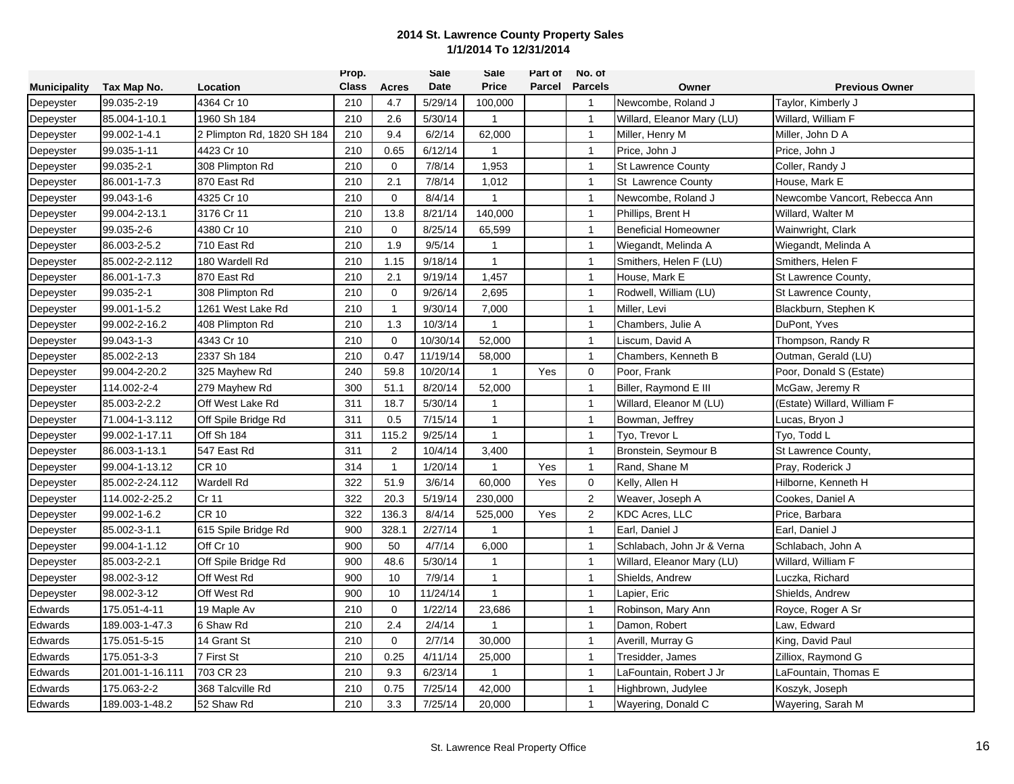|                     |                  |                            | Prop.        |                | <b>Sale</b> | Sale         | Part of       | No. of         |                             |                               |
|---------------------|------------------|----------------------------|--------------|----------------|-------------|--------------|---------------|----------------|-----------------------------|-------------------------------|
| <b>Municipality</b> | Tax Map No.      | Location                   | <b>Class</b> | <b>Acres</b>   | Date        | <b>Price</b> | <b>Parcel</b> | <b>Parcels</b> | Owner                       | <b>Previous Owner</b>         |
| Depeyster           | 99.035-2-19      | 4364 Cr 10                 | 210          | 4.7            | 5/29/14     | 100,000      |               | $\overline{1}$ | Newcombe, Roland J          | Taylor, Kimberly J            |
| Depeyster           | 85.004-1-10.1    | 1960 Sh 184                | 210          | 2.6            | 5/30/14     | 1            |               | $\overline{1}$ | Willard, Eleanor Mary (LU)  | Willard, William F            |
| Depeyster           | 99.002-1-4.1     | 2 Plimpton Rd, 1820 SH 184 | 210          | 9.4            | 6/2/14      | 62,000       |               | $\overline{1}$ | Miller, Henry M             | Miller, John D A              |
| Depeyster           | 99.035-1-11      | 4423 Cr 10                 | 210          | 0.65           | 6/12/14     | $\mathbf{1}$ |               | $\mathbf{1}$   | Price, John J               | Price, John J                 |
| Depeyster           | 99.035-2-1       | 308 Plimpton Rd            | 210          | $\mathbf 0$    | 7/8/14      | 1,953        |               | $\mathbf{1}$   | <b>St Lawrence County</b>   | Coller, Randy J               |
| Depeyster           | 86.001-1-7.3     | 870 East Rd                | 210          | 2.1            | 7/8/14      | 1,012        |               | $\mathbf{1}$   | St Lawrence County          | House, Mark E                 |
| Depeyster           | 99.043-1-6       | 4325 Cr 10                 | 210          | $\mathbf 0$    | 8/4/14      | 1            |               | $\mathbf{1}$   | Newcombe, Roland J          | Newcombe Vancort, Rebecca Ann |
| Depeyster           | 99.004-2-13.1    | 3176 Cr 11                 | 210          | 13.8           | 8/21/14     | 140,000      |               | $\mathbf{1}$   | Phillips, Brent H           | Willard, Walter M             |
| Depeyster           | 99.035-2-6       | 4380 Cr 10                 | 210          | $\mathbf 0$    | 8/25/14     | 65,599       |               | $\overline{1}$ | <b>Beneficial Homeowner</b> | Wainwright, Clark             |
| Depeyster           | 86.003-2-5.2     | 710 East Rd                | 210          | 1.9            | 9/5/14      | 1            |               | $\mathbf{1}$   | Wiegandt, Melinda A         | Wiegandt, Melinda A           |
| Depeyster           | 85.002-2-2.112   | 180 Wardell Rd             | 210          | 1.15           | 9/18/14     | $\mathbf{1}$ |               | $\mathbf{1}$   | Smithers, Helen F (LU)      | Smithers, Helen F             |
| Depeyster           | 86.001-1-7.3     | 870 East Rd                | 210          | 2.1            | 9/19/14     | 1,457        |               | $\overline{1}$ | House, Mark E               | St Lawrence County,           |
| Depeyster           | 99.035-2-1       | 308 Plimpton Rd            | 210          | $\mathbf 0$    | 9/26/14     | 2,695        |               | $\mathbf{1}$   | Rodwell, William (LU)       | St Lawrence County,           |
| Depeyster           | 99.001-1-5.2     | 1261 West Lake Rd          | 210          | $\mathbf{1}$   | 9/30/14     | 7,000        |               | $\mathbf{1}$   | Miller, Levi                | Blackburn, Stephen K          |
| Depeyster           | 99.002-2-16.2    | 408 Plimpton Rd            | 210          | 1.3            | 10/3/14     | $\mathbf{1}$ |               | $\overline{1}$ | Chambers, Julie A           | DuPont, Yves                  |
| Depeyster           | 99.043-1-3       | 4343 Cr 10                 | 210          | $\mathbf 0$    | 10/30/14    | 52,000       |               | $\mathbf{1}$   | Liscum, David A             | Thompson, Randy R             |
| Depeyster           | 85.002-2-13      | 2337 Sh 184                | 210          | 0.47           | 11/19/14    | 58,000       |               | $\mathbf{1}$   | Chambers, Kenneth B         | Outman, Gerald (LU)           |
| Depeyster           | 99.004-2-20.2    | 325 Mayhew Rd              | 240          | 59.8           | 10/20/14    | $\mathbf{1}$ | Yes           | 0              | Poor, Frank                 | Poor, Donald S (Estate)       |
| Depeyster           | 114.002-2-4      | 279 Mayhew Rd              | 300          | 51.1           | 8/20/14     | 52,000       |               | $\mathbf{1}$   | Biller, Raymond E III       | McGaw, Jeremy R               |
| Depeyster           | 85.003-2-2.2     | Off West Lake Rd           | 311          | 18.7           | 5/30/14     | $\mathbf 1$  |               | $\mathbf{1}$   | Willard, Eleanor M (LU)     | (Estate) Willard, William F   |
| Depeyster           | 71.004-1-3.112   | Off Spile Bridge Rd        | 311          | 0.5            | 7/15/14     | $\mathbf{1}$ |               | $\mathbf{1}$   | Bowman, Jeffrey             | Lucas, Bryon J                |
| Depeyster           | 99.002-1-17.11   | Off Sh 184                 | 311          | 115.2          | 9/25/14     | $\mathbf{1}$ |               | $\overline{1}$ | Tyo, Trevor L               | Tyo, Todd L                   |
| Depeyster           | 86.003-1-13.1    | 547 East Rd                | 311          | $\overline{2}$ | 10/4/14     | 3,400        |               | $\overline{1}$ | Bronstein, Seymour B        | St Lawrence County,           |
| Depeyster           | 99.004-1-13.12   | <b>CR 10</b>               | 314          | $\mathbf{1}$   | 1/20/14     | $\mathbf{1}$ | Yes           | $\mathbf{1}$   | Rand, Shane M               | Pray, Roderick J              |
| Depeyster           | 85.002-2-24.112  | Wardell Rd                 | 322          | 51.9           | 3/6/14      | 60,000       | Yes           | $\mathbf 0$    | Kelly, Allen H              | Hilborne, Kenneth H           |
| Depeyster           | 114.002-2-25.2   | Cr 11                      | 322          | 20.3           | 5/19/14     | 230,000      |               | $\overline{2}$ | Weaver, Joseph A            | Cookes, Daniel A              |
| Depeyster           | 99.002-1-6.2     | <b>CR 10</b>               | 322          | 136.3          | 8/4/14      | 525,000      | Yes           | $\overline{2}$ | <b>KDC Acres, LLC</b>       | Price, Barbara                |
| Depeyster           | 85.002-3-1.1     | 615 Spile Bridge Rd        | 900          | 328.1          | 2/27/14     | $\mathbf{1}$ |               | $\mathbf{1}$   | Earl, Daniel J              | Earl, Daniel J                |
| Depeyster           | 99.004-1-1.12    | Off Cr 10                  | 900          | 50             | 4/7/14      | 6,000        |               | $\mathbf{1}$   | Schlabach, John Jr & Verna  | Schlabach, John A             |
| Depeyster           | 85.003-2-2.1     | Off Spile Bridge Rd        | 900          | 48.6           | 5/30/14     | $\mathbf{1}$ |               | $\mathbf{1}$   | Willard, Eleanor Mary (LU)  | Willard, William F            |
| Depeyster           | 98.002-3-12      | Off West Rd                | 900          | 10             | 7/9/14      | 1            |               | $\mathbf{1}$   | Shields, Andrew             | Luczka, Richard               |
| Depeyster           | 98.002-3-12      | Off West Rd                | 900          | 10             | 11/24/14    | $\mathbf{1}$ |               | $\mathbf{1}$   | Lapier, Eric                | Shields, Andrew               |
| Edwards             | 175.051-4-11     | 19 Maple Av                | 210          | $\mathbf 0$    | 1/22/14     | 23,686       |               | $\mathbf{1}$   | Robinson, Mary Ann          | Royce, Roger A Sr             |
| Edwards             | 189.003-1-47.3   | 6 Shaw Rd                  | 210          | 2.4            | 2/4/14      | 1            |               | $\overline{1}$ | Damon, Robert               | Law, Edward                   |
| Edwards             | 175.051-5-15     | 14 Grant St                | 210          | $\Omega$       | 2/7/14      | 30,000       |               | $\mathbf{1}$   | Averill, Murray G           | King, David Paul              |
| Edwards             | 175.051-3-3      | 7 First St                 | 210          | 0.25           | 4/11/14     | 25,000       |               | $\mathbf{1}$   | Tresidder, James            | Zilliox, Raymond G            |
| Edwards             | 201.001-1-16.111 | 703 CR 23                  | 210          | 9.3            | 6/23/14     | -1           |               | $\mathbf{1}$   | LaFountain, Robert J Jr     | LaFountain, Thomas E          |
| Edwards             | 175.063-2-2      | 368 Talcville Rd           | 210          | 0.75           | 7/25/14     | 42,000       |               | $\mathbf{1}$   | Highbrown, Judylee          | Koszyk, Joseph                |
| Edwards             | 189.003-1-48.2   | 52 Shaw Rd                 | 210          | 3.3            | 7/25/14     | 20,000       |               | $\mathbf{1}$   | Wayering, Donald C          | Wayering, Sarah M             |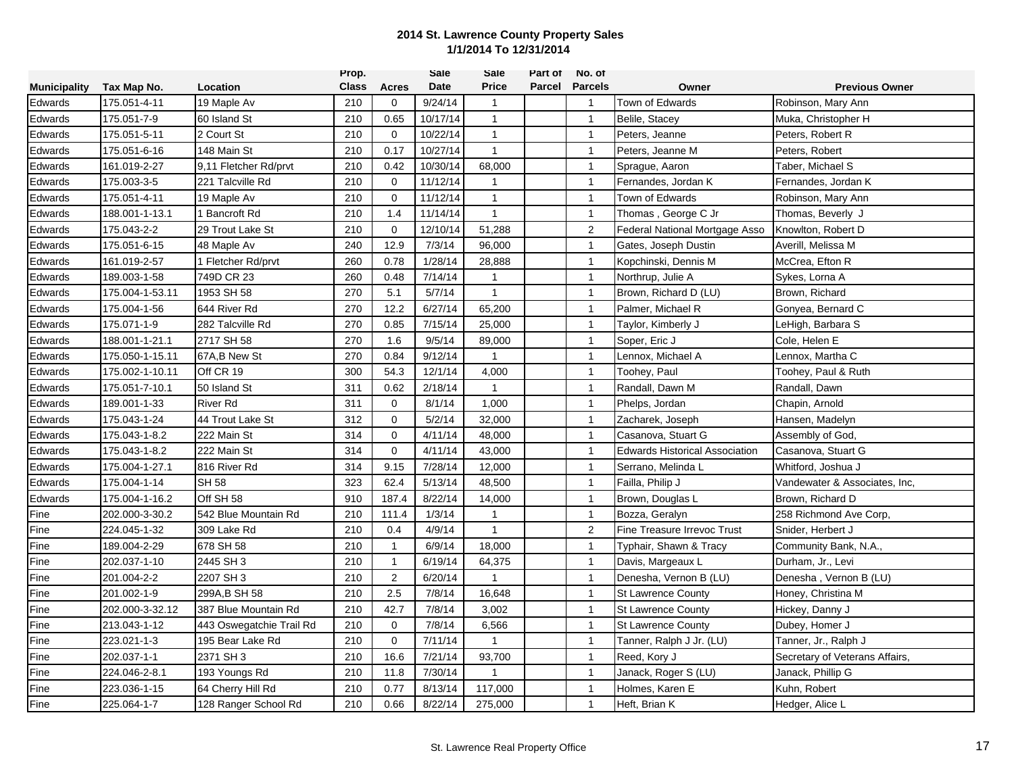|                     |                 |                          | Prop.        |                | Sale     | Sale         | Part of | No. of         |                                       |                                |
|---------------------|-----------------|--------------------------|--------------|----------------|----------|--------------|---------|----------------|---------------------------------------|--------------------------------|
| <b>Municipality</b> | Tax Map No.     | Location                 | <b>Class</b> | Acres          | Date     | <b>Price</b> | Parcel  | <b>Parcels</b> | Owner                                 | <b>Previous Owner</b>          |
| Edwards             | 175.051-4-11    | 19 Maple Av              | 210          | 0              | 9/24/14  | $\mathbf 1$  |         | $\overline{1}$ | Town of Edwards                       | Robinson, Mary Ann             |
| Edwards             | 175.051-7-9     | 60 Island St             | 210          | 0.65           | 10/17/14 | $\mathbf{1}$ |         | $\mathbf{1}$   | Belile, Stacey                        | Muka, Christopher H            |
| Edwards             | 175.051-5-11    | 2 Court St               | 210          | $\mathbf 0$    | 10/22/14 | $\mathbf{1}$ |         | $\mathbf{1}$   | Peters, Jeanne                        | Peters, Robert R               |
| Edwards             | 175.051-6-16    | 148 Main St              | 210          | 0.17           | 10/27/14 | $\mathbf{1}$ |         | $\mathbf{1}$   | Peters, Jeanne M                      | Peters, Robert                 |
| Edwards             | 161.019-2-27    | 9,11 Fletcher Rd/prvt    | 210          | 0.42           | 10/30/14 | 68,000       |         | $\mathbf{1}$   | Sprague, Aaron                        | Taber, Michael S               |
| Edwards             | 175.003-3-5     | 221 Talcville Rd         | 210          | $\mathbf 0$    | 11/12/14 | $\mathbf{1}$ |         | $\mathbf{1}$   | Fernandes, Jordan K                   | Fernandes, Jordan K            |
| Edwards             | 175.051-4-11    | 19 Maple Av              | 210          | $\mathbf 0$    | 11/12/14 | $\mathbf{1}$ |         | $\mathbf{1}$   | Town of Edwards                       | Robinson, Mary Ann             |
| Edwards             | 188.001-1-13.1  | 1 Bancroft Rd            | 210          | 1.4            | 11/14/14 | $\mathbf{1}$ |         | $\mathbf{1}$   | Thomas, George C Jr                   | Thomas, Beverly J              |
| Edwards             | 175.043-2-2     | 29 Trout Lake St         | 210          | $\Omega$       | 12/10/14 | 51,288       |         | $\overline{2}$ | Federal National Mortgage Asso        | Knowlton, Robert D             |
| Edwards             | 175.051-6-15    | 48 Maple Av              | 240          | 12.9           | 7/3/14   | 96,000       |         | $\mathbf{1}$   | Gates, Joseph Dustin                  | Averill, Melissa M             |
| Edwards             | 161.019-2-57    | 1 Fletcher Rd/prvt       | 260          | 0.78           | 1/28/14  | 28,888       |         | $\mathbf{1}$   | Kopchinski, Dennis M                  | McCrea, Efton R                |
| Edwards             | 189.003-1-58    | 749D CR 23               | 260          | 0.48           | 7/14/14  | $\mathbf{1}$ |         | $\mathbf{1}$   | Northrup, Julie A                     | Sykes, Lorna A                 |
| Edwards             | 175.004-1-53.11 | 1953 SH 58               | 270          | 5.1            | 5/7/14   | $\mathbf{1}$ |         | $\overline{1}$ | Brown, Richard D (LU)                 | Brown, Richard                 |
| Edwards             | 175.004-1-56    | 644 River Rd             | 270          | 12.2           | 6/27/14  | 65,200       |         | $\mathbf{1}$   | Palmer, Michael R                     | Gonyea, Bernard C              |
| Edwards             | 175.071-1-9     | 282 Talcville Rd         | 270          | 0.85           | 7/15/14  | 25,000       |         | $\overline{1}$ | Taylor, Kimberly J                    | LeHigh, Barbara S              |
| Edwards             | 188.001-1-21.1  | 2717 SH 58               | 270          | 1.6            | 9/5/14   | 89,000       |         | $\mathbf{1}$   | Soper, Eric J                         | Cole, Helen E                  |
| Edwards             | 175.050-1-15.11 | 67A, B New St            | 270          | 0.84           | 9/12/14  | $\mathbf{1}$ |         | $\mathbf{1}$   | Lennox, Michael A                     | Lennox, Martha C               |
| Edwards             | 175.002-1-10.11 | Off CR 19                | 300          | 54.3           | 12/1/14  | 4,000        |         | $\mathbf{1}$   | Toohey, Paul                          | Toohey, Paul & Ruth            |
| Edwards             | 175.051-7-10.1  | 50 Island St             | 311          | 0.62           | 2/18/14  | $\mathbf{1}$ |         | $\mathbf{1}$   | Randall, Dawn M                       | Randall, Dawn                  |
| Edwards             | 189.001-1-33    | <b>River Rd</b>          | 311          | 0              | 8/1/14   | 1,000        |         | $\overline{1}$ | Phelps, Jordan                        | Chapin, Arnold                 |
| Edwards             | 175.043-1-24    | 44 Trout Lake St         | 312          | $\mathbf 0$    | 5/2/14   | 32,000       |         | $\mathbf{1}$   | Zacharek, Joseph                      | Hansen, Madelyn                |
| Edwards             | 175.043-1-8.2   | 222 Main St              | 314          | $\mathbf 0$    | 4/11/14  | 48,000       |         | $\mathbf{1}$   | Casanova, Stuart G                    | Assembly of God,               |
| Edwards             | 175.043-1-8.2   | 222 Main St              | 314          | $\mathbf 0$    | 4/11/14  | 43,000       |         | $\mathbf{1}$   | <b>Edwards Historical Association</b> | Casanova, Stuart G             |
| Edwards             | 175.004-1-27.1  | 816 River Rd             | 314          | 9.15           | 7/28/14  | 12,000       |         | $\mathbf{1}$   | Serrano, Melinda L                    | Whitford, Joshua J             |
| Edwards             | 175.004-1-14    | <b>SH 58</b>             | 323          | 62.4           | 5/13/14  | 48,500       |         | $\mathbf{1}$   | Failla, Philip J                      | Vandewater & Associates, Inc,  |
| Edwards             | 175.004-1-16.2  | Off SH 58                | 910          | 187.4          | 8/22/14  | 14,000       |         | $\mathbf{1}$   | Brown, Douglas L                      | Brown, Richard D               |
| Fine                | 202.000-3-30.2  | 542 Blue Mountain Rd     | 210          | 111.4          | 1/3/14   | $\mathbf{1}$ |         | $\mathbf{1}$   | Bozza, Geralyn                        | 258 Richmond Ave Corp,         |
| Fine                | 224.045-1-32    | 309 Lake Rd              | 210          | 0.4            | 4/9/14   | $\mathbf{1}$ |         | 2              | Fine Treasure Irrevoc Trust           | Snider, Herbert J              |
| Fine                | 189.004-2-29    | 678 SH 58                | 210          | $\mathbf{1}$   | 6/9/14   | 18,000       |         | $\mathbf{1}$   | Typhair, Shawn & Tracy                | Community Bank, N.A.,          |
| Fine                | 202.037-1-10    | 2445 SH 3                | 210          | $\mathbf{1}$   | 6/19/14  | 64,375       |         | $\mathbf{1}$   | Davis, Margeaux L                     | Durham, Jr., Levi              |
| Fine                | 201.004-2-2     | 2207 SH 3                | 210          | $\overline{2}$ | 6/20/14  | $\mathbf{1}$ |         | $\mathbf{1}$   | Denesha, Vernon B (LU)                | Denesha, Vernon B (LU)         |
| Fine                | 201.002-1-9     | 299A, B SH 58            | 210          | 2.5            | 7/8/14   | 16,648       |         | $\mathbf{1}$   | <b>St Lawrence County</b>             | Honey, Christina M             |
| Fine                | 202.000-3-32.12 | 387 Blue Mountain Rd     | 210          | 42.7           | 7/8/14   | 3,002        |         | $\mathbf{1}$   | <b>St Lawrence County</b>             | Hickey, Danny J                |
| Fine                | 213.043-1-12    | 443 Oswegatchie Trail Rd | 210          | $\mathbf 0$    | 7/8/14   | 6,566        |         | $\mathbf{1}$   | <b>St Lawrence County</b>             | Dubey, Homer J                 |
| Fine                | 223.021-1-3     | 195 Bear Lake Rd         | 210          | $\mathbf 0$    | 7/11/14  | $\mathbf{1}$ |         | $\mathbf{1}$   | Tanner, Ralph J Jr. (LU)              | Tanner, Jr., Ralph J           |
| Fine                | 202.037-1-1     | 2371 SH 3                | 210          | 16.6           | 7/21/14  | 93,700       |         | $\mathbf{1}$   | Reed, Kory J                          | Secretary of Veterans Affairs, |
| Fine                | 224.046-2-8.1   | 193 Youngs Rd            | 210          | 11.8           | 7/30/14  | 1            |         | $\mathbf{1}$   | Janack, Roger S (LU)                  | Janack, Phillip G              |
| Fine                | 223.036-1-15    | 64 Cherry Hill Rd        | 210          | 0.77           | 8/13/14  | 117,000      |         | $\mathbf{1}$   | Holmes, Karen E                       | Kuhn, Robert                   |
| Fine                | 225.064-1-7     | 128 Ranger School Rd     | 210          | 0.66           | 8/22/14  | 275,000      |         | $\mathbf 1$    | Heft, Brian K                         | Hedger, Alice L                |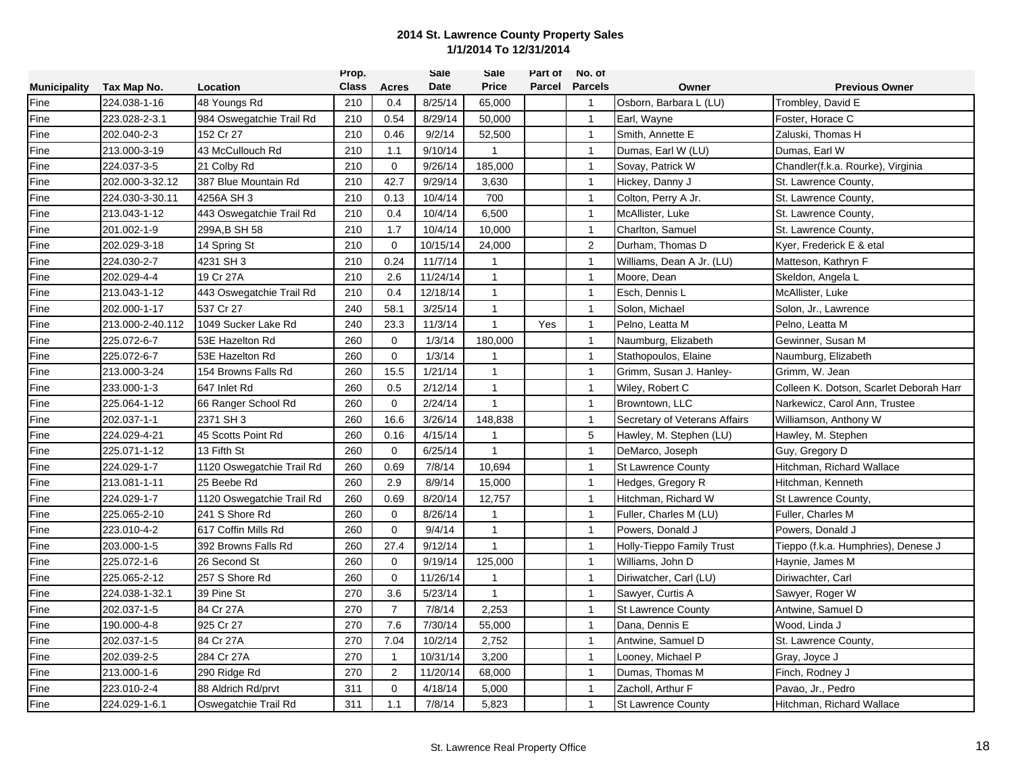|                     |                  |                           | Prop.        |                | <b>Sale</b> | <b>Sale</b>  | Part of | No. of         |                               |                                         |
|---------------------|------------------|---------------------------|--------------|----------------|-------------|--------------|---------|----------------|-------------------------------|-----------------------------------------|
| <b>Municipality</b> | Tax Map No.      | Location                  | <b>Class</b> | Acres          | Date        | Price        | Parcel  | <b>Parcels</b> | Owner                         | <b>Previous Owner</b>                   |
| Fine                | 224.038-1-16     | 48 Youngs Rd              | 210          | 0.4            | 8/25/14     | 65,000       |         | $\overline{1}$ | Osborn, Barbara L (LU)        | Trombley, David E                       |
| Fine                | 223.028-2-3.1    | 984 Oswegatchie Trail Rd  | 210          | 0.54           | 8/29/14     | 50,000       |         | $\mathbf{1}$   | Earl, Wayne                   | Foster, Horace C                        |
| Fine                | 202.040-2-3      | 152 Cr 27                 | 210          | 0.46           | 9/2/14      | 52,500       |         | $\mathbf{1}$   | Smith, Annette E              | Zaluski, Thomas H                       |
| Fine                | 213.000-3-19     | 43 McCullouch Rd          | 210          | 1.1            | 9/10/14     | $\mathbf{1}$ |         | $\mathbf{1}$   | Dumas, Earl W (LU)            | Dumas, Earl W                           |
| Fine                | 224.037-3-5      | 21 Colby Rd               | 210          | $\mathbf 0$    | 9/26/14     | 185,000      |         | $\mathbf{1}$   | Sovay, Patrick W              | Chandler(f.k.a. Rourke), Virginia       |
| Fine                | 202.000-3-32.12  | 387 Blue Mountain Rd      | 210          | 42.7           | 9/29/14     | 3,630        |         | $\mathbf{1}$   | Hickey, Danny J               | St. Lawrence County,                    |
| Fine                | 224.030-3-30.11  | 4256A SH 3                | 210          | 0.13           | 10/4/14     | 700          |         | $\mathbf{1}$   | Colton, Perry A Jr.           | St. Lawrence County,                    |
| Fine                | 213.043-1-12     | 443 Oswegatchie Trail Rd  | 210          | 0.4            | 10/4/14     | 6,500        |         | $\mathbf{1}$   | McAllister, Luke              | St. Lawrence County,                    |
| Fine                | 201.002-1-9      | 299A, B SH 58             | 210          | 1.7            | 10/4/14     | 10,000       |         | $\mathbf{1}$   | Charlton, Samuel              | St. Lawrence County,                    |
| Fine                | 202.029-3-18     | 14 Spring St              | 210          | $\mathbf 0$    | 10/15/14    | 24,000       |         | $\overline{2}$ | Durham, Thomas D              | Kyer, Frederick E & etal                |
| Fine                | 224.030-2-7      | 4231 SH 3                 | 210          | 0.24           | 11/7/14     | $\mathbf{1}$ |         | $\mathbf{1}$   | Williams, Dean A Jr. (LU)     | Matteson, Kathryn F                     |
| Fine                | 202.029-4-4      | 19 Cr 27A                 | 210          | 2.6            | 11/24/14    | $\mathbf{1}$ |         | $\mathbf{1}$   | Moore, Dean                   | Skeldon, Angela L                       |
| Fine                | 213.043-1-12     | 443 Oswegatchie Trail Rd  | 210          | 0.4            | 12/18/14    | $\mathbf{1}$ |         | $\overline{1}$ | Esch, Dennis L                | McAllister, Luke                        |
| Fine                | 202.000-1-17     | 537 Cr 27                 | 240          | 58.1           | 3/25/14     | $\mathbf{1}$ |         | $\mathbf{1}$   | Solon, Michael                | Solon, Jr., Lawrence                    |
| Fine                | 213.000-2-40.112 | 1049 Sucker Lake Rd       | 240          | 23.3           | 11/3/14     | $\mathbf{1}$ | Yes     | $\mathbf{1}$   | Pelno, Leatta M               | Pelno, Leatta M                         |
| Fine                | 225.072-6-7      | 53E Hazelton Rd           | 260          | $\mathbf 0$    | 1/3/14      | 180,000      |         | $\mathbf{1}$   | Naumburg, Elizabeth           | Gewinner, Susan M                       |
| Fine                | 225.072-6-7      | 53E Hazelton Rd           | 260          | $\mathbf 0$    | 1/3/14      | 1            |         | $\mathbf{1}$   | Stathopoulos, Elaine          | Naumburg, Elizabeth                     |
| Fine                | 213.000-3-24     | 154 Browns Falls Rd       | 260          | 15.5           | 1/21/14     | $\mathbf{1}$ |         | $\mathbf{1}$   | Grimm, Susan J. Hanley-       | Grimm, W. Jean                          |
| Fine                | 233.000-1-3      | 647 Inlet Rd              | 260          | 0.5            | 2/12/14     | $\mathbf{1}$ |         | $\mathbf{1}$   | Wiley, Robert C               | Colleen K. Dotson, Scarlet Deborah Harr |
| Fine                | 225.064-1-12     | 66 Ranger School Rd       | 260          | $\mathbf 0$    | 2/24/14     | $\mathbf{1}$ |         | $\mathbf{1}$   | Browntown, LLC                | Narkewicz, Carol Ann, Trustee           |
| Fine                | 202.037-1-1      | 2371 SH 3                 | 260          | 16.6           | 3/26/14     | 148,838      |         | $\mathbf{1}$   | Secretary of Veterans Affairs | Williamson, Anthony W                   |
| Fine                | 224.029-4-21     | 45 Scotts Point Rd        | 260          | 0.16           | 4/15/14     | 1            |         | 5              | Hawley, M. Stephen (LU)       | Hawley, M. Stephen                      |
| Fine                | 225.071-1-12     | 13 Fifth St               | 260          | $\mathbf 0$    | 6/25/14     | $\mathbf{1}$ |         | $\mathbf{1}$   | DeMarco, Joseph               | Guy, Gregory D                          |
| Fine                | 224.029-1-7      | 1120 Oswegatchie Trail Rd | 260          | 0.69           | 7/8/14      | 10,694       |         | $\mathbf{1}$   | <b>St Lawrence County</b>     | Hitchman, Richard Wallace               |
| Fine                | 213.081-1-11     | 25 Beebe Rd               | 260          | 2.9            | 8/9/14      | 15,000       |         | $\mathbf{1}$   | Hedges, Gregory R             | Hitchman, Kenneth                       |
| Fine                | 224.029-1-7      | 1120 Oswegatchie Trail Rd | 260          | 0.69           | 8/20/14     | 12,757       |         | $\overline{1}$ | Hitchman, Richard W           | St Lawrence County,                     |
| Fine                | 225.065-2-10     | 241 S Shore Rd            | 260          | $\mathbf 0$    | 8/26/14     | $\mathbf{1}$ |         | $\mathbf{1}$   | Fuller, Charles M (LU)        | Fuller, Charles M                       |
| Fine                | 223.010-4-2      | 617 Coffin Mills Rd       | 260          | $\mathbf 0$    | 9/4/14      | $\mathbf{1}$ |         | $\overline{1}$ | Powers. Donald J              | Powers, Donald J                        |
| Fine                | 203.000-1-5      | 392 Browns Falls Rd       | 260          | 27.4           | 9/12/14     | $\mathbf{1}$ |         | $\mathbf{1}$   | Holly-Tieppo Family Trust     | Tieppo (f.k.a. Humphries), Denese J     |
| Fine                | 225.072-1-6      | 26 Second St              | 260          | $\Omega$       | 9/19/14     | 125,000      |         | $\mathbf{1}$   | Williams, John D              | Haynie, James M                         |
| Fine                | 225.065-2-12     | 257 S Shore Rd            | 260          | $\mathbf 0$    | 11/26/14    | $\mathbf{1}$ |         | $\mathbf{1}$   | Diriwatcher, Carl (LU)        | Diriwachter, Carl                       |
| Fine                | 224.038-1-32.1   | 39 Pine St                | 270          | 3.6            | 5/23/14     | $\mathbf{1}$ |         | $\mathbf{1}$   | Sawyer, Curtis A              | Sawyer, Roger W                         |
| Fine                | 202.037-1-5      | 84 Cr 27A                 | 270          | $\overline{7}$ | 7/8/14      | 2,253        |         | $\mathbf{1}$   | <b>St Lawrence County</b>     | Antwine, Samuel D                       |
| Fine                | 190.000-4-8      | 925 Cr 27                 | 270          | 7.6            | 7/30/14     | 55,000       |         | $\mathbf{1}$   | Dana, Dennis E                | Wood, Linda J                           |
| Fine                | 202.037-1-5      | 84 Cr 27A                 | 270          | 7.04           | 10/2/14     | 2,752        |         | $\mathbf{1}$   | Antwine, Samuel D             | St. Lawrence County,                    |
| Fine                | 202.039-2-5      | 284 Cr 27A                | 270          | $\mathbf{1}$   | 10/31/14    | 3,200        |         | $\mathbf{1}$   | Looney, Michael P             | Gray, Joyce J                           |
| Fine                | 213.000-1-6      | 290 Ridge Rd              | 270          | 2              | 11/20/14    | 68,000       |         | $\mathbf{1}$   | Dumas, Thomas M               | Finch, Rodney J                         |
| Fine                | 223.010-2-4      | 88 Aldrich Rd/prvt        | 311          | $\mathbf 0$    | 4/18/14     | 5,000        |         | $\mathbf{1}$   | Zacholl, Arthur F             | Pavao, Jr., Pedro                       |
| Fine                | 224.029-1-6.1    | Oswegatchie Trail Rd      | 311          | 1.1            | 7/8/14      | 5,823        |         | $\mathbf{1}$   | <b>St Lawrence County</b>     | Hitchman, Richard Wallace               |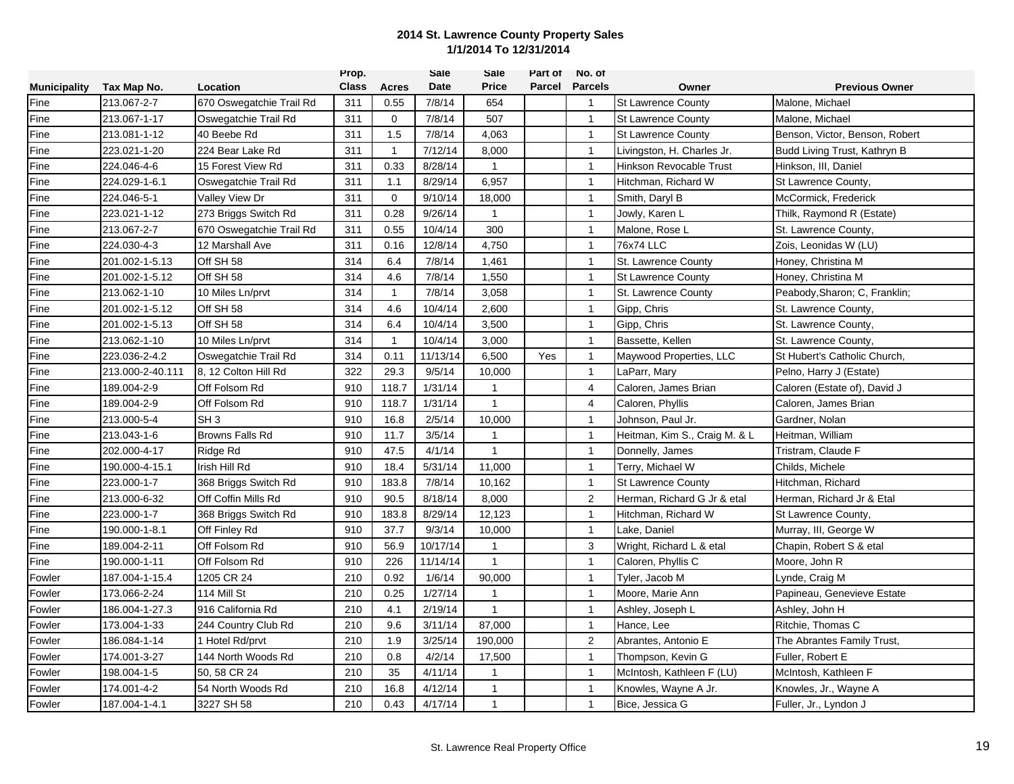|                     |                  |                          | Prop.        |              | Sale     | Sale         | Part of       | No. of         |                               |                                |
|---------------------|------------------|--------------------------|--------------|--------------|----------|--------------|---------------|----------------|-------------------------------|--------------------------------|
| <b>Municipality</b> | Tax Map No.      | Location                 | <b>Class</b> | Acres        | Date     | Price        | <b>Parcel</b> | <b>Parcels</b> | Owner                         | <b>Previous Owner</b>          |
| Fine                | 213.067-2-7      | 670 Oswegatchie Trail Rd | 311          | 0.55         | 7/8/14   | 654          |               | $\overline{1}$ | <b>St Lawrence County</b>     | Malone, Michael                |
| Fine                | 213.067-1-17     | Oswegatchie Trail Rd     | 311          | $\mathbf 0$  | 7/8/14   | 507          |               | $\mathbf{1}$   | <b>St Lawrence County</b>     | Malone, Michael                |
| Fine                | 213.081-1-12     | 40 Beebe Rd              | 311          | 1.5          | 7/8/14   | 4,063        |               | $\mathbf{1}$   | <b>St Lawrence County</b>     | Benson, Victor, Benson, Robert |
| Fine                | 223.021-1-20     | 224 Bear Lake Rd         | 311          | $\mathbf{1}$ | 7/12/14  | 8,000        |               | $\mathbf{1}$   | Livingston, H. Charles Jr.    | Budd Living Trust, Kathryn B   |
| Fine                | 224.046-4-6      | 15 Forest View Rd        | 311          | 0.33         | 8/28/14  | $\mathbf{1}$ |               | $\mathbf{1}$   | Hinkson Revocable Trust       | Hinkson, III, Daniel           |
| Fine                | 224.029-1-6.1    | Oswegatchie Trail Rd     | 311          | 1.1          | 8/29/14  | 6,957        |               | $\mathbf{1}$   | Hitchman, Richard W           | St Lawrence County,            |
| Fine                | 224.046-5-1      | Valley View Dr           | 311          | $\mathbf 0$  | 9/10/14  | 18,000       |               | $\mathbf{1}$   | Smith, Daryl B                | McCormick, Frederick           |
| Fine                | 223.021-1-12     | 273 Briggs Switch Rd     | 311          | 0.28         | 9/26/14  | $\mathbf{1}$ |               | $\mathbf{1}$   | Jowly, Karen L                | Thilk, Raymond R (Estate)      |
| Fine                | 213.067-2-7      | 670 Oswegatchie Trail Rd | 311          | 0.55         | 10/4/14  | 300          |               | $\mathbf{1}$   | Malone, Rose L                | St. Lawrence County,           |
| Fine                | 224.030-4-3      | 12 Marshall Ave          | 311          | 0.16         | 12/8/14  | 4,750        |               | $\mathbf{1}$   | 76x74 LLC                     | Zois, Leonidas W (LU)          |
| Fine                | 201.002-1-5.13   | Off SH 58                | 314          | 6.4          | 7/8/14   | 1,461        |               | $\mathbf{1}$   | St. Lawrence County           | Honey, Christina M             |
| Fine                | 201.002-1-5.12   | Off SH 58                | 314          | 4.6          | 7/8/14   | 1,550        |               | $\mathbf{1}$   | <b>St Lawrence County</b>     | Honey, Christina M             |
| Fine                | 213.062-1-10     | 10 Miles Ln/prvt         | 314          | $\mathbf{1}$ | 7/8/14   | 3,058        |               | $\mathbf{1}$   | St. Lawrence County           | Peabody, Sharon; C, Franklin;  |
| Fine                | 201.002-1-5.12   | Off SH 58                | 314          | 4.6          | 10/4/14  | 2,600        |               | $\mathbf{1}$   | Gipp, Chris                   | St. Lawrence County,           |
| Fine                | 201.002-1-5.13   | Off SH 58                | 314          | 6.4          | 10/4/14  | 3,500        |               | $\mathbf{1}$   | Gipp, Chris                   | St. Lawrence County,           |
| Fine                | 213.062-1-10     | 10 Miles Ln/prvt         | 314          | $\mathbf{1}$ | 10/4/14  | 3,000        |               | $\mathbf{1}$   | Bassette, Kellen              | St. Lawrence County,           |
| Fine                | 223.036-2-4.2    | Oswegatchie Trail Rd     | 314          | 0.11         | 11/13/14 | 6,500        | Yes           | $\mathbf{1}$   | Maywood Properties, LLC       | St Hubert's Catholic Church,   |
| Fine                | 213.000-2-40.111 | 8, 12 Colton Hill Rd     | 322          | 29.3         | 9/5/14   | 10,000       |               | $\mathbf{1}$   | LaParr, Mary                  | Pelno, Harry J (Estate)        |
| Fine                | 189.004-2-9      | Off Folsom Rd            | 910          | 118.7        | 1/31/14  | $\mathbf{1}$ |               | 4              | Caloren, James Brian          | Caloren (Estate of), David J   |
| Fine                | 189.004-2-9      | Off Folsom Rd            | 910          | 118.7        | 1/31/14  | $\mathbf{1}$ |               | $\overline{4}$ | Caloren, Phyllis              | Caloren, James Brian           |
| Fine                | 213.000-5-4      | SH <sub>3</sub>          | 910          | 16.8         | 2/5/14   | 10,000       |               | $\mathbf{1}$   | Johnson, Paul Jr.             | Gardner, Nolan                 |
| Fine                | 213.043-1-6      | <b>Browns Falls Rd</b>   | 910          | 11.7         | 3/5/14   | $\mathbf{1}$ |               | $\mathbf{1}$   | Heitman, Kim S., Craig M. & L | Heitman, William               |
| Fine                | 202.000-4-17     | Ridge Rd                 | 910          | 47.5         | 4/1/14   | $\mathbf{1}$ |               | $\mathbf{1}$   | Donnelly, James               | Tristram, Claude F             |
| Fine                | 190.000-4-15.1   | Irish Hill Rd            | 910          | 18.4         | 5/31/14  | 11,000       |               | $\mathbf{1}$   | Terry, Michael W              | Childs, Michele                |
| Fine                | 223.000-1-7      | 368 Briggs Switch Rd     | 910          | 183.8        | 7/8/14   | 10,162       |               | $\mathbf{1}$   | <b>St Lawrence County</b>     | Hitchman, Richard              |
| Fine                | 213.000-6-32     | Off Coffin Mills Rd      | 910          | 90.5         | 8/18/14  | 8,000        |               | $\overline{2}$ | Herman, Richard G Jr & etal   | Herman, Richard Jr & Etal      |
| Fine                | 223.000-1-7      | 368 Briggs Switch Rd     | 910          | 183.8        | 8/29/14  | 12,123       |               | $\mathbf{1}$   | Hitchman, Richard W           | St Lawrence County,            |
| Fine                | 190.000-1-8.1    | Off Finley Rd            | 910          | 37.7         | 9/3/14   | 10,000       |               | $\mathbf{1}$   | Lake, Daniel                  | Murray, III, George W          |
| Fine                | 189.004-2-11     | Off Folsom Rd            | 910          | 56.9         | 10/17/14 | $\mathbf{1}$ |               | 3              | Wright, Richard L & etal      | Chapin, Robert S & etal        |
| Fine                | 190.000-1-11     | Off Folsom Rd            | 910          | 226          | 11/14/14 | $\mathbf{1}$ |               | $\overline{1}$ | Caloren, Phyllis C            | Moore, John R                  |
| Fowler              | 187.004-1-15.4   | 1205 CR 24               | 210          | 0.92         | 1/6/14   | 90,000       |               | $\mathbf{1}$   | Tyler, Jacob M                | Lynde, Craig M                 |
| Fowler              | 173.066-2-24     | 114 Mill St              | 210          | 0.25         | 1/27/14  | $\mathbf{1}$ |               | $\mathbf{1}$   | Moore, Marie Ann              | Papineau, Genevieve Estate     |
| Fowler              | 186.004-1-27.3   | 916 California Rd        | 210          | 4.1          | 2/19/14  | $\mathbf{1}$ |               | $\overline{1}$ | Ashley, Joseph L              | Ashley, John H                 |
| Fowler              | 173.004-1-33     | 244 Country Club Rd      | 210          | 9.6          | 3/11/14  | 87,000       |               | $\mathbf{1}$   | Hance, Lee                    | Ritchie, Thomas C              |
| Fowler              | 186.084-1-14     | 1 Hotel Rd/prvt          | 210          | 1.9          | 3/25/14  | 190,000      |               | $\overline{2}$ | Abrantes, Antonio E           | The Abrantes Family Trust,     |
| Fowler              | 174.001-3-27     | 144 North Woods Rd       | 210          | 0.8          | 4/2/14   | 17,500       |               | $\mathbf{1}$   | Thompson, Kevin G             | Fuller, Robert E               |
| Fowler              | 198.004-1-5      | 50, 58 CR 24             | 210          | 35           | 4/11/14  | $\mathbf{1}$ |               | $\mathbf{1}$   | McIntosh, Kathleen F (LU)     | McIntosh, Kathleen F           |
| Fowler              | 174.001-4-2      | 54 North Woods Rd        | 210          | 16.8         | 4/12/14  | $\mathbf{1}$ |               | $\mathbf{1}$   | Knowles, Wayne A Jr.          | Knowles, Jr., Wayne A          |
| Fowler              | 187.004-1-4.1    | 3227 SH 58               | 210          | 0.43         | 4/17/14  | $\mathbf{1}$ |               | $\overline{1}$ | Bice, Jessica G               | Fuller, Jr., Lyndon J          |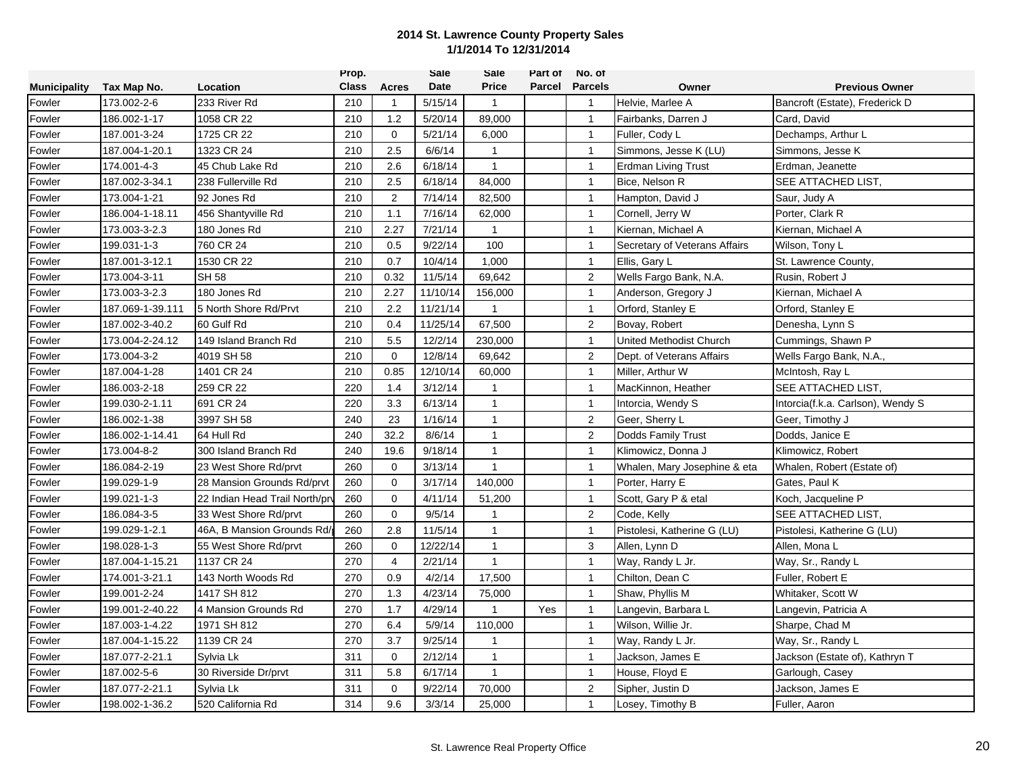|                     |                  |                               | Prop.        |                | <b>Sale</b> | Sale           | Part of | No. of         |                               |                                   |
|---------------------|------------------|-------------------------------|--------------|----------------|-------------|----------------|---------|----------------|-------------------------------|-----------------------------------|
| <b>Municipality</b> | Tax Map No.      | Location                      | <b>Class</b> | <b>Acres</b>   | Date        | <b>Price</b>   | Parcel  | <b>Parcels</b> | Owner                         | <b>Previous Owner</b>             |
| Fowler              | 173.002-2-6      | 233 River Rd                  | 210          |                | 5/15/14     | $\mathbf{1}$   |         | $\mathbf{1}$   | Helvie, Marlee A              | Bancroft (Estate), Frederick D    |
| Fowler              | 186.002-1-17     | 1058 CR 22                    | 210          | 1.2            | 5/20/14     | 89,000         |         | $\overline{1}$ | Fairbanks, Darren J           | Card, David                       |
| Fowler              | 187.001-3-24     | 1725 CR 22                    | 210          | $\mathbf 0$    | 5/21/14     | 6,000          |         | $\mathbf{1}$   | Fuller, Cody L                | Dechamps, Arthur L                |
| Fowler              | 187.004-1-20.1   | 1323 CR 24                    | 210          | 2.5            | 6/6/14      | $\mathbf{1}$   |         | $\mathbf{1}$   | Simmons, Jesse K (LU)         | Simmons, Jesse K                  |
| Fowler              | 174.001-4-3      | 45 Chub Lake Rd               | 210          | 2.6            | 6/18/14     | $\mathbf{1}$   |         | $\mathbf{1}$   | <b>Erdman Living Trust</b>    | Erdman, Jeanette                  |
| Fowler              | 187.002-3-34.1   | 238 Fullerville Rd            | 210          | 2.5            | 6/18/14     | 84.000         |         | $\mathbf{1}$   | Bice, Nelson R                | SEE ATTACHED LIST,                |
| Fowler              | 173.004-1-21     | 92 Jones Rd                   | 210          | $\overline{2}$ | 7/14/14     | 82,500         |         | $\mathbf{1}$   | Hampton, David J              | Saur, Judy A                      |
| Fowler              | 186.004-1-18.11  | 456 Shantyville Rd            | 210          | 1.1            | 7/16/14     | 62,000         |         | $\overline{1}$ | Cornell, Jerry W              | Porter, Clark R                   |
| Fowler              | 173.003-3-2.3    | 180 Jones Rd                  | 210          | 2.27           | 7/21/14     | $\mathbf{1}$   |         | $\overline{1}$ | Kiernan, Michael A            | Kiernan, Michael A                |
| Fowler              | 199.031-1-3      | 760 CR 24                     | 210          | 0.5            | 9/22/14     | 100            |         | $\mathbf{1}$   | Secretary of Veterans Affairs | Wilson, Tony L                    |
| Fowler              | 187.001-3-12.1   | 1530 CR 22                    | 210          | 0.7            | 10/4/14     | 1,000          |         | $\mathbf{1}$   | Ellis, Gary L                 | St. Lawrence County,              |
| Fowler              | 173.004-3-11     | <b>SH 58</b>                  | 210          | 0.32           | 11/5/14     | 69,642         |         | 2              | Wells Fargo Bank, N.A.        | Rusin, Robert J                   |
| Fowler              | 173.003-3-2.3    | 180 Jones Rd                  | 210          | 2.27           | 11/10/14    | 156,000        |         | $\mathbf{1}$   | Anderson, Gregory J           | Kiernan, Michael A                |
| Fowler              | 187.069-1-39.111 | 5 North Shore Rd/Prvt         | 210          | 2.2            | 11/21/14    | $\mathbf{1}$   |         | $\mathbf{1}$   | Orford, Stanley E             | Orford, Stanley E                 |
| Fowler              | 187.002-3-40.2   | 60 Gulf Rd                    | 210          | 0.4            | 11/25/14    | 67,500         |         | 2              | Bovay, Robert                 | Denesha, Lynn S                   |
| Fowler              | 173.004-2-24.12  | 149 Island Branch Rd          | 210          | 5.5            | 12/2/14     | 230,000        |         | $\mathbf{1}$   | United Methodist Church       | Cummings, Shawn P                 |
| Fowler              | 173.004-3-2      | 4019 SH 58                    | 210          | $\mathbf 0$    | 12/8/14     | 69,642         |         | 2              | Dept. of Veterans Affairs     | Wells Fargo Bank, N.A.,           |
| Fowler              | 187.004-1-28     | 1401 CR 24                    | 210          | 0.85           | 12/10/14    | 60,000         |         | $\mathbf{1}$   | Miller, Arthur W              | McIntosh, Ray L                   |
| Fowler              | 186.003-2-18     | 259 CR 22                     | 220          | 1.4            | 3/12/14     | $\mathbf{1}$   |         | $\mathbf{1}$   | MacKinnon, Heather            | SEE ATTACHED LIST,                |
| Fowler              | 199.030-2-1.11   | 691 CR 24                     | 220          | 3.3            | 6/13/14     | $\mathbf{1}$   |         | $\mathbf{1}$   | Intorcia, Wendy S             | Intorcia(f.k.a. Carlson), Wendy S |
| Fowler              | 186.002-1-38     | 3997 SH 58                    | 240          | 23             | 1/16/14     | $\mathbf{1}$   |         | $\overline{2}$ | Geer, Sherry L                | Geer, Timothy J                   |
| Fowler              | 186.002-1-14.41  | 64 Hull Rd                    | 240          | 32.2           | 8/6/14      | $\mathbf{1}$   |         | 2              | Dodds Family Trust            | Dodds, Janice E                   |
| Fowler              | 173.004-8-2      | 300 Island Branch Rd          | 240          | 19.6           | 9/18/14     | $\mathbf{1}$   |         | $\mathbf{1}$   | Klimowicz, Donna J            | Klimowicz, Robert                 |
| Fowler              | 186.084-2-19     | 23 West Shore Rd/prvt         | 260          | 0              | 3/13/14     | $\mathbf{1}$   |         | $\mathbf{1}$   | Whalen, Mary Josephine & eta  | Whalen, Robert (Estate of)        |
| Fowler              | 199.029-1-9      | 28 Mansion Grounds Rd/prvt    | 260          | $\mathbf 0$    | 3/17/14     | 140,000        |         | $\mathbf{1}$   | Porter, Harry E               | Gates, Paul K                     |
| Fowler              | 199.021-1-3      | 22 Indian Head Trail North/pr | 260          | $\mathbf 0$    | 4/11/14     | 51,200         |         | $\mathbf{1}$   | Scott, Gary P & etal          | Koch, Jacqueline P                |
| Fowler              | 186.084-3-5      | 33 West Shore Rd/prvt         | 260          | $\mathbf 0$    | 9/5/14      | $\mathbf{1}$   |         | $\overline{2}$ | Code, Kelly                   | SEE ATTACHED LIST,                |
| Fowler              | 199.029-1-2.1    | 46A, B Mansion Grounds Rd/    | 260          | 2.8            | 11/5/14     | $\mathbf{1}$   |         | $\overline{1}$ | Pistolesi, Katherine G (LU)   | Pistolesi, Katherine G (LU)       |
| Fowler              | 198.028-1-3      | 55 West Shore Rd/prvt         | 260          | $\mathbf 0$    | 12/22/14    | $\mathbf{1}$   |         | 3              | Allen, Lynn D                 | Allen, Mona L                     |
| Fowler              | 187.004-1-15.21  | 1137 CR 24                    | 270          | 4              | 2/21/14     | $\mathbf{1}$   |         | $\mathbf{1}$   | Way, Randy L Jr.              | Way, Sr., Randy L                 |
| Fowler              | 174.001-3-21.1   | 143 North Woods Rd            | 270          | 0.9            | 4/2/14      | 17,500         |         | $\mathbf{1}$   | Chilton, Dean C               | Fuller, Robert E                  |
| Fowler              | 199.001-2-24     | 1417 SH 812                   | 270          | 1.3            | 4/23/14     | 75,000         |         | $\mathbf{1}$   | Shaw, Phyllis M               | Whitaker, Scott W                 |
| Fowler              | 199.001-2-40.22  | 4 Mansion Grounds Rd          | 270          | 1.7            | 4/29/14     | $\mathbf{1}$   | Yes     | $\mathbf{1}$   | Langevin, Barbara L           | Langevin, Patricia A              |
| Fowler              | 187.003-1-4.22   | 1971 SH 812                   | 270          | 6.4            | 5/9/14      | 110,000        |         | $\mathbf{1}$   | Wilson, Willie Jr.            | Sharpe, Chad M                    |
| Fowler              | 187.004-1-15.22  | 1139 CR 24                    | 270          | 3.7            | 9/25/14     | $\overline{1}$ |         | $\mathbf{1}$   | Way, Randy L Jr.              | Way, Sr., Randy L                 |
| Fowler              | 187.077-2-21.1   | Sylvia Lk                     | 311          | $\mathbf 0$    | 2/12/14     | $\mathbf{1}$   |         | $\mathbf{1}$   | Jackson, James E              | Jackson (Estate of), Kathryn T    |
| Fowler              | 187.002-5-6      | 30 Riverside Dr/prvt          | 311          | 5.8            | 6/17/14     | $\mathbf{1}$   |         | $\mathbf{1}$   | House, Floyd E                | Garlough, Casey                   |
| Fowler              | 187.077-2-21.1   | Sylvia Lk                     | 311          | $\mathbf 0$    | 9/22/14     | 70,000         |         | $\overline{2}$ | Sipher, Justin D              | Jackson, James E                  |
| Fowler              | 198.002-1-36.2   | 520 California Rd             | 314          | 9.6            | 3/3/14      | 25,000         |         | $\mathbf{1}$   | Losey, Timothy B              | Fuller, Aaron                     |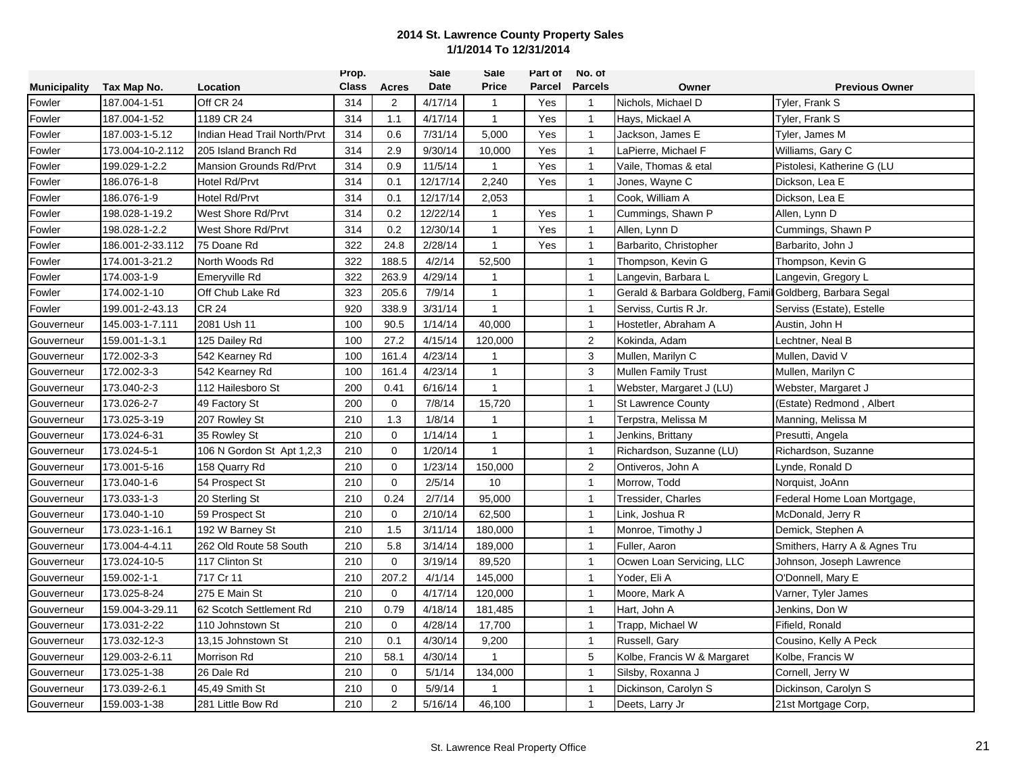|                     |                  |                                | Prop.        |                | <b>Sale</b> | Sale           | Part of | No. of         |                                                          |                               |
|---------------------|------------------|--------------------------------|--------------|----------------|-------------|----------------|---------|----------------|----------------------------------------------------------|-------------------------------|
| <b>Municipality</b> | Tax Map No.      | Location                       | <b>Class</b> | Acres          | <b>Date</b> | <b>Price</b>   | Parcel  | <b>Parcels</b> | Owner                                                    | <b>Previous Owner</b>         |
| Fowler              | 187.004-1-51     | Off CR 24                      | 314          | $\overline{2}$ | 4/17/14     | $\mathbf{1}$   | Yes     | $\mathbf{1}$   | Nichols, Michael D                                       | Tyler, Frank S                |
| Fowler              | 187.004-1-52     | 1189 CR 24                     | 314          | 1.1            | 4/17/14     | $\mathbf{1}$   | Yes     | $\mathbf{1}$   | Hays, Mickael A                                          | Tyler, Frank S                |
| Fowler              | 187.003-1-5.12   | Indian Head Trail North/Prvt   | 314          | 0.6            | 7/31/14     | 5,000          | Yes     | $\mathbf{1}$   | Jackson, James E                                         | Tyler, James M                |
| Fowler              | 173.004-10-2.112 | 205 Island Branch Rd           | 314          | 2.9            | 9/30/14     | 10,000         | Yes     | $\mathbf{1}$   | LaPierre, Michael F                                      | Williams, Gary C              |
| Fowler              | 199.029-1-2.2    | <b>Mansion Grounds Rd/Prvt</b> | 314          | 0.9            | 11/5/14     | $\mathbf{1}$   | Yes     | $\mathbf{1}$   | Vaile, Thomas & etal                                     | Pistolesi, Katherine G (LU    |
| Fowler              | 186.076-1-8      | Hotel Rd/Prvt                  | 314          | 0.1            | 12/17/14    | 2,240          | Yes     | $\mathbf{1}$   | Jones, Wayne C                                           | Dickson, Lea E                |
| Fowler              | 186.076-1-9      | Hotel Rd/Prvt                  | 314          | 0.1            | 12/17/14    | 2,053          |         | $\mathbf{1}$   | Cook, William A                                          | Dickson, Lea E                |
| Fowler              | 198.028-1-19.2   | West Shore Rd/Prvt             | 314          | 0.2            | 12/22/14    | $\mathbf{1}$   | Yes     | $\overline{1}$ | Cummings, Shawn P                                        | Allen, Lynn D                 |
| Fowler              | 198.028-1-2.2    | West Shore Rd/Prvt             | 314          | 0.2            | 12/30/14    | $\mathbf{1}$   | Yes     | $\mathbf{1}$   | Allen, Lynn D                                            | Cummings, Shawn P             |
| Fowler              | 186.001-2-33.112 | 75 Doane Rd                    | 322          | 24.8           | 2/28/14     | $\mathbf{1}$   | Yes     | $\mathbf{1}$   | Barbarito, Christopher                                   | Barbarito, John J             |
| Fowler              | 174.001-3-21.2   | North Woods Rd                 | 322          | 188.5          | 4/2/14      | 52,500         |         | $\mathbf{1}$   | Thompson, Kevin G                                        | Thompson, Kevin G             |
| Fowler              | 174.003-1-9      | Emeryville Rd                  | 322          | 263.9          | 4/29/14     | $\mathbf 1$    |         | $\mathbf{1}$   | Langevin, Barbara L                                      | Langevin, Gregory L           |
| Fowler              | 174.002-1-10     | Off Chub Lake Rd               | 323          | 205.6          | 7/9/14      | $\overline{1}$ |         | $\mathbf{1}$   | Gerald & Barbara Goldberg, Famil Goldberg, Barbara Segal |                               |
| Fowler              | 199.001-2-43.13  | <b>CR 24</b>                   | 920          | 338.9          | 3/31/14     | $\mathbf{1}$   |         | $\mathbf{1}$   | Serviss, Curtis R Jr.                                    | Serviss (Estate), Estelle     |
| Gouverneur          | 145.003-1-7.111  | 2081 Ush 11                    | 100          | 90.5           | 1/14/14     | 40,000         |         | $\overline{1}$ | Hostetler, Abraham A                                     | Austin, John H                |
| Gouverneur          | 159.001-1-3.1    | 125 Dailey Rd                  | 100          | 27.2           | 4/15/14     | 120,000        |         | $\overline{2}$ | Kokinda, Adam                                            | Lechtner, Neal B              |
| Gouverneur          | 172.002-3-3      | 542 Kearney Rd                 | 100          | 161.4          | 4/23/14     | $\overline{1}$ |         | 3              | Mullen, Marilyn C                                        | Mullen, David V               |
| Gouverneur          | 172.002-3-3      | 542 Kearney Rd                 | 100          | 161.4          | 4/23/14     | $\mathbf{1}$   |         | $\mathbf{3}$   | <b>Mullen Family Trust</b>                               | Mullen, Marilyn C             |
| Gouverneur          | 173.040-2-3      | 112 Hailesboro St              | 200          | 0.41           | 6/16/14     | $\mathbf{1}$   |         | $\mathbf{1}$   | Webster, Margaret J (LU)                                 | Webster, Margaret J           |
| Gouverneur          | 173.026-2-7      | 49 Factory St                  | 200          | $\mathbf 0$    | 7/8/14      | 15,720         |         | $\mathbf{1}$   | <b>St Lawrence County</b>                                | (Estate) Redmond, Albert      |
| Gouverneur          | 173.025-3-19     | 207 Rowley St                  | 210          | 1.3            | 1/8/14      | $\mathbf{1}$   |         | $\mathbf{1}$   | Terpstra, Melissa M                                      | Manning, Melissa M            |
| Gouverneur          | 173.024-6-31     | 35 Rowley St                   | 210          | $\mathbf 0$    | 1/14/14     | $\mathbf{1}$   |         | $\mathbf{1}$   | Jenkins, Brittany                                        | Presutti, Angela              |
| Gouverneur          | 173.024-5-1      | 106 N Gordon St Apt 1,2,3      | 210          | $\Omega$       | 1/20/14     | $\overline{1}$ |         | $\mathbf{1}$   | Richardson, Suzanne (LU)                                 | Richardson, Suzanne           |
| Gouverneur          | 173.001-5-16     | 158 Quarry Rd                  | 210          | $\Omega$       | 1/23/14     | 150,000        |         | 2              | Ontiveros, John A                                        | Lynde, Ronald D               |
| Gouverneur          | 173.040-1-6      | 54 Prospect St                 | 210          | $\mathbf 0$    | 2/5/14      | 10             |         | $\mathbf{1}$   | Morrow, Todd                                             | Norquist, JoAnn               |
| Gouverneur          | 173.033-1-3      | 20 Sterling St                 | 210          | 0.24           | 2/7/14      | 95,000         |         | $\mathbf{1}$   | Tressider, Charles                                       | Federal Home Loan Mortgage,   |
| Gouverneur          | 173.040-1-10     | 59 Prospect St                 | 210          | $\mathbf 0$    | 2/10/14     | 62,500         |         | $\mathbf{1}$   | Link, Joshua R                                           | McDonald, Jerry R             |
| Gouverneur          | 173.023-1-16.1   | 192 W Barney St                | 210          | $1.5\,$        | 3/11/14     | 180,000        |         | $\mathbf{1}$   | Monroe, Timothy J                                        | Demick, Stephen A             |
| Gouverneur          | 173.004-4-4.11   | 262 Old Route 58 South         | 210          | 5.8            | 3/14/14     | 189,000        |         | $\overline{1}$ | Fuller, Aaron                                            | Smithers, Harry A & Agnes Tru |
| Gouverneur          | 173.024-10-5     | 117 Clinton St                 | 210          | $\Omega$       | 3/19/14     | 89,520         |         | $\mathbf{1}$   | Ocwen Loan Servicing, LLC                                | Johnson, Joseph Lawrence      |
| Gouverneur          | 159.002-1-1      | 717 Cr 11                      | 210          | 207.2          | 4/1/14      | 145,000        |         | $\mathbf{1}$   | Yoder, Eli A                                             | O'Donnell, Mary E             |
| Gouverneur          | 173.025-8-24     | 275 E Main St                  | 210          | $\Omega$       | 4/17/14     | 120,000        |         | $\mathbf{1}$   | Moore, Mark A                                            | Varner, Tyler James           |
| Gouverneur          | 159.004-3-29.11  | 62 Scotch Settlement Rd        | 210          | 0.79           | 4/18/14     | 181,485        |         | $\mathbf{1}$   | Hart, John A                                             | Jenkins, Don W                |
| Gouverneur          | 173.031-2-22     | 110 Johnstown St               | 210          | $\mathbf 0$    | 4/28/14     | 17,700         |         | $\overline{1}$ | Trapp, Michael W                                         | Fifield, Ronald               |
| Gouverneur          | 173.032-12-3     | 13,15 Johnstown St             | 210          | 0.1            | 4/30/14     | 9,200          |         | $\mathbf{1}$   | Russell, Gary                                            | Cousino, Kelly A Peck         |
| Gouverneur          | 129.003-2-6.11   | <b>Morrison Rd</b>             | 210          | 58.1           | 4/30/14     | $\overline{1}$ |         | 5              | Kolbe, Francis W & Margaret                              | Kolbe, Francis W              |
| Gouverneur          | 173.025-1-38     | 26 Dale Rd                     | 210          | 0              | 5/1/14      | 134,000        |         | $\mathbf{1}$   | Silsby, Roxanna J                                        | Cornell, Jerry W              |
| Gouverneur          | 173.039-2-6.1    | 45,49 Smith St                 | 210          | $\mathbf 0$    | 5/9/14      | 1              |         | $\mathbf{1}$   | Dickinson, Carolyn S                                     | Dickinson, Carolyn S          |
| Gouverneur          | 159.003-1-38     | 281 Little Bow Rd              | 210          | $\overline{2}$ | 5/16/14     | 46,100         |         | $\mathbf{1}$   | Deets, Larry Jr                                          | 21st Mortgage Corp,           |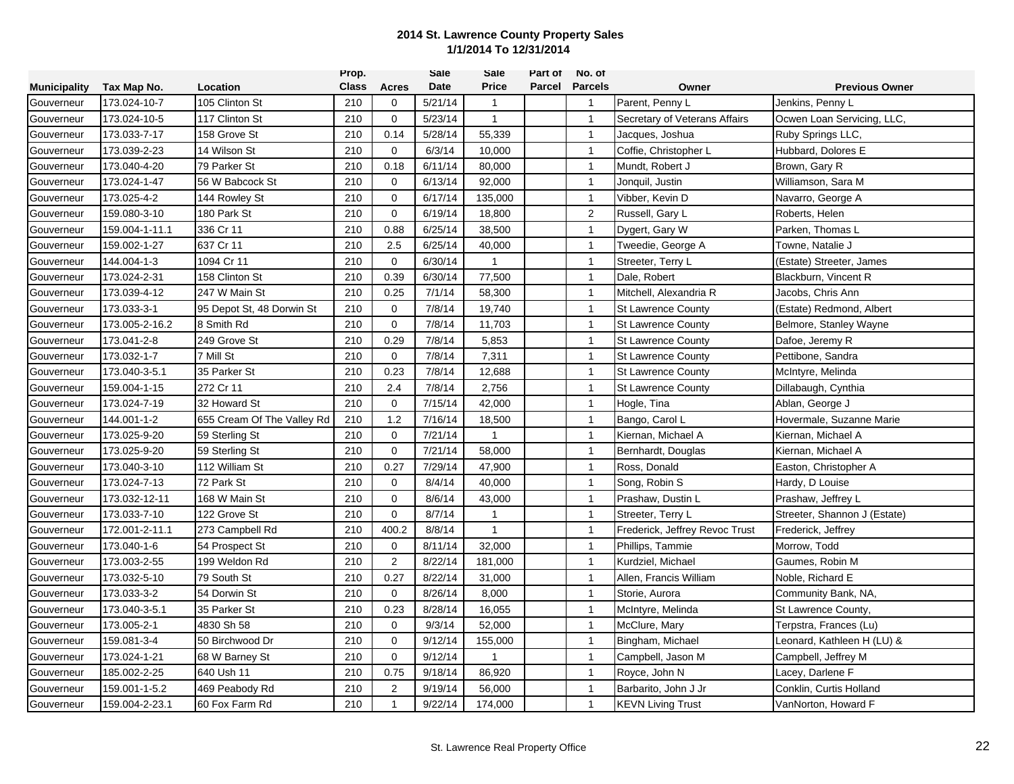|                     |                |                            | Prop.        |                | Sale    | Sale         | Part of | No. of         |                                |                              |
|---------------------|----------------|----------------------------|--------------|----------------|---------|--------------|---------|----------------|--------------------------------|------------------------------|
| <b>Municipality</b> | Tax Map No.    | Location                   | <b>Class</b> | Acres          | Date    | <b>Price</b> | Parcel  | <b>Parcels</b> | Owner                          | <b>Previous Owner</b>        |
| Gouverneur          | 173.024-10-7   | 105 Clinton St             | 210          | 0              | 5/21/14 | 1            |         | $\overline{1}$ | Parent, Penny L                | Jenkins, Penny L             |
| Gouverneur          | 173.024-10-5   | 117 Clinton St             | 210          | $\mathbf{0}$   | 5/23/14 | $\mathbf{1}$ |         | $\mathbf{1}$   | Secretary of Veterans Affairs  | Ocwen Loan Servicing, LLC,   |
| Gouverneur          | 173.033-7-17   | 158 Grove St               | 210          | 0.14           | 5/28/14 | 55,339       |         | $\overline{1}$ | Jacques, Joshua                | Ruby Springs LLC,            |
| Gouverneur          | 173.039-2-23   | 14 Wilson St               | 210          | $\mathbf 0$    | 6/3/14  | 10,000       |         | $\mathbf{1}$   | Coffie, Christopher L          | Hubbard, Dolores E           |
| Gouverneur          | 173.040-4-20   | 79 Parker St               | 210          | 0.18           | 6/11/14 | 80,000       |         | $\mathbf{1}$   | Mundt, Robert J                | Brown, Gary R                |
| Gouverneur          | 173.024-1-47   | 56 W Babcock St            | 210          | $\mathbf 0$    | 6/13/14 | 92,000       |         | $\mathbf{1}$   | Jonquil, Justin                | Williamson, Sara M           |
| Gouverneur          | 173.025-4-2    | 144 Rowley St              | 210          | $\mathbf 0$    | 6/17/14 | 135,000      |         | $\mathbf{1}$   | Vibber, Kevin D                | Navarro, George A            |
| Gouverneur          | 159.080-3-10   | 180 Park St                | 210          | $\mathbf 0$    | 6/19/14 | 18,800       |         | $\overline{2}$ | Russell, Gary L                | Roberts, Helen               |
| Gouverneur          | 159.004-1-11.1 | 336 Cr 11                  | 210          | 0.88           | 6/25/14 | 38,500       |         | $\overline{1}$ | Dygert, Gary W                 | Parken, Thomas L             |
| Gouverneur          | 159.002-1-27   | 637 Cr 11                  | 210          | 2.5            | 6/25/14 | 40,000       |         | $\mathbf{1}$   | Tweedie, George A              | Towne, Natalie J             |
| Gouverneur          | 144.004-1-3    | 1094 Cr 11                 | 210          | $\Omega$       | 6/30/14 | 1            |         | $\mathbf{1}$   | Streeter, Terry L              | (Estate) Streeter, James     |
| Gouverneur          | 173.024-2-31   | 158 Clinton St             | 210          | 0.39           | 6/30/14 | 77,500       |         | $\mathbf{1}$   | Dale, Robert                   | Blackburn, Vincent R         |
| Gouverneur          | 173.039-4-12   | 247 W Main St              | 210          | 0.25           | 7/1/14  | 58,300       |         | $\overline{1}$ | Mitchell, Alexandria R         | Jacobs, Chris Ann            |
| Gouverneur          | 173.033-3-1    | 95 Depot St, 48 Dorwin St  | 210          | $\mathbf 0$    | 7/8/14  | 19,740       |         | $\mathbf{1}$   | <b>St Lawrence County</b>      | (Estate) Redmond, Albert     |
| Gouverneur          | 173.005-2-16.2 | 8 Smith Rd                 | 210          | $\mathbf 0$    | 7/8/14  | 11,703       |         | $\overline{1}$ | <b>St Lawrence County</b>      | Belmore, Stanley Wayne       |
| Gouverneur          | 173.041-2-8    | 249 Grove St               | 210          | 0.29           | 7/8/14  | 5,853        |         | $\overline{1}$ | <b>St Lawrence County</b>      | Dafoe, Jeremy R              |
| Gouverneur          | 173.032-1-7    | 7 Mill St                  | 210          | $\mathbf 0$    | 7/8/14  | 7,311        |         | $\mathbf{1}$   | <b>St Lawrence County</b>      | Pettibone, Sandra            |
| Gouverneur          | 173.040-3-5.1  | 35 Parker St               | 210          | 0.23           | 7/8/14  | 12,688       |         | $\mathbf{1}$   | <b>St Lawrence County</b>      | McIntyre, Melinda            |
| Gouverneur          | 159.004-1-15   | 272 Cr 11                  | 210          | 2.4            | 7/8/14  | 2,756        |         | $\mathbf{1}$   | <b>St Lawrence County</b>      | Dillabaugh, Cynthia          |
| Gouverneur          | 173.024-7-19   | 32 Howard St               | 210          | 0              | 7/15/14 | 42,000       |         | $\mathbf{1}$   | Hogle, Tina                    | Ablan, George J              |
| Gouverneur          | 144.001-1-2    | 655 Cream Of The Valley Rd | 210          | 1.2            | 7/16/14 | 18,500       |         | $\overline{1}$ | Bango, Carol L                 | Hovermale, Suzanne Marie     |
| Gouverneur          | 173.025-9-20   | 59 Sterling St             | 210          | $\mathbf 0$    | 7/21/14 | $\mathbf{1}$ |         | $\mathbf{1}$   | Kiernan, Michael A             | Kiernan, Michael A           |
| Gouverneur          | 173.025-9-20   | 59 Sterling St             | 210          | $\mathbf 0$    | 7/21/14 | 58,000       |         | $\mathbf{1}$   | Bernhardt, Douglas             | Kiernan, Michael A           |
| Gouverneur          | 173.040-3-10   | 112 William St             | 210          | 0.27           | 7/29/14 | 47,900       |         | $\mathbf{1}$   | Ross, Donald                   | Easton, Christopher A        |
| Gouverneur          | 173.024-7-13   | 72 Park St                 | 210          | $\mathbf 0$    | 8/4/14  | 40,000       |         | $\mathbf{1}$   | Song, Robin S                  | Hardy, D Louise              |
| Gouverneur          | 173.032-12-11  | 168 W Main St              | 210          | $\mathbf{0}$   | 8/6/14  | 43,000       |         | $\overline{1}$ | Prashaw, Dustin L              | Prashaw, Jeffrey L           |
| Gouverneur          | 173.033-7-10   | 122 Grove St               | 210          | $\mathbf 0$    | 8/7/14  | 1            |         | $\mathbf{1}$   | Streeter, Terry L              | Streeter, Shannon J (Estate) |
| Gouverneur          | 172.001-2-11.1 | 273 Campbell Rd            | 210          | 400.2          | 8/8/14  | $\mathbf{1}$ |         | $\overline{1}$ | Frederick, Jeffrey Revoc Trust | Frederick, Jeffrey           |
| Gouverneur          | 173.040-1-6    | 54 Prospect St             | 210          | $\mathbf 0$    | 8/11/14 | 32,000       |         | $\overline{1}$ | Phillips, Tammie               | Morrow, Todd                 |
| Gouverneur          | 173.003-2-55   | 199 Weldon Rd              | 210          | $\overline{2}$ | 8/22/14 | 181,000      |         | $\overline{1}$ | Kurdziel, Michael              | Gaumes, Robin M              |
| Gouverneur          | 173.032-5-10   | 79 South St                | 210          | 0.27           | 8/22/14 | 31,000       |         | $\mathbf{1}$   | Allen, Francis William         | Noble, Richard E             |
| Gouverneur          | 173.033-3-2    | 54 Dorwin St               | 210          | $\mathbf 0$    | 8/26/14 | 8,000        |         | $\mathbf{1}$   | Storie, Aurora                 | Community Bank, NA,          |
| Gouverneur          | 173.040-3-5.1  | 35 Parker St               | 210          | 0.23           | 8/28/14 | 16,055       |         | $\mathbf{1}$   | McIntyre, Melinda              | St Lawrence County,          |
| Gouverneur          | 173.005-2-1    | 4830 Sh 58                 | 210          | $\mathbf 0$    | 9/3/14  | 52,000       |         | $\mathbf{1}$   | McClure, Mary                  | Terpstra, Frances (Lu)       |
| Gouverneur          | 159.081-3-4    | 50 Birchwood Dr            | 210          | $\mathbf 0$    | 9/12/14 | 155,000      |         | $\overline{1}$ | Bingham, Michael               | Leonard, Kathleen H (LU) &   |
| Gouverneur          | 173.024-1-21   | 68 W Barney St             | 210          | $\mathbf 0$    | 9/12/14 | $\mathbf{1}$ |         | $\mathbf{1}$   | Campbell, Jason M              | Campbell, Jeffrey M          |
| Gouverneur          | 185.002-2-25   | 640 Ush 11                 | 210          | 0.75           | 9/18/14 | 86,920       |         | $\mathbf{1}$   | Royce, John N                  | Lacey, Darlene F             |
| Gouverneur          | 159.001-1-5.2  | 469 Peabody Rd             | 210          | 2              | 9/19/14 | 56,000       |         | $\mathbf{1}$   | Barbarito, John J Jr           | Conklin, Curtis Holland      |
| Gouverneur          | 159.004-2-23.1 | 60 Fox Farm Rd             | 210          | $\mathbf{1}$   | 9/22/14 | 174,000      |         | $\overline{1}$ | <b>KEVN Living Trust</b>       | VanNorton, Howard F          |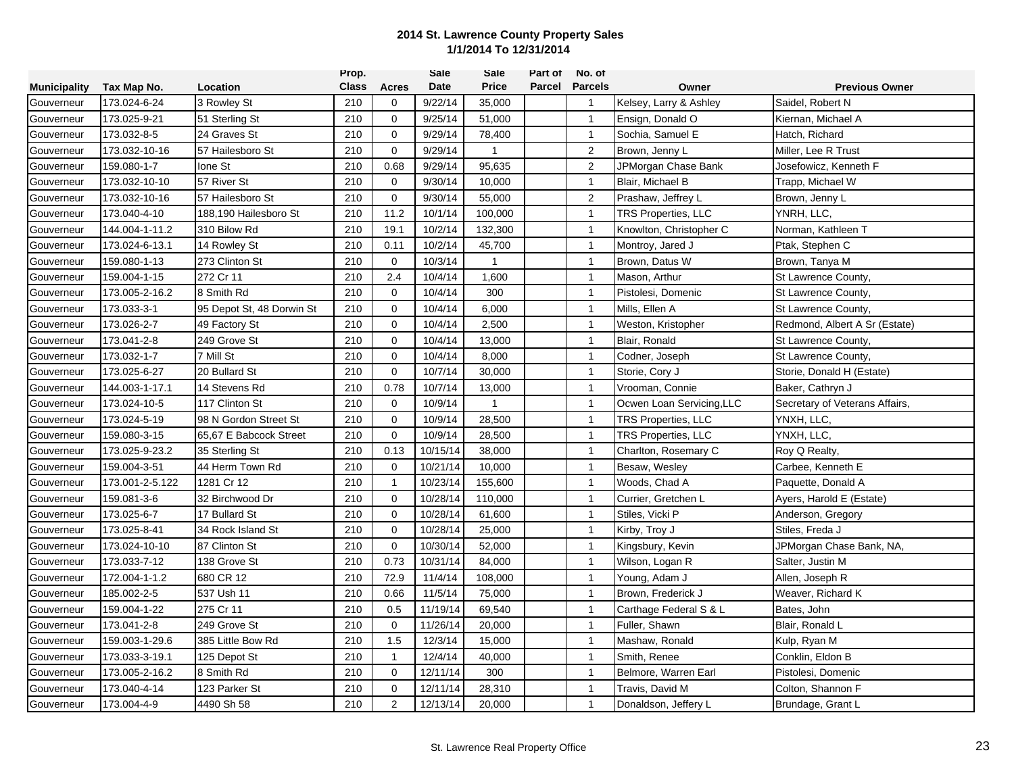|                     |                 |                           | Prop.        |              | <b>Sale</b> | Sale         | Part of | No. of         |                            |                                |
|---------------------|-----------------|---------------------------|--------------|--------------|-------------|--------------|---------|----------------|----------------------------|--------------------------------|
| <b>Municipality</b> | Tax Map No.     | Location                  | <b>Class</b> | Acres        | Date        | <b>Price</b> | Parcel  | <b>Parcels</b> | Owner                      | <b>Previous Owner</b>          |
| Gouverneur          | 173.024-6-24    | 3 Rowley St               | 210          | 0            | 9/22/14     | 35,000       |         | $\overline{1}$ | Kelsey, Larry & Ashley     | Saidel, Robert N               |
| Gouverneur          | 173.025-9-21    | 51 Sterling St            | 210          | $\mathbf{0}$ | 9/25/14     | 51,000       |         | $\mathbf{1}$   | Ensign, Donald O           | Kiernan, Michael A             |
| Gouverneur          | 173.032-8-5     | 24 Graves St              | 210          | $\mathbf 0$  | 9/29/14     | 78,400       |         | $\mathbf{1}$   | Sochia, Samuel E           | Hatch, Richard                 |
| Gouverneur          | 173.032-10-16   | 57 Hailesboro St          | 210          | $\mathbf 0$  | 9/29/14     | $\mathbf{1}$ |         | $\overline{2}$ | Brown, Jenny L             | Miller, Lee R Trust            |
| Gouverneur          | 159.080-1-7     | Ione St                   | 210          | 0.68         | 9/29/14     | 95,635       |         | $\overline{2}$ | JPMorgan Chase Bank        | Josefowicz, Kenneth F          |
| Gouverneur          | 173.032-10-10   | 57 River St               | 210          | $\mathbf 0$  | 9/30/14     | 10,000       |         | $\overline{1}$ | Blair, Michael B           | Trapp, Michael W               |
| Gouverneur          | 173.032-10-16   | 57 Hailesboro St          | 210          | $\mathbf 0$  | 9/30/14     | 55,000       |         | $\overline{c}$ | Prashaw, Jeffrey L         | Brown, Jenny L                 |
| Gouverneur          | 173.040-4-10    | 188,190 Hailesboro St     | 210          | 11.2         | 10/1/14     | 100,000      |         | $\overline{1}$ | <b>TRS Properties, LLC</b> | YNRH, LLC,                     |
| Gouverneur          | 144.004-1-11.2  | 310 Bilow Rd              | 210          | 19.1         | 10/2/14     | 132,300      |         | $\overline{1}$ | Knowlton, Christopher C    | Norman, Kathleen T             |
| Gouverneur          | 173.024-6-13.1  | 14 Rowley St              | 210          | 0.11         | 10/2/14     | 45,700       |         | $\mathbf{1}$   | Montroy, Jared J           | Ptak, Stephen C                |
| Gouverneur          | 159.080-1-13    | 273 Clinton St            | 210          | $\mathbf 0$  | 10/3/14     | $\mathbf 1$  |         | $\mathbf{1}$   | Brown, Datus W             | Brown, Tanya M                 |
| Gouverneur          | 159.004-1-15    | 272 Cr 11                 | 210          | 2.4          | 10/4/14     | 1,600        |         | $\mathbf{1}$   | Mason, Arthur              | St Lawrence County,            |
| Gouverneur          | 173.005-2-16.2  | 8 Smith Rd                | 210          | $\mathbf 0$  | 10/4/14     | 300          |         | $\mathbf{1}$   | Pistolesi, Domenic         | St Lawrence County,            |
| Gouverneur          | 173.033-3-1     | 95 Depot St, 48 Dorwin St | 210          | $\mathbf 0$  | 10/4/14     | 6,000        |         | $\mathbf{1}$   | Mills, Ellen A             | St Lawrence County,            |
| Gouverneur          | 173.026-2-7     | 49 Factory St             | 210          | $\mathbf 0$  | 10/4/14     | 2,500        |         | $\mathbf{1}$   | Weston, Kristopher         | Redmond, Albert A Sr (Estate)  |
| Gouverneur          | 173.041-2-8     | 249 Grove St              | 210          | $\mathbf 0$  | 10/4/14     | 13,000       |         | $\mathbf{1}$   | Blair, Ronald              | St Lawrence County,            |
| Gouverneur          | 173.032-1-7     | 7 Mill St                 | 210          | $\mathbf 0$  | 10/4/14     | 8,000        |         | $\mathbf{1}$   | Codner, Joseph             | St Lawrence County,            |
| Gouverneur          | 173.025-6-27    | 20 Bullard St             | 210          | $\mathbf 0$  | 10/7/14     | 30,000       |         | $\mathbf{1}$   | Storie, Cory J             | Storie, Donald H (Estate)      |
| Gouverneur          | 144.003-1-17.1  | 14 Stevens Rd             | 210          | 0.78         | 10/7/14     | 13,000       |         | $\mathbf{1}$   | Vrooman, Connie            | Baker, Cathryn J               |
| Gouverneur          | 173.024-10-5    | 117 Clinton St            | 210          | $\mathbf 0$  | 10/9/14     | $\mathbf{1}$ |         | $\mathbf{1}$   | Ocwen Loan Servicing, LLC  | Secretary of Veterans Affairs, |
| Gouverneur          | 173.024-5-19    | 98 N Gordon Street St     | 210          | $\mathbf 0$  | 10/9/14     | 28,500       |         | $\mathbf{1}$   | <b>TRS Properties, LLC</b> | YNXH, LLC,                     |
| Gouverneur          | 159.080-3-15    | 65,67 E Babcock Street    | 210          | $\Omega$     | 10/9/14     | 28,500       |         | $\mathbf{1}$   | TRS Properties, LLC        | YNXH, LLC,                     |
| Gouverneur          | 173.025-9-23.2  | 35 Sterling St            | 210          | 0.13         | 10/15/14    | 38,000       |         | $\mathbf{1}$   | Charlton, Rosemary C       | Roy Q Realty,                  |
| Gouverneur          | 159.004-3-51    | 44 Herm Town Rd           | 210          | $\mathbf 0$  | 10/21/14    | 10,000       |         | $\mathbf{1}$   | Besaw, Wesley              | Carbee, Kenneth E              |
| Gouverneur          | 173.001-2-5.122 | 1281 Cr 12                | 210          | $\mathbf{1}$ | 10/23/14    | 155,600      |         | $\mathbf{1}$   | Woods, Chad A              | Paquette, Donald A             |
| Gouverneur          | 159.081-3-6     | 32 Birchwood Dr           | 210          | $\mathbf 0$  | 10/28/14    | 110,000      |         | $\mathbf{1}$   | Currier, Gretchen L        | Ayers, Harold E (Estate)       |
| Gouverneur          | 173.025-6-7     | 17 Bullard St             | 210          | $\mathbf 0$  | 10/28/14    | 61,600       |         | $\mathbf{1}$   | Stiles, Vicki P            | Anderson, Gregory              |
| Gouverneur          | 173.025-8-41    | 34 Rock Island St         | 210          | $\mathbf 0$  | 10/28/14    | 25,000       |         | $\overline{1}$ | Kirby, Troy J              | Stiles, Freda J                |
| Gouverneur          | 173.024-10-10   | 87 Clinton St             | 210          | $\mathbf 0$  | 10/30/14    | 52,000       |         | $\mathbf{1}$   | Kingsbury, Kevin           | JPMorgan Chase Bank, NA,       |
| Gouverneur          | 173.033-7-12    | 138 Grove St              | 210          | 0.73         | 10/31/14    | 84,000       |         | $\mathbf{1}$   | Wilson, Logan R            | Salter, Justin M               |
| Gouverneur          | 172.004-1-1.2   | 680 CR 12                 | 210          | 72.9         | 11/4/14     | 108,000      |         | $\mathbf{1}$   | Young, Adam J              | Allen, Joseph R                |
| Gouverneur          | 185.002-2-5     | 537 Ush 11                | 210          | 0.66         | 11/5/14     | 75,000       |         | $\mathbf{1}$   | Brown, Frederick J         | Weaver, Richard K              |
| Gouverneur          | 159.004-1-22    | 275 Cr 11                 | 210          | 0.5          | 11/19/14    | 69,540       |         | $\overline{1}$ | Carthage Federal S & L     | Bates, John                    |
| Gouverneur          | 173.041-2-8     | 249 Grove St              | 210          | $\mathbf 0$  | 11/26/14    | 20,000       |         | $\mathbf{1}$   | Fuller, Shawn              | Blair, Ronald L                |
| Gouverneur          | 159.003-1-29.6  | 385 Little Bow Rd         | 210          | 1.5          | 12/3/14     | 15,000       |         | $\overline{1}$ | Mashaw, Ronald             | Kulp, Ryan M                   |
| Gouverneur          | 173.033-3-19.1  | 125 Depot St              | 210          | $\mathbf{1}$ | 12/4/14     | 40,000       |         | $\mathbf{1}$   | Smith, Renee               | Conklin, Eldon B               |
| Gouverneur          | 173.005-2-16.2  | 8 Smith Rd                | 210          | $\mathbf 0$  | 12/11/14    | 300          |         | $\mathbf{1}$   | Belmore, Warren Earl       | Pistolesi, Domenic             |
| Gouverneur          | 173.040-4-14    | 123 Parker St             | 210          | 0            | 12/11/14    | 28,310       |         | $\mathbf{1}$   | Travis, David M            | Colton, Shannon F              |
| Gouverneur          | 173.004-4-9     | 4490 Sh 58                | 210          | $\mathbf 2$  | 12/13/14    | 20,000       |         | $\overline{1}$ | Donaldson, Jeffery L       | Brundage, Grant L              |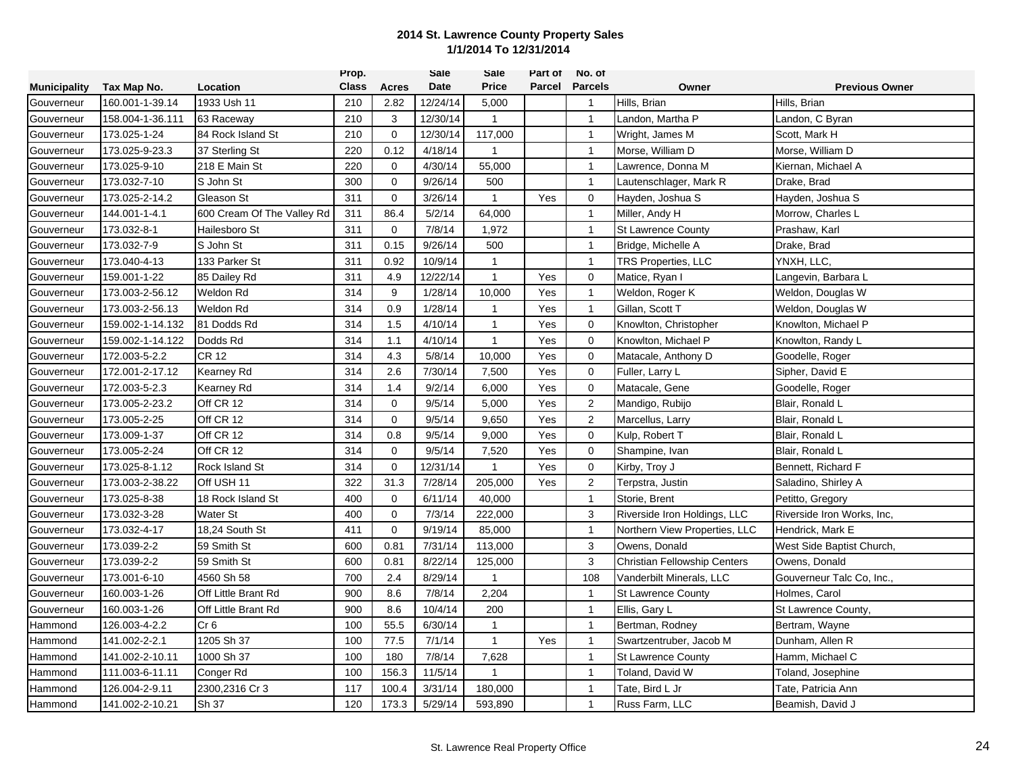|                     |                  |                            | Prop.        |              | <b>Sale</b> | Sale         | Part of | No. of                |                                     |                            |
|---------------------|------------------|----------------------------|--------------|--------------|-------------|--------------|---------|-----------------------|-------------------------------------|----------------------------|
| <b>Municipality</b> | Tax Map No.      | Location                   | <b>Class</b> | <b>Acres</b> | Date        | <b>Price</b> |         | <b>Parcel Parcels</b> | Owner                               | <b>Previous Owner</b>      |
| Gouverneur          | 160.001-1-39.14  | 1933 Ush 11                | 210          | 2.82         | 12/24/14    | 5,000        |         | $\overline{1}$        | Hills, Brian                        | Hills, Brian               |
| Gouverneur          | 158.004-1-36.111 | 63 Raceway                 | 210          | 3            | 12/30/14    | 1            |         | $\mathbf{1}$          | Landon, Martha P                    | Landon, C Byran            |
| Gouverneur          | 173.025-1-24     | 84 Rock Island St          | 210          | $\mathbf 0$  | 12/30/14    | 117,000      |         | $\overline{1}$        | Wright, James M                     | Scott, Mark H              |
| Gouverneur          | 173.025-9-23.3   | 37 Sterling St             | 220          | 0.12         | 4/18/14     | $\mathbf{1}$ |         | $\mathbf{1}$          | Morse, William D                    | Morse, William D           |
| Gouverneur          | 173.025-9-10     | 218 E Main St              | 220          | $\mathbf 0$  | 4/30/14     | 55,000       |         | $\mathbf{1}$          | Lawrence, Donna M                   | Kiernan, Michael A         |
| Gouverneur          | 173.032-7-10     | S John St                  | 300          | $\mathbf 0$  | 9/26/14     | 500          |         | $\overline{1}$        | Lautenschlager, Mark R              | Drake, Brad                |
| Gouverneur          | 173.025-2-14.2   | Gleason St                 | 311          | $\mathbf 0$  | 3/26/14     | $\mathbf{1}$ | Yes     | $\mathbf 0$           | Hayden, Joshua S                    | Hayden, Joshua S           |
| Gouverneur          | 144.001-1-4.1    | 600 Cream Of The Valley Rd | 311          | 86.4         | 5/2/14      | 64,000       |         | $\mathbf{1}$          | Miller, Andy H                      | Morrow, Charles L          |
| Gouverneur          | 173.032-8-1      | Hailesboro St              | 311          | $\mathbf 0$  | 7/8/14      | 1,972        |         | $\overline{1}$        | <b>St Lawrence County</b>           | Prashaw, Karl              |
| Gouverneur          | 173.032-7-9      | S John St                  | 311          | 0.15         | 9/26/14     | 500          |         | $\mathbf{1}$          | Bridge, Michelle A                  | Drake, Brad                |
| Gouverneur          | 173.040-4-13     | 133 Parker St              | 311          | 0.92         | 10/9/14     | $\mathbf{1}$ |         | $\mathbf{1}$          | <b>TRS Properties, LLC</b>          | YNXH, LLC,                 |
| Gouverneur          | 159.001-1-22     | 85 Dailey Rd               | 311          | 4.9          | 12/22/14    | $\mathbf{1}$ | Yes     | $\mathbf 0$           | Matice, Ryan I                      | Langevin, Barbara L        |
| Gouverneur          | 173.003-2-56.12  | Weldon Rd                  | 314          | 9            | 1/28/14     | 10,000       | Yes     | $\mathbf{1}$          | Weldon, Roger K                     | Weldon, Douglas W          |
| Gouverneur          | 173.003-2-56.13  | Weldon Rd                  | 314          | 0.9          | 1/28/14     | $\mathbf{1}$ | Yes     | $\mathbf{1}$          | Gillan, Scott T                     | Weldon, Douglas W          |
| Gouverneur          | 159.002-1-14.132 | 81 Dodds Rd                | 314          | 1.5          | 4/10/14     | -1           | Yes     | $\mathbf 0$           | Knowlton, Christopher               | Knowlton, Michael P        |
| Gouverneur          | 159.002-1-14.122 | Dodds Rd                   | 314          | 1.1          | 4/10/14     | $\mathbf{1}$ | Yes     | $\mathbf 0$           | Knowlton, Michael P                 | Knowlton, Randy L          |
| Gouverneur          | 172.003-5-2.2    | CR 12                      | 314          | 4.3          | 5/8/14      | 10,000       | Yes     | $\mathbf 0$           | Matacale, Anthony D                 | Goodelle, Roger            |
| Gouverneur          | 172.001-2-17.12  | Kearney Rd                 | 314          | 2.6          | 7/30/14     | 7,500        | Yes     | $\mathbf 0$           | Fuller, Larry L                     | Sipher, David E            |
| Gouverneur          | 172.003-5-2.3    | Kearney Rd                 | 314          | 1.4          | 9/2/14      | 6,000        | Yes     | $\mathbf 0$           | Matacale, Gene                      | Goodelle, Roger            |
| Gouverneur          | 173.005-2-23.2   | Off CR 12                  | 314          | $\mathbf 0$  | 9/5/14      | 5,000        | Yes     | $\overline{2}$        | Mandigo, Rubijo                     | Blair, Ronald L            |
| Gouverneur          | 173.005-2-25     | Off CR 12                  | 314          | $\mathbf{0}$ | 9/5/14      | 9,650        | Yes     | $\overline{2}$        | Marcellus, Larry                    | Blair, Ronald L            |
| Gouverneur          | 173.009-1-37     | Off CR 12                  | 314          | 0.8          | 9/5/14      | 9,000        | Yes     | $\mathbf 0$           | Kulp, Robert T                      | Blair, Ronald L            |
| Gouverneur          | 173.005-2-24     | Off CR 12                  | 314          | $\mathbf 0$  | 9/5/14      | 7,520        | Yes     | $\mathbf 0$           | Shampine, Ivan                      | Blair, Ronald L            |
| Gouverneur          | 173.025-8-1.12   | Rock Island St             | 314          | 0            | 12/31/14    | 1            | Yes     | $\mathbf 0$           | Kirby, Troy J                       | Bennett, Richard F         |
| Gouverneur          | 173.003-2-38.22  | Off USH 11                 | 322          | 31.3         | 7/28/14     | 205,000      | Yes     | $\overline{2}$        | Terpstra, Justin                    | Saladino, Shirley A        |
| Gouverneur          | 173.025-8-38     | 18 Rock Island St          | 400          | 0            | 6/11/14     | 40,000       |         | $\mathbf{1}$          | Storie, Brent                       | Petitto, Gregory           |
| Gouverneur          | 173.032-3-28     | Water St                   | 400          | $\mathbf 0$  | 7/3/14      | 222,000      |         | $\mathbf{3}$          | Riverside Iron Holdings, LLC        | Riverside Iron Works, Inc. |
| Gouverneur          | 173.032-4-17     | 18,24 South St             | 411          | $\mathbf 0$  | 9/19/14     | 85,000       |         | $\mathbf{1}$          | Northern View Properties, LLC       | Hendrick, Mark E           |
| Gouverneur          | 173.039-2-2      | 59 Smith St                | 600          | 0.81         | 7/31/14     | 113,000      |         | 3                     | Owens, Donald                       | West Side Baptist Church,  |
| Gouverneur          | 173.039-2-2      | 59 Smith St                | 600          | 0.81         | 8/22/14     | 125,000      |         | $\mathbf{3}$          | <b>Christian Fellowship Centers</b> | Owens, Donald              |
| Gouverneur          | 173.001-6-10     | 4560 Sh 58                 | 700          | 2.4          | 8/29/14     | -1           |         | 108                   | Vanderbilt Minerals, LLC            | Gouverneur Talc Co, Inc.,  |
| Gouverneur          | 160.003-1-26     | Off Little Brant Rd        | 900          | 8.6          | 7/8/14      | 2,204        |         | $\mathbf{1}$          | <b>St Lawrence County</b>           | Holmes, Carol              |
| Gouverneur          | 160.003-1-26     | Off Little Brant Rd        | 900          | 8.6          | 10/4/14     | 200          |         | $\mathbf{1}$          | Ellis, Gary L                       | St Lawrence County,        |
| Hammond             | 126.003-4-2.2    | Cr <sub>6</sub>            | 100          | 55.5         | 6/30/14     | $\mathbf{1}$ |         | $\overline{1}$        | Bertman, Rodney                     | Bertram, Wayne             |
| Hammond             | 141.002-2-2.1    | 1205 Sh 37                 | 100          | 77.5         | 7/1/14      | $\mathbf{1}$ | Yes     | $\mathbf{1}$          | Swartzentruber, Jacob M             | Dunham, Allen R            |
| Hammond             | 141.002-2-10.11  | 1000 Sh 37                 | 100          | 180          | 7/8/14      | 7,628        |         | $\mathbf{1}$          | <b>St Lawrence County</b>           | Hamm, Michael C            |
| Hammond             | 111.003-6-11.11  | Conger Rd                  | 100          | 156.3        | 11/5/14     | 1            |         | $\mathbf{1}$          | Toland, David W                     | Toland, Josephine          |
| Hammond             | 126.004-2-9.11   | 2300,2316 Cr 3             | 117          | 100.4        | 3/31/14     | 180,000      |         | $\mathbf{1}$          | Tate, Bird L Jr                     | Tate, Patricia Ann         |
| Hammond             | 141.002-2-10.21  | Sh 37                      | 120          | 173.3        | 5/29/14     | 593,890      |         | $\overline{1}$        | Russ Farm, LLC                      | Beamish, David J           |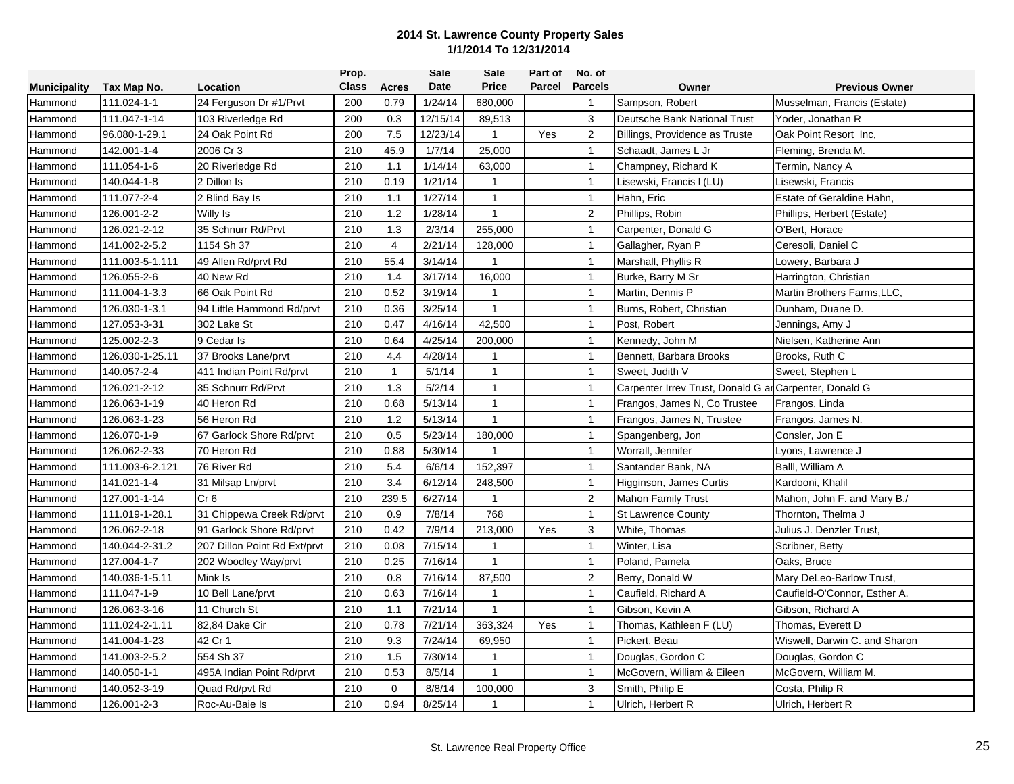|                     |                 |                              | Prop.        |                | Sale     | Sale           | Part of | No. of         |                                                        |                               |
|---------------------|-----------------|------------------------------|--------------|----------------|----------|----------------|---------|----------------|--------------------------------------------------------|-------------------------------|
| <b>Municipality</b> | Tax Map No.     | Location                     | <b>Class</b> | <b>Acres</b>   | Date     | <b>Price</b>   | Parcel  | <b>Parcels</b> | Owner                                                  | <b>Previous Owner</b>         |
| Hammond             | 111.024-1-1     | 24 Ferguson Dr #1/Prvt       | 200          | 0.79           | 1/24/14  | 680,000        |         | $\mathbf{1}$   | Sampson, Robert                                        | Musselman, Francis (Estate)   |
| Hammond             | 111.047-1-14    | 103 Riverledge Rd            | 200          | 0.3            | 12/15/14 | 89,513         |         | 3              | Deutsche Bank National Trust                           | Yoder, Jonathan R             |
| Hammond             | 96.080-1-29.1   | 24 Oak Point Rd              | 200          | 7.5            | 12/23/14 | $\mathbf{1}$   | Yes     | 2              | Billings, Providence as Truste                         | Oak Point Resort Inc.         |
| Hammond             | 142.001-1-4     | 2006 Cr 3                    | 210          | 45.9           | 1/7/14   | 25,000         |         | $\mathbf{1}$   | Schaadt, James L Jr                                    | Fleming, Brenda M.            |
| Hammond             | 111.054-1-6     | 20 Riverledge Rd             | 210          | 1.1            | 1/14/14  | 63,000         |         | $\mathbf{1}$   | Champney, Richard K                                    | Termin, Nancy A               |
| Hammond             | 140.044-1-8     | 2 Dillon Is                  | 210          | 0.19           | 1/21/14  | $\mathbf{1}$   |         | $\mathbf{1}$   | Lisewski, Francis I (LU)                               | Lisewski, Francis             |
| Hammond             | 111.077-2-4     | 2 Blind Bay Is               | 210          | 1.1            | 1/27/14  | $\mathbf{1}$   |         | $\mathbf{1}$   | Hahn, Eric                                             | Estate of Geraldine Hahn,     |
| Hammond             | 126.001-2-2     | Willy Is                     | 210          | 1.2            | 1/28/14  | $\mathbf{1}$   |         | $\overline{2}$ | Phillips, Robin                                        | Phillips, Herbert (Estate)    |
| Hammond             | 126.021-2-12    | 35 Schnurr Rd/Prvt           | 210          | 1.3            | 2/3/14   | 255,000        |         | $\overline{1}$ | Carpenter, Donald G                                    | O'Bert, Horace                |
| Hammond             | 141.002-2-5.2   | 1154 Sh 37                   | 210          | $\overline{4}$ | 2/21/14  | 128,000        |         | $\mathbf{1}$   | Gallagher, Ryan P                                      | Ceresoli, Daniel C            |
| Hammond             | 111.003-5-1.111 | 49 Allen Rd/prvt Rd          | 210          | 55.4           | 3/14/14  | $\mathbf 1$    |         | $\mathbf{1}$   | Marshall, Phyllis R                                    | Lowery, Barbara J             |
| Hammond             | 126.055-2-6     | 40 New Rd                    | 210          | 1.4            | 3/17/14  | 16,000         |         | $\overline{1}$ | Burke, Barry M Sr                                      | Harrington, Christian         |
| Hammond             | 111.004-1-3.3   | 66 Oak Point Rd              | 210          | 0.52           | 3/19/14  | $\mathbf{1}$   |         | $\mathbf{1}$   | Martin, Dennis P                                       | Martin Brothers Farms, LLC,   |
| Hammond             | 126.030-1-3.1   | 94 Little Hammond Rd/prvt    | 210          | 0.36           | 3/25/14  | $\mathbf{1}$   |         | $\overline{1}$ | Burns, Robert, Christian                               | Dunham, Duane D.              |
| Hammond             | 127.053-3-31    | 302 Lake St                  | 210          | 0.47           | 4/16/14  | 42,500         |         | $\overline{1}$ | Post, Robert                                           | Jennings, Amy J               |
| Hammond             | 125.002-2-3     | 9 Cedar Is                   | 210          | 0.64           | 4/25/14  | 200,000        |         | $\mathbf{1}$   | Kennedy, John M                                        | Nielsen, Katherine Ann        |
| Hammond             | 126.030-1-25.11 | 37 Brooks Lane/prvt          | 210          | 4.4            | 4/28/14  | $\overline{1}$ |         | $\mathbf{1}$   | Bennett. Barbara Brooks                                | Brooks, Ruth C                |
| Hammond             | 140.057-2-4     | 411 Indian Point Rd/prvt     | 210          | $\mathbf{1}$   | 5/1/14   | 1              |         | $\mathbf{1}$   | Sweet, Judith V                                        | Sweet, Stephen L              |
| Hammond             | 126.021-2-12    | 35 Schnurr Rd/Prvt           | 210          | 1.3            | 5/2/14   | $\mathbf{1}$   |         | $\mathbf{1}$   | Carpenter Irrev Trust, Donald G ar Carpenter, Donald G |                               |
| Hammond             | 126.063-1-19    | 40 Heron Rd                  | 210          | 0.68           | 5/13/14  | $\mathbf{1}$   |         | $\mathbf{1}$   | Frangos, James N, Co Trustee                           | Frangos, Linda                |
| Hammond             | 126.063-1-23    | 56 Heron Rd                  | 210          | 1.2            | 5/13/14  | $\mathbf{1}$   |         | $\mathbf{1}$   | Frangos, James N, Trustee                              | Frangos, James N.             |
| Hammond             | 126.070-1-9     | 67 Garlock Shore Rd/prvt     | 210          | 0.5            | 5/23/14  | 180,000        |         | $\overline{1}$ | Spangenberg, Jon                                       | Consler, Jon E                |
| Hammond             | 126.062-2-33    | 70 Heron Rd                  | 210          | 0.88           | 5/30/14  |                |         | $\mathbf{1}$   | Worrall, Jennifer                                      | Lyons, Lawrence J             |
| Hammond             | 111.003-6-2.121 | 76 River Rd                  | 210          | 5.4            | 6/6/14   | 152,397        |         | $\mathbf{1}$   | Santander Bank, NA                                     | Balll, William A              |
| Hammond             | 141.021-1-4     | 31 Milsap Ln/prvt            | 210          | 3.4            | 6/12/14  | 248,500        |         | $\mathbf{1}$   | Higginson, James Curtis                                | Kardooni, Khalil              |
| Hammond             | 127.001-1-14    | Cr <sub>6</sub>              | 210          | 239.5          | 6/27/14  | $\mathbf{1}$   |         | $\overline{2}$ | <b>Mahon Family Trust</b>                              | Mahon, John F. and Mary B./   |
| Hammond             | 111.019-1-28.1  | 31 Chippewa Creek Rd/prvt    | 210          | 0.9            | 7/8/14   | 768            |         | $\mathbf{1}$   | <b>St Lawrence County</b>                              | Thornton, Thelma J            |
| Hammond             | 126.062-2-18    | 91 Garlock Shore Rd/prvt     | 210          | 0.42           | 7/9/14   | 213,000        | Yes     | 3              | White, Thomas                                          | Julius J. Denzler Trust,      |
| Hammond             | 140.044-2-31.2  | 207 Dillon Point Rd Ext/prvt | 210          | 0.08           | 7/15/14  | $\mathbf{1}$   |         | $\mathbf{1}$   | Winter, Lisa                                           | Scribner, Betty               |
| Hammond             | 127.004-1-7     | 202 Woodley Way/prvt         | 210          | 0.25           | 7/16/14  | $\mathbf{1}$   |         | $\mathbf{1}$   | Poland, Pamela                                         | Oaks, Bruce                   |
| Hammond             | 140.036-1-5.11  | Mink Is                      | 210          | 0.8            | 7/16/14  | 87,500         |         | 2              | Berry, Donald W                                        | Mary DeLeo-Barlow Trust,      |
| Hammond             | 111.047-1-9     | 10 Bell Lane/prvt            | 210          | 0.63           | 7/16/14  | 1              |         | $\overline{1}$ | Caufield, Richard A                                    | Caufield-O'Connor, Esther A.  |
| Hammond             | 126.063-3-16    | 11 Church St                 | 210          | 1.1            | 7/21/14  | $\mathbf{1}$   |         | $\mathbf{1}$   | Gibson, Kevin A                                        | Gibson, Richard A             |
| Hammond             | 111.024-2-1.11  | 82,84 Dake Cir               | 210          | 0.78           | 7/21/14  | 363,324        | Yes     | $\mathbf{1}$   | Thomas, Kathleen F (LU)                                | Thomas, Everett D             |
| Hammond             | 141.004-1-23    | 42 Cr 1                      | 210          | 9.3            | 7/24/14  | 69,950         |         | $\mathbf{1}$   | Pickert, Beau                                          | Wiswell, Darwin C. and Sharon |
| Hammond             | 141.003-2-5.2   | 554 Sh 37                    | 210          | 1.5            | 7/30/14  | $\mathbf 1$    |         | $\mathbf{1}$   | Douglas, Gordon C                                      | Douglas, Gordon C             |
| Hammond             | 140.050-1-1     | 495A Indian Point Rd/prvt    | 210          | 0.53           | 8/5/14   | 1              |         | $\mathbf{1}$   | McGovern, William & Eileen                             | McGovern, William M.          |
| Hammond             | 140.052-3-19    | Quad Rd/pvt Rd               | 210          | $\mathbf 0$    | 8/8/14   | 100,000        |         | 3              | Smith, Philip E                                        | Costa, Philip R               |
| Hammond             | 126.001-2-3     | Roc-Au-Baie Is               | 210          | 0.94           | 8/25/14  | 1              |         | $\overline{1}$ | Ulrich, Herbert R                                      | Ulrich, Herbert R             |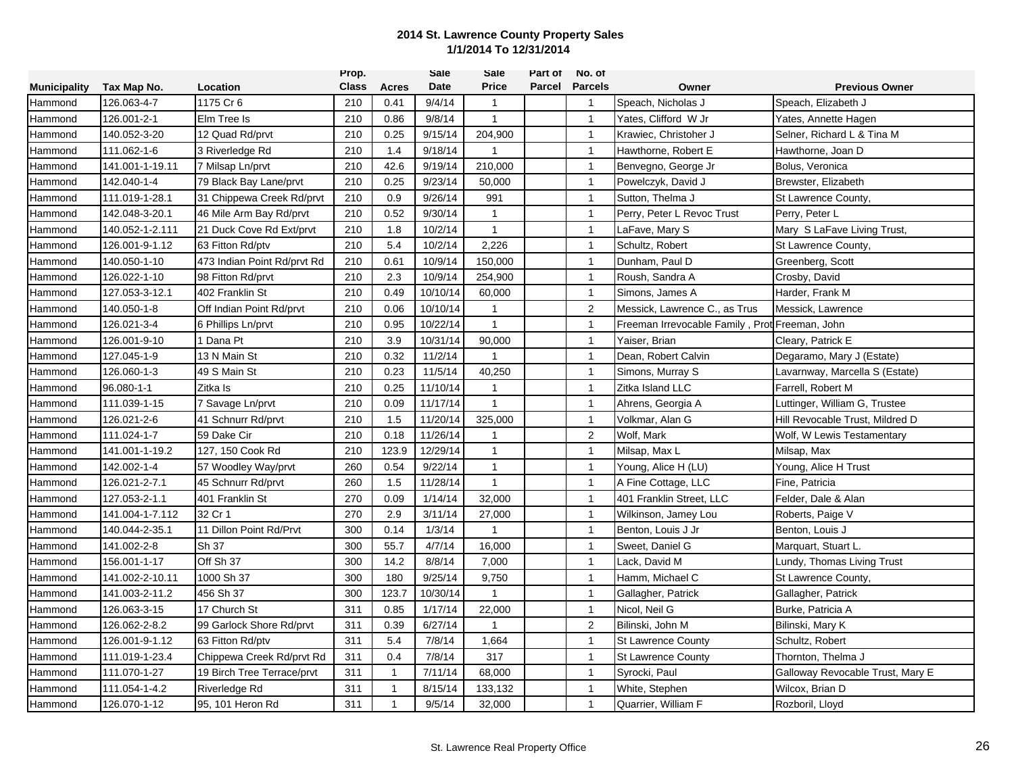|                     |                 |                             | Prop.        |              | Sale     | Sale         | Part of | No. of         |                                                |                                  |
|---------------------|-----------------|-----------------------------|--------------|--------------|----------|--------------|---------|----------------|------------------------------------------------|----------------------------------|
| <b>Municipality</b> | Tax Map No.     | Location                    | <b>Class</b> | Acres        | Date     | <b>Price</b> | Parcel  | <b>Parcels</b> | Owner                                          | <b>Previous Owner</b>            |
| Hammond             | 126.063-4-7     | 1175 Cr 6                   | 210          | 0.41         | 9/4/14   | $\mathbf{1}$ |         | $\overline{1}$ | Speach, Nicholas J                             | Speach, Elizabeth J              |
| Hammond             | 126.001-2-1     | Elm Tree Is                 | 210          | 0.86         | 9/8/14   | $\mathbf{1}$ |         | $\mathbf{1}$   | Yates, Clifford W Jr                           | Yates, Annette Hagen             |
| Hammond             | 140.052-3-20    | 12 Quad Rd/prvt             | 210          | 0.25         | 9/15/14  | 204,900      |         | $\overline{1}$ | Krawiec, Christoher J                          | Selner, Richard L & Tina M       |
| Hammond             | 111.062-1-6     | 3 Riverledge Rd             | 210          | 1.4          | 9/18/14  | $\mathbf{1}$ |         | $\mathbf{1}$   | Hawthorne, Robert E                            | Hawthorne, Joan D                |
| Hammond             | 141.001-1-19.11 | 7 Milsap Ln/prvt            | 210          | 42.6         | 9/19/14  | 210,000      |         | $\mathbf{1}$   | Benvegno, George Jr                            | Bolus, Veronica                  |
| Hammond             | 142.040-1-4     | 79 Black Bay Lane/prvt      | 210          | 0.25         | 9/23/14  | 50,000       |         | $\mathbf{1}$   | Powelczyk, David J                             | Brewster, Elizabeth              |
| Hammond             | 111.019-1-28.1  | 31 Chippewa Creek Rd/prvt   | 210          | 0.9          | 9/26/14  | 991          |         | $\mathbf{1}$   | Sutton, Thelma J                               | St Lawrence County,              |
| Hammond             | 142.048-3-20.1  | 46 Mile Arm Bay Rd/prvt     | 210          | 0.52         | 9/30/14  | $\mathbf{1}$ |         | $\mathbf{1}$   | Perry, Peter L Revoc Trust                     | Perry, Peter L                   |
| Hammond             | 140.052-1-2.111 | 21 Duck Cove Rd Ext/prvt    | 210          | 1.8          | 10/2/14  | $\mathbf{1}$ |         | $\overline{1}$ | LaFave, Mary S                                 | Mary S LaFave Living Trust,      |
| Hammond             | 126.001-9-1.12  | 63 Fitton Rd/ptv            | 210          | 5.4          | 10/2/14  | 2,226        |         | $\mathbf{1}$   | Schultz, Robert                                | St Lawrence County,              |
| Hammond             | 140.050-1-10    | 473 Indian Point Rd/prvt Rd | 210          | 0.61         | 10/9/14  | 150,000      |         | $\mathbf{1}$   | Dunham, Paul D                                 | Greenberg, Scott                 |
| Hammond             | 126.022-1-10    | 98 Fitton Rd/prvt           | 210          | 2.3          | 10/9/14  | 254,900      |         | $\mathbf{1}$   | Roush, Sandra A                                | Crosby, David                    |
| Hammond             | 127.053-3-12.1  | 402 Franklin St             | 210          | 0.49         | 10/10/14 | 60,000       |         | $\mathbf{1}$   | Simons, James A                                | Harder, Frank M                  |
| Hammond             | 140.050-1-8     | Off Indian Point Rd/prvt    | 210          | 0.06         | 10/10/14 | $\mathbf{1}$ |         | 2              | Messick, Lawrence C., as Trus                  | Messick, Lawrence                |
| Hammond             | 126.021-3-4     | 6 Phillips Ln/prvt          | 210          | 0.95         | 10/22/14 | $\mathbf{1}$ |         | $\overline{1}$ | Freeman Irrevocable Family, Prot Freeman, John |                                  |
| Hammond             | 126.001-9-10    | I Dana Pt                   | 210          | 3.9          | 10/31/14 | 90,000       |         | $\overline{1}$ | Yaiser, Brian                                  | Cleary, Patrick E                |
| Hammond             | 127.045-1-9     | 13 N Main St                | 210          | 0.32         | 11/2/14  | $\mathbf{1}$ |         | $\overline{1}$ | Dean, Robert Calvin                            | Degaramo, Mary J (Estate)        |
| Hammond             | 126.060-1-3     | 49 S Main St                | 210          | 0.23         | 11/5/14  | 40,250       |         | $\mathbf{1}$   | Simons, Murray S                               | Lavarnway, Marcella S (Estate)   |
| Hammond             | 96.080-1-1      | Zitka Is                    | 210          | 0.25         | 11/10/14 | $\mathbf{1}$ |         | $\mathbf{1}$   | Zitka Island LLC                               | Farrell, Robert M                |
| Hammond             | 111.039-1-15    | 7 Savage Ln/prvt            | 210          | 0.09         | 11/17/14 | $\mathbf{1}$ |         | $\overline{1}$ | Ahrens, Georgia A                              | Luttinger, William G, Trustee    |
| Hammond             | 126.021-2-6     | 41 Schnurr Rd/prvt          | 210          | 1.5          | 11/20/14 | 325,000      |         | $\mathbf{1}$   | Volkmar, Alan G                                | Hill Revocable Trust, Mildred D  |
| Hammond             | 111.024-1-7     | 59 Dake Cir                 | 210          | 0.18         | 11/26/14 | $\mathbf{1}$ |         | $\overline{2}$ | Wolf, Mark                                     | Wolf, W Lewis Testamentary       |
| Hammond             | 141.001-1-19.2  | 127, 150 Cook Rd            | 210          | 123.9        | 12/29/14 | $\mathbf{1}$ |         | $\mathbf{1}$   | Milsap, Max L                                  | Milsap, Max                      |
| Hammond             | 142.002-1-4     | 57 Woodley Way/prvt         | 260          | 0.54         | 9/22/14  | $\mathbf{1}$ |         | $\mathbf{1}$   | Young, Alice H (LU)                            | Young, Alice H Trust             |
| Hammond             | 126.021-2-7.1   | 45 Schnurr Rd/prvt          | 260          | 1.5          | 11/28/14 | $\mathbf{1}$ |         | $\mathbf{1}$   | A Fine Cottage, LLC                            | Fine, Patricia                   |
| Hammond             | 127.053-2-1.1   | 401 Franklin St             | 270          | 0.09         | 1/14/14  | 32,000       |         | $\overline{1}$ | 401 Franklin Street. LLC                       | Felder, Dale & Alan              |
| Hammond             | 141.004-1-7.112 | 32 Cr 1                     | 270          | 2.9          | 3/11/14  | 27,000       |         | $\mathbf{1}$   | Wilkinson, Jamey Lou                           | Roberts, Paige V                 |
| Hammond             | 140.044-2-35.1  | 11 Dillon Point Rd/Prvt     | 300          | 0.14         | 1/3/14   | $\mathbf{1}$ |         | $\mathbf{1}$   | Benton, Louis J Jr                             | Benton, Louis J                  |
| Hammond             | 141.002-2-8     | Sh 37                       | 300          | 55.7         | 4/7/14   | 16,000       |         | $\mathbf{1}$   | Sweet, Daniel G                                | Marquart, Stuart L.              |
| Hammond             | 156.001-1-17    | Off Sh 37                   | 300          | 14.2         | 8/8/14   | 7,000        |         | $\overline{1}$ | Lack, David M                                  | Lundy, Thomas Living Trust       |
| Hammond             | 141.002-2-10.11 | 1000 Sh 37                  | 300          | 180          | 9/25/14  | 9,750        |         | $\mathbf{1}$   | Hamm, Michael C                                | St Lawrence County,              |
| Hammond             | 141.003-2-11.2  | 456 Sh 37                   | 300          | 123.7        | 10/30/14 | $\mathbf{1}$ |         | $\mathbf{1}$   | Gallagher, Patrick                             | Gallagher, Patrick               |
| Hammond             | 126.063-3-15    | 17 Church St                | 311          | 0.85         | 1/17/14  | 22,000       |         | $\mathbf{1}$   | Nicol, Neil G                                  | Burke, Patricia A                |
| Hammond             | 126.062-2-8.2   | 99 Garlock Shore Rd/prvt    | 311          | 0.39         | 6/27/14  | $\mathbf{1}$ |         | $\overline{2}$ | Bilinski, John M                               | Bilinski, Mary K                 |
| Hammond             | 126.001-9-1.12  | 63 Fitton Rd/ptv            | 311          | 5.4          | 7/8/14   | 1,664        |         | $\mathbf{1}$   | <b>St Lawrence County</b>                      | Schultz, Robert                  |
| Hammond             | 111.019-1-23.4  | Chippewa Creek Rd/prvt Rd   | 311          | 0.4          | 7/8/14   | 317          |         | $\mathbf{1}$   | <b>St Lawrence County</b>                      | Thornton, Thelma J               |
| Hammond             | 111.070-1-27    | 19 Birch Tree Terrace/prvt  | 311          | $\mathbf{1}$ | 7/11/14  | 68,000       |         | $\mathbf{1}$   | Syrocki, Paul                                  | Galloway Revocable Trust, Mary E |
| Hammond             | 111.054-1-4.2   | Riverledge Rd               | 311          | $\mathbf{1}$ | 8/15/14  | 133,132      |         | $\mathbf{1}$   | White, Stephen                                 | Wilcox, Brian D                  |
| Hammond             | 126.070-1-12    | 95, 101 Heron Rd            | 311          | $\mathbf{1}$ | 9/5/14   | 32,000       |         | $\overline{1}$ | Quarrier, William F                            | Rozboril, Lloyd                  |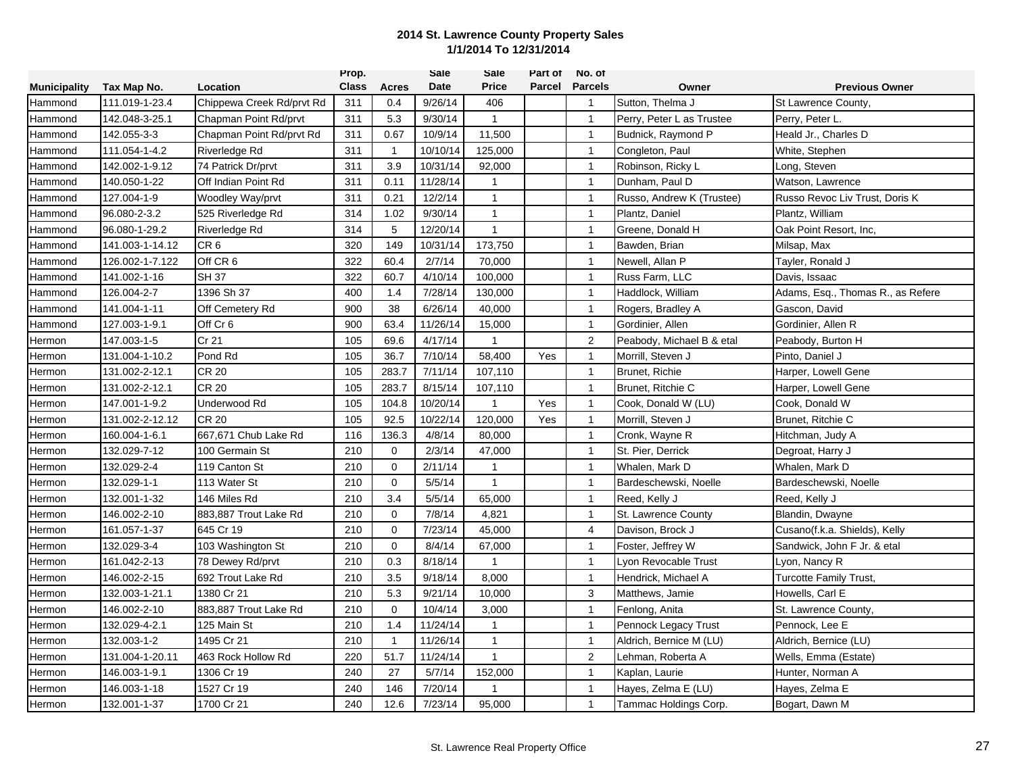|                     |                 |                           | Prop.        |              | Sale     | Sale         | Part of | No. of         |                           |                                   |
|---------------------|-----------------|---------------------------|--------------|--------------|----------|--------------|---------|----------------|---------------------------|-----------------------------------|
| <b>Municipality</b> | Tax Map No.     | Location                  | <b>Class</b> | <b>Acres</b> | Date     | <b>Price</b> | Parcel  | <b>Parcels</b> | Owner                     | <b>Previous Owner</b>             |
| Hammond             | 111.019-1-23.4  | Chippewa Creek Rd/prvt Rd | 311          | 0.4          | 9/26/14  | 406          |         | $\overline{1}$ | Sutton, Thelma J          | St Lawrence County,               |
| Hammond             | 142.048-3-25.1  | Chapman Point Rd/prvt     | 311          | 5.3          | 9/30/14  | $\mathbf{1}$ |         | $\overline{1}$ | Perry, Peter L as Trustee | Perry, Peter L.                   |
| Hammond             | 142.055-3-3     | Chapman Point Rd/prvt Rd  | 311          | 0.67         | 10/9/14  | 11,500       |         | $\overline{1}$ | Budnick, Raymond P        | Heald Jr., Charles D              |
| Hammond             | 111.054-1-4.2   | Riverledge Rd             | 311          | $\mathbf{1}$ | 10/10/14 | 125,000      |         | $\mathbf{1}$   | Congleton, Paul           | White, Stephen                    |
| Hammond             | 142.002-1-9.12  | 74 Patrick Dr/prvt        | 311          | 3.9          | 10/31/14 | 92,000       |         | $\mathbf{1}$   | Robinson, Ricky L         | Long, Steven                      |
| Hammond             | 140.050-1-22    | Off Indian Point Rd       | 311          | 0.11         | 11/28/14 | 1            |         | $\mathbf{1}$   | Dunham. Paul D            | Watson, Lawrence                  |
| Hammond             | 127.004-1-9     | Woodley Way/prvt          | 311          | 0.21         | 12/2/14  | $\mathbf{1}$ |         | $\overline{1}$ | Russo, Andrew K (Trustee) | Russo Revoc Liv Trust, Doris K    |
| Hammond             | 96.080-2-3.2    | 525 Riverledge Rd         | 314          | 1.02         | 9/30/14  | $\mathbf{1}$ |         | $\mathbf{1}$   | Plantz, Daniel            | Plantz, William                   |
| Hammond             | 96.080-1-29.2   | Riverledge Rd             | 314          | 5            | 12/20/14 | $\mathbf{1}$ |         | $\overline{1}$ | Greene, Donald H          | Oak Point Resort, Inc.            |
| Hammond             | 141.003-1-14.12 | CR <sub>6</sub>           | 320          | 149          | 10/31/14 | 173,750      |         | $\mathbf{1}$   | Bawden, Brian             | Milsap, Max                       |
| Hammond             | 126.002-1-7.122 | Off CR 6                  | 322          | 60.4         | 2/7/14   | 70,000       |         | $\mathbf{1}$   | Newell, Allan P           | Tayler, Ronald J                  |
| Hammond             | 141.002-1-16    | <b>SH 37</b>              | 322          | 60.7         | 4/10/14  | 100,000      |         | $\overline{1}$ | Russ Farm, LLC            | Davis, Issaac                     |
| Hammond             | 126.004-2-7     | 1396 Sh 37                | 400          | 1.4          | 7/28/14  | 130,000      |         | $\mathbf{1}$   | Haddlock, William         | Adams, Esq., Thomas R., as Refere |
| Hammond             | 141.004-1-11    | Off Cemetery Rd           | 900          | 38           | 6/26/14  | 40,000       |         | $\mathbf{1}$   | Rogers, Bradley A         | Gascon, David                     |
| Hammond             | 127.003-1-9.1   | Off Cr 6                  | 900          | 63.4         | 11/26/14 | 15,000       |         | $\overline{1}$ | Gordinier, Allen          | Gordinier, Allen R                |
| Hermon              | 147.003-1-5     | Cr 21                     | 105          | 69.6         | 4/17/14  | $\mathbf{1}$ |         | $\overline{2}$ | Peabody, Michael B & etal | Peabody, Burton H                 |
| Hermon              | 131.004-1-10.2  | Pond Rd                   | 105          | 36.7         | 7/10/14  | 58,400       | Yes     | $\mathbf{1}$   | Morrill, Steven J         | Pinto, Daniel J                   |
| Hermon              | 131.002-2-12.1  | <b>CR 20</b>              | 105          | 283.7        | 7/11/14  | 107,110      |         | $\mathbf{1}$   | Brunet, Richie            | Harper, Lowell Gene               |
| Hermon              | 131.002-2-12.1  | <b>CR 20</b>              | 105          | 283.7        | 8/15/14  | 107,110      |         | $\mathbf{1}$   | Brunet, Ritchie C         | Harper, Lowell Gene               |
| Hermon              | 147.001-1-9.2   | Underwood Rd              | 105          | 104.8        | 10/20/14 | 1            | Yes     | $\mathbf{1}$   | Cook, Donald W (LU)       | Cook, Donald W                    |
| Hermon              | 131.002-2-12.12 | <b>CR 20</b>              | 105          | 92.5         | 10/22/14 | 120,000      | Yes     | $\mathbf{1}$   | Morrill, Steven J         | Brunet, Ritchie C                 |
| Hermon              | 160.004-1-6.1   | 667,671 Chub Lake Rd      | 116          | 136.3        | 4/8/14   | 80,000       |         | $\overline{1}$ | Cronk, Wayne R            | Hitchman, Judy A                  |
| Hermon              | 132.029-7-12    | 100 Germain St            | 210          | $\mathbf 0$  | 2/3/14   | 47,000       |         | $\mathbf{1}$   | St. Pier, Derrick         | Degroat, Harry J                  |
| Hermon              | 132.029-2-4     | 119 Canton St             | 210          | $\mathbf 0$  | 2/11/14  | 1            |         | $\mathbf{1}$   | Whalen, Mark D            | Whalen, Mark D                    |
| Hermon              | 132.029-1-1     | 113 Water St              | 210          | $\mathbf 0$  | 5/5/14   | $\mathbf{1}$ |         | $\mathbf{1}$   | Bardeschewski, Noelle     | Bardeschewski, Noelle             |
| Hermon              | 132.001-1-32    | 146 Miles Rd              | 210          | 3.4          | 5/5/14   | 65,000       |         | $\mathbf{1}$   | Reed, Kelly J             | Reed, Kelly J                     |
| Hermon              | 146.002-2-10    | 883,887 Trout Lake Rd     | 210          | $\mathbf 0$  | 7/8/14   | 4,821        |         | $\mathbf{1}$   | St. Lawrence County       | Blandin, Dwayne                   |
| Hermon              | 161.057-1-37    | 645 Cr 19                 | 210          | $\mathbf 0$  | 7/23/14  | 45,000       |         | $\overline{4}$ | Davison, Brock J          | Cusano(f.k.a. Shields), Kelly     |
| Hermon              | 132.029-3-4     | 103 Washington St         | 210          | $\mathbf 0$  | 8/4/14   | 67,000       |         | $\mathbf{1}$   | Foster, Jeffrey W         | Sandwick, John F Jr. & etal       |
| Hermon              | 161.042-2-13    | 78 Dewey Rd/prvt          | 210          | 0.3          | 8/18/14  | $\mathbf{1}$ |         | $\mathbf{1}$   | von Revocable Trust       | Lyon, Nancy R                     |
| Hermon              | 146.002-2-15    | 692 Trout Lake Rd         | 210          | 3.5          | 9/18/14  | 8,000        |         | $\mathbf{1}$   | Hendrick, Michael A       | Turcotte Family Trust,            |
| Hermon              | 132.003-1-21.1  | 1380 Cr 21                | 210          | 5.3          | 9/21/14  | 10,000       |         | 3              | Matthews, Jamie           | Howells, Carl E                   |
| Hermon              | 146.002-2-10    | 883,887 Trout Lake Rd     | 210          | $\mathbf 0$  | 10/4/14  | 3,000        |         | $\mathbf{1}$   | Fenlong, Anita            | St. Lawrence County,              |
| Hermon              | 132.029-4-2.1   | 125 Main St               | 210          | 1.4          | 11/24/14 | $\mathbf{1}$ |         | $\overline{1}$ | Pennock Legacy Trust      | Pennock, Lee E                    |
| Hermon              | 132.003-1-2     | 1495 Cr 21                | 210          | $\mathbf{1}$ | 11/26/14 | $\mathbf{1}$ |         | $\mathbf{1}$   | Aldrich, Bernice M (LU)   | Aldrich, Bernice (LU)             |
| Hermon              | 131.004-1-20.11 | 463 Rock Hollow Rd        | 220          | 51.7         | 11/24/14 | 1            |         | $\overline{2}$ | Lehman, Roberta A         | Wells, Emma (Estate)              |
| Hermon              | 146.003-1-9.1   | 1306 Cr 19                | 240          | 27           | 5/7/14   | 152,000      |         | $\mathbf{1}$   | Kaplan, Laurie            | Hunter, Norman A                  |
| Hermon              | 146.003-1-18    | 1527 Cr 19                | 240          | 146          | 7/20/14  | 1            |         | $\overline{1}$ | Hayes, Zelma E (LU)       | Hayes, Zelma E                    |
| Hermon              | 132.001-1-37    | 1700 Cr 21                | 240          | 12.6         | 7/23/14  | 95,000       |         | $\overline{1}$ | Tammac Holdings Corp.     | Bogart, Dawn M                    |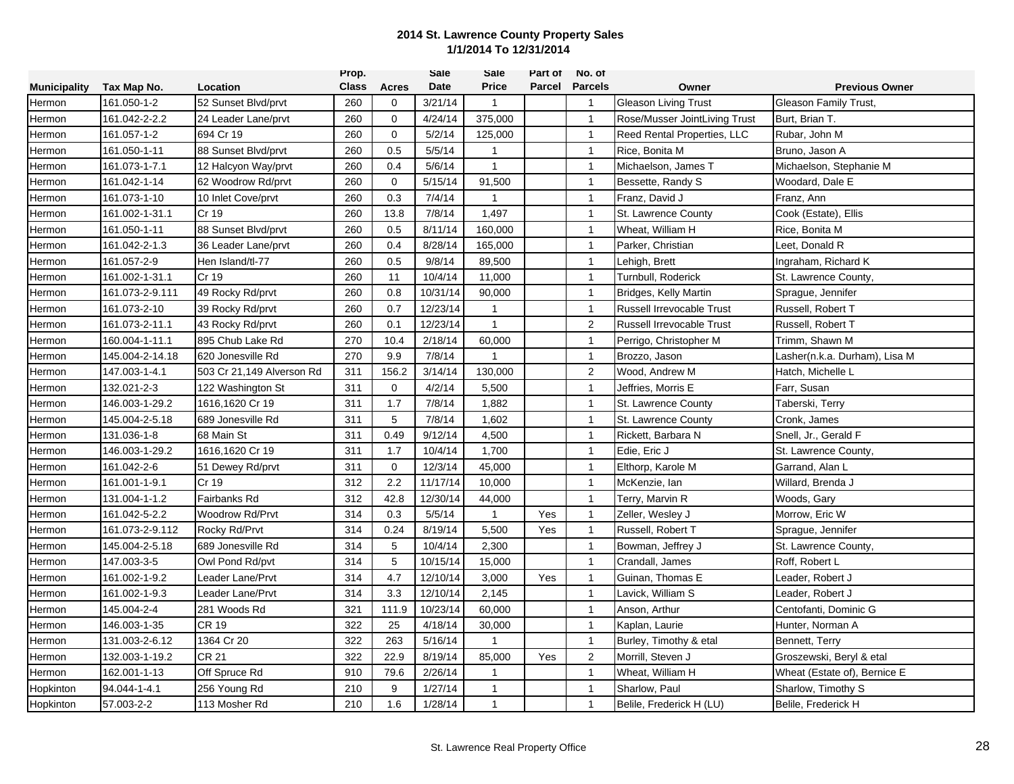|                     |                 |                           | Prop.        |              | <b>Sale</b> | Sale         | Part of | No. of         |                                  |                               |
|---------------------|-----------------|---------------------------|--------------|--------------|-------------|--------------|---------|----------------|----------------------------------|-------------------------------|
| <b>Municipality</b> | Tax Map No.     | Location                  | <b>Class</b> | Acres        | Date        | <b>Price</b> | Parcel  | <b>Parcels</b> | Owner                            | <b>Previous Owner</b>         |
| Hermon              | 161.050-1-2     | 52 Sunset Blvd/prvt       | 260          | 0            | 3/21/14     | $\mathbf{1}$ |         | $\overline{1}$ | <b>Gleason Living Trust</b>      | Gleason Family Trust,         |
| Hermon              | 161.042-2-2.2   | 24 Leader Lane/prvt       | 260          | $\mathbf{0}$ | 4/24/14     | 375,000      |         | $\mathbf{1}$   | Rose/Musser JointLiving Trust    | Burt. Brian T.                |
| Hermon              | 161.057-1-2     | 694 Cr 19                 | 260          | $\mathbf 0$  | 5/2/14      | 125,000      |         | $\overline{1}$ | Reed Rental Properties, LLC      | Rubar, John M                 |
| Hermon              | 161.050-1-11    | 88 Sunset Blvd/prvt       | 260          | 0.5          | 5/5/14      | $\mathbf{1}$ |         | $\mathbf{1}$   | Rice, Bonita M                   | Bruno, Jason A                |
| Hermon              | 161.073-1-7.1   | 12 Halcyon Way/prvt       | 260          | 0.4          | 5/6/14      | $\mathbf{1}$ |         | $\mathbf{1}$   | Michaelson, James T              | Michaelson, Stephanie M       |
| Hermon              | 161.042-1-14    | 62 Woodrow Rd/prvt        | 260          | $\mathbf 0$  | 5/15/14     | 91,500       |         | $\mathbf{1}$   | Bessette, Randy S                | Woodard, Dale E               |
| Hermon              | 161.073-1-10    | 10 Inlet Cove/prvt        | 260          | 0.3          | 7/4/14      | 1            |         | $\mathbf{1}$   | Franz, David J                   | Franz, Ann                    |
| Hermon              | 161.002-1-31.1  | Cr 19                     | 260          | 13.8         | 7/8/14      | 1,497        |         | $\mathbf{1}$   | St. Lawrence County              | Cook (Estate), Ellis          |
| Hermon              | 161.050-1-11    | 88 Sunset Blvd/prvt       | 260          | 0.5          | 8/11/14     | 160,000      |         | $\overline{1}$ | Wheat, William H                 | Rice, Bonita M                |
| Hermon              | 161.042-2-1.3   | 36 Leader Lane/prvt       | 260          | 0.4          | 8/28/14     | 165,000      |         | $\mathbf{1}$   | Parker, Christian                | Leet. Donald R                |
| Hermon              | 161.057-2-9     | Hen Island/tl-77          | 260          | 0.5          | 9/8/14      | 89,500       |         | $\mathbf{1}$   | Lehigh, Brett                    | Ingraham, Richard K           |
| Hermon              | 161.002-1-31.1  | Cr 19                     | 260          | 11           | 10/4/14     | 11,000       |         | $\mathbf{1}$   | Turnbull, Roderick               | St. Lawrence County,          |
| Hermon              | 161.073-2-9.111 | 49 Rocky Rd/prvt          | 260          | 0.8          | 10/31/14    | 90,000       |         | $\mathbf{1}$   | Bridges, Kelly Martin            | Sprague, Jennifer             |
| Hermon              | 161.073-2-10    | 39 Rocky Rd/prvt          | 260          | 0.7          | 12/23/14    | $\mathbf{1}$ |         | $\mathbf{1}$   | <b>Russell Irrevocable Trust</b> | Russell, Robert T             |
| Hermon              | 161.073-2-11.1  | 43 Rocky Rd/prvt          | 260          | 0.1          | 12/23/14    | $\mathbf{1}$ |         | 2              | <b>Russell Irrevocable Trust</b> | Russell, Robert T             |
| Hermon              | 160.004-1-11.1  | 895 Chub Lake Rd          | 270          | 10.4         | 2/18/14     | 60,000       |         | $\mathbf{1}$   | Perrigo, Christopher M           | Trimm, Shawn M                |
| Hermon              | 145.004-2-14.18 | 620 Jonesville Rd         | 270          | 9.9          | 7/8/14      | 1            |         | $\mathbf{1}$   | Brozzo, Jason                    | Lasher(n.k.a. Durham), Lisa M |
| Hermon              | 147.003-1-4.1   | 503 Cr 21,149 Alverson Rd | 311          | 156.2        | 3/14/14     | 130,000      |         | 2              | Wood, Andrew M                   | Hatch, Michelle L             |
| Hermon              | 132.021-2-3     | 122 Washington St         | 311          | $\mathbf 0$  | 4/2/14      | 5,500        |         | $\mathbf{1}$   | Jeffries, Morris E               | Farr, Susan                   |
| Hermon              | 146.003-1-29.2  | 1616,1620 Cr 19           | 311          | 1.7          | 7/8/14      | 1,882        |         | $\mathbf{1}$   | St. Lawrence County              | Taberski, Terry               |
| Hermon              | 145.004-2-5.18  | 689 Jonesville Rd         | 311          | 5            | 7/8/14      | 1,602        |         | $\mathbf{1}$   | St. Lawrence County              | Cronk, James                  |
| Hermon              | 131.036-1-8     | 68 Main St                | 311          | 0.49         | 9/12/14     | 4,500        |         | $\mathbf{1}$   | Rickett, Barbara N               | Snell, Jr., Gerald F          |
| Hermon              | 146.003-1-29.2  | 1616,1620 Cr 19           | 311          | 1.7          | 10/4/14     | 1,700        |         | $\mathbf{1}$   | Edie, Eric J                     | St. Lawrence County,          |
| Hermon              | 161.042-2-6     | 51 Dewey Rd/prvt          | 311          | $\Omega$     | 12/3/14     | 45,000       |         | $\mathbf{1}$   | Elthorp, Karole M                | Garrand, Alan L               |
| Hermon              | 161.001-1-9.1   | Cr 19                     | 312          | 2.2          | 11/17/14    | 10,000       |         | $\mathbf{1}$   | McKenzie, lan                    | Willard, Brenda J             |
| Hermon              | 131.004-1-1.2   | Fairbanks Rd              | 312          | 42.8         | 12/30/14    | 44,000       |         | $\mathbf{1}$   | Terry, Marvin R                  | Woods, Gary                   |
| Hermon              | 161.042-5-2.2   | Woodrow Rd/Prvt           | 314          | 0.3          | 5/5/14      | $\mathbf{1}$ | Yes     | $\mathbf{1}$   | Zeller, Wesley J                 | Morrow, Eric W                |
| Hermon              | 161.073-2-9.112 | Rocky Rd/Prvt             | 314          | 0.24         | 8/19/14     | 5,500        | Yes     | $\mathbf{1}$   | Russell, Robert T                | Sprague, Jennifer             |
| Hermon              | 145.004-2-5.18  | 689 Jonesville Rd         | 314          | 5            | 10/4/14     | 2,300        |         | $\mathbf{1}$   | Bowman, Jeffrey J                | St. Lawrence County,          |
| Hermon              | 147.003-3-5     | Owl Pond Rd/pvt           | 314          | 5            | 10/15/14    | 15,000       |         | $\mathbf{1}$   | Crandall, James                  | Roff. Robert L                |
| Hermon              | 161.002-1-9.2   | Leader Lane/Prvt          | 314          | 4.7          | 12/10/14    | 3,000        | Yes     | $\mathbf{1}$   | Guinan, Thomas E                 | Leader, Robert J              |
| Hermon              | 161.002-1-9.3   | Leader Lane/Prvt          | 314          | 3.3          | 12/10/14    | 2,145        |         | $\mathbf{1}$   | Lavick, William S                | Leader, Robert J              |
| Hermon              | 145.004-2-4     | 281 Woods Rd              | 321          | 111.9        | 10/23/14    | 60,000       |         | $\mathbf{1}$   | Anson, Arthur                    | Centofanti, Dominic G         |
| Hermon              | 146.003-1-35    | <b>CR 19</b>              | 322          | 25           | 4/18/14     | 30,000       |         | $\mathbf{1}$   | Kaplan, Laurie                   | Hunter, Norman A              |
| Hermon              | 131.003-2-6.12  | 1364 Cr 20                | 322          | 263          | 5/16/14     | $\mathbf{1}$ |         | $\overline{1}$ | Burley, Timothy & etal           | Bennett, Terry                |
| Hermon              | 132.003-1-19.2  | <b>CR 21</b>              | 322          | 22.9         | 8/19/14     | 85,000       | Yes     | 2              | Morrill, Steven J                | Groszewski, Beryl & etal      |
| Hermon              | 162.001-1-13    | Off Spruce Rd             | 910          | 79.6         | 2/26/14     | $\mathbf{1}$ |         | $\mathbf{1}$   | Wheat, William H                 | Wheat (Estate of), Bernice E  |
| Hopkinton           | 94.044-1-4.1    | 256 Young Rd              | 210          | 9            | 1/27/14     | $\mathbf{1}$ |         | $\mathbf{1}$   | Sharlow, Paul                    | Sharlow, Timothy S            |
| Hopkinton           | 57.003-2-2      | 113 Mosher Rd             | 210          | 1.6          | 1/28/14     | $\mathbf{1}$ |         | $\mathbf{1}$   | Belile, Frederick H (LU)         | Belile, Frederick H           |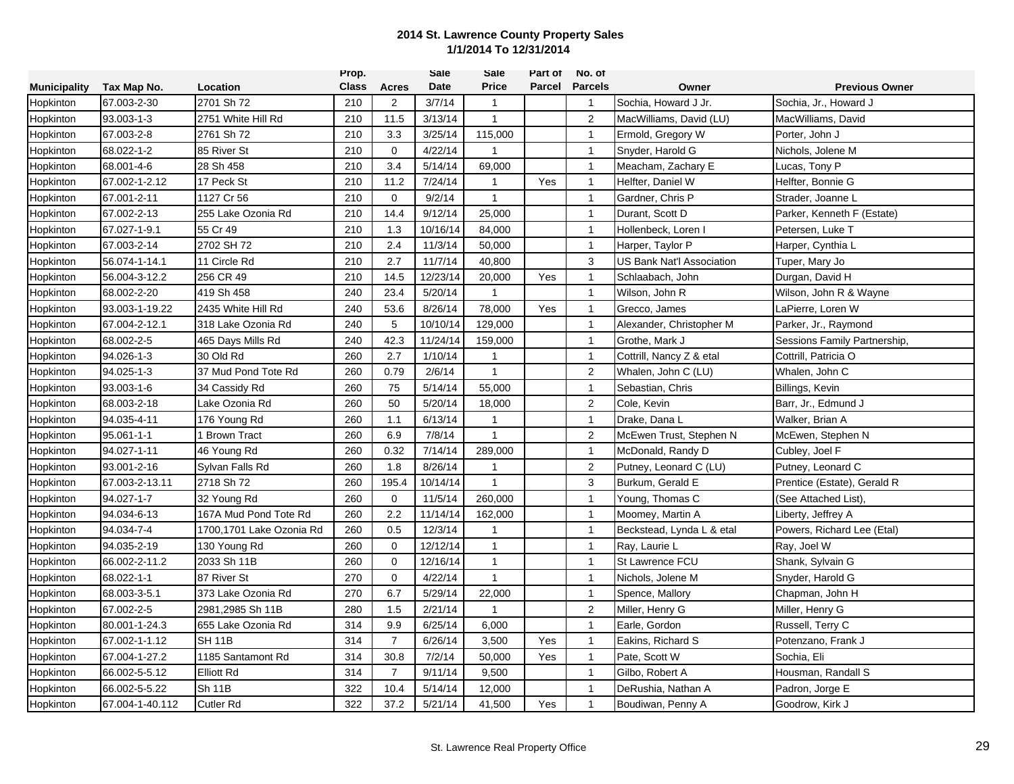|                     |                 |                          | Prop.        |                | Sale     | Sale         | Part of | No. of         |                           |                              |
|---------------------|-----------------|--------------------------|--------------|----------------|----------|--------------|---------|----------------|---------------------------|------------------------------|
| <b>Municipality</b> | Tax Map No.     | Location                 | <b>Class</b> | <b>Acres</b>   | Date     | <b>Price</b> | Parcel  | <b>Parcels</b> | Owner                     | <b>Previous Owner</b>        |
| Hopkinton           | 67.003-2-30     | 2701 Sh 72               | 210          | $\overline{2}$ | 3/7/14   | $\mathbf{1}$ |         | $\overline{1}$ | Sochia, Howard J Jr.      | Sochia, Jr., Howard J        |
| Hopkinton           | 93.003-1-3      | 2751 White Hill Rd       | 210          | 11.5           | 3/13/14  | $\mathbf{1}$ |         | 2              | MacWilliams, David (LU)   | MacWilliams, David           |
| Hopkinton           | 67.003-2-8      | 2761 Sh 72               | 210          | 3.3            | 3/25/14  | 115,000      |         | $\overline{1}$ | Ermold, Gregory W         | Porter, John J               |
| Hopkinton           | 68.022-1-2      | 85 River St              | 210          | $\mathbf 0$    | 4/22/14  | $\mathbf{1}$ |         | $\mathbf{1}$   | Snyder, Harold G          | Nichols, Jolene M            |
| Hopkinton           | 68.001-4-6      | 28 Sh 458                | 210          | 3.4            | 5/14/14  | 69,000       |         | $\mathbf{1}$   | Meacham, Zachary E        | Lucas, Tony P                |
| Hopkinton           | 67.002-1-2.12   | 17 Peck St               | 210          | 11.2           | 7/24/14  | $\mathbf{1}$ | Yes     | $\overline{1}$ | Helfter, Daniel W         | Helfter, Bonnie G            |
| Hopkinton           | 67.001-2-11     | 1127 Cr 56               | 210          | $\mathbf 0$    | 9/2/14   | $\mathbf{1}$ |         | $\mathbf{1}$   | Gardner, Chris P          | Strader, Joanne L            |
| Hopkinton           | 67.002-2-13     | 255 Lake Ozonia Rd       | 210          | 14.4           | 9/12/14  | 25,000       |         | $\mathbf{1}$   | Durant, Scott D           | Parker, Kenneth F (Estate)   |
| Hopkinton           | 67.027-1-9.1    | 55 Cr 49                 | 210          | 1.3            | 10/16/14 | 84,000       |         | $\overline{1}$ | Hollenbeck, Loren I       | Petersen, Luke T             |
| Hopkinton           | 67.003-2-14     | 2702 SH 72               | 210          | 2.4            | 11/3/14  | 50,000       |         | $\mathbf{1}$   | Harper, Taylor P          | Harper, Cynthia L            |
| Hopkinton           | 56.074-1-14.1   | 11 Circle Rd             | 210          | 2.7            | 11/7/14  | 40,800       |         | 3              | US Bank Nat'l Association | Tuper, Mary Jo               |
| Hopkinton           | 56.004-3-12.2   | 256 CR 49                | 210          | 14.5           | 12/23/14 | 20,000       | Yes     | $\overline{1}$ | Schlaabach, John          | Durgan, David H              |
| Hopkinton           | 68.002-2-20     | 419 Sh 458               | 240          | 23.4           | 5/20/14  | $\mathbf{1}$ |         | $\mathbf{1}$   | Wilson, John R            | Wilson, John R & Wayne       |
| Hopkinton           | 93.003-1-19.22  | 2435 White Hill Rd       | 240          | 53.6           | 8/26/14  | 78,000       | Yes     | $\mathbf{1}$   | Grecco, James             | LaPierre, Loren W            |
| Hopkinton           | 67.004-2-12.1   | 318 Lake Ozonia Rd       | 240          | 5              | 10/10/14 | 129,000      |         | $\overline{1}$ | Alexander, Christopher M  | Parker, Jr., Raymond         |
| Hopkinton           | 68.002-2-5      | 465 Days Mills Rd        | 240          | 42.3           | 11/24/14 | 159,000      |         | $\overline{1}$ | Grothe, Mark J            | Sessions Family Partnership, |
| Hopkinton           | 94.026-1-3      | 30 Old Rd                | 260          | 2.7            | 1/10/14  | 1            |         | $\mathbf{1}$   | Cottrill, Nancy Z & etal  | Cottrill, Patricia O         |
| Hopkinton           | 94.025-1-3      | 37 Mud Pond Tote Rd      | 260          | 0.79           | 2/6/14   | $\mathbf{1}$ |         | $\overline{c}$ | Whalen, John C (LU)       | Whalen, John C               |
| Hopkinton           | 93.003-1-6      | 34 Cassidy Rd            | 260          | 75             | 5/14/14  | 55,000       |         | $\mathbf{1}$   | Sebastian, Chris          | Billings, Kevin              |
| Hopkinton           | 68.003-2-18     | Lake Ozonia Rd           | 260          | 50             | 5/20/14  | 18,000       |         | $\overline{c}$ | Cole, Kevin               | Barr, Jr., Edmund J          |
| Hopkinton           | 94.035-4-11     | 176 Young Rd             | 260          | 1.1            | 6/13/14  | $\mathbf{1}$ |         | $\overline{1}$ | Drake, Dana L             | Walker, Brian A              |
| Hopkinton           | 95.061-1-1      | <b>Brown Tract</b>       | 260          | 6.9            | 7/8/14   | $\mathbf{1}$ |         | 2              | McEwen Trust, Stephen N   | McEwen, Stephen N            |
| Hopkinton           | 94.027-1-11     | 46 Young Rd              | 260          | 0.32           | 7/14/14  | 289,000      |         | $\mathbf{1}$   | McDonald, Randy D         | Cubley, Joel F               |
| Hopkinton           | 93.001-2-16     | Sylvan Falls Rd          | 260          | 1.8            | 8/26/14  | 1            |         | $\overline{c}$ | Putney, Leonard C (LU)    | Putney, Leonard C            |
| Hopkinton           | 67.003-2-13.11  | 2718 Sh 72               | 260          | 195.4          | 10/14/14 | $\mathbf{1}$ |         | 3              | Burkum, Gerald E          | Prentice (Estate), Gerald R  |
| Hopkinton           | 94.027-1-7      | 32 Young Rd              | 260          | 0              | 11/5/14  | 260,000      |         | $\mathbf{1}$   | Young, Thomas C           | (See Attached List),         |
| Hopkinton           | 94.034-6-13     | 167A Mud Pond Tote Rd    | 260          | 2.2            | 11/14/14 | 162,000      |         | $\mathbf{1}$   | Moomey, Martin A          | Liberty, Jeffrey A           |
| Hopkinton           | 94.034-7-4      | 1700,1701 Lake Ozonia Rd | 260          | 0.5            | 12/3/14  | $\mathbf{1}$ |         | $\overline{1}$ | Beckstead, Lynda L & etal | Powers, Richard Lee (Etal)   |
| Hopkinton           | 94.035-2-19     | 130 Young Rd             | 260          | $\mathbf 0$    | 12/12/14 | $\mathbf{1}$ |         | $\mathbf{1}$   | Ray, Laurie L             | Ray, Joel W                  |
| Hopkinton           | 66.002-2-11.2   | 2033 Sh 11B              | 260          | $\mathbf 0$    | 12/16/14 | $\mathbf{1}$ |         | $\mathbf{1}$   | St Lawrence FCU           | Shank, Sylvain G             |
| Hopkinton           | 68.022-1-1      | 87 River St              | 270          | $\mathbf 0$    | 4/22/14  | $\mathbf{1}$ |         | $\mathbf{1}$   | Nichols, Jolene M         | Snyder, Harold G             |
| Hopkinton           | 68.003-3-5.1    | 373 Lake Ozonia Rd       | 270          | 6.7            | 5/29/14  | 22,000       |         | $\mathbf{1}$   | Spence, Mallory           | Chapman, John H              |
| Hopkinton           | 67.002-2-5      | 2981.2985 Sh 11B         | 280          | 1.5            | 2/21/14  | $\mathbf{1}$ |         | 2              | Miller, Henry G           | Miller, Henry G              |
| Hopkinton           | 80.001-1-24.3   | 655 Lake Ozonia Rd       | 314          | 9.9            | 6/25/14  | 6,000        |         | $\overline{1}$ | Earle, Gordon             | Russell, Terry C             |
| Hopkinton           | 67.002-1-1.12   | <b>SH 11B</b>            | 314          | $\overline{7}$ | 6/26/14  | 3,500        | Yes     | $\mathbf{1}$   | Eakins, Richard S         | Potenzano, Frank J           |
| Hopkinton           | 67.004-1-27.2   | 1185 Santamont Rd        | 314          | 30.8           | 7/2/14   | 50,000       | Yes     | $\mathbf{1}$   | Pate, Scott W             | Sochia, Eli                  |
| Hopkinton           | 66.002-5-5.12   | Elliott Rd               | 314          | $\overline{7}$ | 9/11/14  | 9,500        |         | $\mathbf{1}$   | Gilbo, Robert A           | Housman, Randall S           |
| Hopkinton           | 66.002-5-5.22   | <b>Sh 11B</b>            | 322          | 10.4           | 5/14/14  | 12,000       |         | $\mathbf{1}$   | DeRushia, Nathan A        | Padron, Jorge E              |
| Hopkinton           | 67.004-1-40.112 | <b>Cutler Rd</b>         | 322          | 37.2           | 5/21/14  | 41,500       | Yes     | $\overline{1}$ | Boudiwan, Penny A         | Goodrow, Kirk J              |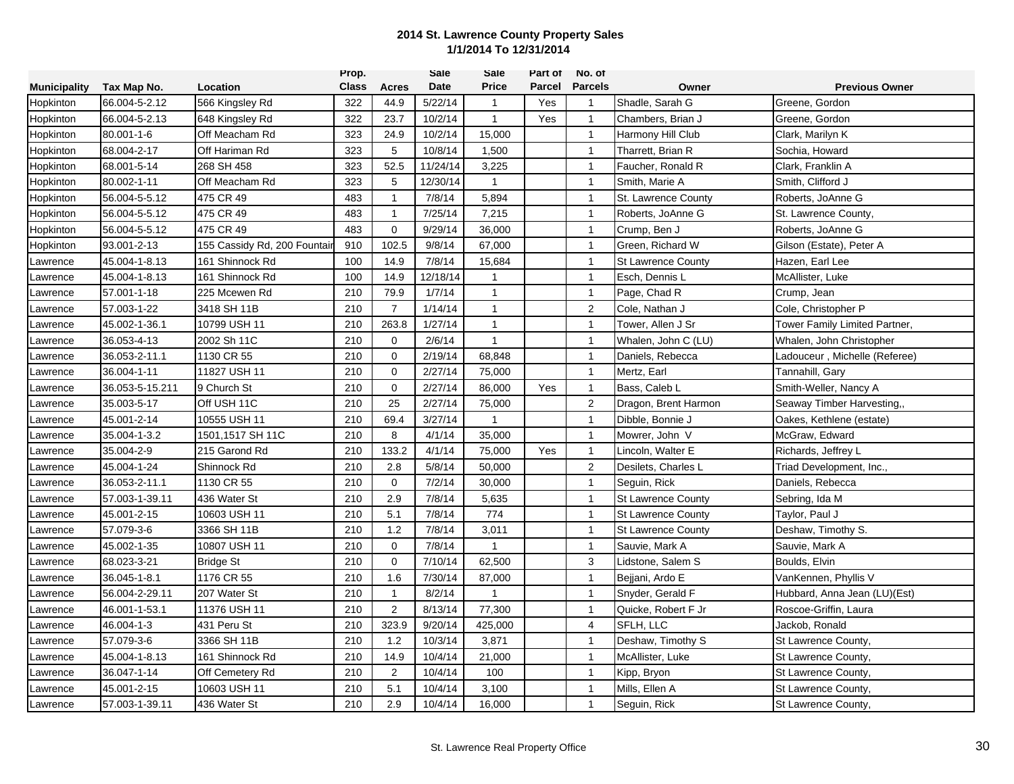|                     |                 |                             | Prop.        |                | <b>Sale</b> | Sale         | Part of       | No. of         |                           |                               |
|---------------------|-----------------|-----------------------------|--------------|----------------|-------------|--------------|---------------|----------------|---------------------------|-------------------------------|
| <b>Municipality</b> | Tax Map No.     | Location                    | <b>Class</b> | <b>Acres</b>   | Date        | <b>Price</b> | <b>Parcel</b> | <b>Parcels</b> | Owner                     | <b>Previous Owner</b>         |
| <b>Hopkinton</b>    | 66.004-5-2.12   | 566 Kingsley Rd             | 322          | 44.9           | 5/22/14     | $\mathbf{1}$ | Yes           | $\mathbf{1}$   | Shadle, Sarah G           | Greene, Gordon                |
| Hopkinton           | 66.004-5-2.13   | 648 Kingsley Rd             | 322          | 23.7           | 10/2/14     | $\mathbf{1}$ | Yes           | $\mathbf{1}$   | Chambers, Brian J         | Greene, Gordon                |
| <b>Hopkinton</b>    | 80.001-1-6      | Off Meacham Rd              | 323          | 24.9           | 10/2/14     | 15,000       |               | $\overline{1}$ | Harmony Hill Club         | Clark, Marilyn K              |
| Hopkinton           | 68.004-2-17     | Off Hariman Rd              | 323          | 5              | 10/8/14     | 1,500        |               | $\mathbf{1}$   | Tharrett, Brian R         | Sochia, Howard                |
| Hopkinton           | 68.001-5-14     | 268 SH 458                  | 323          | 52.5           | 11/24/14    | 3,225        |               | $\mathbf{1}$   | Faucher, Ronald R         | Clark, Franklin A             |
| Hopkinton           | 80.002-1-11     | Off Meacham Rd              | 323          | 5              | 12/30/14    | $\mathbf{1}$ |               | $\mathbf{1}$   | Smith, Marie A            | Smith, Clifford J             |
| Hopkinton           | 56.004-5-5.12   | 475 CR 49                   | 483          | $\mathbf{1}$   | 7/8/14      | 5,894        |               | $\mathbf{1}$   | St. Lawrence County       | Roberts, JoAnne G             |
| Hopkinton           | 56.004-5-5.12   | 475 CR 49                   | 483          | $\mathbf{1}$   | 7/25/14     | 7,215        |               | $\mathbf{1}$   | Roberts, JoAnne G         | St. Lawrence County,          |
| Hopkinton           | 56.004-5-5.12   | 475 CR 49                   | 483          | $\mathbf 0$    | 9/29/14     | 36,000       |               | $\overline{1}$ | Crump, Ben J              | Roberts, JoAnne G             |
| Hopkinton           | 93.001-2-13     | 155 Cassidy Rd, 200 Fountai | 910          | 102.5          | 9/8/14      | 67,000       |               | $\mathbf{1}$   | Green, Richard W          | Gilson (Estate), Peter A      |
| Lawrence            | 45.004-1-8.13   | 161 Shinnock Rd             | 100          | 14.9           | 7/8/14      | 15,684       |               | $\mathbf{1}$   | <b>St Lawrence County</b> | Hazen, Earl Lee               |
| Lawrence            | 45.004-1-8.13   | 161 Shinnock Rd             | 100          | 14.9           | 12/18/14    | -1           |               | $\mathbf{1}$   | Esch, Dennis L            | McAllister, Luke              |
| _awrence            | 57.001-1-18     | 225 Mcewen Rd               | 210          | 79.9           | 1/7/14      | $\mathbf{1}$ |               | $\mathbf{1}$   | Page, Chad R              | Crump, Jean                   |
| Lawrence            | 57.003-1-22     | 3418 SH 11B                 | 210          | $\overline{7}$ | 1/14/14     | $\mathbf{1}$ |               | 2              | Cole, Nathan J            | Cole, Christopher P           |
| Lawrence            | 45.002-1-36.1   | 10799 USH 11                | 210          | 263.8          | 1/27/14     | $\mathbf{1}$ |               | $\mathbf{1}$   | Tower, Allen J Sr         | Tower Family Limited Partner, |
| Lawrence            | 36.053-4-13     | 2002 Sh 11C                 | 210          | $\mathbf 0$    | 2/6/14      | $\mathbf{1}$ |               | $\mathbf{1}$   | Whalen, John C (LU)       | Whalen, John Christopher      |
| Lawrence            | 36.053-2-11.1   | 1130 CR 55                  | 210          | $\mathbf 0$    | 2/19/14     | 68,848       |               | $\mathbf{1}$   | Daniels, Rebecca          | Ladouceur, Michelle (Referee) |
| _awrence            | 36.004-1-11     | 11827 USH 11                | 210          | $\mathbf 0$    | 2/27/14     | 75,000       |               | $\mathbf{1}$   | Mertz, Earl               | Tannahill, Gary               |
| _awrence            | 36.053-5-15.211 | 9 Church St                 | 210          | $\mathbf 0$    | 2/27/14     | 86,000       | Yes           | $\mathbf{1}$   | Bass, Caleb L             | Smith-Weller, Nancy A         |
| _awrence            | 35.003-5-17     | Off USH 11C                 | 210          | 25             | 2/27/14     | 75,000       |               | 2              | Dragon, Brent Harmon      | Seaway Timber Harvesting,     |
| Lawrence            | 45.001-2-14     | 10555 USH 11                | 210          | 69.4           | 3/27/14     | $\mathbf{1}$ |               | $\mathbf{1}$   | Dibble, Bonnie J          | Oakes, Kethlene (estate)      |
| Lawrence            | 35.004-1-3.2    | 1501,1517 SH 11C            | 210          | 8              | 4/1/14      | 35,000       |               | $\overline{1}$ | Mowrer, John V            | McGraw, Edward                |
| _awrence            | 35.004-2-9      | 215 Garond Rd               | 210          | 133.2          | 4/1/14      | 75,000       | Yes           | $\mathbf{1}$   | Lincoln, Walter E         | Richards, Jeffrey L           |
| _awrence            | 45.004-1-24     | Shinnock Rd                 | 210          | 2.8            | 5/8/14      | 50,000       |               | $\overline{c}$ | Desilets, Charles L       | Triad Development, Inc.,      |
| _awrence            | 36.053-2-11.1   | 1130 CR 55                  | 210          | $\mathbf 0$    | 7/2/14      | 30,000       |               | $\mathbf{1}$   | Seguin, Rick              | Daniels, Rebecca              |
| Lawrence            | 57.003-1-39.11  | 436 Water St                | 210          | 2.9            | 7/8/14      | 5,635        |               | $\mathbf{1}$   | <b>St Lawrence County</b> | Sebring, Ida M                |
| Lawrence            | 45.001-2-15     | 10603 USH 11                | 210          | 5.1            | 7/8/14      | 774          |               | $\mathbf{1}$   | <b>St Lawrence County</b> | Taylor, Paul J                |
| Lawrence            | 57.079-3-6      | 3366 SH 11B                 | 210          | 1.2            | 7/8/14      | 3,011        |               | $\mathbf{1}$   | <b>St Lawrence County</b> | Deshaw, Timothy S.            |
| Lawrence            | 45.002-1-35     | 10807 USH 11                | 210          | $\mathbf 0$    | 7/8/14      | $\mathbf{1}$ |               | $\mathbf{1}$   | Sauvie, Mark A            | Sauvie, Mark A                |
| _awrence            | 68.023-3-21     | Bridge St                   | 210          | 0              | 7/10/14     | 62,500       |               | 3              | Lidstone, Salem S         | Boulds, Elvin                 |
| Lawrence            | 36.045-1-8.1    | 1176 CR 55                  | 210          | 1.6            | 7/30/14     | 87,000       |               | $\mathbf{1}$   | Bejjani, Ardo E           | VanKennen, Phyllis V          |
| awrence             | 56.004-2-29.11  | 207 Water St                | 210          | $\mathbf{1}$   | 8/2/14      |              |               | $\mathbf{1}$   | Snyder, Gerald F          | Hubbard, Anna Jean (LU)(Est)  |
| Lawrence            | 46.001-1-53.1   | 11376 USH 11                | 210          | 2              | 8/13/14     | 77,300       |               | $\mathbf{1}$   | Quicke, Robert F Jr       | Roscoe-Griffin, Laura         |
| Lawrence            | 46.004-1-3      | 431 Peru St                 | 210          | 323.9          | 9/20/14     | 425,000      |               | 4              | SFLH, LLC                 | Jackob, Ronald                |
| Lawrence            | 57.079-3-6      | 3366 SH 11B                 | 210          | 1.2            | 10/3/14     | 3,871        |               | $\mathbf{1}$   | Deshaw, Timothy S         | St Lawrence County,           |
| _awrence            | 45.004-1-8.13   | 161 Shinnock Rd             | 210          | 14.9           | 10/4/14     | 21,000       |               | $\overline{1}$ | McAllister, Luke          | St Lawrence County,           |
| Lawrence            | 36.047-1-14     | Off Cemetery Rd             | 210          | $\overline{2}$ | 10/4/14     | 100          |               | $\mathbf{1}$   | Kipp, Bryon               | St Lawrence County,           |
| Lawrence            | 45.001-2-15     | 10603 USH 11                | 210          | 5.1            | 10/4/14     | 3,100        |               | $\mathbf{1}$   | Mills, Ellen A            | St Lawrence County,           |
| Lawrence            | 57.003-1-39.11  | 436 Water St                | 210          | 2.9            | 10/4/14     | 16,000       |               | $\mathbf{1}$   | Seguin, Rick              | St Lawrence County,           |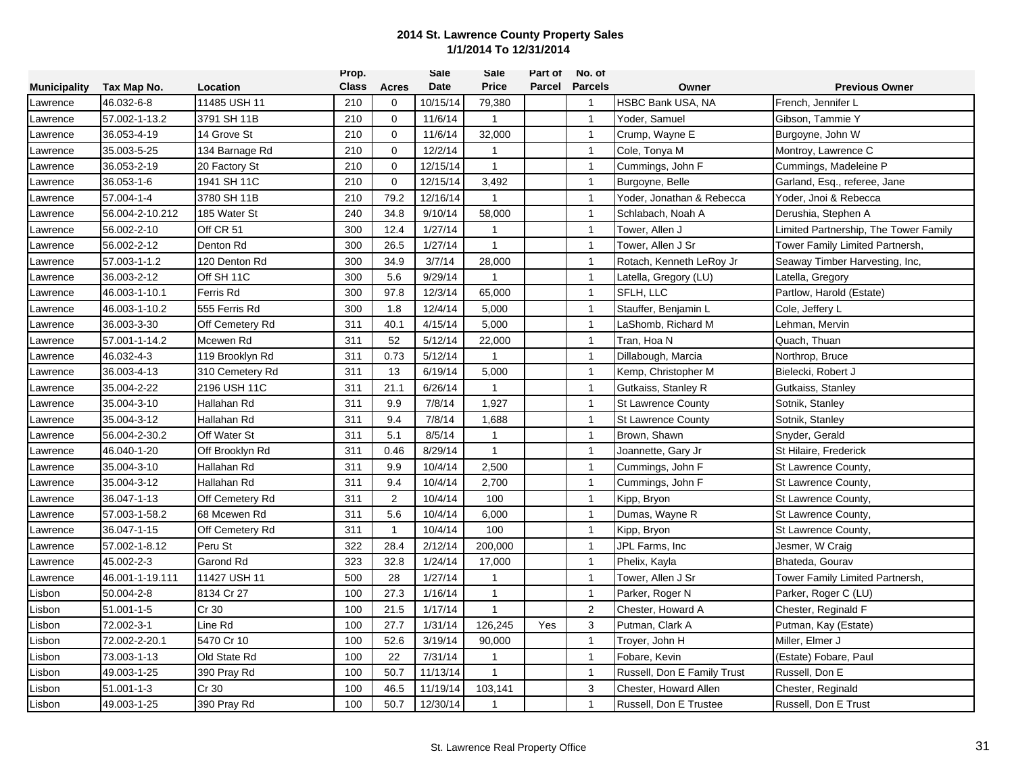|                     |                 |                  | Prop.        |                | Sale     | Sale           | Part of | No. of         |                             |                                       |
|---------------------|-----------------|------------------|--------------|----------------|----------|----------------|---------|----------------|-----------------------------|---------------------------------------|
| <b>Municipality</b> | Tax Map No.     | Location         | <b>Class</b> | Acres          | Date     | <b>Price</b>   | Parcel  | <b>Parcels</b> | Owner                       | <b>Previous Owner</b>                 |
| Lawrence            | 46.032-6-8      | 11485 USH 11     | 210          | 0              | 10/15/14 | 79,380         |         | $\overline{1}$ | <b>HSBC Bank USA, NA</b>    | French, Jennifer L                    |
| Lawrence            | 57.002-1-13.2   | 3791 SH 11B      | 210          | $\mathbf{0}$   | 11/6/14  | $\mathbf{1}$   |         | $\mathbf{1}$   | Yoder, Samuel               | Gibson, Tammie Y                      |
| Lawrence            | 36.053-4-19     | 14 Grove St      | 210          | $\mathbf 0$    | 11/6/14  | 32,000         |         | $\overline{1}$ | Crump, Wayne E              | Burgoyne, John W                      |
| awrence             | 35.003-5-25     | 134 Barnage Rd   | 210          | $\mathbf 0$    | 12/2/14  | $\mathbf{1}$   |         | $\mathbf{1}$   | Cole, Tonya M               | Montroy, Lawrence C                   |
| awrence             | 36.053-2-19     | 20 Factory St    | 210          | $\mathbf 0$    | 12/15/14 | $\mathbf{1}$   |         | $\mathbf{1}$   | Cummings, John F            | Cummings, Madeleine P                 |
| _awrence            | 36.053-1-6      | 1941 SH 11C      | 210          | $\mathbf 0$    | 12/15/14 | 3,492          |         | $\overline{1}$ | Burgoyne, Belle             | Garland, Esq., referee, Jane          |
| awrence             | 57.004-1-4      | 3780 SH 11B      | 210          | 79.2           | 12/16/14 | $\mathbf{1}$   |         | $\mathbf{1}$   | Yoder, Jonathan & Rebecca   | Yoder, Jnoi & Rebecca                 |
| Lawrence            | 56.004-2-10.212 | 185 Water St     | 240          | 34.8           | 9/10/14  | 58,000         |         | $\overline{1}$ | Schlabach, Noah A           | Derushia, Stephen A                   |
| Lawrence            | 56.002-2-10     | Off CR 51        | 300          | 12.4           | 1/27/14  | $\mathbf{1}$   |         | $\overline{1}$ | Tower, Allen J              | Limited Partnership, The Tower Family |
| awrence             | 56.002-2-12     | Denton Rd        | 300          | 26.5           | 1/27/14  | $\overline{1}$ |         | $\mathbf{1}$   | Tower, Allen J Sr           | Tower Family Limited Partnersh,       |
| awrence             | 57.003-1-1.2    | 120 Denton Rd    | 300          | 34.9           | 3/7/14   | 28,000         |         | $\mathbf{1}$   | Rotach, Kenneth LeRoy Jr    | Seaway Timber Harvesting, Inc,        |
| Lawrence            | 36.003-2-12     | Off SH 11C       | 300          | 5.6            | 9/29/14  | -1             |         | $\mathbf{1}$   | Latella, Gregory (LU)       | Latella, Gregory                      |
| awrence             | 46.003-1-10.1   | <b>Ferris Rd</b> | 300          | 97.8           | 12/3/14  | 65,000         |         | $\mathbf{1}$   | SFLH, LLC                   | Partlow, Harold (Estate)              |
| _awrence            | 46.003-1-10.2   | 555 Ferris Rd    | 300          | 1.8            | 12/4/14  | 5,000          |         | $\mathbf{1}$   | Stauffer, Benjamin L        | Cole, Jeffery L                       |
| Lawrence            | 36.003-3-30     | Off Cemetery Rd  | 311          | 40.1           | 4/15/14  | 5,000          |         | $\mathbf{1}$   | LaShomb, Richard M          | Lehman, Mervin                        |
| _awrence            | 57.001-1-14.2   | Mcewen Rd        | 311          | 52             | 5/12/14  | 22,000         |         | $\overline{1}$ | Tran, Hoa N                 | Quach, Thuan                          |
| awrence             | 46.032-4-3      | 119 Brooklyn Rd  | 311          | 0.73           | 5/12/14  | $\mathbf{1}$   |         | $\mathbf{1}$   | Dillabough, Marcia          | Northrop, Bruce                       |
| awrence             | 36.003-4-13     | 310 Cemetery Rd  | 311          | 13             | 6/19/14  | 5,000          |         | $\mathbf{1}$   | Kemp, Christopher M         | Bielecki, Robert J                    |
| awrence             | 35.004-2-22     | 2196 USH 11C     | 311          | 21.1           | 6/26/14  | $\mathbf{1}$   |         | $\mathbf{1}$   | Gutkaiss, Stanley R         | Gutkaiss, Stanley                     |
| awrence             | 35.004-3-10     | Hallahan Rd      | 311          | 9.9            | 7/8/14   | 1,927          |         | $\mathbf{1}$   | <b>St Lawrence County</b>   | Sotnik, Stanley                       |
| Lawrence            | 35.004-3-12     | Hallahan Rd      | 311          | 9.4            | 7/8/14   | 1,688          |         | $\mathbf{1}$   | <b>St Lawrence County</b>   | Sotnik, Stanley                       |
| Lawrence            | 56.004-2-30.2   | Off Water St     | 311          | 5.1            | 8/5/14   | $\mathbf{1}$   |         | $\overline{1}$ | Brown, Shawn                | Snyder, Gerald                        |
| awrence             | 46.040-1-20     | Off Brooklyn Rd  | 311          | 0.46           | 8/29/14  | $\mathbf{1}$   |         | $\mathbf{1}$   | Joannette, Gary Jr          | St Hilaire, Frederick                 |
| awrence             | 35.004-3-10     | Hallahan Rd      | 311          | 9.9            | 10/4/14  | 2,500          |         | $\mathbf{1}$   | Cummings, John F            | St Lawrence County,                   |
| awrence             | 35.004-3-12     | Hallahan Rd      | 311          | 9.4            | 10/4/14  | 2,700          |         | $\mathbf{1}$   | Cummings, John F            | St Lawrence County,                   |
| awrence             | 36.047-1-13     | Off Cemetery Rd  | 311          | $\overline{2}$ | 10/4/14  | 100            |         | $\mathbf{1}$   | Kipp, Bryon                 | St Lawrence County,                   |
| Lawrence            | 57.003-1-58.2   | 68 Mcewen Rd     | 311          | 5.6            | 10/4/14  | 6,000          |         | $\mathbf{1}$   | Dumas, Wayne R              | St Lawrence County,                   |
| Lawrence            | 36.047-1-15     | Off Cemetery Rd  | 311          | $\mathbf{1}$   | 10/4/14  | 100            |         | $\overline{1}$ | Kipp, Bryon                 | St Lawrence County,                   |
| awrence             | 57.002-1-8.12   | Peru St          | 322          | 28.4           | 2/12/14  | 200,000        |         | $\mathbf{1}$   | JPL Farms, Inc              | Jesmer, W Craig                       |
| awrence             | 45.002-2-3      | Garond Rd        | 323          | 32.8           | 1/24/14  | 17,000         |         | $\mathbf{1}$   | Phelix, Kayla               | Bhateda, Gourav                       |
| _awrence            | 46.001-1-19.111 | 11427 USH 11     | 500          | 28             | 1/27/14  | -1             |         | $\overline{1}$ | Tower, Allen J Sr           | Tower Family Limited Partnersh,       |
| Lisbon              | 50.004-2-8      | 8134 Cr 27       | 100          | 27.3           | 1/16/14  | $\mathbf{1}$   |         | $\mathbf{1}$   | Parker, Roger N             | Parker, Roger C (LU)                  |
| Lisbon              | 51.001-1-5      | Cr 30            | 100          | 21.5           | 1/17/14  | $\mathbf{1}$   |         | 2              | Chester, Howard A           | Chester, Reginald F                   |
| _isbon              | 72.002-3-1      | Line Rd          | 100          | 27.7           | 1/31/14  | 126,245        | Yes     | 3              | Putman, Clark A             | Putman, Kay (Estate)                  |
| _isbon              | 72.002-2-20.1   | 5470 Cr 10       | 100          | 52.6           | 3/19/14  | 90,000         |         | $\overline{1}$ | Troyer, John H              | Miller, Elmer J                       |
| .isbon              | 73.003-1-13     | Old State Rd     | 100          | 22             | 7/31/14  | 1              |         | $\mathbf{1}$   | Fobare, Kevin               | (Estate) Fobare, Paul                 |
| .isbon              | 49.003-1-25     | 390 Pray Rd      | 100          | 50.7           | 11/13/14 | 1              |         | $\overline{1}$ | Russell, Don E Family Trust | Russell, Don E                        |
| _isbon              | 51.001-1-3      | Cr 30            | 100          | 46.5           | 11/19/14 | 103,141        |         | 3              | Chester, Howard Allen       | Chester, Reginald                     |
| Lisbon              | 49.003-1-25     | 390 Pray Rd      | 100          | 50.7           | 12/30/14 | 1              |         | $\overline{1}$ | Russell, Don E Trustee      | Russell, Don E Trust                  |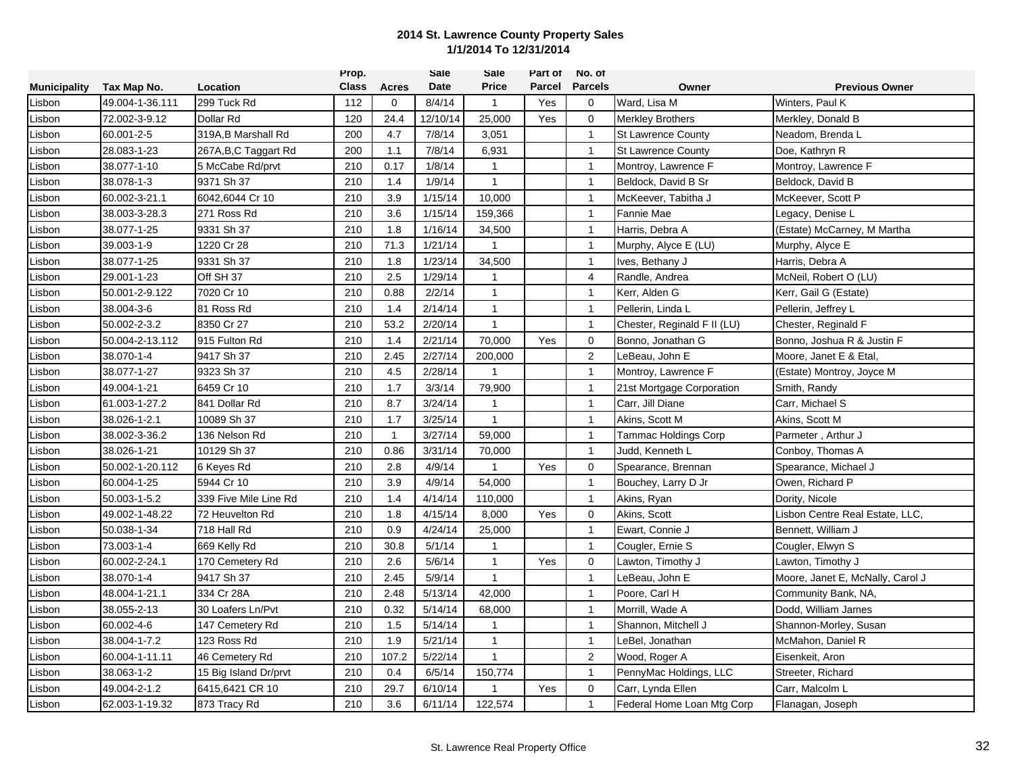|                     |                 |                       | Prop.        |              | <b>Sale</b> | Sale           | Part of       | No. of         |                             |                                  |
|---------------------|-----------------|-----------------------|--------------|--------------|-------------|----------------|---------------|----------------|-----------------------------|----------------------------------|
| <b>Municipality</b> | Tax Map No.     | Location              | <b>Class</b> | Acres        | Date        | <b>Price</b>   | <b>Parcel</b> | <b>Parcels</b> | Owner                       | <b>Previous Owner</b>            |
| Lisbon              | 49.004-1-36.111 | 299 Tuck Rd           | 112          | 0            | 8/4/14      | $\mathbf{1}$   | Yes           | $\mathbf 0$    | Ward, Lisa M                | Winters, Paul K                  |
| Lisbon              | 72.002-3-9.12   | Dollar Rd             | 120          | 24.4         | 12/10/14    | 25,000         | Yes           | $\mathbf 0$    | <b>Merkley Brothers</b>     | Merkley, Donald B                |
| Lisbon              | 60.001-2-5      | 319A, B Marshall Rd   | 200          | 4.7          | 7/8/14      | 3,051          |               | $\overline{1}$ | <b>St Lawrence County</b>   | Neadom, Brenda L                 |
| Lisbon              | 28.083-1-23     | 267A, B, C Taggart Rd | 200          | 1.1          | 7/8/14      | 6,931          |               | $\mathbf{1}$   | <b>St Lawrence County</b>   | Doe, Kathryn R                   |
| Lisbon              | 38.077-1-10     | 5 McCabe Rd/prvt      | 210          | 0.17         | 1/8/14      | $\mathbf{1}$   |               | $\overline{1}$ | Montroy, Lawrence F         | Montroy, Lawrence F              |
| Lisbon              | 38.078-1-3      | 9371 Sh 37            | 210          | 1.4          | 1/9/14      | $\mathbf{1}$   |               | $\overline{1}$ | Beldock, David B Sr         | Beldock, David B                 |
| Lisbon              | 60.002-3-21.1   | 6042,6044 Cr 10       | 210          | 3.9          | 1/15/14     | 10,000         |               | $\overline{1}$ | McKeever, Tabitha J         | McKeever, Scott P                |
| Lisbon              | 38.003-3-28.3   | 271 Ross Rd           | 210          | 3.6          | 1/15/14     | 159,366        |               | $\overline{1}$ | <b>Fannie Mae</b>           | Legacy, Denise L                 |
| Lisbon              | 38.077-1-25     | 9331 Sh 37            | 210          | 1.8          | 1/16/14     | 34,500         |               | $\overline{1}$ | Harris, Debra A             | (Estate) McCarney, M Martha      |
| Lisbon              | 39.003-1-9      | 1220 Cr 28            | 210          | 71.3         | 1/21/14     | $\overline{1}$ |               | $\mathbf{1}$   | Murphy, Alyce E (LU)        | Murphy, Alyce E                  |
| Lisbon              | 38.077-1-25     | 9331 Sh 37            | 210          | 1.8          | 1/23/14     | 34,500         |               | $\overline{1}$ | Ives, Bethany J             | Harris, Debra A                  |
| Lisbon              | 29.001-1-23     | Off SH 37             | 210          | 2.5          | 1/29/14     | -1             |               | $\overline{4}$ | Randle, Andrea              | McNeil, Robert O (LU)            |
| Lisbon              | 50.001-2-9.122  | 7020 Cr 10            | 210          | 0.88         | 2/2/14      | $\mathbf{1}$   |               | $\mathbf{1}$   | Kerr, Alden G               | Kerr, Gail G (Estate)            |
| Lisbon              | 38.004-3-6      | 81 Ross Rd            | 210          | 1.4          | 2/14/14     | $\mathbf{1}$   |               | $\overline{1}$ | Pellerin, Linda L           | Pellerin, Jeffrey L              |
| Lisbon              | 50.002-2-3.2    | 8350 Cr 27            | 210          | 53.2         | 2/20/14     | $\mathbf{1}$   |               | $\overline{1}$ | Chester, Reginald F II (LU) | Chester, Reginald F              |
| Lisbon              | 50.004-2-13.112 | 915 Fulton Rd         | 210          | 1.4          | 2/21/14     | 70,000         | Yes           | $\mathbf 0$    | Bonno, Jonathan G           | Bonno, Joshua R & Justin F       |
| Lisbon              | 38.070-1-4      | 9417 Sh 37            | 210          | 2.45         | 2/27/14     | 200,000        |               | $\overline{2}$ | LeBeau, John E              | Moore, Janet E & Etal,           |
| Lisbon              | 38.077-1-27     | 9323 Sh 37            | 210          | 4.5          | 2/28/14     | $\mathbf 1$    |               | $\overline{1}$ | Montroy, Lawrence F         | (Estate) Montroy, Joyce M        |
| Lisbon              | 49.004-1-21     | 6459 Cr 10            | 210          | 1.7          | 3/3/14      | 79,900         |               | $\overline{1}$ | 21st Mortgage Corporation   | Smith, Randy                     |
| Lisbon              | 61.003-1-27.2   | 841 Dollar Rd         | 210          | 8.7          | 3/24/14     | $\overline{1}$ |               | $\overline{1}$ | Carr, Jill Diane            | Carr, Michael S                  |
| Lisbon              | 38.026-1-2.1    | 10089 Sh 37           | 210          | 1.7          | 3/25/14     | $\mathbf{1}$   |               | $\overline{1}$ | Akins, Scott M              | Akins, Scott M                   |
| Lisbon              | 38.002-3-36.2   | 136 Nelson Rd         | 210          | $\mathbf{1}$ | 3/27/14     | 59,000         |               | $\overline{1}$ | <b>Tammac Holdings Corp</b> | Parmeter, Arthur J               |
| Lisbon              | 38.026-1-21     | 10129 Sh 37           | 210          | 0.86         | 3/31/14     | 70,000         |               | $\overline{1}$ | Judd, Kenneth L             | Conboy, Thomas A                 |
| Lisbon              | 50.002-1-20.112 | 6 Keyes Rd            | 210          | 2.8          | 4/9/14      | 1              | Yes           | $\mathbf 0$    | Spearance, Brennan          | Spearance, Michael J             |
| Lisbon              | 60.004-1-25     | 5944 Cr 10            | 210          | 3.9          | 4/9/14      | 54,000         |               | $\overline{1}$ | Bouchey, Larry D Jr         | Owen, Richard P                  |
| Lisbon              | 50.003-1-5.2    | 339 Five Mile Line Rd | 210          | 1.4          | 4/14/14     | 110,000        |               | $\mathbf{1}$   | Akins, Ryan                 | Dority, Nicole                   |
| Lisbon              | 49.002-1-48.22  | 72 Heuvelton Rd       | 210          | 1.8          | 4/15/14     | 8,000          | Yes           | $\mathbf 0$    | Akins, Scott                | Lisbon Centre Real Estate, LLC,  |
| Lisbon              | 50.038-1-34     | 718 Hall Rd           | 210          | 0.9          | 4/24/14     | 25,000         |               | $\overline{1}$ | Ewart, Connie J             | Bennett, William J               |
| Lisbon              | 73.003-1-4      | 669 Kelly Rd          | 210          | 30.8         | 5/1/14      | $\mathbf{1}$   |               | $\overline{1}$ | Cougler, Ernie S            | Cougler, Elwyn S                 |
| Lisbon              | 60.002-2-24.1   | 170 Cemetery Rd       | 210          | 2.6          | 5/6/14      | $\mathbf{1}$   | Yes           | $\mathbf 0$    | Lawton, Timothy J           | Lawton, Timothy J                |
| Lisbon              | 38.070-1-4      | 9417 Sh 37            | 210          | 2.45         | 5/9/14      | $\mathbf{1}$   |               | $\mathbf{1}$   | LeBeau, John E              | Moore, Janet E, McNally, Carol J |
| Lisbon              | 48.004-1-21.1   | 334 Cr 28A            | 210          | 2.48         | 5/13/14     | 42,000         |               | $\overline{1}$ | Poore, Carl H               | Community Bank, NA,              |
| Lisbon              | 38.055-2-13     | 30 Loafers Ln/Pvt     | 210          | 0.32         | 5/14/14     | 68,000         |               | $\overline{1}$ | Morrill, Wade A             | Dodd, William James              |
| Lisbon              | 60.002-4-6      | 147 Cemetery Rd       | 210          | 1.5          | 5/14/14     | -1             |               | $\overline{1}$ | Shannon, Mitchell J         | Shannon-Morley, Susan            |
| Lisbon              | 38.004-1-7.2    | 123 Ross Rd           | 210          | 1.9          | 5/21/14     | $\overline{1}$ |               | $\overline{1}$ | LeBel, Jonathan             | McMahon, Daniel R                |
| Lisbon              | 60.004-1-11.11  | 46 Cemetery Rd        | 210          | 107.2        | 5/22/14     | $\mathbf{1}$   |               | $\overline{2}$ | Wood, Roger A               | Eisenkeit, Aron                  |
| Lisbon              | 38.063-1-2      | 15 Big Island Dr/prvt | 210          | 0.4          | 6/5/14      | 150,774        |               | $\mathbf{1}$   | PennyMac Holdings, LLC      | Streeter, Richard                |
| Lisbon              | 49.004-2-1.2    | 6415,6421 CR 10       | 210          | 29.7         | 6/10/14     |                | Yes           | $\mathbf 0$    | Carr, Lynda Ellen           | Carr, Malcolm L                  |
| Lisbon              | 62.003-1-19.32  | 873 Tracy Rd          | 210          | 3.6          | 6/11/14     | 122,574        |               | $\mathbf{1}$   | Federal Home Loan Mtg Corp  | Flanagan, Joseph                 |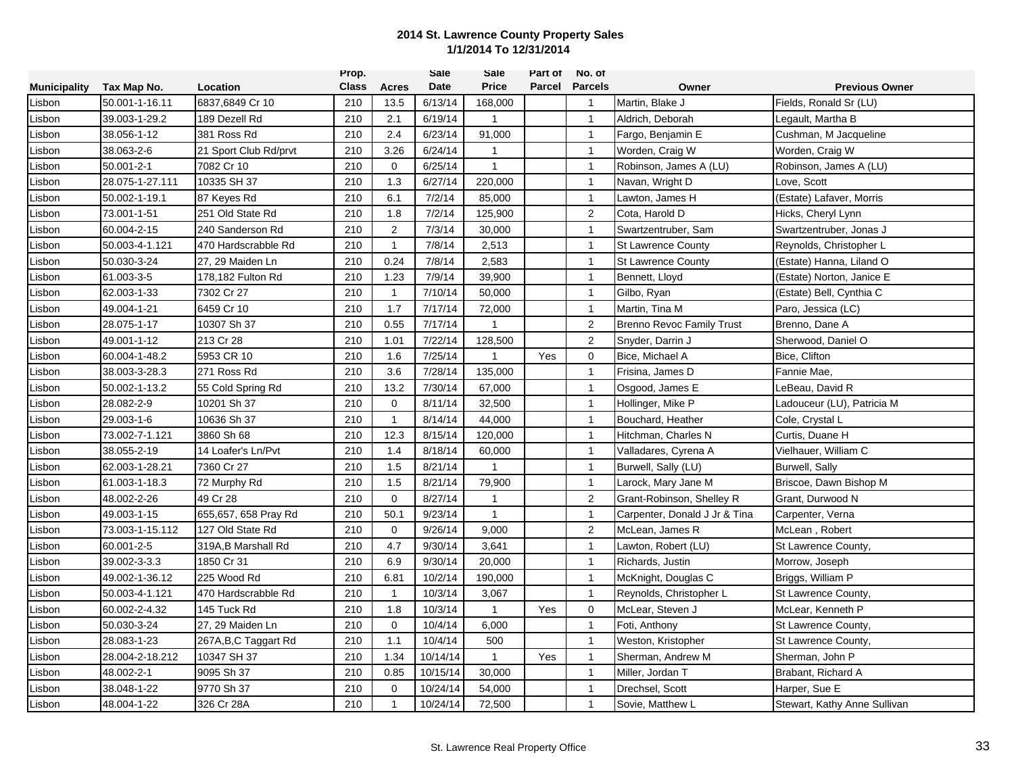|                     |                 |                       | Prop.        |                | <b>Sale</b> | Sale           | Part of | No. of         |                                  |                              |
|---------------------|-----------------|-----------------------|--------------|----------------|-------------|----------------|---------|----------------|----------------------------------|------------------------------|
| <b>Municipality</b> | Tax Map No.     | Location              | <b>Class</b> | Acres          | Date        | <b>Price</b>   | Parcel  | <b>Parcels</b> | Owner                            | <b>Previous Owner</b>        |
| Lisbon              | 50.001-1-16.11  | 6837,6849 Cr 10       | 210          | 13.5           | 6/13/14     | 168,000        |         | $\mathbf{1}$   | Martin, Blake J                  | Fields, Ronald Sr (LU)       |
| Lisbon              | 39.003-1-29.2   | 189 Dezell Rd         | 210          | 2.1            | 6/19/14     | $\mathbf{1}$   |         | $\overline{1}$ | Aldrich, Deborah                 | Legault, Martha B            |
| Lisbon              | 38.056-1-12     | 381 Ross Rd           | 210          | 2.4            | 6/23/14     | 91,000         |         | $\mathbf{1}$   | Fargo, Benjamin E                | Cushman, M Jacqueline        |
| Lisbon              | 38.063-2-6      | 21 Sport Club Rd/prvt | 210          | 3.26           | 6/24/14     | $\mathbf{1}$   |         | $\mathbf{1}$   | Worden, Craig W                  | Worden, Craig W              |
| Lisbon              | 50.001-2-1      | 7082 Cr 10            | 210          | 0              | 6/25/14     | $\mathbf{1}$   |         | $\mathbf{1}$   | Robinson, James A (LU)           | Robinson, James A (LU)       |
| Lisbon              | 28.075-1-27.111 | 10335 SH 37           | 210          | 1.3            | 6/27/14     | 220,000        |         | $\mathbf{1}$   | Navan, Wright D                  | Love, Scott                  |
| Lisbon              | 50.002-1-19.1   | 87 Keyes Rd           | 210          | 6.1            | 7/2/14      | 85,000         |         | $\mathbf{1}$   | Lawton, James H                  | (Estate) Lafaver, Morris     |
| Lisbon              | 73.001-1-51     | 251 Old State Rd      | 210          | 1.8            | 7/2/14      | 125,900        |         | 2              | Cota, Harold D                   | Hicks, Cheryl Lynn           |
| Lisbon              | 60.004-2-15     | 240 Sanderson Rd      | 210          | $\overline{2}$ | 7/3/14      | 30,000         |         | $\overline{1}$ | Swartzentruber, Sam              | Swartzentruber, Jonas J      |
| Lisbon              | 50.003-4-1.121  | 470 Hardscrabble Rd   | 210          | $\mathbf{1}$   | 7/8/14      | 2,513          |         | $\mathbf{1}$   | <b>St Lawrence County</b>        | Reynolds, Christopher L      |
| Lisbon              | 50.030-3-24     | 27, 29 Maiden Ln      | 210          | 0.24           | 7/8/14      | 2,583          |         | $\mathbf{1}$   | <b>St Lawrence County</b>        | (Estate) Hanna, Liland O     |
| Lisbon              | 61.003-3-5      | 178,182 Fulton Rd     | 210          | 1.23           | 7/9/14      | 39,900         |         | $\mathbf{1}$   | Bennett, Lloyd                   | (Estate) Norton, Janice E    |
| Lisbon              | 62.003-1-33     | 7302 Cr 27            | 210          | $\mathbf{1}$   | 7/10/14     | 50,000         |         | $\mathbf{1}$   | Gilbo, Ryan                      | (Estate) Bell, Cynthia C     |
| Lisbon              | 49.004-1-21     | 6459 Cr 10            | 210          | 1.7            | 7/17/14     | 72,000         |         | $\overline{1}$ | Martin. Tina M                   | Paro, Jessica (LC)           |
| Lisbon              | 28.075-1-17     | 10307 Sh 37           | 210          | 0.55           | 7/17/14     | $\mathbf{1}$   |         | 2              | <b>Brenno Revoc Family Trust</b> | Brenno, Dane A               |
| Lisbon              | 49.001-1-12     | 213 Cr 28             | 210          | 1.01           | 7/22/14     | 128,500        |         | 2              | Snyder, Darrin J                 | Sherwood, Daniel O           |
| Lisbon              | 60.004-1-48.2   | 5953 CR 10            | 210          | 1.6            | 7/25/14     | $\mathbf{1}$   | Yes     | $\mathbf 0$    | Bice, Michael A                  | Bice, Clifton                |
| Lisbon              | 38.003-3-28.3   | 271 Ross Rd           | 210          | 3.6            | 7/28/14     | 135,000        |         | $\mathbf{1}$   | Frisina, James D                 | Fannie Mae,                  |
| Lisbon              | 50.002-1-13.2   | 55 Cold Spring Rd     | 210          | 13.2           | 7/30/14     | 67,000         |         | $\mathbf{1}$   | Osgood, James E                  | LeBeau, David R              |
| Lisbon              | 28.082-2-9      | 10201 Sh 37           | 210          | $\mathbf 0$    | 8/11/14     | 32,500         |         | $\mathbf{1}$   | Hollinger, Mike P                | Ladouceur (LU), Patricia M   |
| Lisbon              | 29.003-1-6      | 10636 Sh 37           | 210          | $\mathbf{1}$   | 8/14/14     | 44,000         |         | $\overline{1}$ | Bouchard, Heather                | Cole, Crystal L              |
| Lisbon              | 73.002-7-1.121  | 3860 Sh 68            | 210          | 12.3           | 8/15/14     | 120,000        |         | $\mathbf{1}$   | Hitchman, Charles N              | Curtis, Duane H              |
| Lisbon              | 38.055-2-19     | 14 Loafer's Ln/Pvt    | 210          | 1.4            | 8/18/14     | 60,000         |         | $\mathbf{1}$   | Valladares, Cyrena A             | Vielhauer, William C         |
| Lisbon              | 62.003-1-28.21  | 7360 Cr 27            | 210          | 1.5            | 8/21/14     | $\mathbf{1}$   |         | $\mathbf{1}$   | Burwell, Sally (LU)              | Burwell, Sally               |
| Lisbon              | 61.003-1-18.3   | 72 Murphy Rd          | 210          | 1.5            | 8/21/14     | 79,900         |         | $\mathbf{1}$   | Larock, Mary Jane M              | Briscoe, Dawn Bishop M       |
| Lisbon              | 48.002-2-26     | 49 Cr 28              | 210          | $\mathbf 0$    | 8/27/14     | $\overline{1}$ |         | $\overline{2}$ | Grant-Robinson, Shelley R        | Grant, Durwood N             |
| Lisbon              | 49.003-1-15     | 655,657, 658 Pray Rd  | 210          | 50.1           | 9/23/14     | $\mathbf{1}$   |         | $\mathbf{1}$   | Carpenter, Donald J Jr & Tina    | Carpenter, Verna             |
| Lisbon              | 73.003-1-15.112 | 127 Old State Rd      | 210          | $\mathbf 0$    | 9/26/14     | 9,000          |         | 2              | McLean, James R                  | McLean, Robert               |
| Lisbon              | 60.001-2-5      | 319A, B Marshall Rd   | 210          | 4.7            | 9/30/14     | 3,641          |         | $\mathbf{1}$   | Lawton, Robert (LU)              | St Lawrence County,          |
| Lisbon              | 39.002-3-3.3    | 1850 Cr 31            | 210          | 6.9            | 9/30/14     | 20,000         |         | $\mathbf{1}$   | Richards, Justin                 | Morrow, Joseph               |
| Lisbon              | 49.002-1-36.12  | 225 Wood Rd           | 210          | 6.81           | 10/2/14     | 190,000        |         | $\mathbf{1}$   | McKnight, Douglas C              | Briggs, William P            |
| Lisbon              | 50.003-4-1.121  | 470 Hardscrabble Rd   | 210          | $\mathbf{1}$   | 10/3/14     | 3,067          |         | $\mathbf{1}$   | Reynolds, Christopher L          | St Lawrence County,          |
| Lisbon              | 60.002-2-4.32   | 145 Tuck Rd           | 210          | 1.8            | 10/3/14     | $\mathbf{1}$   | Yes     | $\mathbf 0$    | McLear, Steven J                 | McLear, Kenneth P            |
| Lisbon              | 50.030-3-24     | 27, 29 Maiden Ln      | 210          | $\mathbf 0$    | 10/4/14     | 6,000          |         | $\mathbf{1}$   | Foti, Anthony                    | St Lawrence County,          |
| Lisbon              | 28.083-1-23     | 267A, B, C Taggart Rd | 210          | 1.1            | 10/4/14     | 500            |         | $\mathbf{1}$   | Weston, Kristopher               | St Lawrence County,          |
| Lisbon              | 28.004-2-18.212 | 10347 SH 37           | 210          | 1.34           | 10/14/14    | $\mathbf{1}$   | Yes     | $\mathbf{1}$   | Sherman, Andrew M                | Sherman, John P              |
| Lisbon              | 48.002-2-1      | 9095 Sh 37            | 210          | 0.85           | 10/15/14    | 30,000         |         | $\mathbf{1}$   | Miller, Jordan T                 | Brabant, Richard A           |
| Lisbon              | 38.048-1-22     | 9770 Sh 37            | 210          | 0              | 10/24/14    | 54,000         |         | $\mathbf{1}$   | Drechsel, Scott                  | Harper, Sue E                |
| Lisbon              | 48.004-1-22     | 326 Cr 28A            | 210          | $\mathbf{1}$   | 10/24/14    | 72,500         |         | $\mathbf{1}$   | Sovie. Matthew L                 | Stewart, Kathy Anne Sullivan |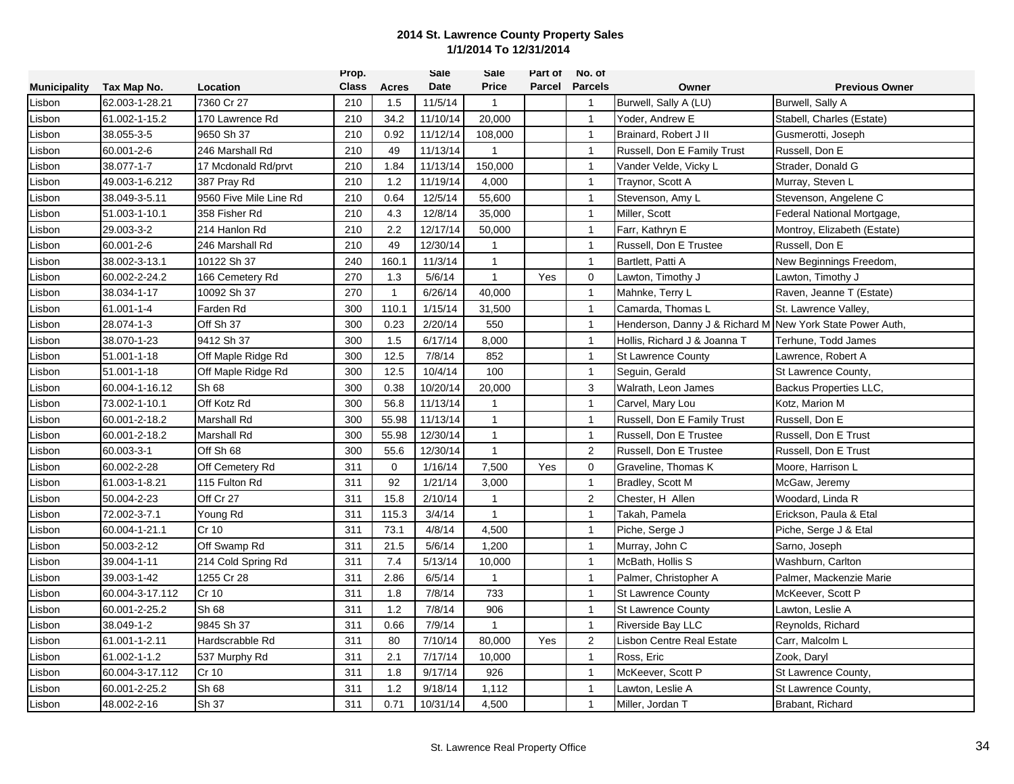|                     |                 |                        | Prop.        |              | <b>Sale</b> | Sale           | Part of | No. of         |                                                           |                               |
|---------------------|-----------------|------------------------|--------------|--------------|-------------|----------------|---------|----------------|-----------------------------------------------------------|-------------------------------|
| <b>Municipality</b> | Tax Map No.     | Location               | <b>Class</b> | <b>Acres</b> | Date        | <b>Price</b>   | Parcel  | <b>Parcels</b> | Owner                                                     | <b>Previous Owner</b>         |
| Lisbon              | 62.003-1-28.21  | 7360 Cr 27             | 210          | 1.5          | 11/5/14     | $\mathbf{1}$   |         | $\mathbf{1}$   | Burwell, Sally A (LU)                                     | Burwell, Sally A              |
| Lisbon              | 61.002-1-15.2   | 170 Lawrence Rd        | 210          | 34.2         | 11/10/14    | 20,000         |         | $\overline{1}$ | Yoder, Andrew E                                           | Stabell, Charles (Estate)     |
| Lisbon              | 38.055-3-5      | 9650 Sh 37             | 210          | 0.92         | 11/12/14    | 108,000        |         | $\mathbf{1}$   | Brainard, Robert J II                                     | Gusmerotti, Joseph            |
| Lisbon              | 60.001-2-6      | 246 Marshall Rd        | 210          | 49           | 11/13/14    | $\mathbf{1}$   |         | $\mathbf{1}$   | Russell, Don E Family Trust                               | Russell, Don E                |
| Lisbon              | 38.077-1-7      | 17 Mcdonald Rd/prvt    | 210          | 1.84         | 11/13/14    | 150,000        |         | $\mathbf{1}$   | Vander Velde, Vicky L                                     | Strader, Donald G             |
| Lisbon              | 49.003-1-6.212  | 387 Pray Rd            | 210          | 1.2          | 11/19/14    | 4.000          |         | $\mathbf{1}$   | Traynor, Scott A                                          | Murray, Steven L              |
| Lisbon              | 38.049-3-5.11   | 9560 Five Mile Line Rd | 210          | 0.64         | 12/5/14     | 55,600         |         | $\mathbf{1}$   | Stevenson, Amy L                                          | Stevenson, Angelene C         |
| Lisbon              | 51.003-1-10.1   | 358 Fisher Rd          | 210          | 4.3          | 12/8/14     | 35,000         |         | $\overline{1}$ | Miller, Scott                                             | Federal National Mortgage,    |
| Lisbon              | 29.003-3-2      | 214 Hanlon Rd          | 210          | 2.2          | 12/17/14    | 50,000         |         | $\mathbf{1}$   | Farr, Kathryn E                                           | Montroy, Elizabeth (Estate)   |
| Lisbon              | 60.001-2-6      | 246 Marshall Rd        | 210          | 49           | 12/30/14    | $\mathbf{1}$   |         | $\mathbf{1}$   | Russell, Don E Trustee                                    | Russell, Don E                |
| Lisbon              | 38.002-3-13.1   | 10122 Sh 37            | 240          | 160.1        | 11/3/14     | $\mathbf{1}$   |         | $\overline{1}$ | Bartlett, Patti A                                         | New Beginnings Freedom,       |
| Lisbon              | 60.002-2-24.2   | 166 Cemetery Rd        | 270          | 1.3          | 5/6/14      | $\mathbf{1}$   | Yes     | $\Omega$       | Lawton, Timothy J                                         | Lawton, Timothy J             |
| Lisbon              | 38.034-1-17     | 10092 Sh 37            | 270          | $\mathbf{1}$ | 6/26/14     | 40,000         |         | $\mathbf{1}$   | Mahnke, Terry L                                           | Raven, Jeanne T (Estate)      |
| Lisbon              | 61.001-1-4      | Farden Rd              | 300          | 110.1        | 1/15/14     | 31,500         |         | $\mathbf{1}$   | Camarda, Thomas L                                         | St. Lawrence Valley.          |
| Lisbon              | 28.074-1-3      | Off Sh 37              | 300          | 0.23         | 2/20/14     | 550            |         | $\overline{1}$ | Henderson, Danny J & Richard M New York State Power Auth, |                               |
| Lisbon              | 38.070-1-23     | 9412 Sh 37             | 300          | 1.5          | 6/17/14     | 8,000          |         | $\mathbf{1}$   | Hollis, Richard J & Joanna T                              | Terhune, Todd James           |
| Lisbon              | 51.001-1-18     | Off Maple Ridge Rd     | 300          | 12.5         | 7/8/14      | 852            |         | $\mathbf{1}$   | <b>St Lawrence County</b>                                 | Lawrence, Robert A            |
| Lisbon              | 51.001-1-18     | Off Maple Ridge Rd     | 300          | 12.5         | 10/4/14     | 100            |         | $\mathbf{1}$   | Seguin, Gerald                                            | St Lawrence County,           |
| Lisbon              | 60.004-1-16.12  | Sh 68                  | 300          | 0.38         | 10/20/14    | 20,000         |         | 3              | Walrath, Leon James                                       | <b>Backus Properties LLC.</b> |
| Lisbon              | 73.002-1-10.1   | Off Kotz Rd            | 300          | 56.8         | 11/13/14    | $\overline{1}$ |         | $\mathbf{1}$   | Carvel, Mary Lou                                          | Kotz, Marion M                |
| Lisbon              | 60.001-2-18.2   | <b>Marshall Rd</b>     | 300          | 55.98        | 11/13/14    | $\mathbf{1}$   |         | $\overline{1}$ | Russell, Don E Family Trust                               | Russell, Don E                |
| Lisbon              | 60.001-2-18.2   | Marshall Rd            | 300          | 55.98        | 12/30/14    | $\mathbf{1}$   |         | $\mathbf{1}$   | Russell, Don E Trustee                                    | Russell, Don E Trust          |
| Lisbon              | 60.003-3-1      | Off Sh 68              | 300          | 55.6         | 12/30/14    | $\mathbf{1}$   |         | $\overline{2}$ | Russell, Don E Trustee                                    | Russell, Don E Trust          |
| Lisbon              | 60.002-2-28     | Off Cemetery Rd        | 311          | 0            | 1/16/14     | 7,500          | Yes     | $\mathbf 0$    | Graveline, Thomas K                                       | Moore, Harrison L             |
| Lisbon              | 61.003-1-8.21   | 115 Fulton Rd          | 311          | 92           | 1/21/14     | 3,000          |         | $\mathbf{1}$   | Bradley, Scott M                                          | McGaw, Jeremy                 |
| Lisbon              | 50.004-2-23     | Off Cr 27              | 311          | 15.8         | 2/10/14     | $\overline{1}$ |         | 2              | Chester, H Allen                                          | Woodard, Linda R              |
| Lisbon              | 72.002-3-7.1    | Young Rd               | 311          | 115.3        | 3/4/14      | $\mathbf{1}$   |         | $\overline{1}$ | Takah, Pamela                                             | Erickson, Paula & Etal        |
| Lisbon              | 60.004-1-21.1   | Cr 10                  | 311          | 73.1         | 4/8/14      | 4,500          |         | $\overline{1}$ | Piche, Serge J                                            | Piche, Serge J & Etal         |
| Lisbon              | 50.003-2-12     | Off Swamp Rd           | 311          | 21.5         | 5/6/14      | 1,200          |         | $\mathbf{1}$   | Murray, John C                                            | Sarno, Joseph                 |
| Lisbon              | 39.004-1-11     | 214 Cold Spring Rd     | 311          | 7.4          | 5/13/14     | 10,000         |         | $\mathbf{1}$   | McBath, Hollis S                                          | Washburn, Carlton             |
| Lisbon              | 39.003-1-42     | 1255 Cr 28             | 311          | 2.86         | 6/5/14      | $\mathbf{1}$   |         | $\mathbf{1}$   | Palmer, Christopher A                                     | Palmer, Mackenzie Marie       |
| Lisbon              | 60.004-3-17.112 | Cr 10                  | 311          | 1.8          | 7/8/14      | 733            |         | $\mathbf{1}$   | <b>St Lawrence County</b>                                 | McKeever, Scott P             |
| Lisbon              | 60.001-2-25.2   | Sh 68                  | 311          | 1.2          | 7/8/14      | 906            |         | $\mathbf{1}$   | <b>St Lawrence County</b>                                 | Lawton, Leslie A              |
| Lisbon              | 38.049-1-2      | 9845 Sh 37             | 311          | 0.66         | 7/9/14      | $\mathbf{1}$   |         | $\overline{1}$ | Riverside Bay LLC                                         | Reynolds, Richard             |
| Lisbon              | 61.001-1-2.11   | Hardscrabble Rd        | 311          | 80           | 7/10/14     | 80,000         | Yes     | $\overline{2}$ | Lisbon Centre Real Estate                                 | Carr, Malcolm L               |
| Lisbon              | 61.002-1-1.2    | 537 Murphy Rd          | 311          | 2.1          | 7/17/14     | 10,000         |         | $\mathbf{1}$   | Ross, Eric                                                | Zook, Daryl                   |
| Lisbon              | 60.004-3-17.112 | Cr 10                  | 311          | 1.8          | 9/17/14     | 926            |         | $\mathbf{1}$   | McKeever, Scott P                                         | St Lawrence County,           |
| Lisbon              | 60.001-2-25.2   | Sh 68                  | 311          | 1.2          | 9/18/14     | 1,112          |         | $\mathbf{1}$   | Lawton, Leslie A                                          | St Lawrence County,           |
| Lisbon              | 48.002-2-16     | Sh 37                  | 311          | 0.71         | 10/31/14    | 4,500          |         | $\mathbf{1}$   | Miller, Jordan T                                          | Brabant, Richard              |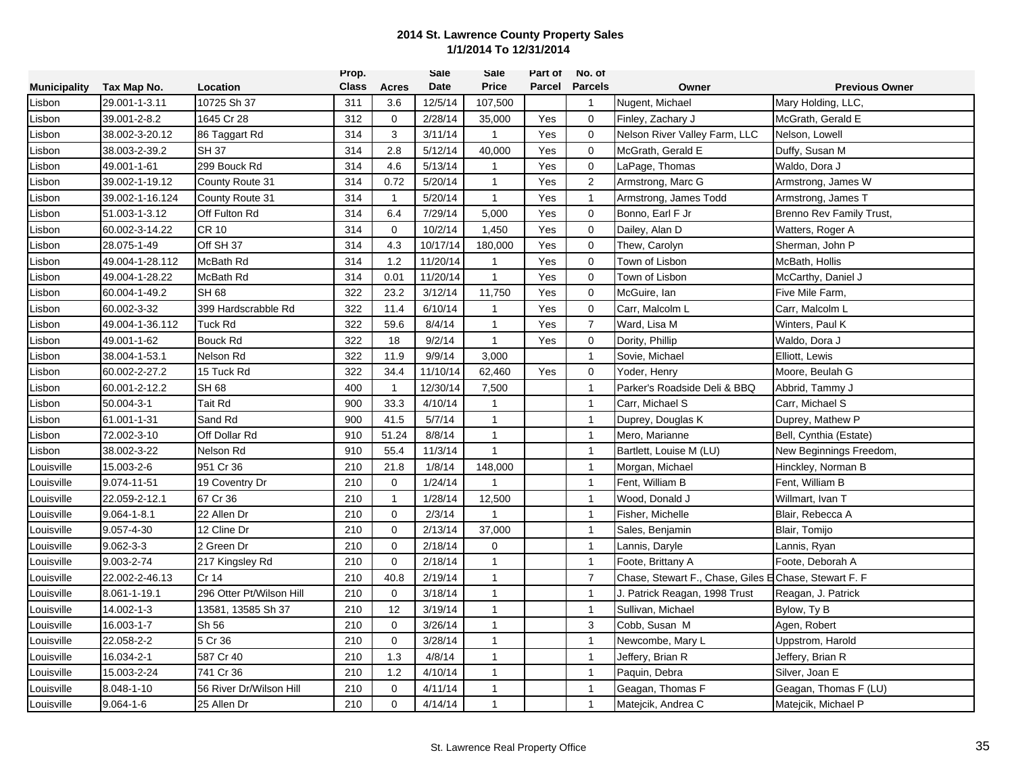|                     |                   |                          | Prop.        |                | <b>Sale</b> | Sale         | Part of | No. of         |                                                       |                          |
|---------------------|-------------------|--------------------------|--------------|----------------|-------------|--------------|---------|----------------|-------------------------------------------------------|--------------------------|
| <b>Municipality</b> | Tax Map No.       | Location                 | <b>Class</b> | Acres          | <b>Date</b> | <b>Price</b> |         | Parcel Parcels | Owner                                                 | <b>Previous Owner</b>    |
| Lisbon              | 29.001-1-3.11     | 10725 Sh 37              | 311          | 3.6            | 12/5/14     | 107,500      |         | $\mathbf{1}$   | Nugent, Michael                                       | Mary Holding, LLC,       |
| Lisbon              | 39.001-2-8.2      | 1645 Cr 28               | 312          | $\mathbf 0$    | 2/28/14     | 35,000       | Yes     | $\mathbf 0$    | Finley, Zachary J                                     | McGrath, Gerald E        |
| Lisbon              | 38.002-3-20.12    | 86 Taggart Rd            | 314          | 3              | 3/11/14     | $\mathbf{1}$ | Yes     | $\mathbf 0$    | Nelson River Valley Farm, LLC                         | Nelson, Lowell           |
| Lisbon              | 38.003-2-39.2     | <b>SH37</b>              | 314          | 2.8            | 5/12/14     | 40,000       | Yes     | $\mathbf 0$    | McGrath, Gerald E                                     | Duffy, Susan M           |
| Lisbon              | 49.001-1-61       | 299 Bouck Rd             | 314          | 4.6            | 5/13/14     | $\mathbf{1}$ | Yes     | $\mathbf 0$    | LaPage, Thomas                                        | Waldo, Dora J            |
| Lisbon              | 39.002-1-19.12    | County Route 31          | 314          | 0.72           | 5/20/14     | $\mathbf{1}$ | Yes     | 2              | Armstrong, Marc G                                     | Armstrong, James W       |
| Lisbon              | 39.002-1-16.124   | County Route 31          | 314          | $\mathbf{1}$   | 5/20/14     | $\mathbf{1}$ | Yes     | $\overline{1}$ | Armstrong, James Todd                                 | Armstrong, James T       |
| Lisbon              | 51.003-1-3.12     | Off Fulton Rd            | 314          | 6.4            | 7/29/14     | 5,000        | Yes     | $\mathbf 0$    | Bonno, Earl F Jr                                      | Brenno Rev Family Trust, |
| Lisbon              | 60.002-3-14.22    | CR 10                    | 314          | $\Omega$       | 10/2/14     | 1,450        | Yes     | $\mathbf 0$    | Dailey, Alan D                                        | Watters, Roger A         |
| Lisbon              | 28.075-1-49       | Off SH 37                | 314          | 4.3            | 10/17/14    | 180,000      | Yes     | $\mathbf 0$    | Thew, Carolyn                                         | Sherman, John P          |
| Lisbon              | 49.004-1-28.112   | McBath Rd                | 314          | 1.2            | 11/20/14    | $\mathbf{1}$ | Yes     | $\mathbf 0$    | Town of Lisbon                                        | McBath, Hollis           |
| Lisbon              | 49.004-1-28.22    | McBath Rd                | 314          | 0.01           | 11/20/14    | $\mathbf{1}$ | Yes     | $\mathbf 0$    | Town of Lisbon                                        | McCarthy, Daniel J       |
| Lisbon              | 60.004-1-49.2     | <b>SH68</b>              | 322          | 23.2           | 3/12/14     | 11,750       | Yes     | $\mathbf 0$    | McGuire, Ian                                          | Five Mile Farm,          |
| Lisbon              | 60.002-3-32       | 399 Hardscrabble Rd      | 322          | 11.4           | 6/10/14     | $\mathbf{1}$ | Yes     | $\mathbf 0$    | Carr, Malcolm L                                       | Carr, Malcolm L          |
| Lisbon              | 49.004-1-36.112   | Tuck Rd                  | 322          | 59.6           | 8/4/14      | $\mathbf{1}$ | Yes     | $\overline{7}$ | Ward, Lisa M                                          | Winters, Paul K          |
| Lisbon              | 49.001-1-62       | <b>Bouck Rd</b>          | 322          | 18             | 9/2/14      | $\mathbf{1}$ | Yes     | $\mathbf 0$    | Dority, Phillip                                       | Waldo, Dora J            |
| Lisbon              | 38.004-1-53.1     | Nelson Rd                | 322          | 11.9           | 9/9/14      | 3,000        |         | $\mathbf{1}$   | Sovie, Michael                                        | Elliott, Lewis           |
| Lisbon              | 60.002-2-27.2     | 15 Tuck Rd               | 322          | 34.4           | 11/10/14    | 62,460       | Yes     | $\mathbf 0$    | Yoder, Henry                                          | Moore, Beulah G          |
| Lisbon              | 60.001-2-12.2     | SH 68                    | 400          | -1             | 12/30/14    | 7,500        |         | $\overline{1}$ | Parker's Roadside Deli & BBQ                          | Abbrid, Tammy J          |
| Lisbon              | 50.004-3-1        | Tait Rd                  | 900          | 33.3           | 4/10/14     | 1            |         | $\overline{1}$ | Carr, Michael S                                       | Carr, Michael S          |
| Lisbon              | 61.001-1-31       | Sand Rd                  | 900          | 41.5           | 5/7/14      | $\mathbf{1}$ |         | $\overline{1}$ | Duprey, Douglas K                                     | Duprey, Mathew P         |
| Lisbon              | 72.002-3-10       | Off Dollar Rd            | 910          | 51.24          | 8/8/14      | $\mathbf{1}$ |         | $\overline{1}$ | Mero, Marianne                                        | Bell, Cynthia (Estate)   |
| Lisbon              | 38.002-3-22       | Nelson Rd                | 910          | 55.4           | 11/3/14     | 1            |         | $\mathbf{1}$   | Bartlett, Louise M (LU)                               | New Beginnings Freedom,  |
| Louisville          | 15.003-2-6        | 951 Cr 36                | 210          | 21.8           | 1/8/14      | 148,000      |         | $\mathbf{1}$   | Morgan, Michael                                       | Hinckley, Norman B       |
| Louisville          | 9.074-11-51       | 19 Coventry Dr           | 210          | $\mathbf 0$    | 1/24/14     | $\mathbf 1$  |         | $\overline{1}$ | Fent, William B                                       | Fent, William B          |
| Louisville          | 22.059-2-12.1     | 67 Cr 36                 | 210          | $\overline{1}$ | 1/28/14     | 12,500       |         | $\overline{1}$ | Wood, Donald J                                        | Willmart, Ivan T         |
| Louisville          | $9.064 - 1 - 8.1$ | 22 Allen Dr              | 210          | $\mathbf 0$    | 2/3/14      | $\mathbf{1}$ |         | $\overline{1}$ | Fisher, Michelle                                      | Blair, Rebecca A         |
| Louisville          | 9.057-4-30        | 12 Cline Dr              | 210          | $\mathbf 0$    | 2/13/14     | 37,000       |         | $\mathbf{1}$   | Sales, Benjamin                                       | Blair, Tomijo            |
| Louisville          | $9.062 - 3 - 3$   | 2 Green Dr               | 210          | $\mathbf 0$    | 2/18/14     | $\mathbf 0$  |         | $\overline{1}$ | Lannis, Daryle                                        | Lannis, Ryan             |
| Louisville          | 9.003-2-74        | 217 Kingsley Rd          | 210          | $\Omega$       | 2/18/14     | 1            |         | $\overline{1}$ | Foote, Brittany A                                     | Foote, Deborah A         |
| Louisville          | 22.002-2-46.13    | Cr 14                    | 210          | 40.8           | 2/19/14     | $\mathbf{1}$ |         | $\overline{7}$ | Chase, Stewart F., Chase, Giles E Chase, Stewart F. F |                          |
| Louisville          | 8.061-1-19.1      | 296 Otter Pt/Wilson Hill | 210          | $\mathbf 0$    | 3/18/14     | $\mathbf{1}$ |         | $\mathbf{1}$   | J. Patrick Reagan, 1998 Trust                         | Reagan, J. Patrick       |
| Louisville          | 14.002-1-3        | 13581, 13585 Sh 37       | 210          | 12             | 3/19/14     | $\mathbf{1}$ |         | $\overline{1}$ | Sullivan, Michael                                     | Bylow, Ty B              |
| Louisville          | 16.003-1-7        | Sh 56                    | 210          | $\mathbf 0$    | 3/26/14     | $\mathbf{1}$ |         | 3              | Cobb, Susan M                                         | Agen, Robert             |
| Louisville          | 22.058-2-2        | 5 Cr 36                  | 210          | $\mathbf 0$    | 3/28/14     | $\mathbf{1}$ |         | $\overline{1}$ | Newcombe, Mary L                                      | Uppstrom, Harold         |
| Louisville          | 16.034-2-1        | 587 Cr 40                | 210          | 1.3            | 4/8/14      | $\mathbf{1}$ |         | $\overline{1}$ | Jeffery, Brian R                                      | Jeffery, Brian R         |
| Louisville          | 15.003-2-24       | 741 Cr 36                | 210          | 1.2            | 4/10/14     | $\mathbf{1}$ |         | $\overline{1}$ | Paquin, Debra                                         | Silver, Joan E           |
| Louisville          | 8.048-1-10        | 56 River Dr/Wilson Hill  | 210          | $\mathbf 0$    | 4/11/14     | $\mathbf{1}$ |         | $\overline{1}$ | Geagan, Thomas F                                      | Geagan, Thomas F (LU)    |
| Louisville          | $9.064 - 1 - 6$   | 25 Allen Dr              | 210          | $\Omega$       | 4/14/14     | $\mathbf{1}$ |         | $\overline{1}$ | Matejcik, Andrea C                                    | Matejcik, Michael P      |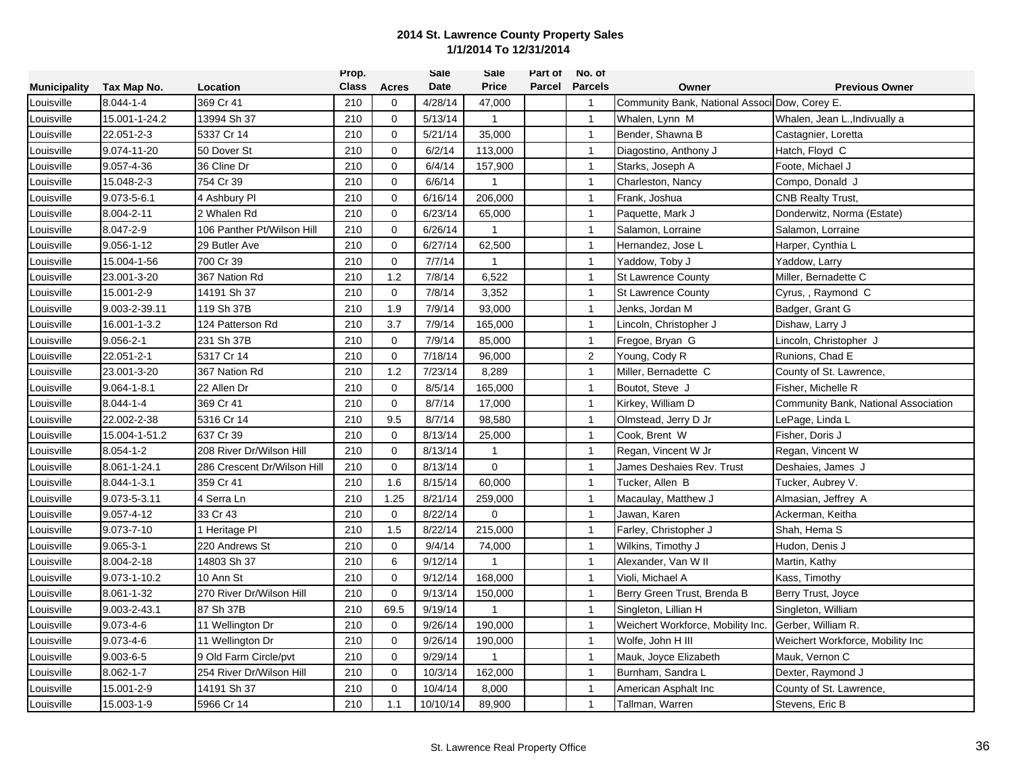|                     |                   |                             | Prop.        |             | <b>Sale</b> | Sale           | Part of | No. of         |                                               |                                      |
|---------------------|-------------------|-----------------------------|--------------|-------------|-------------|----------------|---------|----------------|-----------------------------------------------|--------------------------------------|
| <b>Municipality</b> | Tax Map No.       | Location                    | <b>Class</b> | Acres       | <b>Date</b> | <b>Price</b>   | Parcel  | <b>Parcels</b> | Owner                                         | <b>Previous Owner</b>                |
| Louisville          | $8.044 - 1 - 4$   | 369 Cr 41                   | 210          | 0           | 4/28/14     | 47,000         |         | $\mathbf{1}$   | Community Bank, National Associ Dow, Corey E. |                                      |
| Louisville          | 15.001-1-24.2     | 13994 Sh 37                 | 210          | $\mathbf 0$ | 5/13/14     | $\mathbf{1}$   |         | $\overline{1}$ | Whalen, Lynn M                                | Whalen, Jean L., Indivually a        |
| Louisville          | 22.051-2-3        | 5337 Cr 14                  | 210          | $\mathbf 0$ | 5/21/14     | 35,000         |         | $\overline{1}$ | Bender, Shawna B                              | Castagnier, Loretta                  |
| Louisville          | 9.074-11-20       | 50 Dover St                 | 210          | $\Omega$    | 6/2/14      | 113,000        |         | $\mathbf{1}$   | Diagostino, Anthony J                         | Hatch, Floyd C                       |
| _ouisville          | 9.057-4-36        | 36 Cline Dr                 | 210          | $\mathbf 0$ | 6/4/14      | 157,900        |         | $\mathbf{1}$   | Starks, Joseph A                              | Foote, Michael J                     |
| _ouisville          | 15.048-2-3        | 754 Cr 39                   | 210          | $\mathbf 0$ | 6/6/14      | $\mathbf{1}$   |         | $\mathbf{1}$   | Charleston, Nancy                             | Compo, Donald J                      |
| ouisville           | $9.073 - 5 - 6.1$ | 4 Ashbury Pl                | 210          | $\mathbf 0$ | 6/16/14     | 206,000        |         | $\mathbf{1}$   | Frank, Joshua                                 | <b>CNB Realty Trust,</b>             |
| Louisville          | 8.004-2-11        | 2 Whalen Rd                 | 210          | $\mathbf 0$ | 6/23/14     | 65,000         |         | $\mathbf{1}$   | Paquette, Mark J                              | Donderwitz, Norma (Estate)           |
| Louisville          | 8.047-2-9         | 106 Panther Pt/Wilson Hill  | 210          | $\Omega$    | 6/26/14     | -1             |         | $\overline{1}$ | Salamon, Lorraine                             | Salamon, Lorraine                    |
| Louisville          | $9.056 - 1 - 12$  | 29 Butler Ave               | 210          | $\mathbf 0$ | 6/27/14     | 62,500         |         | $\overline{1}$ | Hernandez, Jose L                             | Harper, Cynthia L                    |
| ouisville           | 15.004-1-56       | 700 Cr 39                   | 210          | $\Omega$    | 7/7/14      | $\mathbf{1}$   |         | $\mathbf{1}$   | Yaddow, Toby J                                | Yaddow, Larry                        |
| _ouisville          | 23.001-3-20       | 367 Nation Rd               | 210          | 1.2         | 7/8/14      | 6,522          |         | $\mathbf{1}$   | <b>St Lawrence County</b>                     | Miller, Bernadette C                 |
| _ouisville          | 15.001-2-9        | 14191 Sh 37                 | 210          | $\Omega$    | 7/8/14      | 3,352          |         | $\mathbf{1}$   | <b>St Lawrence County</b>                     | Cyrus, , Raymond C                   |
| Louisville          | 9.003-2-39.11     | 119 Sh 37B                  | 210          | 1.9         | 7/9/14      | 93,000         |         | $\mathbf{1}$   | Jenks, Jordan M                               | Badger, Grant G                      |
| Louisville          | 16.001-1-3.2      | 124 Patterson Rd            | 210          | 3.7         | 7/9/14      | 165,000        |         | $\mathbf{1}$   | Lincoln, Christopher J                        | Dishaw, Larry J                      |
| Louisville          | $9.056 - 2 - 1$   | 231 Sh 37B                  | 210          | $\mathbf 0$ | 7/9/14      | 85,000         |         | $\mathbf{1}$   | Fregoe, Bryan G                               | Lincoln, Christopher J               |
| _ouisville          | 22.051-2-1        | 5317 Cr 14                  | 210          | $\mathbf 0$ | 7/18/14     | 96,000         |         | $\overline{2}$ | Young, Cody R                                 | Runions, Chad E                      |
| _ouisville          | 23.001-3-20       | 367 Nation Rd               | 210          | 1.2         | 7/23/14     | 8,289          |         | $\mathbf{1}$   | Miller, Bernadette C                          | County of St. Lawrence,              |
| _ouisville          | $9.064 - 1 - 8.1$ | 22 Allen Dr                 | 210          | $\mathbf 0$ | 8/5/14      | 165,000        |         | $\mathbf{1}$   | Boutot, Steve J                               | Fisher, Michelle R                   |
| _ouisville          | $8.044 - 1 - 4$   | 369 Cr 41                   | 210          | $\mathbf 0$ | 8/7/14      | 17,000         |         | $\mathbf{1}$   | Kirkey, William D                             | Community Bank, National Association |
| Louisville          | 22.002-2-38       | 5316 Cr 14                  | 210          | 9.5         | 8/7/14      | 98,580         |         | $\overline{1}$ | Olmstead, Jerry D Jr                          | LePage, Linda L                      |
| Louisville          | 15.004-1-51.2     | 637 Cr 39                   | 210          | $\mathbf 0$ | 8/13/14     | 25,000         |         | $\overline{1}$ | Cook, Brent W                                 | Fisher, Doris J                      |
| Louisville          | $8.054 - 1 - 2$   | 208 River Dr/Wilson Hill    | 210          | $\Omega$    | 8/13/14     | $\overline{1}$ |         | $\overline{1}$ | Regan, Vincent W Jr                           | Regan, Vincent W                     |
| _ouisville          | 8.061-1-24.1      | 286 Crescent Dr/Wilson Hill | 210          | $\Omega$    | 8/13/14     | $\mathbf 0$    |         | $\mathbf{1}$   | James Deshaies Rev. Trust                     | Deshaies, James J                    |
| Louisville          | 8.044-1-3.1       | 359 Cr 41                   | 210          | 1.6         | 8/15/14     | 60,000         |         | $\mathbf{1}$   | Tucker, Allen B                               | Tucker, Aubrey V.                    |
| Louisville          | 9.073-5-3.11      | 4 Serra Ln                  | 210          | 1.25        | 8/21/14     | 259,000        |         | $\mathbf{1}$   | Macaulay, Matthew J                           | Almasian, Jeffrey A                  |
| Louisville          | $9.057 - 4 - 12$  | 33 Cr 43                    | 210          | $\mathbf 0$ | 8/22/14     | $\mathbf 0$    |         | $\mathbf{1}$   | Jawan, Karen                                  | Ackerman, Keitha                     |
| Louisville          | 9.073-7-10        | 1 Heritage Pl               | 210          | 1.5         | 8/22/14     | 215,000        |         | $\overline{1}$ | Farley, Christopher J                         | Shah, Hema S                         |
| Louisville          | $9.065 - 3 - 1$   | 220 Andrews St              | 210          | $\mathbf 0$ | 9/4/14      | 74,000         |         | $\overline{1}$ | Wilkins, Timothy J                            | Hudon, Denis J                       |
| _ouisville          | 8.004-2-18        | 14803 Sh 37                 | 210          | 6           | 9/12/14     | $\mathbf{1}$   |         | $\mathbf{1}$   | Alexander, Van W II                           | Martin, Kathy                        |
| _ouisville          | 9.073-1-10.2      | 10 Ann St                   | 210          | $\mathbf 0$ | 9/12/14     | 168,000        |         | $\mathbf{1}$   | Violi, Michael A                              | Kass, Timothy                        |
| _ouisville          | 8.061-1-32        | 270 River Dr/Wilson Hill    | 210          | $\mathbf 0$ | 9/13/14     | 150,000        |         | $\mathbf{1}$   | Berry Green Trust, Brenda B                   | Berry Trust, Joyce                   |
| _ouisville          | 9.003-2-43.1      | 87 Sh 37B                   | 210          | 69.5        | 9/19/14     | $\mathbf{1}$   |         | $\mathbf{1}$   | Singleton, Lillian H                          | Singleton, William                   |
| Louisville          | $9.073 - 4 - 6$   | 11 Wellington Dr            | 210          | $\mathbf 0$ | 9/26/14     | 190,000        |         | $\overline{1}$ | Weichert Workforce, Mobility Inc.             | Gerber, William R.                   |
| Louisville          | $9.073 - 4 - 6$   | 11 Wellington Dr            | 210          | $\mathbf 0$ | 9/26/14     | 190,000        |         | $\overline{1}$ | Wolfe, John H III                             | Weichert Workforce, Mobility Inc     |
| Louisville          | $9.003 - 6 - 5$   | 9 Old Farm Circle/pvt       | 210          | $\Omega$    | 9/29/14     | $\overline{1}$ |         | $\mathbf{1}$   | Mauk, Joyce Elizabeth                         | Mauk, Vernon C                       |
| Louisville          | 8.062-1-7         | 254 River Dr/Wilson Hill    | 210          | 0           | 10/3/14     | 162,000        |         | $\mathbf{1}$   | Burnham, Sandra L                             | Dexter, Raymond J                    |
| Louisville          | 15.001-2-9        | 14191 Sh 37                 | 210          | $\mathbf 0$ | 10/4/14     | 8,000          |         | $\mathbf{1}$   | American Asphalt Inc                          | County of St. Lawrence,              |
| Louisville          | 15.003-1-9        | 5966 Cr 14                  | 210          | 1.1         | 10/10/14    | 89,900         |         | $\mathbf{1}$   | Tallman, Warren                               | Stevens, Eric B                      |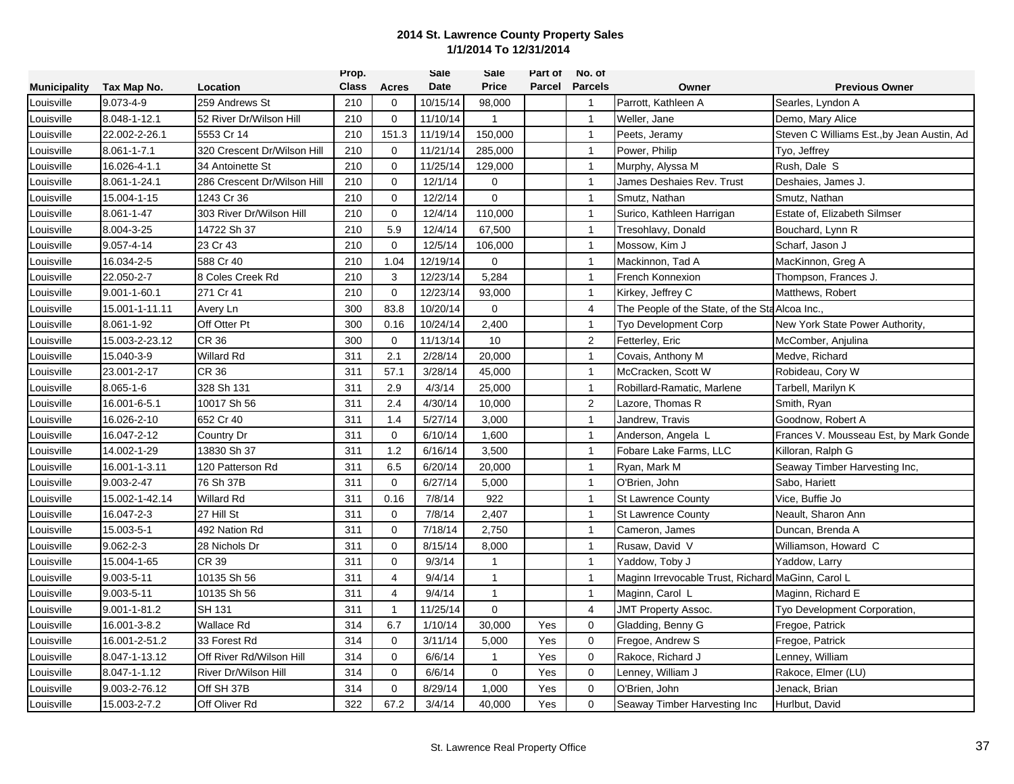|                     |                    |                             | Prop.        |                | <b>Sale</b> | Sale         | Part of | No. of         |                                                   |                                            |
|---------------------|--------------------|-----------------------------|--------------|----------------|-------------|--------------|---------|----------------|---------------------------------------------------|--------------------------------------------|
| <b>Municipality</b> | Tax Map No.        | Location                    | <b>Class</b> | Acres          | Date        | <b>Price</b> | Parcel  | <b>Parcels</b> | Owner                                             | <b>Previous Owner</b>                      |
| Louisville          | 9.073-4-9          | 259 Andrews St              | 210          | 0              | 10/15/14    | 98,000       |         | $\overline{1}$ | Parrott, Kathleen A                               | Searles, Lyndon A                          |
| Louisville          | 8.048-1-12.1       | 52 River Dr/Wilson Hill     | 210          | $\mathbf 0$    | 11/10/14    | $\mathbf{1}$ |         | $\mathbf{1}$   | Weller, Jane                                      | Demo, Mary Alice                           |
| Louisville          | 22.002-2-26.1      | 5553 Cr 14                  | 210          | 151.3          | 11/19/14    | 150,000      |         | $\mathbf{1}$   | Peets, Jeramy                                     | Steven C Williams Est., by Jean Austin, Ad |
| Louisville          | 8.061-1-7.1        | 320 Crescent Dr/Wilson Hill | 210          | $\Omega$       | 11/21/14    | 285,000      |         | $\mathbf{1}$   | Power, Philip                                     | Tyo, Jeffrey                               |
| _ouisville          | 16.026-4-1.1       | 34 Antoinette St            | 210          | $\Omega$       | 11/25/14    | 129,000      |         | $\mathbf{1}$   | Murphy, Alyssa M                                  | Rush, Dale S                               |
| _ouisville          | 8.061-1-24.1       | 286 Crescent Dr/Wilson Hill | 210          | $\mathbf 0$    | 12/1/14     | $\mathbf 0$  |         | $\mathbf{1}$   | James Deshaies Rev. Trust                         | Deshaies, James J.                         |
| ouisville           | 15.004-1-15        | 1243 Cr 36                  | 210          | $\Omega$       | 12/2/14     | $\Omega$     |         | $\mathbf{1}$   | Smutz, Nathan                                     | Smutz, Nathan                              |
| Louisville          | 8.061-1-47         | 303 River Dr/Wilson Hill    | 210          | $\mathbf 0$    | 12/4/14     | 110,000      |         | $\mathbf{1}$   | Surico, Kathleen Harrigan                         | Estate of, Elizabeth Silmser               |
| Louisville          | 8.004-3-25         | 14722 Sh 37                 | 210          | 5.9            | 12/4/14     | 67,500       |         | $\overline{1}$ | Tresohlavy, Donald                                | Bouchard, Lynn R                           |
| Louisville          | $9.057 - 4 - 14$   | 23 Cr 43                    | 210          | $\mathbf 0$    | 12/5/14     | 106,000      |         | $\overline{1}$ | Mossow, Kim J                                     | Scharf, Jason J                            |
| _ouisville          | 16.034-2-5         | 588 Cr 40                   | 210          | 1.04           | 12/19/14    | $\Omega$     |         | $\mathbf{1}$   | Mackinnon, Tad A                                  | MacKinnon, Greg A                          |
| _ouisville          | 22.050-2-7         | 8 Coles Creek Rd            | 210          | 3              | 12/23/14    | 5,284        |         | $\mathbf{1}$   | French Konnexion                                  | Thompson, Frances J.                       |
| _ouisville          | $9.001 - 1 - 60.1$ | 271 Cr 41                   | 210          | $\mathbf 0$    | 12/23/14    | 93,000       |         | $\mathbf{1}$   | Kirkey, Jeffrey C                                 | Matthews, Robert                           |
| Louisville          | 15.001-1-11.11     | Avery Ln                    | 300          | 83.8           | 10/20/14    | $\Omega$     |         | $\overline{4}$ | The People of the State, of the Sta Alcoa Inc.,   |                                            |
| Louisville          | 8.061-1-92         | Off Otter Pt                | 300          | 0.16           | 10/24/14    | 2,400        |         | $\mathbf{1}$   | <b>Tyo Development Corp</b>                       | New York State Power Authority,            |
| Louisville          | 15.003-2-23.12     | <b>CR 36</b>                | 300          | $\Omega$       | 11/13/14    | 10           |         | 2              | Fetterley, Eric                                   | McComber, Anjulina                         |
| _ouisville          | 15.040-3-9         | Willard Rd                  | 311          | 2.1            | 2/28/14     | 20,000       |         | $\mathbf{1}$   | Covais, Anthony M                                 | Medve, Richard                             |
| Louisville          | 23.001-2-17        | CR 36                       | 311          | 57.1           | 3/28/14     | 45,000       |         | $\mathbf{1}$   | McCracken, Scott W                                | Robideau, Cory W                           |
| Louisville          | $8.065 - 1 - 6$    | 328 Sh 131                  | 311          | 2.9            | 4/3/14      | 25,000       |         | $\mathbf{1}$   | Robillard-Ramatic, Marlene                        | Tarbell, Marilyn K                         |
| _ouisville          | 16.001-6-5.1       | 10017 Sh 56                 | 311          | 2.4            | 4/30/14     | 10,000       |         | 2              | Lazore, Thomas R                                  | Smith, Ryan                                |
| _ouisville          | 16.026-2-10        | 652 Cr 40                   | 311          | 1.4            | 5/27/14     | 3,000        |         | $\mathbf{1}$   | Jandrew, Travis                                   | Goodnow, Robert A                          |
| Louisville          | 16.047-2-12        | Country Dr                  | 311          | $\mathbf 0$    | 6/10/14     | 1,600        |         | $\overline{1}$ | Anderson, Angela L                                | Frances V. Mousseau Est, by Mark Gonde     |
| Louisville          | 14.002-1-29        | 13830 Sh 37                 | 311          | 1.2            | 6/16/14     | 3,500        |         | $\mathbf{1}$   | Fobare Lake Farms, LLC                            | Killoran, Ralph G                          |
| _ouisville          | 16.001-1-3.11      | 120 Patterson Rd            | 311          | 6.5            | 6/20/14     | 20,000       |         | $\mathbf{1}$   | Ryan, Mark M                                      | Seaway Timber Harvesting Inc.              |
| _ouisville          | 9.003-2-47         | 76 Sh 37B                   | 311          | $\Omega$       | 6/27/14     | 5,000        |         | $\mathbf{1}$   | O'Brien, John                                     | Sabo, Hariett                              |
| _ouisville          | 15.002-1-42.14     | Willard Rd                  | 311          | 0.16           | 7/8/14      | 922          |         | $\mathbf{1}$   | St Lawrence County                                | Vice, Buffie Jo                            |
| Louisville          | 16.047-2-3         | 27 Hill St                  | 311          | 0              | 7/8/14      | 2,407        |         | $\mathbf{1}$   | <b>St Lawrence County</b>                         | Neault, Sharon Ann                         |
| Louisville          | 15.003-5-1         | 492 Nation Rd               | 311          | $\mathbf 0$    | 7/18/14     | 2,750        |         | $\mathbf{1}$   | Cameron, James                                    | Duncan, Brenda A                           |
| Louisville          | $9.062 - 2 - 3$    | 28 Nichols Dr               | 311          | $\mathbf 0$    | 8/15/14     | 8,000        |         | $\overline{1}$ | Rusaw, David V                                    | Williamson, Howard C                       |
| _ouisville          | 15.004-1-65        | CR 39                       | 311          | $\mathbf 0$    | 9/3/14      | $\mathbf{1}$ |         | $\mathbf{1}$   | Yaddow, Toby J                                    | Yaddow, Larry                              |
| _ouisville          | 9.003-5-11         | 10135 Sh 56                 | 311          | $\overline{4}$ | 9/4/14      | $\mathbf{1}$ |         | $\mathbf{1}$   | Maginn Irrevocable Trust, Richard MaGinn, Carol L |                                            |
| _ouisville          | 9.003-5-11         | 10135 Sh 56                 | 311          | $\overline{4}$ | 9/4/14      | $\mathbf{1}$ |         | $\mathbf{1}$   | Maginn, Carol L                                   | Maginn, Richard E                          |
| ouisville           | $9.001 - 1 - 81.2$ | <b>SH 131</b>               | 311          | $\mathbf{1}$   | 11/25/14    | $\mathbf 0$  |         | 4              | <b>JMT Property Assoc.</b>                        | Tyo Development Corporation,               |
| Louisville          | 16.001-3-8.2       | Wallace Rd                  | 314          | 6.7            | 1/10/14     | 30,000       | Yes     | $\mathbf 0$    | Gladding, Benny G                                 | Fregoe, Patrick                            |
| Louisville          | 16.001-2-51.2      | 33 Forest Rd                | 314          | $\mathbf 0$    | 3/11/14     | 5,000        | Yes     | $\mathbf 0$    | Fregoe, Andrew S                                  | Fregoe, Patrick                            |
| Louisville          | 8.047-1-13.12      | Off River Rd/Wilson Hill    | 314          | $\Omega$       | 6/6/14      | $\mathbf{1}$ | Yes     | $\mathbf 0$    | Rakoce, Richard J                                 | Lenney, William                            |
| _ouisville          | 8.047-1-1.12       | River Dr/Wilson Hill        | 314          | $\mathbf 0$    | 6/6/14      | 0            | Yes     | 0              | Lenney, William J                                 | Rakoce, Elmer (LU)                         |
| Louisville          | 9.003-2-76.12      | Off SH 37B                  | 314          | $\mathbf 0$    | 8/29/14     | 1,000        | Yes     | $\mathbf 0$    | O'Brien, John                                     | Jenack, Brian                              |
| Louisville          | 15.003-2-7.2       | Off Oliver Rd               | 322          | 67.2           | 3/4/14      | 40,000       | Yes     | $\mathbf 0$    | Seaway Timber Harvesting Inc                      | Hurlbut, David                             |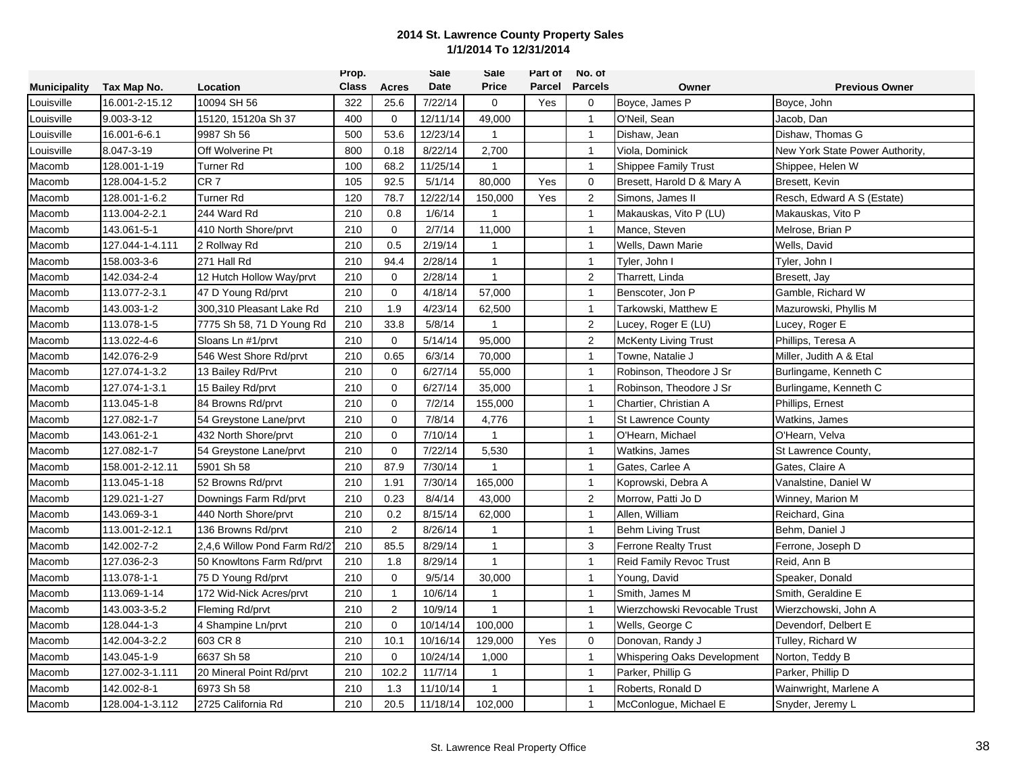|                     |                 |                             | Prop.        |                | <b>Sale</b> | Sale         | Part of | No. of         |                                |                                 |
|---------------------|-----------------|-----------------------------|--------------|----------------|-------------|--------------|---------|----------------|--------------------------------|---------------------------------|
| <b>Municipality</b> | Tax Map No.     | Location                    | <b>Class</b> | Acres          | Date        | <b>Price</b> | Parcel  | <b>Parcels</b> | Owner                          | <b>Previous Owner</b>           |
| Louisville          | 16.001-2-15.12  | 10094 SH 56                 | 322          | 25.6           | 7/22/14     | 0            | Yes     | 0              | Boyce, James P                 | Boyce, John                     |
| Louisville          | 9.003-3-12      | 15120, 15120a Sh 37         | 400          | $\mathbf 0$    | 12/11/14    | 49,000       |         | $\overline{1}$ | O'Neil, Sean                   | Jacob, Dan                      |
| Louisville          | 16.001-6-6.1    | 9987 Sh 56                  | 500          | 53.6           | 12/23/14    | $\mathbf{1}$ |         | $\overline{1}$ | Dishaw, Jean                   | Dishaw, Thomas G                |
| Louisville          | 8.047-3-19      | Off Wolverine Pt            | 800          | 0.18           | 8/22/14     | 2,700        |         | $\mathbf{1}$   | Viola, Dominick                | New York State Power Authority, |
| Macomb              | 128.001-1-19    | Turner Rd                   | 100          | 68.2           | 11/25/14    | $\mathbf{1}$ |         | $\mathbf{1}$   | <b>Shippee Family Trust</b>    | Shippee, Helen W                |
| Macomb              | 128.004-1-5.2   | CR <sub>7</sub>             | 105          | 92.5           | 5/1/14      | 80,000       | Yes     | $\mathbf 0$    | Bresett, Harold D & Mary A     | Bresett, Kevin                  |
| Macomb              | 128.001-1-6.2   | Turner Rd                   | 120          | 78.7           | 12/22/14    | 150,000      | Yes     | $\overline{c}$ | Simons, James II               | Resch, Edward A S (Estate)      |
| Macomb              | 113.004-2-2.1   | 244 Ward Rd                 | 210          | 0.8            | 1/6/14      | $\mathbf{1}$ |         | $\mathbf{1}$   | Makauskas, Vito P (LU)         | Makauskas, Vito P               |
| Macomb              | 143.061-5-1     | 410 North Shore/prvt        | 210          | $\Omega$       | 2/7/14      | 11,000       |         | $\overline{1}$ | Mance, Steven                  | Melrose, Brian P                |
| Macomb              | 127.044-1-4.111 | 2 Rollway Rd                | 210          | 0.5            | 2/19/14     | $\mathbf{1}$ |         | $\mathbf{1}$   | Wells, Dawn Marie              | Wells, David                    |
| Macomb              | 158.003-3-6     | 271 Hall Rd                 | 210          | 94.4           | 2/28/14     | $\mathbf{1}$ |         | $\mathbf{1}$   | Tyler, John I                  | Tyler, John I                   |
| Macomb              | 142.034-2-4     | 12 Hutch Hollow Way/prvt    | 210          | $\mathbf 0$    | 2/28/14     | $\mathbf{1}$ |         | $\overline{2}$ | Tharrett, Linda                | Bresett, Jay                    |
| Macomb              | 113.077-2-3.1   | 47 D Young Rd/prvt          | 210          | $\mathbf{0}$   | 4/18/14     | 57,000       |         | $\mathbf{1}$   | Benscoter, Jon P               | Gamble, Richard W               |
| Macomb              | 143.003-1-2     | 300.310 Pleasant Lake Rd    | 210          | 1.9            | 4/23/14     | 62,500       |         | $\mathbf{1}$   | Tarkowski, Matthew E           | Mazurowski, Phyllis M           |
| Macomb              | 113.078-1-5     | 7775 Sh 58, 71 D Young Rd   | 210          | 33.8           | 5/8/14      | $\mathbf{1}$ |         | $\overline{2}$ | Lucey, Roger E (LU)            | Lucey, Roger E                  |
| Macomb              | 113.022-4-6     | Sloans Ln #1/prvt           | 210          | $\mathbf 0$    | 5/14/14     | 95,000       |         | $\overline{2}$ | <b>McKenty Living Trust</b>    | Phillips, Teresa A              |
| Macomb              | 142.076-2-9     | 546 West Shore Rd/prvt      | 210          | 0.65           | 6/3/14      | 70,000       |         | $\mathbf{1}$   | Towne. Natalie J               | Miller, Judith A & Etal         |
| Macomb              | 127.074-1-3.2   | 13 Bailey Rd/Prvt           | 210          | $\mathbf 0$    | 6/27/14     | 55,000       |         | $\mathbf{1}$   | Robinson, Theodore J Sr        | Burlingame, Kenneth C           |
| Macomb              | 127.074-1-3.1   | 15 Bailey Rd/prvt           | 210          | $\mathbf 0$    | 6/27/14     | 35,000       |         | $\mathbf{1}$   | Robinson, Theodore J Sr        | Burlingame, Kenneth C           |
| Macomb              | 113.045-1-8     | 84 Browns Rd/prvt           | 210          | $\mathbf 0$    | 7/2/14      | 155,000      |         | $\overline{1}$ | Chartier, Christian A          | Phillips, Ernest                |
| Macomb              | 127.082-1-7     | 54 Greystone Lane/prvt      | 210          | $\mathbf 0$    | 7/8/14      | 4,776        |         | $\mathbf{1}$   | <b>St Lawrence County</b>      | <b>Watkins, James</b>           |
| Macomb              | 143.061-2-1     | 432 North Shore/prvt        | 210          | $\mathbf 0$    | 7/10/14     | $\mathbf{1}$ |         | $\mathbf{1}$   | O'Hearn, Michael               | O'Hearn, Velva                  |
| Macomb              | 127.082-1-7     | 54 Greystone Lane/prvt      | 210          | $\mathbf{0}$   | 7/22/14     | 5,530        |         | $\mathbf{1}$   | Watkins, James                 | St Lawrence County,             |
| Macomb              | 158.001-2-12.11 | 5901 Sh 58                  | 210          | 87.9           | 7/30/14     | $\mathbf{1}$ |         | $\mathbf{1}$   | Gates, Carlee A                | Gates, Claire A                 |
| Macomb              | 113.045-1-18    | 52 Browns Rd/prvt           | 210          | 1.91           | 7/30/14     | 165,000      |         | $\mathbf{1}$   | Koprowski, Debra A             | Vanalstine, Daniel W            |
| Macomb              | 129.021-1-27    | Downings Farm Rd/prvt       | 210          | 0.23           | 8/4/14      | 43,000       |         | $\sqrt{2}$     | Morrow, Patti Jo D             | Winney, Marion M                |
| Macomb              | 143.069-3-1     | 440 North Shore/prvt        | 210          | 0.2            | 8/15/14     | 62,000       |         | $\mathbf{1}$   | Allen, William                 | Reichard, Gina                  |
| Macomb              | 113.001-2-12.1  | 136 Browns Rd/prvt          | 210          | 2              | 8/26/14     | $\mathbf{1}$ |         | $\overline{1}$ | <b>Behm Living Trust</b>       | Behm, Daniel J                  |
| Macomb              | 142.002-7-2     | 2,4,6 Willow Pond Farm Rd/2 | 210          | 85.5           | 8/29/14     | $\mathbf{1}$ |         | $\mathbf{3}$   | Ferrone Realty Trust           | Ferrone, Joseph D               |
| Macomb              | 127.036-2-3     | 50 Knowltons Farm Rd/prvt   | 210          | 1.8            | 8/29/14     | $\mathbf{1}$ |         | $\overline{1}$ | <b>Reid Family Revoc Trust</b> | Reid, Ann B                     |
| Macomb              | 113.078-1-1     | 75 D Young Rd/prvt          | 210          | $\mathbf 0$    | 9/5/14      | 30,000       |         | $\mathbf{1}$   | Young, David                   | Speaker, Donald                 |
| Macomb              | 113.069-1-14    | 172 Wid-Nick Acres/prvt     | 210          | $\mathbf{1}$   | 10/6/14     | $\mathbf{1}$ |         | $\mathbf{1}$   | Smith. James M                 | Smith, Geraldine E              |
| Macomb              | 143.003-3-5.2   | Fleming Rd/prvt             | 210          | $\overline{2}$ | 10/9/14     | $\mathbf{1}$ |         | $\mathbf{1}$   | Wierzchowski Revocable Trust   | Wierzchowski, John A            |
| Macomb              | 128.044-1-3     | 4 Shampine Ln/prvt          | 210          | $\mathbf{0}$   | 10/14/14    | 100,000      |         | $\overline{1}$ | Wells, George C                | Devendorf, Delbert E            |
| Macomb              | 142.004-3-2.2   | 603 CR 8                    | 210          | 10.1           | 10/16/14    | 129,000      | Yes     | $\mathbf 0$    | Donovan, Randy J               | Tulley, Richard W               |
| Macomb              | 143.045-1-9     | 6637 Sh 58                  | 210          | $\mathbf 0$    | 10/24/14    | 1,000        |         | $\mathbf{1}$   | Whispering Oaks Development    | Norton, Teddy B                 |
| Macomb              | 127.002-3-1.111 | 20 Mineral Point Rd/prvt    | 210          | 102.2          | 11/7/14     | $\mathbf{1}$ |         | $\mathbf{1}$   | Parker, Phillip G              | Parker, Phillip D               |
| Macomb              | 142.002-8-1     | 6973 Sh 58                  | 210          | 1.3            | 11/10/14    | $\mathbf{1}$ |         | $\mathbf{1}$   | Roberts, Ronald D              | Wainwright, Marlene A           |
| Macomb              | 128.004-1-3.112 | 2725 California Rd          | 210          | 20.5           | 11/18/14    | 102,000      |         | $\overline{1}$ | McConlogue, Michael E          | Snyder, Jeremy L                |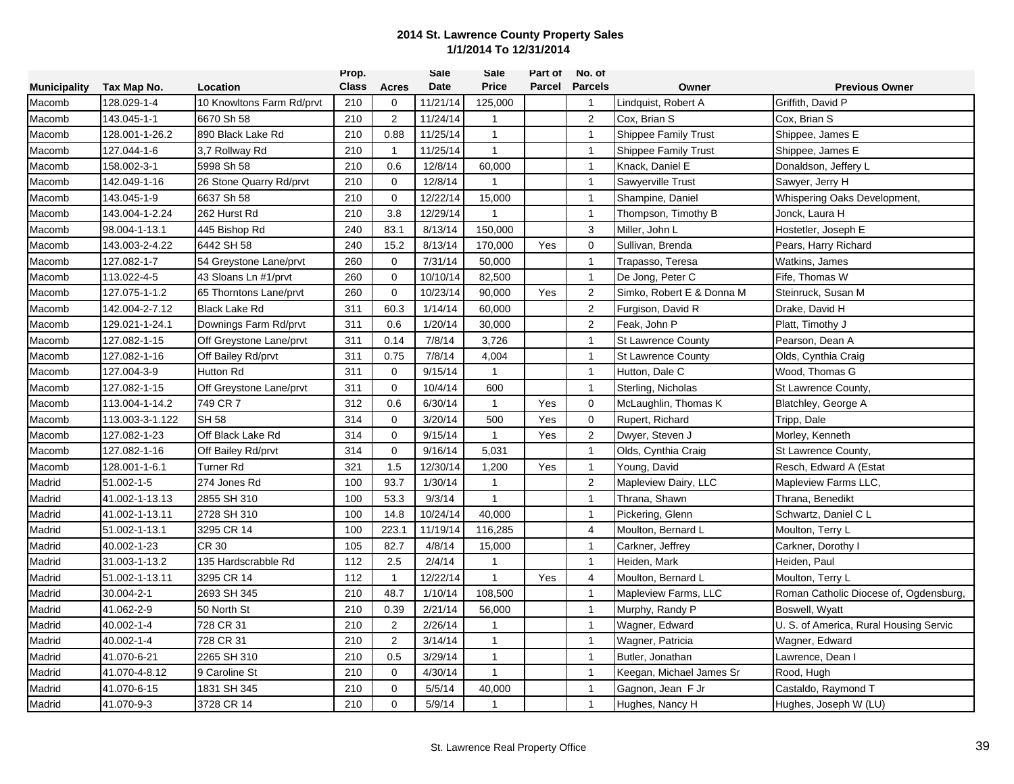|                     |                 |                           | Prop.        |                | <b>Sale</b> | Sale         | Part of | No. of         |                             |                                        |
|---------------------|-----------------|---------------------------|--------------|----------------|-------------|--------------|---------|----------------|-----------------------------|----------------------------------------|
| <b>Municipality</b> | Tax Map No.     | Location                  | <b>Class</b> | Acres          | <b>Date</b> | <b>Price</b> |         | Parcel Parcels | Owner                       | <b>Previous Owner</b>                  |
| Macomb              | 128.029-1-4     | 10 Knowltons Farm Rd/prvt | 210          | $\mathbf 0$    | 11/21/14    | 125,000      |         | $\overline{1}$ | Lindquist, Robert A         | Griffith, David P                      |
| Macomb              | 143.045-1-1     | 6670 Sh 58                | 210          | 2              | 11/24/14    | $\mathbf{1}$ |         | 2              | Cox, Brian S                | Cox, Brian S                           |
| Macomb              | 128.001-1-26.2  | 890 Black Lake Rd         | 210          | 0.88           | 11/25/14    | $\mathbf{1}$ |         | $\overline{1}$ | <b>Shippee Family Trust</b> | Shippee, James E                       |
| Macomb              | 127.044-1-6     | 3.7 Rollway Rd            | 210          | $\mathbf{1}$   | 11/25/14    | $\mathbf{1}$ |         | $\mathbf{1}$   | <b>Shippee Family Trust</b> | Shippee, James E                       |
| Macomb              | 158.002-3-1     | 5998 Sh 58                | 210          | 0.6            | 12/8/14     | 60,000       |         | $\mathbf{1}$   | Knack, Daniel E             | Donaldson, Jeffery L                   |
| Macomb              | 142.049-1-16    | 26 Stone Quarry Rd/prvt   | 210          | $\Omega$       | 12/8/14     | $\mathbf{1}$ |         | $\mathbf{1}$   | Sawyerville Trust           | Sawyer, Jerry H                        |
| Macomb              | 143.045-1-9     | 6637 Sh 58                | 210          | $\mathbf 0$    | 12/22/14    | 15,000       |         | $\mathbf{1}$   | Shampine, Daniel            | Whispering Oaks Development,           |
| Macomb              | 143.004-1-2.24  | 262 Hurst Rd              | 210          | 3.8            | 12/29/14    | $\mathbf{1}$ |         | $\mathbf{1}$   | Thompson, Timothy B         | Jonck, Laura H                         |
| Macomb              | 98.004-1-13.1   | 445 Bishop Rd             | 240          | 83.1           | 8/13/14     | 150,000      |         | 3              | Miller, John L              | Hostetler, Joseph E                    |
| Macomb              | 143.003-2-4.22  | 6442 SH 58                | 240          | 15.2           | 8/13/14     | 170,000      | Yes     | $\mathbf 0$    | Sullivan, Brenda            | Pears, Harry Richard                   |
| Macomb              | 127.082-1-7     | 54 Greystone Lane/prvt    | 260          | $\mathbf 0$    | 7/31/14     | 50,000       |         | $\mathbf{1}$   | Trapasso, Teresa            | Watkins, James                         |
| Macomb              | 113.022-4-5     | 43 Sloans Ln #1/prvt      | 260          | $\Omega$       | 10/10/14    | 82,500       |         | $\mathbf{1}$   | De Jong, Peter C            | Fife, Thomas W                         |
| Macomb              | 127.075-1-1.2   | 65 Thorntons Lane/prvt    | 260          | $\mathbf 0$    | 10/23/14    | 90,000       | Yes     | $\overline{2}$ | Simko, Robert E & Donna M   | Steinruck, Susan M                     |
| Macomb              | 142.004-2-7.12  | <b>Black Lake Rd</b>      | 311          | 60.3           | 1/14/14     | 60,000       |         | 2              | Furgison, David R           | Drake, David H                         |
| Macomb              | 129.021-1-24.1  | Downings Farm Rd/prvt     | 311          | 0.6            | 1/20/14     | 30,000       |         | 2              | Feak, John P                | Platt, Timothy J                       |
| Macomb              | 127.082-1-15    | Off Greystone Lane/prvt   | 311          | 0.14           | 7/8/14      | 3,726        |         | $\mathbf{1}$   | <b>St Lawrence County</b>   | Pearson, Dean A                        |
| Macomb              | 127.082-1-16    | Off Bailey Rd/prvt        | 311          | 0.75           | 7/8/14      | 4,004        |         | $\mathbf{1}$   | <b>St Lawrence County</b>   | Olds, Cynthia Craig                    |
| Macomb              | 127.004-3-9     | <b>Hutton Rd</b>          | 311          | $\mathbf 0$    | 9/15/14     | $\mathbf{1}$ |         | $\mathbf{1}$   | Hutton, Dale C              | Wood, Thomas G                         |
| Macomb              | 127.082-1-15    | Off Greystone Lane/prvt   | 311          | $\mathbf 0$    | 10/4/14     | 600          |         | $\mathbf{1}$   | Sterling, Nicholas          | St Lawrence County,                    |
| Macomb              | 113.004-1-14.2  | 749 CR 7                  | 312          | 0.6            | 6/30/14     | $\mathbf{1}$ | Yes     | $\mathbf 0$    | McLaughlin, Thomas K        | Blatchley, George A                    |
| Macomb              | 113.003-3-1.122 | <b>SH 58</b>              | 314          | $\mathbf 0$    | 3/20/14     | 500          | Yes     | $\mathbf 0$    | Rupert, Richard             | Tripp, Dale                            |
| Macomb              | 127.082-1-23    | Off Black Lake Rd         | 314          | $\Omega$       | 9/15/14     | $\mathbf{1}$ | Yes     | 2              | Dwyer, Steven J             | Morley, Kenneth                        |
| Macomb              | 127.082-1-16    | Off Bailey Rd/prvt        | 314          | $\mathbf 0$    | 9/16/14     | 5,031        |         | $\mathbf{1}$   | Olds, Cynthia Craig         | St Lawrence County,                    |
| Macomb              | 128.001-1-6.1   | Turner Rd                 | 321          | 1.5            | 12/30/14    | 1,200        | Yes     | $\mathbf{1}$   | Young, David                | Resch, Edward A (Estat                 |
| Madrid              | 51.002-1-5      | 274 Jones Rd              | 100          | 93.7           | 1/30/14     | $\mathbf{1}$ |         | $\overline{2}$ | Mapleview Dairy, LLC        | Mapleview Farms LLC,                   |
| Madrid              | 41.002-1-13.13  | 2855 SH 310               | 100          | 53.3           | 9/3/14      | $\mathbf{1}$ |         | $\mathbf{1}$   | Thrana, Shawn               | Thrana, Benedikt                       |
| Madrid              | 41.002-1-13.11  | 2728 SH 310               | 100          | 14.8           | 10/24/14    | 40,000       |         | $\mathbf{1}$   | Pickering, Glenn            | Schwartz, Daniel C L                   |
| Madrid              | 51.002-1-13.1   | 3295 CR 14                | 100          | 223.1          | 11/19/14    | 116,285      |         | $\overline{4}$ | Moulton, Bernard L          | Moulton, Terry L                       |
| Madrid              | 40.002-1-23     | <b>CR 30</b>              | 105          | 82.7           | 4/8/14      | 15,000       |         | $\mathbf{1}$   | Carkner, Jeffrey            | Carkner, Dorothy I                     |
| Madrid              | 31.003-1-13.2   | 135 Hardscrabble Rd       | 112          | 2.5            | 2/4/14      | $\mathbf{1}$ |         | $\mathbf{1}$   | Heiden, Mark                | Heiden, Paul                           |
| Madrid              | 51.002-1-13.11  | 3295 CR 14                | 112          | $\mathbf{1}$   | 12/22/14    | $\mathbf{1}$ | Yes     | 4              | Moulton, Bernard L          | Moulton, Terry L                       |
| Madrid              | 30.004-2-1      | 2693 SH 345               | 210          | 48.7           | 1/10/14     | 108,500      |         | $\mathbf{1}$   | Mapleview Farms, LLC        | Roman Catholic Diocese of, Ogdensburg, |
| Madrid              | 41.062-2-9      | 50 North St               | 210          | 0.39           | 2/21/14     | 56,000       |         | $\mathbf{1}$   | Murphy, Randy P             | Boswell, Wyatt                         |
| Madrid              | 40.002-1-4      | 728 CR 31                 | 210          | $\overline{2}$ | 2/26/14     | $\mathbf{1}$ |         | $\overline{1}$ | Wagner, Edward              | U. S. of America, Rural Housing Servic |
| Madrid              | 40.002-1-4      | 728 CR 31                 | 210          | 2              | 3/14/14     | $\mathbf{1}$ |         | $\overline{1}$ | Wagner, Patricia            | Wagner, Edward                         |
| Madrid              | 41.070-6-21     | 2265 SH 310               | 210          | 0.5            | 3/29/14     | $\mathbf{1}$ |         | $\mathbf{1}$   | Butler, Jonathan            | Lawrence, Dean I                       |
| Madrid              | 41.070-4-8.12   | 9 Caroline St             | 210          | $\Omega$       | 4/30/14     | $\mathbf{1}$ |         | $\mathbf{1}$   | Keegan, Michael James Sr    | Rood, Hugh                             |
| Madrid              | 41.070-6-15     | 1831 SH 345               | 210          | $\mathbf 0$    | 5/5/14      | 40,000       |         | $\mathbf{1}$   | Gagnon, Jean F Jr           | Castaldo, Raymond T                    |
| Madrid              | 41.070-9-3      | 3728 CR 14                | 210          | $\Omega$       | 5/9/14      | 1            |         | $\overline{1}$ | Hughes, Nancy H             | Hughes, Joseph W (LU)                  |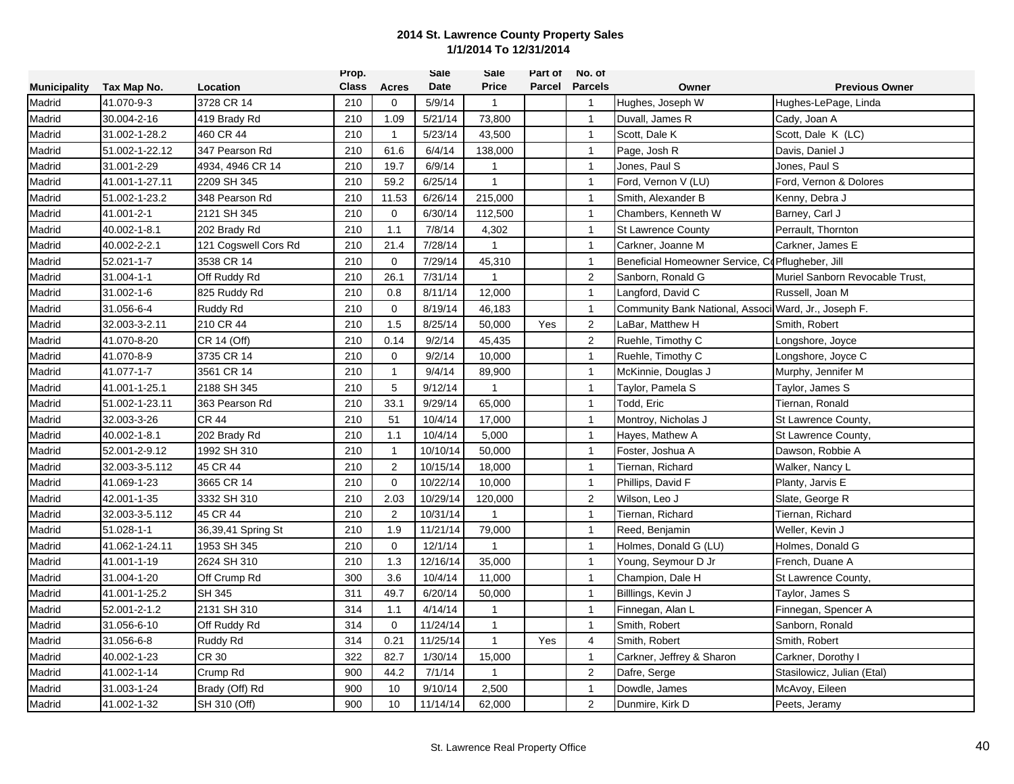|                     |                |                      | Prop.        |                | <b>Sale</b> | Sale           | Part of | No. of                |                                                      |                                 |
|---------------------|----------------|----------------------|--------------|----------------|-------------|----------------|---------|-----------------------|------------------------------------------------------|---------------------------------|
| <b>Municipality</b> | Tax Map No.    | Location             | <b>Class</b> | Acres          | Date        | <b>Price</b>   |         | <b>Parcel Parcels</b> | Owner                                                | <b>Previous Owner</b>           |
| Madrid              | 41.070-9-3     | 3728 CR 14           | 210          | 0              | 5/9/14      | $\mathbf{1}$   |         | $\overline{1}$        | Hughes, Joseph W                                     | Hughes-LePage, Linda            |
| Madrid              | 30.004-2-16    | 419 Brady Rd         | 210          | 1.09           | 5/21/14     | 73,800         |         | $\overline{1}$        | Duvall, James R                                      | Cady, Joan A                    |
| Madrid              | 31.002-1-28.2  | 460 CR 44            | 210          | $\mathbf{1}$   | 5/23/14     | 43,500         |         | $\overline{1}$        | Scott, Dale K                                        | Scott, Dale K (LC)              |
| Madrid              | 51.002-1-22.12 | 347 Pearson Rd       | 210          | 61.6           | 6/4/14      | 138,000        |         | $\mathbf{1}$          | Page, Josh R                                         | Davis, Daniel J                 |
| Madrid              | 31.001-2-29    | 4934, 4946 CR 14     | 210          | 19.7           | 6/9/14      | $\mathbf{1}$   |         | $\mathbf{1}$          | Jones, Paul S                                        | Jones, Paul S                   |
| Madrid              | 41.001-1-27.11 | 2209 SH 345          | 210          | 59.2           | 6/25/14     | $\mathbf{1}$   |         | $\mathbf{1}$          | Ford, Vernon V (LU)                                  | Ford, Vernon & Dolores          |
| Madrid              | 51.002-1-23.2  | 348 Pearson Rd       | 210          | 11.53          | 6/26/14     | 215,000        |         | $\mathbf{1}$          | Smith, Alexander B                                   | Kenny, Debra J                  |
| Madrid              | 41.001-2-1     | 2121 SH 345          | 210          | $\mathbf 0$    | 6/30/14     | 112,500        |         | $\mathbf{1}$          | Chambers, Kenneth W                                  | Barney, Carl J                  |
| Madrid              | 40.002-1-8.1   | 202 Brady Rd         | 210          | 1.1            | 7/8/14      | 4,302          |         | $\overline{1}$        | <b>St Lawrence County</b>                            | Perrault, Thornton              |
| Madrid              | 40.002-2-2.1   | 121 Cogswell Cors Rd | 210          | 21.4           | 7/28/14     | $\mathbf{1}$   |         | $\mathbf{1}$          | Carkner, Joanne M                                    | Carkner, James E                |
| Madrid              | 52.021-1-7     | 3538 CR 14           | 210          | $\Omega$       | 7/29/14     | 45,310         |         | $\mathbf{1}$          | Beneficial Homeowner Service, CdPflugheber, Jill     |                                 |
| Madrid              | 31.004-1-1     | Off Ruddy Rd         | 210          | 26.1           | 7/31/14     | $\mathbf{1}$   |         | $\overline{2}$        | Sanborn, Ronald G                                    | Muriel Sanborn Revocable Trust, |
| Madrid              | 31.002-1-6     | 825 Ruddy Rd         | 210          | 0.8            | 8/11/14     | 12,000         |         | $\overline{1}$        | Langford, David C                                    | Russell, Joan M                 |
| Madrid              | 31.056-6-4     | Ruddy Rd             | 210          | 0              | 8/19/14     | 46,183         |         | $\mathbf{1}$          | Community Bank National, Associ Ward, Jr., Joseph F. |                                 |
| Madrid              | 32.003-3-2.11  | 210 CR 44            | 210          | 1.5            | 8/25/14     | 50,000         | Yes     | $\overline{2}$        | LaBar, Matthew H                                     | Smith, Robert                   |
| Madrid              | 41.070-8-20    | CR 14 (Off)          | 210          | 0.14           | 9/2/14      | 45,435         |         | $\overline{2}$        | Ruehle, Timothy C                                    | Longshore, Joyce                |
| Madrid              | 41.070-8-9     | 3735 CR 14           | 210          | $\mathbf 0$    | 9/2/14      | 10,000         |         | $\mathbf{1}$          | Ruehle, Timothy C                                    | Longshore, Joyce C              |
| Madrid              | 41.077-1-7     | 3561 CR 14           | 210          | $\mathbf{1}$   | 9/4/14      | 89,900         |         | $\mathbf{1}$          | McKinnie, Douglas J                                  | Murphy, Jennifer M              |
| Madrid              | 41.001-1-25.1  | 2188 SH 345          | 210          | 5              | 9/12/14     | $\overline{1}$ |         | $\mathbf{1}$          | Taylor, Pamela S                                     | Taylor, James S                 |
| Madrid              | 51.002-1-23.11 | 363 Pearson Rd       | 210          | 33.1           | 9/29/14     | 65,000         |         | $\mathbf{1}$          | Todd, Eric                                           | Tiernan, Ronald                 |
| Madrid              | 32.003-3-26    | CR 44                | 210          | 51             | 10/4/14     | 17,000         |         | $\mathbf{1}$          | Montroy, Nicholas J                                  | St Lawrence County,             |
| Madrid              | 40.002-1-8.1   | 202 Brady Rd         | 210          | 1.1            | 10/4/14     | 5,000          |         | $\mathbf{1}$          | Hayes, Mathew A                                      | St Lawrence County,             |
| Madrid              | 52.001-2-9.12  | 1992 SH 310          | 210          | $\mathbf{1}$   | 10/10/14    | 50,000         |         | $\mathbf{1}$          | Foster, Joshua A                                     | Dawson, Robbie A                |
| Madrid              | 32.003-3-5.112 | 45 CR 44             | 210          | $\overline{2}$ | 10/15/14    | 18,000         |         | $\mathbf{1}$          | Tiernan, Richard                                     | Walker, Nancy L                 |
| Madrid              | 41.069-1-23    | 3665 CR 14           | 210          | $\mathbf 0$    | 10/22/14    | 10,000         |         | $\mathbf{1}$          | Phillips, David F                                    | Planty, Jarvis E                |
| Madrid              | 42.001-1-35    | 3332 SH 310          | 210          | 2.03           | 10/29/14    | 120,000        |         | $\sqrt{2}$            | Wilson, Leo J                                        | Slate, George R                 |
| Madrid              | 32.003-3-5.112 | 45 CR 44             | 210          | $\overline{2}$ | 10/31/14    | $\mathbf{1}$   |         | $\mathbf{1}$          | Tiernan, Richard                                     | Tiernan, Richard                |
| Madrid              | 51.028-1-1     | 36,39,41 Spring St   | 210          | 1.9            | 11/21/14    | 79,000         |         | $\mathbf{1}$          | Reed, Benjamin                                       | Weller, Kevin J                 |
| Madrid              | 41.062-1-24.11 | 1953 SH 345          | 210          | $\mathbf 0$    | 12/1/14     | $\overline{1}$ |         | $\overline{1}$        | Holmes, Donald G (LU)                                | Holmes, Donald G                |
| Madrid              | 41.001-1-19    | 2624 SH 310          | 210          | 1.3            | 12/16/14    | 35,000         |         | $\mathbf{1}$          | Young, Seymour D Jr                                  | French, Duane A                 |
| Madrid              | 31.004-1-20    | Off Crump Rd         | 300          | 3.6            | 10/4/14     | 11,000         |         | $\mathbf{1}$          | Champion, Dale H                                     | St Lawrence County,             |
| Madrid              | 41.001-1-25.2  | <b>SH 345</b>        | 311          | 49.7           | 6/20/14     | 50,000         |         | $\mathbf{1}$          | Billlings, Kevin J                                   | Taylor, James S                 |
| Madrid              | 52.001-2-1.2   | 2131 SH 310          | 314          | 1.1            | 4/14/14     | $\mathbf{1}$   |         | $\mathbf{1}$          | Finnegan, Alan L                                     | Finnegan, Spencer A             |
| Madrid              | 31.056-6-10    | Off Ruddy Rd         | 314          | $\mathbf 0$    | 11/24/14    | $\mathbf{1}$   |         | $\mathbf{1}$          | Smith, Robert                                        | Sanborn, Ronald                 |
| Madrid              | 31.056-6-8     | Ruddy Rd             | 314          | 0.21           | 11/25/14    | $\mathbf{1}$   | Yes     | $\overline{4}$        | Smith, Robert                                        | Smith, Robert                   |
| Madrid              | 40.002-1-23    | CR 30                | 322          | 82.7           | 1/30/14     | 15,000         |         | $\mathbf{1}$          | Carkner, Jeffrey & Sharon                            | Carkner, Dorothy I              |
| Madrid              | 41.002-1-14    | Crump Rd             | 900          | 44.2           | 7/1/14      | $\mathbf{1}$   |         | $\overline{2}$        | Dafre, Serge                                         | Stasilowicz, Julian (Etal)      |
| Madrid              | 31.003-1-24    | Brady (Off) Rd       | 900          | 10             | 9/10/14     | 2,500          |         | $\mathbf{1}$          | Dowdle, James                                        | McAvoy, Eileen                  |
| Madrid              | 41.002-1-32    | SH 310 (Off)         | 900          | 10             | 11/14/14    | 62,000         |         | $\overline{c}$        | Dunmire, Kirk D                                      | Peets, Jeramy                   |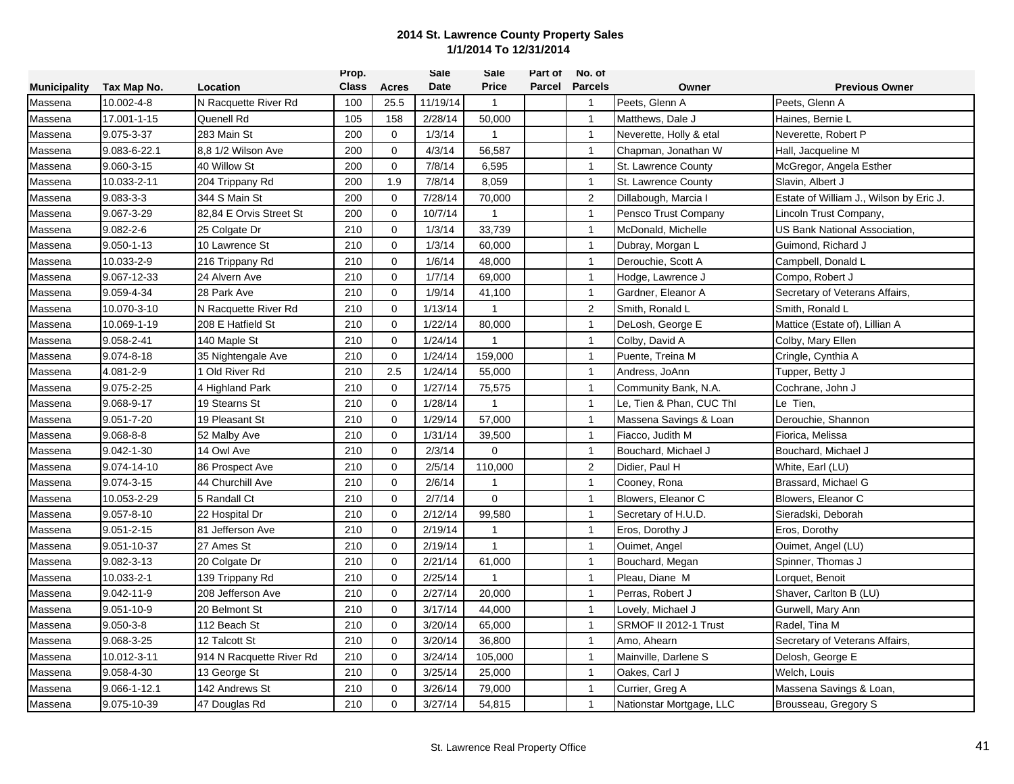|                     |                  |                          | Prop.        |             | Sale     | Sale         | Part of | No. of         |                          |                                         |
|---------------------|------------------|--------------------------|--------------|-------------|----------|--------------|---------|----------------|--------------------------|-----------------------------------------|
| <b>Municipality</b> | Tax Map No.      | Location                 | <b>Class</b> | Acres       | Date     | <b>Price</b> | Parcel  | <b>Parcels</b> | Owner                    | <b>Previous Owner</b>                   |
| Massena             | 10.002-4-8       | N Racquette River Rd     | 100          | 25.5        | 11/19/14 | $\mathbf{1}$ |         | $\overline{1}$ | Peets, Glenn A           | Peets, Glenn A                          |
| Massena             | 17.001-1-15      | Quenell Rd               | 105          | 158         | 2/28/14  | 50,000       |         | $\mathbf{1}$   | Matthews, Dale J         | Haines, Bernie L                        |
| Massena             | 9.075-3-37       | 283 Main St              | 200          | $\mathbf 0$ | 1/3/14   | $\mathbf{1}$ |         | $\mathbf{1}$   | Neverette, Holly & etal  | Neverette, Robert P                     |
| Massena             | 9.083-6-22.1     | 8.8 1/2 Wilson Ave       | 200          | $\Omega$    | 4/3/14   | 56,587       |         | $\mathbf{1}$   | Chapman, Jonathan W      | Hall, Jacqueline M                      |
| Massena             | 9.060-3-15       | 40 Willow St             | 200          | $\mathbf 0$ | 7/8/14   | 6,595        |         | $\mathbf{1}$   | St. Lawrence County      | McGregor, Angela Esther                 |
| Massena             | 10.033-2-11      | 204 Trippany Rd          | 200          | 1.9         | 7/8/14   | 8,059        |         | $\mathbf{1}$   | St. Lawrence County      | Slavin, Albert J                        |
| Massena             | $9.083 - 3 - 3$  | 344 S Main St            | 200          | $\mathbf 0$ | 7/28/14  | 70,000       |         | $\overline{2}$ | Dillabough, Marcia I     | Estate of William J., Wilson by Eric J. |
| Massena             | 9.067-3-29       | 82,84 E Orvis Street St  | 200          | $\mathbf 0$ | 10/7/14  | $\mathbf{1}$ |         | $\mathbf{1}$   | Pensco Trust Company     | Lincoln Trust Company,                  |
| Massena             | $9.082 - 2 - 6$  | 25 Colgate Dr            | 210          | $\Omega$    | 1/3/14   | 33,739       |         | $\mathbf{1}$   | McDonald, Michelle       | US Bank National Association,           |
| Massena             | $9.050 - 1 - 13$ | 10 Lawrence St           | 210          | $\mathbf 0$ | 1/3/14   | 60,000       |         | $\mathbf{1}$   | Dubray, Morgan L         | Guimond, Richard J                      |
| Massena             | 10.033-2-9       | 216 Trippany Rd          | 210          | $\Omega$    | 1/6/14   | 48,000       |         | $\mathbf{1}$   | Derouchie, Scott A       | Campbell, Donald L                      |
| Massena             | 9.067-12-33      | 24 Alvern Ave            | 210          | $\mathbf 0$ | 1/7/14   | 69,000       |         | $\mathbf{1}$   | Hodge, Lawrence J        | Compo, Robert J                         |
| Massena             | 9.059-4-34       | 28 Park Ave              | 210          | $\Omega$    | 1/9/14   | 41,100       |         | $\overline{1}$ | Gardner, Eleanor A       | Secretary of Veterans Affairs,          |
| Massena             | 10.070-3-10      | N Racquette River Rd     | 210          | $\mathbf 0$ | 1/13/14  | 1            |         | $\overline{2}$ | Smith, Ronald L          | Smith, Ronald L                         |
| Massena             | 10.069-1-19      | 208 E Hatfield St        | 210          | $\Omega$    | 1/22/14  | 80,000       |         | $\overline{1}$ | DeLosh, George E         | Mattice (Estate of), Lillian A          |
| Massena             | 9.058-2-41       | 140 Maple St             | 210          | $\mathbf 0$ | 1/24/14  | $\mathbf{1}$ |         | $\mathbf{1}$   | Colby, David A           | Colby, Mary Ellen                       |
| Massena             | 9.074-8-18       | 35 Nightengale Ave       | 210          | $\Omega$    | 1/24/14  | 159,000      |         | -1             | Puente, Treina M         | Cringle, Cynthia A                      |
| Massena             | 4.081-2-9        | 1 Old River Rd           | 210          | 2.5         | 1/24/14  | 55,000       |         | $\mathbf{1}$   | Andress, JoAnn           | Tupper, Betty J                         |
| Massena             | 9.075-2-25       | 4 Highland Park          | 210          | $\Omega$    | 1/27/14  | 75,575       |         | $\mathbf{1}$   | Community Bank, N.A.     | Cochrane, John J                        |
| Massena             | 9.068-9-17       | 19 Stearns St            | 210          | $\mathbf 0$ | 1/28/14  | 1            |         | $\overline{1}$ | Le, Tien & Phan, CUC Thl | Le Tien,                                |
| Massena             | 9.051-7-20       | 19 Pleasant St           | 210          | $\mathbf 0$ | 1/29/14  | 57,000       |         | $\mathbf{1}$   | Massena Savings & Loan   | Derouchie, Shannon                      |
| Massena             | $9.068 - 8 - 8$  | 52 Malby Ave             | 210          | $\mathbf 0$ | 1/31/14  | 39,500       |         | $\mathbf{1}$   | Fiacco, Judith M         | Fiorica, Melissa                        |
| Massena             | 9.042-1-30       | 14 Owl Ave               | 210          | $\Omega$    | 2/3/14   | $\Omega$     |         | $\mathbf{1}$   | Bouchard, Michael J      | Bouchard, Michael J                     |
| Massena             | 9.074-14-10      | 86 Prospect Ave          | 210          | $\Omega$    | 2/5/14   | 110,000      |         | 2              | Didier, Paul H           | White, Earl (LU)                        |
| Massena             | 9.074-3-15       | 44 Churchill Ave         | 210          | $\mathbf 0$ | 2/6/14   | 1            |         | $\mathbf{1}$   | Cooney, Rona             | Brassard, Michael G                     |
| Massena             | 10.053-2-29      | 5 Randall Ct             | 210          | $\Omega$    | 2/7/14   | $\Omega$     |         | $\overline{1}$ | Blowers, Eleanor C       | Blowers, Eleanor C                      |
| Massena             | $9.057 - 8 - 10$ | 22 Hospital Dr           | 210          | $\mathbf 0$ | 2/12/14  | 99,580       |         | $\mathbf{1}$   | Secretary of H.U.D.      | Sieradski, Deborah                      |
| Massena             | $9.051 - 2 - 15$ | 81 Jefferson Ave         | 210          | $\mathbf 0$ | 2/19/14  | 1            |         | $\mathbf{1}$   | Eros, Dorothy J          | Eros, Dorothy                           |
| Massena             | 9.051-10-37      | 27 Ames St               | 210          | $\mathbf 0$ | 2/19/14  | $\mathbf{1}$ |         | $\mathbf{1}$   | Ouimet, Angel            | Ouimet, Angel (LU)                      |
| Massena             | 9.082-3-13       | 20 Colgate Dr            | 210          | $\mathbf 0$ | 2/21/14  | 61,000       |         | $\overline{1}$ | Bouchard, Megan          | Spinner, Thomas J                       |
| Massena             | 10.033-2-1       | 139 Trippany Rd          | 210          | $\mathbf 0$ | 2/25/14  | 1            |         | $\mathbf{1}$   | Pleau, Diane M           | Lorquet, Benoit                         |
| Massena             | 9.042-11-9       | 208 Jefferson Ave        | 210          | $\mathbf 0$ | 2/27/14  | 20,000       |         | $\mathbf{1}$   | Perras, Robert J         | Shaver, Carlton B (LU)                  |
| Massena             | 9.051-10-9       | 20 Belmont St            | 210          | $\mathbf 0$ | 3/17/14  | 44,000       |         | $\mathbf{1}$   | Lovely, Michael J        | Gurwell, Mary Ann                       |
| Massena             | $9.050 - 3 - 8$  | 112 Beach St             | 210          | $\mathbf 0$ | 3/20/14  | 65,000       |         | $\mathbf{1}$   | SRMOF II 2012-1 Trust    | Radel, Tina M                           |
| Massena             | 9.068-3-25       | 12 Talcott St            | 210          | 0           | 3/20/14  | 36,800       |         | $\mathbf{1}$   | Amo, Ahearn              | Secretary of Veterans Affairs,          |
| Massena             | 10.012-3-11      | 914 N Racquette River Rd | 210          | $\mathbf 0$ | 3/24/14  | 105,000      |         | $\mathbf{1}$   | Mainville, Darlene S     | Delosh, George E                        |
| Massena             | 9.058-4-30       | 13 George St             | 210          | 0           | 3/25/14  | 25,000       |         | $\mathbf{1}$   | Oakes, Carl J            | Welch, Louis                            |
| Massena             | 9.066-1-12.1     | 142 Andrews St           | 210          | $\mathbf 0$ | 3/26/14  | 79,000       |         | $\mathbf{1}$   | Currier, Greg A          | Massena Savings & Loan,                 |
| Massena             | 9.075-10-39      | 47 Douglas Rd            | 210          | $\Omega$    | 3/27/14  | 54,815       |         | $\overline{1}$ | Nationstar Mortgage, LLC | Brousseau, Gregory S                    |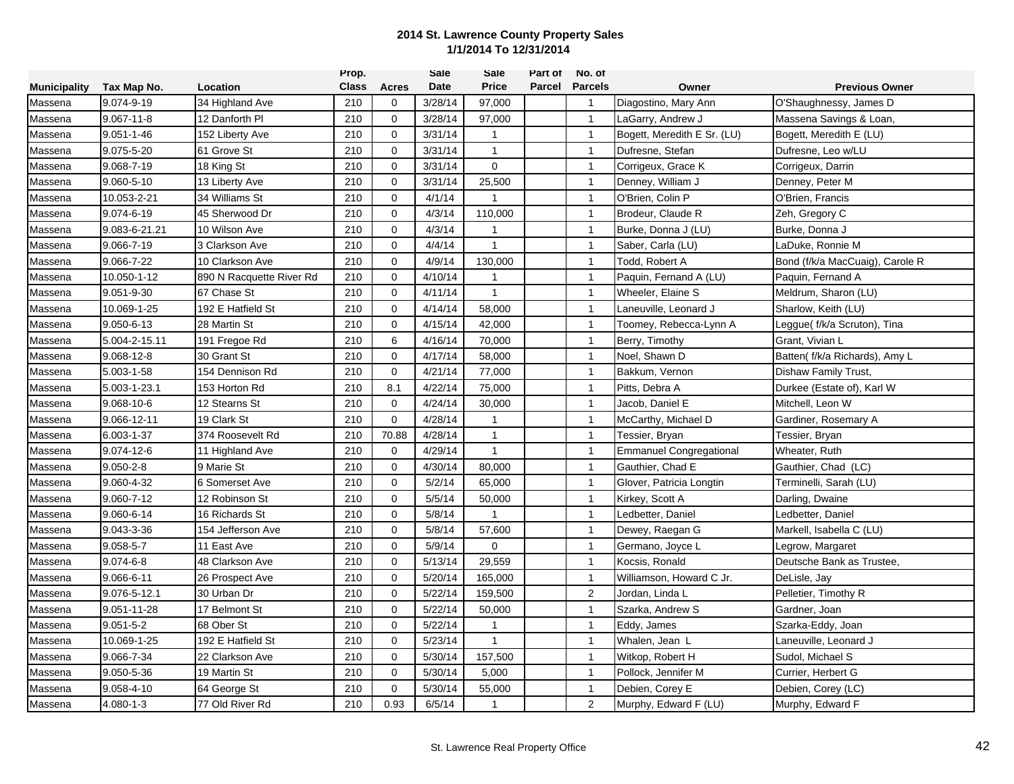|                     |                  |                          | Prop.        |              | <b>Sale</b> | Sale           | Part of | No. of                  |                             |                                 |
|---------------------|------------------|--------------------------|--------------|--------------|-------------|----------------|---------|-------------------------|-----------------------------|---------------------------------|
| <b>Municipality</b> | Tax Map No.      | Location                 | <b>Class</b> | Acres        | Date        | <b>Price</b>   | Parcel  | <b>Parcels</b>          | Owner                       | <b>Previous Owner</b>           |
| Massena             | 9.074-9-19       | 34 Highland Ave          | 210          | 0            | 3/28/14     | 97,000         |         | $\overline{1}$          | Diagostino, Mary Ann        | O'Shaughnessy, James D          |
| Massena             | $9.067 - 11 - 8$ | 12 Danforth Pl           | 210          | $\mathbf{0}$ | 3/28/14     | 97,000         |         | $\mathbf{1}$            | LaGarry, Andrew J           | Massena Savings & Loan,         |
| Massena             | $9.051 - 1 - 46$ | 152 Liberty Ave          | 210          | $\mathbf 0$  | 3/31/14     | $\mathbf{1}$   |         | $\mathbf{1}$            | Bogett, Meredith E Sr. (LU) | Bogett, Meredith E (LU)         |
| Massena             | 9.075-5-20       | 61 Grove St              | 210          | $\mathbf 0$  | 3/31/14     | $\mathbf{1}$   |         | $\mathbf{1}$            | Dufresne, Stefan            | Dufresne, Leo w/LU              |
| Massena             | 9.068-7-19       | 18 King St               | 210          | $\mathbf 0$  | 3/31/14     | 0              |         | $\mathbf{1}$            | Corrigeux, Grace K          | Corrigeux, Darrin               |
| Massena             | 9.060-5-10       | 13 Liberty Ave           | 210          | $\mathbf 0$  | 3/31/14     | 25,500         |         | $\mathbf{1}$            | Denney, William J           | Denney, Peter M                 |
| Massena             | 10.053-2-21      | 34 Williams St           | 210          | $\mathbf 0$  | 4/1/14      |                |         | $\mathbf{1}$            | O'Brien, Colin P            | O'Brien, Francis                |
| Massena             | 9.074-6-19       | 45 Sherwood Dr           | 210          | $\mathbf 0$  | 4/3/14      | 110,000        |         | $\mathbf{1}$            | Brodeur, Claude R           | Zeh, Gregory C                  |
| Massena             | 9.083-6-21.21    | 10 Wilson Ave            | 210          | $\Omega$     | 4/3/14      | $\mathbf{1}$   |         | $\overline{1}$          | Burke, Donna J (LU)         | Burke, Donna J                  |
| Massena             | 9.066-7-19       | 3 Clarkson Ave           | 210          | $\mathbf 0$  | 4/4/14      | $\overline{1}$ |         | $\mathbf{1}$            | Saber, Carla (LU)           | LaDuke, Ronnie M                |
| Massena             | 9.066-7-22       | 10 Clarkson Ave          | 210          | $\Omega$     | 4/9/14      | 130,000        |         | $\mathbf{1}$            | Todd, Robert A              | Bond (f/k/a MacCuaig), Carole R |
| Massena             | 10.050-1-12      | 890 N Racquette River Rd | 210          | $\mathbf 0$  | 4/10/14     | 1              |         | $\mathbf{1}$            | Paquin, Fernand A (LU)      | Paquin, Fernand A               |
| Massena             | 9.051-9-30       | 67 Chase St              | 210          | $\mathbf{0}$ | 4/11/14     | $\mathbf{1}$   |         | $\mathbf{1}$            | Wheeler, Elaine S           | Meldrum, Sharon (LU)            |
| Massena             | 10.069-1-25      | 192 E Hatfield St        | 210          | $\mathbf 0$  | 4/14/14     | 58,000         |         | $\mathbf{1}$            | Laneuville, Leonard J       | Sharlow, Keith (LU)             |
| Massena             | 9.050-6-13       | 28 Martin St             | 210          | $\mathbf 0$  | 4/15/14     | 42,000         |         | $\overline{1}$          | Toomey, Rebecca-Lynn A      | Leggue( f/k/a Scruton), Tina    |
| Massena             | 5.004-2-15.11    | 191 Fregoe Rd            | 210          | 6            | 4/16/14     | 70,000         |         | $\overline{1}$          | Berry, Timothy              | Grant, Vivian L                 |
| Massena             | 9.068-12-8       | 30 Grant St              | 210          | $\mathbf 0$  | 4/17/14     | 58,000         |         | $\mathbf{1}$            | Noel, Shawn D               | Batten( f/k/a Richards), Amy L  |
| Massena             | 5.003-1-58       | 154 Dennison Rd          | 210          | $\mathbf 0$  | 4/21/14     | 77,000         |         | $\mathbf{1}$            | Bakkum, Vernon              | Dishaw Family Trust,            |
| Massena             | 5.003-1-23.1     | 153 Horton Rd            | 210          | 8.1          | 4/22/14     | 75,000         |         | $\mathbf{1}$            | Pitts, Debra A              | Durkee (Estate of), Karl W      |
| Massena             | 9.068-10-6       | 12 Stearns St            | 210          | $\mathbf 0$  | 4/24/14     | 30,000         |         | $\overline{1}$          | Jacob, Daniel E             | Mitchell, Leon W                |
| Massena             | 9.066-12-11      | 19 Clark St              | 210          | $\mathbf 0$  | 4/28/14     | $\mathbf{1}$   |         | $\mathbf{1}$            | McCarthy, Michael D         | Gardiner, Rosemary A            |
| Massena             | 6.003-1-37       | 374 Roosevelt Rd         | 210          | 70.88        | 4/28/14     | $\mathbf{1}$   |         | $\mathbf{1}$            | Tessier, Bryan              | Tessier, Bryan                  |
| Massena             | 9.074-12-6       | 11 Highland Ave          | 210          | $\mathbf 0$  | 4/29/14     | $\mathbf{1}$   |         | $\mathbf{1}$            | Emmanuel Congregational     | Wheater, Ruth                   |
| Massena             | $9.050 - 2 - 8$  | 9 Marie St               | 210          | 0            | 4/30/14     | 80,000         |         | $\mathbf{1}$            | Gauthier, Chad E            | Gauthier, Chad (LC)             |
| Massena             | 9.060-4-32       | 6 Somerset Ave           | 210          | $\mathbf 0$  | 5/2/14      | 65,000         |         | $\mathbf{1}$            | Glover, Patricia Longtin    | Terminelli, Sarah (LU)          |
| Massena             | 9.060-7-12       | 12 Robinson St           | 210          | $\mathbf{0}$ | 5/5/14      | 50,000         |         | $\overline{1}$          | Kirkey, Scott A             | Darling, Dwaine                 |
| Massena             | 9.060-6-14       | 16 Richards St           | 210          | $\mathbf 0$  | 5/8/14      | $\mathbf{1}$   |         | $\mathbf{1}$            | Ledbetter, Daniel           | Ledbetter, Daniel               |
| Massena             | 9.043-3-36       | 154 Jefferson Ave        | 210          | $\mathbf 0$  | 5/8/14      | 57,600         |         | $\mathbf{1}$            | Dewey, Raegan G             | Markell, Isabella C (LU)        |
| Massena             | $9.058 - 5 - 7$  | 11 East Ave              | 210          | $\mathbf 0$  | 5/9/14      | $\mathbf 0$    |         | $\mathbf{1}$            | Germano, Joyce L            | Legrow, Margaret                |
| Massena             | $9.074 - 6 - 8$  | 48 Clarkson Ave          | 210          | $\mathbf 0$  | 5/13/14     | 29,559         |         | $\overline{1}$          | Kocsis, Ronald              | Deutsche Bank as Trustee.       |
| Massena             | 9.066-6-11       | 26 Prospect Ave          | 210          | $\mathbf 0$  | 5/20/14     | 165,000        |         | $\mathbf{1}$            | Williamson, Howard C Jr.    | DeLisle, Jay                    |
| Massena             | 9.076-5-12.1     | 30 Urban Dr              | 210          | $\mathbf 0$  | 5/22/14     | 159,500        |         | 2                       | Jordan, Linda L             | Pelletier, Timothy R            |
| Massena             | 9.051-11-28      | 17 Belmont St            | 210          | $\mathbf 0$  | 5/22/14     | 50,000         |         | $\mathbf{1}$            | Szarka, Andrew S            | Gardner, Joan                   |
| Massena             | $9.051 - 5 - 2$  | 68 Ober St               | 210          | $\mathbf{0}$ | 5/22/14     | 1              |         | $\mathbf{1}$            | Eddy, James                 | Szarka-Eddy, Joan               |
| Massena             | 10.069-1-25      | 192 E Hatfield St        | 210          | $\mathbf 0$  | 5/23/14     | $\mathbf{1}$   |         | $\mathbf{1}$            | Whalen, Jean L              | Laneuville, Leonard J           |
| Massena             | 9.066-7-34       | 22 Clarkson Ave          | 210          | $\mathbf 0$  | 5/30/14     | 157,500        |         | $\mathbf{1}$            | Witkop, Robert H            | Sudol, Michael S                |
| Massena             | 9.050-5-36       | 19 Martin St             | 210          | 0            | 5/30/14     | 5,000          |         | $\mathbf{1}$            | Pollock, Jennifer M         | Currier, Herbert G              |
| Massena             | 9.058-4-10       | 64 George St             | 210          | $\mathbf 0$  | 5/30/14     | 55,000         |         | $\mathbf{1}$            | Debien, Corey E             | Debien, Corey (LC)              |
| Massena             | 4.080-1-3        | 77 Old River Rd          | 210          | 0.93         | 6/5/14      | 1              |         | $\overline{\mathbf{c}}$ | Murphy, Edward F (LU)       | Murphy, Edward F                |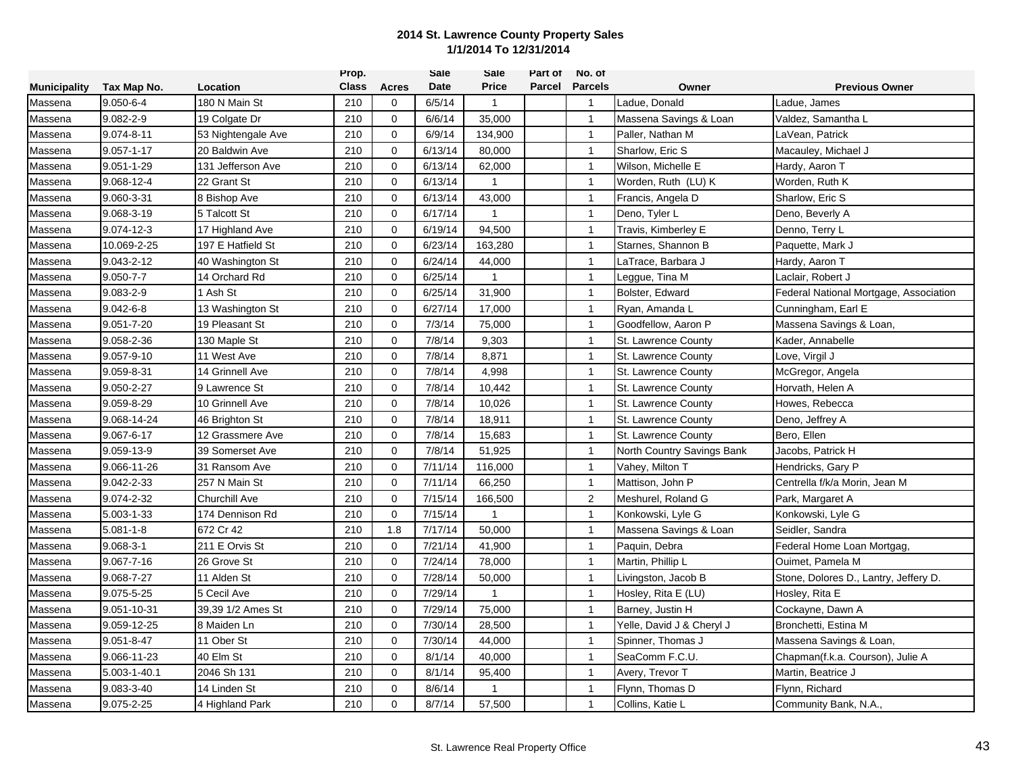|                     |                 |                      | Prop.        |              | Sale    | Sale         | Part of | No. of         |                            |                                        |
|---------------------|-----------------|----------------------|--------------|--------------|---------|--------------|---------|----------------|----------------------------|----------------------------------------|
| <b>Municipality</b> | Tax Map No.     | Location             | <b>Class</b> | Acres        | Date    | <b>Price</b> | Parcel  | <b>Parcels</b> | Owner                      | <b>Previous Owner</b>                  |
| Massena             | $9.050 - 6 - 4$ | 180 N Main St        | 210          | 0            | 6/5/14  | $\mathbf{1}$ |         | $\overline{1}$ | Ladue, Donald              | Ladue, James                           |
| Massena             | $9.082 - 2 - 9$ | 19 Colgate Dr        | 210          | $\mathbf{0}$ | 6/6/14  | 35,000       |         | $\mathbf{1}$   | Massena Savings & Loan     | Valdez, Samantha L                     |
| Massena             | 9.074-8-11      | 53 Nightengale Ave   | 210          | $\mathbf 0$  | 6/9/14  | 134,900      |         | $\mathbf{1}$   | Paller, Nathan M           | LaVean, Patrick                        |
| Massena             | 9.057-1-17      | 20 Baldwin Ave       | 210          | $\mathbf 0$  | 6/13/14 | 80,000       |         | $\mathbf{1}$   | Sharlow, Eric S            | Macauley, Michael J                    |
| Massena             | 9.051-1-29      | 131 Jefferson Ave    | 210          | $\mathbf 0$  | 6/13/14 | 62,000       |         | $\mathbf{1}$   | Wilson, Michelle E         | Hardy, Aaron T                         |
| Massena             | 9.068-12-4      | 22 Grant St          | 210          | $\mathbf 0$  | 6/13/14 | $\mathbf{1}$ |         | $\mathbf{1}$   | Worden, Ruth (LU) K        | Worden, Ruth K                         |
| Massena             | 9.060-3-31      | 8 Bishop Ave         | 210          | $\mathbf 0$  | 6/13/14 | 43,000       |         | $\overline{1}$ | Francis, Angela D          | Sharlow, Eric S                        |
| Massena             | 9.068-3-19      | 5 Talcott St         | 210          | $\mathbf 0$  | 6/17/14 | 1            |         | $\mathbf{1}$   | Deno, Tyler L              | Deno, Beverly A                        |
| Massena             | 9.074-12-3      | 17 Highland Ave      | 210          | $\Omega$     | 6/19/14 | 94,500       |         | $\overline{1}$ | Travis, Kimberley E        | Denno, Terry L                         |
| Massena             | 10.069-2-25     | 197 E Hatfield St    | 210          | $\mathbf 0$  | 6/23/14 | 163,280      |         | $\mathbf{1}$   | Starnes, Shannon B         | Paquette, Mark J                       |
| Massena             | 9.043-2-12      | 40 Washington St     | 210          | $\Omega$     | 6/24/14 | 44,000       |         | $\mathbf{1}$   | LaTrace, Barbara J         | Hardy, Aaron T                         |
| Massena             | $9.050 - 7 - 7$ | 14 Orchard Rd        | 210          | $\mathbf 0$  | 6/25/14 | 1            |         | $\mathbf{1}$   | Leggue, Tina M             | Laclair, Robert J                      |
| Massena             | $9.083 - 2 - 9$ | I Ash St             | 210          | $\mathbf 0$  | 6/25/14 | 31,900       |         | $\overline{1}$ | Bolster, Edward            | Federal National Mortgage, Association |
| Massena             | $9.042 - 6 - 8$ | 13 Washington St     | 210          | $\mathbf 0$  | 6/27/14 | 17,000       |         | $\mathbf{1}$   | Ryan, Amanda L             | Cunningham, Earl E                     |
| Massena             | 9.051-7-20      | 19 Pleasant St       | 210          | $\mathbf 0$  | 7/3/14  | 75,000       |         | $\overline{1}$ | Goodfellow, Aaron P        | Massena Savings & Loan,                |
| Massena             | 9.058-2-36      | 130 Maple St         | 210          | $\mathbf 0$  | 7/8/14  | 9,303        |         | $\overline{1}$ | St. Lawrence County        | Kader, Annabelle                       |
| Massena             | 9.057-9-10      | 11 West Ave          | 210          | $\mathbf 0$  | 7/8/14  | 8,871        |         | $\mathbf{1}$   | St. Lawrence County        | Love, Virgil J                         |
| Massena             | 9.059-8-31      | 14 Grinnell Ave      | 210          | $\mathbf 0$  | 7/8/14  | 4,998        |         | $\mathbf{1}$   | St. Lawrence County        | McGregor, Angela                       |
| Massena             | 9.050-2-27      | 9 Lawrence St        | 210          | $\mathbf 0$  | 7/8/14  | 10,442       |         | $\mathbf{1}$   | St. Lawrence County        | Horvath, Helen A                       |
| Massena             | 9.059-8-29      | 10 Grinnell Ave      | 210          | $\mathbf 0$  | 7/8/14  | 10,026       |         | $\overline{1}$ | St. Lawrence County        | Howes, Rebecca                         |
| Massena             | 9.068-14-24     | 46 Brighton St       | 210          | $\mathbf 0$  | 7/8/14  | 18,911       |         | $\mathbf{1}$   | St. Lawrence County        | Deno, Jeffrey A                        |
| Massena             | 9.067-6-17      | 12 Grassmere Ave     | 210          | $\mathbf 0$  | 7/8/14  | 15,683       |         | $\mathbf{1}$   | St. Lawrence County        | Bero, Ellen                            |
| Massena             | 9.059-13-9      | 39 Somerset Ave      | 210          | $\Omega$     | 7/8/14  | 51,925       |         | $\mathbf{1}$   | North Country Savings Bank | Jacobs, Patrick H                      |
| Massena             | 9.066-11-26     | 31 Ransom Ave        | 210          | $\Omega$     | 7/11/14 | 116,000      |         | $\mathbf{1}$   | Vahey, Milton T            | Hendricks, Gary P                      |
| Massena             | 9.042-2-33      | 257 N Main St        | 210          | $\mathbf 0$  | 7/11/14 | 66,250       |         | $\mathbf{1}$   | Mattison, John P           | Centrella f/k/a Morin, Jean M          |
| Massena             | 9.074-2-32      | <b>Churchill Ave</b> | 210          | $\mathbf{0}$ | 7/15/14 | 166,500      |         | $\sqrt{2}$     | Meshurel, Roland G         | Park, Margaret A                       |
| Massena             | 5.003-1-33      | 174 Dennison Rd      | 210          | $\mathbf 0$  | 7/15/14 | $\mathbf{1}$ |         | $\mathbf{1}$   | Konkowski, Lyle G          | Konkowski, Lyle G                      |
| Massena             | $5.081 - 1 - 8$ | 672 Cr 42            | 210          | 1.8          | 7/17/14 | 50,000       |         | $\overline{1}$ | Massena Savings & Loan     | Seidler, Sandra                        |
| Massena             | $9.068 - 3 - 1$ | 211 E Orvis St       | 210          | $\mathbf 0$  | 7/21/14 | 41,900       |         | $\overline{1}$ | Paquin, Debra              | Federal Home Loan Mortgag,             |
| Massena             | 9.067-7-16      | 26 Grove St          | 210          | $\mathbf 0$  | 7/24/14 | 78,000       |         | $\overline{1}$ | Martin, Phillip L          | Ouimet, Pamela M                       |
| Massena             | 9.068-7-27      | 11 Alden St          | 210          | $\mathbf 0$  | 7/28/14 | 50,000       |         | $\mathbf{1}$   | Livingston, Jacob B        | Stone, Dolores D., Lantry, Jeffery D.  |
| Massena             | 9.075-5-25      | 5 Cecil Ave          | 210          | $\mathbf 0$  | 7/29/14 | $\mathbf{1}$ |         | $\mathbf{1}$   | Hosley, Rita E (LU)        | Hosley, Rita E                         |
| Massena             | 9.051-10-31     | 39,39 1/2 Ames St    | 210          | $\mathbf 0$  | 7/29/14 | 75,000       |         | $\mathbf{1}$   | Barney, Justin H           | Cockayne, Dawn A                       |
| Massena             | 9.059-12-25     | 8 Maiden Ln          | 210          | $\mathbf 0$  | 7/30/14 | 28,500       |         | $\mathbf{1}$   | Yelle, David J & Cheryl J  | Bronchetti, Estina M                   |
| Massena             | 9.051-8-47      | 11 Ober St           | 210          | $\mathbf 0$  | 7/30/14 | 44,000       |         | $\mathbf{1}$   | Spinner, Thomas J          | Massena Savings & Loan,                |
| Massena             | 9.066-11-23     | 40 Elm St            | 210          | $\mathbf 0$  | 8/1/14  | 40,000       |         | $\mathbf{1}$   | SeaComm F.C.U.             | Chapman(f.k.a. Courson), Julie A       |
| Massena             | 5.003-1-40.1    | 2046 Sh 131          | 210          | $\mathbf 0$  | 8/1/14  | 95,400       |         | $\mathbf{1}$   | Avery, Trevor T            | Martin, Beatrice J                     |
| Massena             | 9.083-3-40      | 14 Linden St         | 210          | $\mathbf 0$  | 8/6/14  | 1            |         | $\mathbf{1}$   | Flynn, Thomas D            | Flynn, Richard                         |
| Massena             | 9.075-2-25      | 4 Highland Park      | 210          | $\Omega$     | 8/7/14  | 57,500       |         | $\overline{1}$ | Collins, Katie L           | Community Bank, N.A.,                  |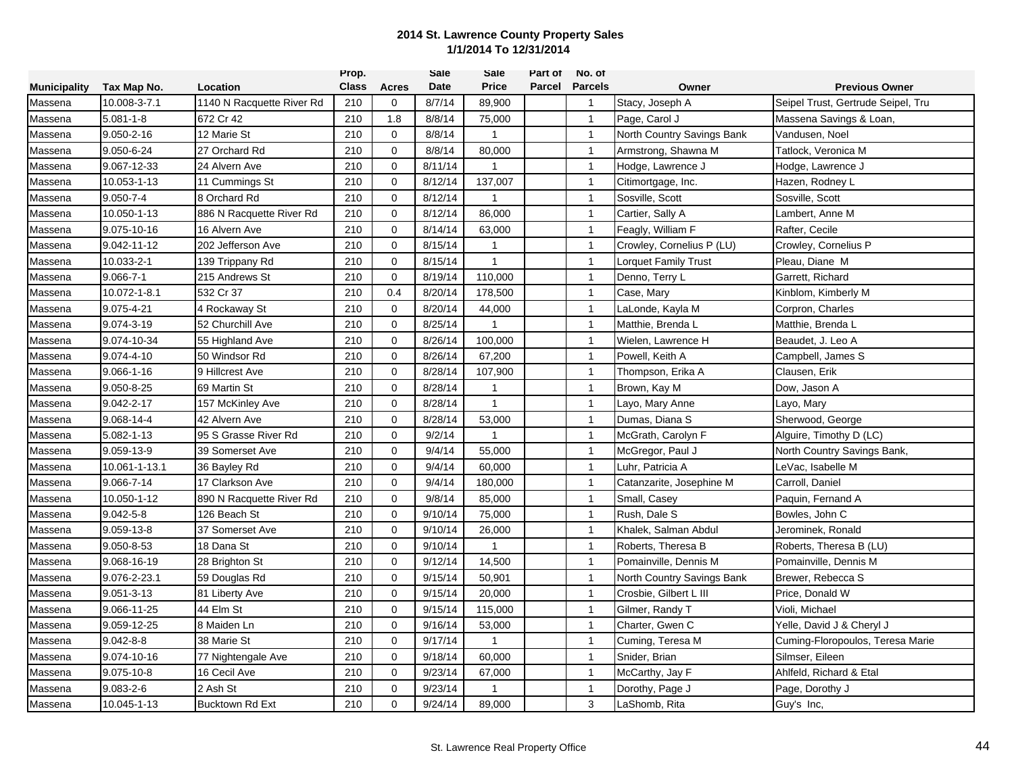|                     |                 |                           | Prop.        |              | Sale        | Sale           | Part of | No. of         |                            |                                    |
|---------------------|-----------------|---------------------------|--------------|--------------|-------------|----------------|---------|----------------|----------------------------|------------------------------------|
| <b>Municipality</b> | Tax Map No.     | Location                  | <b>Class</b> | <b>Acres</b> | <b>Date</b> | <b>Price</b>   | Parcel  | <b>Parcels</b> | Owner                      | <b>Previous Owner</b>              |
| Massena             | 10.008-3-7.1    | 1140 N Racquette River Rd | 210          | $\mathbf 0$  | 8/7/14      | 89,900         |         | $\overline{1}$ | Stacy, Joseph A            | Seipel Trust, Gertrude Seipel, Tru |
| Massena             | $5.081 - 1 - 8$ | 672 Cr 42                 | 210          | 1.8          | 8/8/14      | 75,000         |         | $\overline{1}$ | Page, Carol J              | Massena Savings & Loan,            |
| Massena             | 9.050-2-16      | 12 Marie St               | 210          | $\mathbf 0$  | 8/8/14      | $\mathbf{1}$   |         | $\overline{1}$ | North Country Savings Bank | Vandusen, Noel                     |
| Massena             | 9.050-6-24      | 27 Orchard Rd             | 210          | $\mathbf 0$  | 8/8/14      | 80,000         |         | $\overline{1}$ | Armstrong, Shawna M        | Tatlock, Veronica M                |
| Massena             | 9.067-12-33     | 24 Alvern Ave             | 210          | $\mathbf 0$  | 8/11/14     | 1              |         | $\overline{1}$ | Hodge, Lawrence J          | Hodge, Lawrence J                  |
| Massena             | 10.053-1-13     | 11 Cummings St            | 210          | $\Omega$     | 8/12/14     | 137,007        |         | $\overline{1}$ | Citimortgage, Inc.         | Hazen, Rodney L                    |
| Massena             | $9.050 - 7 - 4$ | 8 Orchard Rd              | 210          | $\mathbf 0$  | 8/12/14     |                |         | $\overline{1}$ | Sosville, Scott            | Sosville, Scott                    |
| Massena             | 10.050-1-13     | 886 N Racquette River Rd  | 210          | $\mathbf 0$  | 8/12/14     | 86,000         |         | $\overline{1}$ | Cartier, Sally A           | Lambert, Anne M                    |
| Massena             | 9.075-10-16     | 16 Alvern Ave             | 210          | $\mathbf 0$  | 8/14/14     | 63,000         |         | $\overline{1}$ | Feagly, William F          | Rafter, Cecile                     |
| Massena             | 9.042-11-12     | 202 Jefferson Ave         | 210          | $\Omega$     | 8/15/14     | 1              |         | $\overline{1}$ | Crowley, Cornelius P (LU)  | Crowley, Cornelius P               |
| Massena             | 10.033-2-1      | 139 Trippany Rd           | 210          | $\mathbf 0$  | 8/15/14     | 1              |         | $\overline{1}$ | Lorquet Family Trust       | Pleau, Diane M                     |
| Massena             | $9.066 - 7 - 1$ | 215 Andrews St            | 210          | $\Omega$     | 8/19/14     | 110,000        |         | $\mathbf{1}$   | Denno, Terry L             | Garrett, Richard                   |
| Massena             | 10.072-1-8.1    | 532 Cr 37                 | 210          | 0.4          | 8/20/14     | 178,500        |         | $\overline{1}$ | Case, Mary                 | Kinblom, Kimberly M                |
| Massena             | 9.075-4-21      | 4 Rockaway St             | 210          | $\mathbf 0$  | 8/20/14     | 44,000         |         | $\mathbf{1}$   | LaLonde, Kayla M           | Corpron, Charles                   |
| Massena             | 9.074-3-19      | 52 Churchill Ave          | 210          | $\mathbf 0$  | 8/25/14     |                |         | $\overline{1}$ | Matthie, Brenda L          | Matthie, Brenda L                  |
| Massena             | 9.074-10-34     | 55 Highland Ave           | 210          | $\mathbf 0$  | 8/26/14     | 100,000        |         | $\overline{1}$ | Wielen, Lawrence H         | Beaudet, J. Leo A                  |
| Massena             | 9.074-4-10      | 50 Windsor Rd             | 210          | $\mathbf 0$  | 8/26/14     | 67,200         |         | $\overline{1}$ | Powell. Keith A            | Campbell, James S                  |
| Massena             | 9.066-1-16      | 9 Hillcrest Ave           | 210          | $\mathbf 0$  | 8/28/14     | 107,900        |         | $\overline{1}$ | Thompson, Erika A          | Clausen, Erik                      |
| Massena             | 9.050-8-25      | 69 Martin St              | 210          | $\mathbf 0$  | 8/28/14     | 1              |         | $\overline{1}$ | Brown, Kay M               | Dow, Jason A                       |
| Massena             | 9.042-2-17      | 157 McKinley Ave          | 210          | $\mathbf 0$  | 8/28/14     | $\mathbf{1}$   |         | $\overline{1}$ | Layo, Mary Anne            | Layo, Mary                         |
| Massena             | 9.068-14-4      | 42 Alvern Ave             | 210          | $\mathbf{0}$ | 8/28/14     | 53,000         |         | $\overline{1}$ | Dumas, Diana S             | Sherwood, George                   |
| Massena             | 5.082-1-13      | 95 S Grasse River Rd      | 210          | $\mathbf 0$  | 9/2/14      | $\mathbf{1}$   |         | $\overline{1}$ | McGrath, Carolyn F         | Alguire, Timothy D (LC)            |
| Massena             | 9.059-13-9      | 39 Somerset Ave           | 210          | $\mathbf 0$  | 9/4/14      | 55,000         |         | $\overline{1}$ | McGregor, Paul J           | North Country Savings Bank,        |
| Massena             | 10.061-1-13.1   | 36 Bayley Rd              | 210          | $\mathbf 0$  | 9/4/14      | 60,000         |         | $\overline{1}$ | Luhr, Patricia A           | LeVac, Isabelle M                  |
| Massena             | 9.066-7-14      | 17 Clarkson Ave           | 210          | $\mathbf 0$  | 9/4/14      | 180,000        |         | $\overline{1}$ | Catanzarite, Josephine M   | Carroll, Daniel                    |
| Massena             | 10.050-1-12     | 890 N Racquette River Rd  | 210          | 0            | 9/8/14      | 85,000         |         | $\overline{1}$ | Small, Casey               | Paquin, Fernand A                  |
| Massena             | $9.042 - 5 - 8$ | 126 Beach St              | 210          | $\mathbf{0}$ | 9/10/14     | 75,000         |         | $\mathbf{1}$   | Rush, Dale S               | Bowles, John C                     |
| Massena             | 9.059-13-8      | 37 Somerset Ave           | 210          | $\mathbf 0$  | 9/10/14     | 26,000         |         | $\overline{1}$ | Khalek, Salman Abdul       | Jerominek, Ronald                  |
| Massena             | 9.050-8-53      | 18 Dana St                | 210          | $\mathbf 0$  | 9/10/14     | $\mathbf{1}$   |         | $\mathbf{1}$   | Roberts, Theresa B         | Roberts, Theresa B (LU)            |
| Massena             | 9.068-16-19     | 28 Brighton St            | 210          | $\mathbf 0$  | 9/12/14     | 14,500         |         | $\overline{1}$ | Pomainville, Dennis M      | Pomainville, Dennis M              |
| Massena             | 9.076-2-23.1    | 59 Douglas Rd             | 210          | $\mathbf 0$  | 9/15/14     | 50,901         |         | $\mathbf{1}$   | North Country Savings Bank | Brewer, Rebecca S                  |
| Massena             | 9.051-3-13      | 81 Liberty Ave            | 210          | $\mathbf 0$  | 9/15/14     | 20,000         |         | $\overline{1}$ | Crosbie, Gilbert L III     | Price, Donald W                    |
| Massena             | 9.066-11-25     | 44 Elm St                 | 210          | $\mathbf 0$  | 9/15/14     | 115,000        |         | $\mathbf{1}$   | Gilmer, Randy T            | Violi, Michael                     |
| Massena             | 9.059-12-25     | 8 Maiden Ln               | 210          | $\mathbf 0$  | 9/16/14     | 53,000         |         | $\overline{1}$ | Charter, Gwen C            | Yelle, David J & Cheryl J          |
| Massena             | 9.042-8-8       | 38 Marie St               | 210          | $\Omega$     | 9/17/14     | $\overline{1}$ |         | $\mathbf{1}$   | Cuming, Teresa M           | Cuming-Floropoulos, Teresa Marie   |
| Massena             | 9.074-10-16     | 77 Nightengale Ave        | 210          | $\mathbf 0$  | 9/18/14     | 60,000         |         | $\overline{1}$ | Snider, Brian              | Silmser, Eileen                    |
| Massena             | 9.075-10-8      | 16 Cecil Ave              | 210          | $\mathbf 0$  | 9/23/14     | 67,000         |         | $\mathbf{1}$   | McCarthy, Jay F            | Ahlfeld, Richard & Etal            |
| Massena             | $9.083 - 2 - 6$ | 2 Ash St                  | 210          | $\mathbf 0$  | 9/23/14     | 1              |         | $\overline{1}$ | Dorothy, Page J            | Page, Dorothy J                    |
| Massena             | 10.045-1-13     | <b>Bucktown Rd Ext</b>    | 210          | $\Omega$     | 9/24/14     | 89,000         |         | 3              | LaShomb, Rita              | Guy's Inc,                         |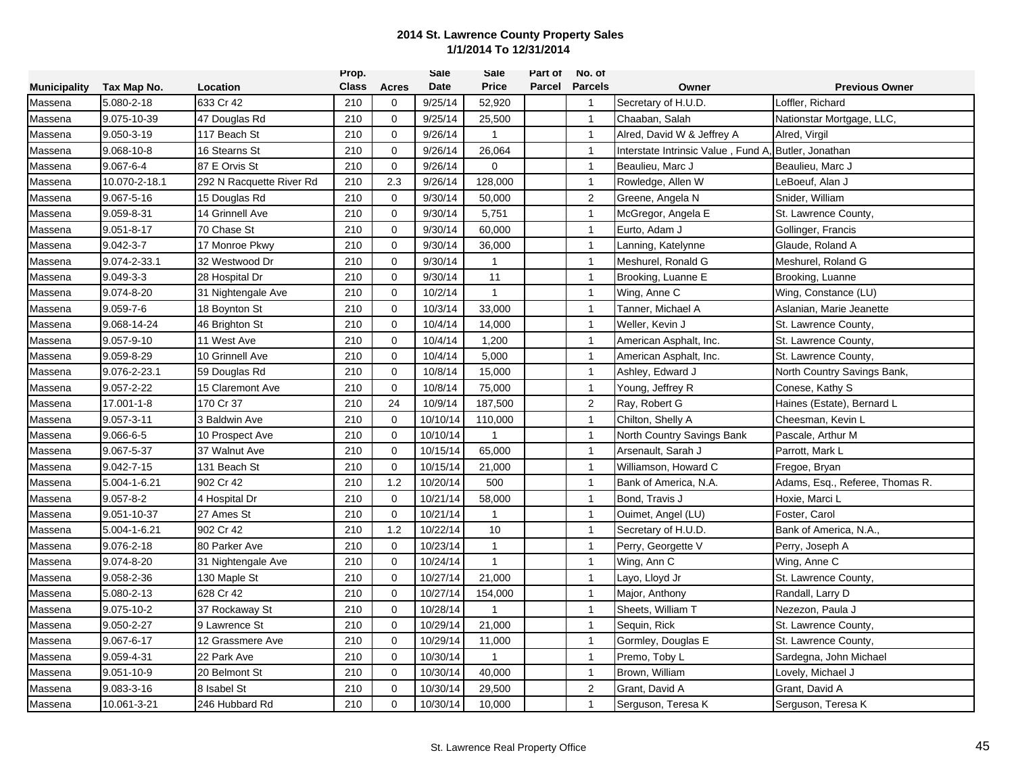|                     |                 |                          | Prop.        |              | Sale     | Sale           | Part of | No. of         |                                    |                                 |
|---------------------|-----------------|--------------------------|--------------|--------------|----------|----------------|---------|----------------|------------------------------------|---------------------------------|
| <b>Municipality</b> | Tax Map No.     | Location                 | <b>Class</b> | Acres        | Date     | <b>Price</b>   | Parcel  | <b>Parcels</b> | Owner                              | <b>Previous Owner</b>           |
| Massena             | 5.080-2-18      | 633 Cr 42                | 210          | 0            | 9/25/14  | 52,920         |         | $\overline{1}$ | Secretary of H.U.D.                | Loffler, Richard                |
| Massena             | 9.075-10-39     | 47 Douglas Rd            | 210          | $\mathbf{0}$ | 9/25/14  | 25,500         |         | $\mathbf{1}$   | Chaaban, Salah                     | Nationstar Mortgage, LLC        |
| Massena             | 9.050-3-19      | 117 Beach St             | 210          | $\mathbf 0$  | 9/26/14  | $\mathbf{1}$   |         | $\mathbf{1}$   | Alred, David W & Jeffrey A         | Alred, Virgil                   |
| Massena             | 9.068-10-8      | 16 Stearns St            | 210          | $\mathbf 0$  | 9/26/14  | 26,064         |         | $\mathbf{1}$   | Interstate Intrinsic Value, Fund A | Butler, Jonathan                |
| Massena             | $9.067 - 6 - 4$ | 87 E Orvis St            | 210          | $\mathbf 0$  | 9/26/14  | 0              |         | $\mathbf{1}$   | Beaulieu, Marc J                   | Beaulieu, Marc J                |
| Massena             | 10.070-2-18.1   | 292 N Racquette River Rd | 210          | 2.3          | 9/26/14  | 128,000        |         | $\mathbf{1}$   | Rowledge, Allen W                  | LeBoeuf, Alan J                 |
| Massena             | 9.067-5-16      | 15 Douglas Rd            | 210          | $\mathbf 0$  | 9/30/14  | 50,000         |         | $\overline{c}$ | Greene, Angela N                   | Snider, William                 |
| Massena             | 9.059-8-31      | 14 Grinnell Ave          | 210          | $\mathbf 0$  | 9/30/14  | 5,751          |         | $\mathbf{1}$   | McGregor, Angela E                 | St. Lawrence County,            |
| Massena             | 9.051-8-17      | 70 Chase St              | 210          | $\Omega$     | 9/30/14  | 60,000         |         | $\overline{1}$ | Eurto, Adam J                      | Gollinger, Francis              |
| Massena             | $9.042 - 3 - 7$ | 17 Monroe Pkwy           | 210          | $\mathbf 0$  | 9/30/14  | 36,000         |         | $\mathbf{1}$   | Lanning, Katelynne                 | Glaude, Roland A                |
| Massena             | 9.074-2-33.1    | 32 Westwood Dr           | 210          | $\Omega$     | 9/30/14  | 1              |         | $\mathbf{1}$   | Meshurel, Ronald G                 | Meshurel, Roland G              |
| Massena             | $9.049 - 3 - 3$ | 28 Hospital Dr           | 210          | $\mathbf 0$  | 9/30/14  | 11             |         | $\mathbf{1}$   | Brooking, Luanne E                 | Brooking, Luanne                |
| Massena             | 9.074-8-20      | 31 Nightengale Ave       | 210          | $\mathbf{0}$ | 10/2/14  | $\mathbf{1}$   |         | $\overline{1}$ | Wing, Anne C                       | Wing, Constance (LU)            |
| Massena             | $9.059 - 7 - 6$ | 18 Boynton St            | 210          | $\mathbf 0$  | 10/3/14  | 33,000         |         | $\mathbf{1}$   | Tanner, Michael A                  | Aslanian, Marie Jeanette        |
| Massena             | 9.068-14-24     | 46 Brighton St           | 210          | $\mathbf 0$  | 10/4/14  | 14,000         |         | $\overline{1}$ | Weller, Kevin J                    | St. Lawrence County,            |
| Massena             | 9.057-9-10      | 11 West Ave              | 210          | $\mathbf 0$  | 10/4/14  | 1,200          |         | $\overline{1}$ | American Asphalt, Inc.             | St. Lawrence County,            |
| Massena             | 9.059-8-29      | 10 Grinnell Ave          | 210          | $\mathbf 0$  | 10/4/14  | 5,000          |         | $\mathbf{1}$   | American Asphalt, Inc.             | St. Lawrence County,            |
| Massena             | 9.076-2-23.1    | 59 Douglas Rd            | 210          | $\mathbf 0$  | 10/8/14  | 15,000         |         | $\mathbf{1}$   | Ashley, Edward J                   | North Country Savings Bank,     |
| Massena             | 9.057-2-22      | 15 Claremont Ave         | 210          | $\mathbf 0$  | 10/8/14  | 75,000         |         | $\mathbf{1}$   | Young, Jeffrey R                   | Conese, Kathy S                 |
| Massena             | 17.001-1-8      | 170 Cr 37                | 210          | 24           | 10/9/14  | 187,500        |         | $\overline{c}$ | Ray, Robert G                      | Haines (Estate), Bernard L      |
| Massena             | 9.057-3-11      | 3 Baldwin Ave            | 210          | $\mathbf 0$  | 10/10/14 | 110,000        |         | $\mathbf{1}$   | Chilton, Shelly A                  | Cheesman, Kevin L               |
| Massena             | $9.066 - 6 - 5$ | 10 Prospect Ave          | 210          | $\mathbf 0$  | 10/10/14 | $\mathbf{1}$   |         | $\mathbf{1}$   | North Country Savings Bank         | Pascale, Arthur M               |
| Massena             | 9.067-5-37      | 37 Walnut Ave            | 210          | $\mathbf 0$  | 10/15/14 | 65,000         |         | $\mathbf{1}$   | Arsenault, Sarah J                 | Parrott, Mark L                 |
| Massena             | 9.042-7-15      | 131 Beach St             | 210          | 0            | 10/15/14 | 21,000         |         | $\mathbf{1}$   | Williamson, Howard C               | Fregoe, Bryan                   |
| Massena             | 5.004-1-6.21    | 902 Cr 42                | 210          | 1.2          | 10/20/14 | 500            |         | $\mathbf{1}$   | Bank of America, N.A.              | Adams, Esq., Referee, Thomas R. |
| Massena             | $9.057 - 8 - 2$ | 4 Hospital Dr            | 210          | $\mathbf{0}$ | 10/21/14 | 58,000         |         | $\overline{1}$ | Bond, Travis J                     | Hoxie, Marci L                  |
| Massena             | 9.051-10-37     | 27 Ames St               | 210          | $\mathbf 0$  | 10/21/14 | 1              |         | $\mathbf{1}$   | Ouimet, Angel (LU)                 | Foster, Carol                   |
| Massena             | 5.004-1-6.21    | 902 Cr 42                | 210          | 1.2          | 10/22/14 | 10             |         | $\overline{1}$ | Secretary of H.U.D.                | Bank of America, N.A.,          |
| Massena             | 9.076-2-18      | 80 Parker Ave            | 210          | $\mathbf 0$  | 10/23/14 | $\mathbf{1}$   |         | $\overline{1}$ | Perry, Georgette V                 | Perry, Joseph A                 |
| Massena             | 9.074-8-20      | 31 Nightengale Ave       | 210          | $\mathbf 0$  | 10/24/14 | 1              |         | $\overline{1}$ | Wing, Ann C                        | Wing, Anne C                    |
| Massena             | 9.058-2-36      | 130 Maple St             | 210          | $\mathbf 0$  | 10/27/14 | 21,000         |         | $\mathbf{1}$   | Layo, Lloyd Jr                     | St. Lawrence County,            |
| Massena             | 5.080-2-13      | 628 Cr 42                | 210          | $\mathbf 0$  | 10/27/14 | 154,000        |         | $\mathbf{1}$   | Major, Anthony                     | Randall, Larry D                |
| Massena             | 9.075-10-2      | 37 Rockaway St           | 210          | $\mathbf 0$  | 10/28/14 | $\mathbf 1$    |         | $\mathbf{1}$   | Sheets, William T                  | Nezezon, Paula J                |
| Massena             | 9.050-2-27      | 9 Lawrence St            | 210          | $\mathbf 0$  | 10/29/14 | 21,000         |         | $\mathbf{1}$   | Sequin, Rick                       | St. Lawrence County,            |
| Massena             | 9.067-6-17      | 12 Grassmere Ave         | 210          | $\mathbf 0$  | 10/29/14 | 11,000         |         | $\mathbf{1}$   | Gormley, Douglas E                 | St. Lawrence County,            |
| Massena             | 9.059-4-31      | 22 Park Ave              | 210          | $\mathbf 0$  | 10/30/14 | $\overline{1}$ |         | $\mathbf{1}$   | Premo, Toby L                      | Sardegna, John Michael          |
| Massena             | 9.051-10-9      | 20 Belmont St            | 210          | $\mathbf 0$  | 10/30/14 | 40,000         |         | $\mathbf{1}$   | Brown, William                     | Lovely, Michael J               |
| Massena             | 9.083-3-16      | 8 Isabel St              | 210          | $\mathbf 0$  | 10/30/14 | 29,500         |         | 2              | Grant, David A                     | Grant, David A                  |
| Massena             | 10.061-3-21     | 246 Hubbard Rd           | 210          | $\Omega$     | 10/30/14 | 10,000         |         | $\overline{1}$ | Serguson, Teresa K                 | Serguson, Teresa K              |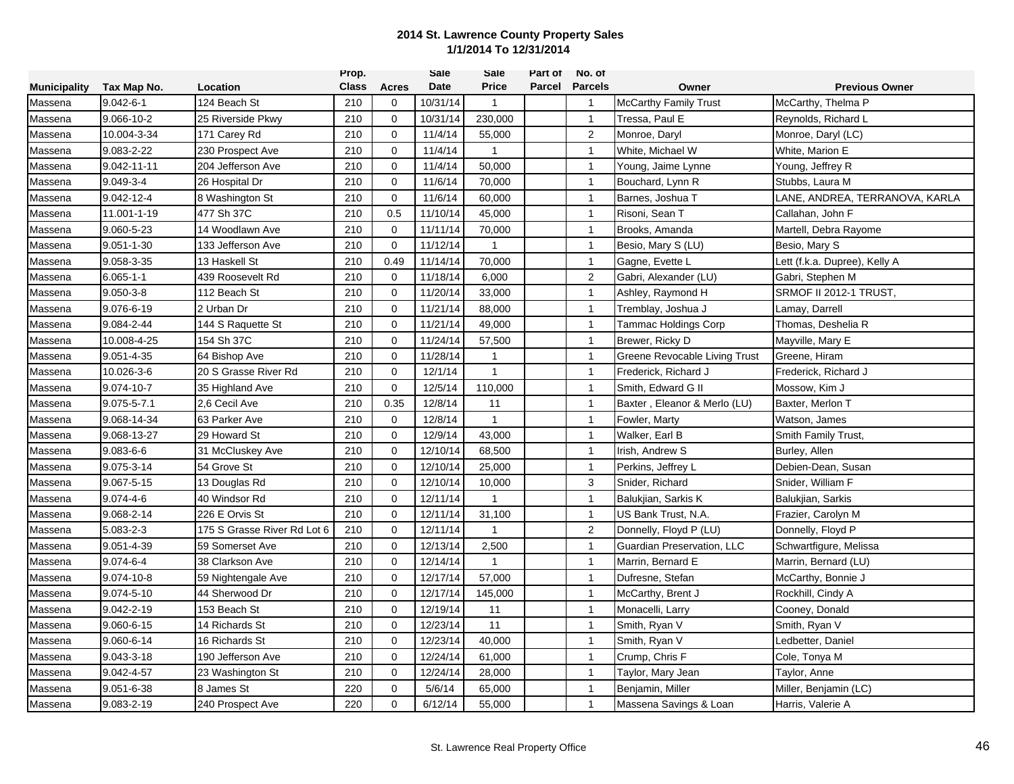|                     |                  |                             | Prop.        |              | <b>Sale</b> | Sale         | Part of | No. of         |                               |                                |
|---------------------|------------------|-----------------------------|--------------|--------------|-------------|--------------|---------|----------------|-------------------------------|--------------------------------|
| <b>Municipality</b> | Tax Map No.      | Location                    | <b>Class</b> | Acres        | Date        | <b>Price</b> | Parcel  | <b>Parcels</b> | Owner                         | <b>Previous Owner</b>          |
| Massena             | $9.042 - 6 - 1$  | 124 Beach St                | 210          | 0            | 10/31/14    | $\mathbf{1}$ |         | $\overline{1}$ | <b>McCarthy Family Trust</b>  | McCarthy, Thelma P             |
| Massena             | 9.066-10-2       | 25 Riverside Pkwy           | 210          | $\mathbf{0}$ | 10/31/14    | 230,000      |         | $\mathbf{1}$   | Tressa, Paul E                | Reynolds, Richard L            |
| Massena             | 10.004-3-34      | 171 Carey Rd                | 210          | $\mathbf 0$  | 11/4/14     | 55,000       |         | $\overline{2}$ | Monroe, Daryl                 | Monroe, Daryl (LC)             |
| Massena             | 9.083-2-22       | 230 Prospect Ave            | 210          | $\mathbf 0$  | 11/4/14     | $\mathbf{1}$ |         | $\mathbf{1}$   | White, Michael W              | White, Marion E                |
| Massena             | 9.042-11-11      | 204 Jefferson Ave           | 210          | $\mathbf 0$  | 11/4/14     | 50,000       |         | $\mathbf{1}$   | Young, Jaime Lynne            | Young, Jeffrey R               |
| Massena             | $9.049 - 3 - 4$  | 26 Hospital Dr              | 210          | $\mathbf 0$  | 11/6/14     | 70,000       |         | $\mathbf{1}$   | Bouchard, Lynn R              | Stubbs, Laura M                |
| Massena             | 9.042-12-4       | 8 Washington St             | 210          | $\mathbf 0$  | 11/6/14     | 60,000       |         | $\overline{1}$ | Barnes, Joshua T              | LANE, ANDREA, TERRANOVA, KARLA |
| Massena             | 11.001-1-19      | 477 Sh 37C                  | 210          | 0.5          | 11/10/14    | 45,000       |         | $\mathbf{1}$   | Risoni, Sean T                | Callahan, John F               |
| Massena             | 9.060-5-23       | 14 Woodlawn Ave             | 210          | $\Omega$     | 11/11/14    | 70,000       |         | $\overline{1}$ | Brooks, Amanda                | Martell, Debra Rayome          |
| Massena             | $9.051 - 1 - 30$ | 133 Jefferson Ave           | 210          | $\mathbf 0$  | 11/12/14    | $\mathbf{1}$ |         | $\mathbf{1}$   | Besio, Mary S (LU)            | Besio, Mary S                  |
| Massena             | 9.058-3-35       | 13 Haskell St               | 210          | 0.49         | 11/14/14    | 70,000       |         | $\mathbf{1}$   | Gagne, Evette L               | Lett (f.k.a. Dupree), Kelly A  |
| Massena             | $6.065 - 1 - 1$  | 439 Roosevelt Rd            | 210          | $\mathbf 0$  | 11/18/14    | 6,000        |         | $\overline{2}$ | Gabri, Alexander (LU)         | Gabri, Stephen M               |
| Massena             | $9.050 - 3 - 8$  | 112 Beach St                | 210          | $\mathbf 0$  | 11/20/14    | 33,000       |         | $\overline{1}$ | Ashley, Raymond H             | SRMOF II 2012-1 TRUST,         |
| Massena             | 9.076-6-19       | 2 Urban Dr                  | 210          | $\mathbf 0$  | 11/21/14    | 88,000       |         | $\mathbf{1}$   | Tremblay, Joshua J            | Lamay, Darrell                 |
| Massena             | 9.084-2-44       | 144 S Raquette St           | 210          | $\mathbf 0$  | 11/21/14    | 49,000       |         | $\overline{1}$ | Tammac Holdings Corp          | Thomas, Deshelia R             |
| Massena             | 10.008-4-25      | 154 Sh 37C                  | 210          | $\mathbf 0$  | 11/24/14    | 57,500       |         | $\overline{1}$ | Brewer, Ricky D               | Mayville, Mary E               |
| Massena             | 9.051-4-35       | 64 Bishop Ave               | 210          | $\mathbf 0$  | 11/28/14    | 1            |         | $\mathbf{1}$   | Greene Revocable Living Trust | Greene, Hiram                  |
| Massena             | 10.026-3-6       | 20 S Grasse River Rd        | 210          | $\mathbf 0$  | 12/1/14     | $\mathbf{1}$ |         | $\mathbf{1}$   | Frederick, Richard J          | Frederick, Richard J           |
| Massena             | 9.074-10-7       | 35 Highland Ave             | 210          | $\mathbf 0$  | 12/5/14     | 110,000      |         | $\mathbf{1}$   | Smith, Edward G II            | Mossow, Kim J                  |
| Massena             | 9.075-5-7.1      | 2,6 Cecil Ave               | 210          | 0.35         | 12/8/14     | 11           |         | $\overline{1}$ | Baxter, Eleanor & Merlo (LU)  | Baxter, Merlon T               |
| Massena             | 9.068-14-34      | 63 Parker Ave               | 210          | $\mathbf 0$  | 12/8/14     | $\mathbf{1}$ |         | $\mathbf{1}$   | Fowler, Marty                 | Watson, James                  |
| Massena             | 9.068-13-27      | 29 Howard St                | 210          | $\mathbf 0$  | 12/9/14     | 43,000       |         | $\mathbf{1}$   | Walker, Earl B                | Smith Family Trust,            |
| Massena             | $9.083 - 6 - 6$  | 31 McCluskey Ave            | 210          | $\mathbf 0$  | 12/10/14    | 68,500       |         | $\mathbf{1}$   | Irish, Andrew S               | Burley, Allen                  |
| Massena             | 9.075-3-14       | 54 Grove St                 | 210          | $\Omega$     | 12/10/14    | 25,000       |         | $\mathbf{1}$   | Perkins, Jeffrey L            | Debien-Dean, Susan             |
| Massena             | 9.067-5-15       | 13 Douglas Rd               | 210          | $\mathbf 0$  | 12/10/14    | 10,000       |         | 3              | Snider, Richard               | Snider, William F              |
| Massena             | $9.074 - 4 - 6$  | 40 Windsor Rd               | 210          | $\mathbf{0}$ | 12/11/14    | 1            |         | $\overline{1}$ | Balukjian, Sarkis K           | Balukjian, Sarkis              |
| Massena             | 9.068-2-14       | 226 E Orvis St              | 210          | $\mathbf 0$  | 12/11/14    | 31,100       |         | $\mathbf{1}$   | US Bank Trust, N.A.           | Frazier, Carolyn M             |
| Massena             | 5.083-2-3        | 175 S Grasse River Rd Lot 6 | 210          | $\mathbf 0$  | 12/11/14    | $\mathbf{1}$ |         | 2              | Donnelly, Floyd P (LU)        | Donnelly, Floyd P              |
| Massena             | 9.051-4-39       | 59 Somerset Ave             | 210          | $\mathbf 0$  | 12/13/14    | 2,500        |         | $\mathbf{1}$   | Guardian Preservation, LLC    | Schwartfigure, Melissa         |
| Massena             | $9.074 - 6 - 4$  | 38 Clarkson Ave             | 210          | $\mathbf 0$  | 12/14/14    | 1            |         | $\overline{1}$ | Marrin, Bernard E             | Marrin, Bernard (LU)           |
| Massena             | 9.074-10-8       | 59 Nightengale Ave          | 210          | $\mathbf 0$  | 12/17/14    | 57,000       |         | $\mathbf{1}$   | Dufresne, Stefan              | McCarthy, Bonnie J             |
| Massena             | 9.074-5-10       | 44 Sherwood Dr              | 210          | $\mathbf 0$  | 12/17/14    | 145,000      |         | $\mathbf{1}$   | McCarthy, Brent J             | Rockhill, Cindy A              |
| Massena             | 9.042-2-19       | 153 Beach St                | 210          | $\mathbf 0$  | 12/19/14    | 11           |         | $\mathbf{1}$   | Monacelli, Larry              | Cooney, Donald                 |
| Massena             | 9.060-6-15       | 14 Richards St              | 210          | $\mathbf 0$  | 12/23/14    | 11           |         | $\mathbf{1}$   | Smith, Ryan V                 | Smith, Ryan V                  |
| Massena             | 9.060-6-14       | 16 Richards St              | 210          | $\mathbf 0$  | 12/23/14    | 40,000       |         | $\mathbf{1}$   | Smith, Ryan V                 | Ledbetter, Daniel              |
| Massena             | 9.043-3-18       | 190 Jefferson Ave           | 210          | $\mathbf 0$  | 12/24/14    | 61,000       |         | $\mathbf{1}$   | Crump, Chris F                | Cole, Tonya M                  |
| Massena             | 9.042-4-57       | 23 Washington St            | 210          | $\mathbf 0$  | 12/24/14    | 28,000       |         | $\mathbf{1}$   | Taylor, Mary Jean             | Taylor, Anne                   |
| Massena             | 9.051-6-38       | 8 James St                  | 220          | $\mathbf 0$  | 5/6/14      | 65,000       |         | $\mathbf{1}$   | Benjamin, Miller              | Miller, Benjamin (LC)          |
| Massena             | 9.083-2-19       | 240 Prospect Ave            | 220          | $\Omega$     | 6/12/14     | 55,000       |         | $\overline{1}$ | Massena Savings & Loan        | Harris, Valerie A              |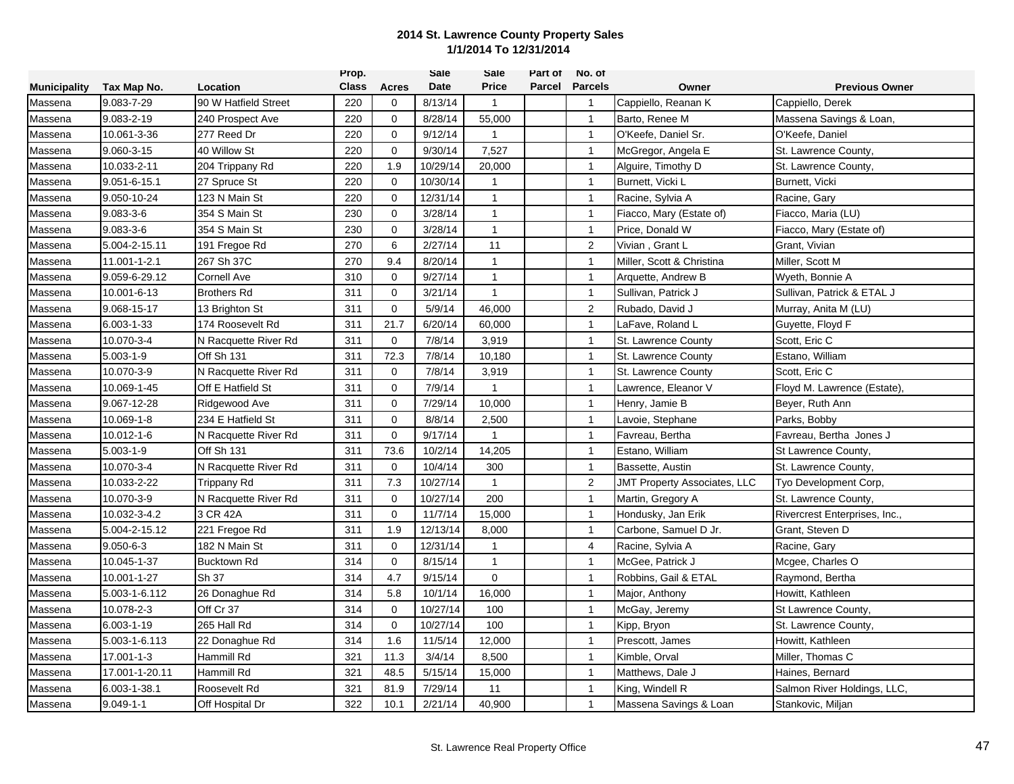|                     |                 |                      | Prop.        |             | Sale     | Sale           | Part of | No. of         |                                     |                               |
|---------------------|-----------------|----------------------|--------------|-------------|----------|----------------|---------|----------------|-------------------------------------|-------------------------------|
| <b>Municipality</b> | Tax Map No.     | Location             | <b>Class</b> | Acres       | Date     | <b>Price</b>   | Parcel  | <b>Parcels</b> | Owner                               | <b>Previous Owner</b>         |
| Massena             | 9.083-7-29      | 90 W Hatfield Street | 220          | 0           | 8/13/14  | $\mathbf{1}$   |         | $\overline{1}$ | Cappiello, Reanan K                 | Cappiello, Derek              |
| Massena             | 9.083-2-19      | 240 Prospect Ave     | 220          | $\mathbf 0$ | 8/28/14  | 55,000         |         | $\mathbf{1}$   | Barto, Renee M                      | Massena Savings & Loan,       |
| Massena             | 10.061-3-36     | 277 Reed Dr          | 220          | 0           | 9/12/14  | $\mathbf{1}$   |         | $\mathbf{1}$   | O'Keefe, Daniel Sr.                 | O'Keefe, Daniel               |
| Massena             | 9.060-3-15      | 40 Willow St         | 220          | $\mathbf 0$ | 9/30/14  | 7,527          |         | $\mathbf{1}$   | McGregor, Angela E                  | St. Lawrence County,          |
| Massena             | 10.033-2-11     | 204 Trippany Rd      | 220          | 1.9         | 10/29/14 | 20,000         |         | $\mathbf{1}$   | Alguire, Timothy D                  | St. Lawrence County,          |
| Massena             | 9.051-6-15.1    | 27 Spruce St         | 220          | $\Omega$    | 10/30/14 | 1              |         | $\mathbf{1}$   | Burnett, Vicki L                    | Burnett, Vicki                |
| Massena             | 9.050-10-24     | 123 N Main St        | 220          | $\mathbf 0$ | 12/31/14 | $\mathbf{1}$   |         | $\mathbf{1}$   | Racine, Sylvia A                    | Racine, Gary                  |
| Massena             | $9.083 - 3 - 6$ | 354 S Main St        | 230          | $\mathbf 0$ | 3/28/14  | $\mathbf{1}$   |         | $\mathbf{1}$   | Fiacco, Mary (Estate of)            | Fiacco, Maria (LU)            |
| Massena             | $9.083 - 3 - 6$ | 354 S Main St        | 230          | $\Omega$    | 3/28/14  | $\mathbf{1}$   |         | $\mathbf{1}$   | Price, Donald W                     | Fiacco, Mary (Estate of)      |
| Massena             | 5.004-2-15.11   | 191 Fregoe Rd        | 270          | 6           | 2/27/14  | 11             |         | $\overline{2}$ | Vivian, Grant L                     | Grant, Vivian                 |
| Massena             | 11.001-1-2.1    | 267 Sh 37C           | 270          | 9.4         | 8/20/14  | $\mathbf{1}$   |         | $\mathbf{1}$   | Miller, Scott & Christina           | Miller, Scott M               |
| Massena             | 9.059-6-29.12   | <b>Cornell Ave</b>   | 310          | $\mathbf 0$ | 9/27/14  | $\mathbf{1}$   |         | $\mathbf{1}$   | Arquette, Andrew B                  | Wyeth, Bonnie A               |
| Massena             | 10.001-6-13     | <b>Brothers Rd</b>   | 311          | $\mathbf 0$ | 3/21/14  | $\mathbf{1}$   |         | $\overline{1}$ | Sullivan, Patrick J                 | Sullivan, Patrick & ETAL J    |
| Massena             | 9.068-15-17     | 13 Brighton St       | 311          | $\mathbf 0$ | 5/9/14   | 46,000         |         | $\overline{2}$ | Rubado, David J                     | Murray, Anita M (LU)          |
| Massena             | 6.003-1-33      | 174 Roosevelt Rd     | 311          | 21.7        | 6/20/14  | 60,000         |         | $\overline{1}$ | LaFave, Roland L                    | Guyette, Floyd F              |
| Massena             | 10.070-3-4      | N Racquette River Rd | 311          | $\mathbf 0$ | 7/8/14   | 3,919          |         | $\mathbf{1}$   | St. Lawrence County                 | Scott, Eric C                 |
| Massena             | $5.003 - 1 - 9$ | Off Sh 131           | 311          | 72.3        | 7/8/14   | 10,180         |         | $\mathbf{1}$   | St. Lawrence County                 | Estano, William               |
| Massena             | 10.070-3-9      | N Racquette River Rd | 311          | $\mathbf 0$ | 7/8/14   | 3,919          |         | $\mathbf{1}$   | St. Lawrence County                 | Scott, Eric C                 |
| Massena             | 10.069-1-45     | Off E Hatfield St    | 311          | $\mathbf 0$ | 7/9/14   | 1              |         | $\mathbf{1}$   | Lawrence, Eleanor V                 | Floyd M. Lawrence (Estate).   |
| Massena             | 9.067-12-28     | Ridgewood Ave        | 311          | $\mathbf 0$ | 7/29/14  | 10,000         |         | $\overline{1}$ | Henry, Jamie B                      | Beyer, Ruth Ann               |
| Massena             | 10.069-1-8      | 234 E Hatfield St    | 311          | $\mathbf 0$ | 8/8/14   | 2,500          |         | $\mathbf{1}$   | Lavoie, Stephane                    | Parks, Bobby                  |
| Massena             | 10.012-1-6      | N Racquette River Rd | 311          | $\mathbf 0$ | 9/17/14  | 1              |         | $\mathbf{1}$   | Favreau, Bertha                     | Favreau, Bertha Jones J       |
| Massena             | $5.003 - 1 - 9$ | Off Sh 131           | 311          | 73.6        | 10/2/14  | 14,205         |         | $\mathbf{1}$   | Estano, William                     | St Lawrence County,           |
| Massena             | 10.070-3-4      | N Racquette River Rd | 311          | 0           | 10/4/14  | 300            |         | $\mathbf{1}$   | Bassette, Austin                    | St. Lawrence County,          |
| Massena             | 10.033-2-22     | Trippany Rd          | 311          | 7.3         | 10/27/14 | $\mathbf{1}$   |         | $\overline{2}$ | <b>JMT Property Associates, LLC</b> | Tyo Development Corp,         |
| Massena             | 10.070-3-9      | N Racquette River Rd | 311          | $\mathbf 0$ | 10/27/14 | 200            |         | $\overline{1}$ | Martin, Gregory A                   | St. Lawrence County,          |
| Massena             | 10.032-3-4.2    | 3 CR 42A             | 311          | $\mathbf 0$ | 11/7/14  | 15,000         |         | $\mathbf{1}$   | Hondusky, Jan Erik                  | Rivercrest Enterprises, Inc., |
| Massena             | 5.004-2-15.12   | 221 Fregoe Rd        | 311          | 1.9         | 12/13/14 | 8,000          |         | $\mathbf{1}$   | Carbone, Samuel D Jr.               | Grant, Steven D               |
| Massena             | $9.050 - 6 - 3$ | 182 N Main St        | 311          | $\mathbf 0$ | 12/31/14 | $\mathbf{1}$   |         | $\overline{4}$ | Racine, Sylvia A                    | Racine, Gary                  |
| Massena             | 10.045-1-37     | <b>Bucktown Rd</b>   | 314          | $\mathbf 0$ | 8/15/14  | $\mathbf{1}$   |         | $\overline{1}$ | McGee, Patrick J                    | Mcgee, Charles O              |
| Massena             | 10.001-1-27     | Sh 37                | 314          | 4.7         | 9/15/14  | $\overline{0}$ |         | $\mathbf{1}$   | Robbins, Gail & ETAL                | Raymond, Bertha               |
| Massena             | 5.003-1-6.112   | 26 Donaghue Rd       | 314          | 5.8         | 10/1/14  | 16,000         |         | $\mathbf{1}$   | Major, Anthony                      | Howitt, Kathleen              |
| Massena             | 10.078-2-3      | Off Cr 37            | 314          | $\mathbf 0$ | 10/27/14 | 100            |         | $\mathbf{1}$   | McGay, Jeremy                       | St Lawrence County,           |
| Massena             | 6.003-1-19      | 265 Hall Rd          | 314          | $\mathbf 0$ | 10/27/14 | 100            |         | $\mathbf{1}$   | Kipp, Bryon                         | St. Lawrence County,          |
| Massena             | 5.003-1-6.113   | 22 Donaghue Rd       | 314          | 1.6         | 11/5/14  | 12,000         |         | $\mathbf{1}$   | Prescott, James                     | Howitt, Kathleen              |
| Massena             | 17.001-1-3      | <b>Hammill Rd</b>    | 321          | 11.3        | 3/4/14   | 8,500          |         | $\mathbf{1}$   | Kimble, Orval                       | Miller, Thomas C              |
| Massena             | 17.001-1-20.11  | Hammill Rd           | 321          | 48.5        | 5/15/14  | 15,000         |         | $\mathbf{1}$   | Matthews, Dale J                    | Haines, Bernard               |
| Massena             | 6.003-1-38.1    | Roosevelt Rd         | 321          | 81.9        | 7/29/14  | 11             |         | $\mathbf{1}$   | King, Windell R                     | Salmon River Holdings, LLC,   |
| Massena             | $9.049 - 1 - 1$ | Off Hospital Dr      | 322          | 10.1        | 2/21/14  | 40,900         |         | $\overline{1}$ | Massena Savings & Loan              | Stankovic, Miljan             |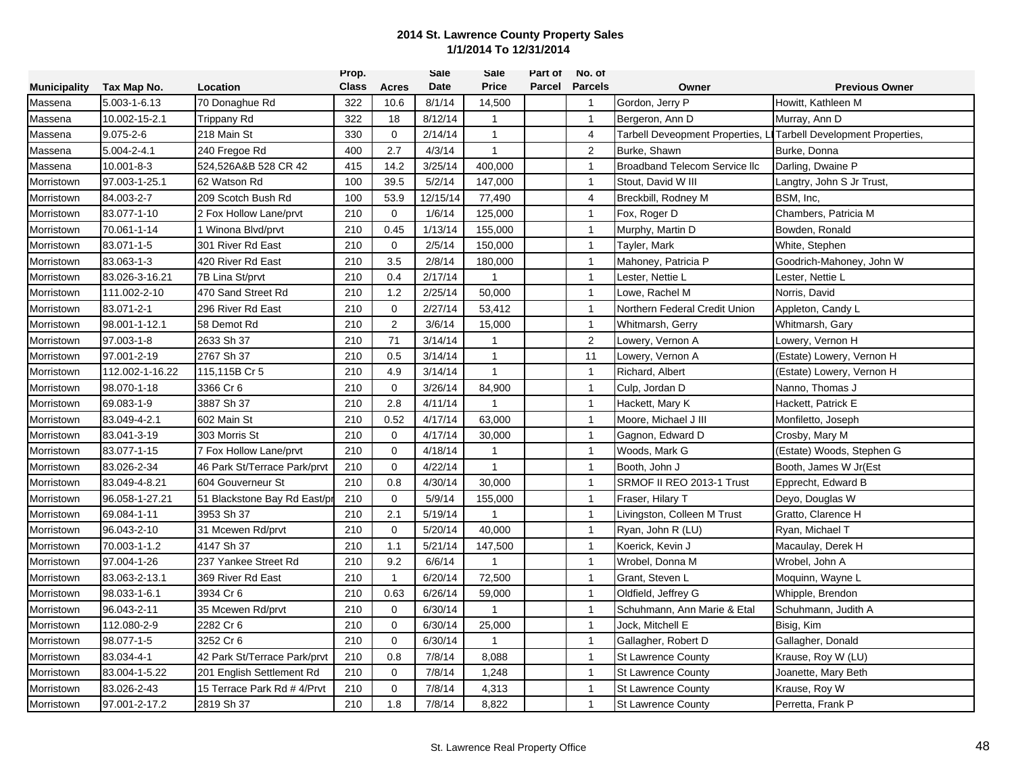|                     |                 |                              | Prop.        |                | Sale     | Sale           | Part of | No. of         |                                      |                                 |
|---------------------|-----------------|------------------------------|--------------|----------------|----------|----------------|---------|----------------|--------------------------------------|---------------------------------|
| <b>Municipality</b> | Tax Map No.     | Location                     | <b>Class</b> | <b>Acres</b>   | Date     | <b>Price</b>   | Parcel  | <b>Parcels</b> | Owner                                | <b>Previous Owner</b>           |
| Massena             | 5.003-1-6.13    | 70 Donaghue Rd               | 322          | 10.6           | 8/1/14   | 14,500         |         | $\overline{1}$ | Gordon, Jerry P                      | Howitt, Kathleen M              |
| Massena             | 10.002-15-2.1   | Trippany Rd                  | 322          | 18             | 8/12/14  | $\mathbf{1}$   |         | $\mathbf{1}$   | Bergeron, Ann D                      | Murray, Ann D                   |
| Massena             | $9.075 - 2 - 6$ | 218 Main St                  | 330          | $\mathbf 0$    | 2/14/14  | $\mathbf{1}$   |         | $\overline{4}$ | Tarbell Deveopment Properties,       | Tarbell Development Properties, |
| Massena             | 5.004-2-4.1     | 240 Fregoe Rd                | 400          | 2.7            | 4/3/14   | $\mathbf{1}$   |         | $\overline{2}$ | Burke, Shawn                         | Burke, Donna                    |
| Massena             | 10.001-8-3      | 524,526A&B 528 CR 42         | 415          | 14.2           | 3/25/14  | 400,000        |         | $\mathbf{1}$   | <b>Broadband Telecom Service IIc</b> | Darling, Dwaine P               |
| Morristown          | 97.003-1-25.1   | 62 Watson Rd                 | 100          | 39.5           | 5/2/14   | 147,000        |         | $\overline{1}$ | Stout, David W III                   | Langtry, John S Jr Trust,       |
| Morristown          | 84.003-2-7      | 209 Scotch Bush Rd           | 100          | 53.9           | 12/15/14 | 77,490         |         | $\overline{4}$ | Breckbill, Rodney M                  | BSM, Inc,                       |
| Morristown          | 83.077-1-10     | 2 Fox Hollow Lane/prvt       | 210          | 0              | 1/6/14   | 125,000        |         | $\mathbf{1}$   | Fox, Roger D                         | Chambers, Patricia M            |
| Morristown          | 70.061-1-14     | 1 Winona Blvd/prvt           | 210          | 0.45           | 1/13/14  | 155,000        |         | $\mathbf{1}$   | Murphy, Martin D                     | Bowden, Ronald                  |
| Morristown          | 83.071-1-5      | 301 River Rd East            | 210          | $\Omega$       | 2/5/14   | 150,000        |         | $\mathbf{1}$   | Tayler, Mark                         | White, Stephen                  |
| Morristown          | 83.063-1-3      | 420 River Rd East            | 210          | 3.5            | 2/8/14   | 180,000        |         | $\mathbf{1}$   | Mahoney, Patricia P                  | Goodrich-Mahoney, John W        |
| Morristown          | 83.026-3-16.21  | 7B Lina St/prvt              | 210          | 0.4            | 2/17/14  | 1              |         | $\overline{1}$ | Lester, Nettie L                     | Lester, Nettie L                |
| Morristown          | 111.002-2-10    | 470 Sand Street Rd           | 210          | 1.2            | 2/25/14  | 50,000         |         | $\mathbf{1}$   | Lowe, Rachel M                       | Norris, David                   |
| Morristown          | 83.071-2-1      | 296 River Rd East            | 210          | 0              | 2/27/14  | 53,412         |         | $\overline{1}$ | Northern Federal Credit Union        | Appleton, Candy L               |
| Morristown          | 98.001-1-12.1   | 58 Demot Rd                  | 210          | $\overline{2}$ | 3/6/14   | 15,000         |         | $\mathbf{1}$   | Whitmarsh, Gerry                     | Whitmarsh, Gary                 |
| Morristown          | 97.003-1-8      | 2633 Sh 37                   | 210          | 71             | 3/14/14  | $\mathbf{1}$   |         | $\overline{2}$ | Lowery, Vernon A                     | Lowery, Vernon H                |
| Morristown          | 97.001-2-19     | 2767 Sh 37                   | 210          | 0.5            | 3/14/14  | $\mathbf{1}$   |         | 11             | Lowery, Vernon A                     | (Estate) Lowery, Vernon H       |
| Morristown          | 112.002-1-16.22 | 115,115B Cr 5                | 210          | 4.9            | 3/14/14  | $\mathbf{1}$   |         | $\mathbf{1}$   | Richard, Albert                      | (Estate) Lowery, Vernon H       |
| Morristown          | 98.070-1-18     | 3366 Cr 6                    | 210          | $\mathbf 0$    | 3/26/14  | 84,900         |         | $\mathbf{1}$   | Culp, Jordan D                       | Nanno, Thomas J                 |
| Morristown          | 69.083-1-9      | 3887 Sh 37                   | 210          | 2.8            | 4/11/14  | 1              |         | $\mathbf{1}$   | Hackett, Mary K                      | Hackett, Patrick E              |
| Morristown          | 83.049-4-2.1    | 602 Main St                  | 210          | 0.52           | 4/17/14  | 63,000         |         | $\mathbf{1}$   | Moore, Michael J III                 | Monfiletto, Joseph              |
| Morristown          | 83.041-3-19     | 303 Morris St                | 210          | $\mathbf 0$    | 4/17/14  | 30,000         |         | $\mathbf{1}$   | Gagnon, Edward D                     | Crosby, Mary M                  |
| Morristown          | 83.077-1-15     | 7 Fox Hollow Lane/prvt       | 210          | $\mathbf 0$    | 4/18/14  | 1              |         | $\mathbf{1}$   | Woods, Mark G                        | (Estate) Woods, Stephen G       |
| Morristown          | 83.026-2-34     | 46 Park St/Terrace Park/prvt | 210          | $\mathbf 0$    | 4/22/14  | 1              |         | $\mathbf{1}$   | Booth, John J                        | Booth, James W Jr(Est           |
| Morristown          | 83.049-4-8.21   | 604 Gouverneur St            | 210          | 0.8            | 4/30/14  | 30,000         |         | $\mathbf{1}$   | SRMOF II REO 2013-1 Trust            | Epprecht, Edward B              |
| Morristown          | 96.058-1-27.21  | 51 Blackstone Bay Rd East/p  | 210          | 0              | 5/9/14   | 155,000        |         | $\overline{1}$ | Fraser, Hilary T                     | Deyo, Douglas W                 |
| Morristown          | 69.084-1-11     | 3953 Sh 37                   | 210          | 2.1            | 5/19/14  | $\mathbf{1}$   |         | $\mathbf{1}$   | Livingston, Colleen M Trust          | Gratto, Clarence H              |
| Morristown          | 96.043-2-10     | 31 Mcewen Rd/prvt            | 210          | $\mathbf 0$    | 5/20/14  | 40,000         |         | $\mathbf{1}$   | Ryan, John R (LU)                    | Ryan, Michael T                 |
| Morristown          | 70.003-1-1.2    | 4147 Sh 37                   | 210          | 1.1            | 5/21/14  | 147,500        |         | $\mathbf{1}$   | Koerick, Kevin J                     | Macaulay, Derek H               |
| Morristown          | 97.004-1-26     | 237 Yankee Street Rd         | 210          | 9.2            | 6/6/14   | $\mathbf{1}$   |         | $\mathbf{1}$   | Wrobel, Donna M                      | Wrobel, John A                  |
| Morristown          | 83.063-2-13.1   | 369 River Rd East            | 210          | -1             | 6/20/14  | 72,500         |         | $\mathbf{1}$   | Grant, Steven L                      | Moquinn, Wayne L                |
| Morristown          | 98.033-1-6.1    | 3934 Cr 6                    | 210          | 0.63           | 6/26/14  | 59,000         |         | $\mathbf{1}$   | Oldfield, Jeffrey G                  | Whipple, Brendon                |
| Morristown          | 96.043-2-11     | 35 Mcewen Rd/prvt            | 210          | $\mathbf 0$    | 6/30/14  | 1              |         | $\mathbf{1}$   | Schuhmann, Ann Marie & Etal          | Schuhmann, Judith A             |
| Morristown          | 112.080-2-9     | 2282 Cr 6                    | 210          | $\mathbf 0$    | 6/30/14  | 25,000         |         | $\mathbf{1}$   | Jock, Mitchell E                     | Bisig, Kim                      |
| Morristown          | 98.077-1-5      | 3252 Cr 6                    | 210          | $\Omega$       | 6/30/14  | $\overline{1}$ |         | $\mathbf{1}$   | Gallagher, Robert D                  | Gallagher, Donald               |
| Morristown          | 83.034-4-1      | 42 Park St/Terrace Park/prvt | 210          | 0.8            | 7/8/14   | 8,088          |         | $\mathbf{1}$   | <b>St Lawrence County</b>            | Krause, Roy W (LU)              |
| Morristown          | 83.004-1-5.22   | 201 English Settlement Rd    | 210          | $\mathbf 0$    | 7/8/14   | 1,248          |         | $\mathbf{1}$   | <b>St Lawrence County</b>            | Joanette, Mary Beth             |
| Morristown          | 83.026-2-43     | 15 Terrace Park Rd # 4/Prvt  | 210          | $\mathbf 0$    | 7/8/14   | 4,313          |         | $\mathbf{1}$   | <b>St Lawrence County</b>            | Krause, Roy W                   |
| Morristown          | 97.001-2-17.2   | 2819 Sh 37                   | 210          | 1.8            | 7/8/14   | 8,822          |         | $\mathbf{1}$   | <b>St Lawrence County</b>            | Perretta, Frank P               |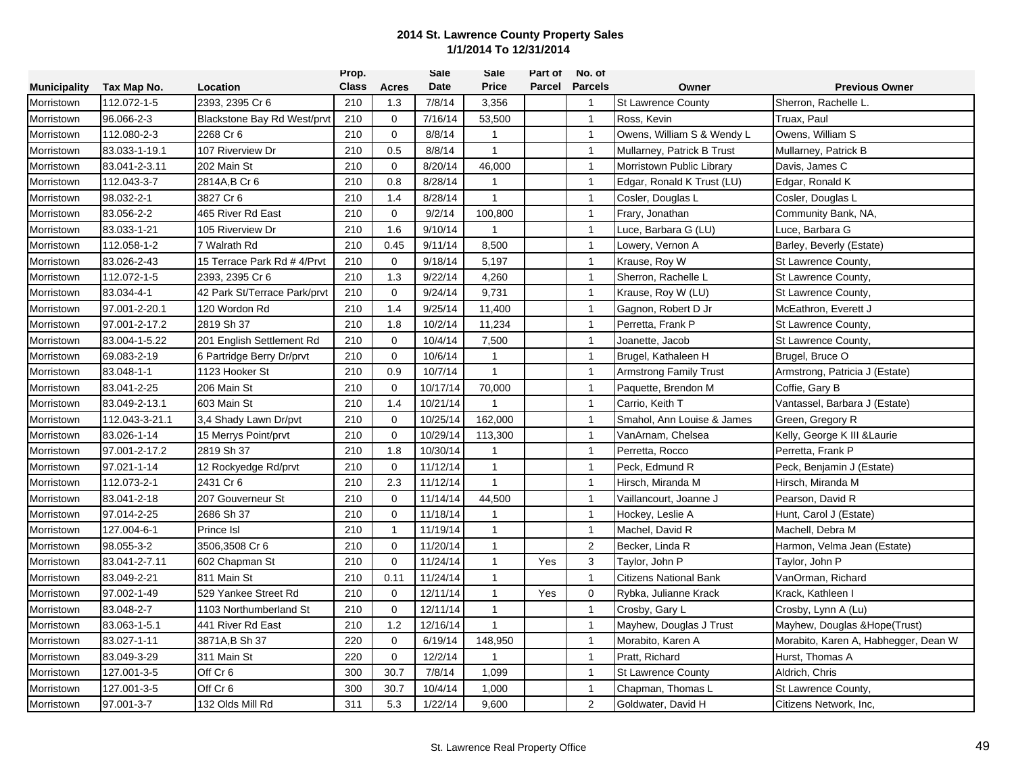|                     |                |                              | Prop.        |              | Sale     | Sale           | Part of | No. of           |                               |                                      |
|---------------------|----------------|------------------------------|--------------|--------------|----------|----------------|---------|------------------|-------------------------------|--------------------------------------|
| <b>Municipality</b> | Tax Map No.    | Location                     | <b>Class</b> | Acres        | Date     | <b>Price</b>   | Parcel  | <b>Parcels</b>   | Owner                         | <b>Previous Owner</b>                |
| Morristown          | 112.072-1-5    | 2393, 2395 Cr 6              | 210          | 1.3          | 7/8/14   | 3,356          |         | $\overline{1}$   | <b>St Lawrence County</b>     | Sherron, Rachelle L.                 |
| Morristown          | 96.066-2-3     | Blackstone Bay Rd West/prvt  | 210          | $\mathbf 0$  | 7/16/14  | 53,500         |         | $\overline{1}$   | Ross, Kevin                   | Truax, Paul                          |
| Morristown          | 112.080-2-3    | 2268 Cr 6                    | 210          | 0            | 8/8/14   | $\mathbf{1}$   |         | $\overline{1}$   | Owens, William S & Wendy L    | Owens, William S                     |
| Morristown          | 83.033-1-19.1  | 107 Riverview Dr             | 210          | 0.5          | 8/8/14   | $\mathbf{1}$   |         | $\overline{1}$   | Mullarney, Patrick B Trust    | Mullarney, Patrick B                 |
| Morristown          | 83.041-2-3.11  | 202 Main St                  | 210          | $\mathbf 0$  | 8/20/14  | 46,000         |         | $\overline{1}$   | Morristown Public Library     | Davis, James C                       |
| Morristown          | 112.043-3-7    | 2814A,B Cr 6                 | 210          | 0.8          | 8/28/14  | 1              |         | $\overline{1}$   | Edgar, Ronald K Trust (LU)    | Edgar, Ronald K                      |
| Morristown          | 98.032-2-1     | 3827 Cr 6                    | 210          | 1.4          | 8/28/14  | $\overline{1}$ |         | $\overline{1}$   | Cosler, Douglas L             | Cosler, Douglas L                    |
| Morristown          | 83.056-2-2     | 465 River Rd East            | 210          | $\mathbf 0$  | 9/2/14   | 100,800        |         | $\overline{1}$   | Frary, Jonathan               | Community Bank, NA,                  |
| Morristown          | 83.033-1-21    | 105 Riverview Dr             | 210          | 1.6          | 9/10/14  | -1             |         | $\overline{1}$   | Luce, Barbara G (LU)          | Luce, Barbara G                      |
| Morristown          | 112.058-1-2    | 7 Walrath Rd                 | 210          | 0.45         | 9/11/14  | 8,500          |         | $\overline{1}$   | Lowery, Vernon A              | Barley, Beverly (Estate)             |
| Morristown          | 83.026-2-43    | 15 Terrace Park Rd # 4/Prvt  | 210          | 0            | 9/18/14  | 5,197          |         | $\overline{1}$   | Krause, Roy W                 | St Lawrence County,                  |
| Morristown          | 112.072-1-5    | 2393, 2395 Cr 6              | 210          | 1.3          | 9/22/14  | 4,260          |         | $\overline{1}$   | Sherron, Rachelle L           | St Lawrence County,                  |
| Morristown          | 83.034-4-1     | 42 Park St/Terrace Park/prvt | 210          | $\mathbf 0$  | 9/24/14  | 9,731          |         | $\overline{1}$   | Krause, Roy W (LU)            | St Lawrence County,                  |
| Morristown          | 97.001-2-20.1  | 120 Wordon Rd                | 210          | 1.4          | 9/25/14  | 11,400         |         | $\overline{1}$   | Gagnon, Robert D Jr           | McEathron, Everett J                 |
| Morristown          | 97.001-2-17.2  | 2819 Sh 37                   | 210          | 1.8          | 10/2/14  | 11,234         |         | $\overline{1}$   | Perretta, Frank P             | St Lawrence County,                  |
| Morristown          | 83.004-1-5.22  | 201 English Settlement Rd    | 210          | 0            | 10/4/14  | 7,500          |         | $\overline{1}$   | Joanette, Jacob               | St Lawrence County,                  |
| Morristown          | 69.083-2-19    | 6 Partridge Berry Dr/prvt    | 210          | $\mathbf 0$  | 10/6/14  | $\mathbf{1}$   |         | $\overline{1}$   | Brugel, Kathaleen H           | Brugel, Bruce O                      |
| Morristown          | 83.048-1-1     | 1123 Hooker St               | 210          | 0.9          | 10/7/14  | $\mathbf{1}$   |         | $\overline{1}$   | <b>Armstrong Family Trust</b> | Armstrong, Patricia J (Estate)       |
| Morristown          | 83.041-2-25    | 206 Main St                  | 210          | $\mathbf 0$  | 10/17/14 | 70,000         |         | $\overline{1}$   | Paquette, Brendon M           | Coffie, Gary B                       |
| Morristown          | 83.049-2-13.1  | 603 Main St                  | 210          | 1.4          | 10/21/14 |                |         | $\overline{1}$   | Carrio, Keith T               | Vantassel, Barbara J (Estate)        |
| Morristown          | 112.043-3-21.1 | 3.4 Shady Lawn Dr/pvt        | 210          | $\mathbf 0$  | 10/25/14 | 162,000        |         | $\overline{1}$   | Smahol, Ann Louise & James    | Green, Gregory R                     |
| Morristown          | 83.026-1-14    | 15 Merrys Point/prvt         | 210          | 0            | 10/29/14 | 113,300        |         | $\overline{1}$   | VanArnam, Chelsea             | Kelly, George K III & Laurie         |
| Morristown          | 97.001-2-17.2  | 2819 Sh 37                   | 210          | 1.8          | 10/30/14 | $\overline{1}$ |         | $\overline{1}$   | Perretta, Rocco               | Perretta, Frank P                    |
| Morristown          | 97.021-1-14    | 12 Rockyedge Rd/prvt         | 210          | $\Omega$     | 11/12/14 | $\mathbf{1}$   |         | $\overline{1}$   | Peck, Edmund R                | Peck, Benjamin J (Estate)            |
| Morristown          | 112.073-2-1    | 2431 Cr 6                    | 210          | 2.3          | 11/12/14 | $\mathbf{1}$   |         | $\overline{1}$   | Hirsch, Miranda M             | Hirsch, Miranda M                    |
| Morristown          | 83.041-2-18    | 207 Gouverneur St            | 210          | $\mathbf 0$  | 11/14/14 | 44,500         |         | $\overline{1}$   | Vaillancourt. Joanne J        | Pearson, David R                     |
| Morristown          | 97.014-2-25    | 2686 Sh 37                   | 210          | 0            | 11/18/14 | $\overline{1}$ |         | $\overline{1}$   | Hockey, Leslie A              | Hunt, Carol J (Estate)               |
| Morristown          | 127.004-6-1    | <b>Prince Isl</b>            | 210          | $\mathbf{1}$ | 11/19/14 | $\mathbf{1}$   |         | $\overline{1}$   | Machel, David R               | Machell, Debra M                     |
| Morristown          | 98.055-3-2     | 3506,3508 Cr 6               | 210          | $\mathbf 0$  | 11/20/14 | $\mathbf{1}$   |         | $\overline{2}$   | Becker, Linda R               | Harmon, Velma Jean (Estate)          |
| Morristown          | 83.041-2-7.11  | 602 Chapman St               | 210          | $\Omega$     | 11/24/14 | $\mathbf{1}$   | Yes     | 3                | Taylor, John P                | Taylor, John P                       |
| Morristown          | 83.049-2-21    | 811 Main St                  | 210          | 0.11         | 11/24/14 | $\mathbf{1}$   |         | $\overline{1}$   | Citizens National Bank        | VanOrman, Richard                    |
| Morristown          | 97.002-1-49    | 529 Yankee Street Rd         | 210          | 0            | 12/11/14 | $\mathbf{1}$   | Yes     | $\mathbf 0$      | Rybka, Julianne Krack         | Krack, Kathleen I                    |
| Morristown          | 83.048-2-7     | 1103 Northumberland St       | 210          | $\mathbf 0$  | 12/11/14 | $\mathbf{1}$   |         | $\overline{1}$   | Crosby, Gary L                | Crosby, Lynn A (Lu)                  |
| Morristown          | 83.063-1-5.1   | 441 River Rd East            | 210          | 1.2          | 12/16/14 | $\mathbf{1}$   |         | $\overline{1}$   | Mayhew, Douglas J Trust       | Mayhew, Douglas & Hope(Trust)        |
| Morristown          | 83.027-1-11    | 3871A,B Sh 37                | 220          | 0            | 6/19/14  | 148,950        |         | $\overline{1}$   | Morabito, Karen A             | Morabito, Karen A, Habhegger, Dean W |
| Morristown          | 83.049-3-29    | 311 Main St                  | 220          | $\mathbf 0$  | 12/2/14  | $\overline{1}$ |         | $\overline{1}$   | Pratt, Richard                | Hurst, Thomas A                      |
| Morristown          | 127.001-3-5    | Off Cr 6                     | 300          | 30.7         | 7/8/14   | 1,099          |         | $\overline{1}$   | <b>St Lawrence County</b>     | Aldrich, Chris                       |
| Morristown          | 127.001-3-5    | Off Cr 6                     | 300          | 30.7         | 10/4/14  | 1,000          |         | $\overline{1}$   | Chapman, Thomas L             | St Lawrence County,                  |
| Morristown          | 97.001-3-7     | 132 Olds Mill Rd             | 311          | 5.3          | 1/22/14  | 9,600          |         | $\boldsymbol{2}$ | Goldwater, David H            | Citizens Network, Inc,               |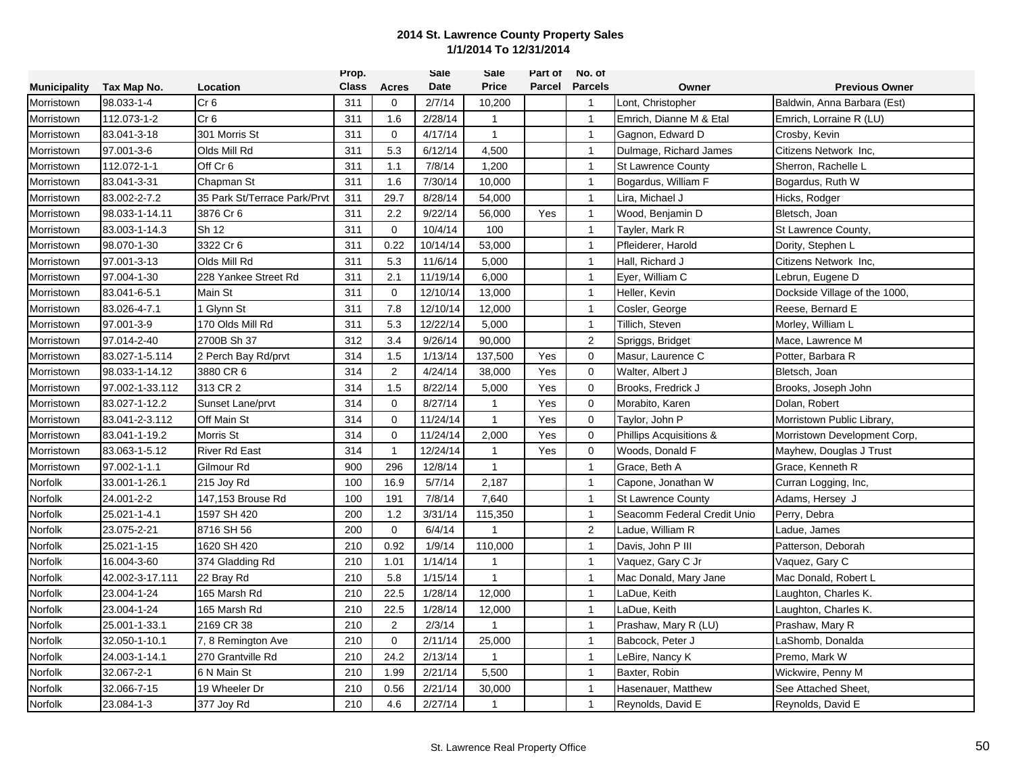|                     |                 |                              | Prop.        |                | Sale     | Sale         | Part of | No. of         |                             |                               |
|---------------------|-----------------|------------------------------|--------------|----------------|----------|--------------|---------|----------------|-----------------------------|-------------------------------|
| <b>Municipality</b> | Tax Map No.     | Location                     | <b>Class</b> | <b>Acres</b>   | Date     | <b>Price</b> | Parcel  | <b>Parcels</b> | Owner                       | <b>Previous Owner</b>         |
| Morristown          | 98.033-1-4      | Cr <sub>6</sub>              | 311          | 0              | 2/7/14   | 10,200       |         | $\overline{1}$ | Lont, Christopher           | Baldwin, Anna Barbara (Est)   |
| Morristown          | 112.073-1-2     | Cr <sub>6</sub>              | 311          | 1.6            | 2/28/14  | $\mathbf{1}$ |         | $\overline{1}$ | Emrich, Dianne M & Etal     | Emrich, Lorraine R (LU)       |
| Morristown          | 83.041-3-18     | 301 Morris St                | 311          | 0              | 4/17/14  | $\mathbf{1}$ |         | $\overline{1}$ | Gagnon, Edward D            | Crosby, Kevin                 |
| Morristown          | 97.001-3-6      | Olds Mill Rd                 | 311          | 5.3            | 6/12/14  | 4,500        |         | $\overline{1}$ | Dulmage, Richard James      | Citizens Network Inc,         |
| Morristown          | 112.072-1-1     | Off Cr 6                     | 311          | 1.1            | 7/8/14   | 1,200        |         | $\overline{1}$ | <b>St Lawrence County</b>   | Sherron, Rachelle L           |
| Morristown          | 83.041-3-31     | Chapman St                   | 311          | 1.6            | 7/30/14  | 10,000       |         | $\overline{1}$ | Bogardus, William F         | Bogardus, Ruth W              |
| Morristown          | 83.002-2-7.2    | 35 Park St/Terrace Park/Prvt | 311          | 29.7           | 8/28/14  | 54,000       |         | $\overline{1}$ | Lira, Michael J             | Hicks, Rodger                 |
| Morristown          | 98.033-1-14.11  | 3876 Cr 6                    | 311          | 2.2            | 9/22/14  | 56,000       | Yes     | $\overline{1}$ | Wood, Benjamin D            | Bletsch, Joan                 |
| Morristown          | 83.003-1-14.3   | Sh 12                        | 311          | $\mathbf 0$    | 10/4/14  | 100          |         | $\overline{1}$ | Tayler, Mark R              | St Lawrence County,           |
| Morristown          | 98.070-1-30     | 3322 Cr 6                    | 311          | 0.22           | 10/14/14 | 53,000       |         | $\mathbf{1}$   | Pfleiderer, Harold          | Dority, Stephen L             |
| Morristown          | 97.001-3-13     | Olds Mill Rd                 | 311          | 5.3            | 11/6/14  | 5,000        |         | $\overline{1}$ | Hall, Richard J             | Citizens Network Inc,         |
| Morristown          | 97.004-1-30     | 228 Yankee Street Rd         | 311          | 2.1            | 11/19/14 | 6,000        |         | $\overline{1}$ | Eyer, William C             | Lebrun, Eugene D              |
| Morristown          | 83.041-6-5.1    | Main St                      | 311          | $\mathbf 0$    | 12/10/14 | 13,000       |         | $\overline{1}$ | Heller, Kevin               | Dockside Village of the 1000, |
| Morristown          | 83.026-4-7.1    | 1 Glynn St                   | 311          | 7.8            | 12/10/14 | 12,000       |         | $\overline{1}$ | Cosler, George              | Reese, Bernard E              |
| Morristown          | 97.001-3-9      | 170 Olds Mill Rd             | 311          | 5.3            | 12/22/14 | 5,000        |         | $\overline{1}$ | Tillich, Steven             | Morley, William L             |
| Morristown          | 97.014-2-40     | 2700B Sh 37                  | 312          | 3.4            | 9/26/14  | 90,000       |         | 2              | Spriggs, Bridget            | Mace, Lawrence M              |
| Morristown          | 83.027-1-5.114  | 2 Perch Bay Rd/prvt          | 314          | 1.5            | 1/13/14  | 137,500      | Yes     | $\mathbf 0$    | Masur, Laurence C           | Potter, Barbara R             |
| Morristown          | 98.033-1-14.12  | 3880 CR 6                    | 314          | $\overline{2}$ | 4/24/14  | 38,000       | Yes     | $\mathbf 0$    | Walter, Albert J            | Bletsch, Joan                 |
| Morristown          | 97.002-1-33.112 | 313 CR 2                     | 314          | 1.5            | 8/22/14  | 5,000        | Yes     | $\mathbf 0$    | Brooks, Fredrick J          | Brooks, Joseph John           |
| Morristown          | 83.027-1-12.2   | Sunset Lane/prvt             | 314          | $\mathbf 0$    | 8/27/14  | $\mathbf{1}$ | Yes     | $\mathbf 0$    | Morabito, Karen             | Dolan, Robert                 |
| Morristown          | 83.041-2-3.112  | Off Main St                  | 314          | $\mathbf 0$    | 11/24/14 | $\mathbf{1}$ | Yes     | $\mathbf 0$    | Taylor, John P              | Morristown Public Library,    |
| Morristown          | 83.041-1-19.2   | <b>Morris St</b>             | 314          | 0              | 11/24/14 | 2,000        | Yes     | $\mathbf 0$    | Phillips Acquisitions &     | Morristown Development Corp,  |
| Morristown          | 83.063-1-5.12   | <b>River Rd East</b>         | 314          |                | 12/24/14 | $\mathbf 1$  | Yes     | $\mathbf 0$    | Woods, Donald F             | Mayhew, Douglas J Trust       |
| Morristown          | 97.002-1-1.1    | Gilmour Rd                   | 900          | 296            | 12/8/14  | $\mathbf{1}$ |         | $\overline{1}$ | Grace, Beth A               | Grace, Kenneth R              |
| Norfolk             | 33.001-1-26.1   | 215 Joy Rd                   | 100          | 16.9           | 5/7/14   | 2,187        |         | $\overline{1}$ | Capone, Jonathan W          | Curran Logging, Inc,          |
| Norfolk             | 24.001-2-2      | 147,153 Brouse Rd            | 100          | 191            | 7/8/14   | 7,640        |         | $\overline{1}$ | St Lawrence County          | Adams, Hersey J               |
| Norfolk             | 25.021-1-4.1    | 1597 SH 420                  | 200          | 1.2            | 3/31/14  | 115,350      |         | $\overline{1}$ | Seacomm Federal Credit Unio | Perry, Debra                  |
| Norfolk             | 23.075-2-21     | 8716 SH 56                   | 200          | 0              | 6/4/14   | $\mathbf{1}$ |         | 2              | Ladue, William R            | Ladue, James                  |
| Norfolk             | 25.021-1-15     | 1620 SH 420                  | 210          | 0.92           | 1/9/14   | 110,000      |         | $\overline{1}$ | Davis, John P III           | Patterson, Deborah            |
| Norfolk             | 16.004-3-60     | 374 Gladding Rd              | 210          | 1.01           | 1/14/14  | $\mathbf{1}$ |         | $\overline{1}$ | Vaquez, Gary C Jr           | Vaquez, Gary C                |
| Norfolk             | 42.002-3-17.111 | 22 Bray Rd                   | 210          | 5.8            | 1/15/14  | $\mathbf{1}$ |         | $\overline{1}$ | Mac Donald, Mary Jane       | Mac Donald, Robert L          |
| Norfolk             | 23.004-1-24     | 165 Marsh Rd                 | 210          | 22.5           | 1/28/14  | 12,000       |         | $\overline{1}$ | LaDue, Keith                | Laughton, Charles K.          |
| Norfolk             | 23.004-1-24     | 165 Marsh Rd                 | 210          | 22.5           | 1/28/14  | 12,000       |         | $\overline{1}$ | LaDue, Keith                | Laughton, Charles K.          |
| Norfolk             | 25.001-1-33.1   | 2169 CR 38                   | 210          | $\overline{2}$ | 2/3/14   | -1           |         | $\overline{1}$ | Prashaw, Mary R (LU)        | Prashaw, Mary R               |
| Norfolk             | 32.050-1-10.1   | 7, 8 Remington Ave           | 210          | $\mathbf 0$    | 2/11/14  | 25,000       |         | $\overline{1}$ | Babcock, Peter J            | LaShomb, Donalda              |
| Norfolk             | 24.003-1-14.1   | 270 Grantville Rd            | 210          | 24.2           | 2/13/14  | $\mathbf{1}$ |         | $\overline{1}$ | LeBire, Nancy K             | Premo, Mark W                 |
| Norfolk             | 32.067-2-1      | 6 N Main St                  | 210          | 1.99           | 2/21/14  | 5,500        |         | $\overline{1}$ | Baxter, Robin               | Wickwire, Penny M             |
| Norfolk             | 32.066-7-15     | 19 Wheeler Dr                | 210          | 0.56           | 2/21/14  | 30,000       |         | $\overline{1}$ | Hasenauer, Matthew          | See Attached Sheet,           |
| Norfolk             | 23.084-1-3      | 377 Joy Rd                   | 210          | 4.6            | 2/27/14  | -1           |         | $\mathbf{1}$   | Reynolds, David E           | Reynolds, David E             |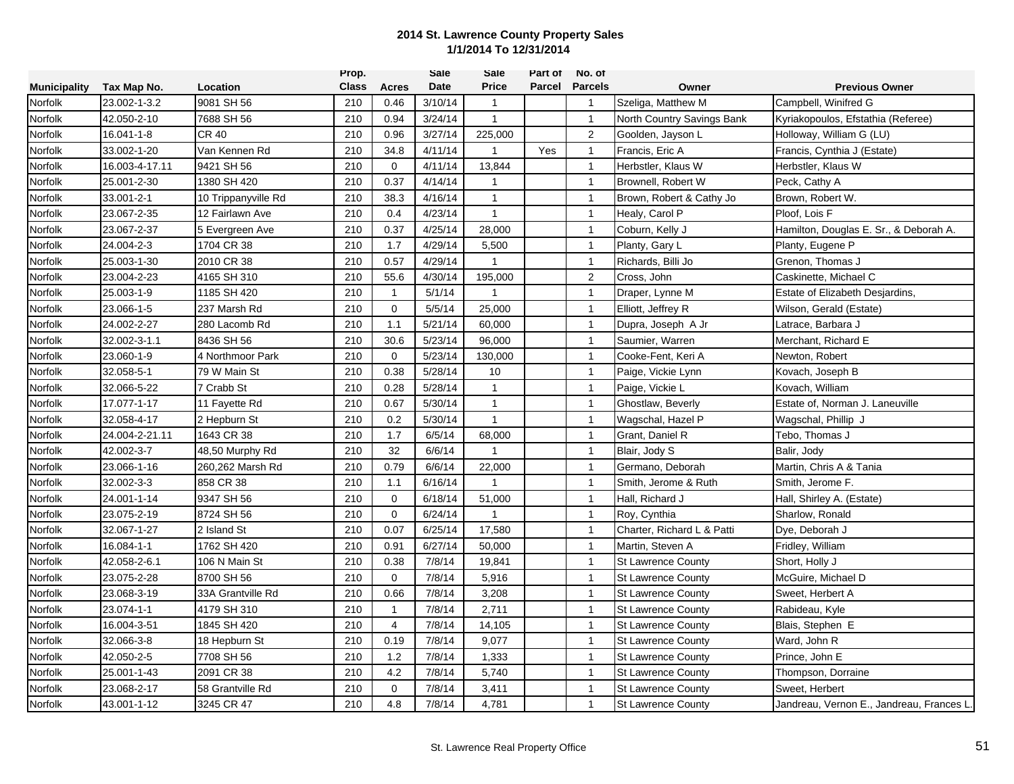|                     |                |                     | Prop.        |                | <b>Sale</b> | Sale         | Part of | No. of         |                            |                                          |
|---------------------|----------------|---------------------|--------------|----------------|-------------|--------------|---------|----------------|----------------------------|------------------------------------------|
| <b>Municipality</b> | Tax Map No.    | Location            | <b>Class</b> | <b>Acres</b>   | Date        | <b>Price</b> | Parcel  | <b>Parcels</b> | Owner                      | <b>Previous Owner</b>                    |
| Norfolk             | 23.002-1-3.2   | 9081 SH 56          | 210          | 0.46           | 3/10/14     | $\mathbf{1}$ |         | $\mathbf{1}$   | Szeliga, Matthew M         | Campbell, Winifred G                     |
| Norfolk             | 42.050-2-10    | 7688 SH 56          | 210          | 0.94           | 3/24/14     | $\mathbf{1}$ |         | $\overline{1}$ | North Country Savings Bank | Kyriakopoulos, Efstathia (Referee)       |
| Norfolk             | 16.041-1-8     | CR 40               | 210          | 0.96           | 3/27/14     | 225,000      |         | 2              | Goolden, Jayson L          | Holloway, William G (LU)                 |
| Norfolk             | 33.002-1-20    | Van Kennen Rd       | 210          | 34.8           | 4/11/14     | $\mathbf{1}$ | Yes     | $\mathbf{1}$   | Francis, Eric A            | Francis, Cynthia J (Estate)              |
| Norfolk             | 16.003-4-17.11 | 9421 SH 56          | 210          | $\mathbf 0$    | 4/11/14     | 13,844       |         | $\mathbf{1}$   | Herbstler, Klaus W         | Herbstler, Klaus W                       |
| Norfolk             | 25.001-2-30    | 1380 SH 420         | 210          | 0.37           | 4/14/14     | $\mathbf{1}$ |         | $\mathbf{1}$   | Brownell, Robert W         | Peck, Cathy A                            |
| Norfolk             | 33.001-2-1     | 10 Trippanyville Rd | 210          | 38.3           | 4/16/14     | $\mathbf{1}$ |         | $\mathbf{1}$   | Brown, Robert & Cathy Jo   | Brown, Robert W.                         |
| Norfolk             | 23.067-2-35    | 12 Fairlawn Ave     | 210          | 0.4            | 4/23/14     | $\mathbf{1}$ |         | $\overline{1}$ | Healy, Carol P             | Ploof, Lois F                            |
| Norfolk             | 23.067-2-37    | 5 Evergreen Ave     | 210          | 0.37           | 4/25/14     | 28,000       |         | $\overline{1}$ | Coburn, Kelly J            | Hamilton, Douglas E. Sr., & Deborah A.   |
| Norfolk             | 24.004-2-3     | 1704 CR 38          | 210          | 1.7            | 4/29/14     | 5,500        |         | $\mathbf{1}$   | Planty, Gary L             | Planty, Eugene P                         |
| Norfolk             | 25.003-1-30    | 2010 CR 38          | 210          | 0.57           | 4/29/14     | $\mathbf{1}$ |         | $\overline{1}$ | Richards, Billi Jo         | Grenon, Thomas J                         |
| Norfolk             | 23.004-2-23    | 4165 SH 310         | 210          | 55.6           | 4/30/14     | 195,000      |         | 2              | Cross, John                | Caskinette, Michael C                    |
| Norfolk             | 25.003-1-9     | 1185 SH 420         | 210          | $\mathbf{1}$   | 5/1/14      | $\mathbf{1}$ |         | $\mathbf{1}$   | Draper, Lynne M            | Estate of Elizabeth Desjardins,          |
| Norfolk             | 23.066-1-5     | 237 Marsh Rd        | 210          | 0              | 5/5/14      | 25,000       |         | $\mathbf{1}$   | Elliott, Jeffrey R         | Wilson, Gerald (Estate)                  |
| Norfolk             | 24.002-2-27    | 280 Lacomb Rd       | 210          | 1.1            | 5/21/14     | 60,000       |         | $\overline{1}$ | Dupra, Joseph A Jr         | Latrace, Barbara J                       |
| Norfolk             | 32.002-3-1.1   | 8436 SH 56          | 210          | 30.6           | 5/23/14     | 96,000       |         | $\mathbf{1}$   | Saumier, Warren            | Merchant, Richard E                      |
| Norfolk             | 23.060-1-9     | 4 Northmoor Park    | 210          | $\mathbf 0$    | 5/23/14     | 130,000      |         | $\mathbf{1}$   | Cooke-Fent. Keri A         | Newton, Robert                           |
| Norfolk             | 32.058-5-1     | 79 W Main St        | 210          | 0.38           | 5/28/14     | 10           |         | $\mathbf{1}$   | Paige, Vickie Lynn         | Kovach, Joseph B                         |
| Norfolk             | 32.066-5-22    | 7 Crabb St          | 210          | 0.28           | 5/28/14     | $\mathbf{1}$ |         | $\mathbf{1}$   | Paige, Vickie L            | Kovach, William                          |
| Norfolk             | 17.077-1-17    | 11 Fayette Rd       | 210          | 0.67           | 5/30/14     | $\mathbf{1}$ |         | $\mathbf{1}$   | Ghostlaw, Beverly          | Estate of, Norman J. Laneuville          |
| Norfolk             | 32.058-4-17    | 2 Hepburn St        | 210          | 0.2            | 5/30/14     | $\mathbf{1}$ |         | $\overline{1}$ | Wagschal, Hazel P          | Wagschal, Phillip J                      |
| Norfolk             | 24.004-2-21.11 | 1643 CR 38          | 210          | 1.7            | 6/5/14      | 68,000       |         | $\overline{1}$ | Grant, Daniel R            | Tebo, Thomas J                           |
| Norfolk             | 42.002-3-7     | 48,50 Murphy Rd     | 210          | 32             | 6/6/14      |              |         | $\mathbf{1}$   | Blair, Jody S              | Balir, Jody                              |
| Norfolk             | 23.066-1-16    | 260,262 Marsh Rd    | 210          | 0.79           | 6/6/14      | 22,000       |         | $\mathbf{1}$   | Germano, Deborah           | Martin, Chris A & Tania                  |
| Norfolk             | 32.002-3-3     | 858 CR 38           | 210          | 1.1            | 6/16/14     | $\mathbf{1}$ |         | $\mathbf{1}$   | Smith, Jerome & Ruth       | Smith, Jerome F.                         |
| Norfolk             | 24.001-1-14    | 9347 SH 56          | 210          | $\mathbf 0$    | 6/18/14     | 51,000       |         | $\mathbf{1}$   | Hall, Richard J            | Hall, Shirley A. (Estate)                |
| Norfolk             | 23.075-2-19    | 8724 SH 56          | 210          | $\mathbf 0$    | 6/24/14     | $\mathbf{1}$ |         | $\overline{1}$ | Roy, Cynthia               | Sharlow, Ronald                          |
| Norfolk             | 32.067-1-27    | 2 Island St         | 210          | 0.07           | 6/25/14     | 17,580       |         | $\mathbf{1}$   | Charter, Richard L & Patti | Dye, Deborah J                           |
| Norfolk             | 16.084-1-1     | 1762 SH 420         | 210          | 0.91           | 6/27/14     | 50,000       |         | $\mathbf{1}$   | Martin, Steven A           | Fridley, William                         |
| Norfolk             | 42.058-2-6.1   | 106 N Main St       | 210          | 0.38           | 7/8/14      | 19,841       |         | $\mathbf{1}$   | <b>St Lawrence County</b>  | Short, Holly J                           |
| Norfolk             | 23.075-2-28    | 8700 SH 56          | 210          | $\Omega$       | 7/8/14      | 5,916        |         | $\mathbf{1}$   | <b>St Lawrence County</b>  | McGuire, Michael D                       |
| Norfolk             | 23.068-3-19    | 33A Grantville Rd   | 210          | 0.66           | 7/8/14      | 3,208        |         | $\mathbf{1}$   | <b>St Lawrence County</b>  | Sweet, Herbert A                         |
| Norfolk             | 23.074-1-1     | 4179 SH 310         | 210          | $\mathbf{1}$   | 7/8/14      | 2,711        |         | $\mathbf{1}$   | <b>St Lawrence County</b>  | Rabideau, Kyle                           |
| Norfolk             | 16.004-3-51    | 1845 SH 420         | 210          | $\overline{4}$ | 7/8/14      | 14,105       |         | $\overline{1}$ | <b>St Lawrence County</b>  | Blais, Stephen E                         |
| Norfolk             | 32.066-3-8     | 18 Hepburn St       | 210          | 0.19           | 7/8/14      | 9,077        |         | $\mathbf{1}$   | <b>St Lawrence County</b>  | Ward, John R                             |
| Norfolk             | 42.050-2-5     | 7708 SH 56          | 210          | 1.2            | 7/8/14      | 1,333        |         | $\overline{1}$ | <b>St Lawrence County</b>  | Prince, John E                           |
| Norfolk             | 25.001-1-43    | 2091 CR 38          | 210          | 4.2            | 7/8/14      | 5,740        |         | $\mathbf{1}$   | <b>St Lawrence County</b>  | Thompson, Dorraine                       |
| Norfolk             | 23.068-2-17    | 58 Grantville Rd    | 210          | $\mathbf 0$    | 7/8/14      | 3,411        |         | $\mathbf{1}$   | <b>St Lawrence County</b>  | Sweet, Herbert                           |
| Norfolk             | 43.001-1-12    | 3245 CR 47          | 210          | 4.8            | 7/8/14      | 4,781        |         | $\mathbf{1}$   | <b>St Lawrence County</b>  | Jandreau, Vernon E., Jandreau, Frances L |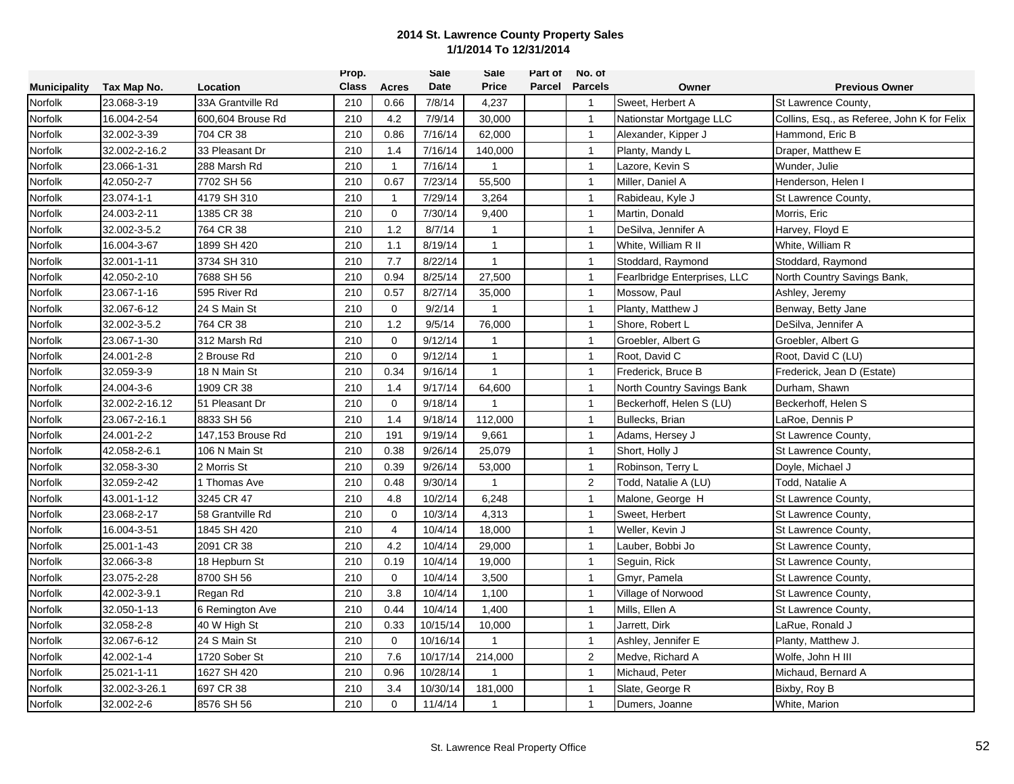|                     |                |                   | Prop.        |                     | <b>Sale</b> | Sale           | Part of | No. of         |                              |                                             |
|---------------------|----------------|-------------------|--------------|---------------------|-------------|----------------|---------|----------------|------------------------------|---------------------------------------------|
| <b>Municipality</b> | Tax Map No.    | Location          | <b>Class</b> | <b>Acres</b>        | Date        | <b>Price</b>   | Parcel  | <b>Parcels</b> | Owner                        | <b>Previous Owner</b>                       |
| Norfolk             | 23.068-3-19    | 33A Grantville Rd | 210          | 0.66                | 7/8/14      | 4,237          |         | $\overline{1}$ | Sweet, Herbert A             | St Lawrence County,                         |
| Norfolk             | 16.004-2-54    | 600.604 Brouse Rd | 210          | 4.2                 | 7/9/14      | 30,000         |         | $\overline{1}$ | Nationstar Mortgage LLC      | Collins, Esq., as Referee, John K for Felix |
| Norfolk             | 32.002-3-39    | 704 CR 38         | 210          | 0.86                | 7/16/14     | 62,000         |         | $\overline{1}$ | Alexander, Kipper J          | Hammond, Eric B                             |
| Norfolk             | 32.002-2-16.2  | 33 Pleasant Dr    | 210          | 1.4                 | 7/16/14     | 140,000        |         | $\mathbf{1}$   | Planty, Mandy L              | Draper, Matthew E                           |
| Norfolk             | 23.066-1-31    | 288 Marsh Rd      | 210          | $\mathbf{1}$        | 7/16/14     | $\mathbf{1}$   |         | $\mathbf{1}$   | Lazore, Kevin S              | Wunder, Julie                               |
| Norfolk             | 42.050-2-7     | 7702 SH 56        | 210          | 0.67                | 7/23/14     | 55,500         |         | $\mathbf{1}$   | Miller, Daniel A             | Henderson, Helen I                          |
| Norfolk             | 23.074-1-1     | 4179 SH 310       | 210          | $\mathbf{1}$        | 7/29/14     | 3,264          |         | $\mathbf{1}$   | Rabideau, Kyle J             | St Lawrence County,                         |
| Norfolk             | 24.003-2-11    | 1385 CR 38        | 210          | $\mathsf{O}\xspace$ | 7/30/14     | 9,400          |         | $\mathbf{1}$   | Martin, Donald               | Morris, Eric                                |
| Norfolk             | 32.002-3-5.2   | 764 CR 38         | 210          | 1.2                 | 8/7/14      | $\mathbf{1}$   |         | $\overline{1}$ | DeSilva, Jennifer A          | Harvey, Floyd E                             |
| Norfolk             | 16.004-3-67    | 1899 SH 420       | 210          | 1.1                 | 8/19/14     | $\mathbf{1}$   |         | $\mathbf{1}$   | White, William R II          | White, William R                            |
| Norfolk             | 32.001-1-11    | 3734 SH 310       | 210          | 7.7                 | 8/22/14     | $\mathbf{1}$   |         | $\mathbf{1}$   | Stoddard, Raymond            | Stoddard, Raymond                           |
| Norfolk             | 42.050-2-10    | 7688 SH 56        | 210          | 0.94                | 8/25/14     | 27,500         |         | $\mathbf{1}$   | Fearlbridge Enterprises, LLC | North Country Savings Bank,                 |
| Norfolk             | 23.067-1-16    | 595 River Rd      | 210          | 0.57                | 8/27/14     | 35,000         |         | $\mathbf{1}$   | Mossow, Paul                 | Ashley, Jeremy                              |
| Norfolk             | 32.067-6-12    | 24 S Main St      | 210          | 0                   | 9/2/14      | $\mathbf{1}$   |         | $\mathbf{1}$   | Planty, Matthew J            | Benway, Betty Jane                          |
| Norfolk             | 32.002-3-5.2   | 764 CR 38         | 210          | 1.2                 | 9/5/14      | 76,000         |         | $\mathbf{1}$   | Shore, Robert L              | DeSilva, Jennifer A                         |
| Norfolk             | 23.067-1-30    | 312 Marsh Rd      | 210          | $\mathbf 0$         | 9/12/14     | $\mathbf{1}$   |         | $\mathbf{1}$   | Groebler, Albert G           | Groebler, Albert G                          |
| Norfolk             | 24.001-2-8     | 2 Brouse Rd       | 210          | $\mathbf 0$         | 9/12/14     | $\mathbf{1}$   |         | $\mathbf{1}$   | Root, David C                | Root, David C (LU)                          |
| Norfolk             | 32.059-3-9     | 18 N Main St      | 210          | 0.34                | 9/16/14     | $\mathbf{1}$   |         | $\mathbf{1}$   | Frederick, Bruce B           | Frederick, Jean D (Estate)                  |
| Norfolk             | 24.004-3-6     | 1909 CR 38        | 210          | 1.4                 | 9/17/14     | 64,600         |         | $\mathbf{1}$   | North Country Savings Bank   | Durham, Shawn                               |
| Norfolk             | 32.002-2-16.12 | 51 Pleasant Dr    | 210          | $\mathbf 0$         | 9/18/14     | $\mathbf{1}$   |         | $\mathbf{1}$   | Beckerhoff, Helen S (LU)     | Beckerhoff, Helen S                         |
| Norfolk             | 23.067-2-16.1  | 8833 SH 56        | 210          | 1.4                 | 9/18/14     | 112,000        |         | $\mathbf{1}$   | Bullecks, Brian              | LaRoe, Dennis P                             |
| Norfolk             | 24.001-2-2     | 147,153 Brouse Rd | 210          | 191                 | 9/19/14     | 9,661          |         | $\overline{1}$ | Adams, Hersey J              | St Lawrence County,                         |
| Norfolk             | 42.058-2-6.1   | 106 N Main St     | 210          | 0.38                | 9/26/14     | 25,079         |         | $\mathbf{1}$   | Short, Holly J               | St Lawrence County,                         |
| Norfolk             | 32.058-3-30    | 2 Morris St       | 210          | 0.39                | 9/26/14     | 53,000         |         | $\mathbf{1}$   | Robinson, Terry L            | Doyle, Michael J                            |
| Norfolk             | 32.059-2-42    | I Thomas Ave      | 210          | 0.48                | 9/30/14     | $\mathbf{1}$   |         | 2              | Todd, Natalie A (LU)         | Todd, Natalie A                             |
| Norfolk             | 43.001-1-12    | 3245 CR 47        | 210          | 4.8                 | 10/2/14     | 6,248          |         | $\overline{1}$ | Malone, George H             | St Lawrence County,                         |
| Norfolk             | 23.068-2-17    | 58 Grantville Rd  | 210          | $\mathbf 0$         | 10/3/14     | 4,313          |         | $\mathbf{1}$   | Sweet, Herbert               | St Lawrence County,                         |
| Norfolk             | 16.004-3-51    | 1845 SH 420       | 210          | $\overline{4}$      | 10/4/14     | 18,000         |         | $\mathbf{1}$   | Weller, Kevin J              | St Lawrence County,                         |
| Norfolk             | 25.001-1-43    | 2091 CR 38        | 210          | 4.2                 | 10/4/14     | 29,000         |         | $\mathbf{1}$   | Lauber, Bobbi Jo             | St Lawrence County,                         |
| Norfolk             | 32.066-3-8     | 18 Hepburn St     | 210          | 0.19                | 10/4/14     | 19,000         |         | $\mathbf{1}$   | Seguin, Rick                 | St Lawrence County,                         |
| Norfolk             | 23.075-2-28    | 8700 SH 56        | 210          | $\mathbf 0$         | 10/4/14     | 3,500          |         | $\mathbf{1}$   | Gmyr, Pamela                 | St Lawrence County,                         |
| Norfolk             | 42.002-3-9.1   | Regan Rd          | 210          | 3.8                 | 10/4/14     | 1,100          |         | $\mathbf{1}$   | Village of Norwood           | St Lawrence County,                         |
| Norfolk             | 32.050-1-13    | 6 Remington Ave   | 210          | 0.44                | 10/4/14     | 1,400          |         | $\mathbf{1}$   | Mills, Ellen A               | St Lawrence County,                         |
| Norfolk             | 32.058-2-8     | 40 W High St      | 210          | 0.33                | 10/15/14    | 10,000         |         | $\mathbf{1}$   | Jarrett, Dirk                | LaRue, Ronald J                             |
| Norfolk             | 32.067-6-12    | 24 S Main St      | 210          | $\Omega$            | 10/16/14    | $\overline{1}$ |         | $\mathbf{1}$   | Ashley, Jennifer E           | Planty, Matthew J.                          |
| Norfolk             | 42.002-1-4     | 1720 Sober St     | 210          | 7.6                 | 10/17/14    | 214,000        |         | $\overline{2}$ | Medve, Richard A             | Wolfe, John H III                           |
| Norfolk             | 25.021-1-11    | 1627 SH 420       | 210          | 0.96                | 10/28/14    | 1              |         | $\mathbf{1}$   | Michaud, Peter               | Michaud, Bernard A                          |
| Norfolk             | 32.002-3-26.1  | 697 CR 38         | 210          | 3.4                 | 10/30/14    | 181,000        |         | $\mathbf{1}$   | Slate, George R              | Bixby, Roy B                                |
| Norfolk             | 32.002-2-6     | 8576 SH 56        | 210          | $\mathbf 0$         | 11/4/14     | 1              |         | $\overline{1}$ | Dumers, Joanne               | White, Marion                               |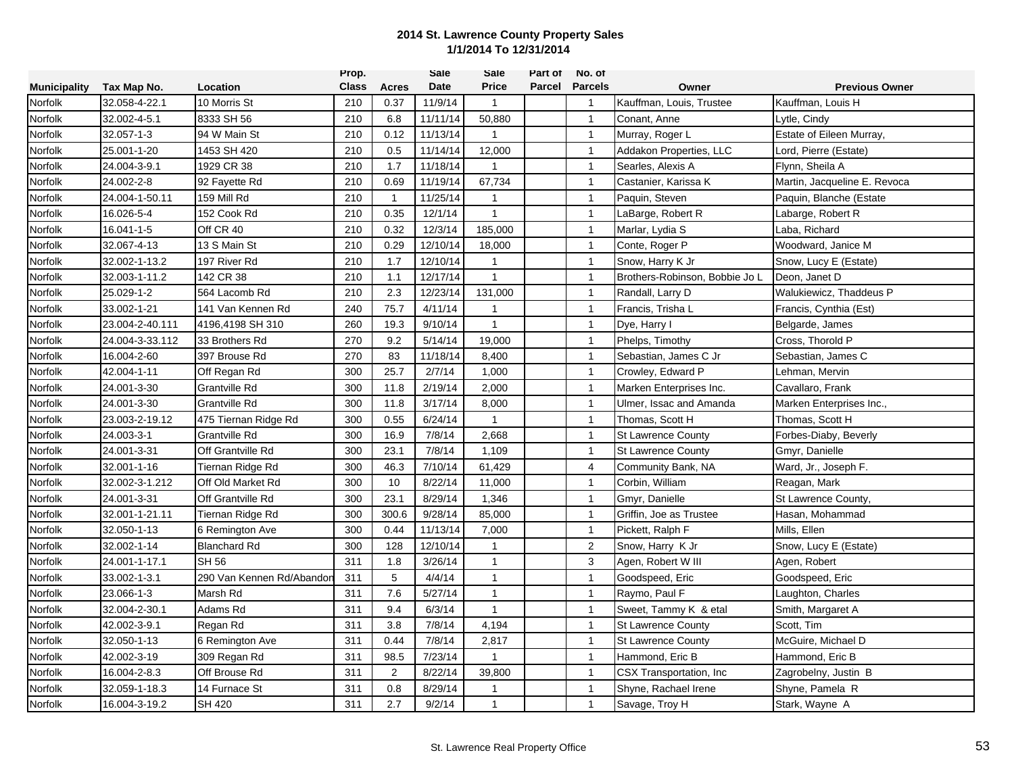|                     |                 |                           | Prop.        |              | <b>Sale</b> | Sale         | Part of | No. of         |                                |                              |
|---------------------|-----------------|---------------------------|--------------|--------------|-------------|--------------|---------|----------------|--------------------------------|------------------------------|
| <b>Municipality</b> | Tax Map No.     | Location                  | <b>Class</b> | <b>Acres</b> | Date        | <b>Price</b> | Parcel  | <b>Parcels</b> | Owner                          | <b>Previous Owner</b>        |
| Norfolk             | 32.058-4-22.1   | 10 Morris St              | 210          | 0.37         | 11/9/14     | $\mathbf{1}$ |         | $\mathbf{1}$   | Kauffman, Louis, Trustee       | Kauffman, Louis H            |
| Norfolk             | 32.002-4-5.1    | 8333 SH 56                | 210          | 6.8          | 11/11/14    | 50,880       |         | $\overline{1}$ | Conant, Anne                   | Lytle, Cindy                 |
| Norfolk             | 32.057-1-3      | 94 W Main St              | 210          | 0.12         | 11/13/14    | $\mathbf{1}$ |         | $\overline{1}$ | Murray, Roger L                | Estate of Eileen Murray,     |
| Norfolk             | 25.001-1-20     | 1453 SH 420               | 210          | 0.5          | 11/14/14    | 12,000       |         | $\mathbf{1}$   | Addakon Properties, LLC        | Lord, Pierre (Estate)        |
| Norfolk             | 24.004-3-9.1    | 1929 CR 38                | 210          | 1.7          | 11/18/14    | $\mathbf{1}$ |         | $\mathbf{1}$   | Searles, Alexis A              | Flynn, Sheila A              |
| Norfolk             | 24.002-2-8      | 92 Fayette Rd             | 210          | 0.69         | 11/19/14    | 67,734       |         | $\mathbf{1}$   | Castanier, Karissa K           | Martin, Jacqueline E. Revoca |
| Norfolk             | 24.004-1-50.11  | 159 Mill Rd               | 210          | $\mathbf{1}$ | 11/25/14    | $\mathbf{1}$ |         | $\mathbf{1}$   | Paquin, Steven                 | Paquin, Blanche (Estate      |
| Norfolk             | 16.026-5-4      | 152 Cook Rd               | 210          | 0.35         | 12/1/14     | $\mathbf{1}$ |         | $\mathbf{1}$   | LaBarge, Robert R              | Labarge, Robert R            |
| Norfolk             | 16.041-1-5      | Off CR 40                 | 210          | 0.32         | 12/3/14     | 185,000      |         | $\overline{1}$ | Marlar, Lydia S                | Laba, Richard                |
| Norfolk             | 32.067-4-13     | 13 S Main St              | 210          | 0.29         | 12/10/14    | 18,000       |         | $\mathbf{1}$   | Conte, Roger P                 | Woodward, Janice M           |
| Norfolk             | 32.002-1-13.2   | 197 River Rd              | 210          | 1.7          | 12/10/14    | $\mathbf{1}$ |         | $\mathbf{1}$   | Snow, Harry K Jr               | Snow, Lucy E (Estate)        |
| Norfolk             | 32.003-1-11.2   | 142 CR 38                 | 210          | 1.1          | 12/17/14    | $\mathbf{1}$ |         | $\mathbf{1}$   | Brothers-Robinson, Bobbie Jo L | Deon, Janet D                |
| Norfolk             | 25.029-1-2      | 564 Lacomb Rd             | 210          | 2.3          | 12/23/14    | 131,000      |         | $\mathbf{1}$   | Randall, Larry D               | Walukiewicz, Thaddeus P      |
| Norfolk             | 33.002-1-21     | 141 Van Kennen Rd         | 240          | 75.7         | 4/11/14     | $\mathbf{1}$ |         | $\mathbf{1}$   | Francis, Trisha L              | Francis, Cynthia (Est)       |
| Norfolk             | 23.004-2-40.111 | 4196,4198 SH 310          | 260          | 19.3         | 9/10/14     | $\mathbf{1}$ |         | $\overline{1}$ | Dye, Harry I                   | Belgarde, James              |
| Norfolk             | 24.004-3-33.112 | 33 Brothers Rd            | 270          | 9.2          | 5/14/14     | 19,000       |         | $\mathbf{1}$   | Phelps, Timothy                | Cross, Thorold P             |
| Norfolk             | 16.004-2-60     | 397 Brouse Rd             | 270          | 83           | 11/18/14    | 8,400        |         | $\mathbf{1}$   | Sebastian, James C Jr          | Sebastian, James C           |
| Norfolk             | 42.004-1-11     | Off Regan Rd              | 300          | 25.7         | 2/7/14      | 1,000        |         | $\mathbf{1}$   | Crowley, Edward P              | Lehman, Mervin               |
| Norfolk             | 24.001-3-30     | Grantville Rd             | 300          | 11.8         | 2/19/14     | 2,000        |         | $\mathbf{1}$   | Marken Enterprises Inc.        | Cavallaro, Frank             |
| Norfolk             | 24.001-3-30     | Grantville Rd             | 300          | 11.8         | 3/17/14     | 8,000        |         | $\mathbf{1}$   | Ulmer, Issac and Amanda        | Marken Enterprises Inc.,     |
| Norfolk             | 23.003-2-19.12  | 475 Tiernan Ridge Rd      | 300          | 0.55         | 6/24/14     | $\mathbf{1}$ |         | $\overline{1}$ | Thomas, Scott H                | Thomas, Scott H              |
| Norfolk             | 24.003-3-1      | Grantville Rd             | 300          | 16.9         | 7/8/14      | 2,668        |         | $\overline{1}$ | <b>St Lawrence County</b>      | Forbes-Diaby, Beverly        |
| Norfolk             | 24.001-3-31     | Off Grantville Rd         | 300          | 23.1         | 7/8/14      | 1,109        |         | $\mathbf{1}$   | <b>St Lawrence County</b>      | Gmyr, Danielle               |
| Norfolk             | 32.001-1-16     | Tiernan Ridge Rd          | 300          | 46.3         | 7/10/14     | 61,429       |         | 4              | Community Bank, NA             | Ward, Jr., Joseph F.         |
| Norfolk             | 32.002-3-1.212  | Off Old Market Rd         | 300          | 10           | 8/22/14     | 11,000       |         | $\mathbf{1}$   | Corbin, William                | Reagan, Mark                 |
| Norfolk             | 24.001-3-31     | Off Grantville Rd         | 300          | 23.1         | 8/29/14     | 1,346        |         | $\mathbf{1}$   | Gmyr, Danielle                 | St Lawrence County,          |
| Norfolk             | 32.001-1-21.11  | Tiernan Ridge Rd          | 300          | 300.6        | 9/28/14     | 85,000       |         | $\overline{1}$ | Griffin, Joe as Trustee        | Hasan, Mohammad              |
| Norfolk             | 32.050-1-13     | 6 Remington Ave           | 300          | 0.44         | 11/13/14    | 7,000        |         | $\overline{1}$ | Pickett, Ralph F               | Mills, Ellen                 |
| Norfolk             | 32.002-1-14     | <b>Blanchard Rd</b>       | 300          | 128          | 12/10/14    | $\mathbf{1}$ |         | 2              | Snow, Harry K Jr               | Snow, Lucy E (Estate)        |
| Norfolk             | 24.001-1-17.1   | <b>SH 56</b>              | 311          | 1.8          | 3/26/14     | $\mathbf{1}$ |         | 3              | Agen, Robert W III             | Agen, Robert                 |
| Norfolk             | 33.002-1-3.1    | 290 Van Kennen Rd/Abandor | 311          | 5            | 4/4/14      | $\mathbf{1}$ |         | $\mathbf{1}$   | Goodspeed, Eric                | Goodspeed, Eric              |
| Norfolk             | 23.066-1-3      | Marsh Rd                  | 311          | 7.6          | 5/27/14     | 1            |         | $\mathbf{1}$   | Raymo, Paul F                  | Laughton, Charles            |
| Norfolk             | 32.004-2-30.1   | Adams Rd                  | 311          | 9.4          | 6/3/14      | $\mathbf{1}$ |         | $\mathbf{1}$   | Sweet, Tammy K & etal          | Smith, Margaret A            |
| Norfolk             | 42.002-3-9.1    | Regan Rd                  | 311          | 3.8          | 7/8/14      | 4,194        |         | $\overline{1}$ | <b>St Lawrence County</b>      | Scott, Tim                   |
| Norfolk             | 32.050-1-13     | 6 Remington Ave           | 311          | 0.44         | 7/8/14      | 2,817        |         | $\mathbf{1}$   | <b>St Lawrence County</b>      | McGuire, Michael D           |
| Norfolk             | 42.002-3-19     | 309 Regan Rd              | 311          | 98.5         | 7/23/14     | $\mathbf{1}$ |         | $\overline{1}$ | Hammond, Eric B                | Hammond, Eric B              |
| Norfolk             | 16.004-2-8.3    | Off Brouse Rd             | 311          | 2            | 8/22/14     | 39,800       |         | $\mathbf{1}$   | CSX Transportation, Inc.       | Zagrobelny, Justin B         |
| Norfolk             | 32.059-1-18.3   | 14 Furnace St             | 311          | 0.8          | 8/29/14     | 1            |         | $\mathbf{1}$   | Shyne, Rachael Irene           | Shyne, Pamela R              |
| Norfolk             | 16.004-3-19.2   | <b>SH 420</b>             | 311          | 2.7          | 9/2/14      | $\mathbf{1}$ |         | $\mathbf{1}$   | Savage, Troy H                 | Stark, Wayne A               |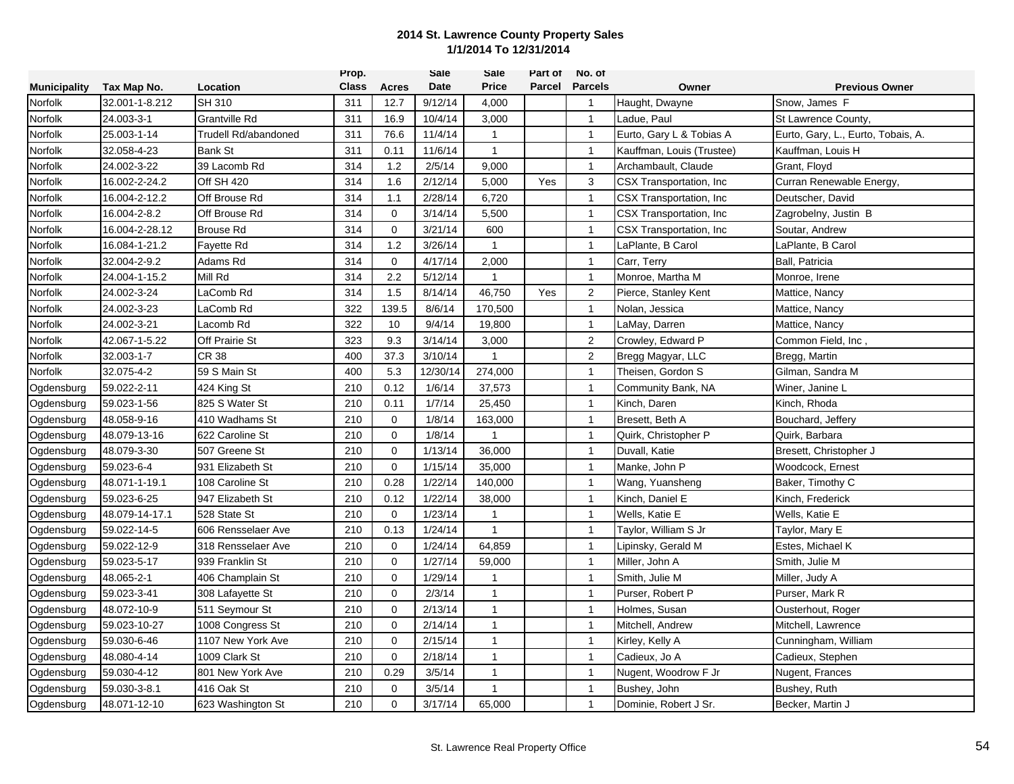|                     |                |                      | Prop.        |             | <b>Sale</b> | Sale           | Part of | No. of         |                           |                                    |
|---------------------|----------------|----------------------|--------------|-------------|-------------|----------------|---------|----------------|---------------------------|------------------------------------|
| <b>Municipality</b> | Tax Map No.    | Location             | <b>Class</b> | Acres       | Date        | <b>Price</b>   | Parcel  | <b>Parcels</b> | Owner                     | <b>Previous Owner</b>              |
| Norfolk             | 32.001-1-8.212 | <b>SH 310</b>        | 311          | 12.7        | 9/12/14     | 4,000          |         | $\mathbf{1}$   | Haught, Dwayne            | Snow, James F                      |
| Norfolk             | 24.003-3-1     | Grantville Rd        | 311          | 16.9        | 10/4/14     | 3,000          |         | $\mathbf{1}$   | Ladue, Paul               | St Lawrence County,                |
| Norfolk             | 25.003-1-14    | Trudell Rd/abandoned | 311          | 76.6        | 11/4/14     | $\mathbf{1}$   |         | $\mathbf{1}$   | Eurto, Gary L & Tobias A  | Eurto, Gary, L., Eurto, Tobais, A. |
| Norfolk             | 32.058-4-23    | <b>Bank St</b>       | 311          | 0.11        | 11/6/14     | $\mathbf{1}$   |         | $\mathbf{1}$   | Kauffman, Louis (Trustee) | Kauffman, Louis H                  |
| Norfolk             | 24.002-3-22    | 39 Lacomb Rd         | 314          | 1.2         | 2/5/14      | 9,000          |         | $\mathbf{1}$   | Archambault, Claude       | Grant, Floyd                       |
| Norfolk             | 16.002-2-24.2  | Off SH 420           | 314          | 1.6         | 2/12/14     | 5,000          | Yes     | 3              | CSX Transportation, Inc.  | Curran Renewable Energy,           |
| Norfolk             | 16.004-2-12.2  | Off Brouse Rd        | 314          | 1.1         | 2/28/14     | 6,720          |         | $\mathbf{1}$   | CSX Transportation, Inc.  | Deutscher, David                   |
| Norfolk             | 16.004-2-8.2   | Off Brouse Rd        | 314          | $\mathbf 0$ | 3/14/14     | 5,500          |         | $\mathbf{1}$   | CSX Transportation, Inc.  | Zagrobelny, Justin B               |
| Norfolk             | 16.004-2-28.12 | <b>Brouse Rd</b>     | 314          | $\Omega$    | 3/21/14     | 600            |         | $\overline{1}$ | CSX Transportation, Inc.  | Soutar, Andrew                     |
| Norfolk             | 16.084-1-21.2  | Favette Rd           | 314          | 1.2         | 3/26/14     | $\overline{1}$ |         | $\mathbf{1}$   | LaPlante, B Carol         | LaPlante, B Carol                  |
| Norfolk             | 32.004-2-9.2   | Adams Rd             | 314          | 0           | 4/17/14     | 2,000          |         | $\mathbf{1}$   | Carr, Terry               | Ball, Patricia                     |
| Norfolk             | 24.004-1-15.2  | Mill Rd              | 314          | 2.2         | 5/12/14     | $\mathbf{1}$   |         | $\mathbf{1}$   | Monroe, Martha M          | Monroe, Irene                      |
| Norfolk             | 24.002-3-24    | LaComb Rd            | 314          | 1.5         | 8/14/14     | 46,750         | Yes     | $\overline{2}$ | Pierce, Stanley Kent      | Mattice, Nancy                     |
| Norfolk             | 24.002-3-23    | LaComb Rd            | 322          | 139.5       | 8/6/14      | 170,500        |         | $\mathbf{1}$   | Nolan, Jessica            | Mattice, Nancy                     |
| Norfolk             | 24.002-3-21    | Lacomb Rd            | 322          | 10          | 9/4/14      | 19,800         |         | $\overline{1}$ | LaMay, Darren             | Mattice, Nancy                     |
| Norfolk             | 42.067-1-5.22  | Off Prairie St       | 323          | 9.3         | 3/14/14     | 3,000          |         | 2              | Crowley, Edward P         | Common Field, Inc,                 |
| Norfolk             | 32.003-1-7     | CR 38                | 400          | 37.3        | 3/10/14     | 1              |         | $\overline{2}$ | Bregg Magyar, LLC         | Bregg, Martin                      |
| Norfolk             | 32.075-4-2     | 59 S Main St         | 400          | 5.3         | 12/30/14    | 274,000        |         | $\mathbf{1}$   | Theisen, Gordon S         | Gilman, Sandra M                   |
| Ogdensburg          | 59.022-2-11    | 424 King St          | 210          | 0.12        | 1/6/14      | 37,573         |         | $\mathbf{1}$   | Community Bank, NA        | Winer, Janine L                    |
| Ogdensburg          | 59.023-1-56    | 825 S Water St       | 210          | 0.11        | 1/7/14      | 25,450         |         | $\mathbf{1}$   | Kinch, Daren              | Kinch, Rhoda                       |
| Ogdensburg          | 48.058-9-16    | 410 Wadhams St       | 210          | $\mathbf 0$ | 1/8/14      | 163,000        |         | $\mathbf{1}$   | Bresett, Beth A           | Bouchard, Jeffery                  |
| Ogdensburg          | 48.079-13-16   | 622 Caroline St      | 210          | $\mathbf 0$ | 1/8/14      | $\mathbf{1}$   |         | $\mathbf{1}$   | Quirk, Christopher P      | Quirk, Barbara                     |
| Ogdensburg          | 48.079-3-30    | 507 Greene St        | 210          | $\mathbf 0$ | 1/13/14     | 36,000         |         | $\mathbf{1}$   | Duvall, Katie             | Bresett, Christopher J             |
| Ogdensburg          | 59.023-6-4     | 931 Elizabeth St     | 210          | 0           | 1/15/14     | 35,000         |         | $\mathbf{1}$   | Manke, John P             | Woodcock, Ernest                   |
| Ogdensburg          | 48.071-1-19.1  | 108 Caroline St      | 210          | 0.28        | 1/22/14     | 140,000        |         | $\mathbf{1}$   | Wang, Yuansheng           | Baker, Timothy C                   |
| Ogdensburg          | 59.023-6-25    | 947 Elizabeth St     | 210          | 0.12        | 1/22/14     | 38,000         |         | $\mathbf{1}$   | Kinch, Daniel E           | Kinch, Frederick                   |
| Ogdensburg          | 48.079-14-17.1 | 528 State St         | 210          | $\mathbf 0$ | 1/23/14     | $\mathbf{1}$   |         | $\mathbf{1}$   | Wells, Katie E            | Wells, Katie E                     |
| Ogdensburg          | 59.022-14-5    | 606 Rensselaer Ave   | 210          | 0.13        | 1/24/14     | $\mathbf{1}$   |         | $\overline{1}$ | Taylor, William S Jr      | Taylor, Mary E                     |
| Ogdensburg          | 59.022-12-9    | 318 Rensselaer Ave   | 210          | $\mathbf 0$ | 1/24/14     | 64,859         |         | $\overline{1}$ | Lipinsky, Gerald M        | Estes, Michael K                   |
| Ogdensburg          | 59.023-5-17    | 939 Franklin St      | 210          | $\mathbf 0$ | 1/27/14     | 59,000         |         | $\mathbf{1}$   | Miller, John A            | Smith, Julie M                     |
| Ogdensburg          | 48.065-2-1     | 406 Champlain St     | 210          | $\mathbf 0$ | 1/29/14     | $\mathbf{1}$   |         | $\mathbf{1}$   | Smith, Julie M            | Miller, Judy A                     |
| Ogdensburg          | 59.023-3-41    | 308 Lafayette St     | 210          | $\mathbf 0$ | 2/3/14      | $\mathbf{1}$   |         | $\mathbf{1}$   | Purser, Robert P          | Purser, Mark R                     |
| Ogdensburg          | 48.072-10-9    | 511 Seymour St       | 210          | $\mathbf 0$ | 2/13/14     | $\mathbf{1}$   |         | $\mathbf{1}$   | Holmes, Susan             | Ousterhout, Roger                  |
| Ogdensburg          | 59.023-10-27   | 1008 Congress St     | 210          | $\mathbf 0$ | 2/14/14     | $\mathbf{1}$   |         | $\mathbf{1}$   | Mitchell, Andrew          | Mitchell, Lawrence                 |
| Ogdensburg          | 59.030-6-46    | 1107 New York Ave    | 210          | $\mathbf 0$ | 2/15/14     | $\mathbf{1}$   |         | $\overline{1}$ | Kirley, Kelly A           | Cunningham, William                |
| Ogdensburg          | 48.080-4-14    | 1009 Clark St        | 210          | $\mathbf 0$ | 2/18/14     | 1              |         | $\mathbf{1}$   | Cadieux, Jo A             | Cadieux, Stephen                   |
| Ogdensburg          | 59.030-4-12    | 801 New York Ave     | 210          | 0.29        | 3/5/14      | 1              |         | $\mathbf{1}$   | Nugent, Woodrow F Jr      | Nugent, Frances                    |
| Ogdensburg          | 59.030-3-8.1   | 416 Oak St           | 210          | $\mathbf 0$ | 3/5/14      | 1              |         | $\mathbf{1}$   | Bushey, John              | Bushey, Ruth                       |
| Ogdensburg          | 48.071-12-10   | 623 Washington St    | 210          | $\Omega$    | 3/17/14     | 65,000         |         | $\mathbf{1}$   | Dominie, Robert J Sr.     | Becker, Martin J                   |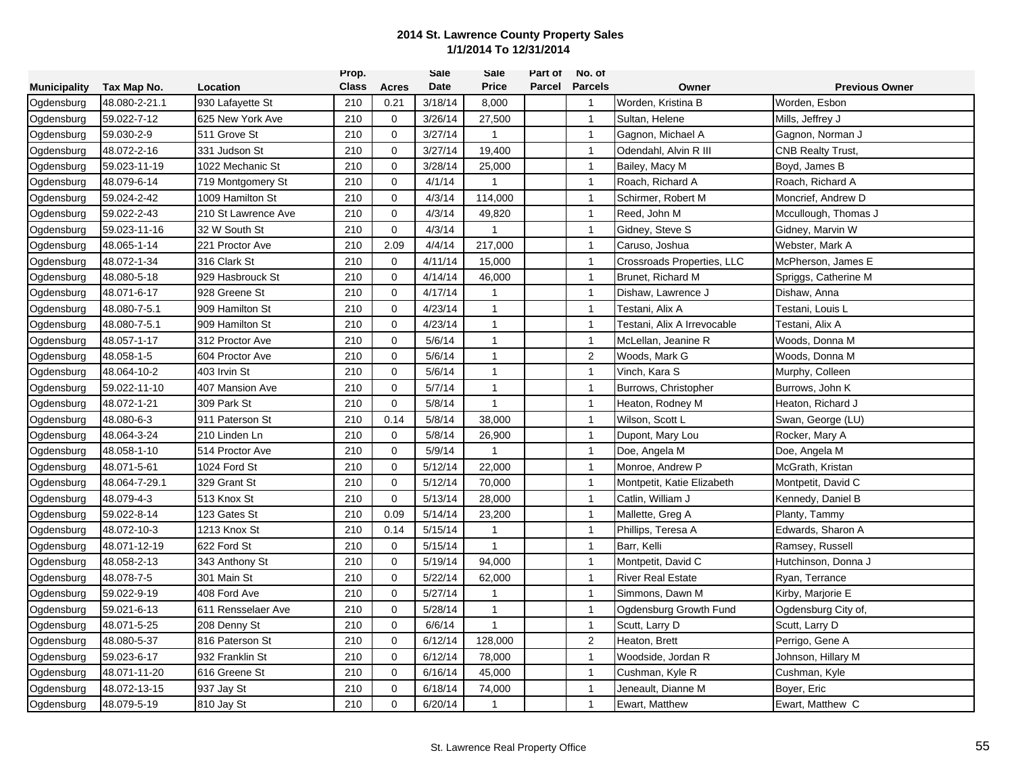|                     |               |                     | Prop.        |             | Sale    | Sale         | Part of | No. of         |                             |                       |
|---------------------|---------------|---------------------|--------------|-------------|---------|--------------|---------|----------------|-----------------------------|-----------------------|
| <b>Municipality</b> | Tax Map No.   | Location            | <b>Class</b> | Acres       | Date    | <b>Price</b> | Parcel  | <b>Parcels</b> | Owner                       | <b>Previous Owner</b> |
| Ogdensburg          | 48.080-2-21.1 | 930 Lafayette St    | 210          | 0.21        | 3/18/14 | 8,000        |         | $\overline{1}$ | Worden, Kristina B          | Worden, Esbon         |
| Ogdensburg          | 59.022-7-12   | 625 New York Ave    | 210          | 0           | 3/26/14 | 27,500       |         | $\overline{1}$ | Sultan, Helene              | Mills, Jeffrey J      |
| Ogdensburg          | 59.030-2-9    | 511 Grove St        | 210          | 0           | 3/27/14 | $\mathbf{1}$ |         | $\overline{1}$ | Gagnon, Michael A           | Gagnon, Norman J      |
| Ogdensburg          | 48.072-2-16   | 331 Judson St       | 210          | $\mathbf 0$ | 3/27/14 | 19,400       |         | $\overline{1}$ | Odendahl, Alvin R III       | CNB Realty Trust,     |
| Ogdensburg          | 59.023-11-19  | 1022 Mechanic St    | 210          | 0           | 3/28/14 | 25,000       |         | $\overline{1}$ | Bailey, Macy M              | Boyd, James B         |
| Ogdensburg          | 48.079-6-14   | 719 Montgomery St   | 210          | $\mathbf 0$ | 4/1/14  | -1           |         | $\overline{1}$ | Roach, Richard A            | Roach, Richard A      |
| Ogdensburg          | 59.024-2-42   | 1009 Hamilton St    | 210          | $\mathbf 0$ | 4/3/14  | 114,000      |         | $\overline{1}$ | Schirmer, Robert M          | Moncrief, Andrew D    |
| Ogdensburg          | 59.022-2-43   | 210 St Lawrence Ave | 210          | $\mathbf 0$ | 4/3/14  | 49,820       |         | $\overline{1}$ | Reed, John M                | Mccullough, Thomas J  |
| Ogdensburg          | 59.023-11-16  | 32 W South St       | 210          | $\mathbf 0$ | 4/3/14  | -1           |         | $\overline{1}$ | Gidney, Steve S             | Gidney, Marvin W      |
| Ogdensburg          | 48.065-1-14   | 221 Proctor Ave     | 210          | 2.09        | 4/4/14  | 217,000      |         | $\overline{1}$ | Caruso, Joshua              | Webster, Mark A       |
| Ogdensburg          | 48.072-1-34   | 316 Clark St        | 210          | 0           | 4/11/14 | 15,000       |         | $\overline{1}$ | Crossroads Properties, LLC  | McPherson, James E    |
| Ogdensburg          | 48.080-5-18   | 929 Hasbrouck St    | 210          | $\mathbf 0$ | 4/14/14 | 46,000       |         | $\overline{1}$ | Brunet, Richard M           | Spriggs, Catherine M  |
| Ogdensburg          | 48.071-6-17   | 928 Greene St       | 210          | 0           | 4/17/14 | -1           |         | $\overline{1}$ | Dishaw, Lawrence J          | Dishaw, Anna          |
| Ogdensburg          | 48.080-7-5.1  | 909 Hamilton St     | 210          | $\mathbf 0$ | 4/23/14 | $\mathbf{1}$ |         | $\overline{1}$ | Testani, Alix A             | Testani, Louis L      |
| Ogdensburg          | 48.080-7-5.1  | 909 Hamilton St     | 210          | 0           | 4/23/14 | $\mathbf{1}$ |         | $\overline{1}$ | Testani, Alix A Irrevocable | Testani, Alix A       |
| Ogdensburg          | 48.057-1-17   | 312 Proctor Ave     | 210          | $\mathbf 0$ | 5/6/14  | $\mathbf{1}$ |         | $\overline{1}$ | McLellan, Jeanine R         | Woods, Donna M        |
| Ogdensburg          | 48.058-1-5    | 604 Proctor Ave     | 210          | 0           | 5/6/14  | $\mathbf{1}$ |         | $\overline{2}$ | Woods, Mark G               | Woods, Donna M        |
| Ogdensburg          | 48.064-10-2   | 403 Irvin St        | 210          | $\mathbf 0$ | 5/6/14  | $\mathbf{1}$ |         | $\overline{1}$ | Vinch, Kara S               | Murphy, Colleen       |
| Ogdensburg          | 59.022-11-10  | 407 Mansion Ave     | 210          | 0           | 5/7/14  | $\mathbf{1}$ |         | $\overline{1}$ | Burrows, Christopher        | Burrows, John K       |
| Ogdensburg          | 48.072-1-21   | 309 Park St         | 210          | $\mathbf 0$ | 5/8/14  | $\mathbf{1}$ |         | $\overline{1}$ | Heaton, Rodney M            | Heaton, Richard J     |
| Ogdensburg          | 48.080-6-3    | 911 Paterson St     | 210          | 0.14        | 5/8/14  | 38,000       |         | $\overline{1}$ | Wilson, Scott L             | Swan, George (LU)     |
| Ogdensburg          | 48.064-3-24   | 210 Linden Ln       | 210          | 0           | 5/8/14  | 26,900       |         | $\overline{1}$ | Dupont, Mary Lou            | Rocker, Mary A        |
| Ogdensburg          | 48.058-1-10   | 514 Proctor Ave     | 210          | 0           | 5/9/14  | $\mathbf{1}$ |         | $\mathbf{1}$   | Doe, Angela M               | Doe, Angela M         |
| Ogdensburg          | 48.071-5-61   | 1024 Ford St        | 210          | 0           | 5/12/14 | 22,000       |         | $\overline{1}$ | Monroe, Andrew P            | McGrath, Kristan      |
| Ogdensburg          | 48.064-7-29.1 | 329 Grant St        | 210          | 0           | 5/12/14 | 70,000       |         | $\overline{1}$ | Montpetit, Katie Elizabeth  | Montpetit, David C    |
| Ogdensburg          | 48.079-4-3    | 513 Knox St         | 210          | 0           | 5/13/14 | 28,000       |         | $\overline{1}$ | Catlin, William J           | Kennedy, Daniel B     |
| Ogdensburg          | 59.022-8-14   | 123 Gates St        | 210          | 0.09        | 5/14/14 | 23,200       |         | $\overline{1}$ | Mallette, Greg A            | Planty, Tammy         |
| Ogdensburg          | 48.072-10-3   | 1213 Knox St        | 210          | 0.14        | 5/15/14 | $\mathbf{1}$ |         | $\overline{1}$ | Phillips, Teresa A          | Edwards, Sharon A     |
| Ogdensburg          | 48.071-12-19  | 622 Ford St         | 210          | 0           | 5/15/14 | $\mathbf{1}$ |         | $\overline{1}$ | Barr, Kelli                 | Ramsey, Russell       |
| Ogdensburg          | 48.058-2-13   | 343 Anthony St      | 210          | $\mathbf 0$ | 5/19/14 | 94,000       |         | $\overline{1}$ | Montpetit, David C          | Hutchinson, Donna J   |
| Ogdensburg          | 48.078-7-5    | 301 Main St         | 210          | 0           | 5/22/14 | 62,000       |         | $\overline{1}$ | <b>River Real Estate</b>    | Ryan, Terrance        |
| Ogdensburg          | 59.022-9-19   | 408 Ford Ave        | 210          | $\mathbf 0$ | 5/27/14 | $\mathbf{1}$ |         | $\overline{1}$ | Simmons, Dawn M             | Kirby, Marjorie E     |
| Ogdensburg          | 59.021-6-13   | 611 Rensselaer Ave  | 210          | $\mathbf 0$ | 5/28/14 | $\mathbf{1}$ |         | $\overline{1}$ | Ogdensburg Growth Fund      | Ogdensburg City of,   |
| Ogdensburg          | 48.071-5-25   | 208 Denny St        | 210          | $\mathbf 0$ | 6/6/14  | $\mathbf{1}$ |         | $\overline{1}$ | Scutt, Larry D              | Scutt, Larry D        |
| Ogdensburg          | 48.080-5-37   | 816 Paterson St     | 210          | 0           | 6/12/14 | 128,000      |         | $\overline{2}$ | Heaton, Brett               | Perrigo, Gene A       |
| Ogdensburg          | 59.023-6-17   | 932 Franklin St     | 210          | 0           | 6/12/14 | 78,000       |         | $\overline{1}$ | Woodside, Jordan R          | Johnson, Hillary M    |
| Ogdensburg          | 48.071-11-20  | 616 Greene St       | 210          | 0           | 6/16/14 | 45,000       |         | $\overline{1}$ | Cushman, Kyle R             | Cushman, Kyle         |
| Ogdensburg          | 48.072-13-15  | 937 Jay St          | 210          | 0           | 6/18/14 | 74,000       |         | $\overline{1}$ | Jeneault, Dianne M          | Boyer, Eric           |
| Ogdensburg          | 48.079-5-19   | 810 Jay St          | 210          | $\Omega$    | 6/20/14 |              |         | $\overline{1}$ | Ewart, Matthew              | Ewart, Matthew C      |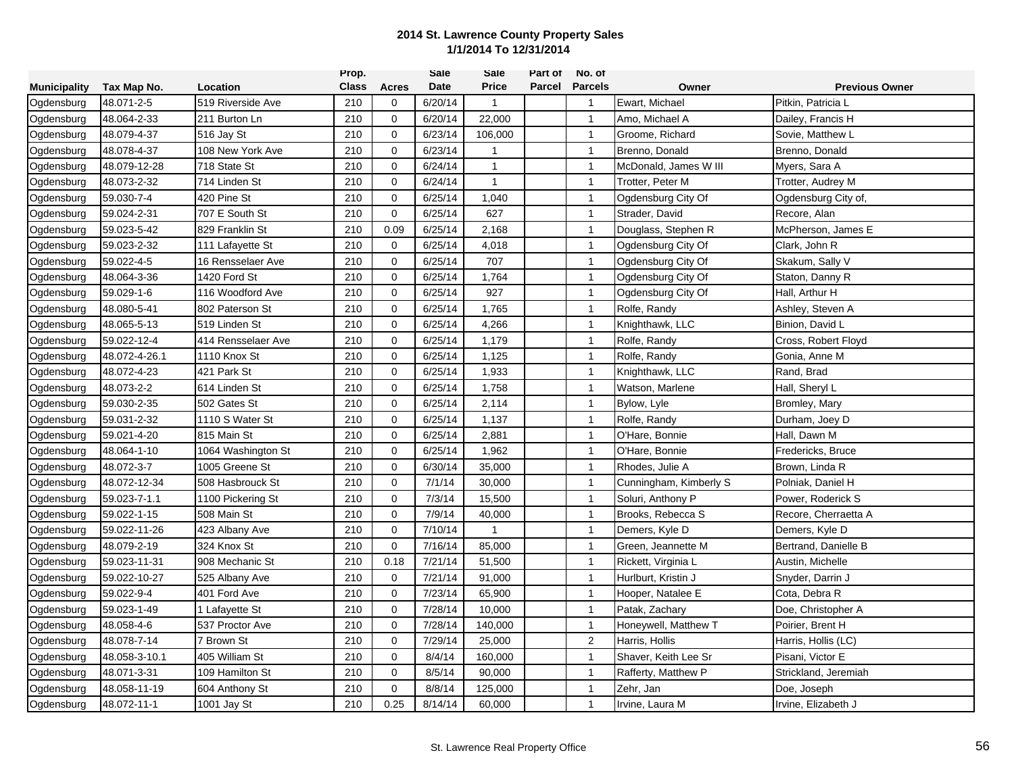|                     |               |                    | Prop.        |             | <b>Sale</b> | Sale         | Part of | No. of                  |                        |                       |
|---------------------|---------------|--------------------|--------------|-------------|-------------|--------------|---------|-------------------------|------------------------|-----------------------|
| <b>Municipality</b> | Tax Map No.   | Location           | <b>Class</b> | Acres       | Date        | <b>Price</b> | Parcel  | <b>Parcels</b>          | Owner                  | <b>Previous Owner</b> |
| Ogdensburg          | 48.071-2-5    | 519 Riverside Ave  | 210          | 0           | 6/20/14     | 1            |         | $\overline{\mathbf{1}}$ | Ewart, Michael         | Pitkin, Patricia L    |
| Ogdensburg          | 48.064-2-33   | 211 Burton Ln      | 210          | $\mathbf 0$ | 6/20/14     | 22,000       |         | $\overline{1}$          | Amo, Michael A         | Dailey, Francis H     |
| Ogdensburg          | 48.079-4-37   | 516 Jay St         | 210          | 0           | 6/23/14     | 106,000      |         | $\overline{1}$          | Groome, Richard        | Sovie, Matthew L      |
| Ogdensburg          | 48.078-4-37   | 108 New York Ave   | 210          | 0           | 6/23/14     | $\mathbf{1}$ |         | $\overline{1}$          | Brenno, Donald         | Brenno, Donald        |
| Ogdensburg          | 48.079-12-28  | 718 State St       | 210          | 0           | 6/24/14     | $\mathbf{1}$ |         | $\overline{1}$          | McDonald, James W III  | Myers, Sara A         |
| Ogdensburg          | 48.073-2-32   | 714 Linden St      | 210          | $\mathbf 0$ | 6/24/14     | $\mathbf{1}$ |         | $\overline{1}$          | Trotter, Peter M       | Trotter, Audrey M     |
| Ogdensburg          | 59.030-7-4    | 420 Pine St        | 210          | 0           | 6/25/14     | 1,040        |         | $\overline{1}$          | Ogdensburg City Of     | Ogdensburg City of,   |
| Ogdensburg          | 59.024-2-31   | 707 E South St     | 210          | $\mathbf 0$ | 6/25/14     | 627          |         | $\overline{1}$          | Strader, David         | Recore, Alan          |
| Ogdensburg          | 59.023-5-42   | 829 Franklin St    | 210          | 0.09        | 6/25/14     | 2,168        |         | $\overline{1}$          | Douglass, Stephen R    | McPherson, James E    |
| Ogdensburg          | 59.023-2-32   | 111 Lafayette St   | 210          | 0           | 6/25/14     | 4,018        |         | $\overline{1}$          | Ogdensburg City Of     | Clark, John R         |
| Ogdensburg          | 59.022-4-5    | 16 Rensselaer Ave  | 210          | 0           | 6/25/14     | 707          |         | $\overline{1}$          | Ogdensburg City Of     | Skakum, Sally V       |
| Ogdensburg          | 48.064-3-36   | 1420 Ford St       | 210          | $\mathbf 0$ | 6/25/14     | 1,764        |         | $\overline{1}$          | Ogdensburg City Of     | Staton, Danny R       |
| Ogdensburg          | 59.029-1-6    | 116 Woodford Ave   | 210          | 0           | 6/25/14     | 927          |         | $\overline{1}$          | Ogdensburg City Of     | Hall, Arthur H        |
| Ogdensburg          | 48.080-5-41   | 802 Paterson St    | 210          | $\mathbf 0$ | 6/25/14     | 1,765        |         | $\overline{1}$          | Rolfe, Randy           | Ashley, Steven A      |
| Ogdensburg          | 48.065-5-13   | 519 Linden St      | 210          | 0           | 6/25/14     | 4,266        |         | $\overline{1}$          | Knighthawk, LLC        | Binion, David L       |
| Ogdensburg          | 59.022-12-4   | 414 Rensselaer Ave | 210          | 0           | 6/25/14     | 1,179        |         | $\overline{1}$          | Rolfe, Randy           | Cross, Robert Floyd   |
| Ogdensburg          | 48.072-4-26.1 | 1110 Knox St       | 210          | 0           | 6/25/14     | 1,125        |         | $\overline{1}$          | Rolfe, Randy           | Gonia, Anne M         |
| Ogdensburg          | 48.072-4-23   | 421 Park St        | 210          | 0           | 6/25/14     | 1,933        |         | $\overline{1}$          | Knighthawk, LLC        | Rand, Brad            |
| Ogdensburg          | 48.073-2-2    | 614 Linden St      | 210          | $\mathbf 0$ | 6/25/14     | 1,758        |         | $\mathbf{1}$            | Watson, Marlene        | Hall, Sheryl L        |
| Ogdensburg          | 59.030-2-35   | 502 Gates St       | 210          | 0           | 6/25/14     | 2,114        |         | $\overline{1}$          | Bylow, Lyle            | Bromley, Mary         |
| Ogdensburg          | 59.031-2-32   | 1110 S Water St    | 210          | $\mathbf 0$ | 6/25/14     | 1,137        |         | $\overline{1}$          | Rolfe, Randy           | Durham, Joey D        |
| Ogdensburg          | 59.021-4-20   | 815 Main St        | 210          | 0           | 6/25/14     | 2,881        |         | $\overline{1}$          | O'Hare, Bonnie         | Hall, Dawn M          |
| Ogdensburg          | 48.064-1-10   | 1064 Washington St | 210          | 0           | 6/25/14     | 1,962        |         | $\overline{1}$          | O'Hare, Bonnie         | Fredericks, Bruce     |
| Ogdensburg          | 48.072-3-7    | 1005 Greene St     | 210          | 0           | 6/30/14     | 35,000       |         | $\overline{1}$          | Rhodes, Julie A        | Brown, Linda R        |
| Ogdensburg          | 48.072-12-34  | 508 Hasbrouck St   | 210          | $\mathbf 0$ | 7/1/14      | 30,000       |         | $\mathbf{1}$            | Cunningham, Kimberly S | Polniak, Daniel H     |
| Ogdensburg          | 59.023-7-1.1  | 1100 Pickering St  | 210          | $\mathbf 0$ | 7/3/14      | 15,500       |         | $\overline{1}$          | Soluri, Anthony P      | Power, Roderick S     |
| Ogdensburg          | 59.022-1-15   | 508 Main St        | 210          | $\mathbf 0$ | 7/9/14      | 40,000       |         | $\overline{1}$          | Brooks, Rebecca S      | Recore, Cherraetta A  |
| Ogdensburg          | 59.022-11-26  | 423 Albany Ave     | 210          | $\mathbf 0$ | 7/10/14     | 1            |         | $\overline{1}$          | Demers, Kyle D         | Demers, Kyle D        |
| Ogdensburg          | 48.079-2-19   | 324 Knox St        | 210          | 0           | 7/16/14     | 85,000       |         | $\overline{1}$          | Green, Jeannette M     | Bertrand, Danielle B  |
| Ogdensburg          | 59.023-11-31  | 908 Mechanic St    | 210          | 0.18        | 7/21/14     | 51,500       |         | $\overline{1}$          | Rickett, Virginia L    | Austin, Michelle      |
| Ogdensburg          | 59.022-10-27  | 525 Albany Ave     | 210          | 0           | 7/21/14     | 91,000       |         | $\overline{1}$          | Hurlburt, Kristin J    | Snyder, Darrin J      |
| Ogdensburg          | 59.022-9-4    | 401 Ford Ave       | 210          | 0           | 7/23/14     | 65,900       |         | $\overline{1}$          | Hooper, Natalee E      | Cota, Debra R         |
| Ogdensburg          | 59.023-1-49   | 1 Lafayette St     | 210          | 0           | 7/28/14     | 10,000       |         | $\overline{1}$          | Patak, Zachary         | Doe, Christopher A    |
| Ogdensburg          | 48.058-4-6    | 537 Proctor Ave    | 210          | $\mathbf 0$ | 7/28/14     | 140,000      |         | $\overline{1}$          | Honeywell, Matthew T   | Poirier, Brent H      |
| Ogdensburg          | 48.078-7-14   | 7 Brown St         | 210          | 0           | 7/29/14     | 25,000       |         | $\overline{2}$          | Harris, Hollis         | Harris, Hollis (LC)   |
| Ogdensburg          | 48.058-3-10.1 | 405 William St     | 210          | 0           | 8/4/14      | 160,000      |         | $\overline{1}$          | Shaver, Keith Lee Sr   | Pisani, Victor E      |
| Ogdensburg          | 48.071-3-31   | 109 Hamilton St    | 210          | 0           | 8/5/14      | 90,000       |         | $\overline{1}$          | Rafferty, Matthew P    | Strickland, Jeremiah  |
| Ogdensburg          | 48.058-11-19  | 604 Anthony St     | 210          | 0           | 8/8/14      | 125,000      |         | $\mathbf{1}$            | Zehr, Jan              | Doe, Joseph           |
| Ogdensburg          | 48.072-11-1   | 1001 Jay St        | 210          | 0.25        | 8/14/14     | 60,000       |         | $\overline{1}$          | Irvine, Laura M        | Irvine, Elizabeth J   |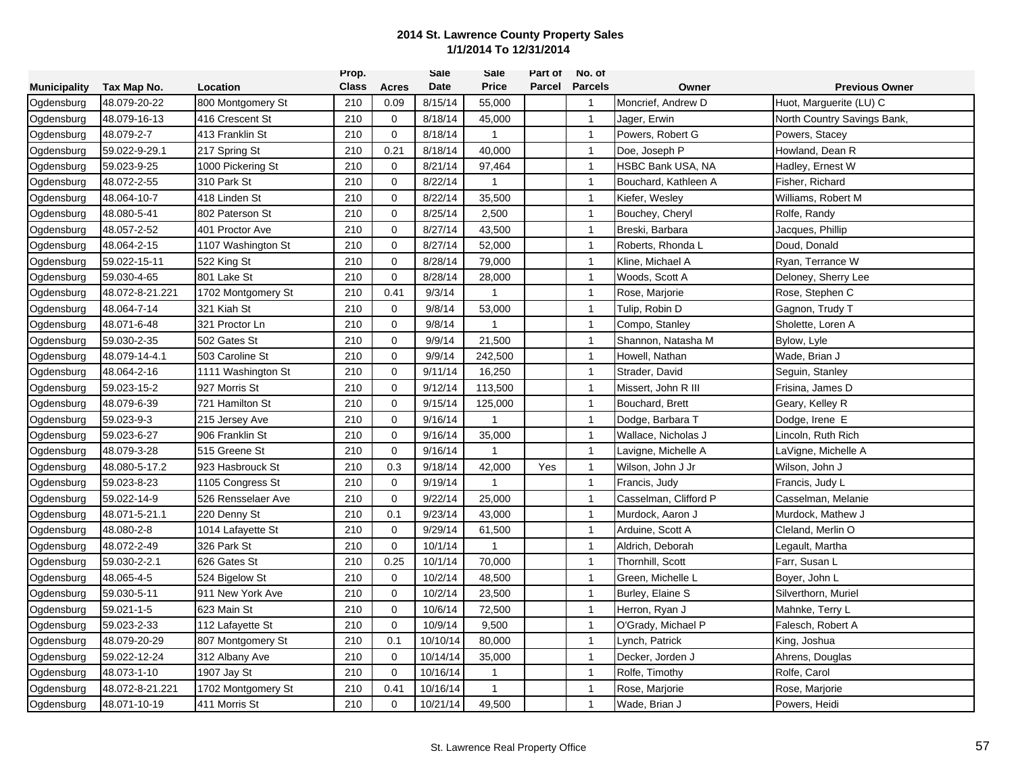|                     |                 |                    | Prop.        |             | Sale     | Sale           | Part of | No. of         |                       |                             |
|---------------------|-----------------|--------------------|--------------|-------------|----------|----------------|---------|----------------|-----------------------|-----------------------------|
| <b>Municipality</b> | Tax Map No.     | Location           | <b>Class</b> | Acres       | Date     | <b>Price</b>   | Parcel  | <b>Parcels</b> | Owner                 | <b>Previous Owner</b>       |
| Ogdensburg          | 48.079-20-22    | 800 Montgomery St  | 210          | 0.09        | 8/15/14  | 55,000         |         | $\mathbf 1$    | Moncrief, Andrew D    | Huot, Marguerite (LU) C     |
| Ogdensburg          | 48.079-16-13    | 416 Crescent St    | 210          | $\mathbf 0$ | 8/18/14  | 45,000         |         | $\overline{1}$ | Jager, Erwin          | North Country Savings Bank, |
| Ogdensburg          | 48.079-2-7      | 413 Franklin St    | 210          | 0           | 8/18/14  | $\mathbf{1}$   |         | $\overline{1}$ | Powers, Robert G      | Powers, Stacey              |
| Ogdensburg          | 59.022-9-29.1   | 217 Spring St      | 210          | 0.21        | 8/18/14  | 40,000         |         | $\overline{1}$ | Doe, Joseph P         | Howland, Dean R             |
| Ogdensburg          | 59.023-9-25     | 1000 Pickering St  | 210          | 0           | 8/21/14  | 97,464         |         | $\overline{1}$ | HSBC Bank USA, NA     | Hadley, Ernest W            |
| Ogdensburg          | 48.072-2-55     | 310 Park St        | 210          | $\mathbf 0$ | 8/22/14  | -1             |         | $\overline{1}$ | Bouchard, Kathleen A  | Fisher, Richard             |
| Ogdensburg          | 48.064-10-7     | 418 Linden St      | 210          | 0           | 8/22/14  | 35,500         |         | $\overline{1}$ | Kiefer, Wesley        | Williams, Robert M          |
| Ogdensburg          | 48.080-5-41     | 802 Paterson St    | 210          | 0           | 8/25/14  | 2,500          |         | $\overline{1}$ | Bouchey, Cheryl       | Rolfe, Randy                |
| Ogdensburg          | 48.057-2-52     | 401 Proctor Ave    | 210          | 0           | 8/27/14  | 43,500         |         | $\overline{1}$ | Breski, Barbara       | Jacques, Phillip            |
| Ogdensburg          | 48.064-2-15     | 1107 Washington St | 210          | $\mathbf 0$ | 8/27/14  | 52,000         |         | $\overline{1}$ | Roberts, Rhonda L     | Doud, Donald                |
| Ogdensburg          | 59.022-15-11    | 522 King St        | 210          | 0           | 8/28/14  | 79,000         |         | $\overline{1}$ | Kline, Michael A      | Ryan, Terrance W            |
| Ogdensburg          | 59.030-4-65     | 801 Lake St        | 210          | $\mathbf 0$ | 8/28/14  | 28,000         |         | $\overline{1}$ | Woods, Scott A        | Deloney, Sherry Lee         |
| Ogdensburg          | 48.072-8-21.221 | 1702 Montgomery St | 210          | 0.41        | 9/3/14   | $\mathbf{1}$   |         | $\overline{1}$ | Rose, Marjorie        | Rose, Stephen C             |
| Ogdensburg          | 48.064-7-14     | 321 Kiah St        | 210          | $\mathbf 0$ | 9/8/14   | 53,000         |         | $\overline{1}$ | Tulip, Robin D        | Gagnon, Trudy T             |
| Ogdensburg          | 48.071-6-48     | 321 Proctor Ln     | 210          | 0           | 9/8/14   | 1              |         | $\overline{1}$ | Compo, Stanley        | Sholette, Loren A           |
| Ogdensburg          | 59.030-2-35     | 502 Gates St       | 210          | 0           | 9/9/14   | 21,500         |         | $\overline{1}$ | Shannon, Natasha M    | Bylow, Lyle                 |
| Ogdensburg          | 48.079-14-4.1   | 503 Caroline St    | 210          | $\mathbf 0$ | 9/9/14   | 242,500        |         | $\mathbf{1}$   | Howell, Nathan        | Wade, Brian J               |
| Ogdensburg          | 48.064-2-16     | 1111 Washington St | 210          | 0           | 9/11/14  | 16,250         |         | $\overline{1}$ | Strader, David        | Seguin, Stanley             |
| Ogdensburg          | 59.023-15-2     | 927 Morris St      | 210          | $\mathbf 0$ | 9/12/14  | 113,500        |         | $\overline{1}$ | Missert, John R III   | Frisina, James D            |
| Ogdensburg          | 48.079-6-39     | 721 Hamilton St    | 210          | 0           | 9/15/14  | 125,000        |         | $\overline{1}$ | Bouchard, Brett       | Geary, Kelley R             |
| Ogdensburg          | 59.023-9-3      | 215 Jersey Ave     | 210          | $\mathbf 0$ | 9/16/14  | $\mathbf{1}$   |         | $\overline{1}$ | Dodge, Barbara T      | Dodge, Irene E              |
| Ogdensburg          | 59.023-6-27     | 906 Franklin St    | 210          | 0           | 9/16/14  | 35,000         |         | $\overline{1}$ | Wallace, Nicholas J   | Lincoln, Ruth Rich          |
| Ogdensburg          | 48.079-3-28     | 515 Greene St      | 210          | $\mathbf 0$ | 9/16/14  | $\overline{1}$ |         | $\overline{1}$ | Lavigne, Michelle A   | LaVigne, Michelle A         |
| Ogdensburg          | 48.080-5-17.2   | 923 Hasbrouck St   | 210          | 0.3         | 9/18/14  | 42,000         | Yes     | $\overline{1}$ | Wilson, John J Jr     | Wilson, John J              |
| Ogdensburg          | 59.023-8-23     | 1105 Congress St   | 210          | $\mathbf 0$ | 9/19/14  | $\mathbf{1}$   |         | $\overline{1}$ | Francis, Judy         | Francis, Judy L             |
| Ogdensburg          | 59.022-14-9     | 526 Rensselaer Ave | 210          | $\mathbf 0$ | 9/22/14  | 25,000         |         | $\overline{1}$ | Casselman, Clifford P | Casselman, Melanie          |
| Ogdensburg          | 48.071-5-21.1   | 220 Denny St       | 210          | 0.1         | 9/23/14  | 43,000         |         | $\overline{1}$ | Murdock, Aaron J      | Murdock, Mathew J           |
| Ogdensburg          | 48.080-2-8      | 1014 Lafayette St  | 210          | 0           | 9/29/14  | 61,500         |         | $\overline{1}$ | Arduine, Scott A      | Cleland, Merlin O           |
| Ogdensburg          | 48.072-2-49     | 326 Park St        | 210          | $\mathbf 0$ | 10/1/14  | $\mathbf{1}$   |         | $\overline{1}$ | Aldrich, Deborah      | Legault, Martha             |
| Ogdensburg          | 59.030-2-2.1    | 626 Gates St       | 210          | 0.25        | 10/1/14  | 70,000         |         | $\overline{1}$ | Thornhill, Scott      | Farr, Susan L               |
| Ogdensburg          | 48.065-4-5      | 524 Bigelow St     | 210          | 0           | 10/2/14  | 48,500         |         | $\overline{1}$ | Green, Michelle L     | Boyer, John L               |
| Ogdensburg          | 59.030-5-11     | 911 New York Ave   | 210          | 0           | 10/2/14  | 23,500         |         | $\overline{1}$ | Burley, Elaine S      | Silverthorn, Muriel         |
| Ogdensburg          | 59.021-1-5      | 623 Main St        | 210          | 0           | 10/6/14  | 72,500         |         | $\overline{1}$ | Herron, Ryan J        | Mahnke, Terry L             |
| Ogdensburg          | 59.023-2-33     | 112 Lafayette St   | 210          | $\mathbf 0$ | 10/9/14  | 9,500          |         | $\overline{1}$ | O'Grady, Michael P    | Falesch, Robert A           |
| Ogdensburg          | 48.079-20-29    | 807 Montgomery St  | 210          | 0.1         | 10/10/14 | 80,000         |         | $\overline{1}$ | Lynch, Patrick        | King, Joshua                |
| Ogdensburg          | 59.022-12-24    | 312 Albany Ave     | 210          | 0           | 10/14/14 | 35,000         |         | $\mathbf{1}$   | Decker, Jorden J      | Ahrens, Douglas             |
| Ogdensburg          | 48.073-1-10     | 1907 Jay St        | 210          | 0           | 10/16/14 | $\mathbf{1}$   |         | $\overline{1}$ | Rolfe, Timothy        | Rolfe, Carol                |
| Ogdensburg          | 48.072-8-21.221 | 1702 Montgomery St | 210          | 0.41        | 10/16/14 | 1              |         | $\overline{1}$ | Rose, Marjorie        | Rose, Marjorie              |
| Ogdensburg          | 48.071-10-19    | 411 Morris St      | 210          | 0           | 10/21/14 | 49,500         |         | $\mathbf 1$    | Wade, Brian J         | Powers, Heidi               |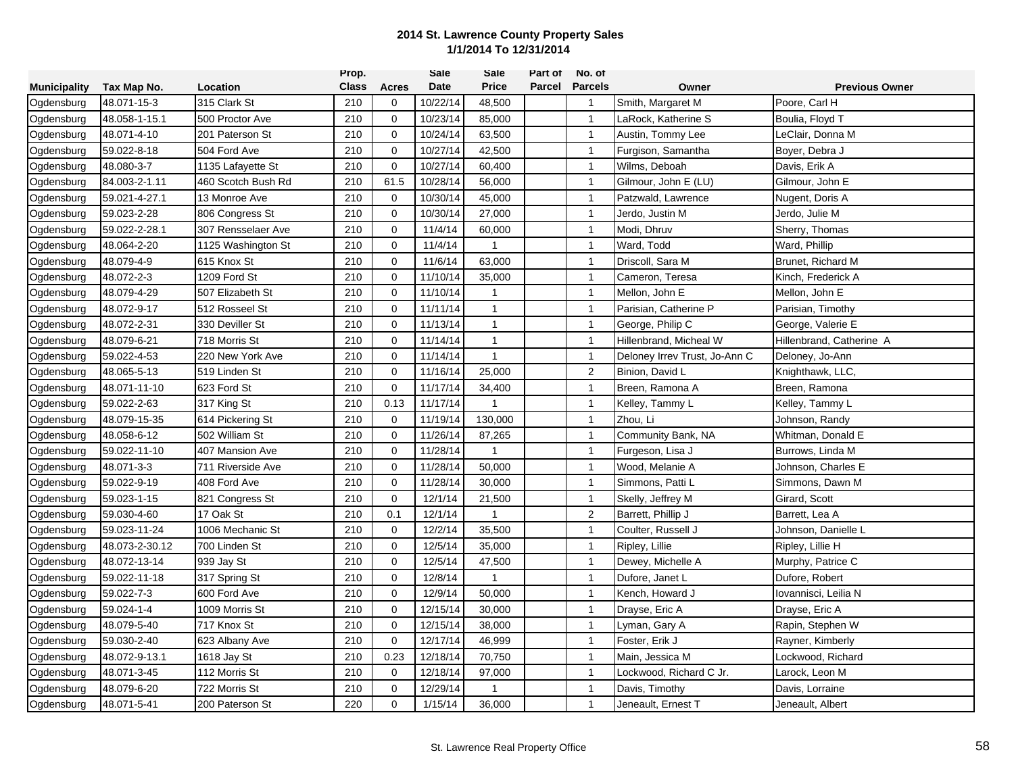|                     |                |                    | Prop.        |             | Sale     | Sale           | Part of | No. of                  |                               |                          |
|---------------------|----------------|--------------------|--------------|-------------|----------|----------------|---------|-------------------------|-------------------------------|--------------------------|
| <b>Municipality</b> | Tax Map No.    | Location           | <b>Class</b> | Acres       | Date     | <b>Price</b>   | Parcel  | <b>Parcels</b>          | Owner                         | <b>Previous Owner</b>    |
| Ogdensburg          | 48.071-15-3    | 315 Clark St       | 210          | 0           | 10/22/14 | 48,500         |         | $\overline{\mathbf{1}}$ | Smith, Margaret M             | Poore, Carl H            |
| Ogdensburg          | 48.058-1-15.1  | 500 Proctor Ave    | 210          | $\mathbf 0$ | 10/23/14 | 85,000         |         | $\overline{1}$          | LaRock, Katherine S           | Boulia, Floyd T          |
| Ogdensburg          | 48.071-4-10    | 201 Paterson St    | 210          | 0           | 10/24/14 | 63,500         |         | $\overline{1}$          | Austin, Tommy Lee             | LeClair, Donna M         |
| Ogdensburg          | 59.022-8-18    | 504 Ford Ave       | 210          | 0           | 10/27/14 | 42,500         |         | $\overline{1}$          | Furgison, Samantha            | Boyer, Debra J           |
| Ogdensburg          | 48.080-3-7     | 1135 Lafayette St  | 210          | 0           | 10/27/14 | 60,400         |         | $\overline{1}$          | Wilms, Deboah                 | Davis, Erik A            |
| Ogdensburg          | 84.003-2-1.11  | 460 Scotch Bush Rd | 210          | 61.5        | 10/28/14 | 56,000         |         | $\overline{1}$          | Gilmour, John E (LU)          | Gilmour, John E          |
| Ogdensburg          | 59.021-4-27.1  | 13 Monroe Ave      | 210          | 0           | 10/30/14 | 45,000         |         | $\overline{1}$          | Patzwald, Lawrence            | Nugent, Doris A          |
| Ogdensburg          | 59.023-2-28    | 806 Congress St    | 210          | $\mathbf 0$ | 10/30/14 | 27,000         |         | $\overline{1}$          | Jerdo, Justin M               | Jerdo, Julie M           |
| Ogdensburg          | 59.022-2-28.1  | 307 Rensselaer Ave | 210          | 0           | 11/4/14  | 60,000         |         | $\overline{1}$          | Modi, Dhruv                   | Sherry, Thomas           |
| Ogdensburg          | 48.064-2-20    | 1125 Washington St | 210          | 0           | 11/4/14  | $\mathbf{1}$   |         | $\overline{1}$          | Ward, Todd                    | Ward, Phillip            |
| Ogdensburg          | 48.079-4-9     | 615 Knox St        | 210          | $\Omega$    | 11/6/14  | 63,000         |         | $\overline{1}$          | Driscoll, Sara M              | Brunet, Richard M        |
| Ogdensburg          | 48.072-2-3     | 1209 Ford St       | 210          | 0           | 11/10/14 | 35,000         |         | $\overline{1}$          | Cameron, Teresa               | Kinch, Frederick A       |
| Ogdensburg          | 48.079-4-29    | 507 Elizabeth St   | 210          | 0           | 11/10/14 | $\mathbf{1}$   |         | $\overline{1}$          | Mellon, John E                | Mellon, John E           |
| Ogdensburg          | 48.072-9-17    | 512 Rosseel St     | 210          | 0           | 11/11/14 | $\mathbf{1}$   |         | $\overline{1}$          | Parisian, Catherine P         | Parisian, Timothy        |
| Ogdensburg          | 48.072-2-31    | 330 Deviller St    | 210          | 0           | 11/13/14 | $\mathbf{1}$   |         | $\overline{1}$          | George, Philip C              | George, Valerie E        |
| Ogdensburg          | 48.079-6-21    | 718 Morris St      | 210          | 0           | 11/14/14 | $\mathbf{1}$   |         | $\overline{1}$          | Hillenbrand, Micheal W        | Hillenbrand, Catherine A |
| Ogdensburg          | 59.022-4-53    | 220 New York Ave   | 210          | 0           | 11/14/14 | $\mathbf{1}$   |         | $\overline{1}$          | Deloney Irrev Trust, Jo-Ann C | Deloney, Jo-Ann          |
| Ogdensburg          | 48.065-5-13    | 519 Linden St      | 210          | $\mathbf 0$ | 11/16/14 | 25,000         |         | $\overline{2}$          | Binion, David L               | Knighthawk, LLC,         |
| Ogdensburg          | 48.071-11-10   | 623 Ford St        | 210          | $\mathbf 0$ | 11/17/14 | 34,400         |         | $\overline{1}$          | Breen, Ramona A               | Breen, Ramona            |
| Ogdensburg          | 59.022-2-63    | 317 King St        | 210          | 0.13        | 11/17/14 | $\mathbf 1$    |         | $\overline{1}$          | Kelley, Tammy L               | Kelley, Tammy L          |
| Ogdensburg          | 48.079-15-35   | 614 Pickering St   | 210          | $\mathbf 0$ | 11/19/14 | 130,000        |         | $\overline{1}$          | Zhou, Li                      | Johnson, Randy           |
| Ogdensburg          | 48.058-6-12    | 502 William St     | 210          | 0           | 11/26/14 | 87,265         |         | $\overline{1}$          | Community Bank, NA            | Whitman, Donald E        |
| Ogdensburg          | 59.022-11-10   | 407 Mansion Ave    | 210          | 0           | 11/28/14 | $\overline{1}$ |         | $\overline{1}$          | Furgeson, Lisa J              | Burrows, Linda M         |
| Ogdensburg          | 48.071-3-3     | 711 Riverside Ave  | 210          | 0           | 11/28/14 | 50,000         |         | $\overline{1}$          | Wood, Melanie A               | Johnson, Charles E       |
| Ogdensburg          | 59.022-9-19    | 408 Ford Ave       | 210          | $\mathbf 0$ | 11/28/14 | 30,000         |         | $\overline{1}$          | Simmons, Patti L              | Simmons, Dawn M          |
| Ogdensburg          | 59.023-1-15    | 821 Congress St    | 210          | $\mathbf 0$ | 12/1/14  | 21,500         |         | $\overline{1}$          | Skelly, Jeffrey M             | Girard, Scott            |
| Ogdensburg          | 59.030-4-60    | 17 Oak St          | 210          | 0.1         | 12/1/14  | $\mathbf{1}$   |         | $\overline{2}$          | Barrett, Phillip J            | Barrett, Lea A           |
| Ogdensburg          | 59.023-11-24   | 1006 Mechanic St   | 210          | 0           | 12/2/14  | 35,500         |         | $\overline{1}$          | Coulter, Russell J            | Johnson, Danielle L      |
| Ogdensburg          | 48.073-2-30.12 | 700 Linden St      | 210          | 0           | 12/5/14  | 35,000         |         | $\overline{1}$          | Ripley, Lillie                | Ripley, Lillie H         |
| Ogdensburg          | 48.072-13-14   | 939 Jay St         | 210          | 0           | 12/5/14  | 47,500         |         | $\overline{1}$          | Dewey, Michelle A             | Murphy, Patrice C        |
| Ogdensburg          | 59.022-11-18   | 317 Spring St      | 210          | $\mathbf 0$ | 12/8/14  | $\mathbf{1}$   |         | $\overline{1}$          | Dufore, Janet L               | Dufore, Robert           |
| Ogdensburg          | 59.022-7-3     | 600 Ford Ave       | 210          | $\mathbf 0$ | 12/9/14  | 50,000         |         | $\overline{1}$          | Kench, Howard J               | Iovannisci, Leilia N     |
| Ogdensburg          | 59.024-1-4     | 1009 Morris St     | 210          | 0           | 12/15/14 | 30,000         |         | $\overline{1}$          | Drayse, Eric A                | Drayse, Eric A           |
| Ogdensburg          | 48.079-5-40    | 717 Knox St        | 210          | $\mathbf 0$ | 12/15/14 | 38,000         |         | $\overline{1}$          | Lyman, Gary A                 | Rapin, Stephen W         |
| Ogdensburg          | 59.030-2-40    | 623 Albany Ave     | 210          | 0           | 12/17/14 | 46,999         |         | $\overline{1}$          | Foster, Erik J                | Rayner, Kimberly         |
| Ogdensburg          | 48.072-9-13.1  | 1618 Jay St        | 210          | 0.23        | 12/18/14 | 70,750         |         | $\overline{1}$          | Main, Jessica M               | Lockwood, Richard        |
| Ogdensburg          | 48.071-3-45    | 112 Morris St      | 210          | 0           | 12/18/14 | 97,000         |         | $\overline{1}$          | Lockwood, Richard C Jr.       | Larock, Leon M           |
| Ogdensburg          | 48.079-6-20    | 722 Morris St      | 210          | 0           | 12/29/14 | 1              |         | $\overline{1}$          | Davis, Timothy                | Davis, Lorraine          |
| Ogdensburg          | 48.071-5-41    | 200 Paterson St    | 220          | 0           | 1/15/14  | 36,000         |         | $\overline{1}$          | Jeneault, Ernest T            | Jeneault, Albert         |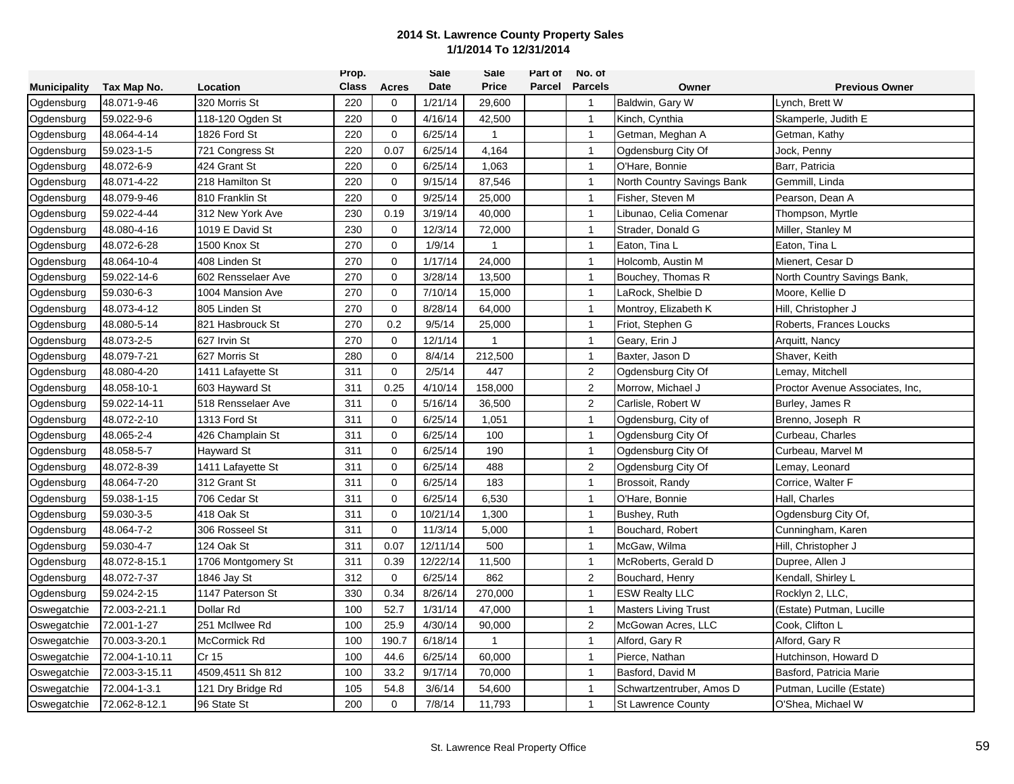|                     |                |                    | Prop.        |             | Sale     | Sale           | Part of | No. of         |                             |                                 |
|---------------------|----------------|--------------------|--------------|-------------|----------|----------------|---------|----------------|-----------------------------|---------------------------------|
| <b>Municipality</b> | Tax Map No.    | Location           | <b>Class</b> | Acres       | Date     | <b>Price</b>   | Parcel  | <b>Parcels</b> | Owner                       | <b>Previous Owner</b>           |
| Ogdensburg          | 48.071-9-46    | 320 Morris St      | 220          | 0           | 1/21/14  | 29,600         |         | $\overline{1}$ | Baldwin, Gary W             | Lynch, Brett W                  |
| Ogdensburg          | 59.022-9-6     | 118-120 Ogden St   | 220          | $\mathbf 0$ | 4/16/14  | 42,500         |         | $\mathbf{1}$   | Kinch, Cynthia              | Skamperle, Judith E             |
| Ogdensburg          | 48.064-4-14    | 1826 Ford St       | 220          | $\mathbf 0$ | 6/25/14  | $\mathbf{1}$   |         | $\mathbf{1}$   | Getman, Meghan A            | Getman, Kathy                   |
| Ogdensburg          | 59.023-1-5     | 721 Congress St    | 220          | 0.07        | 6/25/14  | 4,164          |         | $\mathbf{1}$   | Ogdensburg City Of          | Jock, Penny                     |
| Ogdensburg          | 48.072-6-9     | 424 Grant St       | 220          | 0           | 6/25/14  | 1,063          |         | $\mathbf{1}$   | O'Hare, Bonnie              | Barr, Patricia                  |
| Ogdensburg          | 48.071-4-22    | 218 Hamilton St    | 220          | 0           | 9/15/14  | 87,546         |         | $\overline{1}$ | North Country Savings Bank  | Gemmill, Linda                  |
| Ogdensburg          | 48.079-9-46    | 810 Franklin St    | 220          | $\mathbf 0$ | 9/25/14  | 25,000         |         | $\mathbf{1}$   | Fisher, Steven M            | Pearson, Dean A                 |
| Ogdensburg          | 59.022-4-44    | 312 New York Ave   | 230          | 0.19        | 3/19/14  | 40,000         |         | $\overline{1}$ | Libunao, Celia Comenar      | Thompson, Myrtle                |
| Ogdensburg          | 48.080-4-16    | 1019 E David St    | 230          | $\mathbf 0$ | 12/3/14  | 72,000         |         | $\mathbf{1}$   | Strader, Donald G           | Miller, Stanley M               |
| Ogdensburg          | 48.072-6-28    | 1500 Knox St       | 270          | $\mathbf 0$ | 1/9/14   | $\overline{1}$ |         | $\mathbf{1}$   | Eaton, Tina L               | Eaton, Tina L                   |
| Ogdensburg          | 48.064-10-4    | 408 Linden St      | 270          | $\mathbf 0$ | 1/17/14  | 24,000         |         | $\mathbf{1}$   | Holcomb, Austin M           | Mienert, Cesar D                |
| Ogdensburg          | 59.022-14-6    | 602 Rensselaer Ave | 270          | $\mathbf 0$ | 3/28/14  | 13,500         |         | $\mathbf{1}$   | Bouchey, Thomas R           | North Country Savings Bank,     |
| Ogdensburg          | 59.030-6-3     | 1004 Mansion Ave   | 270          | $\mathbf 0$ | 7/10/14  | 15,000         |         | $\mathbf{1}$   | LaRock, Shelbie D           | Moore, Kellie D                 |
| Ogdensburg          | 48.073-4-12    | 805 Linden St      | 270          | $\mathbf 0$ | 8/28/14  | 64,000         |         | $\mathbf{1}$   | Montroy, Elizabeth K        | Hill, Christopher J             |
| Ogdensburg          | 48.080-5-14    | 821 Hasbrouck St   | 270          | 0.2         | 9/5/14   | 25,000         |         | $\mathbf{1}$   | Friot, Stephen G            | Roberts, Frances Loucks         |
| Ogdensburg          | 48.073-2-5     | 627 Irvin St       | 270          | $\mathbf 0$ | 12/1/14  | $\mathbf{1}$   |         | $\mathbf{1}$   | Geary, Erin J               | Arquitt, Nancy                  |
| Ogdensburg          | 48.079-7-21    | 627 Morris St      | 280          | $\mathbf 0$ | 8/4/14   | 212,500        |         | $\mathbf{1}$   | Baxter, Jason D             | Shaver, Keith                   |
| Ogdensburg          | 48.080-4-20    | 1411 Lafayette St  | 311          | $\mathbf 0$ | 2/5/14   | 447            |         | $\overline{2}$ | Ogdensburg City Of          | Lemay, Mitchell                 |
| Ogdensburg          | 48.058-10-1    | 603 Hayward St     | 311          | 0.25        | 4/10/14  | 158,000        |         | 2              | Morrow, Michael J           | Proctor Avenue Associates, Inc. |
| Ogdensburg          | 59.022-14-11   | 518 Rensselaer Ave | 311          | $\mathbf 0$ | 5/16/14  | 36,500         |         | $\overline{2}$ | Carlisle, Robert W          | Burley, James R                 |
| Ogdensburg          | 48.072-2-10    | 1313 Ford St       | 311          | $\mathbf 0$ | 6/25/14  | 1,051          |         | $\mathbf{1}$   | Ogdensburg, City of         | Brenno, Joseph R                |
| Ogdensburg          | 48.065-2-4     | 426 Champlain St   | 311          | $\mathbf 0$ | 6/25/14  | 100            |         | $\mathbf{1}$   | Ogdensburg City Of          | Curbeau, Charles                |
| Ogdensburg          | 48.058-5-7     | <b>Hayward St</b>  | 311          | 0           | 6/25/14  | 190            |         | $\mathbf{1}$   | Ogdensburg City Of          | Curbeau, Marvel M               |
| Ogdensburg          | 48.072-8-39    | 1411 Lafayette St  | 311          | $\mathbf 0$ | 6/25/14  | 488            |         | $\overline{2}$ | Ogdensburg City Of          | Lemay, Leonard                  |
| Ogdensburg          | 48.064-7-20    | 312 Grant St       | 311          | $\Omega$    | 6/25/14  | 183            |         | $\mathbf{1}$   | Brossoit, Randy             | Corrice, Walter F               |
| Ogdensburg          | 59.038-1-15    | 706 Cedar St       | 311          | $\mathbf 0$ | 6/25/14  | 6,530          |         | $\mathbf{1}$   | O'Hare, Bonnie              | Hall, Charles                   |
| Ogdensburg          | 59.030-3-5     | 418 Oak St         | 311          | 0           | 10/21/14 | 1,300          |         | $\mathbf{1}$   | Bushey, Ruth                | Ogdensburg City Of,             |
| Ogdensburg          | 48.064-7-2     | 306 Rosseel St     | 311          | $\mathbf 0$ | 11/3/14  | 5,000          |         | $\mathbf{1}$   | Bouchard, Robert            | Cunningham, Karen               |
| Ogdensburg          | 59.030-4-7     | 124 Oak St         | 311          | 0.07        | 12/11/14 | 500            |         | $\mathbf{1}$   | McGaw, Wilma                | Hill, Christopher J             |
| Ogdensburg          | 48.072-8-15.1  | 1706 Montgomery St | 311          | 0.39        | 12/22/14 | 11,500         |         | $\mathbf{1}$   | McRoberts, Gerald D         | Dupree, Allen J                 |
| Ogdensburg          | 48.072-7-37    | 1846 Jay St        | 312          | $\Omega$    | 6/25/14  | 862            |         | $\sqrt{2}$     | Bouchard, Henry             | Kendall, Shirley L              |
| Ogdensburg          | 59.024-2-15    | 1147 Paterson St   | 330          | 0.34        | 8/26/14  | 270,000        |         | $\mathbf{1}$   | <b>ESW Realty LLC</b>       | Rocklyn 2, LLC.                 |
| Oswegatchie         | 72.003-2-21.1  | Dollar Rd          | 100          | 52.7        | 1/31/14  | 47,000         |         | $\overline{1}$ | <b>Masters Living Trust</b> | (Estate) Putman, Lucille        |
| Oswegatchie         | 72.001-1-27    | 251 McIlwee Rd     | 100          | 25.9        | 4/30/14  | 90,000         |         | $\overline{2}$ | McGowan Acres, LLC          | Cook, Clifton L                 |
| Oswegatchie         | 70.003-3-20.1  | McCormick Rd       | 100          | 190.7       | 6/18/14  | $\mathbf{1}$   |         | $\mathbf{1}$   | Alford, Gary R              | Alford, Gary R                  |
| Oswegatchie         | 72.004-1-10.11 | Cr 15              | 100          | 44.6        | 6/25/14  | 60,000         |         | $\mathbf{1}$   | Pierce, Nathan              | Hutchinson, Howard D            |
| Oswegatchie         | 72.003-3-15.11 | 4509,4511 Sh 812   | 100          | 33.2        | 9/17/14  | 70,000         |         | $\overline{1}$ | Basford, David M            | Basford, Patricia Marie         |
| Oswegatchie         | 72.004-1-3.1   | 121 Dry Bridge Rd  | 105          | 54.8        | 3/6/14   | 54,600         |         | $\mathbf{1}$   | Schwartzentruber, Amos D    | Putman, Lucille (Estate)        |
| Oswegatchie         | 72.062-8-12.1  | 96 State St        | 200          | $\Omega$    | 7/8/14   | 11,793         |         | $\overline{1}$ | <b>St Lawrence County</b>   | O'Shea, Michael W               |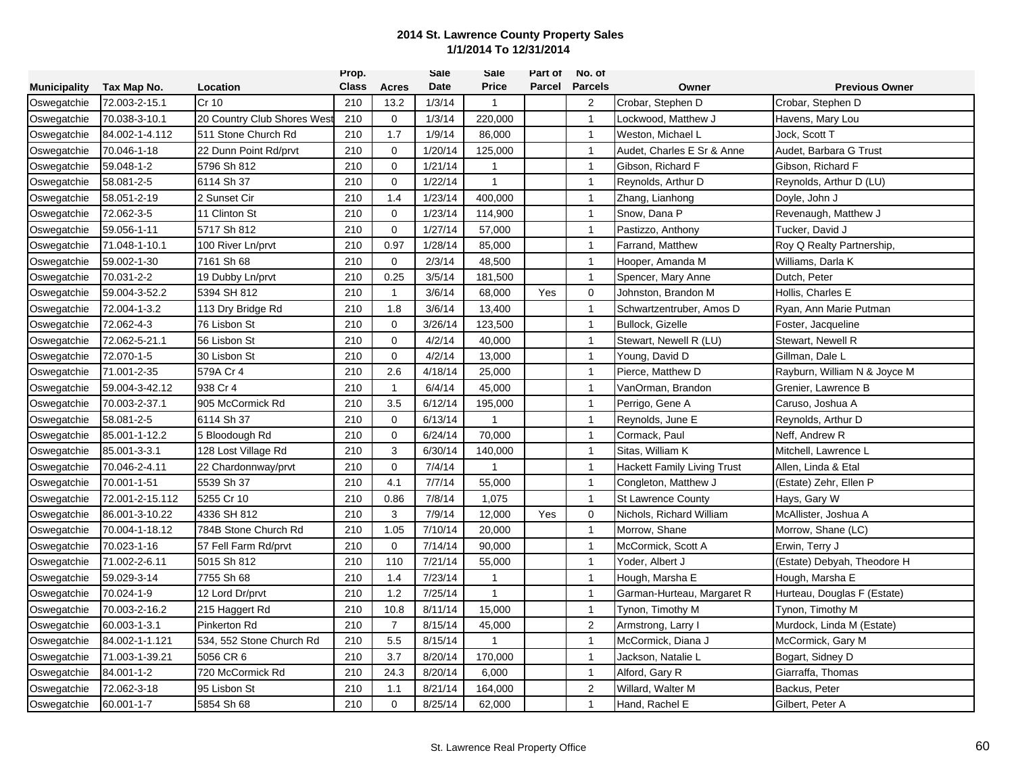|                     |                 |                            | Prop.        |                | Sale    | Sale         | Part of | No. of         |                                    |                              |
|---------------------|-----------------|----------------------------|--------------|----------------|---------|--------------|---------|----------------|------------------------------------|------------------------------|
| <b>Municipality</b> | Tax Map No.     | Location                   | <b>Class</b> | Acres          | Date    | <b>Price</b> | Parcel  | <b>Parcels</b> | Owner                              | <b>Previous Owner</b>        |
| Oswegatchie         | 72.003-2-15.1   | Cr 10                      | 210          | 13.2           | 1/3/14  | $\mathbf{1}$ |         | $\overline{2}$ | Crobar, Stephen D                  | Crobar, Stephen D            |
| Oswegatchie         | 70.038-3-10.1   | 20 Country Club Shores Wes | 210          | $\mathbf 0$    | 1/3/14  | 220,000      |         | $\overline{1}$ | Lockwood. Matthew J                | Havens, Mary Lou             |
| Oswegatchie         | 84.002-1-4.112  | 511 Stone Church Rd        | 210          | 1.7            | 1/9/14  | 86,000       |         | $\mathbf{1}$   | Weston, Michael L                  | Jock, Scott T                |
| Oswegatchie         | 70.046-1-18     | 22 Dunn Point Rd/prvt      | 210          | $\mathbf 0$    | 1/20/14 | 125,000      |         | $\mathbf{1}$   | Audet, Charles E Sr & Anne         | Audet, Barbara G Trust       |
| Oswegatchie         | 59.048-1-2      | 5796 Sh 812                | 210          | $\mathbf 0$    | 1/21/14 | $\mathbf{1}$ |         | $\mathbf{1}$   | Gibson, Richard F                  | Gibson, Richard F            |
| Oswegatchie         | 58.081-2-5      | 6114 Sh 37                 | 210          | $\Omega$       | 1/22/14 | 1            |         | $\overline{1}$ | Reynolds, Arthur D                 | Reynolds, Arthur D (LU)      |
| Oswegatchie         | 58.051-2-19     | 2 Sunset Cir               | 210          | 1.4            | 1/23/14 | 400,000      |         | $\mathbf{1}$   | Zhang, Lianhong                    | Doyle, John J                |
| Oswegatchie         | 72.062-3-5      | 11 Clinton St              | 210          | 0              | 1/23/14 | 114,900      |         | $\overline{1}$ | Snow. Dana P                       | Revenaugh, Matthew J         |
| Oswegatchie         | 59.056-1-11     | 5717 Sh 812                | 210          | $\mathbf 0$    | 1/27/14 | 57,000       |         | $\mathbf{1}$   | Pastizzo, Anthony                  | Tucker, David J              |
| Oswegatchie         | 71.048-1-10.1   | 100 River Ln/prvt          | 210          | 0.97           | 1/28/14 | 85,000       |         | $\mathbf{1}$   | Farrand, Matthew                   | Roy Q Realty Partnership,    |
| Oswegatchie         | 59.002-1-30     | 7161 Sh 68                 | 210          | $\mathbf 0$    | 2/3/14  | 48,500       |         | $\mathbf{1}$   | Hooper, Amanda M                   | Williams, Darla K            |
| Oswegatchie         | 70.031-2-2      | 19 Dubby Ln/prvt           | 210          | 0.25           | 3/5/14  | 181,500      |         | $\mathbf{1}$   | Spencer, Mary Anne                 | Dutch, Peter                 |
| Oswegatchie         | 59.004-3-52.2   | 5394 SH 812                | 210          | -1             | 3/6/14  | 68,000       | Yes     | $\mathbf 0$    | Johnston, Brandon M                | Hollis, Charles E            |
| Oswegatchie         | 72.004-1-3.2    | 113 Dry Bridge Rd          | 210          | 1.8            | 3/6/14  | 13,400       |         | $\mathbf{1}$   | Schwartzentruber, Amos D           | Rvan, Ann Marie Putman       |
| Oswegatchie         | 72.062-4-3      | 76 Lisbon St               | 210          | $\mathbf 0$    | 3/26/14 | 123,500      |         | $\mathbf{1}$   | Bullock, Gizelle                   | Foster, Jacqueline           |
| Oswegatchie         | 72.062-5-21.1   | 56 Lisbon St               | 210          | $\mathbf{0}$   | 4/2/14  | 40,000       |         | $\mathbf{1}$   | Stewart, Newell R (LU)             | Stewart, Newell R            |
| Oswegatchie         | 72.070-1-5      | 30 Lisbon St               | 210          | $\mathbf 0$    | 4/2/14  | 13,000       |         | $\mathbf{1}$   | Young, David D                     | Gillman, Dale L              |
| Oswegatchie         | 71.001-2-35     | 579A Cr 4                  | 210          | 2.6            | 4/18/14 | 25,000       |         | $\mathbf{1}$   | Pierce, Matthew D                  | Rayburn, William N & Joyce M |
| Oswegatchie         | 59.004-3-42.12  | 938 Cr 4                   | 210          | $\mathbf{1}$   | 6/4/14  | 45,000       |         | $\mathbf{1}$   | VanOrman, Brandon                  | Grenier, Lawrence B          |
| Oswegatchie         | 70.003-2-37.1   | 905 McCormick Rd           | 210          | 3.5            | 6/12/14 | 195,000      |         | -1             | Perrigo, Gene A                    | Caruso, Joshua A             |
| Oswegatchie         | 58.081-2-5      | 6114 Sh 37                 | 210          | 0              | 6/13/14 | 1            |         | $\mathbf{1}$   | Reynolds, June E                   | Reynolds, Arthur D           |
| Oswegatchie         | 85.001-1-12.2   | 5 Bloodough Rd             | 210          | $\mathbf 0$    | 6/24/14 | 70,000       |         | $\mathbf{1}$   | Cormack, Paul                      | Neff, Andrew R               |
| Oswegatchie         | 85.001-3-3.1    | 128 Lost Village Rd        | 210          | 3              | 6/30/14 | 140,000      |         | $\mathbf{1}$   | Sitas, William K                   | Mitchell, Lawrence L         |
| Oswegatchie         | 70.046-2-4.11   | 22 Chardonnway/prvt        | 210          | $\mathbf 0$    | 7/4/14  | $\mathbf{1}$ |         | $\mathbf{1}$   | <b>Hackett Family Living Trust</b> | Allen, Linda & Etal          |
| Oswegatchie         | 70.001-1-51     | 5539 Sh 37                 | 210          | 4.1            | 7/7/14  | 55,000       |         | $\mathbf{1}$   | Congleton, Matthew J               | (Estate) Zehr, Ellen P       |
| Oswegatchie         | 72.001-2-15.112 | 5255 Cr 10                 | 210          | 0.86           | 7/8/14  | 1,075        |         | $\mathbf{1}$   | <b>St Lawrence County</b>          | Hays, Gary W                 |
| Oswegatchie         | 86.001-3-10.22  | 4336 SH 812                | 210          | 3              | 7/9/14  | 12,000       | Yes     | $\mathbf 0$    | Nichols, Richard William           | McAllister, Joshua A         |
| Oswegatchie         | 70.004-1-18.12  | 784B Stone Church Rd       | 210          | 1.05           | 7/10/14 | 20,000       |         | $\mathbf{1}$   | Morrow, Shane                      | Morrow, Shane (LC)           |
| Oswegatchie         | 70.023-1-16     | 57 Fell Farm Rd/prvt       | 210          | $\Omega$       | 7/14/14 | 90,000       |         | $\mathbf{1}$   | McCormick, Scott A                 | Erwin, Terry J               |
| Oswegatchie         | 71.002-2-6.11   | 5015 Sh 812                | 210          | 110            | 7/21/14 | 55,000       |         | $\mathbf{1}$   | Yoder, Albert J                    | (Estate) Debyah, Theodore H  |
| Oswegatchie         | 59.029-3-14     | 7755 Sh 68                 | 210          | 1.4            | 7/23/14 | 1            |         | $\mathbf{1}$   | Hough, Marsha E                    | Hough, Marsha E              |
| Oswegatchie         | 70.024-1-9      | 12 Lord Dr/prvt            | 210          | 1.2            | 7/25/14 | $\mathbf{1}$ |         | $\mathbf{1}$   | Garman-Hurteau, Margaret R         | Hurteau, Douglas F (Estate)  |
| Oswegatchie         | 70.003-2-16.2   | 215 Haggert Rd             | 210          | 10.8           | 8/11/14 | 15,000       |         | $\overline{1}$ | Tynon, Timothy M                   | Tynon, Timothy M             |
| Oswegatchie         | 60.003-1-3.1    | <b>Pinkerton Rd</b>        | 210          | $\overline{7}$ | 8/15/14 | 45,000       |         | $\overline{2}$ | Armstrong, Larry I                 | Murdock, Linda M (Estate)    |
| Oswegatchie         | 84.002-1-1.121  | 534, 552 Stone Church Rd   | 210          | 5.5            | 8/15/14 | $\mathbf{1}$ |         | $\mathbf{1}$   | McCormick, Diana J                 | McCormick, Gary M            |
| Oswegatchie         | 71.003-1-39.21  | 5056 CR 6                  | 210          | 3.7            | 8/20/14 | 170,000      |         | $\mathbf{1}$   | Jackson, Natalie L                 | Bogart, Sidney D             |
| Oswegatchie         | 84.001-1-2      | 720 McCormick Rd           | 210          | 24.3           | 8/20/14 | 6,000        |         | $\overline{1}$ | Alford, Gary R                     | Giarraffa, Thomas            |
| Oswegatchie         | 72.062-3-18     | 95 Lisbon St               | 210          | 1.1            | 8/21/14 | 164,000      |         | $\overline{2}$ | Willard, Walter M                  | Backus, Peter                |
| Oswegatchie         | 60.001-1-7      | 5854 Sh 68                 | 210          | $\Omega$       | 8/25/14 | 62,000       |         | $\overline{1}$ | Hand, Rachel E                     | Gilbert, Peter A             |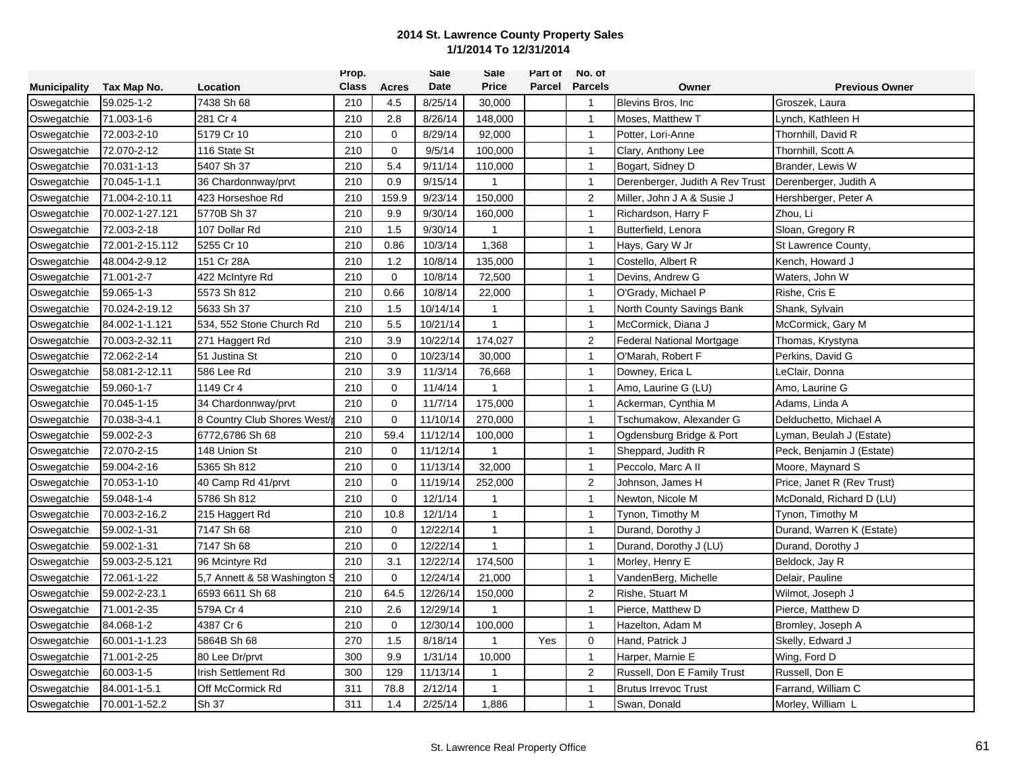|                     |                 |                              | Prop.        |              | Sale     | Sale           | Part of | No. of         |                                  |                            |
|---------------------|-----------------|------------------------------|--------------|--------------|----------|----------------|---------|----------------|----------------------------------|----------------------------|
| <b>Municipality</b> | Tax Map No.     | Location                     | <b>Class</b> | <b>Acres</b> | Date     | <b>Price</b>   | Parcel  | <b>Parcels</b> | Owner                            | <b>Previous Owner</b>      |
| Oswegatchie         | 59.025-1-2      | 7438 Sh 68                   | 210          | 4.5          | 8/25/14  | 30,000         |         | $\overline{1}$ | Blevins Bros, Inc.               | Groszek, Laura             |
| Oswegatchie         | 71.003-1-6      | 281 Cr 4                     | 210          | 2.8          | 8/26/14  | 148,000        |         | $\overline{1}$ | Moses, Matthew T                 | Lynch, Kathleen H          |
| Oswegatchie         | 72.003-2-10     | 5179 Cr 10                   | 210          | 0            | 8/29/14  | 92,000         |         | $\overline{1}$ | Potter, Lori-Anne                | Thornhill, David R         |
| Oswegatchie         | 72.070-2-12     | 116 State St                 | 210          | $\mathbf 0$  | 9/5/14   | 100,000        |         | $\overline{1}$ | Clary, Anthony Lee               | Thornhill, Scott A         |
| Oswegatchie         | 70.031-1-13     | 5407 Sh 37                   | 210          | 5.4          | 9/11/14  | 110,000        |         | $\overline{1}$ | Bogart, Sidney D                 | Brander, Lewis W           |
| Oswegatchie         | 70.045-1-1.1    | 36 Chardonnway/prvt          | 210          | 0.9          | 9/15/14  | $\overline{1}$ |         | $\overline{1}$ | Derenberger, Judith A Rev Trust  | Derenberger, Judith A      |
| Oswegatchie         | 71.004-2-10.11  | 423 Horseshoe Rd             | 210          | 159.9        | 9/23/14  | 150,000        |         | $\overline{2}$ | Miller, John J A & Susie J       | Hershberger, Peter A       |
| Oswegatchie         | 70.002-1-27.121 | 5770B Sh 37                  | 210          | 9.9          | 9/30/14  | 160,000        |         | $\overline{1}$ | Richardson, Harry F              | Zhou, Li                   |
| Oswegatchie         | 72.003-2-18     | 107 Dollar Rd                | 210          | 1.5          | 9/30/14  | -1             |         | $\overline{1}$ | Butterfield, Lenora              | Sloan, Gregory R           |
| Oswegatchie         | 72.001-2-15.112 | 5255 Cr 10                   | 210          | 0.86         | 10/3/14  | 1,368          |         | $\overline{1}$ | Hays, Gary W Jr                  | St Lawrence County,        |
| Oswegatchie         | 48.004-2-9.12   | 151 Cr 28A                   | 210          | 1.2          | 10/8/14  | 135,000        |         | $\overline{1}$ | Costello, Albert R               | Kench, Howard J            |
| Oswegatchie         | 71.001-2-7      | 422 McIntyre Rd              | 210          | $\Omega$     | 10/8/14  | 72,500         |         | $\overline{1}$ | Devins, Andrew G                 | Waters, John W             |
| Oswegatchie         | 59.065-1-3      | 5573 Sh 812                  | 210          | 0.66         | 10/8/14  | 22,000         |         | $\overline{1}$ | O'Grady, Michael P               | Rishe, Cris E              |
| Oswegatchie         | 70.024-2-19.12  | 5633 Sh 37                   | 210          | 1.5          | 10/14/14 | $\mathbf{1}$   |         | $\overline{1}$ | North County Savings Bank        | Shank, Sylvain             |
| Oswegatchie         | 84.002-1-1.121  | 534, 552 Stone Church Rd     | 210          | 5.5          | 10/21/14 | $\mathbf{1}$   |         | $\overline{1}$ | McCormick, Diana J               | McCormick, Gary M          |
| Oswegatchie         | 70.003-2-32.11  | 271 Haggert Rd               | 210          | 3.9          | 10/22/14 | 174,027        |         | 2              | <b>Federal National Mortgage</b> | Thomas, Krystyna           |
| Oswegatchie         | 72.062-2-14     | 51 Justina St                | 210          | $\mathbf 0$  | 10/23/14 | 30,000         |         | $\overline{1}$ | O'Marah, Robert F                | Perkins, David G           |
| Oswegatchie         | 58.081-2-12.11  | 586 Lee Rd                   | 210          | 3.9          | 11/3/14  | 76,668         |         | $\overline{1}$ | Downey, Erica L                  | LeClair, Donna             |
| Oswegatchie         | 59.060-1-7      | 1149 Cr 4                    | 210          | $\mathbf 0$  | 11/4/14  | -1             |         | $\overline{1}$ | Amo, Laurine G (LU)              | Amo, Laurine G             |
| Oswegatchie         | 70.045-1-15     | 34 Chardonnway/prvt          | 210          | 0            | 11/7/14  | 175,000        |         | $\overline{1}$ | Ackerman, Cynthia M              | Adams, Linda A             |
| Oswegatchie         | 70.038-3-4.1    | 8 Country Club Shores West/  | 210          | $\mathbf 0$  | 11/10/14 | 270,000        |         | $\overline{1}$ | Tschumakow, Alexander G          | Delduchetto, Michael A     |
| Oswegatchie         | 59.002-2-3      | 6772,6786 Sh 68              | 210          | 59.4         | 11/12/14 | 100,000        |         | $\overline{1}$ | Ogdensburg Bridge & Port         | Lyman, Beulah J (Estate)   |
| Oswegatchie         | 72.070-2-15     | 148 Union St                 | 210          | 0            | 11/12/14 |                |         | $\overline{1}$ | Sheppard, Judith R               | Peck, Benjamin J (Estate)  |
| Oswegatchie         | 59.004-2-16     | 5365 Sh 812                  | 210          | 0            | 11/13/14 | 32,000         |         | $\overline{1}$ | Peccolo, Marc A II               | Moore, Maynard S           |
| Oswegatchie         | 70.053-1-10     | 40 Camp Rd 41/prvt           | 210          | 0            | 11/19/14 | 252,000        |         | 2              | Johnson, James H                 | Price, Janet R (Rev Trust) |
| Oswegatchie         | 59.048-1-4      | 5786 Sh 812                  | 210          | 0            | 12/1/14  | -1             |         | $\overline{1}$ | Newton, Nicole M                 | McDonald, Richard D (LU)   |
| Oswegatchie         | 70.003-2-16.2   | 215 Haggert Rd               | 210          | 10.8         | 12/1/14  | $\mathbf{1}$   |         | $\overline{1}$ | Tynon, Timothy M                 | Tynon, Timothy M           |
| Oswegatchie         | 59.002-1-31     | 7147 Sh 68                   | 210          | 0            | 12/22/14 | $\mathbf{1}$   |         | $\overline{1}$ | Durand, Dorothy J                | Durand, Warren K (Estate)  |
| Oswegatchie         | 59.002-1-31     | 7147 Sh 68                   | 210          | $\mathbf 0$  | 12/22/14 | $\mathbf{1}$   |         | $\overline{1}$ | Durand, Dorothy J (LU)           | Durand, Dorothy J          |
| Oswegatchie         | 59.003-2-5.121  | 96 Mcintyre Rd               | 210          | 3.1          | 12/22/14 | 174,500        |         | $\overline{1}$ | Morley, Henry E                  | Beldock, Jay R             |
| Oswegatchie         | 72.061-1-22     | 5,7 Annett & 58 Washington S | 210          | $\Omega$     | 12/24/14 | 21,000         |         | $\overline{1}$ | VandenBerg, Michelle             | Delair, Pauline            |
| Oswegatchie         | 59.002-2-23.1   | 6593 6611 Sh 68              | 210          | 64.5         | 12/26/14 | 150,000        |         | $\sqrt{2}$     | Rishe, Stuart M                  | Wilmot, Joseph J           |
| Oswegatchie         | 71.001-2-35     | 579A Cr 4                    | 210          | 2.6          | 12/29/14 |                |         | $\overline{1}$ | Pierce. Matthew D                | Pierce, Matthew D          |
| Oswegatchie         | 84.068-1-2      | 4387 Cr 6                    | 210          | $\mathbf 0$  | 12/30/14 | 100,000        |         | $\overline{1}$ | Hazelton, Adam M                 | Bromley, Joseph A          |
| Oswegatchie         | 60.001-1-1.23   | 5864B Sh 68                  | 270          | 1.5          | 8/18/14  | $\overline{1}$ | Yes     | $\mathbf 0$    | Hand, Patrick J                  | Skelly, Edward J           |
| Oswegatchie         | 71.001-2-25     | 80 Lee Dr/prvt               | 300          | 9.9          | 1/31/14  | 10,000         |         | $\overline{1}$ | Harper, Marnie E                 | Wing, Ford D               |
| Oswegatchie         | 60.003-1-5      | Irish Settlement Rd          | 300          | 129          | 11/13/14 | 1              |         | $\overline{2}$ | Russell, Don E Family Trust      | Russell, Don E             |
| Oswegatchie         | 84.001-1-5.1    | Off McCormick Rd             | 311          | 78.8         | 2/12/14  | $\mathbf{1}$   |         | $\overline{1}$ | <b>Brutus Irrevoc Trust</b>      | Farrand, William C         |
| Oswegatchie         | 70.001-1-52.2   | Sh 37                        | 311          | 1.4          | 2/25/14  | 1,886          |         | $\overline{1}$ | Swan, Donald                     | Morley, William L          |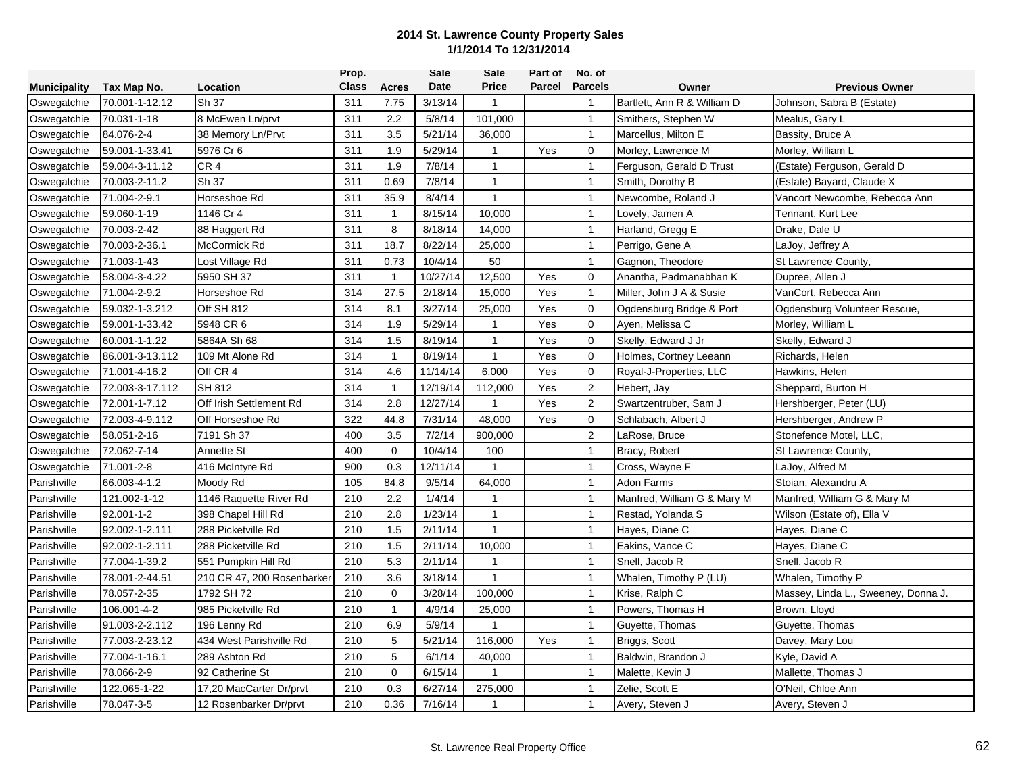|                     |                 |                            | Prop.        |                | Sale     | Sale         | Part of | No. of         |                             |                                     |
|---------------------|-----------------|----------------------------|--------------|----------------|----------|--------------|---------|----------------|-----------------------------|-------------------------------------|
| <b>Municipality</b> | Tax Map No.     | Location                   | <b>Class</b> | <b>Acres</b>   | Date     | <b>Price</b> | Parcel  | <b>Parcels</b> | Owner                       | <b>Previous Owner</b>               |
| Oswegatchie         | 70.001-1-12.12  | Sh 37                      | 311          | 7.75           | 3/13/14  | $\mathbf{1}$ |         | $\overline{1}$ | Bartlett, Ann R & William D | Johnson, Sabra B (Estate)           |
| Oswegatchie         | 70.031-1-18     | 8 McEwen Ln/prvt           | 311          | 2.2            | 5/8/14   | 101,000      |         | $\mathbf{1}$   | Smithers, Stephen W         | Mealus, Gary L                      |
| Oswegatchie         | 84.076-2-4      | 38 Memory Ln/Prvt          | 311          | 3.5            | 5/21/14  | 36,000       |         | $\mathbf{1}$   | Marcellus, Milton E         | Bassity, Bruce A                    |
| Oswegatchie         | 59.001-1-33.41  | 5976 Cr 6                  | 311          | 1.9            | 5/29/14  | $\mathbf{1}$ | Yes     | $\mathbf 0$    | Morley, Lawrence M          | Morley, William L                   |
| Oswegatchie         | 59.004-3-11.12  | CR <sub>4</sub>            | 311          | 1.9            | 7/8/14   | $\mathbf{1}$ |         | $\mathbf{1}$   | Ferguson, Gerald D Trust    | (Estate) Ferguson, Gerald D         |
| Oswegatchie         | 70.003-2-11.2   | Sh 37                      | 311          | 0.69           | 7/8/14   | $\mathbf{1}$ |         | $\overline{1}$ | Smith, Dorothy B            | (Estate) Bayard, Claude X           |
| Oswegatchie         | 71.004-2-9.1    | Horseshoe Rd               | 311          | 35.9           | 8/4/14   | $\mathbf{1}$ |         | $\mathbf{1}$   | Newcombe, Roland J          | Vancort Newcombe, Rebecca Ann       |
| Oswegatchie         | 59.060-1-19     | 1146 Cr 4                  | 311          | $\overline{1}$ | 8/15/14  | 10,000       |         | $\mathbf{1}$   | Lovely, Jamen A             | Tennant, Kurt Lee                   |
| Oswegatchie         | 70.003-2-42     | 88 Haggert Rd              | 311          | 8              | 8/18/14  | 14,000       |         | $\mathbf{1}$   | Harland, Gregg E            | Drake, Dale U                       |
| Oswegatchie         | 70.003-2-36.1   | McCormick Rd               | 311          | 18.7           | 8/22/14  | 25,000       |         | $\mathbf{1}$   | Perrigo, Gene A             | LaJoy, Jeffrey A                    |
| Oswegatchie         | 71.003-1-43     | Lost Village Rd            | 311          | 0.73           | 10/4/14  | 50           |         | $\mathbf{1}$   | Gagnon, Theodore            | St Lawrence County,                 |
| Oswegatchie         | 58.004-3-4.22   | 5950 SH 37                 | 311          | $\mathbf{1}$   | 10/27/14 | 12,500       | Yes     | $\Omega$       | Anantha, Padmanabhan K      | Dupree, Allen J                     |
| Oswegatchie         | 71.004-2-9.2    | Horseshoe Rd               | 314          | 27.5           | 2/18/14  | 15,000       | Yes     | $\mathbf{1}$   | Miller, John J A & Susie    | VanCort, Rebecca Ann                |
| Oswegatchie         | 59.032-1-3.212  | Off SH 812                 | 314          | 8.1            | 3/27/14  | 25,000       | Yes     | $\mathbf 0$    | Ogdensburg Bridge & Port    | Ogdensburg Volunteer Rescue,        |
| Oswegatchie         | 59.001-1-33.42  | 5948 CR 6                  | 314          | 1.9            | 5/29/14  | $\mathbf{1}$ | Yes     | $\mathbf 0$    | Ayen, Melissa C             | Morley, William L                   |
| Oswegatchie         | 60.001-1-1.22   | 5864A Sh 68                | 314          | 1.5            | 8/19/14  | $\mathbf{1}$ | Yes     | $\mathbf 0$    | Skelly, Edward J Jr         | Skelly, Edward J                    |
| Oswegatchie         | 86.001-3-13.112 | 109 Mt Alone Rd            | 314          | $\mathbf{1}$   | 8/19/14  | $\mathbf{1}$ | Yes     | $\mathbf 0$    | Holmes, Cortney Leeann      | Richards, Helen                     |
| Oswegatchie         | 71.001-4-16.2   | Off CR 4                   | 314          | 4.6            | 11/14/14 | 6,000        | Yes     | $\mathbf 0$    | Royal-J-Properties, LLC     | Hawkins, Helen                      |
| Oswegatchie         | 72.003-3-17.112 | SH 812                     | 314          | 1              | 12/19/14 | 112,000      | Yes     | $\overline{2}$ | Hebert, Jay                 | Sheppard, Burton H                  |
| Oswegatchie         | 72.001-1-7.12   | Off Irish Settlement Rd    | 314          | 2.8            | 12/27/14 | $\mathbf{1}$ | Yes     | $\overline{2}$ | Swartzentruber, Sam J       | Hershberger, Peter (LU)             |
| Oswegatchie         | 72.003-4-9.112  | Off Horseshoe Rd           | 322          | 44.8           | 7/31/14  | 48,000       | Yes     | $\mathbf 0$    | Schlabach, Albert J         | Hershberger, Andrew P               |
| Oswegatchie         | 58.051-2-16     | 7191 Sh 37                 | 400          | 3.5            | 7/2/14   | 900,000      |         | $\overline{2}$ | LaRose, Bruce               | Stonefence Motel, LLC,              |
| Oswegatchie         | 72.062-7-14     | Annette St                 | 400          | $\mathbf 0$    | 10/4/14  | 100          |         | $\overline{1}$ | Bracy, Robert               | St Lawrence County,                 |
| Oswegatchie         | 71.001-2-8      | 416 McIntyre Rd            | 900          | 0.3            | 12/11/14 | $\mathbf{1}$ |         | $\mathbf{1}$   | Cross, Wayne F              | LaJoy, Alfred M                     |
| Parishville         | 66.003-4-1.2    | Moody Rd                   | 105          | 84.8           | 9/5/14   | 64,000       |         | $\mathbf{1}$   | Adon Farms                  | Stoian, Alexandru A                 |
| Parishville         | 121.002-1-12    | 1146 Raquette River Rd     | 210          | 2.2            | 1/4/14   | 1            |         | $\mathbf{1}$   | Manfred, William G & Mary M | Manfred, William G & Mary M         |
| Parishville         | 92.001-1-2      | 398 Chapel Hill Rd         | 210          | 2.8            | 1/23/14  | $\mathbf{1}$ |         | $\mathbf{1}$   | Restad, Yolanda S           | Wilson (Estate of), Ella V          |
| Parishville         | 92.002-1-2.111  | 288 Picketville Rd         | 210          | 1.5            | 2/11/14  | $\mathbf{1}$ |         | $\mathbf{1}$   | Hayes, Diane C              | Hayes, Diane C                      |
| Parishville         | 92.002-1-2.111  | 288 Picketville Rd         | 210          | 1.5            | 2/11/14  | 10,000       |         | $\mathbf{1}$   | Eakins, Vance C             | Hayes, Diane C                      |
| Parishville         | 77.004-1-39.2   | 551 Pumpkin Hill Rd        | 210          | 5.3            | 2/11/14  | $\mathbf{1}$ |         | $\mathbf{1}$   | Snell, Jacob R              | Snell, Jacob R                      |
| Parishville         | 78.001-2-44.51  | 210 CR 47, 200 Rosenbarker | 210          | 3.6            | 3/18/14  | 1            |         | $\mathbf{1}$   | Whalen, Timothy P (LU)      | Whalen, Timothy P                   |
| Parishville         | 78.057-2-35     | 1792 SH 72                 | 210          | $\mathbf 0$    | 3/28/14  | 100,000      |         | $\mathbf{1}$   | Krise, Ralph C              | Massey, Linda L., Sweeney, Donna J. |
| Parishville         | 106.001-4-2     | 985 Picketville Rd         | 210          | $\mathbf{1}$   | 4/9/14   | 25,000       |         | $\mathbf{1}$   | Powers, Thomas H            | Brown, Lloyd                        |
| Parishville         | 91.003-2-2.112  | 196 Lenny Rd               | 210          | 6.9            | 5/9/14   | 1            |         | $\mathbf{1}$   | Guyette, Thomas             | Guyette, Thomas                     |
| Parishville         | 77.003-2-23.12  | 434 West Parishville Rd    | 210          | 5              | 5/21/14  | 116,000      | Yes     | $\mathbf{1}$   | Briggs, Scott               | Davey, Mary Lou                     |
| Parishville         | 77.004-1-16.1   | 289 Ashton Rd              | 210          | 5              | 6/1/14   | 40,000       |         | $\mathbf{1}$   | Baldwin, Brandon J          | Kyle, David A                       |
| Parishville         | 78.066-2-9      | 92 Catherine St            | 210          | $\mathbf 0$    | 6/15/14  | 1            |         | $\mathbf{1}$   | Malette, Kevin J            | Mallette, Thomas J                  |
| Parishville         | 122.065-1-22    | 17,20 MacCarter Dr/prvt    | 210          | 0.3            | 6/27/14  | 275,000      |         | $\mathbf{1}$   | Zelie, Scott E              | O'Neil, Chloe Ann                   |
| Parishville         | 78.047-3-5      | 12 Rosenbarker Dr/prvt     | 210          | 0.36           | 7/16/14  | 1            |         | $\overline{1}$ | Avery, Steven J             | Avery, Steven J                     |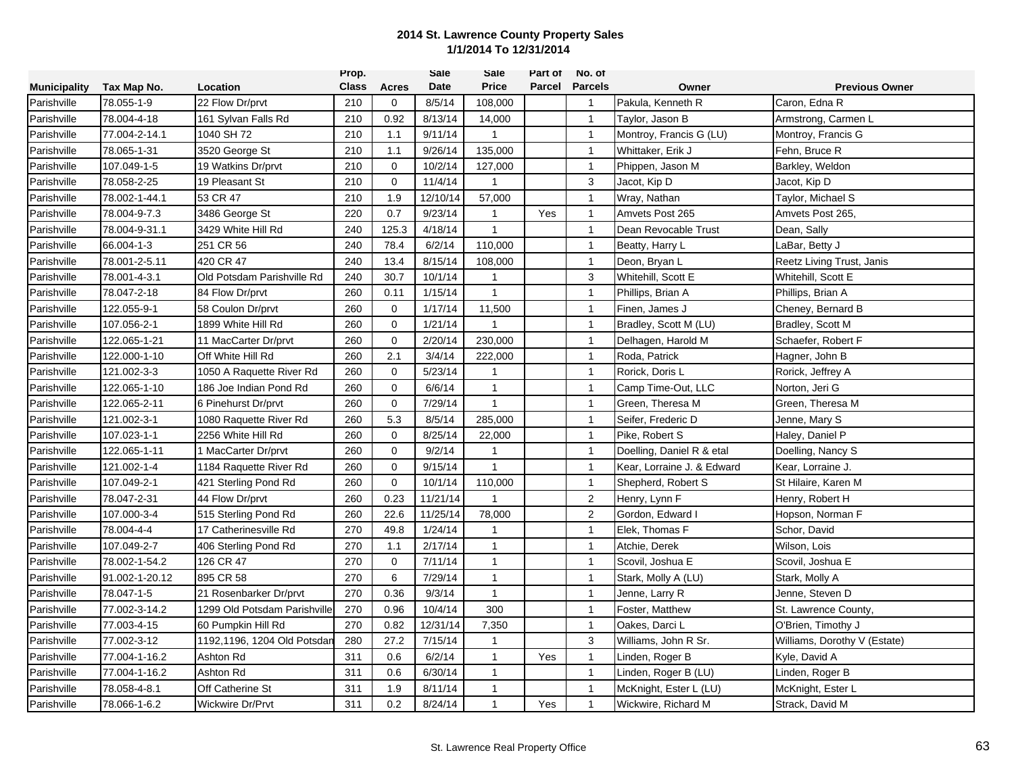|                     |                |                              | Prop.        |             | Sale     | Sale         | Part of | No. of         |                            |                              |
|---------------------|----------------|------------------------------|--------------|-------------|----------|--------------|---------|----------------|----------------------------|------------------------------|
| <b>Municipality</b> | Tax Map No.    | Location                     | <b>Class</b> | Acres       | Date     | <b>Price</b> | Parcel  | <b>Parcels</b> | Owner                      | <b>Previous Owner</b>        |
| Parishville         | 78.055-1-9     | 22 Flow Dr/prvt              | 210          | 0           | 8/5/14   | 108,000      |         | $\overline{1}$ | Pakula, Kenneth R          | Caron, Edna R                |
| Parishville         | 78.004-4-18    | 161 Sylvan Falls Rd          | 210          | 0.92        | 8/13/14  | 14,000       |         | $\mathbf{1}$   | Taylor, Jason B            | Armstrong, Carmen L          |
| Parishville         | 77.004-2-14.1  | 1040 SH 72                   | 210          | 1.1         | 9/11/14  | $\mathbf{1}$ |         | $\overline{1}$ | Montroy, Francis G (LU)    | Montroy, Francis G           |
| Parishville         | 78.065-1-31    | 3520 George St               | 210          | 1.1         | 9/26/14  | 135,000      |         | $\overline{1}$ | Whittaker, Erik J          | Fehn, Bruce R                |
| Parishville         | 107.049-1-5    | 19 Watkins Dr/prvt           | 210          | $\mathbf 0$ | 10/2/14  | 127,000      |         | $\overline{1}$ | Phippen, Jason M           | Barkley, Weldon              |
| Parishville         | 78.058-2-25    | 19 Pleasant St               | 210          | $\mathbf 0$ | 11/4/14  | $\mathbf{1}$ |         | 3              | Jacot, Kip D               | Jacot, Kip D                 |
| Parishville         | 78.002-1-44.1  | 53 CR 47                     | 210          | 1.9         | 12/10/14 | 57,000       |         | $\mathbf{1}$   | Wray, Nathan               | Taylor, Michael S            |
| Parishville         | 78.004-9-7.3   | 3486 George St               | 220          | 0.7         | 9/23/14  | $\mathbf{1}$ | Yes     | $\overline{1}$ | Amvets Post 265            | Amvets Post 265,             |
| Parishville         | 78.004-9-31.1  | 3429 White Hill Rd           | 240          | 125.3       | 4/18/14  | $\mathbf{1}$ |         | $\overline{1}$ | Dean Revocable Trust       | Dean, Sally                  |
| Parishville         | 66.004-1-3     | 251 CR 56                    | 240          | 78.4        | 6/2/14   | 110,000      |         | $\overline{1}$ | Beatty, Harry L            | LaBar, Betty J               |
| Parishville         | 78.001-2-5.11  | 420 CR 47                    | 240          | 13.4        | 8/15/14  | 108,000      |         | $\mathbf{1}$   | Deon, Bryan L              | Reetz Living Trust, Janis    |
| Parishville         | 78.001-4-3.1   | Old Potsdam Parishville Rd   | 240          | 30.7        | 10/1/14  | 1            |         | 3              | Whitehill, Scott E         | Whitehill, Scott E           |
| Parishville         | 78.047-2-18    | 84 Flow Dr/prvt              | 260          | 0.11        | 1/15/14  | $\mathbf{1}$ |         | $\mathbf{1}$   | Phillips, Brian A          | Phillips, Brian A            |
| Parishville         | 122.055-9-1    | 58 Coulon Dr/prvt            | 260          | $\mathbf 0$ | 1/17/14  | 11,500       |         | $\overline{1}$ | Finen, James J             | Cheney, Bernard B            |
| Parishville         | 107.056-2-1    | 1899 White Hill Rd           | 260          | $\mathbf 0$ | 1/21/14  | 1            |         | $\overline{1}$ | Bradley, Scott M (LU)      | Bradley, Scott M             |
| Parishville         | 122.065-1-21   | 11 MacCarter Dr/prvt         | 260          | $\mathbf 0$ | 2/20/14  | 230,000      |         | $\overline{1}$ | Delhagen, Harold M         | Schaefer, Robert F           |
| Parishville         | 122.000-1-10   | Off White Hill Rd            | 260          | 2.1         | 3/4/14   | 222,000      |         | $\mathbf{1}$   | Roda, Patrick              | Hagner, John B               |
| Parishville         | 121.002-3-3    | 1050 A Raquette River Rd     | 260          | $\mathbf 0$ | 5/23/14  | $\mathbf{1}$ |         | $\overline{1}$ | Rorick, Doris L            | Rorick, Jeffrey A            |
| Parishville         | 122.065-1-10   | 186 Joe Indian Pond Rd       | 260          | $\mathbf 0$ | 6/6/14   | $\mathbf{1}$ |         | $\overline{1}$ | Camp Time-Out, LLC         | Norton, Jeri G               |
| Parishville         | 122.065-2-11   | 6 Pinehurst Dr/prvt          | 260          | 0           | 7/29/14  | $\mathbf{1}$ |         | $\overline{1}$ | Green, Theresa M           | Green, Theresa M             |
| Parishville         | 121.002-3-1    | 1080 Raquette River Rd       | 260          | 5.3         | 8/5/14   | 285,000      |         | $\mathbf{1}$   | Seifer, Frederic D         | Jenne, Mary S                |
| Parishville         | 107.023-1-1    | 2256 White Hill Rd           | 260          | $\mathbf 0$ | 8/25/14  | 22,000       |         | $\overline{1}$ | Pike, Robert S             | Haley, Daniel P              |
| Parishville         | 122.065-1-11   | 1 MacCarter Dr/prvt          | 260          | $\mathbf 0$ | 9/2/14   | $\mathbf{1}$ |         | $\mathbf{1}$   | Doelling, Daniel R & etal  | Doelling, Nancy S            |
| Parishville         | 121.002-1-4    | 1184 Raquette River Rd       | 260          | 0           | 9/15/14  | $\mathbf{1}$ |         | $\mathbf{1}$   | Kear, Lorraine J. & Edward | Kear, Lorraine J.            |
| Parishville         | 107.049-2-1    | 421 Sterling Pond Rd         | 260          | $\mathbf 0$ | 10/1/14  | 110,000      |         | $\mathbf{1}$   | Shepherd, Robert S         | St Hilaire, Karen M          |
| Parishville         | 78.047-2-31    | 44 Flow Dr/prvt              | 260          | 0.23        | 11/21/14 | $\mathbf{1}$ |         | $\sqrt{2}$     | Henry, Lynn F              | Henry, Robert H              |
| Parishville         | 107.000-3-4    | 515 Sterling Pond Rd         | 260          | 22.6        | 11/25/14 | 78,000       |         | 2              | Gordon, Edward I           | Hopson, Norman F             |
| Parishville         | 78.004-4-4     | 17 Catherinesville Rd        | 270          | 49.8        | 1/24/14  | $\mathbf{1}$ |         | $\mathbf{1}$   | Elek, Thomas F             | Schor, David                 |
| Parishville         | 107.049-2-7    | 406 Sterling Pond Rd         | 270          | 1.1         | 2/17/14  | $\mathbf{1}$ |         | $\overline{1}$ | Atchie, Derek              | Wilson, Lois                 |
| Parishville         | 78.002-1-54.2  | 126 CR 47                    | 270          | $\mathbf 0$ | 7/11/14  | $\mathbf{1}$ |         | $\overline{1}$ | Scovil, Joshua E           | Scovil, Joshua E             |
| Parishville         | 91.002-1-20.12 | 895 CR 58                    | 270          | 6           | 7/29/14  | $\mathbf{1}$ |         | $\mathbf{1}$   | Stark, Molly A (LU)        | Stark, Molly A               |
| Parishville         | 78.047-1-5     | 21 Rosenbarker Dr/prvt       | 270          | 0.36        | 9/3/14   | $\mathbf{1}$ |         | $\overline{1}$ | Jenne, Larry R             | Jenne, Steven D              |
| Parishville         | 77.002-3-14.2  | 1299 Old Potsdam Parishville | 270          | 0.96        | 10/4/14  | 300          |         | $\mathbf{1}$   | Foster, Matthew            | St. Lawrence County,         |
| Parishville         | 77.003-4-15    | 60 Pumpkin Hill Rd           | 270          | 0.82        | 12/31/14 | 7,350        |         | $\mathbf{1}$   | Oakes, Darci L             | O'Brien, Timothy J           |
| Parishville         | 77.002-3-12    | 1192,1196, 1204 Old Potsdar  | 280          | 27.2        | 7/15/14  | $\mathbf{1}$ |         | 3              | Williams, John R Sr.       | Williams, Dorothy V (Estate) |
| Parishville         | 77.004-1-16.2  | Ashton Rd                    | 311          | 0.6         | 6/2/14   | $\mathbf{1}$ | Yes     | $\overline{1}$ | Linden, Roger B            | Kyle, David A                |
| Parishville         | 77.004-1-16.2  | Ashton Rd                    | 311          | 0.6         | 6/30/14  | $\mathbf{1}$ |         | $\mathbf{1}$   | Linden, Roger B (LU)       | Linden, Roger B              |
| Parishville         | 78.058-4-8.1   | Off Catherine St             | 311          | 1.9         | 8/11/14  | $\mathbf{1}$ |         | $\overline{1}$ | McKnight, Ester L (LU)     | McKnight, Ester L            |
| Parishville         | 78.066-1-6.2   | Wickwire Dr/Prvt             | 311          | 0.2         | 8/24/14  | $\mathbf{1}$ | Yes     | -1             | Wickwire, Richard M        | Strack, David M              |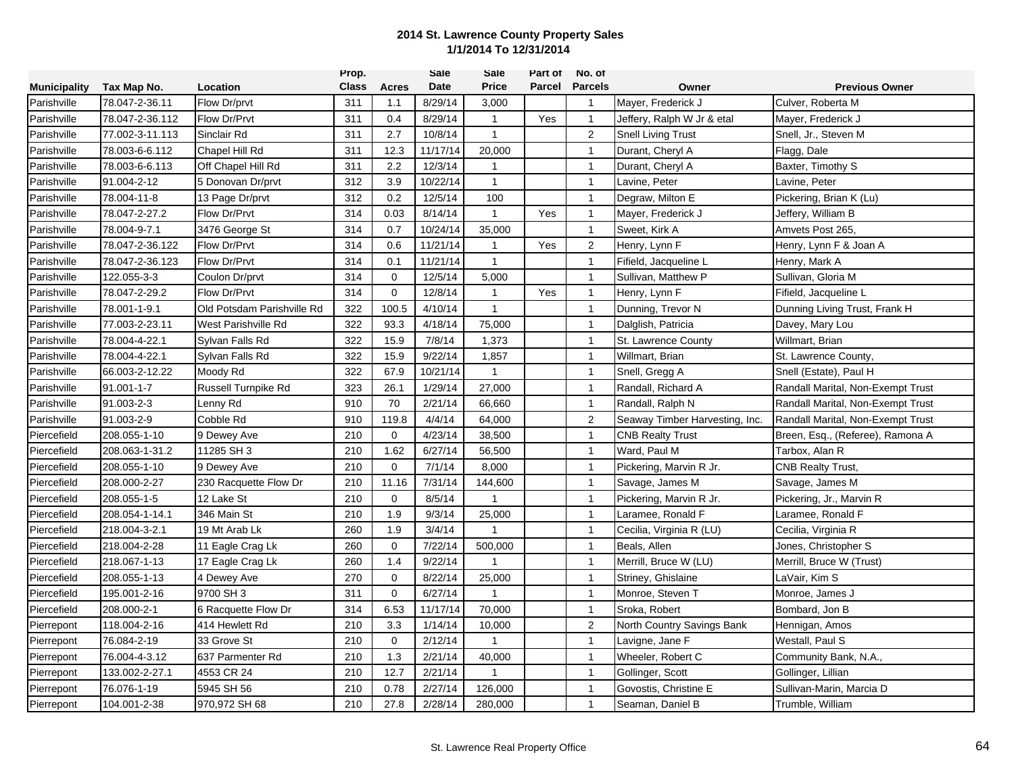|                     |                 |                            | Prop.        |              | <b>Sale</b> | Sale           | Part of | No. of           |                                |                                   |
|---------------------|-----------------|----------------------------|--------------|--------------|-------------|----------------|---------|------------------|--------------------------------|-----------------------------------|
| <b>Municipality</b> | Tax Map No.     | Location                   | <b>Class</b> | <b>Acres</b> | <b>Date</b> | <b>Price</b>   | Parcel  | <b>Parcels</b>   | Owner                          | <b>Previous Owner</b>             |
| Parishville         | 78.047-2-36.11  | Flow Dr/prvt               | 311          | 1.1          | 8/29/14     | 3,000          |         | $\mathbf{1}$     | Mayer, Frederick J             | Culver, Roberta M                 |
| Parishville         | 78.047-2-36.112 | Flow Dr/Prvt               | 311          | 0.4          | 8/29/14     | $\mathbf{1}$   | Yes     | $\overline{1}$   | Jeffery, Ralph W Jr & etal     | Mayer, Frederick J                |
| Parishville         | 77.002-3-11.113 | Sinclair Rd                | 311          | 2.7          | 10/8/14     | $\mathbf{1}$   |         | $\overline{2}$   | <b>Snell Living Trust</b>      | Snell, Jr., Steven M              |
| Parishville         | 78.003-6-6.112  | Chapel Hill Rd             | 311          | 12.3         | 11/17/14    | 20,000         |         | $\mathbf{1}$     | Durant, Cheryl A               | Flagg, Dale                       |
| Parishville         | 78.003-6-6.113  | Off Chapel Hill Rd         | 311          | 2.2          | 12/3/14     | $\mathbf{1}$   |         | $\mathbf{1}$     | Durant, Cheryl A               | Baxter, Timothy S                 |
| Parishville         | 91.004-2-12     | 5 Donovan Dr/prvt          | 312          | 3.9          | 10/22/14    | $\mathbf{1}$   |         | $\mathbf{1}$     | Lavine, Peter                  | Lavine, Peter                     |
| Parishville         | 78.004-11-8     | 13 Page Dr/prvt            | 312          | 0.2          | 12/5/14     | 100            |         | $\mathbf{1}$     | Degraw, Milton E               | Pickering, Brian K (Lu)           |
| Parishville         | 78.047-2-27.2   | Flow Dr/Prvt               | 314          | 0.03         | 8/14/14     | $\mathbf{1}$   | Yes     | $\mathbf{1}$     | Mayer, Frederick J             | Jeffery, William B                |
| Parishville         | 78.004-9-7.1    | 3476 George St             | 314          | 0.7          | 10/24/14    | 35,000         |         | $\overline{1}$   | Sweet, Kirk A                  | Amvets Post 265.                  |
| Parishville         | 78.047-2-36.122 | Flow Dr/Prvt               | 314          | 0.6          | 11/21/14    | $\overline{1}$ | Yes     | $\boldsymbol{2}$ | Henry, Lynn F                  | Henry, Lynn F & Joan A            |
| Parishville         | 78.047-2-36.123 | Flow Dr/Prvt               | 314          | 0.1          | 11/21/14    | $\mathbf{1}$   |         | $\mathbf{1}$     | Fifield, Jacqueline L          | Henry, Mark A                     |
| Parishville         | 122.055-3-3     | Coulon Dr/prvt             | 314          | $\Omega$     | 12/5/14     | 5,000          |         | $\mathbf{1}$     | Sullivan, Matthew P            | Sullivan, Gloria M                |
| Parishville         | 78.047-2-29.2   | Flow Dr/Prvt               | 314          | $\mathbf 0$  | 12/8/14     | $\overline{1}$ | Yes     | $\mathbf{1}$     | Henry, Lynn F                  | Fifield, Jacqueline L             |
| Parishville         | 78.001-1-9.1    | Old Potsdam Parishville Rd | 322          | 100.5        | 4/10/14     | $\mathbf{1}$   |         | $\overline{1}$   | Dunning, Trevor N              | Dunning Living Trust, Frank H     |
| Parishville         | 77.003-2-23.11  | West Parishville Rd        | 322          | 93.3         | 4/18/14     | 75,000         |         | $\overline{1}$   | Dalglish, Patricia             | Davey, Mary Lou                   |
| Parishville         | 78.004-4-22.1   | Sylvan Falls Rd            | 322          | 15.9         | 7/8/14      | 1,373          |         | $\mathbf{1}$     | St. Lawrence County            | Willmart, Brian                   |
| Parishville         | 78.004-4-22.1   | Svivan Falls Rd            | 322          | 15.9         | 9/22/14     | 1,857          |         | $\mathbf{1}$     | Willmart, Brian                | St. Lawrence County,              |
| Parishville         | 66.003-2-12.22  | Moody Rd                   | 322          | 67.9         | 10/21/14    | $\mathbf{1}$   |         | $\mathbf{1}$     | Snell, Gregg A                 | Snell (Estate), Paul H            |
| Parishville         | 91.001-1-7      | Russell Turnpike Rd        | 323          | 26.1         | 1/29/14     | 27,000         |         | $\mathbf{1}$     | Randall, Richard A             | Randall Marital, Non-Exempt Trust |
| Parishville         | 91.003-2-3      | Lenny Rd                   | 910          | 70           | 2/21/14     | 66,660         |         | $\mathbf{1}$     | Randall, Ralph N               | Randall Marital, Non-Exempt Trust |
| Parishville         | 91.003-2-9      | Cobble Rd                  | 910          | 119.8        | 4/4/14      | 64,000         |         | 2                | Seaway Timber Harvesting, Inc. | Randall Marital, Non-Exempt Trust |
| Piercefield         | 208.055-1-10    | 9 Dewey Ave                | 210          | $\mathbf 0$  | 4/23/14     | 38,500         |         | $\overline{1}$   | <b>CNB Realty Trust</b>        | Breen, Esq., (Referee), Ramona A  |
| Piercefield         | 208.063-1-31.2  | 11285 SH 3                 | 210          | 1.62         | 6/27/14     | 56,500         |         | $\mathbf{1}$     | Ward, Paul M                   | Tarbox, Alan R                    |
| Piercefield         | 208.055-1-10    | 9 Dewey Ave                | 210          | $\mathbf 0$  | 7/1/14      | 8,000          |         | $\mathbf{1}$     | Pickering, Marvin R Jr.        | <b>CNB Realty Trust,</b>          |
| Piercefield         | 208.000-2-27    | 230 Racquette Flow Dr      | 210          | 11.16        | 7/31/14     | 144,600        |         | $\mathbf{1}$     | Savage, James M                | Savage, James M                   |
| Piercefield         | 208.055-1-5     | 12 Lake St                 | 210          | $\mathbf 0$  | 8/5/14      | $\mathbf{1}$   |         | $\mathbf{1}$     | Pickering, Marvin R Jr.        | Pickering, Jr., Marvin R          |
| Piercefield         | 208.054-1-14.1  | 346 Main St                | 210          | 1.9          | 9/3/14      | 25,000         |         | $\overline{1}$   | Laramee, Ronald F              | Laramee, Ronald F                 |
| Piercefield         | 218.004-3-2.1   | 19 Mt Arab Lk              | 260          | 1.9          | 3/4/14      | $\mathbf{1}$   |         | $\overline{1}$   | Cecilia, Virginia R (LU)       | Cecilia, Virginia R               |
| Piercefield         | 218.004-2-28    | 11 Eagle Crag Lk           | 260          | $\mathbf 0$  | 7/22/14     | 500,000        |         | $\mathbf{1}$     | Beals, Allen                   | Jones, Christopher S              |
| Piercefield         | 218.067-1-13    | 17 Eagle Crag Lk           | 260          | 1.4          | 9/22/14     | $\mathbf{1}$   |         | $\overline{1}$   | Merrill, Bruce W (LU)          | Merrill, Bruce W (Trust)          |
| Piercefield         | 208.055-1-13    | 4 Dewey Ave                | 270          | $\mathbf 0$  | 8/22/14     | 25,000         |         | $\mathbf{1}$     | Striney, Ghislaine             | LaVair, Kim S                     |
| Piercefield         | 195.001-2-16    | 9700 SH 3                  | 311          | $\mathbf 0$  | 6/27/14     |                |         | $\mathbf{1}$     | Monroe, Steven T               | Monroe, James J                   |
| Piercefield         | 208.000-2-1     | 6 Racquette Flow Dr        | 314          | 6.53         | 11/17/14    | 70,000         |         | $\mathbf{1}$     | Sroka, Robert                  | Bombard, Jon B                    |
| Pierrepont          | 118.004-2-16    | 414 Hewlett Rd             | 210          | 3.3          | 1/14/14     | 10,000         |         | 2                | North Country Savings Bank     | Hennigan, Amos                    |
| Pierrepont          | 76.084-2-19     | 33 Grove St                | 210          | $\Omega$     | 2/12/14     | $\overline{1}$ |         | $\mathbf{1}$     | Lavigne, Jane F                | Westall, Paul S                   |
| Pierrepont          | 76.004-4-3.12   | 637 Parmenter Rd           | 210          | 1.3          | 2/21/14     | 40,000         |         | $\mathbf{1}$     | Wheeler, Robert C              | Community Bank, N.A.,             |
| Pierrepont          | 133.002-2-27.1  | 4553 CR 24                 | 210          | 12.7         | 2/21/14     | $\mathbf 1$    |         | $\mathbf{1}$     | Gollinger, Scott               | Gollinger, Lillian                |
| Pierrepont          | 76.076-1-19     | 5945 SH 56                 | 210          | 0.78         | 2/27/14     | 126,000        |         | $\mathbf{1}$     | Govostis, Christine E          | Sullivan-Marin, Marcia D          |
| Pierrepont          | 104.001-2-38    | 970,972 SH 68              | 210          | 27.8         | 2/28/14     | 280,000        |         | $\mathbf{1}$     | Seaman, Daniel B               | Trumble, William                  |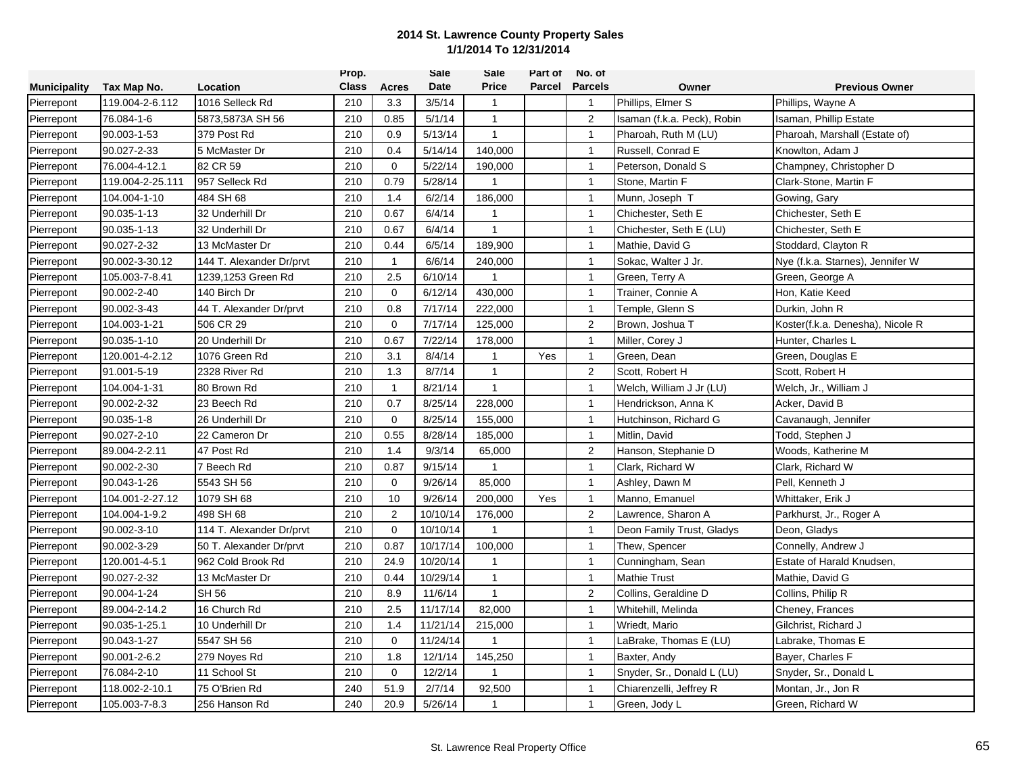|                     |                  |                          | Prop.        |              | Sale     | Sale           | Part of | No. of         |                             |                                  |
|---------------------|------------------|--------------------------|--------------|--------------|----------|----------------|---------|----------------|-----------------------------|----------------------------------|
| <b>Municipality</b> | Tax Map No.      | Location                 | <b>Class</b> | <b>Acres</b> | Date     | <b>Price</b>   | Parcel  | <b>Parcels</b> | Owner                       | <b>Previous Owner</b>            |
| Pierrepont          | 119.004-2-6.112  | 1016 Selleck Rd          | 210          | 3.3          | 3/5/14   | $\mathbf{1}$   |         | $\overline{1}$ | Phillips, Elmer S           | Phillips, Wayne A                |
| Pierrepont          | 76.084-1-6       | 5873,5873A SH 56         | 210          | 0.85         | 5/1/14   | $\mathbf{1}$   |         | 2              | Isaman (f.k.a. Peck), Robin | Isaman, Phillip Estate           |
| Pierrepont          | 90.003-1-53      | 379 Post Rd              | 210          | 0.9          | 5/13/14  | $\mathbf{1}$   |         | $\overline{1}$ | Pharoah, Ruth M (LU)        | Pharoah, Marshall (Estate of)    |
| Pierrepont          | 90.027-2-33      | 5 McMaster Dr            | 210          | 0.4          | 5/14/14  | 140,000        |         | $\mathbf{1}$   | Russell, Conrad E           | Knowlton, Adam J                 |
| Pierrepont          | 76.004-4-12.1    | 82 CR 59                 | 210          | $\mathbf 0$  | 5/22/14  | 190,000        |         | $\mathbf{1}$   | Peterson, Donald S          | Champney, Christopher D          |
| Pierrepont          | 119.004-2-25.111 | 957 Selleck Rd           | 210          | 0.79         | 5/28/14  | 1              |         | $\mathbf{1}$   | Stone, Martin F             | Clark-Stone, Martin F            |
| Pierrepont          | 104.004-1-10     | 484 SH 68                | 210          | 1.4          | 6/2/14   | 186,000        |         | $\mathbf{1}$   | Munn, Joseph T              | Gowing, Gary                     |
| Pierrepont          | 90.035-1-13      | 32 Underhill Dr          | 210          | 0.67         | 6/4/14   | $\mathbf{1}$   |         | $\mathbf{1}$   | Chichester, Seth E          | Chichester, Seth E               |
| Pierrepont          | 90.035-1-13      | 32 Underhill Dr          | 210          | 0.67         | 6/4/14   | $\mathbf{1}$   |         | $\overline{1}$ | Chichester, Seth E (LU)     | Chichester, Seth E               |
| Pierrepont          | 90.027-2-32      | 13 McMaster Dr           | 210          | 0.44         | 6/5/14   | 189,900        |         | $\mathbf{1}$   | Mathie, David G             | Stoddard, Clayton R              |
| Pierrepont          | 90.002-3-30.12   | 144 T. Alexander Dr/prvt | 210          | $\mathbf{1}$ | 6/6/14   | 240,000        |         | $\mathbf{1}$   | Sokac, Walter J Jr.         | Nye (f.k.a. Starnes), Jennifer W |
| Pierrepont          | 105.003-7-8.41   | 1239,1253 Green Rd       | 210          | 2.5          | 6/10/14  | $\overline{1}$ |         | $\overline{1}$ | Green, Terry A              | Green, George A                  |
| Pierrepont          | 90.002-2-40      | 140 Birch Dr             | 210          | $\mathbf 0$  | 6/12/14  | 430,000        |         | $\mathbf{1}$   | Trainer, Connie A           | Hon, Katie Keed                  |
| Pierrepont          | 90.002-3-43      | 44 T. Alexander Dr/prvt  | 210          | 0.8          | 7/17/14  | 222,000        |         | $\mathbf{1}$   | Temple, Glenn S             | Durkin, John R                   |
| Pierrepont          | 104.003-1-21     | 506 CR 29                | 210          | $\mathbf 0$  | 7/17/14  | 125,000        |         | $\overline{2}$ | Brown, Joshua T             | Koster(f.k.a. Denesha), Nicole R |
| Pierrepont          | 90.035-1-10      | 20 Underhill Dr          | 210          | 0.67         | 7/22/14  | 178,000        |         | $\mathbf{1}$   | Miller, Corey J             | Hunter, Charles L                |
| Pierrepont          | 120.001-4-2.12   | 1076 Green Rd            | 210          | 3.1          | 8/4/14   | $\overline{1}$ | Yes     | $\mathbf{1}$   | Green. Dean                 | Green, Douglas E                 |
| Pierrepont          | 91.001-5-19      | 2328 River Rd            | 210          | 1.3          | 8/7/14   | 1              |         | $\overline{c}$ | Scott, Robert H             | Scott, Robert H                  |
| Pierrepont          | 104.004-1-31     | 80 Brown Rd              | 210          | $\mathbf{1}$ | 8/21/14  | $\mathbf{1}$   |         | $\mathbf{1}$   | Welch, William J Jr (LU)    | Welch, Jr., William J            |
| Pierrepont          | 90.002-2-32      | 23 Beech Rd              | 210          | 0.7          | 8/25/14  | 228,000        |         | $\mathbf{1}$   | Hendrickson, Anna K         | Acker, David B                   |
| Pierrepont          | 90.035-1-8       | 26 Underhill Dr          | 210          | $\mathbf 0$  | 8/25/14  | 155,000        |         | $\mathbf{1}$   | Hutchinson, Richard G       | Cavanaugh, Jennifer              |
| Pierrepont          | 90.027-2-10      | 22 Cameron Dr            | 210          | 0.55         | 8/28/14  | 185,000        |         | $\overline{1}$ | Mitlin, David               | Todd, Stephen J                  |
| Pierrepont          | 89.004-2-2.11    | 47 Post Rd               | 210          | 1.4          | 9/3/14   | 65,000         |         | $\overline{2}$ | Hanson, Stephanie D         | Woods, Katherine M               |
| Pierrepont          | 90.002-2-30      | 7 Beech Rd               | 210          | 0.87         | 9/15/14  | $\mathbf{1}$   |         | $\mathbf{1}$   | Clark, Richard W            | Clark, Richard W                 |
| Pierrepont          | 90.043-1-26      | 5543 SH 56               | 210          | $\mathbf 0$  | 9/26/14  | 85,000         |         | $\mathbf{1}$   | Ashley, Dawn M              | Pell, Kenneth J                  |
| Pierrepont          | 104.001-2-27.12  | 1079 SH 68               | 210          | 10           | 9/26/14  | 200,000        | Yes     | $\mathbf{1}$   | Manno, Emanuel              | Whittaker, Erik J                |
| Pierrepont          | 104.004-1-9.2    | 498 SH 68                | 210          | 2            | 10/10/14 | 176,000        |         | $\overline{2}$ | Lawrence, Sharon A          | Parkhurst, Jr., Roger A          |
| Pierrepont          | 90.002-3-10      | 114 T. Alexander Dr/prvt | 210          | $\mathbf 0$  | 10/10/14 | $\overline{1}$ |         | $\mathbf{1}$   | Deon Family Trust, Gladys   | Deon, Gladys                     |
| Pierrepont          | 90.002-3-29      | 50 T. Alexander Dr/prvt  | 210          | 0.87         | 10/17/14 | 100,000        |         | $\mathbf{1}$   | Thew, Spencer               | Connelly, Andrew J               |
| Pierrepont          | 120.001-4-5.1    | 962 Cold Brook Rd        | 210          | 24.9         | 10/20/14 | 1              |         | $\mathbf{1}$   | Cunningham, Sean            | Estate of Harald Knudsen,        |
| Pierrepont          | 90.027-2-32      | 13 McMaster Dr           | 210          | 0.44         | 10/29/14 | $\mathbf{1}$   |         | $\mathbf{1}$   | <b>Mathie Trust</b>         | Mathie, David G                  |
| Pierrepont          | 90.004-1-24      | <b>SH 56</b>             | 210          | 8.9          | 11/6/14  | $\mathbf{1}$   |         | $\sqrt{2}$     | Collins, Geraldine D        | Collins, Philip R                |
| Pierrepont          | 89.004-2-14.2    | 16 Church Rd             | 210          | 2.5          | 11/17/14 | 82,000         |         | $\mathbf{1}$   | Whitehill, Melinda          | Cheney, Frances                  |
| Pierrepont          | 90.035-1-25.1    | 10 Underhill Dr          | 210          | 1.4          | 11/21/14 | 215,000        |         | $\overline{1}$ | Wriedt, Mario               | Gilchrist, Richard J             |
| Pierrepont          | 90.043-1-27      | 5547 SH 56               | 210          | $\mathbf 0$  | 11/24/14 |                |         | $\mathbf{1}$   | LaBrake, Thomas E (LU)      | Labrake, Thomas E                |
| Pierrepont          | 90.001-2-6.2     | 279 Noyes Rd             | 210          | 1.8          | 12/1/14  | 145,250        |         | $\mathbf{1}$   | Baxter, Andy                | Bayer, Charles F                 |
| Pierrepont          | 76.084-2-10      | 11 School St             | 210          | $\mathbf 0$  | 12/2/14  | 1              |         | $\mathbf{1}$   | Snyder, Sr., Donald L (LU)  | Snyder, Sr., Donald L            |
| Pierrepont          | 118.002-2-10.1   | 75 O'Brien Rd            | 240          | 51.9         | 2/7/14   | 92,500         |         | $\overline{1}$ | Chiarenzelli, Jeffrey R     | Montan, Jr., Jon R               |
| Pierrepont          | 105.003-7-8.3    | 256 Hanson Rd            | 240          | 20.9         | 5/26/14  | 1              |         | $\overline{1}$ | Green, Jody L               | Green, Richard W                 |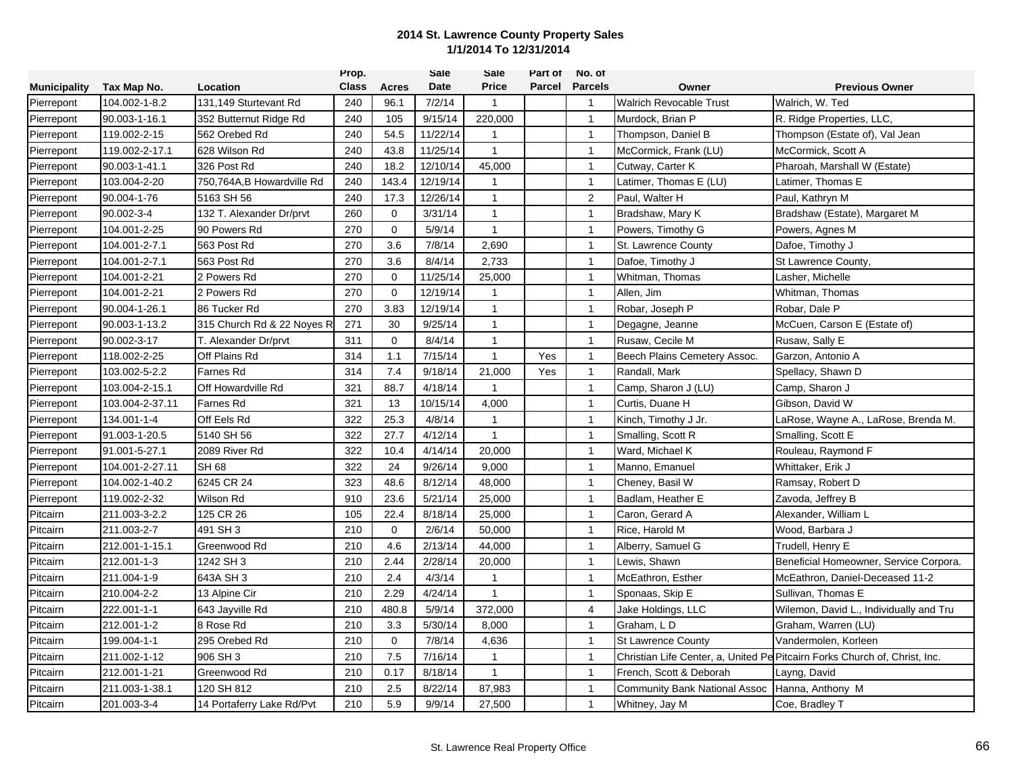|                     |                 |                            | Prop.        |              | Sale     | Sale           | Part of | No. of         |                                      |                                                                            |
|---------------------|-----------------|----------------------------|--------------|--------------|----------|----------------|---------|----------------|--------------------------------------|----------------------------------------------------------------------------|
| <b>Municipality</b> | Tax Map No.     | Location                   | <b>Class</b> | Acres        | Date     | <b>Price</b>   | Parcel  | <b>Parcels</b> | Owner                                | <b>Previous Owner</b>                                                      |
| Pierrepont          | 104.002-1-8.2   | 131,149 Sturtevant Rd      | 240          | 96.1         | 7/2/14   | $\mathbf{1}$   |         | $\overline{1}$ | <b>Walrich Revocable Trust</b>       | Walrich, W. Ted                                                            |
| Pierrepont          | 90.003-1-16.1   | 352 Butternut Ridge Rd     | 240          | 105          | 9/15/14  | 220,000        |         | $\overline{1}$ | Murdock, Brian P                     | R. Ridge Properties, LLC,                                                  |
| Pierrepont          | 119.002-2-15    | 562 Orebed Rd              | 240          | 54.5         | 11/22/14 | $\mathbf{1}$   |         | $\overline{1}$ | Thompson, Daniel B                   | Thompson (Estate of), Val Jean                                             |
| Pierrepont          | 119.002-2-17.1  | 628 Wilson Rd              | 240          | 43.8         | 11/25/14 | $\mathbf{1}$   |         | $\mathbf{1}$   | McCormick, Frank (LU)                | McCormick, Scott A                                                         |
| Pierrepont          | 90.003-1-41.1   | 326 Post Rd                | 240          | 18.2         | 12/10/14 | 45,000         |         | $\mathbf{1}$   | Cutway, Carter K                     | Pharoah, Marshall W (Estate)                                               |
| Pierrepont          | 103.004-2-20    | 750,764A,B Howardville Rd  | 240          | 143.4        | 12/19/14 | $\mathbf{1}$   |         | $\mathbf{1}$   | Latimer, Thomas E (LU)               | Latimer, Thomas E                                                          |
| Pierrepont          | 90.004-1-76     | 5163 SH 56                 | 240          | 17.3         | 12/26/14 | $\overline{1}$ |         | $\sqrt{2}$     | Paul, Walter H                       | Paul, Kathryn M                                                            |
| Pierrepont          | 90.002-3-4      | 132 T. Alexander Dr/prvt   | 260          | $\mathbf 0$  | 3/31/14  | $\mathbf{1}$   |         | $\mathbf{1}$   | Bradshaw, Mary K                     | Bradshaw (Estate), Margaret M                                              |
| Pierrepont          | 104.001-2-25    | 90 Powers Rd               | 270          | $\Omega$     | 5/9/14   | $\mathbf{1}$   |         | $\overline{1}$ | Powers, Timothy G                    | Powers, Agnes M                                                            |
| Pierrepont          | 104.001-2-7.1   | 563 Post Rd                | 270          | 3.6          | 7/8/14   | 2,690          |         | $\mathbf{1}$   | St. Lawrence County                  | Dafoe, Timothy J                                                           |
| Pierrepont          | 104.001-2-7.1   | 563 Post Rd                | 270          | 3.6          | 8/4/14   | 2,733          |         | $\mathbf{1}$   | Dafoe, Timothy J                     | St Lawrence County,                                                        |
| Pierrepont          | 104.001-2-21    | 2 Powers Rd                | 270          | $\mathbf 0$  | 11/25/14 | 25,000         |         | $\mathbf{1}$   | Whitman, Thomas                      | Lasher, Michelle                                                           |
| Pierrepont          | 104.001-2-21    | 2 Powers Rd                | 270          | $\mathbf{0}$ | 12/19/14 | 1              |         | $\mathbf{1}$   | Allen, Jim                           | Whitman, Thomas                                                            |
| Pierrepont          | 90.004-1-26.1   | 86 Tucker Rd               | 270          | 3.83         | 12/19/14 | $\mathbf{1}$   |         | $\mathbf{1}$   | Robar, Joseph P                      | Robar, Dale P                                                              |
| Pierrepont          | 90.003-1-13.2   | 315 Church Rd & 22 Noyes R | 271          | 30           | 9/25/14  | $\mathbf{1}$   |         | $\overline{1}$ | Degagne, Jeanne                      | McCuen, Carson E (Estate of)                                               |
| Pierrepont          | 90.002-3-17     | T. Alexander Dr/prvt       | 311          | $\mathbf 0$  | 8/4/14   | $\mathbf{1}$   |         | $\overline{1}$ | Rusaw, Cecile M                      | Rusaw, Sally E                                                             |
| Pierrepont          | 118.002-2-25    | Off Plains Rd              | 314          | 1.1          | 7/15/14  | $\mathbf{1}$   | Yes     | $\overline{1}$ | Beech Plains Cemetery Assoc.         | Garzon, Antonio A                                                          |
| Pierrepont          | 103.002-5-2.2   | Farnes Rd                  | 314          | 7.4          | 9/18/14  | 21,000         | Yes     | $\mathbf{1}$   | Randall, Mark                        | Spellacy, Shawn D                                                          |
| Pierrepont          | 103.004-2-15.1  | Off Howardville Rd         | 321          | 88.7         | 4/18/14  | $\mathbf{1}$   |         | $\mathbf{1}$   | Camp, Sharon J (LU)                  | Camp, Sharon J                                                             |
| Pierrepont          | 103.004-2-37.11 | <b>Farnes Rd</b>           | 321          | 13           | 10/15/14 | 4,000          |         | $\overline{1}$ | Curtis, Duane H                      | Gibson, David W                                                            |
| Pierrepont          | 134.001-1-4     | Off Eels Rd                | 322          | 25.3         | 4/8/14   | $\mathbf{1}$   |         | $\overline{1}$ | Kinch, Timothy J Jr.                 | LaRose, Wayne A., LaRose, Brenda M.                                        |
| Pierrepont          | 91.003-1-20.5   | 5140 SH 56                 | 322          | 27.7         | 4/12/14  | $\mathbf{1}$   |         | $\mathbf{1}$   | Smalling, Scott R                    | Smalling, Scott E                                                          |
| Pierrepont          | 91.001-5-27.1   | 2089 River Rd              | 322          | 10.4         | 4/14/14  | 20,000         |         | $\mathbf{1}$   | Ward, Michael K                      | Rouleau, Raymond F                                                         |
| Pierrepont          | 104.001-2-27.11 | <b>SH 68</b>               | 322          | 24           | 9/26/14  | 9,000          |         | $\mathbf{1}$   | Manno, Emanuel                       | Whittaker, Erik J                                                          |
| Pierrepont          | 104.002-1-40.2  | 6245 CR 24                 | 323          | 48.6         | 8/12/14  | 48,000         |         | $\mathbf{1}$   | Cheney, Basil W                      | Ramsay, Robert D                                                           |
| Pierrepont          | 119.002-2-32    | Wilson Rd                  | 910          | 23.6         | 5/21/14  | 25,000         |         | $\overline{1}$ | Badlam, Heather E                    | Zavoda, Jeffrey B                                                          |
| Pitcairn            | 211.003-3-2.2   | 125 CR 26                  | 105          | 22.4         | 8/18/14  | 25,000         |         | $\mathbf{1}$   | Caron, Gerard A                      | Alexander, William L                                                       |
| Pitcairn            | 211.003-2-7     | 491 SH 3                   | 210          | $\mathbf 0$  | 2/6/14   | 50,000         |         | $\overline{1}$ | Rice, Harold M                       | Wood, Barbara J                                                            |
| Pitcairn            | 212.001-1-15.1  | Greenwood Rd               | 210          | 4.6          | 2/13/14  | 44,000         |         | $\overline{1}$ | Alberry, Samuel G                    | Trudell, Henry E                                                           |
| Pitcairn            | 212.001-1-3     | 1242 SH 3                  | 210          | 2.44         | 2/28/14  | 20,000         |         | $\overline{1}$ | Lewis, Shawn                         | Beneficial Homeowner, Service Corpora.                                     |
| Pitcairn            | 211.004-1-9     | 643A SH 3                  | 210          | 2.4          | 4/3/14   | 1              |         | $\mathbf{1}$   | McEathron, Esther                    | McEathron, Daniel-Deceased 11-2                                            |
| Pitcairn            | 210.004-2-2     | 13 Alpine Cir              | 210          | 2.29         | 4/24/14  | $\mathbf{1}$   |         | $\mathbf{1}$   | Sponaas, Skip E                      | Sullivan, Thomas E                                                         |
| Pitcairn            | 222.001-1-1     | 643 Jayville Rd            | 210          | 480.8        | 5/9/14   | 372,000        |         | $\overline{4}$ | Jake Holdings, LLC                   | Wilemon, David L., Individually and Tru                                    |
| Pitcairn            | 212.001-1-2     | 8 Rose Rd                  | 210          | 3.3          | 5/30/14  | 8,000          |         | $\mathbf{1}$   | Graham, LD                           | Graham, Warren (LU)                                                        |
| Pitcairn            | 199.004-1-1     | 295 Orebed Rd              | 210          | $\mathbf 0$  | 7/8/14   | 4,636          |         | $\overline{1}$ | <b>St Lawrence County</b>            | Vandermolen, Korleen                                                       |
| Pitcairn            | 211.002-1-12    | 906 SH 3                   | 210          | 7.5          | 7/16/14  | $\overline{1}$ |         | $\mathbf{1}$   |                                      | Christian Life Center, a, United Pe Pitcairn Forks Church of, Christ, Inc. |
| Pitcairn            | 212.001-1-21    | Greenwood Rd               | 210          | 0.17         | 8/18/14  | $\mathbf{1}$   |         | $\mathbf{1}$   | French, Scott & Deborah              | Layng, David                                                               |
| Pitcairn            | 211.003-1-38.1  | 120 SH 812                 | 210          | 2.5          | 8/22/14  | 87,983         |         | $\mathbf{1}$   | <b>Community Bank National Assoc</b> | Hanna, Anthony M                                                           |
| Pitcairn            | 201.003-3-4     | 14 Portaferry Lake Rd/Pvt  | 210          | 5.9          | 9/9/14   | 27,500         |         | $\mathbf{1}$   | Whitney, Jay M                       | Coe, Bradley T                                                             |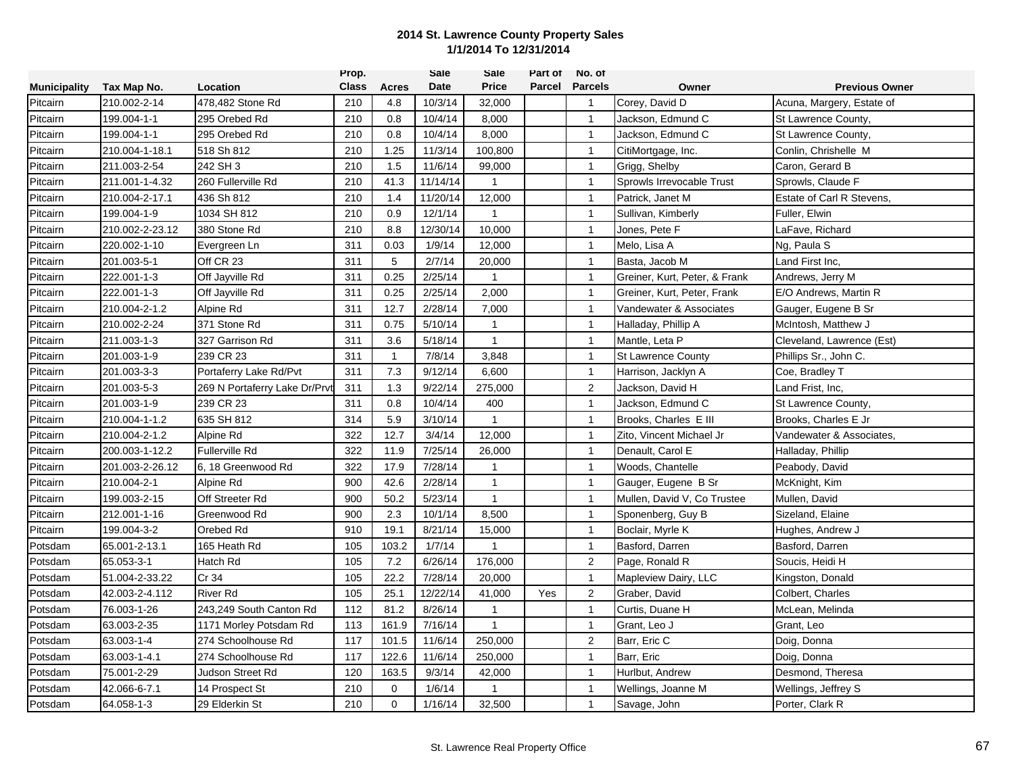|                     |                 |                               | Prop.        |              | <b>Sale</b> | Sale         | Part of | No. of           |                               |                           |
|---------------------|-----------------|-------------------------------|--------------|--------------|-------------|--------------|---------|------------------|-------------------------------|---------------------------|
| <b>Municipality</b> | Tax Map No.     | Location                      | <b>Class</b> | <b>Acres</b> | Date        | <b>Price</b> | Parcel  | <b>Parcels</b>   | Owner                         | <b>Previous Owner</b>     |
| Pitcairn            | 210.002-2-14    | 478,482 Stone Rd              | 210          | 4.8          | 10/3/14     | 32,000       |         | $\mathbf{1}$     | Corey, David D                | Acuna, Margery, Estate of |
| Pitcairn            | 199.004-1-1     | 295 Orebed Rd                 | 210          | 0.8          | 10/4/14     | 8,000        |         | $\overline{1}$   | Jackson, Edmund C             | St Lawrence County,       |
| Pitcairn            | 199.004-1-1     | 295 Orebed Rd                 | 210          | 0.8          | 10/4/14     | 8,000        |         | $\overline{1}$   | Jackson, Edmund C             | St Lawrence County,       |
| Pitcairn            | 210.004-1-18.1  | 518 Sh 812                    | 210          | 1.25         | 11/3/14     | 100,800      |         | $\mathbf{1}$     | CitiMortgage, Inc.            | Conlin, Chrishelle M      |
| Pitcairn            | 211.003-2-54    | 242 SH 3                      | 210          | 1.5          | 11/6/14     | 99,000       |         | $\mathbf{1}$     | Grigg, Shelby                 | Caron, Gerard B           |
| Pitcairn            | 211.001-1-4.32  | 260 Fullerville Rd            | 210          | 41.3         | 11/14/14    | $\mathbf{1}$ |         | $\mathbf{1}$     | Sprowls Irrevocable Trust     | Sprowls, Claude F         |
| Pitcairn            | 210.004-2-17.1  | 436 Sh 812                    | 210          | 1.4          | 11/20/14    | 12,000       |         | $\mathbf{1}$     | Patrick, Janet M              | Estate of Carl R Stevens, |
| Pitcairn            | 199.004-1-9     | 1034 SH 812                   | 210          | 0.9          | 12/1/14     | $\mathbf{1}$ |         | $\mathbf{1}$     | Sullivan, Kimberly            | Fuller, Elwin             |
| Pitcairn            | 210.002-2-23.12 | 380 Stone Rd                  | 210          | 8.8          | 12/30/14    | 10,000       |         | $\overline{1}$   | Jones, Pete F                 | LaFave, Richard           |
| Pitcairn            | 220.002-1-10    | Evergreen Ln                  | 311          | 0.03         | 1/9/14      | 12,000       |         | $\mathbf{1}$     | Melo, Lisa A                  | Ng, Paula S               |
| Pitcairn            | 201.003-5-1     | Off CR 23                     | 311          | 5            | 2/7/14      | 20,000       |         | $\overline{1}$   | Basta, Jacob M                | Land First Inc.           |
| Pitcairn            | 222.001-1-3     | Off Jayville Rd               | 311          | 0.25         | 2/25/14     | $\mathbf{1}$ |         | $\mathbf{1}$     | Greiner, Kurt, Peter, & Frank | Andrews, Jerry M          |
| Pitcairn            | 222.001-1-3     | Off Jayville Rd               | 311          | 0.25         | 2/25/14     | 2,000        |         | $\mathbf{1}$     | Greiner, Kurt, Peter, Frank   | E/O Andrews, Martin R     |
| Pitcairn            | 210.004-2-1.2   | Alpine Rd                     | 311          | 12.7         | 2/28/14     | 7,000        |         | $\mathbf{1}$     | Vandewater & Associates       | Gauger, Eugene B Sr       |
| Pitcairn            | 210.002-2-24    | 371 Stone Rd                  | 311          | 0.75         | 5/10/14     | $\mathbf{1}$ |         | $\overline{1}$   | Halladay, Phillip A           | McIntosh, Matthew J       |
| Pitcairn            | 211.003-1-3     | 327 Garrison Rd               | 311          | 3.6          | 5/18/14     | $\mathbf{1}$ |         | $\mathbf{1}$     | Mantle, Leta P                | Cleveland, Lawrence (Est) |
| Pitcairn            | 201.003-1-9     | 239 CR 23                     | 311          | $\mathbf{1}$ | 7/8/14      | 3,848        |         | $\mathbf{1}$     | <b>St Lawrence County</b>     | Phillips Sr., John C.     |
| Pitcairn            | 201.003-3-3     | Portaferry Lake Rd/Pvt        | 311          | 7.3          | 9/12/14     | 6,600        |         | $\mathbf{1}$     | Harrison, Jacklyn A           | Coe, Bradley T            |
| Pitcairn            | 201.003-5-3     | 269 N Portaferry Lake Dr/Prvi | 311          | 1.3          | 9/22/14     | 275,000      |         | $\overline{2}$   | Jackson, David H              | Land Frist, Inc,          |
| Pitcairn            | 201.003-1-9     | 239 CR 23                     | 311          | 0.8          | 10/4/14     | 400          |         | $\mathbf{1}$     | Jackson, Edmund C             | St Lawrence County,       |
| Pitcairn            | 210.004-1-1.2   | 635 SH 812                    | 314          | 5.9          | 3/10/14     | $\mathbf{1}$ |         | $\overline{1}$   | Brooks, Charles E III         | Brooks, Charles E Jr      |
| Pitcairn            | 210.004-2-1.2   | Alpine Rd                     | 322          | 12.7         | 3/4/14      | 12,000       |         | $\overline{1}$   | Zito, Vincent Michael Jr      | Vandewater & Associates,  |
| Pitcairn            | 200.003-1-12.2  | <b>Fullerville Rd</b>         | 322          | 11.9         | 7/25/14     | 26,000       |         | $\mathbf{1}$     | Denault, Carol E              | Halladay, Phillip         |
| Pitcairn            | 201.003-2-26.12 | 6, 18 Greenwood Rd            | 322          | 17.9         | 7/28/14     | 1            |         | $\mathbf{1}$     | Woods, Chantelle              | Peabody, David            |
| Pitcairn            | 210.004-2-1     | Alpine Rd                     | 900          | 42.6         | 2/28/14     | $\mathbf{1}$ |         | $\mathbf{1}$     | Gauger, Eugene B Sr           | McKnight, Kim             |
| Pitcairn            | 199.003-2-15    | Off Streeter Rd               | 900          | 50.2         | 5/23/14     | $\mathbf{1}$ |         | $\mathbf{1}$     | Mullen, David V, Co Trustee   | Mullen, David             |
| Pitcairn            | 212.001-1-16    | Greenwood Rd                  | 900          | 2.3          | 10/1/14     | 8,500        |         | $\mathbf{1}$     | Sponenberg, Guy B             | Sizeland, Elaine          |
| Pitcairn            | 199.004-3-2     | Orebed Rd                     | 910          | 19.1         | 8/21/14     | 15,000       |         | $\overline{1}$   | Boclair, Myrle K              | Hughes, Andrew J          |
| Potsdam             | 65.001-2-13.1   | 165 Heath Rd                  | 105          | 103.2        | 1/7/14      | $\mathbf{1}$ |         | $\overline{1}$   | Basford, Darren               | Basford, Darren           |
| Potsdam             | 65.053-3-1      | Hatch Rd                      | 105          | 7.2          | 6/26/14     | 176,000      |         | 2                | Page, Ronald R                | Soucis, Heidi H           |
| Potsdam             | 51.004-2-33.22  | Cr 34                         | 105          | 22.2         | 7/28/14     | 20,000       |         | $\mathbf{1}$     | Mapleview Dairy, LLC          | Kingston, Donald          |
| Potsdam             | 42.003-2-4.112  | <b>River Rd</b>               | 105          | 25.1         | 12/22/14    | 41,000       | Yes     | $\boldsymbol{2}$ | Graber, David                 | Colbert, Charles          |
| Potsdam             | 76.003-1-26     | 243,249 South Canton Rd       | 112          | 81.2         | 8/26/14     | $\mathbf{1}$ |         | $\mathbf{1}$     | Curtis, Duane H               | McLean, Melinda           |
| Potsdam             | 63.003-2-35     | 1171 Morley Potsdam Rd        | 113          | 161.9        | 7/16/14     | $\mathbf{1}$ |         | $\overline{1}$   | Grant, Leo J                  | Grant, Leo                |
| Potsdam             | 63.003-1-4      | 274 Schoolhouse Rd            | 117          | 101.5        | 11/6/14     | 250,000      |         | $\overline{2}$   | Barr, Eric C                  | Doig, Donna               |
| Potsdam             | 63.003-1-4.1    | 274 Schoolhouse Rd            | 117          | 122.6        | 11/6/14     | 250,000      |         | $\overline{1}$   | Barr, Eric                    | Doig, Donna               |
| Potsdam             | 75.001-2-29     | Judson Street Rd              | 120          | 163.5        | 9/3/14      | 42,000       |         | $\mathbf{1}$     | Hurlbut, Andrew               | Desmond, Theresa          |
| Potsdam             | 42.066-6-7.1    | 14 Prospect St                | 210          | $\mathbf 0$  | 1/6/14      | 1            |         | $\mathbf{1}$     | Wellings, Joanne M            | Wellings, Jeffrey S       |
| Potsdam             | 64.058-1-3      | 29 Elderkin St                | 210          | $\mathbf 0$  | 1/16/14     | 32,500       |         | $\mathbf{1}$     | Savage, John                  | Porter, Clark R           |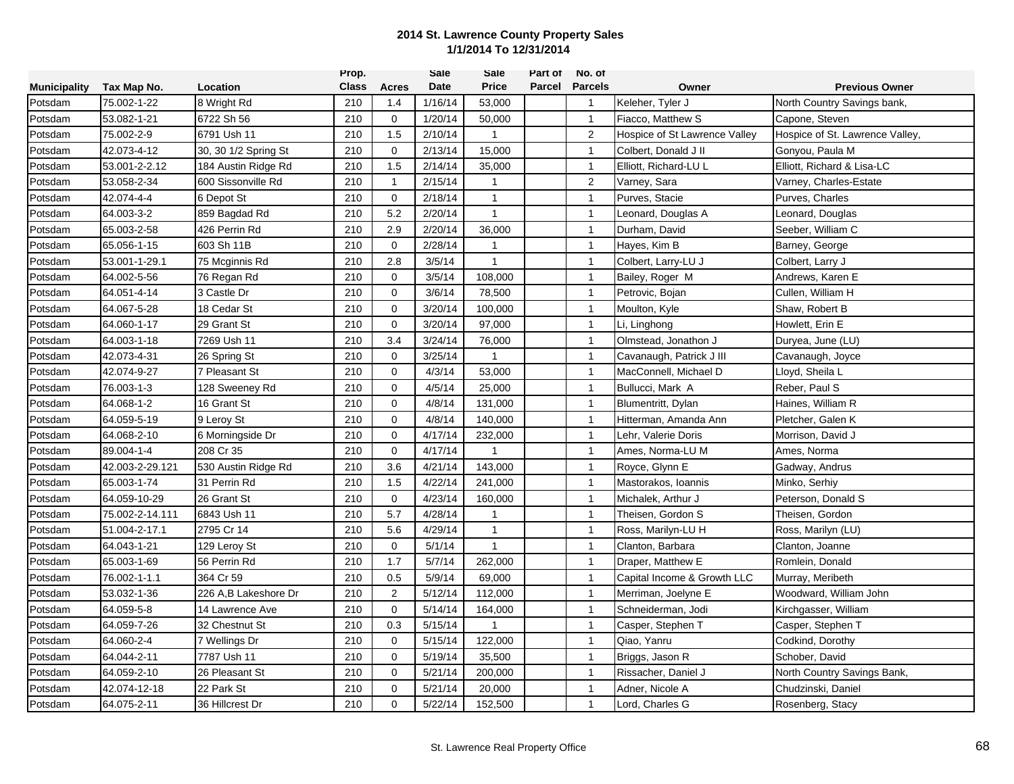|                     |                 |                      | Prop.        |              | Sale    | Sale           | Part of | No. of         |                               |                                 |
|---------------------|-----------------|----------------------|--------------|--------------|---------|----------------|---------|----------------|-------------------------------|---------------------------------|
| <b>Municipality</b> | Tax Map No.     | Location             | <b>Class</b> | Acres        | Date    | <b>Price</b>   | Parcel  | <b>Parcels</b> | Owner                         | <b>Previous Owner</b>           |
| Potsdam             | 75.002-1-22     | 8 Wright Rd          | 210          | 1.4          | 1/16/14 | 53,000         |         | $\overline{1}$ | Keleher, Tyler J              | North Country Savings bank,     |
| Potsdam             | 53.082-1-21     | 6722 Sh 56           | 210          | $\mathbf 0$  | 1/20/14 | 50,000         |         | $\mathbf{1}$   | Fiacco. Matthew S             | Capone, Steven                  |
| Potsdam             | 75.002-2-9      | 6791 Ush 11          | 210          | 1.5          | 2/10/14 | $\mathbf{1}$   |         | 2              | Hospice of St Lawrence Valley | Hospice of St. Lawrence Valley, |
| Potsdam             | 42.073-4-12     | 30, 30 1/2 Spring St | 210          | $\mathbf 0$  | 2/13/14 | 15,000         |         | $\mathbf{1}$   | Colbert, Donald J II          | Gonyou, Paula M                 |
| Potsdam             | 53.001-2-2.12   | 184 Austin Ridge Rd  | 210          | 1.5          | 2/14/14 | 35,000         |         | $\mathbf{1}$   | Elliott, Richard-LU L         | Elliott, Richard & Lisa-LC      |
| Potsdam             | 53.058-2-34     | 600 Sissonville Rd   | 210          | 1            | 2/15/14 | 1              |         | $\overline{2}$ | Varney, Sara                  | Varney, Charles-Estate          |
| Potsdam             | 42.074-4-4      | 6 Depot St           | 210          | $\mathbf 0$  | 2/18/14 | $\mathbf{1}$   |         | $\overline{1}$ | Purves, Stacie                | Purves, Charles                 |
| Potsdam             | 64.003-3-2      | 859 Bagdad Rd        | 210          | 5.2          | 2/20/14 | $\mathbf{1}$   |         | $\mathbf{1}$   | Leonard, Douglas A            | Leonard, Douglas                |
| Potsdam             | 65.003-2-58     | 426 Perrin Rd        | 210          | 2.9          | 2/20/14 | 36,000         |         | $\mathbf{1}$   | Durham, David                 | Seeber, William C               |
| Potsdam             | 65.056-1-15     | 603 Sh 11B           | 210          | $\mathbf 0$  | 2/28/14 | $\mathbf{1}$   |         | $\mathbf{1}$   | Hayes, Kim B                  | Barney, George                  |
| Potsdam             | 53.001-1-29.1   | 75 Mcginnis Rd       | 210          | 2.8          | 3/5/14  | 1              |         | $\mathbf{1}$   | Colbert, Larry-LU J           | Colbert, Larry J                |
| Potsdam             | 64.002-5-56     | 76 Regan Rd          | 210          | $\mathbf 0$  | 3/5/14  | 108,000        |         | $\mathbf{1}$   | Bailey, Roger M               | Andrews, Karen E                |
| Potsdam             | 64.051-4-14     | 3 Castle Dr          | 210          | $\mathbf{0}$ | 3/6/14  | 78,500         |         | $\overline{1}$ | Petrovic, Bojan               | Cullen, William H               |
| Potsdam             | 64.067-5-28     | 18 Cedar St          | 210          | 0            | 3/20/14 | 100,000        |         | $\mathbf{1}$   | Moulton, Kyle                 | Shaw, Robert B                  |
| Potsdam             | 64.060-1-17     | 29 Grant St          | 210          | $\mathbf 0$  | 3/20/14 | 97,000         |         | $\overline{1}$ | Li, Linghong                  | Howlett, Erin E                 |
| Potsdam             | 64.003-1-18     | 7269 Ush 11          | 210          | 3.4          | 3/24/14 | 76,000         |         | $\mathbf{1}$   | Olmstead, Jonathon J          | Duryea, June (LU)               |
| Potsdam             | 42.073-4-31     | 26 Spring St         | 210          | $\mathbf 0$  | 3/25/14 | 1              |         | $\mathbf{1}$   | Cavanaugh, Patrick J III      | Cavanaugh, Joyce                |
| Potsdam             | 42.074-9-27     | 7 Pleasant St        | 210          | $\mathbf 0$  | 4/3/14  | 53,000         |         | $\mathbf{1}$   | MacConnell, Michael D         | Lloyd, Sheila L                 |
| Potsdam             | 76.003-1-3      | 128 Sweeney Rd       | 210          | $\mathbf 0$  | 4/5/14  | 25,000         |         | $\mathbf{1}$   | Bullucci, Mark A              | Reber, Paul S                   |
| Potsdam             | 64.068-1-2      | 16 Grant St          | 210          | $\mathbf 0$  | 4/8/14  | 131,000        |         | $\overline{1}$ | Blumentritt, Dylan            | Haines, William R               |
| Potsdam             | 64.059-5-19     | 9 Leroy St           | 210          | $\mathbf 0$  | 4/8/14  | 140,000        |         | $\mathbf{1}$   | Hitterman, Amanda Ann         | Pletcher, Galen K               |
| Potsdam             | 64.068-2-10     | 6 Morningside Dr     | 210          | $\mathbf 0$  | 4/17/14 | 232,000        |         | $\mathbf{1}$   | Lehr, Valerie Doris           | Morrison, David J               |
| Potsdam             | 89.004-1-4      | 208 Cr 35            | 210          | $\mathbf 0$  | 4/17/14 | $\overline{1}$ |         | $\mathbf{1}$   | Ames, Norma-LU M              | Ames, Norma                     |
| Potsdam             | 42.003-2-29.121 | 530 Austin Ridge Rd  | 210          | 3.6          | 4/21/14 | 143,000        |         | $\mathbf{1}$   | Royce, Glynn E                | Gadway, Andrus                  |
| Potsdam             | 65.003-1-74     | 31 Perrin Rd         | 210          | 1.5          | 4/22/14 | 241,000        |         | $\mathbf{1}$   | Mastorakos, Ioannis           | Minko, Serhiy                   |
| Potsdam             | 64.059-10-29    | 26 Grant St          | 210          | $\mathbf{0}$ | 4/23/14 | 160,000        |         | $\overline{1}$ | Michalek, Arthur J            | Peterson, Donald S              |
| Potsdam             | 75.002-2-14.111 | 6843 Ush 11          | 210          | 5.7          | 4/28/14 | $\mathbf{1}$   |         | $\mathbf{1}$   | Theisen, Gordon S             | Theisen, Gordon                 |
| Potsdam             | 51.004-2-17.1   | 2795 Cr 14           | 210          | 5.6          | 4/29/14 | $\mathbf{1}$   |         | $\mathbf{1}$   | Ross, Marilyn-LU H            | Ross, Marilyn (LU)              |
| Potsdam             | 64.043-1-21     | 129 Leroy St         | 210          | $\mathbf 0$  | 5/1/14  | $\mathbf{1}$   |         | $\mathbf{1}$   | Clanton, Barbara              | Clanton, Joanne                 |
| Potsdam             | 65.003-1-69     | 56 Perrin Rd         | 210          | 1.7          | 5/7/14  | 262,000        |         | $\overline{1}$ | Draper, Matthew E             | Romlein, Donald                 |
| Potsdam             | 76.002-1-1.1    | 364 Cr 59            | 210          | 0.5          | 5/9/14  | 69,000         |         | $\mathbf{1}$   | Capital Income & Growth LLC   | Murray, Meribeth                |
| Potsdam             | 53.032-1-36     | 226 A,B Lakeshore Dr | 210          | 2            | 5/12/14 | 112,000        |         | $\mathbf{1}$   | Merriman, Joelyne E           | Woodward, William John          |
| Potsdam             | 64.059-5-8      | 14 Lawrence Ave      | 210          | $\mathbf 0$  | 5/14/14 | 164,000        |         | $\mathbf{1}$   | Schneiderman, Jodi            | Kirchgasser, William            |
| Potsdam             | 64.059-7-26     | 32 Chestnut St       | 210          | 0.3          | 5/15/14 | 1              |         | $\mathbf{1}$   | Casper, Stephen T             | Casper, Stephen T               |
| Potsdam             | 64.060-2-4      | 7 Wellings Dr        | 210          | $\mathbf 0$  | 5/15/14 | 122,000        |         | $\mathbf{1}$   | Qiao, Yanru                   | Codkind, Dorothy                |
| Potsdam             | 64.044-2-11     | 7787 Ush 11          | 210          | $\mathbf 0$  | 5/19/14 | 35,500         |         | $\mathbf{1}$   | Briggs, Jason R               | Schober, David                  |
| Potsdam             | 64.059-2-10     | 26 Pleasant St       | 210          | 0            | 5/21/14 | 200,000        |         | $\mathbf{1}$   | Rissacher, Daniel J           | North Country Savings Bank,     |
| Potsdam             | 42.074-12-18    | 22 Park St           | 210          | $\mathbf 0$  | 5/21/14 | 20,000         |         | $\mathbf{1}$   | Adner, Nicole A               | Chudzinski, Daniel              |
| Potsdam             | 64.075-2-11     | 36 Hillcrest Dr      | 210          | $\Omega$     | 5/22/14 | 152,500        |         | -1             | Lord, Charles G               | Rosenberg, Stacy                |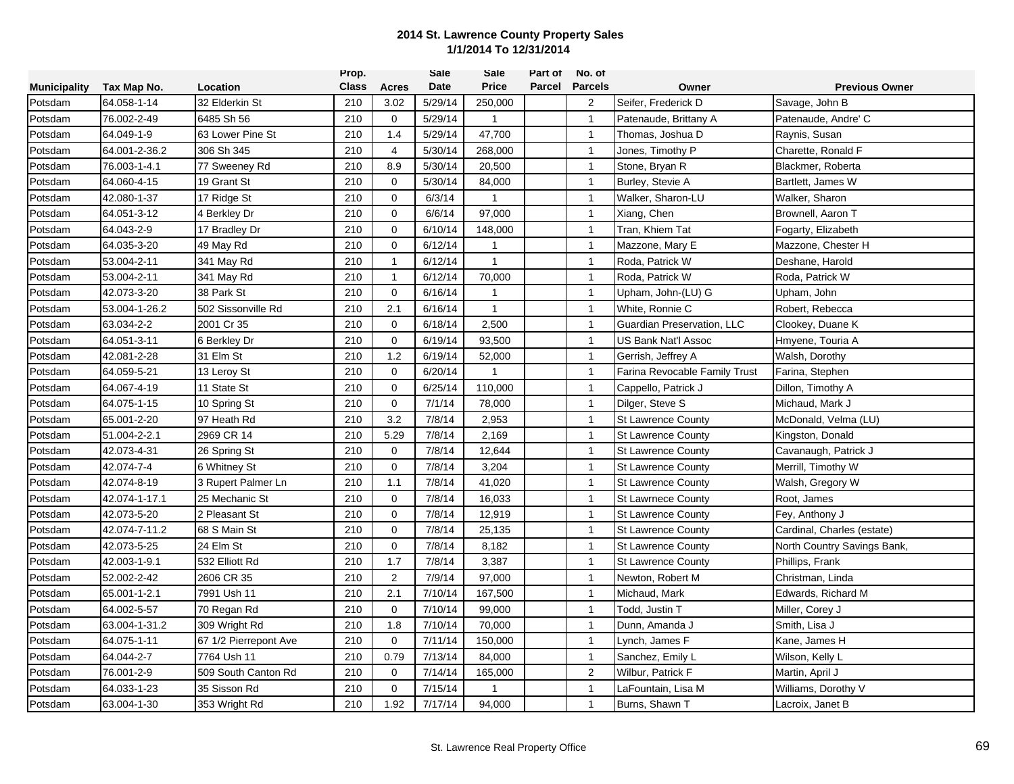|                     |               |                       | Prop.        |                | Sale    | Sale         | Part of | No. of         |                               |                             |
|---------------------|---------------|-----------------------|--------------|----------------|---------|--------------|---------|----------------|-------------------------------|-----------------------------|
| <b>Municipality</b> | Tax Map No.   | Location              | <b>Class</b> | Acres          | Date    | <b>Price</b> | Parcel  | <b>Parcels</b> | Owner                         | <b>Previous Owner</b>       |
| Potsdam             | 64.058-1-14   | 32 Elderkin St        | 210          | 3.02           | 5/29/14 | 250,000      |         | 2              | Seifer, Frederick D           | Savage, John B              |
| Potsdam             | 76.002-2-49   | 6485 Sh 56            | 210          | $\mathbf 0$    | 5/29/14 | $\mathbf{1}$ |         | $\mathbf{1}$   | Patenaude, Brittany A         | Patenaude, Andre' C         |
| Potsdam             | 64.049-1-9    | 63 Lower Pine St      | 210          | 1.4            | 5/29/14 | 47,700       |         | $\mathbf{1}$   | Thomas, Joshua D              | Raynis, Susan               |
| Potsdam             | 64.001-2-36.2 | 306 Sh 345            | 210          | $\overline{4}$ | 5/30/14 | 268,000      |         | $\mathbf{1}$   | Jones, Timothy P              | Charette, Ronald F          |
| Potsdam             | 76.003-1-4.1  | 77 Sweeney Rd         | 210          | 8.9            | 5/30/14 | 20,500       |         | $\mathbf{1}$   | Stone, Bryan R                | Blackmer, Roberta           |
| Potsdam             | 64.060-4-15   | 19 Grant St           | 210          | $\mathbf 0$    | 5/30/14 | 84,000       |         | $\mathbf{1}$   | Burley, Stevie A              | Bartlett, James W           |
| Potsdam             | 42.080-1-37   | 17 Ridge St           | 210          | $\mathbf 0$    | 6/3/14  | 1            |         | $\overline{1}$ | Walker, Sharon-LU             | Walker, Sharon              |
| Potsdam             | 64.051-3-12   | 4 Berkley Dr          | 210          | $\mathbf 0$    | 6/6/14  | 97,000       |         | $\mathbf{1}$   | Xiang, Chen                   | Brownell, Aaron T           |
| Potsdam             | 64.043-2-9    | 17 Bradley Dr         | 210          | $\Omega$       | 6/10/14 | 148,000      |         | $\mathbf{1}$   | Tran, Khiem Tat               | Fogarty, Elizabeth          |
| Potsdam             | 64.035-3-20   | 49 May Rd             | 210          | $\mathbf 0$    | 6/12/14 | $\mathbf{1}$ |         | $\mathbf{1}$   | Mazzone, Mary E               | Mazzone, Chester H          |
| Potsdam             | 53.004-2-11   | 341 May Rd            | 210          | 1              | 6/12/14 | $\mathbf{1}$ |         | $\mathbf{1}$   | Roda, Patrick W               | Deshane, Harold             |
| Potsdam             | 53.004-2-11   | 341 May Rd            | 210          | $\mathbf{1}$   | 6/12/14 | 70,000       |         | $\mathbf{1}$   | Roda, Patrick W               | Roda, Patrick W             |
| Potsdam             | 42.073-3-20   | 38 Park St            | 210          | $\mathbf 0$    | 6/16/14 | 1            |         | $\overline{1}$ | Upham, John-(LU) G            | Upham, John                 |
| Potsdam             | 53.004-1-26.2 | 502 Sissonville Rd    | 210          | 2.1            | 6/16/14 | $\mathbf{1}$ |         | $\mathbf{1}$   | White, Ronnie C               | Robert, Rebecca             |
| Potsdam             | 63.034-2-2    | 2001 Cr 35            | 210          | $\mathbf 0$    | 6/18/14 | 2,500        |         | $\overline{1}$ | Guardian Preservation, LLC    | Clookey, Duane K            |
| Potsdam             | 64.051-3-11   | 6 Berkley Dr          | 210          | $\mathbf 0$    | 6/19/14 | 93,500       |         | $\mathbf{1}$   | US Bank Nat'l Assoc           | Hmyene, Touria A            |
| Potsdam             | 42.081-2-28   | 31 Elm St             | 210          | 1.2            | 6/19/14 | 52,000       |         | $\overline{1}$ | Gerrish, Jeffrey A            | Walsh, Dorothy              |
| Potsdam             | 64.059-5-21   | 13 Leroy St           | 210          | 0              | 6/20/14 | 1            |         | $\mathbf{1}$   | Farina Revocable Family Trust | Farina, Stephen             |
| Potsdam             | 64.067-4-19   | 11 State St           | 210          | $\mathbf 0$    | 6/25/14 | 110,000      |         | $\mathbf{1}$   | Cappello, Patrick J           | Dillon, Timothy A           |
| Potsdam             | 64.075-1-15   | 10 Spring St          | 210          | $\mathbf 0$    | 7/1/14  | 78,000       |         | $\overline{1}$ | Dilger, Steve S               | Michaud, Mark J             |
| Potsdam             | 65.001-2-20   | 97 Heath Rd           | 210          | 3.2            | 7/8/14  | 2,953        |         | $\mathbf{1}$   | <b>St Lawrence County</b>     | McDonald, Velma (LU)        |
| Potsdam             | 51.004-2-2.1  | 2969 CR 14            | 210          | 5.29           | 7/8/14  | 2,169        |         | $\mathbf{1}$   | <b>St Lawrence County</b>     | Kingston, Donald            |
| Potsdam             | 42.073-4-31   | 26 Spring St          | 210          | $\mathbf 0$    | 7/8/14  | 12,644       |         | $\mathbf{1}$   | <b>St Lawrence County</b>     | Cavanaugh, Patrick J        |
| Potsdam             | 42.074-7-4    | 6 Whitney St          | 210          | 0              | 7/8/14  | 3,204        |         | $\mathbf{1}$   | <b>St Lawrence County</b>     | Merrill, Timothy W          |
| Potsdam             | 42.074-8-19   | 3 Rupert Palmer Ln    | 210          | 1.1            | 7/8/14  | 41,020       |         | $\mathbf{1}$   | <b>St Lawrence County</b>     | Walsh, Gregory W            |
| Potsdam             | 42.074-1-17.1 | 25 Mechanic St        | 210          | $\Omega$       | 7/8/14  | 16,033       |         | $\overline{1}$ | <b>St Lawrnece County</b>     | Root, James                 |
| Potsdam             | 42.073-5-20   | 2 Pleasant St         | 210          | $\mathbf 0$    | 7/8/14  | 12,919       |         | $\mathbf{1}$   | <b>St Lawrence County</b>     | Fey, Anthony J              |
| Potsdam             | 42.074-7-11.2 | 68 S Main St          | 210          | $\mathbf 0$    | 7/8/14  | 25,135       |         | $\mathbf{1}$   | <b>St Lawrence County</b>     | Cardinal, Charles (estate)  |
| Potsdam             | 42.073-5-25   | 24 Elm St             | 210          | $\mathbf 0$    | 7/8/14  | 8,182        |         | $\mathbf{1}$   | <b>St Lawrence County</b>     | North Country Savings Bank, |
| Potsdam             | 42.003-1-9.1  | 532 Elliott Rd        | 210          | 1.7            | 7/8/14  | 3,387        |         | $\overline{1}$ | <b>St Lawrence County</b>     | Phillips, Frank             |
| Potsdam             | 52.002-2-42   | 2606 CR 35            | 210          | $\overline{2}$ | 7/9/14  | 97,000       |         | $\mathbf{1}$   | Newton, Robert M              | Christman, Linda            |
| Potsdam             | 65.001-1-2.1  | 7991 Ush 11           | 210          | 2.1            | 7/10/14 | 167,500      |         | $\mathbf{1}$   | Michaud, Mark                 | Edwards, Richard M          |
| Potsdam             | 64.002-5-57   | 70 Regan Rd           | 210          | $\mathbf 0$    | 7/10/14 | 99,000       |         | $\mathbf{1}$   | Todd, Justin T                | Miller, Corey J             |
| Potsdam             | 63.004-1-31.2 | 309 Wright Rd         | 210          | 1.8            | 7/10/14 | 70,000       |         | $\mathbf{1}$   | Dunn, Amanda J                | Smith, Lisa J               |
| Potsdam             | 64.075-1-11   | 67 1/2 Pierrepont Ave | 210          | $\mathbf 0$    | 7/11/14 | 150,000      |         | $\mathbf{1}$   | Lynch, James F                | Kane, James H               |
| Potsdam             | 64.044-2-7    | 7764 Ush 11           | 210          | 0.79           | 7/13/14 | 84,000       |         | $\mathbf{1}$   | Sanchez, Emily L              | Wilson, Kelly L             |
| Potsdam             | 76.001-2-9    | 509 South Canton Rd   | 210          | 0              | 7/14/14 | 165,000      |         | $\overline{2}$ | Wilbur, Patrick F             | Martin, April J             |
| Potsdam             | 64.033-1-23   | 35 Sisson Rd          | 210          | $\mathbf 0$    | 7/15/14 | 1            |         | $\mathbf{1}$   | LaFountain, Lisa M            | Williams, Dorothy V         |
| Potsdam             | 63.004-1-30   | 353 Wright Rd         | 210          | 1.92           | 7/17/14 | 94,000       |         | $\mathbf{1}$   | Burns, Shawn T                | Lacroix, Janet B            |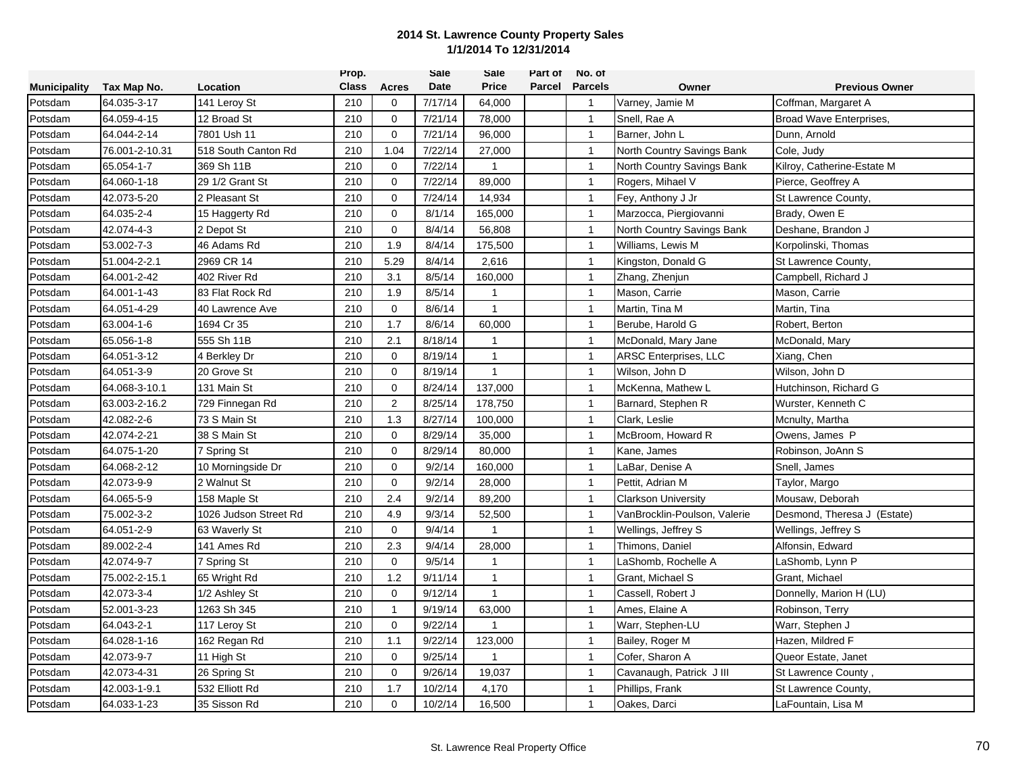|                     |                |                       | Prop.        |                     | Sale    | Sale         | Part of | No. of         |                              |                             |
|---------------------|----------------|-----------------------|--------------|---------------------|---------|--------------|---------|----------------|------------------------------|-----------------------------|
| <b>Municipality</b> | Tax Map No.    | Location              | <b>Class</b> | <b>Acres</b>        | Date    | <b>Price</b> | Parcel  | <b>Parcels</b> | Owner                        | <b>Previous Owner</b>       |
| Potsdam             | 64.035-3-17    | 141 Leroy St          | 210          | $\mathbf 0$         | 7/17/14 | 64,000       |         | $\overline{1}$ | Varney, Jamie M              | Coffman, Margaret A         |
| Potsdam             | 64.059-4-15    | 12 Broad St           | 210          | $\mathbf 0$         | 7/21/14 | 78,000       |         | $\mathbf{1}$   | Snell, Rae A                 | Broad Wave Enterprises,     |
| Potsdam             | 64.044-2-14    | 7801 Ush 11           | 210          | $\mathbf 0$         | 7/21/14 | 96,000       |         | $\overline{1}$ | Barner, John L               | Dunn, Arnold                |
| Potsdam             | 76.001-2-10.31 | 518 South Canton Rd   | 210          | 1.04                | 7/22/14 | 27,000       |         | $\mathbf{1}$   | North Country Savings Bank   | Cole, Judy                  |
| Potsdam             | 65.054-1-7     | 369 Sh 11B            | 210          | $\mathbf 0$         | 7/22/14 | $\mathbf{1}$ |         | $\mathbf{1}$   | North Country Savings Bank   | Kilroy, Catherine-Estate M  |
| Potsdam             | 64.060-1-18    | 29 1/2 Grant St       | 210          | $\Omega$            | 7/22/14 | 89,000       |         | $\overline{1}$ | Rogers, Mihael V             | Pierce, Geoffrey A          |
| Potsdam             | 42.073-5-20    | 2 Pleasant St         | 210          | $\mathbf 0$         | 7/24/14 | 14,934       |         | $\mathbf{1}$   | Fey, Anthony J Jr            | St Lawrence County,         |
| Potsdam             | 64.035-2-4     | 15 Haggerty Rd        | 210          | $\mathsf{O}\xspace$ | 8/1/14  | 165,000      |         | $\overline{1}$ | Marzocca, Piergiovanni       | Brady, Owen E               |
| Potsdam             | 42.074-4-3     | 2 Depot St            | 210          | $\mathbf 0$         | 8/4/14  | 56,808       |         | $\overline{1}$ | North Country Savings Bank   | Deshane, Brandon J          |
| Potsdam             | 53.002-7-3     | 46 Adams Rd           | 210          | 1.9                 | 8/4/14  | 175,500      |         | $\mathbf{1}$   | Williams, Lewis M            | Korpolinski, Thomas         |
| Potsdam             | 51.004-2-2.1   | 2969 CR 14            | 210          | 5.29                | 8/4/14  | 2,616        |         | $\overline{1}$ | Kingston, Donald G           | St Lawrence County,         |
| Potsdam             | 64.001-2-42    | 402 River Rd          | 210          | 3.1                 | 8/5/14  | 160,000      |         | $\mathbf{1}$   | Zhang, Zhenjun               | Campbell, Richard J         |
| Potsdam             | 64.001-1-43    | 83 Flat Rock Rd       | 210          | 1.9                 | 8/5/14  | 1            |         | $\mathbf{1}$   | Mason, Carrie                | Mason, Carrie               |
| Potsdam             | 64.051-4-29    | 40 Lawrence Ave       | 210          | 0                   | 8/6/14  | $\mathbf{1}$ |         | $\overline{1}$ | Martin, Tina M               | Martin, Tina                |
| Potsdam             | 63.004-1-6     | 1694 Cr 35            | 210          | 1.7                 | 8/6/14  | 60,000       |         | $\mathbf{1}$   | Berube, Harold G             | Robert, Berton              |
| Potsdam             | 65.056-1-8     | 555 Sh 11B            | 210          | 2.1                 | 8/18/14 | $\mathbf{1}$ |         | $\mathbf{1}$   | McDonald, Mary Jane          | McDonald, Mary              |
| Potsdam             | 64.051-3-12    | 4 Berkley Dr          | 210          | $\mathbf 0$         | 8/19/14 | $\mathbf{1}$ |         | $\mathbf{1}$   | <b>ARSC Enterprises, LLC</b> | Xiang, Chen                 |
| Potsdam             | 64.051-3-9     | 20 Grove St           | 210          | $\mathbf 0$         | 8/19/14 | $\mathbf{1}$ |         | $\mathbf{1}$   | Wilson, John D               | Wilson, John D              |
| Potsdam             | 64.068-3-10.1  | 131 Main St           | 210          | $\mathbf 0$         | 8/24/14 | 137,000      |         | $\mathbf{1}$   | McKenna, Mathew L            | Hutchinson, Richard G       |
| Potsdam             | 63.003-2-16.2  | 729 Finnegan Rd       | 210          | $\overline{2}$      | 8/25/14 | 178,750      |         | $\mathbf{1}$   | Barnard, Stephen R           | Wurster, Kenneth C          |
| Potsdam             | 42.082-2-6     | 73 S Main St          | 210          | 1.3                 | 8/27/14 | 100,000      |         | $\mathbf{1}$   | Clark, Leslie                | Mcnulty, Martha             |
| Potsdam             | 42.074-2-21    | 38 S Main St          | 210          | $\mathbf 0$         | 8/29/14 | 35,000       |         | $\overline{1}$ | McBroom, Howard R            | Owens, James P              |
| Potsdam             | 64.075-1-20    | 7 Spring St           | 210          | $\mathbf 0$         | 8/29/14 | 80,000       |         | $\mathbf{1}$   | Kane, James                  | Robinson, JoAnn S           |
| Potsdam             | 64.068-2-12    | 10 Morningside Dr     | 210          | $\mathbf 0$         | 9/2/14  | 160,000      |         | $\mathbf{1}$   | <sub>-</sub> aBar, Denise A  | Snell, James                |
| Potsdam             | 42.073-9-9     | 2 Walnut St           | 210          | $\mathbf 0$         | 9/2/14  | 28,000       |         | $\mathbf{1}$   | Pettit, Adrian M             | Taylor, Margo               |
| Potsdam             | 64.065-5-9     | 158 Maple St          | 210          | 2.4                 | 9/2/14  | 89,200       |         | $\mathbf{1}$   | <b>Clarkson University</b>   | Mousaw, Deborah             |
| Potsdam             | 75.002-3-2     | 1026 Judson Street Rd | 210          | 4.9                 | 9/3/14  | 52,500       |         | $\mathbf{1}$   | VanBrocklin-Poulson, Valerie | Desmond, Theresa J (Estate) |
| Potsdam             | 64.051-2-9     | 63 Waverly St         | 210          | $\mathbf 0$         | 9/4/14  | $\mathbf{1}$ |         | $\overline{1}$ | Wellings, Jeffrey S          | Wellings, Jeffrey S         |
| Potsdam             | 89.002-2-4     | 141 Ames Rd           | 210          | 2.3                 | 9/4/14  | 28,000       |         | $\mathbf{1}$   | Thimons, Daniel              | Alfonsin, Edward            |
| Potsdam             | 42.074-9-7     | 7 Spring St           | 210          | $\mathbf 0$         | 9/5/14  | $\mathbf{1}$ |         | $\mathbf{1}$   | LaShomb, Rochelle A          | LaShomb, Lynn P             |
| Potsdam             | 75.002-2-15.1  | 65 Wright Rd          | 210          | 1.2                 | 9/11/14 | 1            |         | $\mathbf{1}$   | Grant, Michael S             | Grant, Michael              |
| Potsdam             | 42.073-3-4     | 1/2 Ashley St         | 210          | $\mathbf 0$         | 9/12/14 | $\mathbf{1}$ |         | $\mathbf{1}$   | Cassell, Robert J            | Donnelly, Marion H (LU)     |
| Potsdam             | 52.001-3-23    | 1263 Sh 345           | 210          | $\mathbf{1}$        | 9/19/14 | 63,000       |         | $\mathbf{1}$   | Ames, Elaine A               | Robinson, Terry             |
| Potsdam             | 64.043-2-1     | 117 Leroy St          | 210          | $\mathbf 0$         | 9/22/14 | 1            |         | $\mathbf{1}$   | Warr, Stephen-LU             | Warr, Stephen J             |
| Potsdam             | 64.028-1-16    | 162 Regan Rd          | 210          | 1.1                 | 9/22/14 | 123,000      |         | $\mathbf{1}$   | Bailey, Roger M              | Hazen, Mildred F            |
| Potsdam             | 42.073-9-7     | 11 High St            | 210          | $\mathbf 0$         | 9/25/14 | $\mathbf{1}$ |         | $\mathbf{1}$   | Cofer, Sharon A              | Queor Estate, Janet         |
| Potsdam             | 42.073-4-31    | 26 Spring St          | 210          | $\mathbf 0$         | 9/26/14 | 19,037       |         | $\mathbf{1}$   | Cavanaugh, Patrick J III     | St Lawrence County,         |
| Potsdam             | 42.003-1-9.1   | 532 Elliott Rd        | 210          | 1.7                 | 10/2/14 | 4,170        |         | $\mathbf{1}$   | Phillips, Frank              | St Lawrence County,         |
| Potsdam             | 64.033-1-23    | 35 Sisson Rd          | 210          | $\mathbf 0$         | 10/2/14 | 16,500       |         | $\overline{1}$ | Oakes, Darci                 | LaFountain, Lisa M          |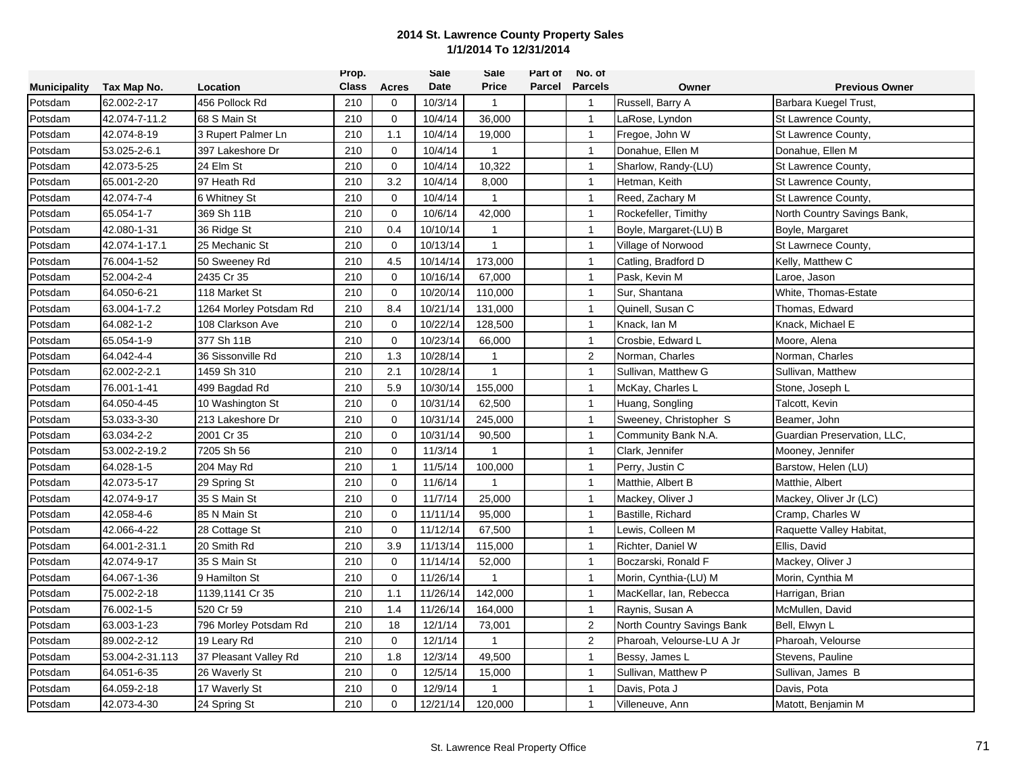|                     |                 |                        | Prop.        |              | Sale     | Sale           | Part of | No. of         |                            |                             |
|---------------------|-----------------|------------------------|--------------|--------------|----------|----------------|---------|----------------|----------------------------|-----------------------------|
| <b>Municipality</b> | Tax Map No.     | Location               | <b>Class</b> | <b>Acres</b> | Date     | <b>Price</b>   | Parcel  | <b>Parcels</b> | Owner                      | <b>Previous Owner</b>       |
| Potsdam             | 62.002-2-17     | 456 Pollock Rd         | 210          | 0            | 10/3/14  | $\mathbf{1}$   |         | $\overline{1}$ | Russell, Barry A           | Barbara Kuegel Trust,       |
| Potsdam             | 42.074-7-11.2   | 68 S Main St           | 210          | $\mathbf 0$  | 10/4/14  | 36,000         |         | $\mathbf{1}$   | LaRose, Lyndon             | St Lawrence County,         |
| Potsdam             | 42.074-8-19     | 3 Rupert Palmer Ln     | 210          | 1.1          | 10/4/14  | 19,000         |         | $\mathbf{1}$   | Fregoe, John W             | St Lawrence County,         |
| Potsdam             | 53.025-2-6.1    | 397 Lakeshore Dr       | 210          | $\mathbf 0$  | 10/4/14  | $\mathbf{1}$   |         | $\mathbf{1}$   | Donahue, Ellen M           | Donahue, Ellen M            |
| Potsdam             | 42.073-5-25     | 24 Elm St              | 210          | $\mathbf 0$  | 10/4/14  | 10,322         |         | $\mathbf{1}$   | Sharlow, Randy-(LU)        | St Lawrence County,         |
| Potsdam             | 65.001-2-20     | 97 Heath Rd            | 210          | 3.2          | 10/4/14  | 8,000          |         | $\overline{1}$ | Hetman, Keith              | St Lawrence County,         |
| Potsdam             | 42.074-7-4      | 6 Whitney St           | 210          | $\mathbf 0$  | 10/4/14  | $\overline{1}$ |         | $\mathbf{1}$   | Reed, Zachary M            | St Lawrence County,         |
| Potsdam             | 65.054-1-7      | 369 Sh 11B             | 210          | 0            | 10/6/14  | 42,000         |         | $\mathbf{1}$   | Rockefeller, Timithy       | North Country Savings Bank, |
| Potsdam             | 42.080-1-31     | 36 Ridge St            | 210          | 0.4          | 10/10/14 | $\mathbf{1}$   |         | $\mathbf{1}$   | Boyle, Margaret-(LU) B     | Boyle, Margaret             |
| Potsdam             | 42.074-1-17.1   | 25 Mechanic St         | 210          | $\Omega$     | 10/13/14 | $\mathbf{1}$   |         | $\mathbf{1}$   | Village of Norwood         | St Lawrnece County,         |
| Potsdam             | 76.004-1-52     | 50 Sweeney Rd          | 210          | 4.5          | 10/14/14 | 173,000        |         | $\mathbf{1}$   | Catling, Bradford D        | Kelly, Matthew C            |
| Potsdam             | 52.004-2-4      | 2435 Cr 35             | 210          | $\Omega$     | 10/16/14 | 67,000         |         | $\mathbf{1}$   | Pask, Kevin M              | Laroe, Jason                |
| Potsdam             | 64.050-6-21     | 118 Market St          | 210          | $\mathbf 0$  | 10/20/14 | 110,000        |         | $\overline{1}$ | Sur, Shantana              | White, Thomas-Estate        |
| Potsdam             | 63.004-1-7.2    | 1264 Morley Potsdam Rd | 210          | 8.4          | 10/21/14 | 131,000        |         | $\mathbf{1}$   | Quinell, Susan C           | Thomas, Edward              |
| Potsdam             | 64.082-1-2      | 108 Clarkson Ave       | 210          | $\mathbf 0$  | 10/22/14 | 128,500        |         | $\mathbf{1}$   | Knack, Ian M               | Knack, Michael E            |
| Potsdam             | 65.054-1-9      | 377 Sh 11B             | 210          | $\mathbf 0$  | 10/23/14 | 66,000         |         | $\mathbf{1}$   | Crosbie, Edward L          | Moore, Alena                |
| Potsdam             | 64.042-4-4      | 36 Sissonville Rd      | 210          | 1.3          | 10/28/14 | $\mathbf{1}$   |         | $\overline{2}$ | Norman, Charles            | Norman, Charles             |
| Potsdam             | 62.002-2-2.1    | 1459 Sh 310            | 210          | 2.1          | 10/28/14 | 1              |         | $\mathbf{1}$   | Sullivan, Matthew G        | Sullivan, Matthew           |
| Potsdam             | 76.001-1-41     | 499 Bagdad Rd          | 210          | 5.9          | 10/30/14 | 155,000        |         | $\mathbf{1}$   | McKay, Charles L           | Stone, Joseph L             |
| Potsdam             | 64.050-4-45     | 10 Washington St       | 210          | 0            | 10/31/14 | 62,500         |         | $\mathbf{1}$   | Huang, Songling            | Talcott, Kevin              |
| Potsdam             | 53.033-3-30     | 213 Lakeshore Dr       | 210          | $\mathbf 0$  | 10/31/14 | 245,000        |         | $\mathbf{1}$   | Sweeney, Christopher S     | Beamer, John                |
| Potsdam             | 63.034-2-2      | 2001 Cr 35             | 210          | 0            | 10/31/14 | 90,500         |         | $\mathbf{1}$   | Community Bank N.A.        | Guardian Preservation, LLC, |
| Potsdam             | 53.002-2-19.2   | 7205 Sh 56             | 210          | $\mathbf 0$  | 11/3/14  |                |         | $\overline{1}$ | Clark, Jennifer            | Mooney, Jennifer            |
| Potsdam             | 64.028-1-5      | 204 May Rd             | 210          | 1            | 11/5/14  | 100,000        |         | $\mathbf{1}$   | Perry, Justin C            | Barstow, Helen (LU)         |
| Potsdam             | 42.073-5-17     | 29 Spring St           | 210          | $\mathbf 0$  | 11/6/14  | $\mathbf{1}$   |         | $\mathbf{1}$   | Matthie, Albert B          | Matthie, Albert             |
| Potsdam             | 42.074-9-17     | 35 S Main St           | 210          | 0            | 11/7/14  | 25,000         |         | $\overline{1}$ | Mackey, Oliver J           | Mackey, Oliver Jr (LC)      |
| Potsdam             | 42.058-4-6      | 85 N Main St           | 210          | $\mathbf 0$  | 11/11/14 | 95,000         |         | $\mathbf{1}$   | Bastille, Richard          | Cramp, Charles W            |
| Potsdam             | 42.066-4-22     | 28 Cottage St          | 210          | $\mathbf 0$  | 11/12/14 | 67,500         |         | $\mathbf{1}$   | Lewis, Colleen M           | Raquette Valley Habitat,    |
| Potsdam             | 64.001-2-31.1   | 20 Smith Rd            | 210          | 3.9          | 11/13/14 | 115,000        |         | $\mathbf{1}$   | Richter, Daniel W          | Ellis, David                |
| Potsdam             | 42.074-9-17     | 35 S Main St           | 210          | $\mathbf 0$  | 11/14/14 | 52,000         |         | $\mathbf{1}$   | Boczarski, Ronald F        | Mackey, Oliver J            |
| Potsdam             | 64.067-1-36     | 9 Hamilton St          | 210          | $\mathbf 0$  | 11/26/14 | 1              |         | $\mathbf{1}$   | Morin, Cynthia-(LU) M      | Morin, Cynthia M            |
| Potsdam             | 75.002-2-18     | 1139,1141 Cr 35        | 210          | 1.1          | 11/26/14 | 142,000        |         | $\mathbf{1}$   | MacKellar, Ian, Rebecca    | Harrigan, Brian             |
| Potsdam             | 76.002-1-5      | 520 Cr 59              | 210          | 1.4          | 11/26/14 | 164,000        |         | $\mathbf{1}$   | Raynis, Susan A            | McMullen, David             |
| Potsdam             | 63.003-1-23     | 796 Morley Potsdam Rd  | 210          | 18           | 12/1/14  | 73,001         |         | 2              | North Country Savings Bank | Bell, Elwyn L               |
| Potsdam             | 89.002-2-12     | 19 Leary Rd            | 210          | $\mathbf 0$  | 12/1/14  | $\mathbf{1}$   |         | $\overline{2}$ | Pharoah, Velourse-LU A Jr  | Pharoah, Velourse           |
| Potsdam             | 53.004-2-31.113 | 37 Pleasant Valley Rd  | 210          | 1.8          | 12/3/14  | 49,500         |         | $\mathbf{1}$   | Bessy, James L             | Stevens, Pauline            |
| Potsdam             | 64.051-6-35     | 26 Waverly St          | 210          | $\mathbf 0$  | 12/5/14  | 15,000         |         | $\mathbf{1}$   | Sullivan, Matthew P        | Sullivan, James B           |
| Potsdam             | 64.059-2-18     | 17 Waverly St          | 210          | 0            | 12/9/14  |                |         | $\mathbf{1}$   | Davis, Pota J              | Davis, Pota                 |
| Potsdam             | 42.073-4-30     | 24 Spring St           | 210          | $\mathbf 0$  | 12/21/14 | 120,000        |         | $\overline{1}$ | Villeneuve, Ann            | Matott, Benjamin M          |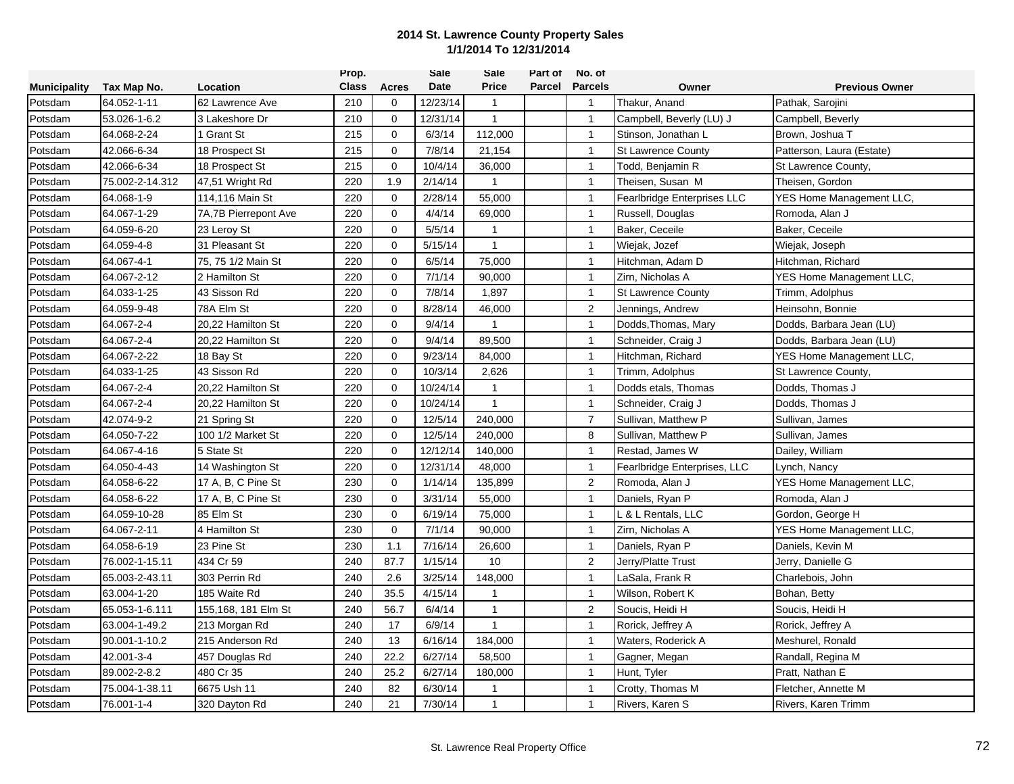|                     |                 |                      | Prop.        |              | <b>Sale</b> | Sale           | Part of | No. of         |                              |                           |
|---------------------|-----------------|----------------------|--------------|--------------|-------------|----------------|---------|----------------|------------------------------|---------------------------|
| <b>Municipality</b> | Tax Map No.     | Location             | <b>Class</b> | <b>Acres</b> | <b>Date</b> | <b>Price</b>   | Parcel  | <b>Parcels</b> | Owner                        | <b>Previous Owner</b>     |
| Potsdam             | 64.052-1-11     | 62 Lawrence Ave      | 210          | $\mathbf 0$  | 12/23/14    | 1              |         | $\overline{1}$ | Thakur, Anand                | Pathak, Sarojini          |
| Potsdam             | 53.026-1-6.2    | 3 Lakeshore Dr       | 210          | $\mathbf{0}$ | 12/31/14    | $\mathbf{1}$   |         | $\mathbf{1}$   | Campbell, Beverly (LU) J     | Campbell, Beverly         |
| Potsdam             | 64.068-2-24     | I Grant St           | 215          | $\mathbf 0$  | 6/3/14      | 112,000        |         | $\mathbf{1}$   | Stinson, Jonathan L          | Brown, Joshua T           |
| Potsdam             | 42.066-6-34     | 18 Prospect St       | 215          | $\mathbf 0$  | 7/8/14      | 21,154         |         | $\mathbf{1}$   | <b>St Lawrence County</b>    | Patterson, Laura (Estate) |
| Potsdam             | 42.066-6-34     | 18 Prospect St       | 215          | $\mathbf 0$  | 10/4/14     | 36,000         |         | $\mathbf{1}$   | Todd, Benjamin R             | St Lawrence County,       |
| Potsdam             | 75.002-2-14.312 | 47,51 Wright Rd      | 220          | 1.9          | 2/14/14     | $\overline{1}$ |         | $\mathbf{1}$   | Theisen, Susan M             | Theisen, Gordon           |
| Potsdam             | 64.068-1-9      | 114,116 Main St      | 220          | $\mathbf 0$  | 2/28/14     | 55,000         |         | $\overline{1}$ | Fearlbridge Enterprises LLC  | YES Home Management LLC,  |
| Potsdam             | 64.067-1-29     | 7A,7B Pierrepont Ave | 220          | $\Omega$     | 4/4/14      | 69,000         |         | $\mathbf{1}$   | Russell, Douglas             | Romoda, Alan J            |
| Potsdam             | 64.059-6-20     | 23 Leroy St          | 220          | $\mathbf 0$  | 5/5/14      | $\mathbf{1}$   |         | $\overline{1}$ | Baker, Ceceile               | Baker, Ceceile            |
| Potsdam             | 64.059-4-8      | 31 Pleasant St       | 220          | $\Omega$     | 5/15/14     | $\overline{1}$ |         | $\mathbf{1}$   | Wiejak, Jozef                | Wiejak, Joseph            |
| Potsdam             | 64.067-4-1      | 75, 75 1/2 Main St   | 220          | $\mathbf 0$  | 6/5/14      | 75,000         |         | $\mathbf{1}$   | Hitchman, Adam D             | Hitchman, Richard         |
| Potsdam             | 64.067-2-12     | 2 Hamilton St        | 220          | $\Omega$     | 7/1/14      | 90,000         |         | $\overline{1}$ | Zirn, Nicholas A             | YES Home Management LLC,  |
| Potsdam             | 64.033-1-25     | 43 Sisson Rd         | 220          | $\mathbf 0$  | 7/8/14      | 1,897          |         | $\mathbf{1}$   | <b>St Lawrence County</b>    | Trimm, Adolphus           |
| Potsdam             | 64.059-9-48     | 78A Elm St           | 220          | 0            | 8/28/14     | 46,000         |         | $\overline{2}$ | Jennings, Andrew             | Heinsohn, Bonnie          |
| Potsdam             | 64.067-2-4      | 20,22 Hamilton St    | 220          | $\mathbf 0$  | 9/4/14      | $\mathbf{1}$   |         | $\overline{1}$ | Dodds, Thomas, Mary          | Dodds, Barbara Jean (LU)  |
| Potsdam             | 64.067-2-4      | 20,22 Hamilton St    | 220          | $\mathbf 0$  | 9/4/14      | 89,500         |         | $\mathbf{1}$   | Schneider, Craig J           | Dodds, Barbara Jean (LU)  |
| Potsdam             | 64.067-2-22     | 18 Bay St            | 220          | $\mathbf 0$  | 9/23/14     | 84,000         |         | $\mathbf{1}$   | Hitchman, Richard            | YES Home Management LLC,  |
| Potsdam             | 64.033-1-25     | 43 Sisson Rd         | 220          | $\mathbf 0$  | 10/3/14     | 2,626          |         | $\mathbf{1}$   | Trimm, Adolphus              | St Lawrence County,       |
| Potsdam             | 64.067-2-4      | 20,22 Hamilton St    | 220          | $\mathbf{0}$ | 10/24/14    | $\mathbf{1}$   |         | $\mathbf{1}$   | Dodds etals, Thomas          | Dodds, Thomas J           |
| Potsdam             | 64.067-2-4      | 20,22 Hamilton St    | 220          | $\mathbf 0$  | 10/24/14    | $\mathbf{1}$   |         | $\mathbf{1}$   | Schneider, Craig J           | Dodds, Thomas J           |
| Potsdam             | 42.074-9-2      | 21 Spring St         | 220          | $\Omega$     | 12/5/14     | 240,000        |         | $\overline{7}$ | Sullivan, Matthew P          | Sullivan, James           |
| Potsdam             | 64.050-7-22     | 100 1/2 Market St    | 220          | $\mathbf 0$  | 12/5/14     | 240,000        |         | 8              | Sullivan, Matthew P          | Sullivan, James           |
| Potsdam             | 64.067-4-16     | 5 State St           | 220          | $\mathbf 0$  | 12/12/14    | 140,000        |         | $\overline{1}$ | Restad, James W              | Dailey, William           |
| Potsdam             | 64.050-4-43     | 14 Washington St     | 220          | $\mathbf 0$  | 12/31/14    | 48,000         |         | $\mathbf{1}$   | Fearlbridge Enterprises, LLC | Lynch, Nancy              |
| Potsdam             | 64.058-6-22     | 17 A, B, C Pine St   | 230          | $\mathbf 0$  | 1/14/14     | 135,899        |         | 2              | Romoda, Alan J               | YES Home Management LLC,  |
| Potsdam             | 64.058-6-22     | 17 A, B, C Pine St   | 230          | 0            | 3/31/14     | 55,000         |         | $\mathbf{1}$   | Daniels, Ryan P              | Romoda, Alan J            |
| Potsdam             | 64.059-10-28    | 85 Elm St            | 230          | $\mathbf{0}$ | 6/19/14     | 75,000         |         | $\mathbf{1}$   | L & L Rentals, LLC           | Gordon, George H          |
| Potsdam             | 64.067-2-11     | 4 Hamilton St        | 230          | $\mathbf 0$  | 7/1/14      | 90,000         |         | $\mathbf{1}$   | Zirn, Nicholas A             | YES Home Management LLC,  |
| Potsdam             | 64.058-6-19     | 23 Pine St           | 230          | 1.1          | 7/16/14     | 26,600         |         | $\mathbf{1}$   | Daniels, Ryan P              | Daniels, Kevin M          |
| Potsdam             | 76.002-1-15.11  | 434 Cr 59            | 240          | 87.7         | 1/15/14     | 10             |         | $\overline{2}$ | Jerry/Platte Trust           | Jerry, Danielle G         |
| Potsdam             | 65.003-2-43.11  | 303 Perrin Rd        | 240          | 2.6          | 3/25/14     | 148,000        |         | $\mathbf{1}$   | LaSala, Frank R              | Charlebois, John          |
| Potsdam             | 63.004-1-20     | 185 Waite Rd         | 240          | 35.5         | 4/15/14     | -1             |         | $\mathbf{1}$   | Wilson, Robert K             | Bohan, Betty              |
| Potsdam             | 65.053-1-6.111  | 155,168, 181 Elm St  | 240          | 56.7         | 6/4/14      | $\mathbf{1}$   |         | 2              | Soucis, Heidi H              | Soucis, Heidi H           |
| Potsdam             | 63.004-1-49.2   | 213 Morgan Rd        | 240          | 17           | 6/9/14      | $\mathbf{1}$   |         | $\overline{1}$ | Rorick, Jeffrey A            | Rorick, Jeffrey A         |
| Potsdam             | 90.001-1-10.2   | 215 Anderson Rd      | 240          | 13           | 6/16/14     | 184,000        |         | $\mathbf{1}$   | Waters, Roderick A           | Meshurel, Ronald          |
| Potsdam             | 42.001-3-4      | 457 Douglas Rd       | 240          | 22.2         | 6/27/14     | 58,500         |         | $\mathbf{1}$   | Gagner, Megan                | Randall, Regina M         |
| Potsdam             | 89.002-2-8.2    | 480 Cr 35            | 240          | 25.2         | 6/27/14     | 180,000        |         | $\mathbf{1}$   | Hunt, Tyler                  | Pratt, Nathan E           |
| Potsdam             | 75.004-1-38.11  | 6675 Ush 11          | 240          | 82           | 6/30/14     | -1             |         | $\overline{1}$ | Crotty, Thomas M             | Fletcher, Annette M       |
| Potsdam             | 76.001-1-4      | 320 Dayton Rd        | 240          | 21           | 7/30/14     | $\mathbf{1}$   |         | $\overline{1}$ | Rivers, Karen S              | Rivers, Karen Trimm       |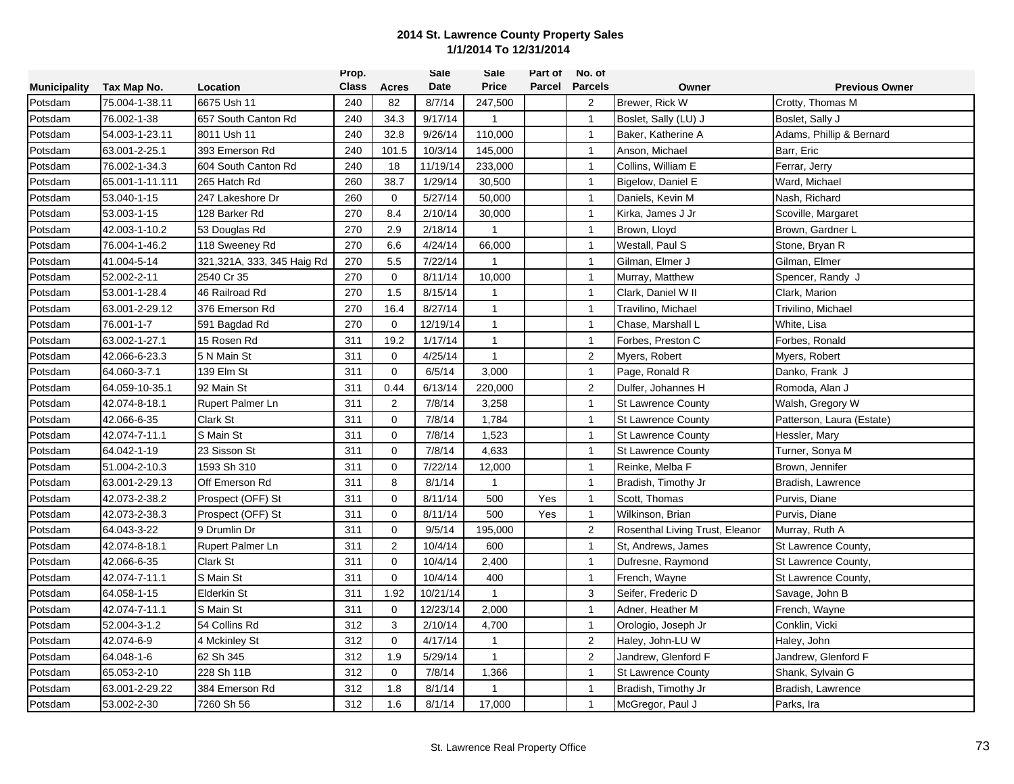|                     |                 |                            | Prop.        |                | Sale     | Sale         | Part of | No. of         |                                 |                           |
|---------------------|-----------------|----------------------------|--------------|----------------|----------|--------------|---------|----------------|---------------------------------|---------------------------|
| <b>Municipality</b> | Tax Map No.     | Location                   | <b>Class</b> | Acres          | Date     | <b>Price</b> | Parcel  | <b>Parcels</b> | Owner                           | <b>Previous Owner</b>     |
| Potsdam             | 75.004-1-38.11  | 6675 Ush 11                | 240          | 82             | 8/7/14   | 247,500      |         | $\overline{2}$ | Brewer, Rick W                  | Crotty, Thomas M          |
| Potsdam             | 76.002-1-38     | 657 South Canton Rd        | 240          | 34.3           | 9/17/14  | 1            |         | $\mathbf{1}$   | Boslet, Sally (LU) J            | Boslet, Sally J           |
| Potsdam             | 54.003-1-23.11  | 8011 Ush 11                | 240          | 32.8           | 9/26/14  | 110,000      |         | $\overline{1}$ | Baker, Katherine A              | Adams, Phillip & Bernard  |
| Potsdam             | 63.001-2-25.1   | 393 Emerson Rd             | 240          | 101.5          | 10/3/14  | 145,000      |         | $\mathbf{1}$   | Anson, Michael                  | Barr, Eric                |
| Potsdam             | 76.002-1-34.3   | 604 South Canton Rd        | 240          | 18             | 11/19/14 | 233,000      |         | $\mathbf{1}$   | Collins, William E              | Ferrar, Jerry             |
| Potsdam             | 65.001-1-11.111 | 265 Hatch Rd               | 260          | 38.7           | 1/29/14  | 30,500       |         | $\mathbf{1}$   | Bigelow, Daniel E               | Ward, Michael             |
| Potsdam             | 53.040-1-15     | 247 Lakeshore Dr           | 260          | $\mathbf 0$    | 5/27/14  | 50,000       |         | $\overline{1}$ | Daniels, Kevin M                | Nash, Richard             |
| Potsdam             | 53.003-1-15     | 128 Barker Rd              | 270          | 8.4            | 2/10/14  | 30,000       |         | $\mathbf{1}$   | Kirka, James J Jr               | Scoville, Margaret        |
| Potsdam             | 42.003-1-10.2   | 53 Douglas Rd              | 270          | 2.9            | 2/18/14  | $\mathbf{1}$ |         | $\overline{1}$ | Brown, Lloyd                    | Brown, Gardner L          |
| Potsdam             | 76.004-1-46.2   | 118 Sweeney Rd             | 270          | 6.6            | 4/24/14  | 66,000       |         | $\mathbf{1}$   | Westall, Paul S                 | Stone, Bryan R            |
| Potsdam             | 41.004-5-14     | 321,321A, 333, 345 Haig Rd | 270          | 5.5            | 7/22/14  | 1            |         | $\mathbf{1}$   | Gilman, Elmer J                 | Gilman, Elmer             |
| Potsdam             | 52.002-2-11     | 2540 Cr 35                 | 270          | $\mathbf 0$    | 8/11/14  | 10,000       |         | $\mathbf{1}$   | Murray, Matthew                 | Spencer, Randy J          |
| Potsdam             | 53.001-1-28.4   | 46 Railroad Rd             | 270          | 1.5            | 8/15/14  | $\mathbf{1}$ |         | $\mathbf{1}$   | Clark, Daniel W II              | Clark, Marion             |
| Potsdam             | 63.001-2-29.12  | 376 Emerson Rd             | 270          | 16.4           | 8/27/14  | $\mathbf{1}$ |         | $\mathbf{1}$   | Travilino, Michael              | Trivilino, Michael        |
| Potsdam             | 76.001-1-7      | 591 Bagdad Rd              | 270          | $\mathbf 0$    | 12/19/14 | $\mathbf{1}$ |         | $\overline{1}$ | Chase, Marshall L               | White, Lisa               |
| Potsdam             | 63.002-1-27.1   | 15 Rosen Rd                | 311          | 19.2           | 1/17/14  | $\mathbf{1}$ |         | $\overline{1}$ | Forbes, Preston C               | Forbes, Ronald            |
| Potsdam             | 42.066-6-23.3   | 5 N Main St                | 311          | $\mathbf 0$    | 4/25/14  | $\mathbf{1}$ |         | $\overline{2}$ | Myers, Robert                   | Myers, Robert             |
| Potsdam             | 64.060-3-7.1    | 139 Elm St                 | 311          | $\mathbf 0$    | 6/5/14   | 3,000        |         | $\mathbf{1}$   | Page, Ronald R                  | Danko, Frank J            |
| Potsdam             | 64.059-10-35.1  | 92 Main St                 | 311          | 0.44           | 6/13/14  | 220,000      |         | 2              | Dulfer, Johannes H              | Romoda, Alan J            |
| Potsdam             | 42.074-8-18.1   | Rupert Palmer Ln           | 311          | $\overline{2}$ | 7/8/14   | 3,258        |         | $\overline{1}$ | <b>St Lawrence County</b>       | Walsh, Gregory W          |
| Potsdam             | 42.066-6-35     | <b>Clark St</b>            | 311          | $\mathbf 0$    | 7/8/14   | 1,784        |         | $\mathbf{1}$   | <b>St Lawrence County</b>       | Patterson, Laura (Estate) |
| Potsdam             | 42.074-7-11.1   | S Main St                  | 311          | $\mathbf 0$    | 7/8/14   | 1,523        |         | $\mathbf{1}$   | <b>St Lawrence County</b>       | Hessler, Mary             |
| Potsdam             | 64.042-1-19     | 23 Sisson St               | 311          | $\mathbf 0$    | 7/8/14   | 4,633        |         | $\mathbf{1}$   | <b>St Lawrence County</b>       | Turner, Sonya M           |
| Potsdam             | 51.004-2-10.3   | 1593 Sh 310                | 311          | 0              | 7/22/14  | 12,000       |         | $\mathbf{1}$   | Reinke, Melba F                 | Brown, Jennifer           |
| Potsdam             | 63.001-2-29.13  | Off Emerson Rd             | 311          | 8              | 8/1/14   | $\mathbf{1}$ |         | $\mathbf{1}$   | Bradish, Timothy Jr             | Bradish, Lawrence         |
| Potsdam             | 42.073-2-38.2   | Prospect (OFF) St          | 311          | $\mathbf{0}$   | 8/11/14  | 500          | Yes     | $\mathbf{1}$   | Scott, Thomas                   | Purvis, Diane             |
| Potsdam             | 42.073-2-38.3   | Prospect (OFF) St          | 311          | $\mathbf 0$    | 8/11/14  | 500          | Yes     | $\mathbf{1}$   | Wilkinson, Brian                | Purvis, Diane             |
| Potsdam             | 64.043-3-22     | 9 Drumlin Dr               | 311          | $\Omega$       | 9/5/14   | 195,000      |         | $\overline{2}$ | Rosenthal Living Trust, Eleanor | Murray, Ruth A            |
| Potsdam             | 42.074-8-18.1   | Rupert Palmer Ln           | 311          | $\overline{2}$ | 10/4/14  | 600          |         | $\mathbf{1}$   | St, Andrews, James              | St Lawrence County,       |
| Potsdam             | 42.066-6-35     | <b>Clark St</b>            | 311          | $\mathbf 0$    | 10/4/14  | 2,400        |         | $\overline{1}$ | Dufresne, Raymond               | St Lawrence County,       |
| Potsdam             | 42.074-7-11.1   | S Main St                  | 311          | $\mathbf 0$    | 10/4/14  | 400          |         | $\mathbf{1}$   | French, Wayne                   | St Lawrence County,       |
| Potsdam             | 64.058-1-15     | <b>Elderkin St</b>         | 311          | 1.92           | 10/21/14 | $\mathbf{1}$ |         | 3              | Seifer, Frederic D              | Savage, John B            |
| Potsdam             | 42.074-7-11.1   | S Main St                  | 311          | $\mathbf 0$    | 12/23/14 | 2,000        |         | $\mathbf{1}$   | Adner, Heather M                | French, Wayne             |
| Potsdam             | 52.004-3-1.2    | 54 Collins Rd              | 312          | 3              | 2/10/14  | 4,700        |         | $\mathbf{1}$   | Orologio, Joseph Jr             | Conklin, Vicki            |
| Potsdam             | 42.074-6-9      | 4 Mckinley St              | 312          | $\mathbf 0$    | 4/17/14  | $\mathbf{1}$ |         | 2              | Haley, John-LU W                | Haley, John               |
| Potsdam             | 64.048-1-6      | 62 Sh 345                  | 312          | 1.9            | 5/29/14  | $\mathbf{1}$ |         | $\overline{2}$ | Jandrew, Glenford F             | Jandrew, Glenford F       |
| Potsdam             | 65.053-2-10     | 228 Sh 11B                 | 312          | 0              | 7/8/14   | 1,366        |         | $\mathbf{1}$   | <b>St Lawrence County</b>       | Shank, Sylvain G          |
| Potsdam             | 63.001-2-29.22  | 384 Emerson Rd             | 312          | 1.8            | 8/1/14   | 1            |         | $\mathbf{1}$   | Bradish, Timothy Jr             | Bradish, Lawrence         |
| Potsdam             | 53.002-2-30     | 7260 Sh 56                 | 312          | 1.6            | 8/1/14   | 17,000       |         | $\mathbf{1}$   | McGregor, Paul J                | Parks, Ira                |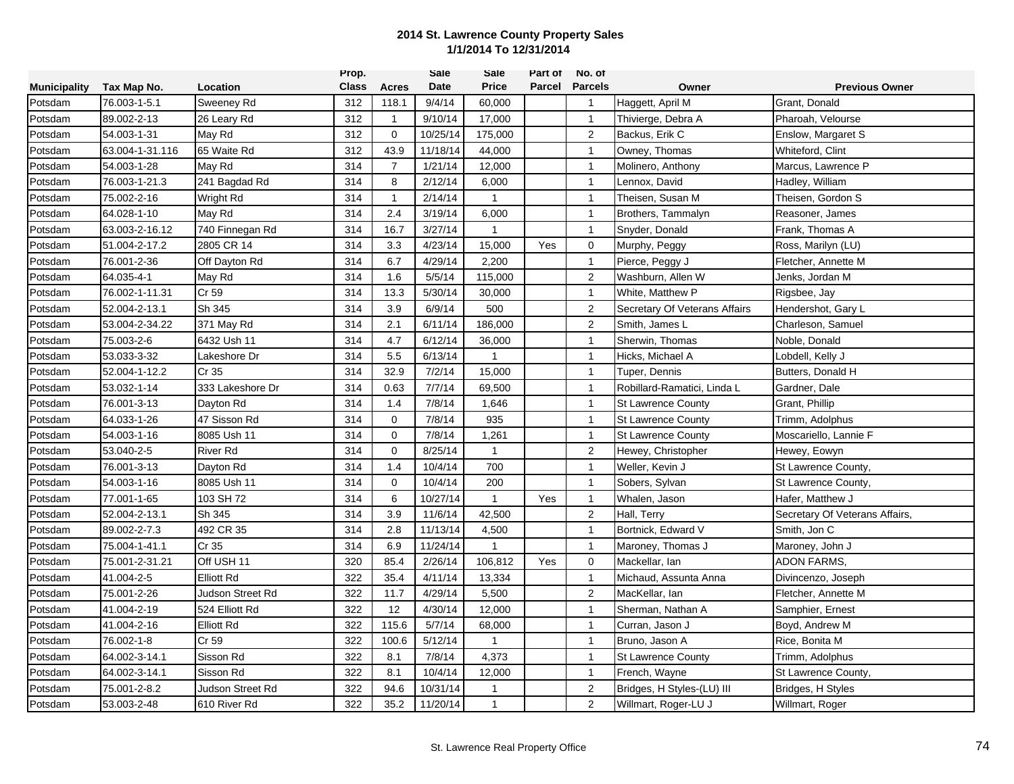|                     |                 |                   | Prop.        |                | Sale     | Sale         | Part of | No. of         |                               |                                |
|---------------------|-----------------|-------------------|--------------|----------------|----------|--------------|---------|----------------|-------------------------------|--------------------------------|
| <b>Municipality</b> | Tax Map No.     | Location          | <b>Class</b> | <b>Acres</b>   | Date     | <b>Price</b> | Parcel  | <b>Parcels</b> | Owner                         | <b>Previous Owner</b>          |
| Potsdam             | 76.003-1-5.1    | <b>Sweeney Rd</b> | 312          | 118.1          | 9/4/14   | 60,000       |         | $\mathbf{1}$   | Haggett, April M              | Grant, Donald                  |
| Potsdam             | 89.002-2-13     | 26 Leary Rd       | 312          | $\mathbf{1}$   | 9/10/14  | 17,000       |         | $\mathbf{1}$   | Thivierge, Debra A            | Pharoah, Velourse              |
| Potsdam             | 54.003-1-31     | May Rd            | 312          | $\mathbf 0$    | 10/25/14 | 175,000      |         | 2              | Backus, Erik C                | Enslow, Margaret S             |
| Potsdam             | 63.004-1-31.116 | 65 Waite Rd       | 312          | 43.9           | 11/18/14 | 44,000       |         | $\mathbf{1}$   | Owney, Thomas                 | Whiteford, Clint               |
| Potsdam             | 54.003-1-28     | May Rd            | 314          | $\overline{7}$ | 1/21/14  | 12,000       |         | $\mathbf{1}$   | Molinero, Anthony             | Marcus, Lawrence P             |
| Potsdam             | 76.003-1-21.3   | 241 Bagdad Rd     | 314          | 8              | 2/12/14  | 6,000        |         | $\overline{1}$ | Lennox, David                 | Hadley, William                |
| Potsdam             | 75.002-2-16     | Wright Rd         | 314          | $\mathbf{1}$   | 2/14/14  | $\mathbf{1}$ |         | $\mathbf{1}$   | Theisen, Susan M              | Theisen, Gordon S              |
| Potsdam             | 64.028-1-10     | May Rd            | 314          | 2.4            | 3/19/14  | 6,000        |         | $\overline{1}$ | Brothers, Tammalyn            | Reasoner, James                |
| Potsdam             | 63.003-2-16.12  | 740 Finnegan Rd   | 314          | 16.7           | 3/27/14  | $\mathbf{1}$ |         | $\mathbf{1}$   | Snyder, Donald                | Frank, Thomas A                |
| Potsdam             | 51.004-2-17.2   | 2805 CR 14        | 314          | 3.3            | 4/23/14  | 15,000       | Yes     | $\mathbf 0$    | Murphy, Peggy                 | Ross, Marilyn (LU)             |
| Potsdam             | 76.001-2-36     | Off Dayton Rd     | 314          | 6.7            | 4/29/14  | 2,200        |         | $\overline{1}$ | Pierce, Peggy J               | Fletcher, Annette M            |
| Potsdam             | 64.035-4-1      | May Rd            | 314          | 1.6            | 5/5/14   | 115,000      |         | 2              | Washburn, Allen W             | Jenks, Jordan M                |
| Potsdam             | 76.002-1-11.31  | Cr 59             | 314          | 13.3           | 5/30/14  | 30,000       |         | $\mathbf{1}$   | White, Matthew P              | Rigsbee, Jay                   |
| Potsdam             | 52.004-2-13.1   | Sh 345            | 314          | 3.9            | 6/9/14   | 500          |         | 2              | Secretary Of Veterans Affairs | Hendershot, Gary L             |
| Potsdam             | 53.004-2-34.22  | 371 May Rd        | 314          | 2.1            | 6/11/14  | 186,000      |         | $\overline{2}$ | Smith, James L                | Charleson, Samuel              |
| Potsdam             | 75.003-2-6      | 6432 Ush 11       | 314          | 4.7            | 6/12/14  | 36,000       |         | $\mathbf{1}$   | Sherwin, Thomas               | Noble, Donald                  |
| Potsdam             | 53.033-3-32     | Lakeshore Dr      | 314          | 5.5            | 6/13/14  | $\mathbf{1}$ |         | $\mathbf{1}$   | Hicks, Michael A              | Lobdell, Kelly J               |
| Potsdam             | 52.004-1-12.2   | Cr 35             | 314          | 32.9           | 7/2/14   | 15,000       |         | $\mathbf{1}$   | Tuper, Dennis                 | Butters, Donald H              |
| Potsdam             | 53.032-1-14     | 333 Lakeshore Dr  | 314          | 0.63           | 7/7/14   | 69,500       |         | $\mathbf{1}$   | Robillard-Ramatici, Linda L   | Gardner, Dale                  |
| Potsdam             | 76.001-3-13     | Dayton Rd         | 314          | 1.4            | 7/8/14   | 1,646        |         | $\mathbf{1}$   | <b>St Lawrence County</b>     | Grant, Phillip                 |
| Potsdam             | 64.033-1-26     | 47 Sisson Rd      | 314          | $\mathbf 0$    | 7/8/14   | 935          |         | $\mathbf{1}$   | <b>St Lawrence County</b>     | Trimm, Adolphus                |
| Potsdam             | 54.003-1-16     | 8085 Ush 11       | 314          | $\mathbf 0$    | 7/8/14   | 1,261        |         | $\mathbf{1}$   | <b>St Lawrence County</b>     | Moscariello, Lannie F          |
| Potsdam             | 53.040-2-5      | <b>River Rd</b>   | 314          | $\mathbf 0$    | 8/25/14  | $\mathbf{1}$ |         | $\overline{2}$ | Hewey, Christopher            | Hewey, Eowyn                   |
| Potsdam             | 76.001-3-13     | Dayton Rd         | 314          | 1.4            | 10/4/14  | 700          |         | $\mathbf{1}$   | Weller, Kevin J               | St Lawrence County,            |
| Potsdam             | 54.003-1-16     | 8085 Ush 11       | 314          | $\mathbf 0$    | 10/4/14  | 200          |         | $\overline{1}$ | Sobers, Sylvan                | St Lawrence County,            |
| Potsdam             | 77.001-1-65     | 103 SH 72         | 314          | 6              | 10/27/14 | $\mathbf{1}$ | Yes     | $\mathbf{1}$   | Whalen, Jason                 | Hafer, Matthew J               |
| Potsdam             | 52.004-2-13.1   | Sh 345            | 314          | 3.9            | 11/6/14  | 42,500       |         | $\overline{2}$ | Hall, Terry                   | Secretary Of Veterans Affairs, |
| Potsdam             | 89.002-2-7.3    | 492 CR 35         | 314          | 2.8            | 11/13/14 | 4,500        |         | $\overline{1}$ | Bortnick, Edward V            | Smith, Jon C                   |
| Potsdam             | 75.004-1-41.1   | Cr 35             | 314          | 6.9            | 11/24/14 | $\mathbf{1}$ |         | $\mathbf{1}$   | Maroney, Thomas J             | Maroney, John J                |
| Potsdam             | 75.001-2-31.21  | Off USH 11        | 320          | 85.4           | 2/26/14  | 106,812      | Yes     | 0              | Mackellar, lan                | <b>ADON FARMS,</b>             |
| Potsdam             | 41.004-2-5      | <b>Elliott Rd</b> | 322          | 35.4           | 4/11/14  | 13,334       |         | $\overline{1}$ | Michaud, Assunta Anna         | Divincenzo, Joseph             |
| Potsdam             | 75.001-2-26     | Judson Street Rd  | 322          | 11.7           | 4/29/14  | 5,500        |         | $\sqrt{2}$     | MacKellar, lan                | Fletcher, Annette M            |
| Potsdam             | 41.004-2-19     | 524 Elliott Rd    | 322          | 12             | 4/30/14  | 12,000       |         | $\mathbf{1}$   | Sherman, Nathan A             | Samphier, Ernest               |
| Potsdam             | 41.004-2-16     | <b>Elliott Rd</b> | 322          | 115.6          | 5/7/14   | 68,000       |         | $\mathbf{1}$   | Curran, Jason J               | Boyd, Andrew M                 |
| Potsdam             | 76.002-1-8      | Cr 59             | 322          | 100.6          | 5/12/14  | $\mathbf{1}$ |         | $\mathbf{1}$   | Bruno, Jason A                | Rice, Bonita M                 |
| Potsdam             | 64.002-3-14.1   | Sisson Rd         | 322          | 8.1            | 7/8/14   | 4,373        |         | $\mathbf{1}$   | <b>St Lawrence County</b>     | Trimm, Adolphus                |
| Potsdam             | 64.002-3-14.1   | Sisson Rd         | 322          | 8.1            | 10/4/14  | 12,000       |         | $\overline{1}$ | French, Wayne                 | St Lawrence County,            |
| Potsdam             | 75.001-2-8.2    | Judson Street Rd  | 322          | 94.6           | 10/31/14 | 1            |         | $\overline{2}$ | Bridges, H Styles-(LU) III    | Bridges, H Styles              |
| Potsdam             | 53.003-2-48     | 610 River Rd      | 322          | 35.2           | 11/20/14 | $\mathbf{1}$ |         | 2              | Willmart, Roger-LU J          | Willmart, Roger                |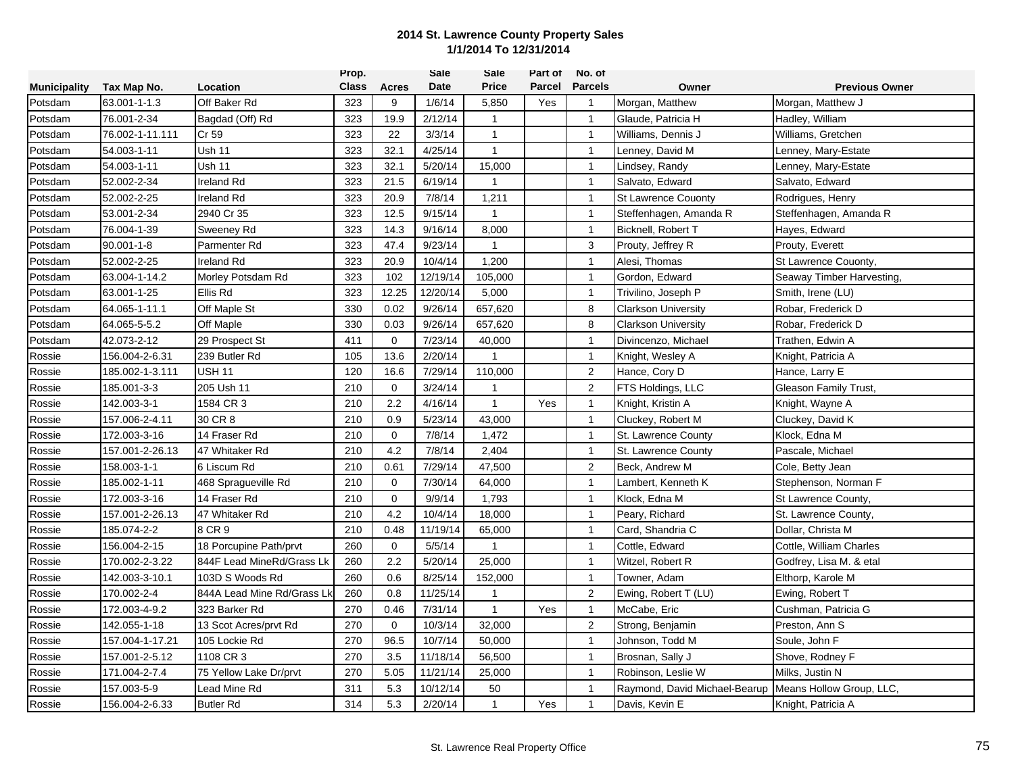|                     |                 |                            | Prop.        |              | Sale     | Sale         | Part of | No. of         |                               |                           |
|---------------------|-----------------|----------------------------|--------------|--------------|----------|--------------|---------|----------------|-------------------------------|---------------------------|
| <b>Municipality</b> | Tax Map No.     | Location                   | <b>Class</b> | Acres        | Date     | <b>Price</b> | Parcel  | <b>Parcels</b> | Owner                         | <b>Previous Owner</b>     |
| Potsdam             | 63.001-1-1.3    | Off Baker Rd               | 323          | 9            | 1/6/14   | 5,850        | Yes     | $\overline{1}$ | Morgan, Matthew               | Morgan, Matthew J         |
| Potsdam             | 76.001-2-34     | Bagdad (Off) Rd            | 323          | 19.9         | 2/12/14  | $\mathbf{1}$ |         | $\overline{1}$ | Glaude, Patricia H            | Hadley, William           |
| Potsdam             | 76.002-1-11.111 | Cr 59                      | 323          | 22           | 3/3/14   | $\mathbf{1}$ |         | $\overline{1}$ | Williams, Dennis J            | Williams, Gretchen        |
| Potsdam             | 54.003-1-11     | <b>Ush 11</b>              | 323          | 32.1         | 4/25/14  | $\mathbf{1}$ |         | $\mathbf{1}$   | Lenney, David M               | Lenney, Mary-Estate       |
| Potsdam             | 54.003-1-11     | Ush 11                     | 323          | 32.1         | 5/20/14  | 15,000       |         | $\mathbf{1}$   | Lindsey, Randy                | Lenney, Mary-Estate       |
| Potsdam             | 52.002-2-34     | Ireland Rd                 | 323          | 21.5         | 6/19/14  | $\mathbf{1}$ |         | $\mathbf{1}$   | Salvato, Edward               | Salvato, Edward           |
| Potsdam             | 52.002-2-25     | <b>Ireland Rd</b>          | 323          | 20.9         | 7/8/14   | 1,211        |         | $\mathbf{1}$   | <b>St Lawrence Couonty</b>    | Rodrigues, Henry          |
| Potsdam             | 53.001-2-34     | 2940 Cr 35                 | 323          | 12.5         | 9/15/14  | $\mathbf{1}$ |         | $\mathbf{1}$   | Steffenhagen, Amanda R        | Steffenhagen, Amanda R    |
| Potsdam             | 76.004-1-39     | Sweeney Rd                 | 323          | 14.3         | 9/16/14  | 8,000        |         | $\overline{1}$ | Bicknell, Robert T            | Hayes, Edward             |
| Potsdam             | 90.001-1-8      | Parmenter Rd               | 323          | 47.4         | 9/23/14  | $\mathbf{1}$ |         | 3              | Prouty, Jeffrey R             | Prouty, Everett           |
| Potsdam             | 52.002-2-25     | Ireland Rd                 | 323          | 20.9         | 10/4/14  | 1,200        |         | $\mathbf{1}$   | Alesi, Thomas                 | St Lawrence Couonty,      |
| Potsdam             | 63.004-1-14.2   | Morley Potsdam Rd          | 323          | 102          | 12/19/14 | 105,000      |         | $\mathbf{1}$   | Gordon, Edward                | Seaway Timber Harvesting, |
| Potsdam             | 63.001-1-25     | Ellis Rd                   | 323          | 12.25        | 12/20/14 | 5,000        |         | $\mathbf{1}$   | Trivilino, Joseph P           | Smith, Irene (LU)         |
| Potsdam             | 64.065-1-11.1   | Off Maple St               | 330          | 0.02         | 9/26/14  | 657,620      |         | 8              | <b>Clarkson University</b>    | Robar, Frederick D        |
| Potsdam             | 64.065-5-5.2    | Off Maple                  | 330          | 0.03         | 9/26/14  | 657,620      |         | 8              | <b>Clarkson University</b>    | Robar, Frederick D        |
| Potsdam             | 42.073-2-12     | 29 Prospect St             | 411          | $\mathbf 0$  | 7/23/14  | 40,000       |         | $\overline{1}$ | Divincenzo, Michael           | Trathen, Edwin A          |
| Rossie              | 156.004-2-6.31  | 239 Butler Rd              | 105          | 13.6         | 2/20/14  | $\mathbf{1}$ |         | $\mathbf{1}$   | Knight, Wesley A              | Knight, Patricia A        |
| Rossie              | 185.002-1-3.111 | <b>USH 11</b>              | 120          | 16.6         | 7/29/14  | 110,000      |         | $\overline{2}$ | Hance, Cory D                 | Hance, Larry E            |
| Rossie              | 185.001-3-3     | 205 Ush 11                 | 210          | $\mathbf 0$  | 3/24/14  | $\mathbf{1}$ |         | 2              | FTS Holdings, LLC             | Gleason Family Trust,     |
| Rossie              | 142.003-3-1     | 1584 CR 3                  | 210          | 2.2          | 4/16/14  | $\mathbf{1}$ | Yes     | $\mathbf{1}$   | Knight, Kristin A             | Knight, Wayne A           |
| Rossie              | 157.006-2-4.11  | 30 CR 8                    | 210          | 0.9          | 5/23/14  | 43,000       |         | $\mathbf{1}$   | Cluckey, Robert M             | Cluckey, David K          |
| Rossie              | 172.003-3-16    | 14 Fraser Rd               | 210          | $\mathbf 0$  | 7/8/14   | 1,472        |         | $\mathbf{1}$   | St. Lawrence County           | Klock, Edna M             |
| Rossie              | 157.001-2-26.13 | 47 Whitaker Rd             | 210          | 4.2          | 7/8/14   | 2,404        |         | $\mathbf{1}$   | St. Lawrence County           | Pascale, Michael          |
| Rossie              | 158.003-1-1     | 6 Liscum Rd                | 210          | 0.61         | 7/29/14  | 47,500       |         | $\overline{2}$ | Beck, Andrew M                | Cole, Betty Jean          |
| Rossie              | 185.002-1-11    | 468 Spragueville Rd        | 210          | $\mathbf 0$  | 7/30/14  | 64,000       |         | $\mathbf{1}$   | Lambert, Kenneth K            | Stephenson, Norman F      |
| Rossie              | 172.003-3-16    | 14 Fraser Rd               | 210          | $\mathbf{0}$ | 9/9/14   | 1,793        |         | $\overline{1}$ | Klock, Edna M                 | St Lawrence County,       |
| Rossie              | 157.001-2-26.13 | 47 Whitaker Rd             | 210          | 4.2          | 10/4/14  | 18,000       |         | $\mathbf{1}$   | Peary, Richard                | St. Lawrence County,      |
| Rossie              | 185.074-2-2     | 8 CR 9                     | 210          | 0.48         | 11/19/14 | 65,000       |         | $\overline{1}$ | Card. Shandria C              | Dollar, Christa M         |
| Rossie              | 156.004-2-15    | 18 Porcupine Path/prvt     | 260          | $\mathbf 0$  | 5/5/14   | $\mathbf{1}$ |         | $\overline{1}$ | Cottle, Edward                | Cottle, William Charles   |
| Rossie              | 170.002-2-3.22  | 844F Lead MineRd/Grass Lk  | 260          | 2.2          | 5/20/14  | 25,000       |         | $\overline{1}$ | Witzel, Robert R              | Godfrey, Lisa M. & etal   |
| Rossie              | 142.003-3-10.1  | 103D S Woods Rd            | 260          | 0.6          | 8/25/14  | 152,000      |         | $\mathbf{1}$   | Towner, Adam                  | Elthorp, Karole M         |
| Rossie              | 170.002-2-4     | 844A Lead Mine Rd/Grass Lk | 260          | 0.8          | 11/25/14 | $\mathbf{1}$ |         | 2              | Ewing, Robert T (LU)          | Ewing, Robert T           |
| Rossie              | 172.003-4-9.2   | 323 Barker Rd              | 270          | 0.46         | 7/31/14  | $\mathbf{1}$ | Yes     | $\mathbf{1}$   | McCabe, Eric                  | Cushman, Patricia G       |
| Rossie              | 142.055-1-18    | 13 Scot Acres/prvt Rd      | 270          | $\mathbf 0$  | 10/3/14  | 32,000       |         | $\overline{2}$ | Strong, Benjamin              | Preston, Ann S            |
| Rossie              | 157.004-1-17.21 | 105 Lockie Rd              | 270          | 96.5         | 10/7/14  | 50,000       |         | $\mathbf{1}$   | Johnson, Todd M               | Soule, John F             |
| Rossie              | 157.001-2-5.12  | 1108 CR 3                  | 270          | 3.5          | 11/18/14 | 56,500       |         | $\mathbf{1}$   | Brosnan, Sally J              | Shove, Rodney F           |
| Rossie              | 171.004-2-7.4   | 75 Yellow Lake Dr/prvt     | 270          | 5.05         | 11/21/14 | 25,000       |         | $\mathbf{1}$   | Robinson, Leslie W            | Milks, Justin N           |
| Rossie              | 157.003-5-9     | Lead Mine Rd               | 311          | 5.3          | 10/12/14 | 50           |         | $\mathbf{1}$   | Raymond, David Michael-Bearup | Means Hollow Group, LLC,  |
| Rossie              | 156.004-2-6.33  | <b>Butler Rd</b>           | 314          | 5.3          | 2/20/14  | $\mathbf{1}$ | Yes     | $\mathbf{1}$   | Davis, Kevin E                | Knight, Patricia A        |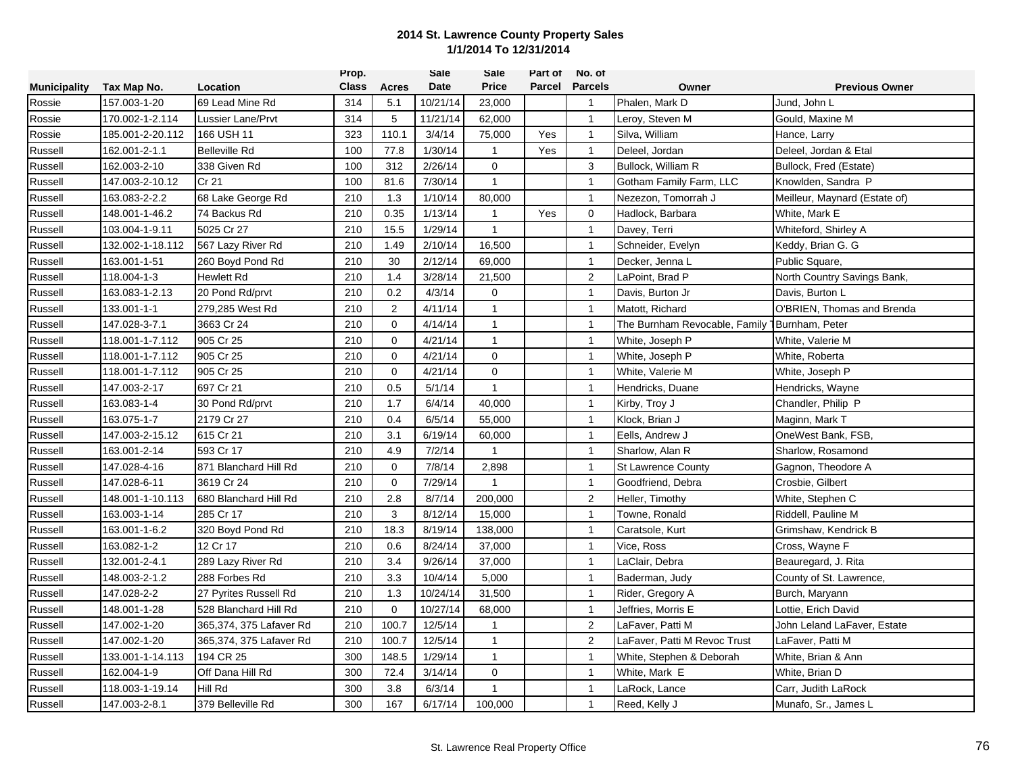|                     |                  |                         | Prop.        |                | Sale        | Sale         | Part of | No. of         |                               |                               |
|---------------------|------------------|-------------------------|--------------|----------------|-------------|--------------|---------|----------------|-------------------------------|-------------------------------|
| <b>Municipality</b> | Tax Map No.      | Location                | <b>Class</b> | Acres          | <b>Date</b> | <b>Price</b> | Parcel  | <b>Parcels</b> | Owner                         | <b>Previous Owner</b>         |
| Rossie              | 157.003-1-20     | 69 Lead Mine Rd         | 314          | 5.1            | 10/21/14    | 23,000       |         | $\mathbf{1}$   | Phalen, Mark D                | Jund, John L                  |
| Rossie              | 170.002-1-2.114  | Lussier Lane/Prvt       | 314          | 5              | 11/21/14    | 62,000       |         | $\overline{1}$ | Leroy, Steven M               | Gould, Maxine M               |
| Rossie              | 185.001-2-20.112 | 166 USH 11              | 323          | 110.1          | 3/4/14      | 75,000       | Yes     | $\mathbf{1}$   | Silva, William                | Hance, Larry                  |
| Russell             | 162.001-2-1.1    | <b>Belleville Rd</b>    | 100          | 77.8           | 1/30/14     | $\mathbf{1}$ | Yes     | $\mathbf{1}$   | Deleel, Jordan                | Deleel, Jordan & Etal         |
| Russell             | 162.003-2-10     | 338 Given Rd            | 100          | 312            | 2/26/14     | $\mathbf 0$  |         | 3              | Bullock, William R            | Bullock, Fred (Estate)        |
| Russell             | 147.003-2-10.12  | Cr 21                   | 100          | 81.6           | 7/30/14     | $\mathbf{1}$ |         | $\mathbf{1}$   | Gotham Family Farm, LLC       | Knowlden, Sandra P            |
| Russell             | 163.083-2-2.2    | 68 Lake George Rd       | 210          | 1.3            | 1/10/14     | 80,000       |         | $\mathbf{1}$   | Nezezon, Tomorrah J           | Meilleur, Maynard (Estate of) |
| Russell             | 148.001-1-46.2   | 74 Backus Rd            | 210          | 0.35           | 1/13/14     | $\mathbf{1}$ | Yes     | $\mathbf 0$    | Hadlock, Barbara              | White, Mark E                 |
| Russell             | 103.004-1-9.11   | 5025 Cr 27              | 210          | 15.5           | 1/29/14     | $\mathbf{1}$ |         | $\mathbf{1}$   | Davey, Terri                  | Whiteford, Shirley A          |
| Russell             | 132.002-1-18.112 | 567 Lazy River Rd       | 210          | 1.49           | 2/10/14     | 16,500       |         | $\mathbf{1}$   | Schneider, Evelyn             | Keddy, Brian G. G             |
| Russell             | 163.001-1-51     | 260 Boyd Pond Rd        | 210          | 30             | 2/12/14     | 69,000       |         | $\overline{1}$ | Decker, Jenna L               | Public Square,                |
| Russell             | 118.004-1-3      | Hewlett Rd              | 210          | 1.4            | 3/28/14     | 21,500       |         | 2              | LaPoint, Brad P               | North Country Savings Bank,   |
| Russell             | 163.083-1-2.13   | 20 Pond Rd/prvt         | 210          | 0.2            | 4/3/14      | $\Omega$     |         | $\mathbf{1}$   | Davis, Burton Jr              | Davis, Burton L               |
| Russell             | 133.001-1-1      | 279,285 West Rd         | 210          | $\overline{2}$ | 4/11/14     | $\mathbf{1}$ |         | $\mathbf{1}$   | Matott, Richard               | O'BRIEN, Thomas and Brenda    |
| Russell             | 147.028-3-7.1    | 3663 Cr 24              | 210          | $\mathbf 0$    | 4/14/14     | $\mathbf{1}$ |         | $\overline{1}$ | The Burnham Revocable, Family | 1Burnham, Peter               |
| Russell             | 118.001-1-7.112  | 905 Cr 25               | 210          | $\mathbf 0$    | 4/21/14     | $\mathbf{1}$ |         | $\overline{1}$ | White, Joseph P               | White, Valerie M              |
| Russell             | 118.001-1-7.112  | 905 Cr 25               | 210          | $\Omega$       | 4/21/14     | $\mathbf 0$  |         | $\mathbf{1}$   | White, Joseph P               | White, Roberta                |
| Russell             | 118.001-1-7.112  | 905 Cr 25               | 210          | 0              | 4/21/14     | $\mathbf 0$  |         | $\mathbf{1}$   | White, Valerie M              | White, Joseph P               |
| Russell             | 147.003-2-17     | 697 Cr 21               | 210          | 0.5            | 5/1/14      | $\mathbf{1}$ |         | $\mathbf{1}$   | Hendricks, Duane              | Hendricks, Wayne              |
| Russell             | 163.083-1-4      | 30 Pond Rd/prvt         | 210          | 1.7            | 6/4/14      | 40,000       |         | $\mathbf{1}$   | Kirby, Troy J                 | Chandler, Philip P            |
| Russell             | 163.075-1-7      | 2179 Cr 27              | 210          | 0.4            | 6/5/14      | 55,000       |         | $\overline{1}$ | Klock, Brian J                | Maginn, Mark T                |
| Russell             | 147.003-2-15.12  | 615 Cr 21               | 210          | 3.1            | 6/19/14     | 60,000       |         | $\overline{1}$ | Eells, Andrew J               | OneWest Bank, FSB,            |
| Russell             | 163.001-2-14     | 593 Cr 17               | 210          | 4.9            | 7/2/14      | $\mathbf{1}$ |         | $\mathbf{1}$   | Sharlow, Alan R               | Sharlow, Rosamond             |
| Russell             | 147.028-4-16     | 871 Blanchard Hill Rd   | 210          | $\Omega$       | 7/8/14      | 2,898        |         | $\mathbf{1}$   | <b>St Lawrence County</b>     | Gagnon, Theodore A            |
| Russell             | 147.028-6-11     | 3619 Cr 24              | 210          | $\mathbf 0$    | 7/29/14     | $\mathbf{1}$ |         | $\mathbf{1}$   | Goodfriend, Debra             | Crosbie, Gilbert              |
| Russell             | 148.001-1-10.113 | 680 Blanchard Hill Rd   | 210          | 2.8            | 8/7/14      | 200,000      |         | $\sqrt{2}$     | Heller, Timothy               | White, Stephen C              |
| Russell             | 163.003-1-14     | 285 Cr 17               | 210          | 3              | 8/12/14     | 15,000       |         | $\mathbf{1}$   | Towne, Ronald                 | Riddell, Pauline M            |
| Russell             | 163.001-1-6.2    | 320 Boyd Pond Rd        | 210          | 18.3           | 8/19/14     | 138,000      |         | $\mathbf{1}$   | Caratsole, Kurt               | Grimshaw, Kendrick B          |
| Russell             | 163.082-1-2      | 12 Cr 17                | 210          | 0.6            | 8/24/14     | 37,000       |         | $\mathbf{1}$   | Vice, Ross                    | Cross, Wayne F                |
| Russell             | 132.001-2-4.1    | 289 Lazy River Rd       | 210          | 3.4            | 9/26/14     | 37,000       |         | $\mathbf{1}$   | LaClair, Debra                | Beauregard, J. Rita           |
| Russell             | 148.003-2-1.2    | 288 Forbes Rd           | 210          | 3.3            | 10/4/14     | 5,000        |         | $\mathbf{1}$   | Baderman, Judy                | County of St. Lawrence,       |
| Russell             | 147.028-2-2      | 27 Pyrites Russell Rd   | 210          | 1.3            | 10/24/14    | 31,500       |         | $\mathbf{1}$   | Rider, Gregory A              | Burch, Maryann                |
| Russell             | 148.001-1-28     | 528 Blanchard Hill Rd   | 210          | $\mathbf 0$    | 10/27/14    | 68,000       |         | $\mathbf{1}$   | Jeffries, Morris E            | Lottie, Erich David           |
| Russell             | 147.002-1-20     | 365,374, 375 Lafaver Rd | 210          | 100.7          | 12/5/14     | $\mathbf{1}$ |         | $\overline{2}$ | LaFaver, Patti M              | John Leland LaFaver, Estate   |
| Russell             | 147.002-1-20     | 365,374, 375 Lafaver Rd | 210          | 100.7          | 12/5/14     | $\mathbf{1}$ |         | 2              | LaFaver, Patti M Revoc Trust  | LaFaver, Patti M              |
| Russell             | 133.001-1-14.113 | 194 CR 25               | 300          | 148.5          | 1/29/14     | $\mathbf{1}$ |         | $\mathbf{1}$   | White, Stephen & Deborah      | White, Brian & Ann            |
| Russell             | 162.004-1-9      | Off Dana Hill Rd        | 300          | 72.4           | 3/14/14     | 0            |         | $\mathbf{1}$   | White, Mark E                 | White, Brian D                |
| Russell             | 118.003-1-19.14  | Hill Rd                 | 300          | 3.8            | 6/3/14      | 1            |         | $\mathbf{1}$   | _aRock, Lance                 | Carr, Judith LaRock           |
| Russell             | 147.003-2-8.1    | 379 Belleville Rd       | 300          | 167            | 6/17/14     | 100,000      |         | $\mathbf{1}$   | Reed, Kelly J                 | Munafo, Sr., James L          |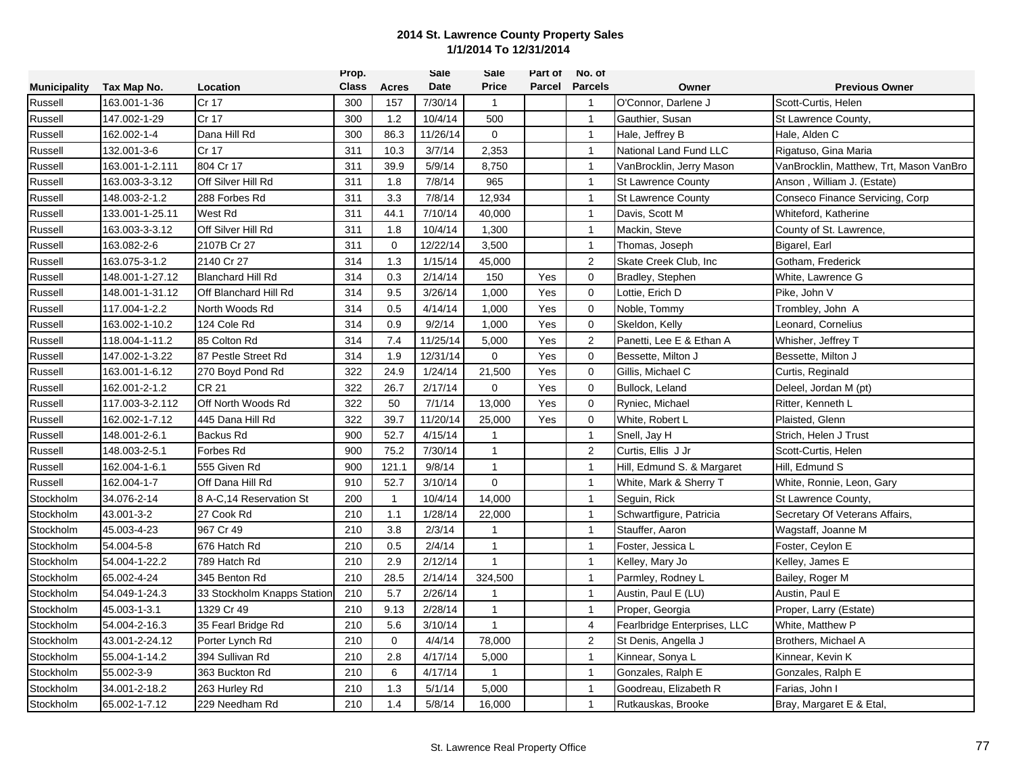|                     |                 |                             | Prop.        |              | Sale        | Sale           | Part of       | No. of         |                              |                                         |
|---------------------|-----------------|-----------------------------|--------------|--------------|-------------|----------------|---------------|----------------|------------------------------|-----------------------------------------|
| <b>Municipality</b> | Tax Map No.     | Location                    | <b>Class</b> | Acres        | <b>Date</b> | Price          | <b>Parcel</b> | <b>Parcels</b> | Owner                        | <b>Previous Owner</b>                   |
| Russell             | 163.001-1-36    | Cr 17                       | 300          | 157          | 7/30/14     | $\mathbf{1}$   |               | $\overline{1}$ | O'Connor, Darlene J          | Scott-Curtis, Helen                     |
| Russell             | 147.002-1-29    | Cr 17                       | 300          | 1.2          | 10/4/14     | 500            |               | $\mathbf{1}$   | Gauthier, Susan              | St Lawrence County,                     |
| Russell             | 162.002-1-4     | Dana Hill Rd                | 300          | 86.3         | 11/26/14    | $\mathbf 0$    |               | $\mathbf{1}$   | Hale, Jeffrey B              | Hale, Alden C                           |
| Russell             | 132.001-3-6     | Cr 17                       | 311          | 10.3         | 3/7/14      | 2,353          |               | $\mathbf{1}$   | National Land Fund LLC       | Rigatuso, Gina Maria                    |
| Russell             | 163.001-1-2.111 | 804 Cr 17                   | 311          | 39.9         | 5/9/14      | 8,750          |               | $\mathbf{1}$   | VanBrocklin, Jerry Mason     | VanBrocklin, Matthew, Trt, Mason VanBro |
| Russell             | 163.003-3-3.12  | Off Silver Hill Rd          | 311          | 1.8          | 7/8/14      | 965            |               | $\mathbf{1}$   | <b>St Lawrence County</b>    | Anson, William J. (Estate)              |
| Russell             | 148.003-2-1.2   | 288 Forbes Rd               | 311          | 3.3          | 7/8/14      | 12,934         |               | $\overline{1}$ | <b>St Lawrence County</b>    | Conseco Finance Servicing, Corp         |
| Russell             | 133.001-1-25.11 | West Rd                     | 311          | 44.1         | 7/10/14     | 40,000         |               | $\mathbf{1}$   | Davis, Scott M               | Whiteford, Katherine                    |
| Russell             | 163.003-3-3.12  | Off Silver Hill Rd          | 311          | 1.8          | 10/4/14     | 1,300          |               | $\mathbf{1}$   | Mackin, Steve                | County of St. Lawrence,                 |
| Russell             | 163.082-2-6     | 2107B Cr 27                 | 311          | $\mathbf 0$  | 12/22/14    | 3,500          |               | $\mathbf{1}$   | Thomas, Joseph               | Bigarel, Earl                           |
| Russell             | 163.075-3-1.2   | 2140 Cr 27                  | 314          | 1.3          | 1/15/14     | 45,000         |               | $\overline{2}$ | Skate Creek Club, Inc.       | Gotham, Frederick                       |
| Russell             | 148.001-1-27.12 | <b>Blanchard Hill Rd</b>    | 314          | 0.3          | 2/14/14     | 150            | Yes           | $\mathbf 0$    | Bradley, Stephen             | White, Lawrence G                       |
| Russell             | 148.001-1-31.12 | Off Blanchard Hill Rd       | 314          | 9.5          | 3/26/14     | 1,000          | Yes           | $\mathbf 0$    | Lottie, Erich D              | Pike, John V                            |
| Russell             | 117.004-1-2.2   | North Woods Rd              | 314          | 0.5          | 4/14/14     | 1,000          | Yes           | $\mathbf 0$    | Noble, Tommy                 | Trombley, John A                        |
| Russell             | 163.002-1-10.2  | 124 Cole Rd                 | 314          | 0.9          | 9/2/14      | 1,000          | Yes           | $\mathbf 0$    | Skeldon, Kelly               | Leonard, Cornelius                      |
| Russell             | 118.004-1-11.2  | 85 Colton Rd                | 314          | 7.4          | 11/25/14    | 5,000          | Yes           | $\overline{2}$ | Panetti, Lee E & Ethan A     | Whisher, Jeffrey T                      |
| Russell             | 147.002-1-3.22  | 87 Pestle Street Rd         | 314          | 1.9          | 12/31/14    | $\mathbf 0$    | Yes           | $\mathbf 0$    | Bessette, Milton J           | Bessette, Milton J                      |
| Russell             | 163.001-1-6.12  | 270 Boyd Pond Rd            | 322          | 24.9         | 1/24/14     | 21,500         | Yes           | $\mathbf 0$    | Gillis, Michael C            | Curtis, Reginald                        |
| Russell             | 162.001-2-1.2   | <b>CR 21</b>                | 322          | 26.7         | 2/17/14     | 0              | Yes           | $\mathbf 0$    | Bullock, Leland              | Deleel, Jordan M (pt)                   |
| Russell             | 117.003-3-2.112 | Off North Woods Rd          | 322          | 50           | 7/1/14      | 13,000         | Yes           | $\mathbf 0$    | Ryniec, Michael              | Ritter, Kenneth L                       |
| Russell             | 162.002-1-7.12  | 445 Dana Hill Rd            | 322          | 39.7         | 11/20/14    | 25,000         | Yes           | $\mathbf 0$    | White, Robert L              | Plaisted, Glenn                         |
| Russell             | 148.001-2-6.1   | <b>Backus Rd</b>            | 900          | 52.7         | 4/15/14     | $\mathbf{1}$   |               | $\mathbf{1}$   | Snell, Jay H                 | Strich, Helen J Trust                   |
| Russell             | 148.003-2-5.1   | Forbes Rd                   | 900          | 75.2         | 7/30/14     | $\mathbf{1}$   |               | $\overline{2}$ | Curtis, Ellis J Jr           | Scott-Curtis, Helen                     |
| Russell             | 162.004-1-6.1   | 555 Given Rd                | 900          | 121.1        | 9/8/14      | $\mathbf{1}$   |               | $\mathbf{1}$   | Hill, Edmund S. & Margaret   | Hill, Edmund S                          |
| Russell             | 162.004-1-7     | Off Dana Hill Rd            | 910          | 52.7         | 3/10/14     | $\mathbf 0$    |               | $\mathbf{1}$   | White, Mark & Sherry T       | White, Ronnie, Leon, Gary               |
| Stockholm           | 34.076-2-14     | 8 A-C.14 Reservation St     | 200          | $\mathbf{1}$ | 10/4/14     | 14,000         |               | $\overline{1}$ | Seguin, Rick                 | St Lawrence County,                     |
| Stockholm           | 43.001-3-2      | 27 Cook Rd                  | 210          | 1.1          | 1/28/14     | 22,000         |               | $\mathbf{1}$   | Schwartfigure, Patricia      | Secretary Of Veterans Affairs,          |
| Stockholm           | 45.003-4-23     | 967 Cr 49                   | 210          | 3.8          | 2/3/14      | $\mathbf{1}$   |               | $\overline{1}$ | Stauffer, Aaron              | Wagstaff, Joanne M                      |
| Stockholm           | 54.004-5-8      | 676 Hatch Rd                | 210          | 0.5          | 2/4/14      | $\mathbf{1}$   |               | $\mathbf{1}$   | Foster, Jessica L            | Foster, Ceylon E                        |
| Stockholm           | 54.004-1-22.2   | 789 Hatch Rd                | 210          | 2.9          | 2/12/14     | $\mathbf{1}$   |               | $\mathbf{1}$   | Kelley, Mary Jo              | Kelley, James E                         |
| Stockholm           | 65.002-4-24     | 345 Benton Rd               | 210          | 28.5         | 2/14/14     | 324,500        |               | $\mathbf{1}$   | Parmley, Rodney L            | Bailey, Roger M                         |
| Stockholm           | 54.049-1-24.3   | 33 Stockholm Knapps Station | 210          | 5.7          | 2/26/14     | $\overline{1}$ |               | $\mathbf{1}$   | Austin, Paul E (LU)          | Austin, Paul E                          |
| Stockholm           | 45.003-1-3.1    | 1329 Cr 49                  | 210          | 9.13         | 2/28/14     | $\mathbf{1}$   |               | $\mathbf{1}$   | Proper, Georgia              | Proper, Larry (Estate)                  |
| Stockholm           | 54.004-2-16.3   | 35 Fearl Bridge Rd          | 210          | 5.6          | 3/10/14     | $\mathbf{1}$   |               | $\overline{4}$ | Fearlbridge Enterprises, LLC | White, Matthew P                        |
| Stockholm           | 43.001-2-24.12  | Porter Lynch Rd             | 210          | $\mathbf 0$  | 4/4/14      | 78,000         |               | $\overline{2}$ | St Denis, Angella J          | Brothers, Michael A                     |
| Stockholm           | 55.004-1-14.2   | 394 Sullivan Rd             | 210          | 2.8          | 4/17/14     | 5,000          |               | $\mathbf{1}$   | Kinnear, Sonya L             | Kinnear, Kevin K                        |
| Stockholm           | 55.002-3-9      | 363 Buckton Rd              | 210          | 6            | 4/17/14     | $\mathbf{1}$   |               | $\mathbf{1}$   | Gonzales, Ralph E            | Gonzales, Ralph E                       |
| Stockholm           | 34.001-2-18.2   | 263 Hurley Rd               | 210          | 1.3          | 5/1/14      | 5,000          |               | $\mathbf{1}$   | Goodreau, Elizabeth R        | Farias, John I                          |
| Stockholm           | 65.002-1-7.12   | 229 Needham Rd              | 210          | 1.4          | 5/8/14      | 16,000         |               | $\overline{1}$ | Rutkauskas, Brooke           | Bray, Margaret E & Etal,                |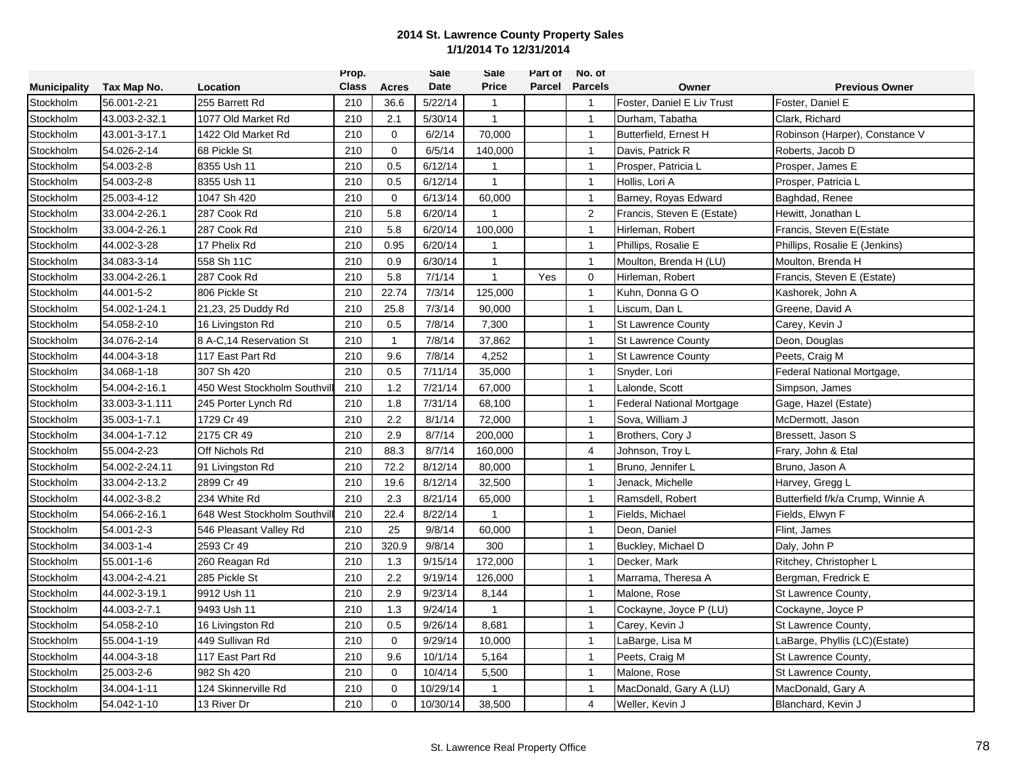|                     |                |                             | Prop.        |              | <b>Sale</b> | Sale           | Part of | No. of         |                            |                                   |
|---------------------|----------------|-----------------------------|--------------|--------------|-------------|----------------|---------|----------------|----------------------------|-----------------------------------|
| <b>Municipality</b> | Tax Map No.    | Location                    | <b>Class</b> | Acres        | Date        | <b>Price</b>   | Parcel  | <b>Parcels</b> | Owner                      | <b>Previous Owner</b>             |
| Stockholm           | 56.001-2-21    | 255 Barrett Rd              | 210          | 36.6         | 5/22/14     | $\mathbf{1}$   |         | $\mathbf{1}$   | Foster, Daniel E Liv Trust | Foster, Daniel E                  |
| Stockholm           | 43.003-2-32.1  | 1077 Old Market Rd          | 210          | 2.1          | 5/30/14     | $\mathbf{1}$   |         | $\mathbf{1}$   | Durham. Tabatha            | Clark, Richard                    |
| Stockholm           | 43.001-3-17.1  | 1422 Old Market Rd          | 210          | $\mathbf 0$  | 6/2/14      | 70,000         |         | $\overline{1}$ | Butterfield, Ernest H      | Robinson (Harper), Constance V    |
| Stockholm           | 54.026-2-14    | 68 Pickle St                | 210          | $\mathbf 0$  | 6/5/14      | 140,000        |         | $\mathbf{1}$   | Davis, Patrick R           | Roberts, Jacob D                  |
| Stockholm           | 54.003-2-8     | 8355 Ush 11                 | 210          | 0.5          | 6/12/14     | $\mathbf{1}$   |         | $\mathbf{1}$   | Prosper, Patricia L        | Prosper, James E                  |
| Stockholm           | 54.003-2-8     | 8355 Ush 11                 | 210          | 0.5          | 6/12/14     | $\mathbf{1}$   |         | $\mathbf{1}$   | Hollis, Lori A             | Prosper, Patricia L               |
| Stockholm           | 25.003-4-12    | 1047 Sh 420                 | 210          | $\mathbf 0$  | 6/13/14     | 60,000         |         | $\mathbf{1}$   | Barney, Royas Edward       | Baghdad, Renee                    |
| Stockholm           | 33.004-2-26.1  | 287 Cook Rd                 | 210          | 5.8          | 6/20/14     | $\mathbf{1}$   |         | 2              | Francis, Steven E (Estate) | Hewitt, Jonathan L                |
| Stockholm           | 33.004-2-26.1  | 287 Cook Rd                 | 210          | 5.8          | 6/20/14     | 100,000        |         | $\overline{1}$ | Hirleman, Robert           | Francis, Steven E(Estate          |
| Stockholm           | 44.002-3-28    | 17 Phelix Rd                | 210          | 0.95         | 6/20/14     | $\overline{1}$ |         | $\mathbf{1}$   | Phillips, Rosalie E        | Phillips, Rosalie E (Jenkins)     |
| Stockholm           | 34.083-3-14    | 558 Sh 11C                  | 210          | 0.9          | 6/30/14     | $\mathbf{1}$   |         | $\overline{1}$ | Moulton, Brenda H (LU)     | Moulton, Brenda H                 |
| Stockholm           | 33.004-2-26.1  | 287 Cook Rd                 | 210          | 5.8          | 7/1/14      | $\mathbf{1}$   | Yes     | $\mathbf 0$    | Hirleman, Robert           | Francis, Steven E (Estate)        |
| Stockholm           | 44.001-5-2     | 806 Pickle St               | 210          | 22.74        | 7/3/14      | 125,000        |         | $\mathbf{1}$   | Kuhn, Donna GO             | Kashorek, John A                  |
| Stockholm           | 54.002-1-24.1  | 21,23, 25 Duddy Rd          | 210          | 25.8         | 7/3/14      | 90,000         |         | $\mathbf{1}$   | Liscum. Dan L              | Greene, David A                   |
| Stockholm           | 54.058-2-10    | 16 Livingston Rd            | 210          | 0.5          | 7/8/14      | 7,300          |         | $\overline{1}$ | <b>St Lawrence County</b>  | Carey, Kevin J                    |
| Stockholm           | 34.076-2-14    | 8 A-C,14 Reservation St     | 210          | $\mathbf{1}$ | 7/8/14      | 37,862         |         | $\overline{1}$ | <b>St Lawrence County</b>  | Deon, Douglas                     |
| Stockholm           | 44.004-3-18    | 117 East Part Rd            | 210          | 9.6          | 7/8/14      | 4,252          |         | $\mathbf{1}$   | <b>St Lawrence County</b>  | Peets, Craig M                    |
| Stockholm           | 34.068-1-18    | 307 Sh 420                  | 210          | 0.5          | 7/11/14     | 35,000         |         | $\mathbf{1}$   | Snyder, Lori               | Federal National Mortgage,        |
| Stockholm           | 54.004-2-16.1  | 450 West Stockholm Southvil | 210          | 1.2          | 7/21/14     | 67,000         |         | $\mathbf{1}$   | Lalonde, Scott             | Simpson, James                    |
| Stockholm           | 33.003-3-1.111 | 245 Porter Lynch Rd         | 210          | 1.8          | 7/31/14     | 68,100         |         | $\mathbf{1}$   | Federal National Mortgage  | Gage, Hazel (Estate)              |
| Stockholm           | 35.003-1-7.1   | 1729 Cr 49                  | 210          | 2.2          | 8/1/14      | 72,000         |         | $\mathbf{1}$   | Sova, William J            | McDermott, Jason                  |
| Stockholm           | 34.004-1-7.12  | 2175 CR 49                  | 210          | 2.9          | 8/7/14      | 200,000        |         | $\overline{1}$ | Brothers, Cory J           | Bressett, Jason S                 |
| Stockholm           | 55.004-2-23    | Off Nichols Rd              | 210          | 88.3         | 8/7/14      | 160,000        |         | 4              | Johnson, Troy L            | Frary, John & Etal                |
| Stockholm           | 54.002-2-24.11 | 91 Livingston Rd            | 210          | 72.2         | 8/12/14     | 80,000         |         | $\mathbf{1}$   | Bruno, Jennifer L          | Bruno, Jason A                    |
| Stockholm           | 33.004-2-13.2  | 2899 Cr 49                  | 210          | 19.6         | 8/12/14     | 32,500         |         | $\mathbf{1}$   | Jenack, Michelle           | Harvey, Gregg L                   |
| Stockholm           | 44.002-3-8.2   | 234 White Rd                | 210          | 2.3          | 8/21/14     | 65,000         |         | $\mathbf{1}$   | Ramsdell, Robert           | Butterfield f/k/a Crump, Winnie A |
| Stockholm           | 54.066-2-16.1  | 648 West Stockholm Southvil | 210          | 22.4         | 8/22/14     | $\mathbf{1}$   |         | $\mathbf{1}$   | Fields, Michael            | Fields, Elwyn F                   |
| Stockholm           | 54.001-2-3     | 546 Pleasant Valley Rd      | 210          | 25           | 9/8/14      | 60,000         |         | $\overline{1}$ | Deon, Daniel               | Flint, James                      |
| Stockholm           | 34.003-1-4     | 2593 Cr 49                  | 210          | 320.9        | 9/8/14      | 300            |         | $\mathbf{1}$   | Buckley, Michael D         | Daly, John P                      |
| Stockholm           | 55.001-1-6     | 260 Reagan Rd               | 210          | 1.3          | 9/15/14     | 172,000        |         | $\mathbf{1}$   | Decker, Mark               | Ritchey, Christopher L            |
| Stockholm           | 43.004-2-4.21  | 285 Pickle St               | 210          | 2.2          | 9/19/14     | 126,000        |         | $\mathbf{1}$   | Marrama, Theresa A         | Bergman, Fredrick E               |
| Stockholm           | 44.002-3-19.1  | 9912 Ush 11                 | 210          | 2.9          | 9/23/14     | 8,144          |         | $\mathbf{1}$   | Malone, Rose               | St Lawrence County,               |
| Stockholm           | 44.003-2-7.1   | 9493 Ush 11                 | 210          | 1.3          | 9/24/14     | $\mathbf{1}$   |         | $\mathbf{1}$   | Cockayne, Joyce P (LU)     | Cockayne, Joyce P                 |
| Stockholm           | 54.058-2-10    | 16 Livingston Rd            | 210          | 0.5          | 9/26/14     | 8,681          |         | $\overline{1}$ | Carey, Kevin J             | St Lawrence County,               |
| Stockholm           | 55.004-1-19    | 449 Sullivan Rd             | 210          | $\mathbf 0$  | 9/29/14     | 10,000         |         | $\mathbf{1}$   | LaBarge, Lisa M            | LaBarge, Phyllis (LC)(Estate)     |
| Stockholm           | 44.004-3-18    | 117 East Part Rd            | 210          | 9.6          | 10/1/14     | 5,164          |         | $\mathbf{1}$   | Peets, Craig M             | St Lawrence County,               |
| Stockholm           | 25.003-2-6     | 982 Sh 420                  | 210          | $\Omega$     | 10/4/14     | 5,500          |         | $\mathbf{1}$   | Malone, Rose               | St Lawrence County,               |
| Stockholm           | 34.004-1-11    | 124 Skinnerville Rd         | 210          | $\mathbf 0$  | 10/29/14    | $\mathbf{1}$   |         | $\mathbf{1}$   | MacDonald, Gary A (LU)     | MacDonald, Gary A                 |
| Stockholm           | 54.042-1-10    | 13 River Dr                 | 210          | $\Omega$     | 10/30/14    | 38,500         |         | $\overline{4}$ | Weller, Kevin J            | Blanchard, Kevin J                |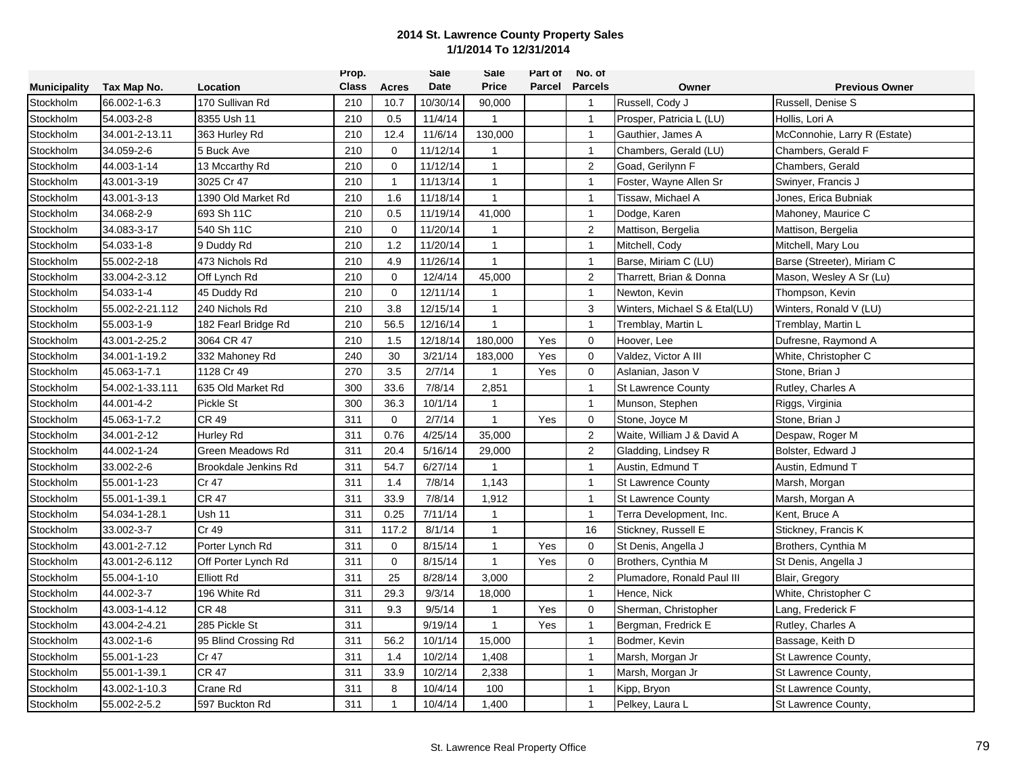|                     |                 |                      | Prop.        |              | Sale     | Sale         | Part of | No. of         |                               |                              |
|---------------------|-----------------|----------------------|--------------|--------------|----------|--------------|---------|----------------|-------------------------------|------------------------------|
| <b>Municipality</b> | Tax Map No.     | Location             | <b>Class</b> | Acres        | Date     | <b>Price</b> | Parcel  | <b>Parcels</b> | Owner                         | <b>Previous Owner</b>        |
| Stockholm           | 66.002-1-6.3    | 170 Sullivan Rd      | 210          | 10.7         | 10/30/14 | 90,000       |         | $\overline{1}$ | Russell, Cody J               | Russell, Denise S            |
| Stockholm           | 54.003-2-8      | 8355 Ush 11          | 210          | 0.5          | 11/4/14  | $\mathbf{1}$ |         | $\mathbf{1}$   | Prosper, Patricia L (LU)      | Hollis, Lori A               |
| Stockholm           | 34.001-2-13.11  | 363 Hurley Rd        | 210          | 12.4         | 11/6/14  | 130,000      |         | $\overline{1}$ | Gauthier, James A             | McConnohie, Larry R (Estate) |
| Stockholm           | 34.059-2-6      | 5 Buck Ave           | 210          | $\mathbf 0$  | 11/12/14 | $\mathbf{1}$ |         | $\mathbf{1}$   | Chambers, Gerald (LU)         | Chambers, Gerald F           |
| Stockholm           | 44.003-1-14     | 13 Mccarthy Rd       | 210          | $\mathbf 0$  | 11/12/14 | $\mathbf{1}$ |         | $\overline{2}$ | Goad, Gerilynn F              | Chambers, Gerald             |
| Stockholm           | 43.001-3-19     | 3025 Cr 47           | 210          | $\mathbf{1}$ | 11/13/14 | $\mathbf{1}$ |         | $\mathbf{1}$   | Foster, Wayne Allen Sr        | Swinyer, Francis J           |
| Stockholm           | 43.001-3-13     | 1390 Old Market Rd   | 210          | 1.6          | 11/18/14 | $\mathbf{1}$ |         | $\mathbf{1}$   | Tissaw, Michael A             | Jones, Erica Bubniak         |
| Stockholm           | 34.068-2-9      | 693 Sh 11C           | 210          | 0.5          | 11/19/14 | 41,000       |         | $\mathbf{1}$   | Dodge, Karen                  | Mahoney, Maurice C           |
| Stockholm           | 34.083-3-17     | 540 Sh 11C           | 210          | $\Omega$     | 11/20/14 | $\mathbf{1}$ |         | $\overline{2}$ | Mattison, Bergelia            | Mattison, Bergelia           |
| Stockholm           | 54.033-1-8      | 9 Duddy Rd           | 210          | 1.2          | 11/20/14 | $\mathbf{1}$ |         | $\mathbf{1}$   | Mitchell, Cody                | Mitchell, Mary Lou           |
| Stockholm           | 55.002-2-18     | 473 Nichols Rd       | 210          | 4.9          | 11/26/14 | $\mathbf{1}$ |         | $\mathbf{1}$   | Barse, Miriam C (LU)          | Barse (Streeter), Miriam C   |
| Stockholm           | 33.004-2-3.12   | Off Lynch Rd         | 210          | $\mathbf 0$  | 12/4/14  | 45,000       |         | $\overline{2}$ | Tharrett, Brian & Donna       | Mason, Wesley A Sr (Lu)      |
| Stockholm           | 54.033-1-4      | 45 Duddy Rd          | 210          | $\mathbf{0}$ | 12/11/14 | $\mathbf{1}$ |         | $\mathbf{1}$   | Newton, Kevin                 | Thompson, Kevin              |
| Stockholm           | 55.002-2-21.112 | 240 Nichols Rd       | 210          | 3.8          | 12/15/14 | $\mathbf{1}$ |         | 3              | Winters, Michael S & Etal(LU) | Winters, Ronald V (LU)       |
| Stockholm           | 55.003-1-9      | 182 Fearl Bridge Rd  | 210          | 56.5         | 12/16/14 | $\mathbf{1}$ |         | $\overline{1}$ | Tremblay, Martin L            | Tremblay, Martin L           |
| Stockholm           | 43.001-2-25.2   | 3064 CR 47           | 210          | 1.5          | 12/18/14 | 180,000      | Yes     | $\mathbf 0$    | Hoover, Lee                   | Dufresne, Raymond A          |
| Stockholm           | 34.001-1-19.2   | 332 Mahoney Rd       | 240          | 30           | 3/21/14  | 183,000      | Yes     | $\mathbf 0$    | Valdez, Victor A III          | White, Christopher C         |
| Stockholm           | 45.063-1-7.1    | 1128 Cr 49           | 270          | 3.5          | 2/7/14   | $\mathbf{1}$ | Yes     | $\mathbf 0$    | Aslanian, Jason V             | Stone, Brian J               |
| Stockholm           | 54.002-1-33.111 | 635 Old Market Rd    | 300          | 33.6         | 7/8/14   | 2,851        |         | $\mathbf{1}$   | <b>St Lawrence County</b>     | Rutley, Charles A            |
| Stockholm           | 44.001-4-2      | Pickle St            | 300          | 36.3         | 10/1/14  | $\mathbf{1}$ |         | $\mathbf{1}$   | Munson, Stephen               | Riggs, Virginia              |
| Stockholm           | 45.063-1-7.2    | <b>CR 49</b>         | 311          | $\mathbf 0$  | 2/7/14   | $\mathbf{1}$ | Yes     | $\mathbf 0$    | Stone, Joyce M                | Stone, Brian J               |
| Stockholm           | 34.001-2-12     | Hurley Rd            | 311          | 0.76         | 4/25/14  | 35,000       |         | $\overline{2}$ | Waite, William J & David A    | Despaw, Roger M              |
| Stockholm           | 44.002-1-24     | Green Meadows Rd     | 311          | 20.4         | 5/16/14  | 29,000       |         | $\overline{2}$ | Gladding, Lindsey R           | Bolster, Edward J            |
| Stockholm           | 33.002-2-6      | Brookdale Jenkins Rd | 311          | 54.7         | 6/27/14  | $\mathbf{1}$ |         | $\mathbf{1}$   | Austin, Edmund T              | Austin, Edmund T             |
| Stockholm           | 55.001-1-23     | Cr 47                | 311          | 1.4          | 7/8/14   | 1,143        |         | $\mathbf{1}$   | <b>St Lawrence County</b>     | Marsh, Morgan                |
| Stockholm           | 55.001-1-39.1   | <b>CR 47</b>         | 311          | 33.9         | 7/8/14   | 1,912        |         | $\mathbf{1}$   | <b>St Lawrence County</b>     | Marsh, Morgan A              |
| Stockholm           | 54.034-1-28.1   | <b>Ush 11</b>        | 311          | 0.25         | 7/11/14  | $\mathbf{1}$ |         | $\mathbf{1}$   | Terra Development, Inc.       | Kent, Bruce A                |
| Stockholm           | 33.002-3-7      | Cr 49                | 311          | 117.2        | 8/1/14   | $\mathbf{1}$ |         | 16             | Stickney, Russell E           | Stickney, Francis K          |
| Stockholm           | 43.001-2-7.12   | Porter Lynch Rd      | 311          | $\mathbf 0$  | 8/15/14  | $\mathbf{1}$ | Yes     | $\mathbf 0$    | St Denis, Angella J           | Brothers, Cynthia M          |
| Stockholm           | 43.001-2-6.112  | Off Porter Lynch Rd  | 311          | $\mathbf 0$  | 8/15/14  | $\mathbf{1}$ | Yes     | $\mathbf 0$    | Brothers, Cynthia M           | St Denis, Angella J          |
| Stockholm           | 55.004-1-10     | Elliott Rd           | 311          | 25           | 8/28/14  | 3,000        |         | $\overline{2}$ | Plumadore, Ronald Paul III    | Blair, Gregory               |
| Stockholm           | 44.002-3-7      | 196 White Rd         | 311          | 29.3         | 9/3/14   | 18,000       |         | $\mathbf{1}$   | Hence, Nick                   | White, Christopher C         |
| Stockholm           | 43.003-1-4.12   | <b>CR 48</b>         | 311          | 9.3          | 9/5/14   | $\mathbf{1}$ | Yes     | $\mathbf 0$    | Sherman, Christopher          | Lang, Frederick F            |
| Stockholm           | 43.004-2-4.21   | 285 Pickle St        | 311          |              | 9/19/14  | $\mathbf{1}$ | Yes     | $\mathbf{1}$   | Bergman, Fredrick E           | Rutley, Charles A            |
| Stockholm           | 43.002-1-6      | 95 Blind Crossing Rd | 311          | 56.2         | 10/1/14  | 15,000       |         | $\mathbf{1}$   | Bodmer, Kevin                 | Bassage, Keith D             |
| Stockholm           | 55.001-1-23     | Cr 47                | 311          | 1.4          | 10/2/14  | 1,408        |         | $\mathbf{1}$   | Marsh, Morgan Jr              | St Lawrence County,          |
| Stockholm           | 55.001-1-39.1   | <b>CR 47</b>         | 311          | 33.9         | 10/2/14  | 2,338        |         | $\mathbf{1}$   | Marsh, Morgan Jr              | St Lawrence County,          |
| Stockholm           | 43.002-1-10.3   | Crane Rd             | 311          | 8            | 10/4/14  | 100          |         | $\mathbf{1}$   | Kipp, Bryon                   | St Lawrence County,          |
| Stockholm           | 55.002-2-5.2    | 597 Buckton Rd       | 311          | $\mathbf{1}$ | 10/4/14  | 1,400        |         | $\overline{1}$ | Pelkey, Laura L               | St Lawrence County,          |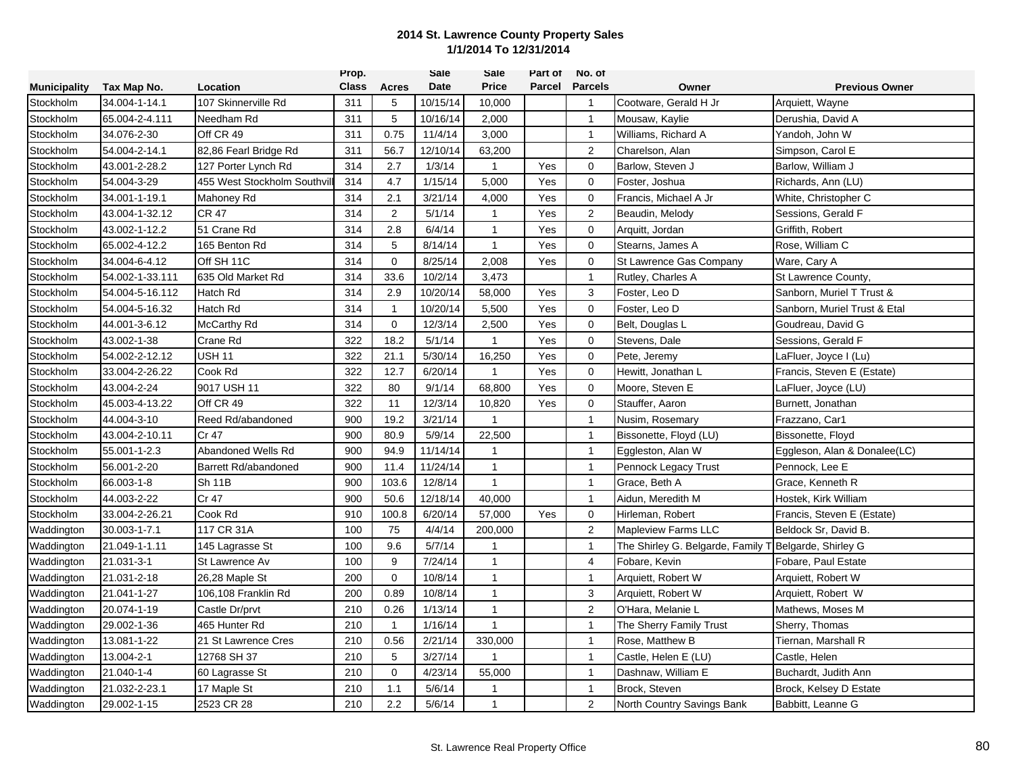|                     |                 |                            | Prop.        |              | Sale     | Sale           | Part of | No. of         |                                 |                              |
|---------------------|-----------------|----------------------------|--------------|--------------|----------|----------------|---------|----------------|---------------------------------|------------------------------|
| <b>Municipality</b> | Tax Map No.     | Location                   | <b>Class</b> | Acres        | Date     | <b>Price</b>   | Parcel  | <b>Parcels</b> | Owner                           | <b>Previous Owner</b>        |
| Stockholm           | 34.004-1-14.1   | 107 Skinnerville Rd        | 311          | 5            | 10/15/14 | 10,000         |         | $\overline{1}$ | Cootware, Gerald H Jr           | Arquiett, Wayne              |
| Stockholm           | 65.004-2-4.111  | Needham Rd                 | 311          | 5            | 10/16/14 | 2,000          |         | $\mathbf{1}$   | Mousaw, Kaylie                  | Derushia, David A            |
| Stockholm           | 34.076-2-30     | Off CR 49                  | 311          | 0.75         | 11/4/14  | 3,000          |         | $\overline{1}$ | Williams, Richard A             | Yandoh, John W               |
| Stockholm           | 54.004-2-14.1   | 82,86 Fearl Bridge Rd      | 311          | 56.7         | 12/10/14 | 63,200         |         | $\overline{2}$ | Charelson, Alan                 | Simpson, Carol E             |
| Stockholm           | 43.001-2-28.2   | 127 Porter Lynch Rd        | 314          | 2.7          | 1/3/14   | $\mathbf{1}$   | Yes     | $\mathbf 0$    | Barlow, Steven J                | Barlow, William J            |
| Stockholm           | 54.004-3-29     | 455 West Stockholm Southvi | 314          | 4.7          | 1/15/14  | 5,000          | Yes     | $\mathbf 0$    | Foster, Joshua                  | Richards, Ann (LU)           |
| Stockholm           | 34.001-1-19.1   | Mahoney Rd                 | 314          | 2.1          | 3/21/14  | 4,000          | Yes     | $\mathbf 0$    | Francis, Michael A Jr           | White, Christopher C         |
| Stockholm           | 43.004-1-32.12  | <b>CR 47</b>               | 314          | 2            | 5/1/14   | $\mathbf{1}$   | Yes     | 2              | Beaudin, Melody                 | Sessions, Gerald F           |
| Stockholm           | 43.002-1-12.2   | 51 Crane Rd                | 314          | 2.8          | 6/4/14   | $\mathbf{1}$   | Yes     | $\mathbf 0$    | Arquitt, Jordan                 | Griffith, Robert             |
| Stockholm           | 65.002-4-12.2   | 165 Benton Rd              | 314          | 5            | 8/14/14  | $\mathbf{1}$   | Yes     | $\mathbf 0$    | Stearns, James A                | Rose, William C              |
| Stockholm           | 34.004-6-4.12   | Off SH 11C                 | 314          | $\mathbf 0$  | 8/25/14  | 2,008          | Yes     | $\mathbf 0$    | St Lawrence Gas Company         | Ware, Cary A                 |
| Stockholm           | 54.002-1-33.111 | 635 Old Market Rd          | 314          | 33.6         | 10/2/14  | 3,473          |         | $\mathbf{1}$   | Rutley, Charles A               | St Lawrence County,          |
| Stockholm           | 54.004-5-16.112 | Hatch Rd                   | 314          | 2.9          | 10/20/14 | 58,000         | Yes     | 3              | Foster, Leo D                   | Sanborn, Muriel T Trust &    |
| Stockholm           | 54.004-5-16.32  | <b>Hatch Rd</b>            | 314          | $\mathbf{1}$ | 10/20/14 | 5,500          | Yes     | $\mathbf 0$    | Foster, Leo D                   | Sanborn, Muriel Trust & Etal |
| Stockholm           | 44.001-3-6.12   | McCarthy Rd                | 314          | $\mathbf 0$  | 12/3/14  | 2,500          | Yes     | $\mathbf 0$    | Belt, Douglas L                 | Goudreau, David G            |
| Stockholm           | 43.002-1-38     | Crane Rd                   | 322          | 18.2         | 5/1/14   | $\mathbf{1}$   | Yes     | $\mathbf 0$    | Stevens, Dale                   | Sessions, Gerald F           |
| Stockholm           | 54.002-2-12.12  | <b>USH 11</b>              | 322          | 21.1         | 5/30/14  | 16,250         | Yes     | $\mathbf 0$    | Pete, Jeremy                    | LaFluer, Joyce I (Lu)        |
| Stockholm           | 33.004-2-26.22  | Cook Rd                    | 322          | 12.7         | 6/20/14  | $\mathbf{1}$   | Yes     | $\mathbf 0$    | Hewitt, Jonathan L              | Francis, Steven E (Estate)   |
| Stockholm           | 43.004-2-24     | 9017 USH 11                | 322          | 80           | 9/1/14   | 68,800         | Yes     | $\mathbf 0$    | Moore, Steven E                 | LaFluer, Joyce (LU)          |
| Stockholm           | 45.003-4-13.22  | Off CR 49                  | 322          | 11           | 12/3/14  | 10,820         | Yes     | $\mathbf 0$    | Stauffer, Aaron                 | Burnett, Jonathan            |
| Stockholm           | 44.004-3-10     | Reed Rd/abandoned          | 900          | 19.2         | 3/21/14  | $\mathbf{1}$   |         | $\mathbf{1}$   | Nusim, Rosemary                 | Frazzano, Car1               |
| Stockholm           | 43.004-2-10.11  | Cr 47                      | 900          | 80.9         | 5/9/14   | 22,500         |         | $\mathbf{1}$   | Bissonette, Floyd (LU)          | Bissonette, Floyd            |
| Stockholm           | 55.001-1-2.3    | Abandoned Wells Rd         | 900          | 94.9         | 11/14/14 | 1              |         | $\mathbf{1}$   | Eggleston, Alan W               | Eggleson, Alan & Donalee(LC) |
| Stockholm           | 56.001-2-20     | Barrett Rd/abandoned       | 900          | 11.4         | 11/24/14 | $\mathbf{1}$   |         | $\mathbf{1}$   | Pennock Legacy Trust            | Pennock, Lee E               |
| Stockholm           | 66.003-1-8      | <b>Sh 11B</b>              | 900          | 103.6        | 12/8/14  | $\mathbf{1}$   |         | $\mathbf{1}$   | Grace, Beth A                   | Grace, Kenneth R             |
| Stockholm           | 44.003-2-22     | Cr 47                      | 900          | 50.6         | 12/18/14 | 40,000         |         | $\mathbf{1}$   | Aidun, Meredith M               | Hostek, Kirk William         |
| Stockholm           | 33.004-2-26.21  | Cook Rd                    | 910          | 100.8        | 6/20/14  | 57,000         | Yes     | $\mathbf 0$    | Hirleman, Robert                | Francis, Steven E (Estate)   |
| Waddington          | 30.003-1-7.1    | 117 CR 31A                 | 100          | 75           | 4/4/14   | 200,000        |         | $\overline{2}$ | <b>Mapleview Farms LLC</b>      | Beldock Sr, David B.         |
| Waddington          | 21.049-1-1.11   | 145 Lagrasse St            | 100          | 9.6          | 5/7/14   | 1              |         | $\mathbf{1}$   | The Shirley G. Belgarde, Family | Belgarde, Shirley G          |
| Waddington          | 21.031-3-1      | St Lawrence Av             | 100          | 9            | 7/24/14  | $\mathbf{1}$   |         | $\overline{4}$ | Fobare, Kevin                   | Fobare, Paul Estate          |
| Waddington          | 21.031-2-18     | 26,28 Maple St             | 200          | $\Omega$     | 10/8/14  | $\mathbf{1}$   |         | $\mathbf{1}$   | Arquiett, Robert W              | Arquiett, Robert W           |
| Waddington          | 21.041-1-27     | 106,108 Franklin Rd        | 200          | 0.89         | 10/8/14  | $\mathbf{1}$   |         | $\mathbf{3}$   | Arquiett, Robert W              | Arquiett, Robert W           |
| Waddington          | 20.074-1-19     | Castle Dr/prvt             | 210          | 0.26         | 1/13/14  | $\mathbf{1}$   |         | 2              | O'Hara, Melanie L               | Mathews, Moses M             |
| Waddington          | 29.002-1-36     | 465 Hunter Rd              | 210          | $\mathbf{1}$ | 1/16/14  | $\mathbf{1}$   |         | $\overline{1}$ | The Sherry Family Trust         | Sherry, Thomas               |
| Waddington          | 13.081-1-22     | 21 St Lawrence Cres        | 210          | 0.56         | 2/21/14  | 330,000        |         | $\overline{1}$ | Rose, Matthew B                 | Tiernan, Marshall R          |
| Waddington          | 13.004-2-1      | 12768 SH 37                | 210          | 5            | 3/27/14  | $\overline{1}$ |         | $\mathbf{1}$   | Castle, Helen E (LU)            | Castle, Helen                |
| Waddington          | 21.040-1-4      | 60 Lagrasse St             | 210          | $\mathbf 0$  | 4/23/14  | 55,000         |         | $\mathbf{1}$   | Dashnaw, William E              | Buchardt, Judith Ann         |
| Waddington          | 21.032-2-23.1   | 17 Maple St                | 210          | 1.1          | 5/6/14   | 1              |         | $\mathbf{1}$   | Brock, Steven                   | Brock, Kelsey D Estate       |
| Waddington          | 29.002-1-15     | 2523 CR 28                 | 210          | 2.2          | 5/6/14   | 1              |         | $\sqrt{2}$     | North Country Savings Bank      | Babbitt, Leanne G            |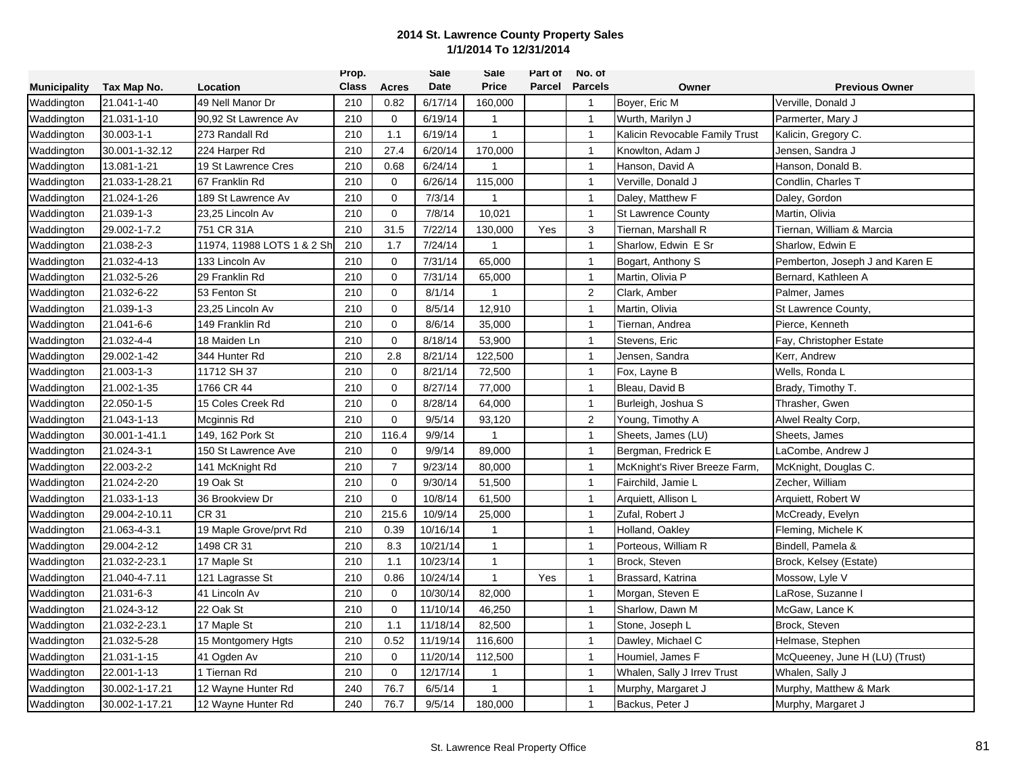|                     |                |                            | Prop.        |                | Sale     | Sale         | Part of | No. of         |                                |                                 |
|---------------------|----------------|----------------------------|--------------|----------------|----------|--------------|---------|----------------|--------------------------------|---------------------------------|
| <b>Municipality</b> | Tax Map No.    | Location                   | <b>Class</b> | Acres          | Date     | <b>Price</b> | Parcel  | <b>Parcels</b> | Owner                          | <b>Previous Owner</b>           |
| Waddington          | 21.041-1-40    | 49 Nell Manor Dr           | 210          | 0.82           | 6/17/14  | 160,000      |         | $\overline{1}$ | Boyer, Eric M                  | Verville, Donald J              |
| Waddington          | 21.031-1-10    | 90,92 St Lawrence Av       | 210          | $\mathbf 0$    | 6/19/14  | $\mathbf{1}$ |         | $\mathbf{1}$   | Wurth, Marilyn J               | Parmerter, Mary J               |
| Waddington          | 30.003-1-1     | 273 Randall Rd             | 210          | 1.1            | 6/19/14  | $\mathbf{1}$ |         | $\overline{1}$ | Kalicin Revocable Family Trust | Kalicin, Gregory C.             |
| Waddington          | 30.001-1-32.12 | 224 Harper Rd              | 210          | 27.4           | 6/20/14  | 170,000      |         | $\mathbf{1}$   | Knowlton, Adam J               | Jensen, Sandra J                |
| Waddington          | 13.081-1-21    | 19 St Lawrence Cres        | 210          | 0.68           | 6/24/14  | $\mathbf{1}$ |         | $\mathbf{1}$   | Hanson, David A                | Hanson, Donald B.               |
| Waddington          | 21.033-1-28.21 | 67 Franklin Rd             | 210          | $\mathbf 0$    | 6/26/14  | 115,000      |         | $\mathbf{1}$   | Verville, Donald J             | Condlin, Charles T              |
| Waddington          | 21.024-1-26    | 189 St Lawrence Av         | 210          | $\mathbf 0$    | 7/3/14   | 1            |         | $\overline{1}$ | Daley, Matthew F               | Daley, Gordon                   |
| Waddington          | 21.039-1-3     | 23,25 Lincoln Av           | 210          | $\mathbf 0$    | 7/8/14   | 10,021       |         | $\mathbf{1}$   | <b>St Lawrence County</b>      | Martin, Olivia                  |
| Waddington          | 29.002-1-7.2   | 751 CR 31A                 | 210          | 31.5           | 7/22/14  | 130,000      | Yes     | 3              | Tiernan, Marshall R            | Tiernan, William & Marcia       |
| Waddington          | 21.038-2-3     | 11974, 11988 LOTS 1 & 2 Sh | 210          | 1.7            | 7/24/14  | $\mathbf{1}$ |         | $\mathbf{1}$   | Sharlow, Edwin E Sr            | Sharlow, Edwin E                |
| Waddington          | 21.032-4-13    | 133 Lincoln Av             | 210          | 0              | 7/31/14  | 65,000       |         | $\mathbf{1}$   | Bogart, Anthony S              | Pemberton, Joseph J and Karen E |
| Waddington          | 21.032-5-26    | 29 Franklin Rd             | 210          | $\mathbf 0$    | 7/31/14  | 65,000       |         | $\mathbf{1}$   | Martin, Olivia P               | Bernard, Kathleen A             |
| Waddington          | 21.032-6-22    | 53 Fenton St               | 210          | $\mathbf{0}$   | 8/1/14   | $\mathbf{1}$ |         | $\overline{2}$ | Clark, Amber                   | Palmer, James                   |
| Waddington          | 21.039-1-3     | 23,25 Lincoln Av           | 210          | $\mathbf 0$    | 8/5/14   | 12,910       |         | $\mathbf{1}$   | Martin, Olivia                 | St Lawrence County,             |
| Waddington          | 21.041-6-6     | 149 Franklin Rd            | 210          | $\mathbf 0$    | 8/6/14   | 35,000       |         | $\overline{1}$ | Tiernan, Andrea                | Pierce, Kenneth                 |
| Waddington          | 21.032-4-4     | 18 Maiden Ln               | 210          | $\mathbf 0$    | 8/18/14  | 53,900       |         | $\overline{1}$ | Stevens, Eric                  | Fay, Christopher Estate         |
| Waddington          | 29.002-1-42    | 344 Hunter Rd              | 210          | 2.8            | 8/21/14  | 122,500      |         | $\mathbf{1}$   | Jensen, Sandra                 | Kerr, Andrew                    |
| Waddington          | 21.003-1-3     | 11712 SH 37                | 210          | $\mathbf 0$    | 8/21/14  | 72,500       |         | $\mathbf{1}$   | Fox, Layne B                   | Wells, Ronda L                  |
| Waddington          | 21.002-1-35    | 1766 CR 44                 | 210          | $\mathbf 0$    | 8/27/14  | 77,000       |         | $\mathbf{1}$   | Bleau, David B                 | Brady, Timothy T.               |
| Waddington          | 22.050-1-5     | 15 Coles Creek Rd          | 210          | 0              | 8/28/14  | 64,000       |         | $\mathbf{1}$   | Burleigh, Joshua S             | Thrasher, Gwen                  |
| Waddington          | 21.043-1-13    | <b>Mcginnis Rd</b>         | 210          | $\mathbf 0$    | 9/5/14   | 93,120       |         | $\overline{2}$ | Young, Timothy A               | Alwel Realty Corp,              |
| Waddington          | 30.001-1-41.1  | 149, 162 Pork St           | 210          | 116.4          | 9/9/14   | 1            |         | $\mathbf{1}$   | Sheets, James (LU)             | Sheets, James                   |
| Waddington          | 21.024-3-1     | 150 St Lawrence Ave        | 210          | $\mathbf 0$    | 9/9/14   | 89,000       |         | $\mathbf{1}$   | Bergman, Fredrick E            | LaCombe, Andrew J               |
| Waddington          | 22.003-2-2     | 141 McKnight Rd            | 210          | $\overline{7}$ | 9/23/14  | 80,000       |         | $\mathbf{1}$   | McKnight's River Breeze Farm,  | McKnight, Douglas C.            |
| Waddington          | 21.024-2-20    | 19 Oak St                  | 210          | $\mathbf 0$    | 9/30/14  | 51,500       |         | $\mathbf{1}$   | Fairchild, Jamie L             | Zecher, William                 |
| Waddington          | 21.033-1-13    | 36 Brookview Dr            | 210          | $\mathbf{0}$   | 10/8/14  | 61,500       |         | $\overline{1}$ | Arquiett, Allison L            | Arquiett, Robert W              |
| Waddington          | 29.004-2-10.11 | <b>CR 31</b>               | 210          | 215.6          | 10/9/14  | 25,000       |         | $\mathbf{1}$   | Zufal, Robert J                | McCready, Evelyn                |
| Waddington          | 21.063-4-3.1   | 19 Maple Grove/prvt Rd     | 210          | 0.39           | 10/16/14 | $\mathbf{1}$ |         | $\overline{1}$ | Holland, Oakley                | Fleming, Michele K              |
| Waddington          | 29.004-2-12    | 1498 CR 31                 | 210          | 8.3            | 10/21/14 | $\mathbf{1}$ |         | $\overline{1}$ | Porteous, William R            | Bindell, Pamela &               |
| Waddington          | 21.032-2-23.1  | 17 Maple St                | 210          | 1.1            | 10/23/14 | $\mathbf{1}$ |         | $\overline{1}$ | Brock, Steven                  | Brock, Kelsey (Estate)          |
| Waddington          | 21.040-4-7.11  | 121 Lagrasse St            | 210          | 0.86           | 10/24/14 | $\mathbf{1}$ | Yes     | $\mathbf{1}$   | Brassard, Katrina              | Mossow, Lyle V                  |
| Waddington          | 21.031-6-3     | 41 Lincoln Av              | 210          | $\mathbf 0$    | 10/30/14 | 82,000       |         | $\mathbf{1}$   | Morgan, Steven E               | LaRose, Suzanne I               |
| Waddington          | 21.024-3-12    | 22 Oak St                  | 210          | $\mathbf 0$    | 11/10/14 | 46,250       |         | $\mathbf{1}$   | Sharlow, Dawn M                | McGaw, Lance K                  |
| Waddington          | 21.032-2-23.1  | 17 Maple St                | 210          | 1.1            | 11/18/14 | 82,500       |         | $\mathbf{1}$   | Stone, Joseph L                | Brock, Steven                   |
| Waddington          | 21.032-5-28    | 15 Montgomery Hgts         | 210          | 0.52           | 11/19/14 | 116,600      |         | $\mathbf{1}$   | Dawley, Michael C              | Helmase, Stephen                |
| Waddington          | 21.031-1-15    | 41 Ogden Av                | 210          | $\mathbf 0$    | 11/20/14 | 112,500      |         | $\mathbf{1}$   | Houmiel, James F               | McQueeney, June H (LU) (Trust)  |
| Waddington          | 22.001-1-13    | 1 Tiernan Rd               | 210          | 0              | 12/17/14 | 1            |         | $\mathbf{1}$   | Whalen, Sally J Irrev Trust    | Whalen, Sally J                 |
| Waddington          | 30.002-1-17.21 | 12 Wayne Hunter Rd         | 240          | 76.7           | 6/5/14   | 1            |         | $\mathbf{1}$   | Murphy, Margaret J             | Murphy, Matthew & Mark          |
| Waddington          | 30.002-1-17.21 | 12 Wayne Hunter Rd         | 240          | 76.7           | 9/5/14   | 180,000      |         | $\overline{1}$ | Backus, Peter J                | Murphy, Margaret J              |